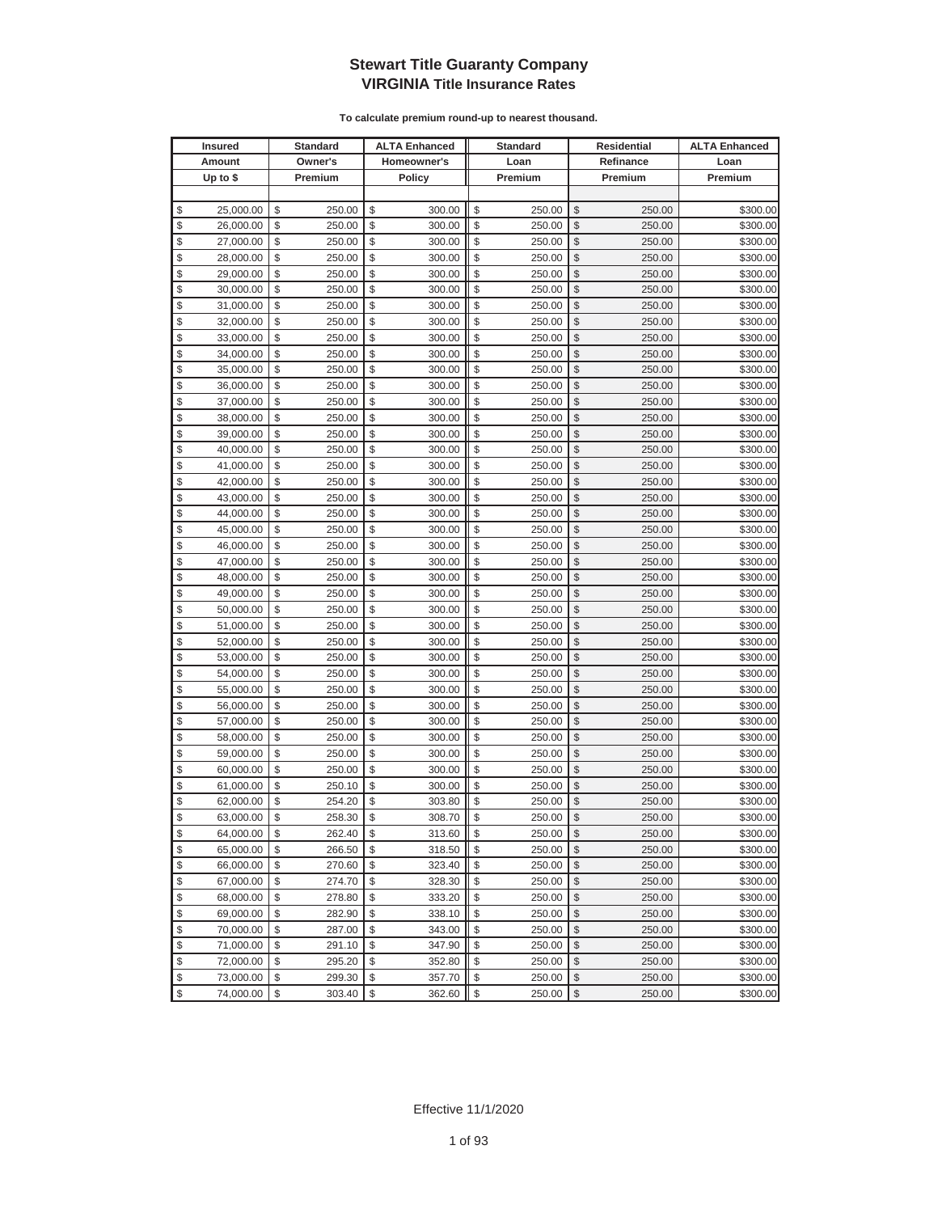|               | <b>Insured</b> |                         | <b>Standard</b> |              | <b>ALTA Enhanced</b> |              | <b>Standard</b> |                                               | <b>Residential</b> | <b>ALTA Enhanced</b> |
|---------------|----------------|-------------------------|-----------------|--------------|----------------------|--------------|-----------------|-----------------------------------------------|--------------------|----------------------|
|               | Amount         |                         | Owner's         |              | Homeowner's          |              | Loan            |                                               | Refinance          | Loan                 |
|               | Up to $$$      |                         | Premium         |              | Policy               |              | Premium         |                                               | Premium            | Premium              |
|               |                |                         |                 |              |                      |              |                 |                                               |                    |                      |
| \$            | 25,000.00      | \$                      | 250.00          | \$           | 300.00               | \$           | 250.00          | \$                                            | 250.00             | \$300.00             |
| \$            | 26,000.00      | \$                      | 250.00          | \$           | 300.00               | \$           | 250.00          | \$                                            | 250.00             | \$300.00             |
| \$            | 27,000.00      | \$                      | 250.00          | \$           | 300.00               | \$           | 250.00          | \$                                            | 250.00             | \$300.00             |
| \$            | 28,000.00      | \$                      | 250.00          | \$           | 300.00               | \$           | 250.00          | \$                                            | 250.00             | \$300.00             |
| \$            | 29,000.00      | \$                      | 250.00          | \$           | 300.00               | \$           | 250.00          | \$                                            | 250.00             | \$300.00             |
| \$            | 30,000.00      | \$                      | 250.00          | \$           | 300.00               | \$           | 250.00          | \$                                            | 250.00             | \$300.00             |
| \$            | 31,000.00      | \$                      | 250.00          | \$           | 300.00               | \$           | 250.00          | \$                                            | 250.00             | \$300.00             |
| \$            | 32,000.00      | \$                      | 250.00          | \$           | 300.00               | \$           | 250.00          | \$                                            | 250.00             | \$300.00             |
| \$            | 33,000.00      | \$                      | 250.00          | \$           | 300.00               | \$           | 250.00          | \$                                            | 250.00             | \$300.00             |
| \$            | 34,000.00      | \$                      | 250.00          | \$           | 300.00               | \$           | 250.00          | \$                                            | 250.00             | \$300.00             |
| \$            | 35,000.00      | \$                      | 250.00          | \$           | 300.00               | \$           | 250.00          | \$                                            | 250.00             | \$300.00             |
| \$            | 36,000.00      | \$                      | 250.00          | \$           | 300.00               | \$           | 250.00          | \$                                            | 250.00             | \$300.00             |
| \$            | 37,000.00      | \$                      | 250.00          | \$           | 300.00               | \$           | 250.00          | \$                                            | 250.00             | \$300.00             |
| \$            | 38,000.00      | \$                      | 250.00          | \$           | 300.00               | \$           | 250.00          | \$                                            | 250.00             | \$300.00             |
| \$            | 39,000.00      | \$                      | 250.00          | \$           | 300.00               | \$           | 250.00          | \$                                            | 250.00             | \$300.00             |
| \$            | 40,000.00      | \$                      | 250.00          | \$           | 300.00               | \$           | 250.00          | \$                                            | 250.00             | \$300.00             |
| $\frac{1}{2}$ | 41,000.00      | \$                      | 250.00          | \$           | 300.00               | \$           | 250.00          | \$                                            | 250.00             | \$300.00             |
| \$            | 42,000.00      | \$                      | 250.00          | \$           | 300.00               | \$           | 250.00          | \$                                            | 250.00             | \$300.00             |
| $\frac{1}{2}$ | 43,000.00      | \$                      | 250.00          | \$           | 300.00               | \$           | 250.00          | \$                                            | 250.00             | \$300.00             |
| \$            | 44,000.00      | \$                      | 250.00          | \$           | 300.00               | \$           | 250.00          | \$                                            | 250.00             | \$300.00             |
| \$            | 45,000.00      | \$                      | 250.00          | \$           | 300.00               | \$           | 250.00          | \$                                            | 250.00             | \$300.00             |
| \$            | 46,000.00      | \$                      | 250.00          | \$           | 300.00               | \$           | 250.00          | \$                                            | 250.00             | \$300.00             |
| \$            | 47,000.00      | \$                      | 250.00          | \$           | 300.00               | \$           | 250.00          | \$                                            | 250.00             | \$300.00             |
| \$            | 48,000.00      | \$                      | 250.00          | \$           | 300.00               | \$           | 250.00          | \$                                            | 250.00             | \$300.00             |
| \$            | 49,000.00      | \$                      | 250.00          | \$           | 300.00               | \$           | 250.00          | \$                                            | 250.00             | \$300.00             |
| \$            | 50,000.00      | \$                      | 250.00          | \$           | 300.00               | \$           | 250.00          | \$                                            | 250.00             | \$300.00             |
| \$            | 51,000.00      | \$                      | 250.00          | \$           | 300.00               | \$           | 250.00          | \$                                            | 250.00             | \$300.00             |
| \$            | 52,000.00      | \$                      | 250.00          | \$           | 300.00               | \$           | 250.00          | \$                                            | 250.00             | \$300.00             |
| \$            | 53,000.00      | \$                      | 250.00          | \$           | 300.00               | \$           | 250.00          | \$                                            | 250.00             | \$300.00             |
| \$            | 54,000.00      | \$                      | 250.00          | \$           | 300.00               | \$           | 250.00          | \$                                            | 250.00             | \$300.00             |
| \$            | 55,000.00      | \$                      | 250.00          | \$           | 300.00               | \$           | 250.00          | \$                                            | 250.00             | \$300.00             |
| \$            | 56,000.00      | \$                      | 250.00          | \$           | 300.00               | \$           | 250.00          | \$                                            | 250.00             | \$300.00             |
| \$            | 57,000.00      | \$                      | 250.00          | \$           | 300.00               | \$           | 250.00          | \$                                            | 250.00             | \$300.00             |
| \$            | 58,000.00      | \$                      | 250.00          | \$           | 300.00               | \$           | 250.00          | \$                                            | 250.00             | \$300.00             |
| \$            | 59,000.00      | \$                      | 250.00          | \$           | 300.00               | \$           | 250.00          | \$                                            | 250.00             | \$300.00             |
| \$            | 60,000.00      | \$                      | 250.00          | \$           | 300.00               | \$           | 250.00          | \$                                            | 250.00             | \$300.00             |
| \$            | 61,000.00      | \$                      | 250.10          | \$           | 300.00               | \$           | 250.00          | \$                                            | 250.00             | \$300.00             |
| \$            | 62,000.00      | \$                      | 254.20          | \$           | 303.80               | \$           | 250.00          | \$                                            | 250.00             | \$300.00             |
| \$            | 63.000.00      | \$                      | 258.30          | $\mathbb{S}$ | 308.70               | $\mathbb{S}$ | 250.00          | $\mathbb{S}$                                  | 250.00             | \$300.00             |
| \$            | 64,000.00      | \$                      | 262.40          | \$           | 313.60               | \$           | 250.00          | \$                                            | 250.00             | \$300.00             |
| \$            | 65,000.00      | \$                      | 266.50          | \$           | 318.50               | \$           | 250.00          | \$                                            | 250.00             | \$300.00             |
| \$            | 66,000.00      | \$                      | 270.60          | \$           | 323.40               | \$           | 250.00          | \$                                            | 250.00             | \$300.00             |
| \$            | 67,000.00      | \$                      | 274.70          | \$           | 328.30               | \$           | 250.00          | \$                                            | 250.00             | \$300.00             |
| \$            | 68,000.00      | \$                      | 278.80          | \$           | 333.20               | \$           | 250.00          | \$                                            | 250.00             | \$300.00             |
| \$            | 69,000.00      | \$                      | 282.90          | \$           | 338.10               | \$           | 250.00          | \$                                            | 250.00             | \$300.00             |
| $\frac{1}{2}$ | 70,000.00      | \$                      | 287.00          | \$           | 343.00               | \$           | 250.00          | \$                                            | 250.00             | \$300.00             |
| \$            | 71,000.00      | \$                      | 291.10          | \$           | 347.90               | \$           | 250.00          | \$                                            | 250.00             | \$300.00             |
| \$            | 72,000.00      | \$                      | 295.20          | \$           | 352.80               | \$           | 250.00          | \$                                            | 250.00             | \$300.00             |
| \$            | 73,000.00      | \$                      | 299.30          | \$           | 357.70               | \$           | 250.00          | \$                                            | 250.00             | \$300.00             |
| \$            | 74,000.00      | $\sqrt[6]{\frac{1}{2}}$ | 303.40          | $\,$         | 362.60               | \$           | 250.00          | $\, \, \raisebox{12pt}{$\scriptstyle \circ$}$ | 250.00             | \$300.00             |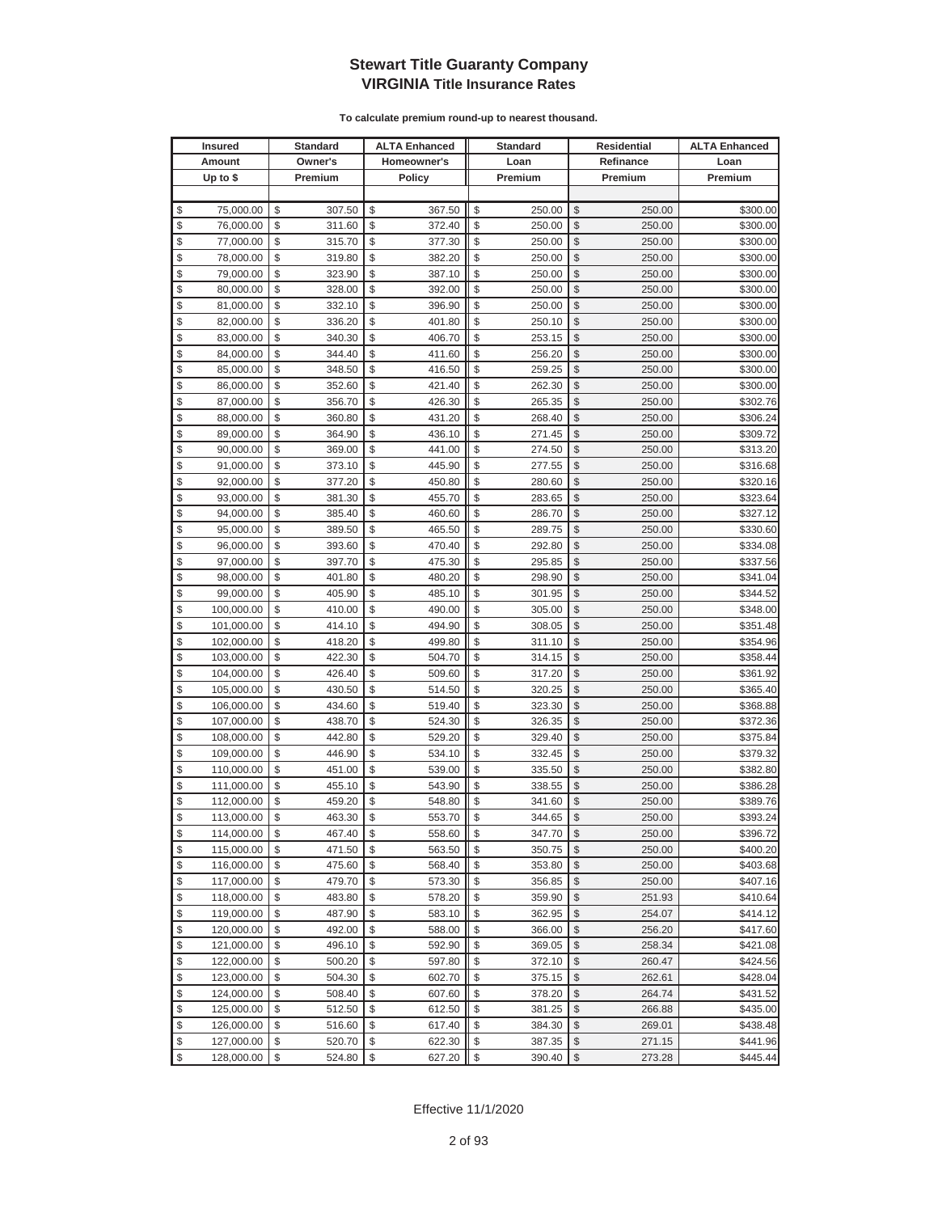| <b>Insured</b>   | <b>Standard</b> | <b>ALTA Enhanced</b> | <b>Standard</b> | Residential  | <b>ALTA Enhanced</b> |
|------------------|-----------------|----------------------|-----------------|--------------|----------------------|
| Amount           | Owner's         | Homeowner's          | Loan            | Refinance    | Loan                 |
| Up to $$$        | Premium         | <b>Policy</b>        | Premium         | Premium      | Premium              |
|                  |                 |                      |                 |              |                      |
| \$<br>75,000.00  | \$<br>307.50    | \$<br>367.50         | \$<br>250.00    | \$<br>250.00 | \$300.00             |
| \$<br>76,000.00  | \$<br>311.60    | \$<br>372.40         | \$<br>250.00    | \$<br>250.00 | \$300.00             |
| \$<br>77,000.00  | \$<br>315.70    | \$<br>377.30         | \$<br>250.00    | \$<br>250.00 | \$300.00             |
| \$<br>78,000.00  | \$<br>319.80    | \$<br>382.20         | \$<br>250.00    | \$<br>250.00 | \$300.00             |
| \$<br>79,000.00  | \$<br>323.90    | \$<br>387.10         | \$<br>250.00    | \$<br>250.00 | \$300.00             |
| \$<br>80,000.00  | \$<br>328.00    | \$<br>392.00         | \$<br>250.00    | \$<br>250.00 | \$300.00             |
| \$<br>81,000.00  | \$<br>332.10    | \$<br>396.90         | \$<br>250.00    | \$<br>250.00 | \$300.00             |
| \$<br>82,000.00  | \$<br>336.20    | \$<br>401.80         | \$<br>250.10    | \$<br>250.00 | \$300.00             |
| \$<br>83,000.00  | \$<br>340.30    | \$<br>406.70         | \$<br>253.15    | \$<br>250.00 | \$300.00             |
| \$<br>84,000.00  | \$<br>344.40    | \$<br>411.60         | \$<br>256.20    | \$<br>250.00 | \$300.00             |
| \$<br>85,000.00  | \$<br>348.50    | \$<br>416.50         | \$<br>259.25    | \$<br>250.00 | \$300.00             |
| \$<br>86,000.00  | \$<br>352.60    | \$<br>421.40         | \$<br>262.30    | \$<br>250.00 | \$300.00             |
| \$<br>87,000.00  | \$<br>356.70    | \$<br>426.30         | \$<br>265.35    | \$<br>250.00 | \$302.76             |
| \$<br>88,000.00  | \$<br>360.80    | \$<br>431.20         | \$<br>268.40    | \$<br>250.00 | \$306.24             |
| \$<br>89,000.00  | \$<br>364.90    | \$<br>436.10         | \$<br>271.45    | \$<br>250.00 | \$309.72             |
| \$<br>90,000.00  | \$<br>369.00    | \$<br>441.00         | \$<br>274.50    | \$<br>250.00 | \$313.20             |
| \$<br>91,000.00  | \$<br>373.10    | \$<br>445.90         | \$<br>277.55    | \$<br>250.00 | \$316.68             |
| \$<br>92,000.00  | \$<br>377.20    | \$<br>450.80         | \$<br>280.60    | \$<br>250.00 | \$320.16             |
| \$<br>93,000.00  | \$<br>381.30    | \$<br>455.70         | \$<br>283.65    | \$<br>250.00 | \$323.64             |
| \$<br>94,000.00  | \$<br>385.40    | \$<br>460.60         | \$<br>286.70    | \$<br>250.00 | \$327.12             |
| \$<br>95,000.00  | \$<br>389.50    | \$<br>465.50         | \$<br>289.75    | \$<br>250.00 | \$330.60             |
| \$<br>96,000.00  | \$<br>393.60    | \$<br>470.40         | \$<br>292.80    | \$<br>250.00 | \$334.08             |
| \$<br>97,000.00  | \$<br>397.70    | \$<br>475.30         | \$<br>295.85    | \$<br>250.00 | \$337.56             |
| \$<br>98,000.00  | \$<br>401.80    | \$<br>480.20         | \$<br>298.90    | \$<br>250.00 | \$341.04             |
| \$<br>99,000.00  | \$<br>405.90    | \$<br>485.10         | \$<br>301.95    | \$<br>250.00 | \$344.52             |
| \$<br>100,000.00 | \$<br>410.00    | \$<br>490.00         | \$<br>305.00    | \$<br>250.00 | \$348.00             |
| \$<br>101,000.00 | \$<br>414.10    | \$<br>494.90         | \$<br>308.05    | \$<br>250.00 | \$351.48             |
| \$<br>102,000.00 | \$<br>418.20    | \$<br>499.80         | \$<br>311.10    | \$<br>250.00 | \$354.96             |
| \$<br>103,000.00 | \$<br>422.30    | \$<br>504.70         | \$<br>314.15    | \$<br>250.00 | \$358.44             |
| \$<br>104,000.00 | \$<br>426.40    | \$<br>509.60         | \$<br>317.20    | \$<br>250.00 | \$361.92             |
| \$<br>105,000.00 | \$<br>430.50    | \$<br>514.50         | \$<br>320.25    | \$<br>250.00 | \$365.40             |
| \$<br>106,000.00 | \$<br>434.60    | \$<br>519.40         | \$<br>323.30    | \$<br>250.00 | \$368.88             |
| \$<br>107,000.00 | \$<br>438.70    | \$<br>524.30         | \$<br>326.35    | \$<br>250.00 | \$372.36             |
| \$<br>108,000.00 | \$<br>442.80    | \$<br>529.20         | \$<br>329.40    | \$<br>250.00 | \$375.84             |
| \$<br>109,000.00 | \$<br>446.90    | \$<br>534.10         | \$<br>332.45    | \$<br>250.00 | \$379.32             |
| \$<br>110,000.00 | \$<br>451.00    | \$<br>539.00         | \$<br>335.50    | \$<br>250.00 | \$382.80             |
| \$<br>111,000.00 | \$<br>455.10    | \$<br>543.90         | \$<br>338.55    | \$<br>250.00 | \$386.28             |
| \$<br>112,000.00 | \$<br>459.20    | \$<br>548.80         | \$<br>341.60    | \$<br>250.00 | \$389.76             |
| \$<br>113,000.00 | \$<br>463.30    | \$<br>553.70         | \$<br>344.65    | \$<br>250.00 | \$393.24             |
| \$<br>114,000.00 | \$<br>467.40    | \$<br>558.60         | \$<br>347.70    | \$<br>250.00 | \$396.72             |
| \$<br>115,000.00 | \$<br>471.50    | \$<br>563.50         | \$<br>350.75    | \$<br>250.00 | \$400.20             |
| \$<br>116,000.00 | \$<br>475.60    | \$<br>568.40         | \$<br>353.80    | \$<br>250.00 | \$403.68             |
| \$<br>117,000.00 | \$<br>479.70    | \$<br>573.30         | \$<br>356.85    | \$<br>250.00 | \$407.16             |
| \$<br>118,000.00 | \$<br>483.80    | \$<br>578.20         | \$<br>359.90    | \$<br>251.93 | \$410.64             |
| \$<br>119,000.00 | \$<br>487.90    | \$<br>583.10         | \$<br>362.95    | \$<br>254.07 | \$414.12             |
| \$<br>120,000.00 | \$<br>492.00    | \$<br>588.00         | \$<br>366.00    | \$<br>256.20 | \$417.60             |
| \$<br>121,000.00 | \$<br>496.10    | \$<br>592.90         | \$<br>369.05    | \$<br>258.34 | \$421.08             |
| \$<br>122,000.00 | \$<br>500.20    | \$<br>597.80         | \$<br>372.10    | \$<br>260.47 | \$424.56             |
| \$<br>123,000.00 | \$<br>504.30    | \$<br>602.70         | \$<br>375.15    | \$<br>262.61 | \$428.04             |
| \$<br>124,000.00 | \$<br>508.40    | \$<br>607.60         | \$<br>378.20    | \$<br>264.74 | \$431.52             |
| \$<br>125,000.00 | \$<br>512.50    | \$<br>612.50         | \$<br>381.25    | \$<br>266.88 | \$435.00             |
| \$<br>126,000.00 | \$<br>516.60    | \$<br>617.40         | \$<br>384.30    | \$<br>269.01 | \$438.48             |
| \$<br>127,000.00 | \$<br>520.70    | \$<br>622.30         | \$<br>387.35    | \$<br>271.15 | \$441.96             |
| \$<br>128,000.00 | \$<br>524.80    | \$<br>627.20         | \$<br>390.40    | \$<br>273.28 | \$445.44             |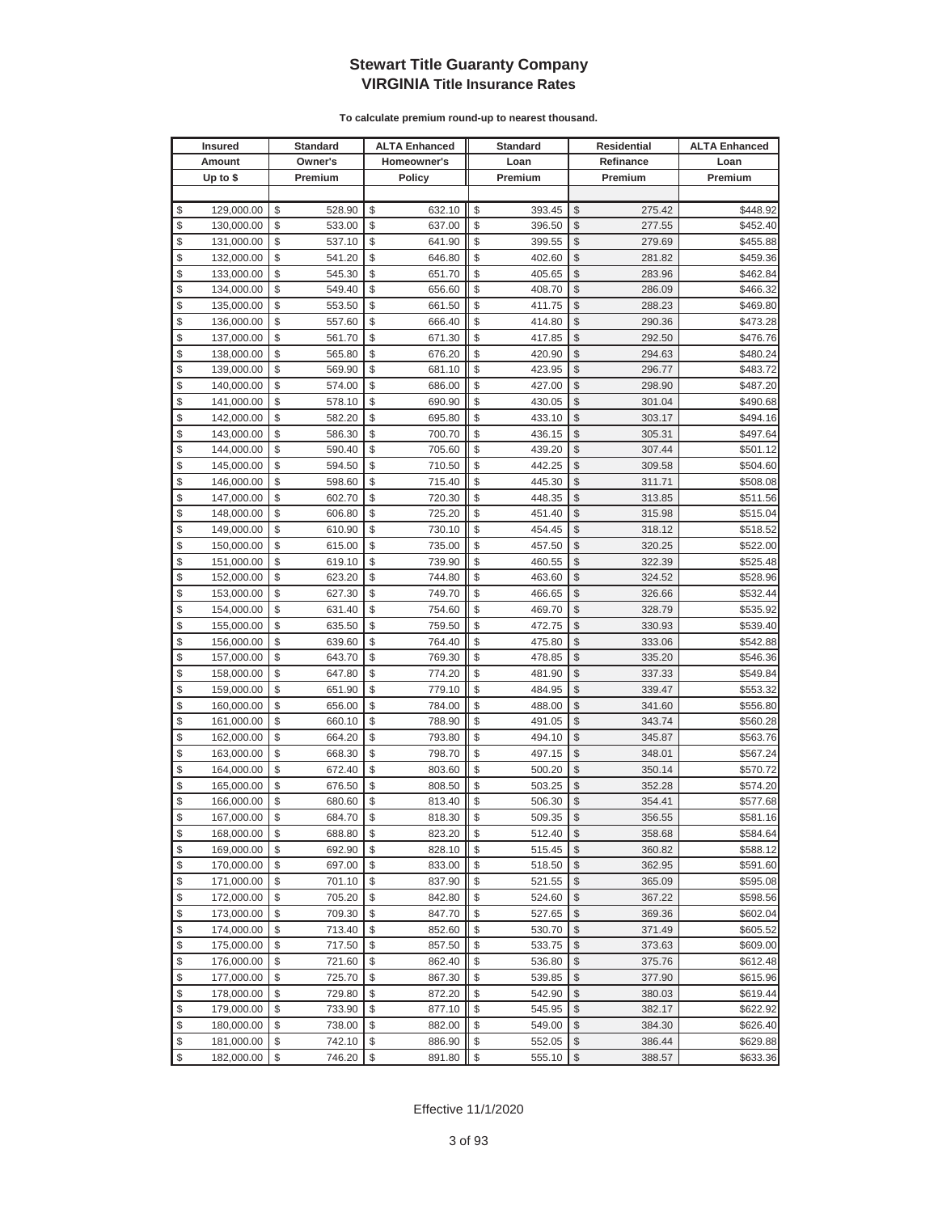| <b>Insured</b>   | Standard     | <b>ALTA Enhanced</b> | <b>Standard</b> |                         | <b>Residential</b> | <b>ALTA Enhanced</b> |
|------------------|--------------|----------------------|-----------------|-------------------------|--------------------|----------------------|
| Amount           | Owner's      | Homeowner's          | Loan            |                         | Refinance          | Loan                 |
| Up to $$$        | Premium      | <b>Policy</b>        | Premium         |                         | Premium            | Premium              |
|                  |              |                      |                 |                         |                    |                      |
| \$<br>129,000.00 | \$<br>528.90 | \$<br>632.10         | \$<br>393.45    | \$                      | 275.42             | \$448.92             |
| \$<br>130,000.00 | \$<br>533.00 | \$<br>637.00         | \$<br>396.50    | \$                      | 277.55             | \$452.40             |
| \$<br>131,000.00 | \$<br>537.10 | \$<br>641.90         | \$<br>399.55    | \$                      | 279.69             | \$455.88             |
| \$<br>132,000.00 | \$<br>541.20 | \$<br>646.80         | \$<br>402.60    | \$                      | 281.82             | \$459.36             |
| \$<br>133,000.00 | \$<br>545.30 | \$<br>651.70         | \$<br>405.65    | \$                      | 283.96             | \$462.84             |
| \$<br>134,000.00 | \$<br>549.40 | \$<br>656.60         | \$<br>408.70    | \$                      | 286.09             | \$466.32             |
| \$<br>135,000.00 | \$<br>553.50 | \$<br>661.50         | \$<br>411.75    | \$                      | 288.23             | \$469.80             |
| \$<br>136,000.00 | \$<br>557.60 | \$<br>666.40         | \$<br>414.80    | \$                      | 290.36             | \$473.28             |
| \$<br>137,000.00 | \$<br>561.70 | \$<br>671.30         | \$<br>417.85    | \$                      | 292.50             | \$476.76             |
| \$<br>138,000.00 | \$<br>565.80 | \$<br>676.20         | \$<br>420.90    | \$                      | 294.63             | \$480.24             |
| \$<br>139,000.00 | \$<br>569.90 | \$<br>681.10         | \$<br>423.95    | \$                      | 296.77             | \$483.72             |
| \$<br>140,000.00 | \$<br>574.00 | \$<br>686.00         | \$<br>427.00    | \$                      | 298.90             | \$487.20             |
| \$<br>141,000.00 | \$<br>578.10 | \$<br>690.90         | \$<br>430.05    | \$                      | 301.04             | \$490.68             |
| \$<br>142,000.00 | \$<br>582.20 | \$<br>695.80         | \$<br>433.10    | \$                      | 303.17             | \$494.16             |
| \$<br>143,000.00 | \$<br>586.30 | \$<br>700.70         | \$<br>436.15    | \$                      | 305.31             | \$497.64             |
| \$<br>144,000.00 | \$<br>590.40 | \$<br>705.60         | \$<br>439.20    | \$                      | 307.44             | \$501.12             |
| \$<br>145,000.00 | \$<br>594.50 | \$<br>710.50         | \$<br>442.25    | \$                      | 309.58             | \$504.60             |
| \$<br>146,000.00 | \$<br>598.60 | \$<br>715.40         | \$<br>445.30    | \$                      | 311.71             | \$508.08             |
| \$<br>147,000.00 | \$<br>602.70 | \$<br>720.30         | \$<br>448.35    | \$                      | 313.85             | \$511.56             |
| \$<br>148,000.00 | \$<br>606.80 | \$<br>725.20         | \$<br>451.40    | \$                      | 315.98             | \$515.04             |
| \$<br>149,000.00 | \$<br>610.90 | \$<br>730.10         | \$<br>454.45    | \$                      | 318.12             | \$518.52             |
| \$<br>150,000.00 | \$<br>615.00 | \$<br>735.00         | \$<br>457.50    | \$                      | 320.25             | \$522.00             |
| \$<br>151,000.00 | \$<br>619.10 | \$<br>739.90         | \$<br>460.55    | \$                      | 322.39             | \$525.48             |
| \$<br>152,000.00 | \$<br>623.20 | \$<br>744.80         | \$<br>463.60    | \$                      | 324.52             | \$528.96             |
| \$<br>153,000.00 | \$<br>627.30 | \$<br>749.70         | \$<br>466.65    | \$                      | 326.66             | \$532.44             |
| \$<br>154,000.00 | \$<br>631.40 | \$<br>754.60         | \$<br>469.70    | \$                      | 328.79             | \$535.92             |
| \$<br>155,000.00 | \$<br>635.50 | \$<br>759.50         | \$<br>472.75    | \$                      | 330.93             | \$539.40             |
| \$<br>156,000.00 | \$<br>639.60 | \$<br>764.40         | \$<br>475.80    | \$                      | 333.06             | \$542.88             |
| \$<br>157,000.00 | \$<br>643.70 | \$<br>769.30         | \$<br>478.85    | \$                      | 335.20             | \$546.36             |
| \$<br>158,000.00 | \$<br>647.80 | \$<br>774.20         | \$<br>481.90    | \$                      | 337.33             | \$549.84             |
| \$<br>159,000.00 | \$<br>651.90 | \$<br>779.10         | \$<br>484.95    | \$                      | 339.47             | \$553.32             |
| \$<br>160,000.00 | \$<br>656.00 | \$<br>784.00         | \$<br>488.00    | \$                      | 341.60             | \$556.80             |
| \$<br>161,000.00 | \$<br>660.10 | \$<br>788.90         | \$<br>491.05    | \$                      | 343.74             | \$560.28             |
| \$<br>162,000.00 | \$<br>664.20 | \$<br>793.80         | \$<br>494.10    | \$                      | 345.87             | \$563.76             |
| \$<br>163,000.00 | \$<br>668.30 | \$<br>798.70         | \$<br>497.15    | \$                      | 348.01             | \$567.24             |
| \$<br>164,000.00 | \$<br>672.40 | \$<br>803.60         | \$<br>500.20    | \$                      | 350.14             | \$570.72             |
| \$<br>165,000.00 | \$<br>676.50 | \$<br>808.50         | \$<br>503.25    | \$                      | 352.28             | \$574.20             |
| \$<br>166,000.00 | \$<br>680.60 | \$<br>813.40         | \$<br>506.30    | \$                      | 354.41             | \$577.68             |
| \$<br>167,000.00 | \$<br>684.70 | \$<br>818.30         | \$<br>509.35    | \$                      | 356.55             | \$581.16             |
| \$<br>168,000.00 | \$<br>688.80 | \$<br>823.20         | \$<br>512.40    | $\sqrt[6]{\frac{1}{2}}$ | 358.68             | \$584.64             |
| \$<br>169,000.00 | \$<br>692.90 | \$<br>828.10         | \$<br>515.45    | \$                      | 360.82             | \$588.12             |
| \$<br>170,000.00 | \$<br>697.00 | \$<br>833.00         | \$<br>518.50    | $\frac{1}{2}$           | 362.95             | \$591.60             |
| \$<br>171,000.00 | \$<br>701.10 | \$<br>837.90         | \$<br>521.55    | \$                      | 365.09             | \$595.08             |
| \$<br>172,000.00 | \$<br>705.20 | \$<br>842.80         | \$<br>524.60    | \$                      | 367.22             | \$598.56             |
| \$<br>173,000.00 | \$<br>709.30 | \$<br>847.70         | \$<br>527.65    | \$                      | 369.36             | \$602.04             |
| \$<br>174,000.00 | \$<br>713.40 | \$<br>852.60         | \$<br>530.70    | \$                      | 371.49             | \$605.52             |
| \$<br>175,000.00 | \$<br>717.50 | \$<br>857.50         | \$<br>533.75    | \$                      | 373.63             | \$609.00             |
| \$<br>176,000.00 | \$<br>721.60 | \$<br>862.40         | \$<br>536.80    | \$                      | 375.76             | \$612.48             |
| \$<br>177,000.00 | \$<br>725.70 | \$<br>867.30         | \$<br>539.85    | \$                      | 377.90             | \$615.96             |
| \$<br>178,000.00 | \$<br>729.80 | \$<br>872.20         | \$<br>542.90    | \$                      | 380.03             | \$619.44             |
| \$<br>179,000.00 | \$<br>733.90 | \$<br>877.10         | \$<br>545.95    | \$                      | 382.17             | \$622.92             |
| \$<br>180,000.00 | \$<br>738.00 | \$<br>882.00         | \$<br>549.00    | \$                      | 384.30             | \$626.40             |
| \$<br>181,000.00 | \$<br>742.10 | \$<br>886.90         | \$<br>552.05    | \$                      | 386.44             | \$629.88             |
| \$<br>182,000.00 | \$<br>746.20 | \$<br>891.80         | \$<br>555.10    | $\sqrt[6]{\frac{1}{2}}$ | 388.57             | \$633.36             |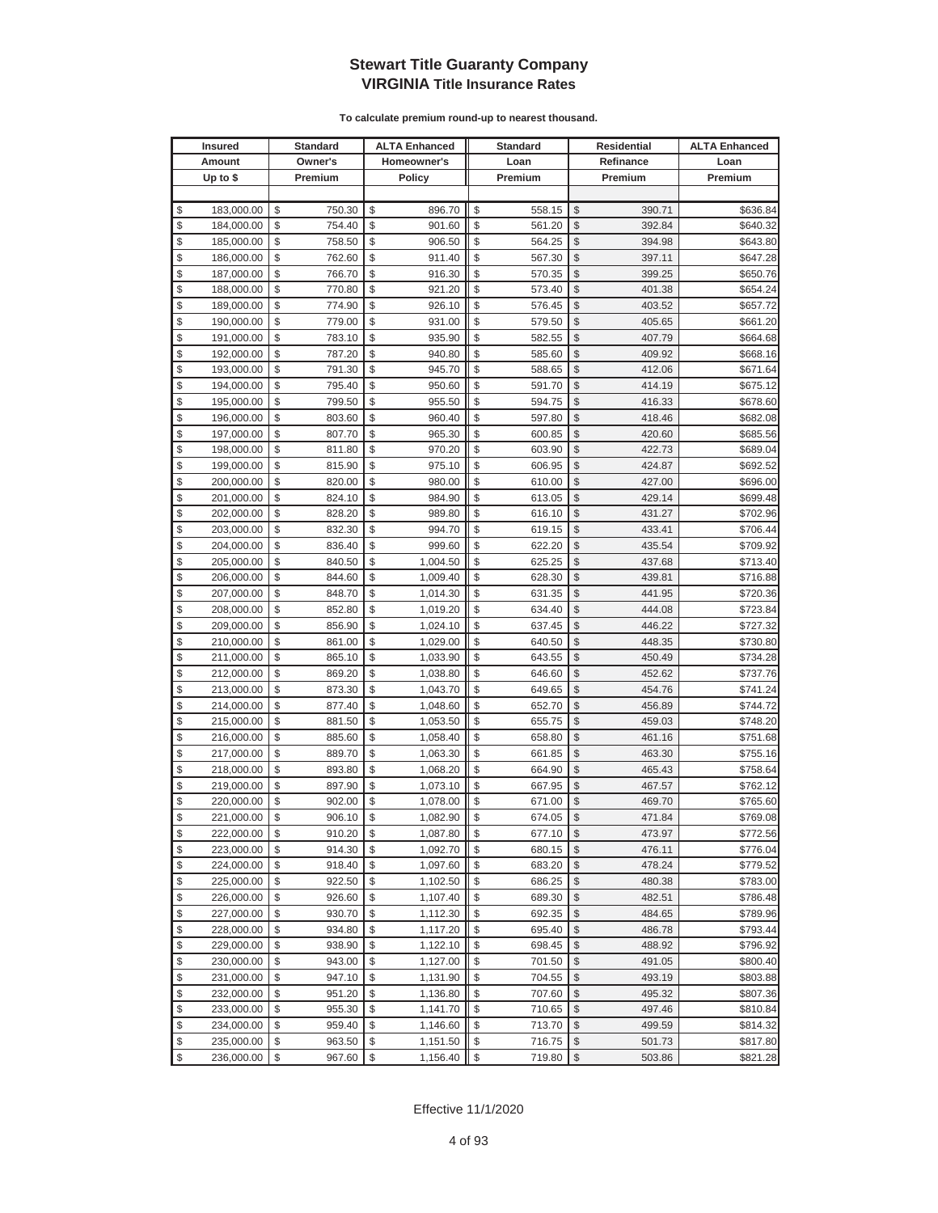|                         | <b>Insured</b> | <b>Standard</b> | <b>ALTA Enhanced</b> | <b>Standard</b> | Residential   |           | <b>ALTA Enhanced</b> |
|-------------------------|----------------|-----------------|----------------------|-----------------|---------------|-----------|----------------------|
|                         | Amount         | Owner's         | Homeowner's          | Loan            |               | Refinance | Loan                 |
|                         | Up to $$$      | Premium         | <b>Policy</b>        | Premium         |               | Premium   | Premium              |
|                         |                |                 |                      |                 |               |           |                      |
| \$                      | 183,000.00     | \$<br>750.30    | \$<br>896.70         | \$<br>558.15    | \$            | 390.71    | \$636.84             |
| \$                      | 184,000.00     | \$<br>754.40    | \$<br>901.60         | \$<br>561.20    | \$            | 392.84    | \$640.32             |
| \$                      | 185,000.00     | \$<br>758.50    | \$<br>906.50         | \$<br>564.25    | \$            | 394.98    | \$643.80             |
| \$                      | 186,000.00     | \$<br>762.60    | \$<br>911.40         | \$<br>567.30    | \$            | 397.11    | \$647.28             |
| \$                      | 187,000.00     | \$<br>766.70    | \$<br>916.30         | \$<br>570.35    | \$            | 399.25    | \$650.76             |
| \$                      | 188,000.00     | \$<br>770.80    | \$<br>921.20         | \$<br>573.40    | \$            | 401.38    | \$654.24             |
| \$                      | 189,000.00     | \$<br>774.90    | \$<br>926.10         | \$<br>576.45    | \$            | 403.52    | \$657.72             |
| \$                      | 190,000.00     | \$<br>779.00    | \$<br>931.00         | \$<br>579.50    | \$            | 405.65    | \$661.20             |
| \$                      | 191,000.00     | \$<br>783.10    | \$<br>935.90         | \$<br>582.55    | \$            | 407.79    | \$664.68             |
| \$                      | 192,000.00     | \$<br>787.20    | \$<br>940.80         | \$<br>585.60    | \$            | 409.92    | \$668.16             |
| \$                      | 193,000.00     | \$<br>791.30    | \$<br>945.70         | \$<br>588.65    | \$            | 412.06    | \$671.64             |
| \$                      | 194,000.00     | \$<br>795.40    | \$<br>950.60         | \$<br>591.70    | \$            | 414.19    | \$675.12             |
| \$                      | 195,000.00     | \$<br>799.50    | \$<br>955.50         | \$<br>594.75    | \$            | 416.33    | \$678.60             |
| \$                      | 196,000.00     | \$<br>803.60    | \$<br>960.40         | \$<br>597.80    | \$            | 418.46    | \$682.08             |
| \$                      | 197,000.00     | \$<br>807.70    | \$<br>965.30         | \$<br>600.85    | \$            | 420.60    | \$685.56             |
| \$                      | 198,000.00     | \$<br>811.80    | \$<br>970.20         | \$<br>603.90    | \$            | 422.73    | \$689.04             |
| \$                      | 199,000.00     | \$<br>815.90    | \$<br>975.10         | \$<br>606.95    | \$            | 424.87    | \$692.52             |
| \$                      | 200,000.00     | \$<br>820.00    | \$<br>980.00         | \$<br>610.00    | \$            | 427.00    | \$696.00             |
| \$                      | 201,000.00     | \$<br>824.10    | \$<br>984.90         | \$<br>613.05    | \$            | 429.14    | \$699.48             |
| \$                      | 202,000.00     | \$<br>828.20    | \$<br>989.80         | \$<br>616.10    | \$            | 431.27    | \$702.96             |
| \$                      | 203,000.00     | \$<br>832.30    | \$<br>994.70         | \$<br>619.15    | \$            | 433.41    | \$706.44             |
| \$                      | 204,000.00     | \$<br>836.40    | \$<br>999.60         | \$<br>622.20    | \$            | 435.54    | \$709.92             |
| \$                      | 205,000.00     | \$<br>840.50    | \$<br>1,004.50       | \$<br>625.25    | \$            | 437.68    | \$713.40             |
| \$                      | 206,000.00     | \$<br>844.60    | \$<br>1,009.40       | \$<br>628.30    | \$            | 439.81    | \$716.88             |
| \$                      | 207,000.00     | \$<br>848.70    | \$<br>1,014.30       | \$<br>631.35    | \$            | 441.95    | \$720.36             |
| \$                      | 208,000.00     | \$<br>852.80    | \$<br>1,019.20       | \$<br>634.40    | \$            | 444.08    | \$723.84             |
| \$                      | 209,000.00     | \$<br>856.90    | \$<br>1,024.10       | \$<br>637.45    | \$            | 446.22    | \$727.32             |
| \$                      | 210,000.00     | \$<br>861.00    | \$<br>1,029.00       | \$<br>640.50    | \$            | 448.35    | \$730.80             |
| \$                      | 211,000.00     | \$<br>865.10    | \$<br>1,033.90       | \$<br>643.55    | \$            | 450.49    | \$734.28             |
| \$                      | 212,000.00     | \$<br>869.20    | \$<br>1,038.80       | \$<br>646.60    | \$            | 452.62    | \$737.76             |
| \$                      | 213,000.00     | \$<br>873.30    | \$<br>1,043.70       | \$<br>649.65    | \$            | 454.76    | \$741.24             |
| \$                      | 214,000.00     | \$<br>877.40    | \$<br>1,048.60       | \$<br>652.70    | \$            | 456.89    | \$744.72             |
| \$                      | 215,000.00     | \$<br>881.50    | \$<br>1,053.50       | \$<br>655.75    | \$            | 459.03    | \$748.20             |
| \$                      | 216,000.00     | \$<br>885.60    | \$<br>1,058.40       | \$<br>658.80    | \$            | 461.16    | \$751.68             |
| \$                      | 217,000.00     | \$<br>889.70    | \$<br>1,063.30       | \$<br>661.85    | \$            | 463.30    | \$755.16             |
| \$                      | 218,000.00     | \$<br>893.80    | \$<br>1,068.20       | \$<br>664.90    | \$            | 465.43    | \$758.64             |
| \$                      | 219,000.00     | \$<br>897.90    | \$<br>1,073.10       | \$<br>667.95    | \$            | 467.57    | \$762.12             |
| \$                      | 220,000.00     | \$<br>902.00    | \$<br>1,078.00       | \$<br>671.00    | \$            | 469.70    | \$765.60             |
| \$                      | 221,000.00     | \$<br>906.10    | \$<br>1,082.90       | \$<br>674.05    | \$            | 471.84    | \$769.08             |
| \$                      | 222,000.00     | \$<br>910.20    | \$<br>1,087.80       | \$<br>677.10    | $\$\$         | 473.97    | \$772.56             |
| \$                      | 223,000.00     | \$<br>914.30    | \$<br>1,092.70       | \$<br>680.15    | \$            | 476.11    | \$776.04             |
| \$                      | 224,000.00     | \$<br>918.40    | \$<br>1,097.60       | \$<br>683.20    | \$            | 478.24    | \$779.52             |
| \$                      | 225,000.00     | \$<br>922.50    | \$<br>1,102.50       | \$<br>686.25    | \$            | 480.38    | \$783.00             |
| \$                      | 226,000.00     | \$<br>926.60    | \$<br>1,107.40       | \$<br>689.30    | \$            | 482.51    | \$786.48             |
| \$                      | 227,000.00     | \$<br>930.70    | \$<br>1,112.30       | \$<br>692.35    | \$            | 484.65    | \$789.96             |
| \$                      | 228,000.00     | \$<br>934.80    | \$<br>1,117.20       | \$<br>695.40    | \$            | 486.78    | \$793.44             |
| \$                      | 229,000.00     | \$<br>938.90    | \$<br>1,122.10       | \$<br>698.45    | \$            | 488.92    | \$796.92             |
| \$                      | 230,000.00     | \$<br>943.00    | \$<br>1,127.00       | \$<br>701.50    | \$            | 491.05    | \$800.40             |
| \$                      | 231,000.00     | \$<br>947.10    | \$<br>1,131.90       | \$<br>704.55    | \$            | 493.19    | \$803.88             |
| \$                      | 232,000.00     | \$<br>951.20    | \$<br>1,136.80       | \$<br>707.60    | \$            | 495.32    | \$807.36             |
| \$                      | 233,000.00     | \$<br>955.30    | \$<br>1,141.70       | \$<br>710.65    | \$            | 497.46    | \$810.84             |
| \$                      | 234,000.00     | \$<br>959.40    | \$<br>1,146.60       | \$<br>713.70    | \$            | 499.59    | \$814.32             |
| \$                      | 235,000.00     | \$<br>963.50    | \$<br>1,151.50       | \$<br>716.75    | \$            | 501.73    | \$817.80             |
| $\sqrt[6]{\frac{1}{2}}$ | 236,000.00     | \$<br>967.60    | \$<br>1,156.40       | \$<br>719.80    | $\frac{1}{2}$ | 503.86    | \$821.28             |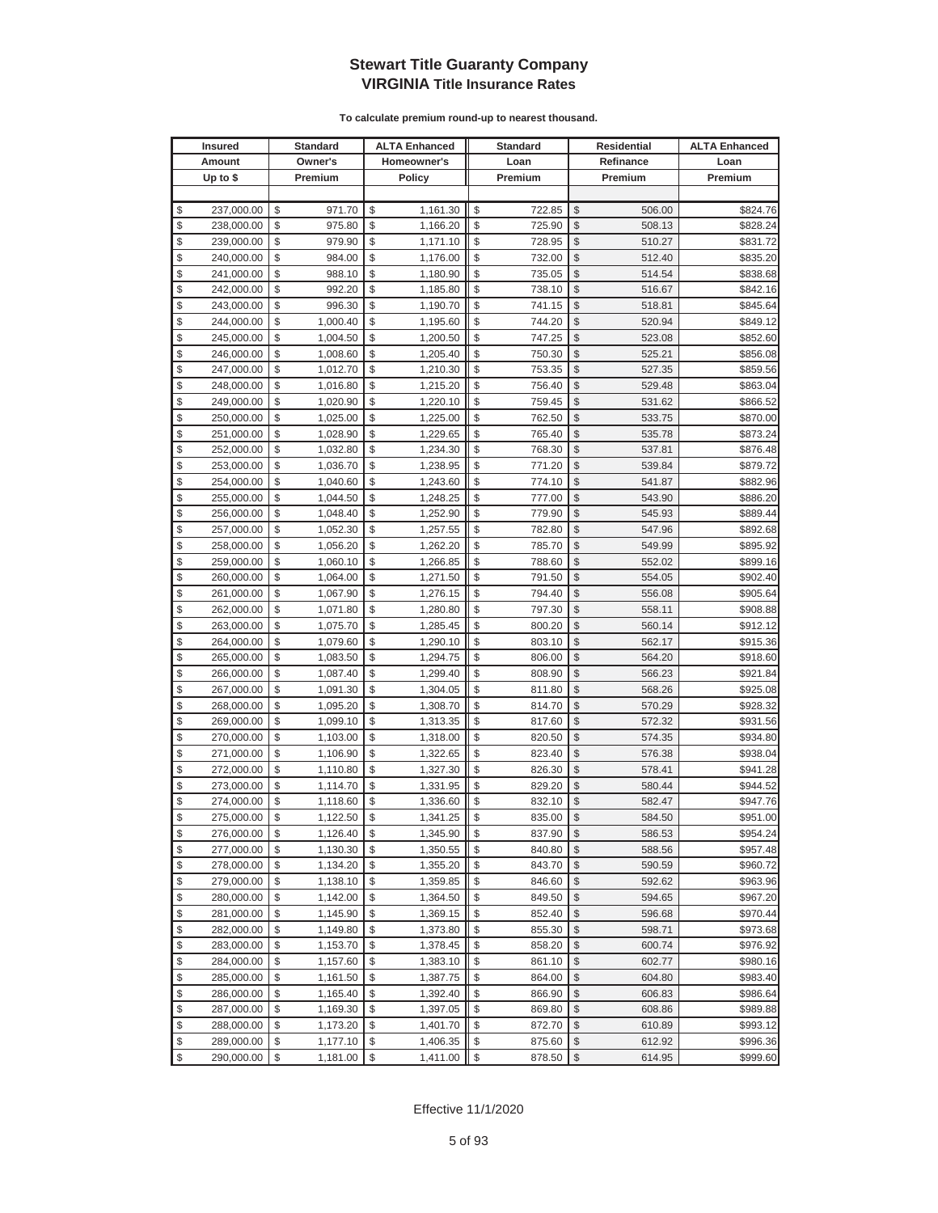|                         | <b>Insured</b>           |          | <b>Standard</b>      |          | <b>ALTA Enhanced</b> |          | <b>Standard</b>  | Residential   |                  | <b>ALTA Enhanced</b> |
|-------------------------|--------------------------|----------|----------------------|----------|----------------------|----------|------------------|---------------|------------------|----------------------|
|                         | Amount                   |          | Owner's              |          | Homeowner's          |          | Loan             |               | Refinance        | Loan                 |
|                         | Up to $$$                |          | Premium              |          | <b>Policy</b>        |          | Premium          |               | Premium          | Premium              |
|                         |                          |          |                      |          |                      |          |                  |               |                  |                      |
| \$                      | 237,000.00               | \$       | 971.70               | \$       | 1,161.30             | \$       | 722.85           | \$            | 506.00           | \$824.76             |
| \$                      | 238,000.00               | \$       | 975.80               | \$       | 1,166.20             | \$       | 725.90           | \$            | 508.13           | \$828.24             |
| \$                      | 239,000.00               | \$       | 979.90               | \$       | 1,171.10             | \$       | 728.95           | \$            | 510.27           | \$831.72             |
| \$                      | 240,000.00               | \$       | 984.00               | \$       | 1,176.00             | \$       | 732.00           | \$            | 512.40           | \$835.20             |
| \$                      | 241,000.00               | \$       | 988.10               | \$       | 1,180.90             | \$       | 735.05           | \$            | 514.54           | \$838.68             |
| \$                      | 242,000.00               | \$       | 992.20               | \$       | 1,185.80             | \$       | 738.10           | \$            | 516.67           | \$842.16             |
| \$                      | 243,000.00               | \$       | 996.30               | \$       | 1,190.70             | \$       | 741.15           | \$            | 518.81           | \$845.64             |
| \$                      | 244,000.00               | \$       | 1,000.40             | \$       | 1,195.60             | \$       | 744.20           | \$            | 520.94           | \$849.12             |
| \$                      | 245,000.00               | \$       | 1,004.50             | \$       | 1,200.50             | \$       | 747.25           | \$            | 523.08           | \$852.60             |
| \$                      | 246,000.00               | \$       | 1,008.60             | \$       | 1,205.40             | \$       | 750.30           | \$            | 525.21           | \$856.08             |
| \$                      | 247,000.00               | \$       | 1,012.70             | \$       | 1,210.30             | \$       | 753.35           | \$            | 527.35           | \$859.56             |
| \$                      | 248,000.00               | \$       | 1,016.80             | \$       | 1,215.20             | \$       | 756.40           | \$            | 529.48           | \$863.04             |
| \$                      | 249,000.00               | \$       | 1,020.90             | \$       | 1,220.10             | \$       | 759.45           | \$            | 531.62           | \$866.52             |
| \$                      | 250,000.00               | \$       | 1,025.00             | \$       | 1,225.00             | \$       | 762.50           | \$            | 533.75           | \$870.00             |
| \$                      | 251,000.00               | \$       | 1,028.90             | \$       | 1,229.65             | \$       | 765.40           | \$            | 535.78           | \$873.24             |
| \$                      | 252,000.00               | \$       | 1,032.80             | \$       | 1,234.30             | \$       | 768.30           | \$            | 537.81           | \$876.48             |
| \$                      | 253,000.00               | \$       | 1,036.70             | \$       | 1,238.95             | \$       | 771.20           | \$            | 539.84           | \$879.72             |
| \$                      | 254,000.00               | \$       | 1,040.60             | \$       | 1,243.60             | \$       | 774.10           | \$            | 541.87           | \$882.96             |
| \$                      | 255,000.00               | \$       | 1,044.50             | \$       | 1,248.25             | \$       | 777.00           | \$            | 543.90           | \$886.20             |
| \$                      | 256,000.00               | \$       | 1,048.40             | \$       | 1,252.90             | \$       | 779.90           | \$            | 545.93           | \$889.44             |
| \$                      | 257,000.00               | \$       | 1,052.30             | \$       | 1,257.55             | \$       | 782.80           | \$            | 547.96           | \$892.68             |
| \$                      | 258,000.00               | \$       | 1,056.20             | \$       | 1,262.20             | \$       | 785.70           | \$            | 549.99           | \$895.92             |
| \$                      | 259,000.00               | \$       | 1,060.10             | \$       | 1,266.85             | \$       | 788.60           | \$            | 552.02           | \$899.16             |
| \$                      | 260,000.00               | \$       | 1,064.00             | \$       | 1,271.50             | \$       | 791.50           | \$            | 554.05           | \$902.40             |
| \$                      | 261,000.00               | \$       | 1,067.90             | \$       | 1,276.15             | \$       | 794.40           | \$            | 556.08           | \$905.64             |
| \$                      | 262,000.00               | \$       | 1,071.80             | \$       | 1,280.80             | \$       | 797.30           | \$            | 558.11           | \$908.88             |
| \$                      | 263,000.00               | \$       | 1,075.70             | \$       | 1,285.45             | \$       | 800.20           | \$            | 560.14           | \$912.12             |
| \$                      | 264,000.00               | \$       | 1,079.60             | \$       | 1,290.10             | \$       | 803.10           | \$            | 562.17           | \$915.36             |
| \$                      | 265,000.00               | \$       | 1,083.50             | \$       | 1,294.75             | \$       | 806.00           | \$            | 564.20           | \$918.60             |
| \$                      | 266,000.00               | \$       | 1,087.40             | \$       | 1,299.40             | \$       | 808.90           | \$            | 566.23           | \$921.84             |
| \$                      | 267,000.00               | \$       | 1,091.30             | \$       | 1,304.05             | \$       | 811.80           | \$            | 568.26           | \$925.08             |
| \$                      | 268,000.00               | \$       | 1,095.20             | \$       | 1,308.70             | \$       | 814.70           | \$            | 570.29           | \$928.32             |
| \$                      | 269,000.00               | \$       | 1,099.10             | \$       | 1,313.35             | \$       | 817.60           | \$            | 572.32           | \$931.56             |
| \$                      | 270,000.00               | \$       | 1,103.00             | \$       | 1,318.00             | \$       | 820.50           | \$            | 574.35           | \$934.80             |
| \$                      | 271,000.00               | \$       | 1,106.90             | \$       | 1,322.65             | \$       | 823.40           | \$            | 576.38           | \$938.04             |
| \$                      | 272,000.00               | \$       | 1,110.80             | \$       | 1,327.30             | \$       | 826.30           | \$            | 578.41           | \$941.28             |
| \$                      | 273,000.00               | \$       | 1,114.70             | \$       | 1,331.95             | \$       | 829.20           | \$            | 580.44           | \$944.52             |
| \$                      | 274,000.00               | \$       | 1,118.60             | \$       | 1,336.60             | \$       | 832.10           | \$            | 582.47           | \$947.76             |
| \$                      | 275,000.00               | \$       | 1,122.50             | \$       | 1,341.25             | \$       | 835.00           | $\mathbb{S}$  | 584.50           | \$951.00             |
| \$                      | 276,000.00               | \$       | 1,126.40             | \$       | 1,345.90             | \$       | 837.90           | $\$\$         | 586.53           | \$954.24             |
| \$                      | 277,000.00               | \$       | 1,130.30             | \$       | 1,350.55             | \$       | 840.80           | \$            | 588.56           | \$957.48             |
| \$                      | 278,000.00               | \$       | 1,134.20             | \$       | 1,355.20             | \$       | 843.70           | \$            | 590.59           | \$960.72             |
| \$                      | 279,000.00               | \$       | 1,138.10             | \$       | 1,359.85             | \$       | 846.60           | \$            | 592.62           | \$963.96             |
| \$                      | 280,000.00               | \$       | 1,142.00             | \$       | 1,364.50             | \$       | 849.50           | \$            | 594.65           | \$967.20             |
| \$                      | 281,000.00               | \$       | 1,145.90             | \$       | 1,369.15             | \$       | 852.40           | \$            | 596.68           | \$970.44             |
| \$                      | 282,000.00               | \$       | 1,149.80             | \$       | 1,373.80             | \$       | 855.30           | \$            | 598.71           | \$973.68             |
| \$                      | 283,000.00               | \$       | 1,153.70             | \$       | 1,378.45             | \$       | 858.20           | \$            | 600.74           | \$976.92             |
| \$<br>\$                | 284,000.00               | \$<br>\$ | 1,157.60             | \$<br>\$ | 1,383.10             | \$<br>\$ | 861.10           | \$<br>\$      | 602.77           | \$980.16<br>\$983.40 |
| \$                      | 285,000.00<br>286,000.00 | \$       | 1,161.50             | \$       | 1,387.75<br>1,392.40 | \$       | 864.00<br>866.90 | \$            | 604.80<br>606.83 |                      |
| \$                      |                          |          | 1,165.40             |          | 1,397.05             | \$       |                  | \$            |                  | \$986.64             |
| \$                      | 287,000.00               | \$<br>\$ | 1,169.30             | \$<br>\$ |                      | \$       | 869.80           | \$            | 608.86           | \$989.88             |
| \$                      | 288,000.00<br>289,000.00 | \$       | 1,173.20             | \$       | 1,401.70             | \$       | 872.70           | \$            | 610.89<br>612.92 | \$993.12<br>\$996.36 |
| $\sqrt[6]{\frac{1}{2}}$ | 290,000.00               | \$       | 1,177.10<br>1,181.00 | \$       | 1,406.35<br>1,411.00 | \$       | 875.60<br>878.50 | $\frac{1}{2}$ | 614.95           | \$999.60             |
|                         |                          |          |                      |          |                      |          |                  |               |                  |                      |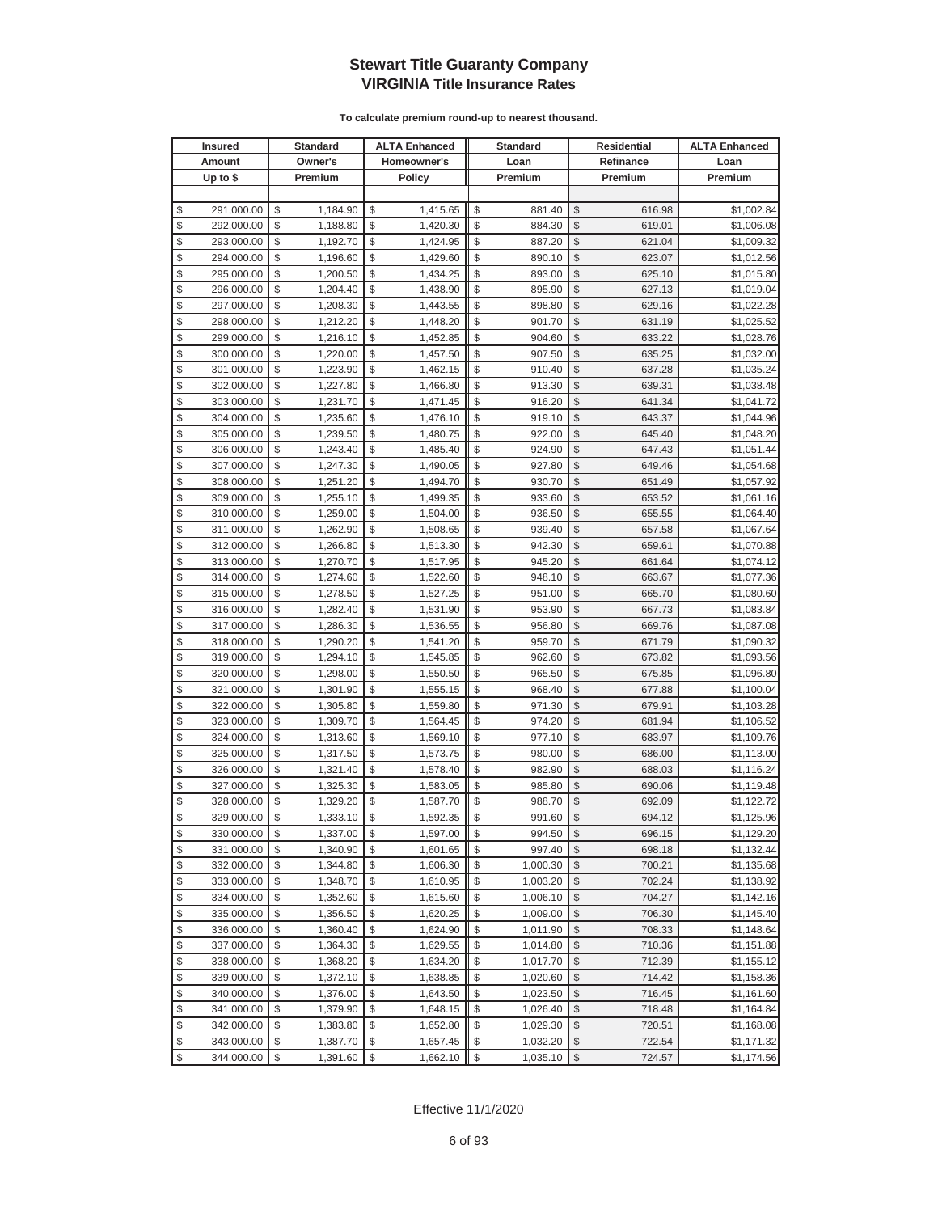|                         | <b>Insured</b>           |          | <b>Standard</b>      |          | <b>ALTA Enhanced</b> |          | <b>Standard</b>      | Residential   |                  | <b>ALTA Enhanced</b>     |
|-------------------------|--------------------------|----------|----------------------|----------|----------------------|----------|----------------------|---------------|------------------|--------------------------|
|                         | Amount                   |          | Owner's              |          | Homeowner's          |          | Loan                 |               | Refinance        | Loan                     |
|                         | Up to $$$                |          | Premium              |          | Policy               |          | Premium              |               | Premium          | Premium                  |
|                         |                          |          |                      |          |                      |          |                      |               |                  |                          |
| \$                      | 291,000.00               | \$       | 1,184.90             | \$       | 1,415.65             | \$       | 881.40               | \$            | 616.98           | \$1,002.84               |
| \$                      | 292,000.00               | \$       | 1,188.80             | \$       | 1,420.30             | \$       | 884.30               | \$            | 619.01           | \$1,006.08               |
| \$                      | 293,000.00               | \$       | 1,192.70             | \$       | 1,424.95             | \$       | 887.20               | \$            | 621.04           | \$1,009.32               |
| \$                      | 294,000.00               | \$       | 1,196.60             | \$       | 1,429.60             | \$       | 890.10               | \$            | 623.07           | \$1,012.56               |
| \$                      | 295,000.00               | \$       | 1,200.50             | \$       | 1,434.25             | \$       | 893.00               | \$            | 625.10           | \$1,015.80               |
| \$                      | 296,000.00               | \$       | 1,204.40             | \$       | 1,438.90             | \$       | 895.90               | \$            | 627.13           | \$1,019.04               |
| \$                      | 297,000.00               | \$       | 1,208.30             | \$       | 1,443.55             | \$       | 898.80               | \$            | 629.16           | \$1,022.28               |
| \$                      | 298,000.00               | \$       | 1,212.20             | \$       | 1,448.20             | \$       | 901.70               | \$            | 631.19           | \$1,025.52               |
| \$                      | 299,000.00               | \$       | 1,216.10             | \$       | 1,452.85             | \$       | 904.60               | \$            | 633.22           | \$1,028.76               |
| \$                      | 300,000.00               | \$       | 1,220.00             | \$       | 1,457.50             | \$       | 907.50               | \$            | 635.25           | \$1,032.00               |
| \$                      | 301,000.00               | \$       | 1,223.90             | \$       | 1,462.15             | \$       | 910.40               | \$            | 637.28           | \$1,035.24               |
| \$                      | 302,000.00               | \$       | 1,227.80             | \$       | 1,466.80             | \$       | 913.30               | \$            | 639.31           | \$1,038.48               |
| \$                      | 303,000.00               | \$       | 1,231.70             | \$       | 1,471.45             | \$       | 916.20               | \$            | 641.34           | \$1,041.72               |
| \$                      | 304,000.00               | \$       | 1,235.60             | \$       | 1,476.10             | \$       | 919.10               | \$            | 643.37           | \$1,044.96               |
| \$                      | 305,000.00               | \$       | 1,239.50             | \$       | 1,480.75             | \$       | 922.00               | \$            | 645.40           | \$1,048.20               |
| \$                      | 306,000.00               | \$       | 1,243.40             | \$       | 1,485.40             | \$       | 924.90               | \$            | 647.43           | \$1,051.44               |
| \$                      | 307,000.00               | \$       | 1,247.30             | \$       | 1,490.05             | \$       | 927.80               | \$            | 649.46           | \$1,054.68               |
| \$                      | 308,000.00               | \$       | 1,251.20             | \$       | 1,494.70             | \$       | 930.70               | \$            | 651.49           | \$1,057.92               |
| \$                      | 309,000.00               | \$       | 1,255.10             | \$       | 1,499.35             | \$       | 933.60               | \$            | 653.52           | \$1,061.16               |
| \$                      | 310,000.00               | \$       | 1,259.00             | \$       | 1,504.00             | \$       | 936.50               | \$            | 655.55           | \$1,064.40               |
| \$                      | 311,000.00               | \$       | 1,262.90             | \$       | 1,508.65             | \$       | 939.40               | \$            | 657.58           | \$1,067.64               |
| \$                      | 312,000.00               | \$       | 1,266.80             | \$       | 1,513.30             | \$       | 942.30               | \$            | 659.61           | \$1,070.88               |
| \$                      | 313,000.00               | \$       | 1,270.70             | \$       | 1,517.95             | \$       | 945.20               | \$            | 661.64           | \$1,074.12               |
| \$                      | 314,000.00               | \$       | 1,274.60             | \$       | 1,522.60             | \$       | 948.10               | \$            | 663.67           | \$1,077.36               |
| \$                      | 315,000.00               | \$       | 1,278.50             | \$       | 1,527.25             | \$       | 951.00               | \$            | 665.70           | \$1,080.60               |
| \$                      | 316,000.00               | \$       | 1,282.40             | \$       | 1,531.90             | \$       | 953.90               | \$            | 667.73           | \$1,083.84               |
| \$                      | 317,000.00               | \$       | 1,286.30             | \$       | 1,536.55             | \$       | 956.80               | \$            | 669.76           | \$1,087.08               |
| \$                      | 318,000.00               | \$       | 1,290.20             | \$       | 1,541.20             | \$       | 959.70               | \$            | 671.79           | \$1,090.32               |
| \$                      | 319,000.00               | \$       | 1,294.10             | \$       | 1,545.85             | \$       | 962.60               | \$            | 673.82           | \$1,093.56               |
| \$                      | 320,000.00               | \$       | 1,298.00             | \$       | 1,550.50             | \$       | 965.50               | \$            | 675.85           | \$1,096.80               |
| \$                      | 321,000.00               | \$       | 1,301.90             | \$       | 1,555.15             | \$       | 968.40               | \$            | 677.88           | \$1,100.04               |
| \$                      | 322,000.00               | \$       | 1,305.80             | \$       | 1,559.80             | \$       | 971.30               | \$            | 679.91           | \$1,103.28               |
| \$                      | 323,000.00               | \$       | 1,309.70             | \$       | 1,564.45             | \$       | 974.20               | \$            | 681.94           | \$1,106.52               |
| \$                      | 324,000.00               | \$       | 1,313.60             | \$       | 1,569.10             | \$       | 977.10               | \$            | 683.97           | \$1,109.76               |
| \$                      | 325,000.00               | \$       | 1,317.50             | \$       | 1,573.75             | \$       | 980.00               | \$            | 686.00           | \$1,113.00               |
| \$                      | 326,000.00               | \$       | 1,321.40             | \$       | 1,578.40             | \$       | 982.90               | \$            | 688.03           | \$1,116.24               |
| \$                      | 327,000.00               | \$       | 1,325.30             | \$       | 1,583.05             | \$       | 985.80               | \$            | 690.06           | \$1,119.48               |
| \$                      | 328,000.00               | \$       | 1,329.20             | \$       | 1,587.70             | \$       | 988.70               | \$            | 692.09           | \$1,122.72               |
| \$                      | 329,000.00               | \$       | 1,333.10             | \$       | 1,592.35             | \$       | 991.60               | $\mathbb{S}$  | 694.12           | \$1,125.96               |
| \$                      | 330,000.00               | \$       | 1,337.00             | \$       | 1,597.00             | \$       | 994.50               | \$            | 696.15           | \$1,129.20               |
| \$                      | 331,000.00               | \$       | 1,340.90             | \$       | 1,601.65             | \$       | 997.40               | \$            | 698.18           | \$1,132.44               |
| \$                      | 332,000.00               | \$       | 1,344.80             | \$       | 1,606.30             | \$       | 1,000.30             | \$            | 700.21           | \$1,135.68               |
| \$                      | 333,000.00               | \$       | 1,348.70             | \$       | 1,610.95             | \$       | 1,003.20             | \$            | 702.24           | \$1,138.92               |
| \$                      | 334,000.00               | \$       | 1,352.60             | \$       | 1,615.60             | \$       | 1,006.10             | \$            | 704.27           | \$1,142.16               |
| \$                      | 335,000.00               | \$       | 1,356.50             | \$       | 1,620.25             | \$       | 1,009.00             | \$            | 706.30           | \$1,145.40               |
| \$                      | 336,000.00               | \$       | 1,360.40             | \$       | 1,624.90             | \$       | 1,011.90             | \$            | 708.33           | \$1,148.64               |
| \$                      | 337,000.00               | \$       | 1,364.30             | \$       | 1,629.55             | \$       | 1,014.80             | \$            | 710.36           | \$1,151.88               |
| \$<br>\$                | 338,000.00               | \$       | 1,368.20             | \$<br>\$ | 1,634.20             | \$<br>\$ | 1,017.70             | \$<br>\$      | 712.39           | \$1,155.12               |
| \$                      | 339,000.00               | \$       | 1,372.10             |          | 1,638.85             |          | 1,020.60             |               | 714.42           | \$1,158.36               |
| \$                      | 340,000.00               | \$       | 1,376.00<br>1,379.90 | \$       | 1,643.50<br>1,648.15 | \$<br>\$ | 1,023.50<br>1,026.40 | \$            | 716.45           | \$1,161.60               |
| \$                      | 341,000.00               | \$<br>\$ |                      | \$<br>\$ |                      | \$       |                      | \$<br>\$      | 718.48           | \$1,164.84               |
| \$                      | 342,000.00               | \$       | 1,383.80             | \$       | 1,652.80             | \$       | 1,029.30             | \$            | 720.51<br>722.54 | \$1,168.08               |
| $\sqrt[6]{\frac{1}{2}}$ | 343,000.00<br>344,000.00 | \$       | 1,387.70             | \$       | 1,657.45<br>1,662.10 | \$       | 1,032.20<br>1,035.10 | $\frac{1}{2}$ | 724.57           | \$1,171.32<br>\$1,174.56 |
|                         |                          |          | 1,391.60             |          |                      |          |                      |               |                  |                          |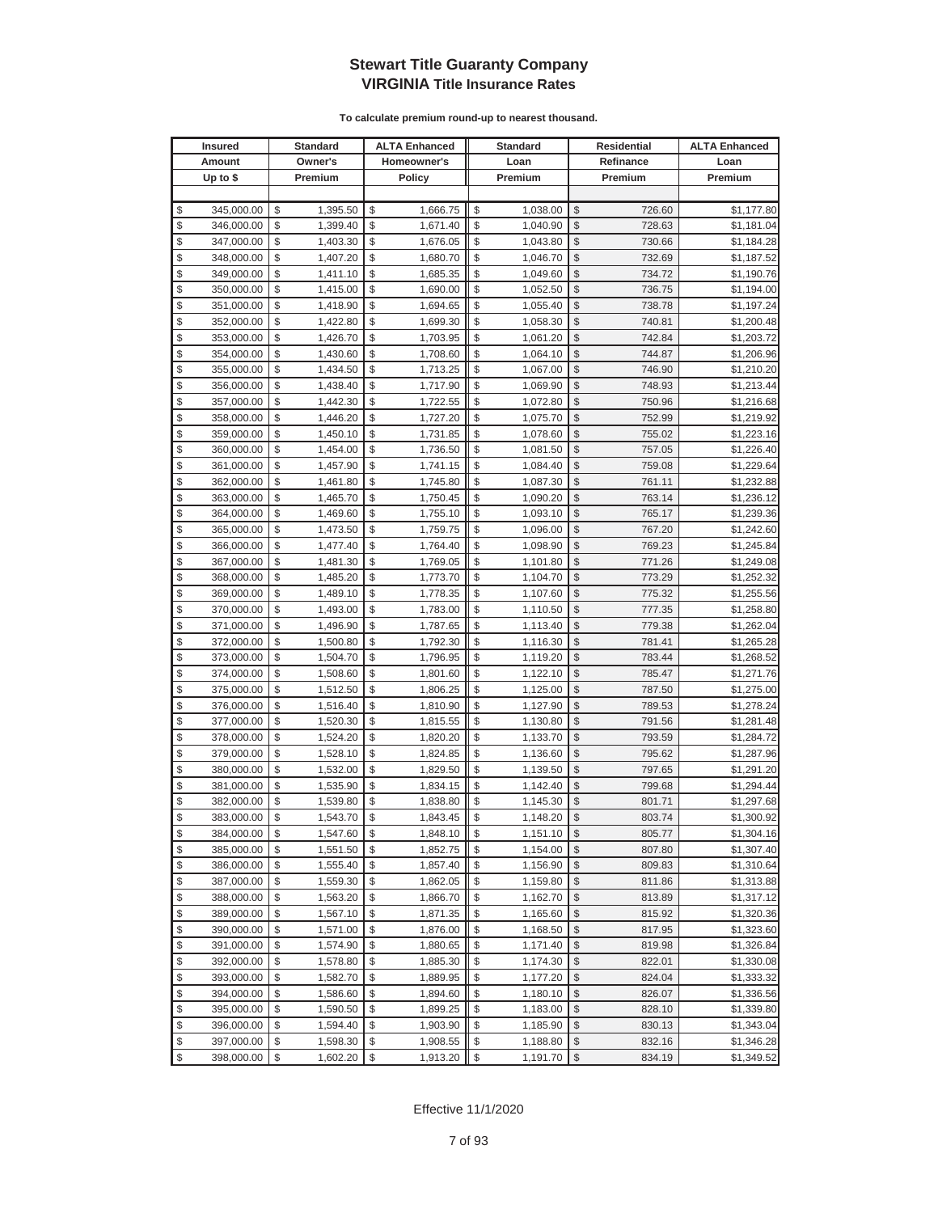|          | <b>Insured</b>           |          | Standard             |          | <b>ALTA Enhanced</b> |          | <b>Standard</b>      |               | <b>Residential</b> | <b>ALTA Enhanced</b>     |
|----------|--------------------------|----------|----------------------|----------|----------------------|----------|----------------------|---------------|--------------------|--------------------------|
|          | Amount                   |          | Owner's              |          | Homeowner's          |          | Loan                 |               | Refinance          | Loan                     |
|          | Up to $$$                |          | Premium              |          | <b>Policy</b>        |          | Premium              |               | Premium            | Premium                  |
|          |                          |          |                      |          |                      |          |                      |               |                    |                          |
| \$       | 345,000.00               | \$       | 1,395.50             | \$       | 1,666.75             | \$       | 1,038.00             | \$            | 726.60             | \$1,177.80               |
| \$       | 346,000.00               | \$       | 1,399.40             | \$       | 1,671.40             | \$       | 1,040.90             | \$            | 728.63             | \$1,181.04               |
| \$       | 347,000.00               | \$       | 1,403.30             | \$       | 1,676.05             | \$       | 1,043.80             | \$            | 730.66             | \$1,184.28               |
| \$       | 348,000.00               | \$       | 1,407.20             | \$       | 1,680.70             | \$       | 1,046.70             | \$            | 732.69             | \$1,187.52               |
| \$       | 349,000.00               | \$       | 1,411.10             | \$       | 1,685.35             | \$       | 1,049.60             | \$            | 734.72             | \$1,190.76               |
| \$       | 350,000.00               | \$       | 1,415.00             | \$       | 1,690.00             | \$       | 1,052.50             | \$            | 736.75             | \$1,194.00               |
| \$       | 351,000.00               | \$       | 1,418.90             | \$       | 1,694.65             | \$       | 1,055.40             | \$            | 738.78             | \$1,197.24               |
| \$       | 352,000.00               | \$       | 1,422.80             | \$       | 1,699.30             | \$       | 1,058.30             | \$            | 740.81             | \$1,200.48               |
| \$       | 353,000.00               | \$       | 1,426.70             | \$       | 1,703.95             | \$       | 1,061.20             | \$            | 742.84             | \$1,203.72               |
| \$       | 354,000.00               | \$       | 1,430.60             | \$       | 1,708.60             | \$       | 1,064.10             | \$            | 744.87             | \$1,206.96               |
| \$       | 355,000.00               | \$       | 1,434.50             | \$       | 1,713.25             | \$       | 1,067.00             | \$            | 746.90             | \$1,210.20               |
| \$       | 356,000.00               | \$       | 1,438.40             | \$       | 1,717.90             | \$       | 1,069.90             | \$            | 748.93             | \$1,213.44               |
| \$       | 357,000.00               | \$       | 1,442.30             | \$       | 1,722.55             | \$       | 1,072.80             | \$            | 750.96             | \$1,216.68               |
| \$       | 358,000.00               | \$       | 1,446.20             | \$       | 1,727.20             | \$       | 1,075.70             | \$            | 752.99             | \$1,219.92               |
| \$       | 359,000.00               | \$       | 1,450.10             | \$       | 1,731.85             | \$       | 1,078.60             | \$            | 755.02             | \$1,223.16               |
| \$       | 360,000.00               | \$       | 1,454.00             | \$       | 1,736.50             | \$       | 1,081.50             | \$            | 757.05             | \$1,226.40               |
| \$       | 361,000.00               | \$       | 1,457.90             | \$       | 1,741.15             | \$       | 1,084.40             | \$            | 759.08             | \$1,229.64               |
| \$       | 362,000.00               | \$       | 1,461.80             | \$       | 1,745.80             | \$       | 1,087.30             | \$            | 761.11             | \$1,232.88               |
| \$       | 363,000.00               | \$       | 1,465.70             | \$       | 1,750.45             | \$       | 1,090.20             | \$            | 763.14             | \$1,236.12               |
| \$       | 364,000.00               | \$       | 1,469.60             | \$       | 1,755.10             | \$       | 1,093.10             | \$            | 765.17             | \$1,239.36               |
| \$       | 365,000.00               | \$       | 1,473.50             | \$       | 1,759.75             | \$       | 1,096.00             | \$            | 767.20             | \$1,242.60               |
| \$       | 366,000.00               | \$       | 1,477.40             | \$       | 1,764.40             | \$       | 1,098.90             | \$            | 769.23             | \$1,245.84               |
| \$       | 367,000.00               | \$       | 1,481.30             | \$       | 1,769.05             | \$       | 1,101.80             | \$            | 771.26             | \$1,249.08               |
| \$       | 368,000.00               | \$       | 1,485.20             | \$       | 1,773.70             | \$       | 1,104.70             | \$            | 773.29             | \$1,252.32               |
| \$       | 369,000.00               | \$       | 1,489.10             | \$       | 1,778.35             | \$       | 1,107.60             | \$            | 775.32             | \$1,255.56               |
| \$       | 370,000.00               | \$       | 1,493.00             | \$       | 1,783.00             | \$       | 1,110.50             | \$            | 777.35             | \$1,258.80               |
| \$       | 371,000.00               | \$       | 1,496.90             | \$       | 1,787.65             | \$       | 1,113.40             | \$            | 779.38             | \$1,262.04               |
| \$       | 372,000.00               | \$       | 1,500.80             | \$       | 1,792.30             | \$       | 1,116.30             | \$            | 781.41             | \$1,265.28               |
| \$       | 373,000.00               | \$       | 1,504.70             | \$       | 1,796.95             | \$       | 1,119.20             | \$            | 783.44             | \$1,268.52               |
| \$       | 374,000.00               | \$       | 1,508.60             | \$       | 1,801.60             | \$       | 1,122.10             | \$            | 785.47             | \$1,271.76               |
| \$       | 375,000.00               | \$       | 1,512.50             | \$       | 1,806.25             | \$       | 1,125.00             | \$            | 787.50             | \$1,275.00               |
| \$       | 376,000.00               | \$       | 1,516.40             | \$       | 1,810.90             | \$       | 1,127.90             | \$            | 789.53             | \$1,278.24               |
| \$       | 377,000.00               | \$       | 1,520.30             | \$       | 1,815.55             | \$       | 1,130.80             | \$            | 791.56             | \$1,281.48               |
| \$<br>\$ | 378,000.00               | \$       | 1,524.20             | \$<br>\$ | 1,820.20             | \$<br>\$ | 1,133.70             | \$            | 793.59             | \$1,284.72               |
| \$       | 379,000.00               | \$<br>\$ | 1,528.10<br>1,532.00 | \$       | 1,824.85<br>1,829.50 | \$       | 1,136.60             | \$<br>\$      | 795.62             | \$1,287.96               |
| \$       | 380,000.00<br>381,000.00 | \$       | 1,535.90             | \$       | 1,834.15             | \$       | 1,139.50<br>1,142.40 | \$            | 797.65<br>799.68   | \$1,291.20<br>\$1,294.44 |
| \$       | 382,000.00               | \$       | 1,539.80             | \$       | 1,838.80             | \$       | 1,145.30             | \$            | 801.71             | \$1,297.68               |
| \$       | 383,000.00               | \$       | 1,543.70             | \$       | 1,843.45             | \$       | 1,148.20             | \$            | 803.74             | \$1,300.92               |
| \$       | 384,000.00               | \$       | 1,547.60             | \$       | 1,848.10             | \$       | 1,151.10             | $\sqrt[6]{2}$ | 805.77             | \$1,304.16               |
| \$       | 385,000.00               | \$       | 1,551.50             | \$       | 1,852.75             | \$       | 1,154.00             | \$            | 807.80             | \$1,307.40               |
| \$       | 386,000.00               | \$       | 1,555.40             | \$       | 1,857.40             | \$       | 1,156.90             | $\frac{1}{2}$ | 809.83             | \$1,310.64               |
| \$       | 387,000.00               | \$       | 1,559.30             | \$       | 1,862.05             | \$       | 1,159.80             | \$            | 811.86             | \$1,313.88               |
| \$       | 388,000.00               | \$       | 1,563.20             | \$       | 1,866.70             | \$       | 1,162.70             | \$            | 813.89             | \$1,317.12               |
| \$       | 389,000.00               | \$       | 1,567.10             | \$       | 1,871.35             | \$       | 1,165.60             | \$            | 815.92             | \$1,320.36               |
| \$       | 390,000.00               | \$       | 1,571.00             | \$       | 1,876.00             | \$       | 1,168.50             | \$            | 817.95             | \$1,323.60               |
| \$       | 391,000.00               | \$       | 1,574.90             | \$       | 1,880.65             | \$       | 1,171.40             | \$            | 819.98             | \$1,326.84               |
| \$       | 392,000.00               | \$       | 1,578.80             | \$       | 1,885.30             | \$       | 1,174.30             | \$            | 822.01             | \$1,330.08               |
| \$       | 393,000.00               | \$       | 1,582.70             | \$       | 1,889.95             | \$       | 1,177.20             | \$            | 824.04             | \$1,333.32               |
| \$       | 394,000.00               | \$       | 1,586.60             | \$       | 1,894.60             | \$       | 1,180.10             | \$            | 826.07             | \$1,336.56               |
| \$       | 395,000.00               | \$       | 1,590.50             | \$       | 1,899.25             | \$       | 1,183.00             | \$            | 828.10             | \$1,339.80               |
| \$       | 396,000.00               | \$       | 1,594.40             | \$       | 1,903.90             | \$       | 1,185.90             | \$            | 830.13             | \$1,343.04               |
| \$       | 397,000.00               | \$       | 1,598.30             | \$       | 1,908.55             | \$       | 1,188.80             | \$            | 832.16             | \$1,346.28               |
| $\$\$    | 398,000.00               | \$       | 1,602.20             | \$       | 1,913.20             | \$       | 1,191.70             | $\$\$         | 834.19             | \$1,349.52               |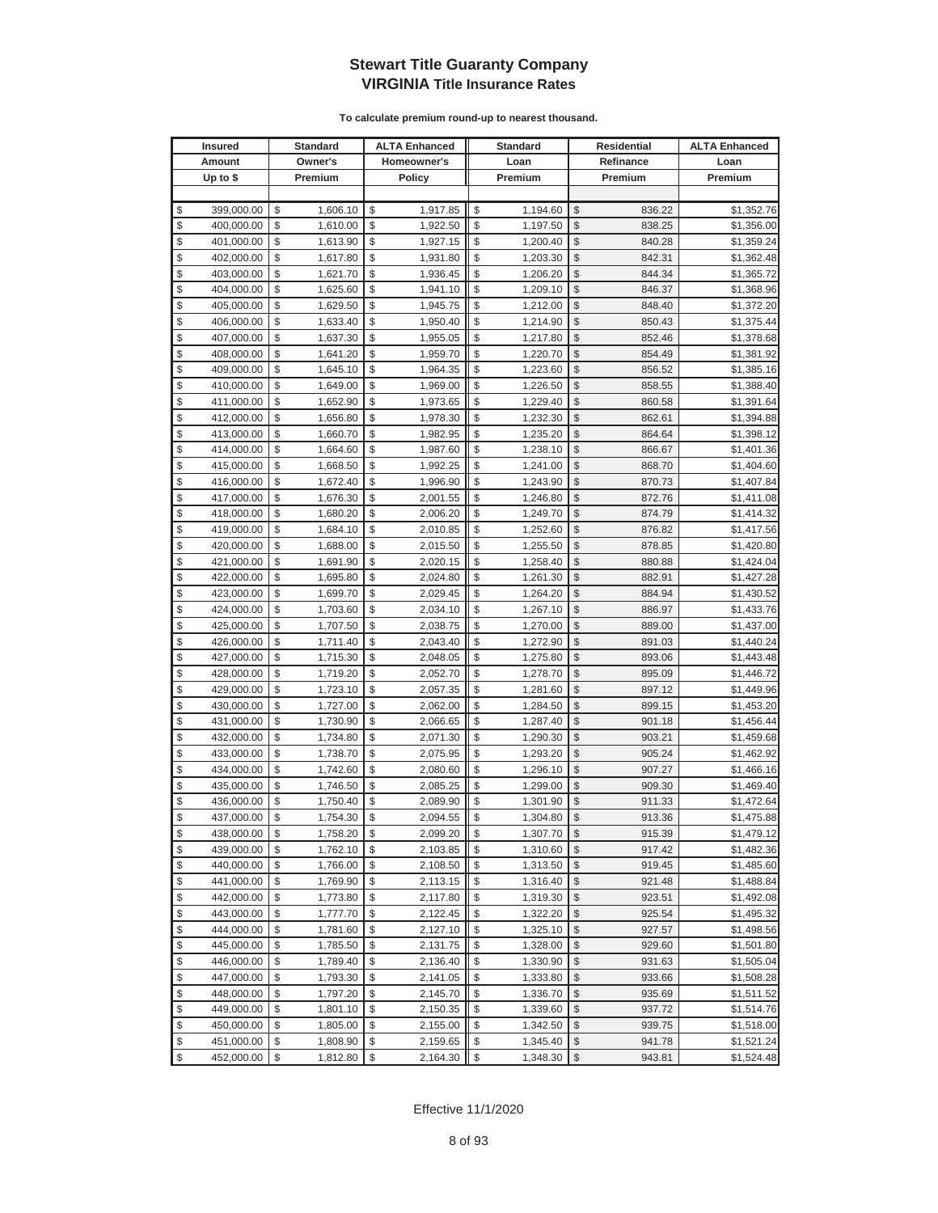|                         | <b>Insured</b> | <b>Standard</b> | <b>ALTA Enhanced</b> | <b>Standard</b> | Residential   |           | <b>ALTA Enhanced</b> |
|-------------------------|----------------|-----------------|----------------------|-----------------|---------------|-----------|----------------------|
|                         | Amount         | Owner's         | Homeowner's          | Loan            |               | Refinance | Loan                 |
|                         | Up to $$$      | Premium         | <b>Policy</b>        | Premium         |               | Premium   | Premium              |
|                         |                |                 |                      |                 |               |           |                      |
| \$                      | 399,000.00     | \$<br>1,606.10  | \$<br>1,917.85       | \$<br>1,194.60  | \$            | 836.22    | \$1,352.76           |
| \$                      | 400,000.00     | \$<br>1,610.00  | \$<br>1,922.50       | \$<br>1,197.50  | \$            | 838.25    | \$1,356.00           |
| \$                      | 401,000.00     | \$<br>1,613.90  | \$<br>1,927.15       | \$<br>1,200.40  | \$            | 840.28    | \$1,359.24           |
| \$                      | 402,000.00     | \$<br>1,617.80  | \$<br>1,931.80       | \$<br>1,203.30  | \$            | 842.31    | \$1,362.48           |
| \$                      | 403,000.00     | \$<br>1,621.70  | \$<br>1,936.45       | \$<br>1,206.20  | \$            | 844.34    | \$1,365.72           |
| \$                      | 404,000.00     | \$<br>1,625.60  | \$<br>1,941.10       | \$<br>1,209.10  | \$            | 846.37    | \$1,368.96           |
| \$                      | 405,000.00     | \$<br>1,629.50  | \$<br>1,945.75       | \$<br>1,212.00  | \$            | 848.40    | \$1,372.20           |
| \$                      | 406,000.00     | \$<br>1,633.40  | \$<br>1,950.40       | \$<br>1,214.90  | \$            | 850.43    | \$1,375.44           |
| \$                      | 407,000.00     | \$<br>1,637.30  | \$<br>1,955.05       | \$<br>1,217.80  | \$            | 852.46    | \$1,378.68           |
| \$                      | 408,000.00     | \$<br>1,641.20  | \$<br>1,959.70       | \$<br>1,220.70  | \$            | 854.49    | \$1,381.92           |
| \$                      | 409,000.00     | \$<br>1,645.10  | \$<br>1,964.35       | \$<br>1,223.60  | \$            | 856.52    | \$1,385.16           |
| \$                      | 410,000.00     | \$<br>1,649.00  | \$<br>1,969.00       | \$<br>1,226.50  | \$            | 858.55    | \$1,388.40           |
| \$                      | 411,000.00     | \$<br>1,652.90  | \$<br>1,973.65       | \$<br>1,229.40  | \$            | 860.58    | \$1,391.64           |
| \$                      | 412,000.00     | \$<br>1,656.80  | \$<br>1,978.30       | \$<br>1,232.30  | \$            | 862.61    | \$1,394.88           |
| \$                      | 413,000.00     | \$<br>1,660.70  | \$<br>1,982.95       | \$<br>1,235.20  | \$            | 864.64    | \$1,398.12           |
| \$                      | 414,000.00     | \$<br>1,664.60  | \$<br>1,987.60       | \$<br>1,238.10  | \$            | 866.67    | \$1,401.36           |
| \$                      | 415,000.00     | \$<br>1,668.50  | \$<br>1,992.25       | \$<br>1,241.00  | \$            | 868.70    | \$1,404.60           |
| \$                      | 416,000.00     | \$<br>1,672.40  | \$<br>1,996.90       | \$<br>1,243.90  | \$            | 870.73    | \$1,407.84           |
| \$                      | 417,000.00     | \$<br>1,676.30  | \$<br>2,001.55       | \$<br>1,246.80  | \$            | 872.76    | \$1,411.08           |
| \$                      | 418,000.00     | \$<br>1,680.20  | \$<br>2,006.20       | \$<br>1,249.70  | \$            | 874.79    | \$1,414.32           |
| \$                      | 419,000.00     | \$<br>1,684.10  | \$<br>2,010.85       | \$<br>1,252.60  | \$            | 876.82    | \$1,417.56           |
| \$                      | 420,000.00     | \$<br>1,688.00  | \$<br>2,015.50       | \$<br>1,255.50  | \$            | 878.85    | \$1,420.80           |
| \$                      | 421,000.00     | \$<br>1,691.90  | \$<br>2,020.15       | \$<br>1,258.40  | \$            | 880.88    | \$1,424.04           |
| \$                      | 422,000.00     | \$<br>1,695.80  | \$<br>2,024.80       | \$<br>1,261.30  | \$            | 882.91    | \$1,427.28           |
| \$                      | 423,000.00     | \$<br>1,699.70  | \$<br>2,029.45       | \$<br>1,264.20  | \$            | 884.94    | \$1,430.52           |
| \$                      | 424,000.00     | \$<br>1,703.60  | \$<br>2,034.10       | \$<br>1,267.10  | \$            | 886.97    | \$1,433.76           |
| \$                      | 425,000.00     | \$<br>1,707.50  | \$<br>2,038.75       | \$<br>1,270.00  | \$            | 889.00    | \$1,437.00           |
| \$                      | 426,000.00     | \$<br>1,711.40  | \$<br>2,043.40       | \$<br>1,272.90  | \$            | 891.03    | \$1,440.24           |
| \$                      | 427,000.00     | \$<br>1,715.30  | \$<br>2,048.05       | \$<br>1,275.80  | \$            | 893.06    | \$1,443.48           |
| \$                      | 428,000.00     | \$<br>1,719.20  | \$<br>2,052.70       | \$<br>1,278.70  | \$            | 895.09    | \$1,446.72           |
| \$                      | 429,000.00     | \$<br>1,723.10  | \$<br>2,057.35       | \$<br>1,281.60  | \$            | 897.12    | \$1,449.96           |
| \$                      | 430,000.00     | \$<br>1,727.00  | \$<br>2,062.00       | \$<br>1,284.50  | \$            | 899.15    | \$1,453.20           |
| \$                      | 431,000.00     | \$<br>1,730.90  | \$<br>2,066.65       | \$<br>1,287.40  | \$            | 901.18    | \$1,456.44           |
| \$                      | 432,000.00     | \$<br>1,734.80  | \$<br>2,071.30       | \$<br>1,290.30  | \$            | 903.21    | \$1,459.68           |
| \$                      | 433,000.00     | \$<br>1,738.70  | \$<br>2,075.95       | \$<br>1,293.20  | \$            | 905.24    | \$1,462.92           |
| \$                      | 434,000.00     | \$<br>1,742.60  | \$<br>2,080.60       | \$<br>1,296.10  | \$            | 907.27    | \$1,466.16           |
| \$                      | 435,000.00     | \$<br>1,746.50  | \$<br>2,085.25       | \$<br>1,299.00  | \$            | 909.30    | \$1,469.40           |
| \$                      | 436,000.00     | \$<br>1,750.40  | \$<br>2,089.90       | \$<br>1,301.90  | \$            | 911.33    | \$1,472.64           |
| \$                      | 437,000.00     | \$<br>1,754.30  | \$<br>2,094.55       | \$<br>1,304.80  | \$            | 913.36    | \$1,475.88           |
| \$                      | 438,000.00     | \$<br>1,758.20  | \$<br>2,099.20       | \$<br>1,307.70  | \$            | 915.39    | \$1,479.12           |
| \$                      | 439,000.00     | \$<br>1,762.10  | \$<br>2,103.85       | 1,310.60        | \$            | 917.42    | \$1,482.36           |
| \$                      | 440,000.00     | \$<br>1,766.00  | \$<br>2,108.50       | \$<br>1,313.50  | \$            | 919.45    | \$1,485.60           |
| \$                      | 441,000.00     | \$<br>1,769.90  | \$<br>2,113.15       | \$<br>1,316.40  | \$            | 921.48    | \$1,488.84           |
| \$                      | 442,000.00     | \$<br>1,773.80  | \$<br>2,117.80       | \$<br>1,319.30  | \$            | 923.51    | \$1,492.08           |
| \$                      | 443,000.00     | \$<br>1,777.70  | \$<br>2,122.45       | \$<br>1,322.20  | \$            | 925.54    | \$1,495.32           |
| \$                      | 444,000.00     | \$<br>1,781.60  | \$<br>2,127.10       | \$<br>1,325.10  | \$            | 927.57    | \$1,498.56           |
| \$                      | 445,000.00     | \$<br>1,785.50  | \$<br>2,131.75       | \$<br>1,328.00  | \$            | 929.60    | \$1,501.80           |
| \$                      | 446,000.00     | \$<br>1,789.40  | \$<br>2,136.40       | \$<br>1,330.90  | \$            | 931.63    | \$1,505.04           |
| \$                      | 447,000.00     | \$<br>1,793.30  | \$<br>2,141.05       | \$<br>1,333.80  | \$            | 933.66    | \$1,508.28           |
| \$                      | 448,000.00     | \$<br>1,797.20  | \$<br>2,145.70       | \$<br>1,336.70  | \$            | 935.69    | \$1,511.52           |
| \$                      | 449,000.00     | \$<br>1,801.10  | \$<br>2,150.35       | \$<br>1,339.60  | \$            | 937.72    | \$1,514.76           |
| \$                      | 450,000.00     | \$<br>1,805.00  | \$<br>2,155.00       | \$<br>1,342.50  | \$            | 939.75    | \$1,518.00           |
| \$                      | 451,000.00     | \$<br>1,808.90  | \$<br>2,159.65       | \$<br>1,345.40  | \$            | 941.78    | \$1,521.24           |
| $\sqrt[6]{\frac{1}{2}}$ | 452,000.00     | \$<br>1,812.80  | \$<br>2,164.30       | \$<br>1,348.30  | $\frac{1}{2}$ | 943.81    | \$1,524.48           |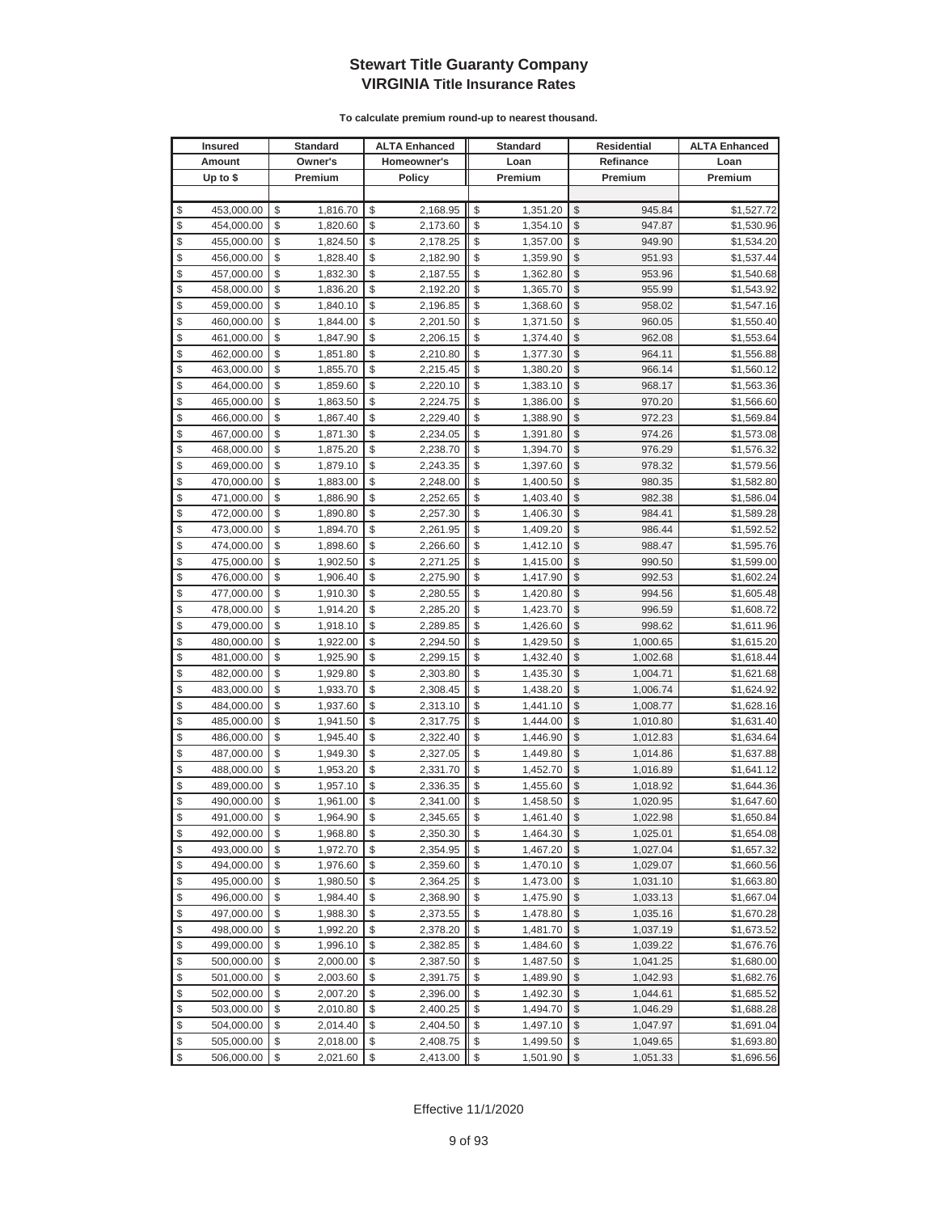|          | <b>Insured</b>           |          | Standard             |          | <b>ALTA Enhanced</b> |          | <b>Standard</b>      |                         | <b>Residential</b>   | <b>ALTA Enhanced</b>     |
|----------|--------------------------|----------|----------------------|----------|----------------------|----------|----------------------|-------------------------|----------------------|--------------------------|
|          | Amount                   |          | Owner's              |          | Homeowner's          |          | Loan                 |                         | Refinance            | Loan                     |
|          | Up to $$$                |          | Premium              |          | <b>Policy</b>        |          | Premium              |                         | Premium              | Premium                  |
|          |                          |          |                      |          |                      |          |                      |                         |                      |                          |
| \$       | 453,000.00               | \$       | 1,816.70             | \$       | 2,168.95             | \$       | 1,351.20             | \$                      | 945.84               | \$1,527.72               |
| \$       | 454,000.00               | \$       | 1,820.60             | \$       | 2,173.60             | \$       | 1,354.10             | \$                      | 947.87               | \$1,530.96               |
| \$       | 455,000.00               | \$       | 1,824.50             | \$       | 2,178.25             | \$       | 1,357.00             | \$                      | 949.90               | \$1,534.20               |
| \$       | 456,000.00               | \$       | 1,828.40             | \$       | 2,182.90             | \$       | 1,359.90             | \$                      | 951.93               | \$1,537.44               |
| \$       | 457,000.00               | \$       | 1,832.30             | \$       | 2,187.55             | \$       | 1,362.80             | \$                      | 953.96               | \$1,540.68               |
| \$       | 458,000.00               | \$       | 1,836.20             | \$       | 2,192.20             | \$       | 1,365.70             | \$                      | 955.99               | \$1,543.92               |
| \$       | 459,000.00               | \$       | 1,840.10             | \$       | 2,196.85             | \$       | 1,368.60             | \$                      | 958.02               | \$1,547.16               |
| \$       | 460,000.00               | \$       | 1,844.00             | \$       | 2,201.50             | \$       | 1,371.50             | \$                      | 960.05               | \$1,550.40               |
| \$       | 461,000.00               | \$       | 1,847.90             | \$       | 2,206.15             | \$       | 1,374.40             | \$                      | 962.08               | \$1,553.64               |
| \$       | 462,000.00               | \$       | 1,851.80             | \$       | 2,210.80             | \$       | 1,377.30             | \$                      | 964.11               | \$1,556.88               |
| \$       | 463,000.00               | \$       | 1,855.70             | \$       | 2,215.45             | \$       | 1,380.20             | \$                      | 966.14               | \$1,560.12               |
| \$       | 464,000.00               | \$       | 1,859.60             | \$       | 2,220.10             | \$       | 1,383.10             | \$                      | 968.17               | \$1,563.36               |
| \$       | 465,000.00               | \$       | 1,863.50             | \$       | 2,224.75             | \$       | 1,386.00             | \$                      | 970.20               | \$1,566.60               |
| \$       | 466,000.00               | \$       | 1,867.40             | \$       | 2,229.40             | \$       | 1,388.90             | \$                      | 972.23               | \$1,569.84               |
| \$       | 467,000.00               | \$       | 1,871.30             | \$       | 2,234.05             | \$       | 1,391.80             | \$                      | 974.26               | \$1,573.08               |
| \$       | 468,000.00               | \$       | 1,875.20             | \$       | 2,238.70             | \$       | 1,394.70             | \$                      | 976.29               | \$1,576.32               |
| \$       | 469,000.00               | \$       | 1,879.10             | \$       | 2,243.35             | \$       | 1,397.60             | \$                      | 978.32               | \$1,579.56               |
| \$       | 470,000.00               | \$       | 1,883.00             | \$       | 2,248.00             | \$       | 1,400.50             | \$                      | 980.35               | \$1,582.80               |
| \$       | 471,000.00               | \$       | 1,886.90             | \$       | 2,252.65             | \$       | 1,403.40             | \$                      | 982.38               | \$1,586.04               |
| \$       | 472,000.00               | \$       | 1,890.80             | \$       | 2,257.30             | \$       | 1,406.30             | \$                      | 984.41               | \$1,589.28               |
| \$       | 473,000.00               | \$       | 1,894.70             | \$       | 2,261.95             | \$       | 1,409.20             | \$                      | 986.44               | \$1,592.52               |
| \$       | 474,000.00               | \$       | 1,898.60             | \$       | 2,266.60             | \$       | 1,412.10             | \$                      | 988.47               | \$1,595.76               |
| \$       | 475,000.00               | \$       | 1,902.50             | \$       | 2,271.25             | \$       | 1,415.00             | \$                      | 990.50               | \$1,599.00               |
| \$       | 476,000.00               | \$       | 1,906.40             | \$       | 2,275.90             | \$       | 1,417.90             | \$                      | 992.53               | \$1,602.24               |
| \$       | 477,000.00               | \$       | 1,910.30             | \$       | 2,280.55             | \$       | 1,420.80             | \$                      | 994.56               | \$1,605.48               |
| \$       | 478,000.00               | \$       | 1,914.20             | \$       | 2,285.20             | \$       | 1,423.70             | \$                      | 996.59               | \$1,608.72               |
| \$       | 479,000.00               | \$       | 1,918.10             | \$       | 2,289.85             | \$       | 1,426.60             | \$                      | 998.62               | \$1,611.96               |
| \$       | 480,000.00               | \$       | 1,922.00             | \$       | 2,294.50             | \$       | 1,429.50             | \$                      | 1,000.65             | \$1,615.20               |
| \$       | 481,000.00               | \$       | 1,925.90             | \$       | 2,299.15             | \$       | 1,432.40             | \$                      | 1,002.68             | \$1,618.44               |
| \$       | 482,000.00               | \$       | 1,929.80             | \$       | 2,303.80             | \$       | 1,435.30             | \$                      | 1,004.71             | \$1,621.68               |
| \$       | 483,000.00               | \$       | 1,933.70             | \$       | 2,308.45             | \$       | 1,438.20             | \$                      | 1,006.74             | \$1,624.92               |
| \$       | 484,000.00               | \$       | 1,937.60             | \$       | 2,313.10             | \$       | 1,441.10             | \$                      | 1,008.77             | \$1,628.16               |
| \$       | 485,000.00               | \$       | 1,941.50             | \$       | 2,317.75             | \$       | 1,444.00             | \$                      | 1,010.80             | \$1,631.40               |
| \$       | 486,000.00               | \$       | 1,945.40             | \$       | 2,322.40             | \$       | 1,446.90             | \$                      | 1,012.83             | \$1,634.64               |
| \$       | 487,000.00               | \$       | 1,949.30             | \$       | 2,327.05             | \$       | 1,449.80             | \$                      | 1,014.86             | \$1,637.88               |
| \$<br>\$ | 488,000.00               | \$<br>\$ | 1,953.20             | \$<br>\$ | 2,331.70             | \$       | 1,452.70             | \$<br>\$                | 1,016.89             | \$1,641.12               |
| \$       | 489,000.00<br>490,000.00 | \$       | 1,957.10             | \$       | 2,336.35<br>2,341.00 | \$<br>\$ | 1,455.60<br>1,458.50 | \$                      | 1,018.92<br>1,020.95 | \$1,644.36<br>\$1,647.60 |
| \$       | 491,000.00               | \$       | 1,961.00<br>1,964.90 | \$       | 2,345.65             | \$       | 1,461.40             | \$                      | 1,022.98             | \$1,650.84               |
| \$       | 492,000.00               | \$       | 1,968.80             | \$       | 2,350.30             | \$       | 1,464.30             | $\sqrt[6]{3}$           | 1,025.01             | \$1,654.08               |
| \$       | 493,000.00               | \$       | 1,972.70             | \$       | 2,354.95             | \$       | 1,467.20             | \$                      | 1,027.04             | \$1,657.32               |
| \$       | 494,000.00               | \$       | 1,976.60             | \$       | 2,359.60             | \$       | 1,470.10             | $\frac{1}{2}$           | 1,029.07             | \$1,660.56               |
| \$       | 495,000.00               | \$       | 1,980.50             | \$       | 2,364.25             | \$       | 1,473.00             | \$                      | 1,031.10             | \$1,663.80               |
| \$       | 496,000.00               | \$       | 1,984.40             | \$       | 2,368.90             | \$       | 1,475.90             | \$                      | 1,033.13             | \$1,667.04               |
| \$       | 497,000.00               | \$       | 1,988.30             | \$       | 2,373.55             | \$       | 1,478.80             | \$                      | 1,035.16             | \$1,670.28               |
| \$       | 498,000.00               | \$       | 1,992.20             | \$       | 2,378.20             | \$       | 1,481.70             | \$                      | 1,037.19             | \$1,673.52               |
| \$       | 499,000.00               | \$       | 1,996.10             | \$       | 2,382.85             | \$       | 1,484.60             | \$                      | 1,039.22             | \$1,676.76               |
| \$       | 500,000.00               | \$       | 2,000.00             | \$       | 2,387.50             | \$       | 1,487.50             | \$                      | 1,041.25             | \$1,680.00               |
| \$       | 501,000.00               | \$       | 2,003.60             | \$       | 2,391.75             | \$       | 1,489.90             | \$                      | 1,042.93             | \$1,682.76               |
| \$       | 502,000.00               | \$       | 2,007.20             | \$       | 2,396.00             | \$       | 1,492.30             | \$                      | 1,044.61             | \$1,685.52               |
| \$       | 503,000.00               | \$       | 2,010.80             | \$       | 2,400.25             | \$       | 1,494.70             | \$                      | 1,046.29             | \$1,688.28               |
| \$       | 504,000.00               | \$       | 2,014.40             | \$       | 2,404.50             | \$       | 1,497.10             | \$                      | 1,047.97             | \$1,691.04               |
| \$       | 505,000.00               | \$       | 2,018.00             | \$       | 2,408.75             | \$       | 1,499.50             | \$                      | 1,049.65             | \$1,693.80               |
| \$       | 506,000.00               | \$       | 2,021.60             | \$       | 2,413.00             | \$       | 1,501.90             | $\sqrt[6]{\frac{1}{2}}$ | 1,051.33             | \$1,696.56               |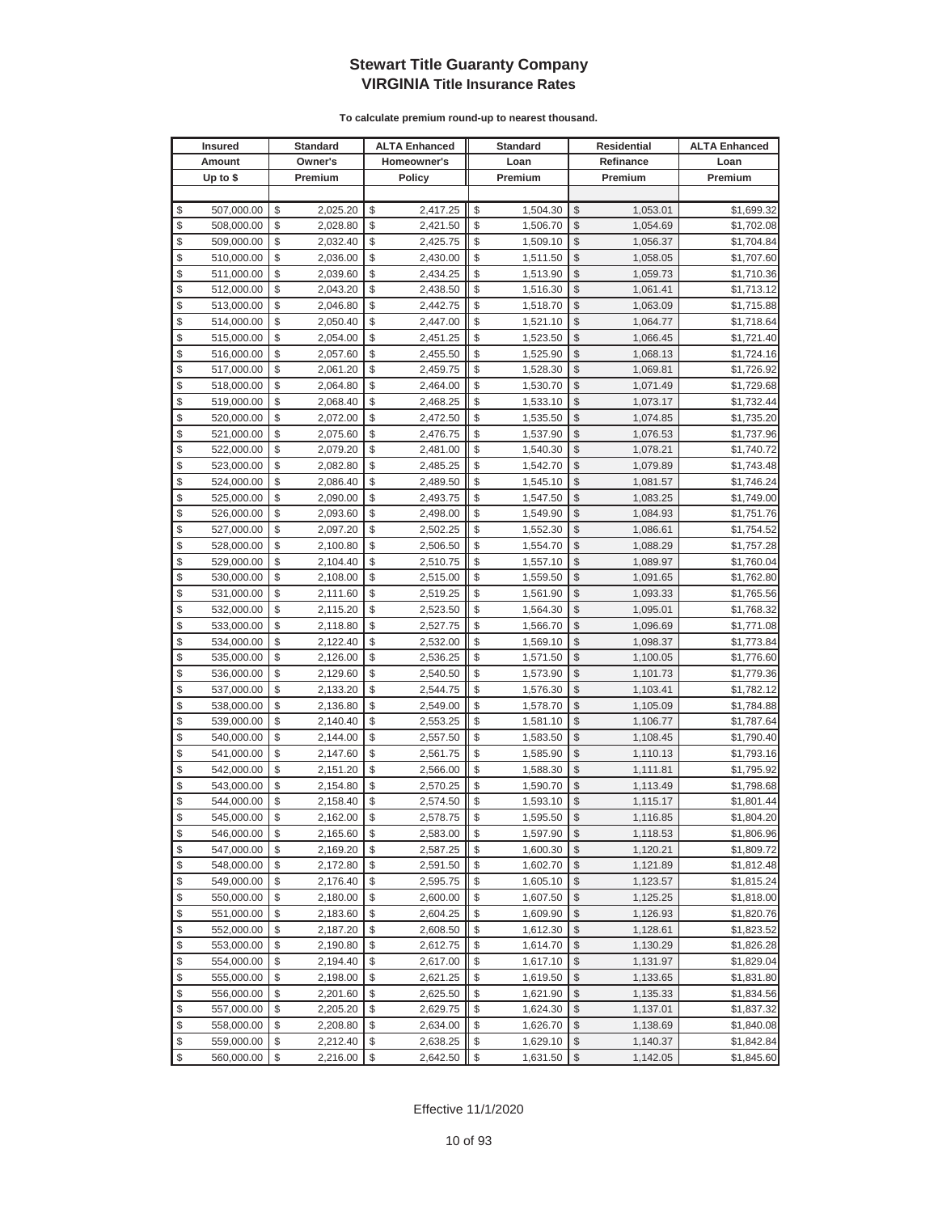|               | <b>Insured</b> | Standard       | <b>ALTA Enhanced</b> | <b>Standard</b> |                         | Residential | <b>ALTA Enhanced</b> |
|---------------|----------------|----------------|----------------------|-----------------|-------------------------|-------------|----------------------|
|               | Amount         | Owner's        | Homeowner's          | Loan            |                         | Refinance   | Loan                 |
|               | Up to $$$      | Premium        | <b>Policy</b>        | Premium         |                         | Premium     | Premium              |
|               |                |                |                      |                 |                         |             |                      |
| \$            | 507,000.00     | \$<br>2,025.20 | \$<br>2,417.25       | \$<br>1,504.30  | \$                      | 1,053.01    | \$1,699.32           |
| \$            | 508,000.00     | \$<br>2,028.80 | \$<br>2,421.50       | \$<br>1,506.70  | \$                      | 1,054.69    | \$1,702.08           |
| \$            | 509,000.00     | \$<br>2,032.40 | \$<br>2,425.75       | \$<br>1,509.10  | \$                      | 1,056.37    | \$1,704.84           |
| \$            | 510,000.00     | \$<br>2,036.00 | \$<br>2,430.00       | \$<br>1,511.50  | \$                      | 1,058.05    | \$1,707.60           |
| \$            | 511,000.00     | \$<br>2,039.60 | \$<br>2,434.25       | \$<br>1,513.90  | \$                      | 1,059.73    | \$1,710.36           |
| \$            | 512,000.00     | \$<br>2,043.20 | \$<br>2,438.50       | \$<br>1,516.30  | \$                      | 1,061.41    | \$1,713.12           |
| \$            | 513,000.00     | \$<br>2,046.80 | \$<br>2,442.75       | \$<br>1,518.70  | \$                      | 1,063.09    | \$1,715.88           |
| \$            | 514,000.00     | \$<br>2,050.40 | \$<br>2,447.00       | \$<br>1,521.10  | \$                      | 1,064.77    | \$1,718.64           |
| \$            | 515,000.00     | \$<br>2,054.00 | \$<br>2,451.25       | \$<br>1,523.50  | \$                      | 1,066.45    | \$1,721.40           |
| \$            | 516,000.00     | \$<br>2,057.60 | \$<br>2,455.50       | \$<br>1,525.90  | \$                      | 1,068.13    | \$1,724.16           |
| \$            | 517,000.00     | \$<br>2,061.20 | \$<br>2,459.75       | \$<br>1,528.30  | \$                      | 1,069.81    | \$1,726.92           |
| \$            | 518,000.00     | \$<br>2,064.80 | \$<br>2,464.00       | \$<br>1,530.70  | \$                      | 1,071.49    | \$1,729.68           |
| \$            | 519,000.00     | \$<br>2,068.40 | \$<br>2,468.25       | \$<br>1,533.10  | \$                      | 1,073.17    | \$1,732.44           |
| \$            | 520,000.00     | \$<br>2,072.00 | \$<br>2,472.50       | \$<br>1,535.50  | \$                      | 1,074.85    | \$1,735.20           |
| \$            | 521,000.00     | \$<br>2,075.60 | \$<br>2,476.75       | \$<br>1,537.90  | \$                      | 1,076.53    | \$1,737.96           |
| \$            | 522,000.00     | \$<br>2,079.20 | \$<br>2,481.00       | \$<br>1,540.30  | \$                      | 1,078.21    | \$1,740.72           |
| \$            | 523,000.00     | \$<br>2,082.80 | \$<br>2,485.25       | \$<br>1,542.70  | \$                      | 1,079.89    | \$1,743.48           |
| \$            | 524,000.00     | \$<br>2,086.40 | \$<br>2,489.50       | \$<br>1,545.10  | \$                      | 1,081.57    | \$1,746.24           |
| \$            | 525,000.00     | \$<br>2,090.00 | \$<br>2,493.75       | \$<br>1,547.50  | \$                      | 1,083.25    | \$1,749.00           |
| \$            | 526,000.00     | \$<br>2,093.60 | \$<br>2,498.00       | \$<br>1,549.90  | \$                      | 1,084.93    | \$1,751.76           |
| \$            | 527,000.00     | \$<br>2,097.20 | \$<br>2,502.25       | \$<br>1,552.30  | \$                      | 1,086.61    | \$1,754.52           |
| \$            | 528,000.00     | \$<br>2,100.80 | \$<br>2,506.50       | \$<br>1,554.70  | \$                      | 1,088.29    | \$1,757.28           |
| \$            | 529,000.00     | \$<br>2,104.40 | \$<br>2,510.75       | \$<br>1,557.10  | \$                      | 1,089.97    | \$1,760.04           |
| \$            | 530,000.00     | \$<br>2,108.00 | \$<br>2,515.00       | \$<br>1,559.50  | \$                      | 1,091.65    | \$1,762.80           |
| \$            | 531,000.00     | \$<br>2,111.60 | \$<br>2,519.25       | \$<br>1,561.90  | \$                      | 1,093.33    | \$1,765.56           |
| \$            | 532,000.00     | \$<br>2,115.20 | \$<br>2,523.50       | \$<br>1,564.30  | \$                      | 1,095.01    | \$1,768.32           |
| \$            | 533,000.00     | \$<br>2,118.80 | \$<br>2,527.75       | \$<br>1,566.70  | \$                      | 1,096.69    | \$1,771.08           |
| \$            | 534,000.00     | \$<br>2,122.40 | \$<br>2,532.00       | \$<br>1,569.10  | \$                      | 1,098.37    | \$1,773.84           |
| \$            | 535,000.00     | \$<br>2,126.00 | \$<br>2,536.25       | \$<br>1,571.50  | \$                      | 1,100.05    | \$1,776.60           |
| \$            | 536,000.00     | \$<br>2,129.60 | \$<br>2,540.50       | \$<br>1,573.90  | \$                      | 1,101.73    | \$1,779.36           |
| \$            | 537,000.00     | \$<br>2,133.20 | \$<br>2,544.75       | \$<br>1,576.30  | \$                      | 1,103.41    | \$1,782.12           |
| $\frac{1}{2}$ | 538,000.00     | \$<br>2,136.80 | \$<br>2,549.00       | \$<br>1,578.70  | \$                      | 1,105.09    | \$1,784.88           |
| \$            | 539,000.00     | \$<br>2,140.40 | \$<br>2,553.25       | \$<br>1,581.10  | \$                      | 1,106.77    | \$1,787.64           |
| \$            | 540,000.00     | \$<br>2,144.00 | \$<br>2,557.50       | \$<br>1,583.50  | \$                      | 1,108.45    | \$1,790.40           |
| \$            | 541,000.00     | \$<br>2,147.60 | \$<br>2,561.75       | \$<br>1,585.90  | \$                      | 1,110.13    | \$1,793.16           |
| \$            | 542,000.00     | \$<br>2,151.20 | \$<br>2,566.00       | \$<br>1,588.30  | \$                      | 1,111.81    | \$1,795.92           |
| \$            | 543,000.00     | \$<br>2,154.80 | \$<br>2,570.25       | \$<br>1,590.70  | \$                      | 1,113.49    | \$1,798.68           |
| \$            | 544,000.00     | \$<br>2,158.40 | \$<br>2,574.50       | \$<br>1,593.10  | \$                      | 1,115.17    | \$1,801.44           |
| \$            | 545,000.00     | \$<br>2,162.00 | \$<br>2,578.75       | \$<br>1,595.50  | \$                      | 1,116.85    | \$1,804.20           |
| \$            | 546,000.00     | \$<br>2,165.60 | \$<br>2,583.00       | \$<br>1,597.90  | \$                      | 1,118.53    | \$1,806.96           |
| \$            | 547,000.00     | \$<br>2,169.20 | \$<br>2,587.25       | \$<br>1,600.30  | $\mathbb{S}$            | 1,120.21    | \$1,809.72           |
| \$            | 548,000.00     | \$<br>2,172.80 | \$<br>2,591.50       | \$<br>1,602.70  | $\frac{1}{2}$           | 1,121.89    | \$1,812.48           |
| \$            | 549,000.00     | \$<br>2,176.40 | \$<br>2,595.75       | \$<br>1,605.10  | \$                      | 1,123.57    | \$1,815.24           |
| \$            | 550,000.00     | \$<br>2,180.00 | \$<br>2,600.00       | \$<br>1,607.50  | \$                      | 1,125.25    | \$1,818.00           |
| \$            | 551,000.00     | \$<br>2,183.60 | \$<br>2,604.25       | \$<br>1,609.90  | \$                      | 1,126.93    | \$1,820.76           |
| \$            | 552,000.00     | \$<br>2,187.20 | \$<br>2,608.50       | \$<br>1,612.30  | \$                      | 1,128.61    | \$1,823.52           |
| \$            | 553,000.00     | \$<br>2,190.80 | \$<br>2,612.75       | \$<br>1,614.70  | \$                      | 1,130.29    | \$1,826.28           |
| \$            | 554,000.00     | \$<br>2,194.40 | \$<br>2,617.00       | \$<br>1,617.10  | \$                      | 1,131.97    | \$1,829.04           |
| \$            | 555,000.00     | \$<br>2,198.00 | \$<br>2,621.25       | \$<br>1,619.50  | \$                      | 1,133.65    | \$1,831.80           |
| \$            | 556,000.00     | \$<br>2,201.60 | \$<br>2,625.50       | \$<br>1,621.90  | \$                      | 1,135.33    | \$1,834.56           |
| \$            | 557,000.00     | \$<br>2,205.20 | \$<br>2,629.75       | \$<br>1,624.30  | \$                      | 1,137.01    | \$1,837.32           |
| \$            | 558,000.00     | \$<br>2,208.80 | \$<br>2,634.00       | \$<br>1,626.70  | \$                      | 1,138.69    | \$1,840.08           |
| \$            | 559,000.00     | \$<br>2,212.40 | \$<br>2,638.25       | \$<br>1,629.10  | \$                      | 1,140.37    | \$1,842.84           |
| \$            | 560,000.00     | \$<br>2,216.00 | \$<br>2,642.50       | \$<br>1,631.50  | $\sqrt[6]{\frac{1}{2}}$ | 1,142.05    | \$1,845.60           |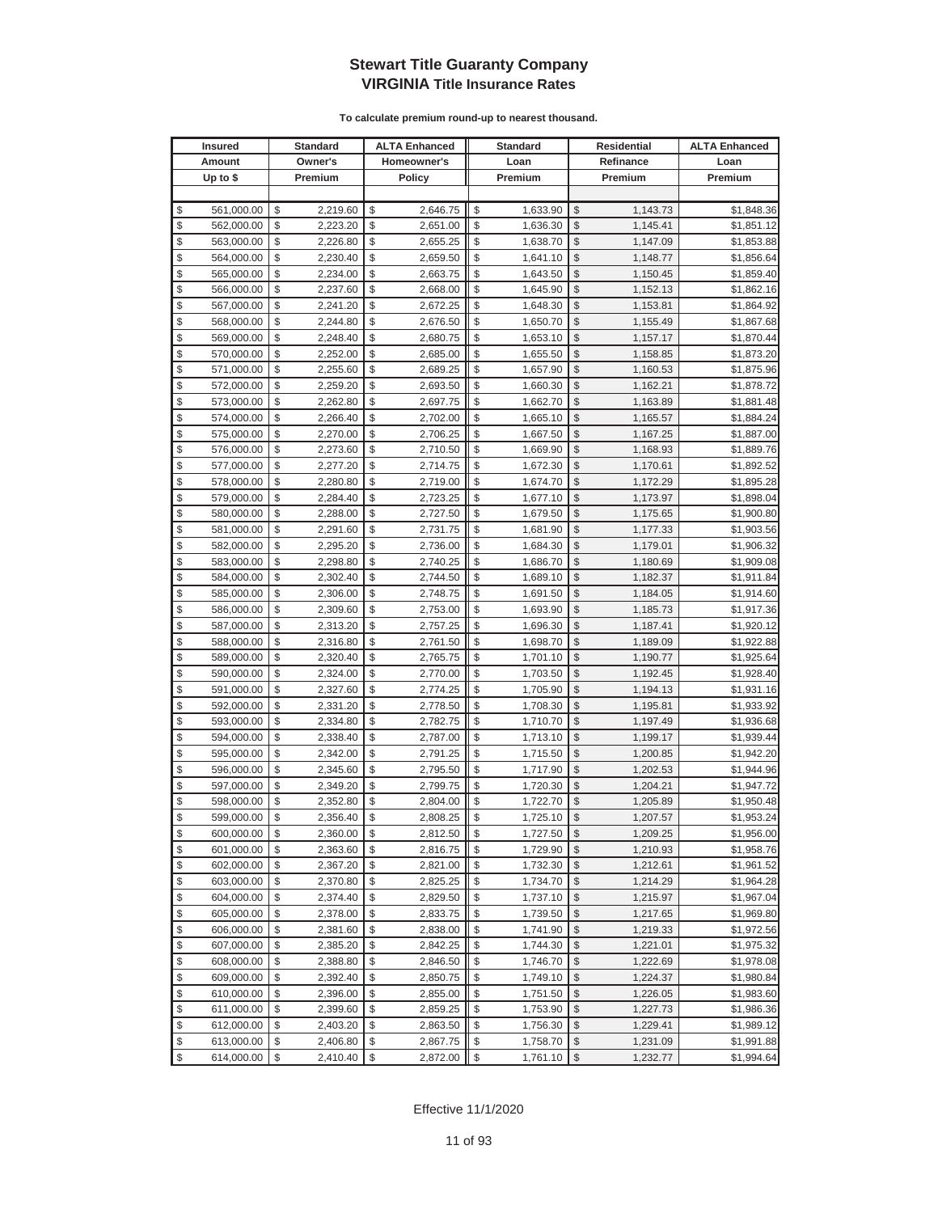|               | <b>Insured</b> | Standard       | <b>ALTA Enhanced</b> | <b>Standard</b> |                         | Residential | <b>ALTA Enhanced</b> |
|---------------|----------------|----------------|----------------------|-----------------|-------------------------|-------------|----------------------|
|               | Amount         | Owner's        | Homeowner's          | Loan            |                         | Refinance   | Loan                 |
|               | Up to $$$      | Premium        | <b>Policy</b>        | Premium         |                         | Premium     | Premium              |
|               |                |                |                      |                 |                         |             |                      |
| \$            | 561,000.00     | \$<br>2,219.60 | \$<br>2,646.75       | \$<br>1,633.90  | \$                      | 1,143.73    | \$1,848.36           |
| \$            | 562,000.00     | \$<br>2,223.20 | \$<br>2,651.00       | \$<br>1,636.30  | \$                      | 1,145.41    | \$1,851.12           |
| \$            | 563,000.00     | \$<br>2,226.80 | \$<br>2,655.25       | \$<br>1,638.70  | \$                      | 1,147.09    | \$1,853.88           |
| \$            | 564,000.00     | \$<br>2,230.40 | \$<br>2,659.50       | \$<br>1,641.10  | \$                      | 1,148.77    | \$1,856.64           |
| \$            | 565,000.00     | \$<br>2,234.00 | \$<br>2,663.75       | \$<br>1,643.50  | \$                      | 1,150.45    | \$1,859.40           |
| \$            | 566,000.00     | \$<br>2,237.60 | \$<br>2,668.00       | \$<br>1,645.90  | \$                      | 1,152.13    | \$1,862.16           |
| \$            | 567,000.00     | \$<br>2,241.20 | \$<br>2,672.25       | \$<br>1,648.30  | \$                      | 1,153.81    | \$1,864.92           |
| \$            | 568,000.00     | \$<br>2,244.80 | \$<br>2,676.50       | \$<br>1,650.70  | \$                      | 1,155.49    | \$1,867.68           |
| \$            | 569,000.00     | \$<br>2,248.40 | \$<br>2,680.75       | \$<br>1,653.10  | \$                      | 1,157.17    | \$1,870.44           |
| \$            | 570,000.00     | \$<br>2,252.00 | \$<br>2,685.00       | \$<br>1,655.50  | \$                      | 1,158.85    | \$1,873.20           |
| \$            | 571,000.00     | \$<br>2,255.60 | \$<br>2,689.25       | \$<br>1,657.90  | \$                      | 1,160.53    | \$1,875.96           |
| \$            | 572,000.00     | \$<br>2,259.20 | \$<br>2,693.50       | \$<br>1,660.30  | \$                      | 1,162.21    | \$1,878.72           |
| \$            | 573,000.00     | \$<br>2,262.80 | \$<br>2,697.75       | \$<br>1,662.70  | \$                      | 1,163.89    | \$1,881.48           |
| \$            | 574,000.00     | \$<br>2,266.40 | \$<br>2,702.00       | \$<br>1,665.10  | \$                      | 1,165.57    | \$1,884.24           |
| \$            | 575,000.00     | \$<br>2,270.00 | \$<br>2,706.25       | \$<br>1,667.50  | \$                      | 1,167.25    | \$1,887.00           |
| \$            | 576,000.00     | \$<br>2,273.60 | \$<br>2,710.50       | \$<br>1,669.90  | \$                      | 1,168.93    | \$1,889.76           |
| \$            | 577,000.00     | \$<br>2,277.20 | \$<br>2,714.75       | \$<br>1,672.30  | \$                      | 1,170.61    | \$1,892.52           |
| \$            | 578,000.00     | \$<br>2,280.80 | \$<br>2,719.00       | \$<br>1,674.70  | \$                      | 1,172.29    | \$1,895.28           |
| \$            | 579,000.00     | \$<br>2,284.40 | \$<br>2,723.25       | \$<br>1,677.10  | \$                      | 1,173.97    | \$1,898.04           |
| \$            | 580,000.00     | \$<br>2,288.00 | \$<br>2,727.50       | \$<br>1,679.50  | \$                      | 1,175.65    | \$1,900.80           |
| \$            | 581,000.00     | \$<br>2,291.60 | \$<br>2,731.75       | \$<br>1,681.90  | \$                      | 1,177.33    | \$1,903.56           |
| \$            | 582,000.00     | \$<br>2,295.20 | \$<br>2,736.00       | \$<br>1,684.30  | \$                      | 1,179.01    | \$1,906.32           |
| \$            | 583,000.00     | \$<br>2,298.80 | \$<br>2,740.25       | \$<br>1,686.70  | \$                      | 1,180.69    | \$1,909.08           |
| \$            | 584,000.00     | \$<br>2,302.40 | \$<br>2,744.50       | \$<br>1,689.10  | \$                      | 1,182.37    | \$1,911.84           |
| \$            | 585,000.00     | \$<br>2,306.00 | \$<br>2,748.75       | \$<br>1,691.50  | \$                      | 1,184.05    | \$1,914.60           |
| \$            | 586,000.00     | \$<br>2,309.60 | \$<br>2,753.00       | \$<br>1,693.90  | \$                      | 1,185.73    | \$1,917.36           |
| \$            | 587,000.00     | \$<br>2,313.20 | \$<br>2,757.25       | \$<br>1,696.30  | \$                      | 1,187.41    | \$1,920.12           |
| \$            | 588,000.00     | \$<br>2,316.80 | \$<br>2,761.50       | \$<br>1,698.70  | \$                      | 1,189.09    | \$1,922.88           |
| \$            | 589,000.00     | \$<br>2,320.40 | \$<br>2,765.75       | \$<br>1,701.10  | \$                      | 1,190.77    | \$1,925.64           |
| \$            | 590,000.00     | \$<br>2,324.00 | \$<br>2,770.00       | \$<br>1,703.50  | \$                      | 1,192.45    | \$1,928.40           |
| \$            | 591,000.00     | \$<br>2,327.60 | \$<br>2,774.25       | \$<br>1,705.90  | \$                      | 1,194.13    | \$1,931.16           |
| $\frac{1}{2}$ | 592,000.00     | \$<br>2,331.20 | \$<br>2,778.50       | \$<br>1,708.30  | \$                      | 1,195.81    | \$1,933.92           |
| \$            | 593,000.00     | \$<br>2,334.80 | \$<br>2,782.75       | \$<br>1,710.70  | \$                      | 1,197.49    | \$1,936.68           |
| \$            | 594,000.00     | \$<br>2,338.40 | \$<br>2,787.00       | \$<br>1,713.10  | \$                      | 1,199.17    | \$1,939.44           |
| \$            | 595,000.00     | \$<br>2,342.00 | \$<br>2,791.25       | \$<br>1,715.50  | \$                      | 1,200.85    | \$1,942.20           |
| \$            | 596,000.00     | \$<br>2,345.60 | \$<br>2,795.50       | \$<br>1,717.90  | \$                      | 1,202.53    | \$1,944.96           |
| \$            | 597,000.00     | \$<br>2,349.20 | \$<br>2,799.75       | \$<br>1,720.30  | \$                      | 1,204.21    | \$1,947.72           |
| \$            | 598,000.00     | \$<br>2,352.80 | \$<br>2,804.00       | \$<br>1,722.70  | \$                      | 1,205.89    | \$1,950.48           |
| \$            | 599,000.00     | \$<br>2,356.40 | \$<br>2,808.25       | \$<br>1,725.10  | \$                      | 1,207.57    | \$1,953.24           |
| \$            | 600,000.00     | \$<br>2,360.00 | \$<br>2,812.50       | \$<br>1,727.50  | $\sqrt[6]{3}$           | 1,209.25    | \$1,956.00           |
| \$            | 601,000.00     | \$<br>2,363.60 | \$<br>2,816.75       | \$<br>1,729.90  | \$                      | 1,210.93    | \$1,958.76           |
| \$            | 602,000.00     | \$<br>2,367.20 | \$<br>2,821.00       | \$<br>1,732.30  | $\frac{1}{2}$           | 1,212.61    | \$1,961.52           |
| \$            | 603,000.00     | \$<br>2,370.80 | \$<br>2,825.25       | \$<br>1,734.70  | \$                      | 1,214.29    | \$1,964.28           |
| \$            | 604,000.00     | \$<br>2,374.40 | \$<br>2,829.50       | \$<br>1,737.10  | \$                      | 1,215.97    | \$1,967.04           |
| \$            | 605,000.00     | \$<br>2,378.00 | \$<br>2,833.75       | \$<br>1,739.50  | \$                      | 1,217.65    | \$1,969.80           |
| \$            | 606,000.00     | \$<br>2,381.60 | \$<br>2,838.00       | \$<br>1,741.90  | \$                      | 1,219.33    | \$1,972.56           |
| \$            | 607,000.00     | \$<br>2,385.20 | \$<br>2,842.25       | \$<br>1,744.30  | \$                      | 1,221.01    | \$1,975.32           |
| \$            | 608,000.00     | \$<br>2,388.80 | \$<br>2,846.50       | \$<br>1,746.70  | \$                      | 1,222.69    | \$1,978.08           |
| \$            | 609,000.00     | \$<br>2,392.40 | \$<br>2,850.75       | \$<br>1,749.10  | \$                      | 1,224.37    | \$1,980.84           |
| \$            | 610,000.00     | \$<br>2,396.00 | \$<br>2,855.00       | \$<br>1,751.50  | \$                      | 1,226.05    | \$1,983.60           |
| \$            | 611,000.00     | \$<br>2,399.60 | \$<br>2,859.25       | \$<br>1,753.90  | \$                      | 1,227.73    | \$1,986.36           |
| \$            | 612,000.00     | \$<br>2,403.20 | \$<br>2,863.50       | \$<br>1,756.30  | \$                      | 1,229.41    | \$1,989.12           |
| \$            | 613,000.00     | \$<br>2,406.80 | \$<br>2,867.75       | \$<br>1,758.70  | \$                      | 1,231.09    | \$1,991.88           |
| \$            | 614,000.00     | \$<br>2,410.40 | \$<br>2,872.00       | \$<br>1,761.10  | $\sqrt[6]{\frac{1}{2}}$ | 1,232.77    | \$1,994.64           |
|               |                |                |                      |                 |                         |             |                      |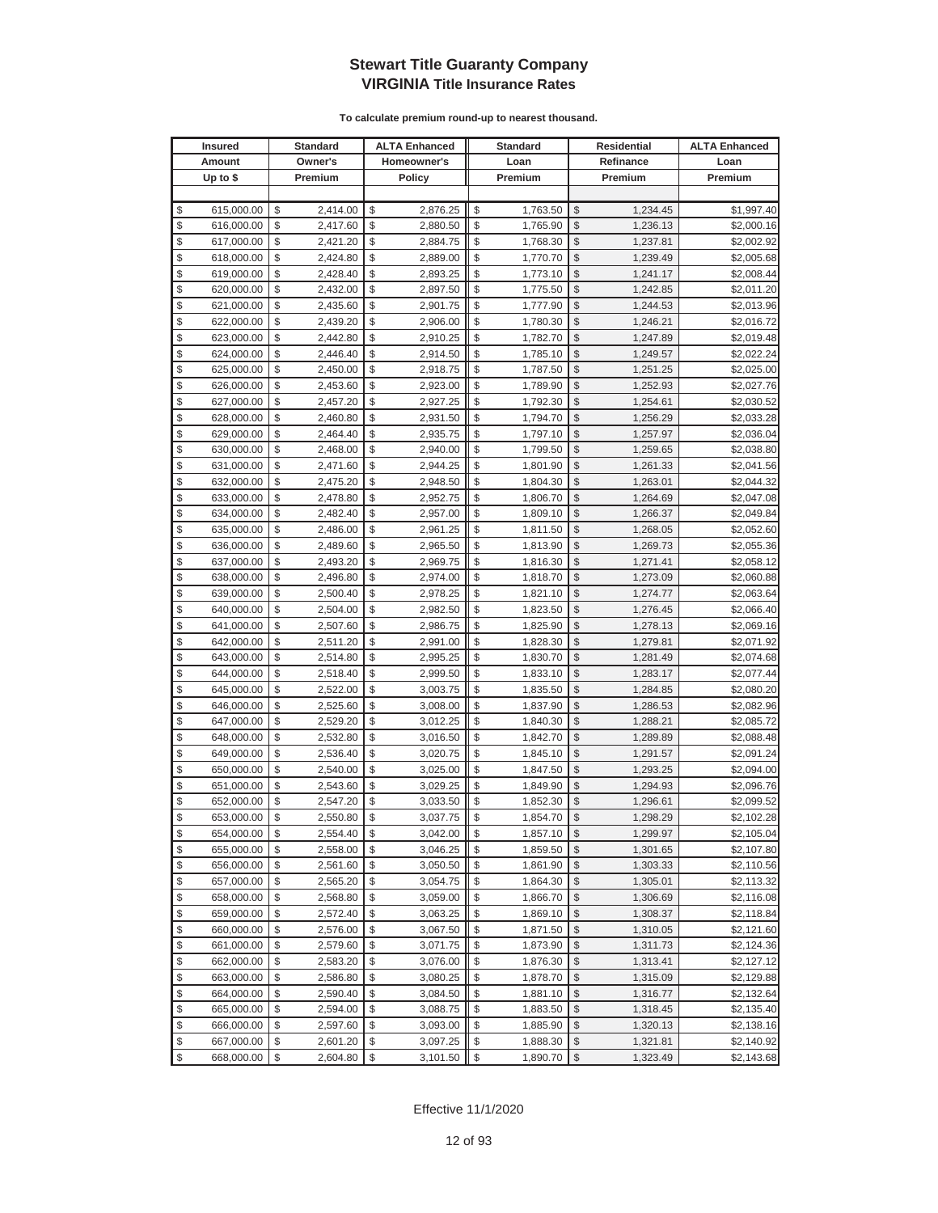| <b>Insured</b>   | <b>Standard</b> | <b>ALTA Enhanced</b> | <b>Standard</b> | Residential   |           | <b>ALTA Enhanced</b> |
|------------------|-----------------|----------------------|-----------------|---------------|-----------|----------------------|
| Amount           | Owner's         | Homeowner's          | Loan            |               | Refinance | Loan                 |
| Up to $$$        | Premium         | <b>Policy</b>        | Premium         |               | Premium   | Premium              |
|                  |                 |                      |                 |               |           |                      |
| \$<br>615,000.00 | \$<br>2,414.00  | \$<br>2,876.25       | \$<br>1,763.50  | \$            | 1,234.45  | \$1,997.40           |
| \$<br>616,000.00 | \$<br>2,417.60  | \$<br>2,880.50       | \$<br>1,765.90  | \$            | 1,236.13  | \$2,000.16           |
| \$<br>617,000.00 | \$<br>2,421.20  | \$<br>2,884.75       | \$<br>1,768.30  | \$            | 1,237.81  | \$2,002.92           |
| \$<br>618,000.00 | \$<br>2,424.80  | \$<br>2,889.00       | \$<br>1,770.70  | \$            | 1,239.49  | \$2,005.68           |
| \$<br>619,000.00 | \$<br>2,428.40  | \$<br>2,893.25       | \$<br>1,773.10  | \$            | 1,241.17  | \$2,008.44           |
| \$<br>620,000.00 | \$<br>2,432.00  | \$<br>2,897.50       | \$<br>1,775.50  | \$            | 1,242.85  | \$2,011.20           |
| \$<br>621,000.00 | \$<br>2,435.60  | \$<br>2,901.75       | \$<br>1,777.90  | \$            | 1,244.53  | \$2,013.96           |
| \$<br>622,000.00 | \$<br>2,439.20  | \$<br>2,906.00       | \$<br>1,780.30  | \$            | 1,246.21  | \$2,016.72           |
| \$<br>623,000.00 | \$<br>2,442.80  | \$<br>2,910.25       | \$<br>1,782.70  | \$            | 1,247.89  | \$2,019.48           |
| \$<br>624,000.00 | \$<br>2,446.40  | \$<br>2,914.50       | \$<br>1,785.10  | \$            | 1,249.57  | \$2,022.24           |
| \$<br>625,000.00 | \$<br>2,450.00  | \$<br>2,918.75       | \$<br>1,787.50  | \$            | 1,251.25  | \$2,025.00           |
| \$<br>626,000.00 | \$<br>2,453.60  | \$<br>2,923.00       | \$<br>1,789.90  | \$            | 1,252.93  | \$2,027.76           |
| \$<br>627,000.00 | \$<br>2,457.20  | \$<br>2,927.25       | \$<br>1,792.30  | \$            | 1,254.61  | \$2,030.52           |
| \$<br>628,000.00 | \$<br>2,460.80  | \$<br>2,931.50       | \$<br>1,794.70  | \$            | 1,256.29  | \$2,033.28           |
| \$<br>629,000.00 | \$<br>2,464.40  | \$<br>2,935.75       | \$<br>1,797.10  | \$            | 1,257.97  | \$2,036.04           |
| \$<br>630,000.00 | \$<br>2,468.00  | \$<br>2,940.00       | \$<br>1,799.50  | \$            | 1,259.65  | \$2,038.80           |
| \$<br>631,000.00 | \$<br>2,471.60  | \$<br>2,944.25       | \$<br>1,801.90  | \$            | 1,261.33  | \$2,041.56           |
| \$<br>632,000.00 | \$<br>2,475.20  | \$<br>2,948.50       | \$<br>1,804.30  | \$            | 1,263.01  | \$2,044.32           |
| \$<br>633,000.00 | \$<br>2,478.80  | \$<br>2,952.75       | \$<br>1,806.70  | \$            | 1,264.69  | \$2,047.08           |
| \$<br>634,000.00 | \$<br>2,482.40  | \$<br>2,957.00       | \$<br>1,809.10  | \$            | 1,266.37  | \$2,049.84           |
| \$<br>635,000.00 | \$<br>2,486.00  | \$<br>2,961.25       | \$<br>1,811.50  | \$            | 1,268.05  | \$2,052.60           |
| \$<br>636,000.00 | \$<br>2,489.60  | \$<br>2,965.50       | \$<br>1,813.90  | \$            | 1,269.73  | \$2,055.36           |
| \$<br>637,000.00 | \$<br>2,493.20  | \$<br>2,969.75       | \$<br>1,816.30  | \$            | 1,271.41  | \$2,058.12           |
| \$<br>638,000.00 | \$<br>2,496.80  | \$<br>2,974.00       | \$<br>1,818.70  | \$            | 1,273.09  | \$2,060.88           |
| \$<br>639,000.00 | \$<br>2,500.40  | \$<br>2,978.25       | \$<br>1,821.10  | \$            | 1,274.77  | \$2,063.64           |
| \$<br>640,000.00 | \$<br>2,504.00  | \$<br>2,982.50       | \$<br>1,823.50  | \$            | 1,276.45  | \$2,066.40           |
| \$<br>641,000.00 | \$<br>2,507.60  | \$<br>2,986.75       | \$<br>1,825.90  | \$            | 1,278.13  | \$2,069.16           |
| \$<br>642,000.00 | \$<br>2,511.20  | \$<br>2,991.00       | \$<br>1,828.30  | \$            | 1,279.81  | \$2,071.92           |
| \$<br>643,000.00 | \$<br>2,514.80  | \$<br>2,995.25       | \$<br>1,830.70  | \$            | 1,281.49  | \$2,074.68           |
| \$<br>644,000.00 | \$<br>2,518.40  | \$<br>2,999.50       | \$<br>1,833.10  | \$            | 1,283.17  | \$2,077.44           |
| \$<br>645,000.00 | \$<br>2,522.00  | \$<br>3,003.75       | \$<br>1,835.50  | \$            | 1,284.85  | \$2,080.20           |
| \$<br>646,000.00 | \$<br>2,525.60  | \$<br>3,008.00       | \$<br>1,837.90  | \$            | 1,286.53  | \$2,082.96           |
| \$<br>647,000.00 | \$<br>2,529.20  | \$<br>3,012.25       | \$<br>1,840.30  | \$            | 1,288.21  | \$2,085.72           |
| \$<br>648,000.00 | \$<br>2,532.80  | \$<br>3,016.50       | \$<br>1,842.70  | \$            | 1,289.89  | \$2,088.48           |
| \$<br>649,000.00 | \$<br>2,536.40  | \$<br>3,020.75       | \$<br>1,845.10  | \$            | 1,291.57  | \$2,091.24           |
| \$<br>650,000.00 | \$<br>2,540.00  | \$<br>3,025.00       | \$<br>1,847.50  | \$            | 1,293.25  | \$2,094.00           |
| \$<br>651,000.00 | \$<br>2,543.60  | \$<br>3,029.25       | \$<br>1,849.90  | \$            | 1,294.93  | \$2,096.76           |
| \$<br>652,000.00 | \$<br>2,547.20  | \$<br>3,033.50       | \$<br>1,852.30  | \$            | 1,296.61  | \$2,099.52           |
| \$<br>653,000.00 | \$<br>2,550.80  | \$<br>3,037.75       | \$<br>1,854.70  | \$            | 1,298.29  | \$2,102.28           |
| \$<br>654,000.00 | \$<br>2,554.40  | \$<br>3,042.00       | \$<br>1,857.10  | \$            | 1,299.97  | \$2,105.04           |
| \$<br>655,000.00 | \$<br>2,558.00  | \$<br>3,046.25       | 1,859.50        | \$            | 1,301.65  | \$2,107.80           |
| \$<br>656,000.00 | \$<br>2,561.60  | \$<br>3,050.50       | \$<br>1,861.90  | \$            | 1,303.33  | \$2,110.56           |
| \$<br>657,000.00 | \$<br>2,565.20  | \$<br>3,054.75       | \$<br>1,864.30  | \$            | 1,305.01  | \$2,113.32           |
| \$<br>658,000.00 | \$<br>2,568.80  | \$<br>3,059.00       | \$<br>1,866.70  | \$            | 1,306.69  | \$2,116.08           |
| \$<br>659,000.00 | \$<br>2,572.40  | \$<br>3,063.25       | \$<br>1,869.10  | \$            | 1,308.37  | \$2,118.84           |
| \$<br>660,000.00 | \$<br>2,576.00  | \$<br>3,067.50       | \$<br>1,871.50  | \$            | 1,310.05  | \$2,121.60           |
| \$<br>661,000.00 | \$<br>2,579.60  | \$<br>3,071.75       | \$<br>1,873.90  | \$            | 1,311.73  | \$2,124.36           |
| \$<br>662,000.00 | \$<br>2,583.20  | \$<br>3,076.00       | \$<br>1,876.30  | \$            | 1,313.41  | \$2,127.12           |
| \$<br>663,000.00 | \$<br>2,586.80  | \$<br>3,080.25       | \$<br>1,878.70  | \$            | 1,315.09  | \$2,129.88           |
| \$<br>664,000.00 | \$<br>2,590.40  | \$<br>3,084.50       | \$<br>1,881.10  | \$            | 1,316.77  | \$2,132.64           |
| \$<br>665,000.00 | \$<br>2,594.00  | \$<br>3,088.75       | \$<br>1,883.50  | \$            | 1,318.45  | \$2,135.40           |
| \$<br>666,000.00 | \$<br>2,597.60  | \$<br>3,093.00       | \$<br>1,885.90  | \$            | 1,320.13  | \$2,138.16           |
| \$<br>667,000.00 | \$<br>2,601.20  | \$<br>3,097.25       | \$<br>1,888.30  | \$            | 1,321.81  | \$2,140.92           |
| \$<br>668,000.00 | \$<br>2,604.80  | \$<br>3,101.50       | \$<br>1,890.70  | $\frac{1}{2}$ | 1,323.49  | \$2,143.68           |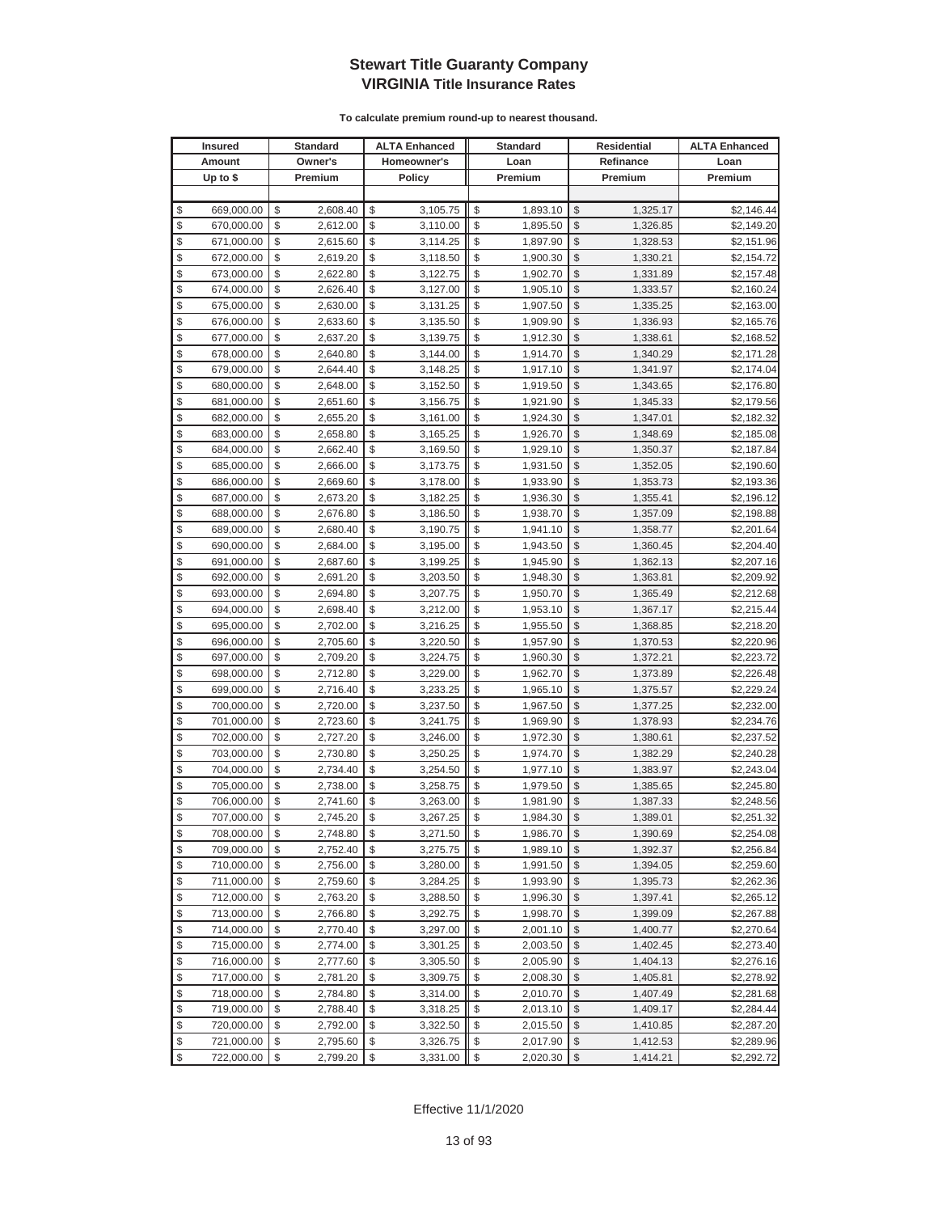|               | <b>Insured</b> | Standard       | <b>ALTA Enhanced</b> | <b>Standard</b> |                         | Residential | <b>ALTA Enhanced</b> |
|---------------|----------------|----------------|----------------------|-----------------|-------------------------|-------------|----------------------|
|               | Amount         | Owner's        | Homeowner's          | Loan            |                         | Refinance   | Loan                 |
|               | Up to $$$      | Premium        | <b>Policy</b>        | Premium         |                         | Premium     | Premium              |
|               |                |                |                      |                 |                         |             |                      |
| \$            | 669,000.00     | \$<br>2,608.40 | \$<br>3,105.75       | \$<br>1,893.10  | \$                      | 1,325.17    | \$2,146.44           |
| \$            | 670,000.00     | \$<br>2,612.00 | \$<br>3,110.00       | \$<br>1,895.50  | \$                      | 1,326.85    | \$2,149.20           |
| \$            | 671,000.00     | \$<br>2,615.60 | \$<br>3,114.25       | \$<br>1,897.90  | \$                      | 1,328.53    | \$2,151.96           |
| \$            | 672,000.00     | \$<br>2,619.20 | \$<br>3,118.50       | \$<br>1,900.30  | \$                      | 1,330.21    | \$2,154.72           |
| \$            | 673,000.00     | \$<br>2,622.80 | \$<br>3,122.75       | \$<br>1,902.70  | \$                      | 1,331.89    | \$2,157.48           |
| \$            | 674,000.00     | \$<br>2,626.40 | \$<br>3,127.00       | \$<br>1,905.10  | \$                      | 1,333.57    | \$2,160.24           |
| \$            | 675,000.00     | \$<br>2,630.00 | \$<br>3,131.25       | \$<br>1,907.50  | \$                      | 1,335.25    | \$2,163.00           |
| \$            | 676,000.00     | \$<br>2,633.60 | \$<br>3,135.50       | \$<br>1,909.90  | \$                      | 1,336.93    | \$2,165.76           |
| \$            | 677,000.00     | \$<br>2,637.20 | \$<br>3,139.75       | \$<br>1,912.30  | \$                      | 1,338.61    | \$2,168.52           |
| \$            | 678,000.00     | \$<br>2,640.80 | \$<br>3,144.00       | \$<br>1,914.70  | \$                      | 1,340.29    | \$2,171.28           |
| \$            | 679,000.00     | \$<br>2,644.40 | \$<br>3,148.25       | \$<br>1,917.10  | \$                      | 1,341.97    | \$2,174.04           |
| \$            | 680,000.00     | \$<br>2,648.00 | \$<br>3,152.50       | \$<br>1,919.50  | \$                      | 1,343.65    | \$2,176.80           |
| \$            | 681,000.00     | \$<br>2,651.60 | \$<br>3,156.75       | \$<br>1,921.90  | \$                      | 1,345.33    | \$2,179.56           |
| \$            | 682,000.00     | \$<br>2,655.20 | \$<br>3,161.00       | \$<br>1,924.30  | \$                      | 1,347.01    | \$2,182.32           |
| \$            | 683,000.00     | \$<br>2,658.80 | \$<br>3,165.25       | \$<br>1,926.70  | \$                      | 1,348.69    | \$2,185.08           |
| \$            | 684,000.00     | \$<br>2,662.40 | \$<br>3,169.50       | \$<br>1,929.10  | \$                      | 1,350.37    | \$2,187.84           |
| \$            | 685,000.00     | \$<br>2,666.00 | \$<br>3,173.75       | \$<br>1,931.50  | \$                      | 1,352.05    | \$2,190.60           |
| \$            | 686,000.00     | \$<br>2,669.60 | \$<br>3,178.00       | \$<br>1,933.90  | \$                      | 1,353.73    | \$2,193.36           |
| \$            | 687,000.00     | \$<br>2,673.20 | \$<br>3,182.25       | \$<br>1,936.30  | \$                      | 1,355.41    | \$2,196.12           |
| \$            | 688,000.00     | \$<br>2,676.80 | \$<br>3,186.50       | \$<br>1,938.70  | \$                      | 1,357.09    | \$2,198.88           |
| \$            | 689,000.00     | \$<br>2,680.40 | \$<br>3,190.75       | \$<br>1,941.10  | \$                      | 1,358.77    | \$2,201.64           |
| \$            | 690,000.00     | \$<br>2,684.00 | \$<br>3,195.00       | \$<br>1,943.50  | \$                      | 1,360.45    | \$2,204.40           |
| \$            | 691,000.00     | \$<br>2,687.60 | \$<br>3,199.25       | \$<br>1,945.90  | \$                      | 1,362.13    | \$2,207.16           |
| \$            | 692,000.00     | \$<br>2,691.20 | \$<br>3,203.50       | \$<br>1,948.30  | \$                      | 1,363.81    | \$2,209.92           |
| \$            | 693,000.00     | \$<br>2,694.80 | \$<br>3,207.75       | \$<br>1,950.70  | \$                      | 1,365.49    | \$2,212.68           |
| \$            | 694,000.00     | \$<br>2,698.40 | \$<br>3,212.00       | \$<br>1,953.10  | \$                      | 1,367.17    | \$2,215.44           |
| \$            | 695,000.00     | \$<br>2,702.00 | \$<br>3,216.25       | \$<br>1,955.50  | \$                      | 1,368.85    | \$2,218.20           |
| \$            | 696,000.00     | \$<br>2,705.60 | \$<br>3,220.50       | \$<br>1,957.90  | \$                      | 1,370.53    | \$2,220.96           |
| \$            | 697,000.00     | \$<br>2,709.20 | \$<br>3,224.75       | \$<br>1,960.30  | \$                      | 1,372.21    | \$2,223.72           |
| \$            | 698,000.00     | \$<br>2,712.80 | \$<br>3,229.00       | \$<br>1,962.70  | \$                      | 1,373.89    | \$2,226.48           |
| \$            | 699,000.00     | \$<br>2,716.40 | \$<br>3,233.25       | \$<br>1,965.10  | \$                      | 1,375.57    | \$2,229.24           |
| $\frac{1}{2}$ | 700,000.00     | \$<br>2,720.00 | \$<br>3,237.50       | \$<br>1,967.50  | \$                      | 1,377.25    | \$2,232.00           |
| \$            | 701,000.00     | \$<br>2,723.60 | \$<br>3,241.75       | \$<br>1,969.90  | \$                      | 1,378.93    | \$2,234.76           |
| \$            | 702,000.00     | \$<br>2,727.20 | \$<br>3,246.00       | \$<br>1,972.30  | \$                      | 1,380.61    | \$2,237.52           |
| \$            | 703,000.00     | \$<br>2,730.80 | \$<br>3,250.25       | \$<br>1,974.70  | \$                      | 1,382.29    | \$2,240.28           |
| \$            | 704,000.00     | \$<br>2,734.40 | \$<br>3,254.50       | \$<br>1,977.10  | \$                      | 1,383.97    | \$2,243.04           |
| \$            | 705,000.00     | \$<br>2,738.00 | \$<br>3,258.75       | \$<br>1,979.50  | \$                      | 1,385.65    | \$2,245.80           |
| \$            | 706,000.00     | \$<br>2,741.60 | \$<br>3,263.00       | \$<br>1,981.90  | \$                      | 1,387.33    | \$2,248.56           |
| \$            | 707,000.00     | \$<br>2,745.20 | \$<br>3,267.25       | \$<br>1,984.30  | \$                      | 1,389.01    | \$2,251.32           |
| \$            | 708,000.00     | \$<br>2,748.80 | \$<br>3,271.50       | \$<br>1,986.70  | $\sqrt[6]{3}$           | 1,390.69    | \$2,254.08           |
| \$            | 709,000.00     | \$<br>2,752.40 | \$<br>3,275.75       | \$<br>1,989.10  | $\mathcal{S}$           | 1,392.37    | \$2,256.84           |
| \$            | 710,000.00     | \$<br>2,756.00 | \$<br>3,280.00       | \$<br>1,991.50  | $\frac{1}{2}$           | 1,394.05    | \$2,259.60           |
| \$            | 711,000.00     | \$<br>2,759.60 | \$<br>3,284.25       | \$<br>1,993.90  | \$                      | 1,395.73    | \$2,262.36           |
| \$            | 712,000.00     | \$<br>2,763.20 | \$<br>3,288.50       | \$<br>1,996.30  | \$                      | 1,397.41    | \$2,265.12           |
| \$            | 713,000.00     | \$<br>2,766.80 | \$<br>3,292.75       | \$<br>1,998.70  | \$                      | 1,399.09    | \$2,267.88           |
| \$            | 714,000.00     | \$<br>2,770.40 | \$<br>3,297.00       | \$<br>2,001.10  | \$                      | 1,400.77    | \$2,270.64           |
| \$            | 715,000.00     | \$<br>2,774.00 | \$<br>3,301.25       | \$<br>2,003.50  | \$                      | 1,402.45    | \$2,273.40           |
| \$            | 716,000.00     | \$<br>2,777.60 | \$<br>3,305.50       | \$<br>2,005.90  | \$                      | 1,404.13    | \$2,276.16           |
| \$            | 717,000.00     | \$<br>2,781.20 | \$<br>3,309.75       | \$<br>2,008.30  | \$                      | 1,405.81    | \$2,278.92           |
| \$            | 718,000.00     | \$<br>2,784.80 | \$<br>3,314.00       | \$<br>2,010.70  | \$                      | 1,407.49    | \$2,281.68           |
| \$            | 719,000.00     | \$<br>2,788.40 | \$<br>3,318.25       | \$<br>2,013.10  | \$                      | 1,409.17    | \$2,284.44           |
| \$            | 720,000.00     | \$<br>2,792.00 | \$<br>3,322.50       | \$<br>2,015.50  | \$                      | 1,410.85    | \$2,287.20           |
| \$            | 721,000.00     | \$<br>2,795.60 | \$<br>3,326.75       | \$<br>2,017.90  | \$                      | 1,412.53    | \$2,289.96           |
| \$            | 722,000.00     | \$<br>2,799.20 | \$<br>3,331.00       | \$<br>2,020.30  | $\sqrt[6]{\frac{1}{2}}$ | 1,414.21    | \$2,292.72           |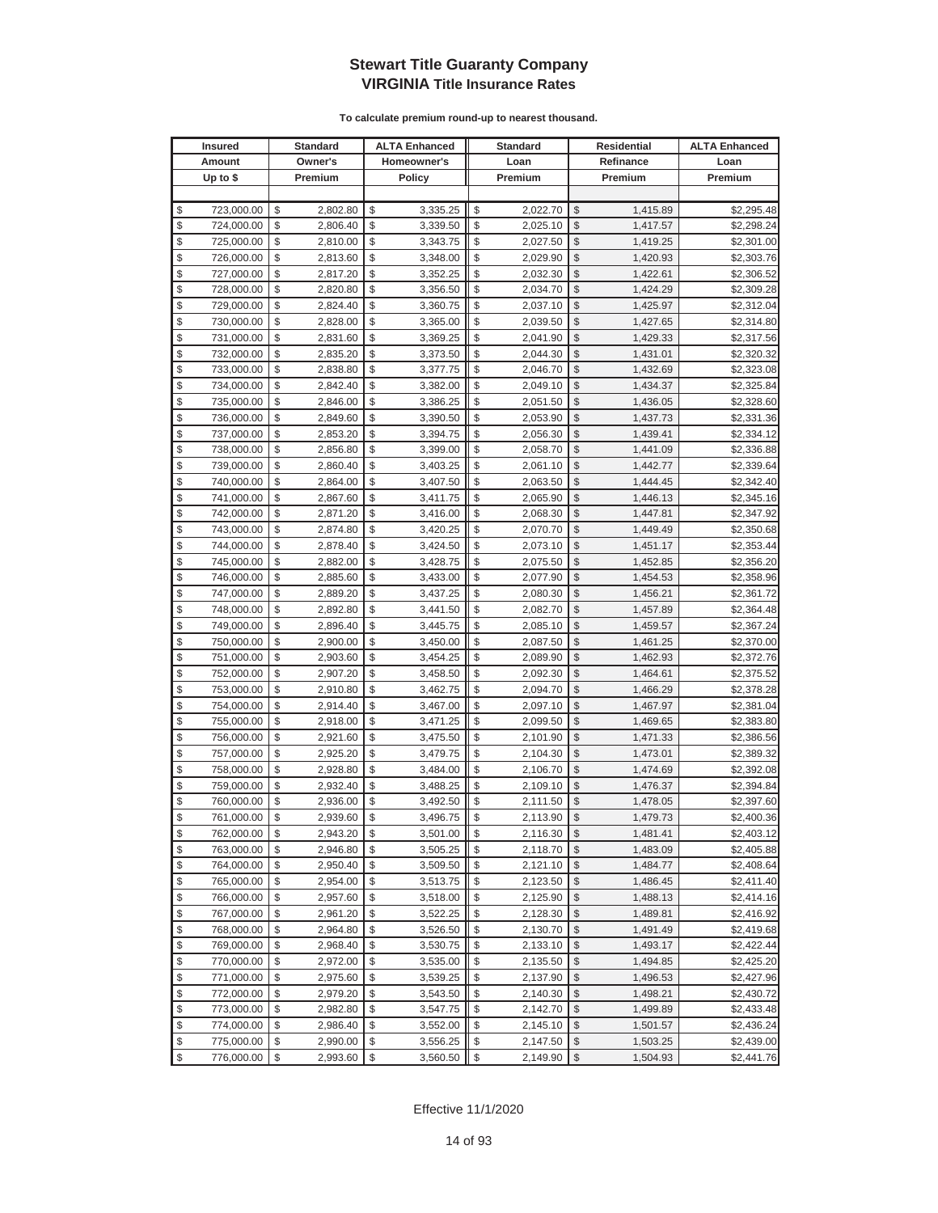|                         | <b>Insured</b> | <b>Standard</b> | <b>ALTA Enhanced</b> | <b>Standard</b> | Residential             |           | <b>ALTA Enhanced</b> |
|-------------------------|----------------|-----------------|----------------------|-----------------|-------------------------|-----------|----------------------|
|                         | Amount         | Owner's         | Homeowner's          | Loan            |                         | Refinance | Loan                 |
|                         | Up to $$$      | Premium         | <b>Policy</b>        | Premium         |                         | Premium   | Premium              |
|                         |                |                 |                      |                 |                         |           |                      |
| \$                      | 723,000.00     | \$<br>2,802.80  | \$<br>3,335.25       | \$<br>2,022.70  | \$                      | 1,415.89  | \$2,295.48           |
| \$                      | 724,000.00     | \$<br>2,806.40  | \$<br>3,339.50       | \$<br>2,025.10  | \$                      | 1,417.57  | \$2,298.24           |
| \$                      | 725,000.00     | \$<br>2,810.00  | \$<br>3,343.75       | \$<br>2,027.50  | \$                      | 1,419.25  | \$2,301.00           |
| \$                      | 726,000.00     | \$<br>2,813.60  | \$<br>3,348.00       | \$<br>2,029.90  | \$                      | 1,420.93  | \$2,303.76           |
| \$                      | 727,000.00     | \$<br>2,817.20  | \$<br>3,352.25       | \$<br>2,032.30  | \$                      | 1,422.61  | \$2,306.52           |
| \$                      | 728,000.00     | \$<br>2,820.80  | \$<br>3,356.50       | \$<br>2,034.70  | \$                      | 1,424.29  | \$2,309.28           |
| \$                      | 729,000.00     | \$<br>2,824.40  | \$<br>3,360.75       | \$<br>2,037.10  | \$                      | 1,425.97  | \$2,312.04           |
| \$                      | 730,000.00     | \$<br>2,828.00  | \$<br>3,365.00       | \$<br>2,039.50  | \$                      | 1,427.65  | \$2,314.80           |
| \$                      | 731,000.00     | \$<br>2,831.60  | \$<br>3,369.25       | \$<br>2,041.90  | \$                      | 1,429.33  | \$2,317.56           |
| \$                      | 732,000.00     | \$<br>2,835.20  | \$<br>3,373.50       | \$<br>2,044.30  | \$                      | 1,431.01  | \$2,320.32           |
| \$                      | 733,000.00     | \$<br>2,838.80  | \$<br>3,377.75       | \$<br>2,046.70  | \$                      | 1,432.69  | \$2,323.08           |
| \$                      | 734,000.00     | \$<br>2,842.40  | \$<br>3,382.00       | \$<br>2,049.10  | \$                      | 1,434.37  | \$2,325.84           |
| \$                      | 735,000.00     | \$<br>2,846.00  | \$<br>3,386.25       | \$<br>2,051.50  | \$                      | 1,436.05  | \$2,328.60           |
| \$                      | 736,000.00     | \$<br>2,849.60  | \$<br>3,390.50       | \$<br>2,053.90  | \$                      | 1,437.73  | \$2,331.36           |
| \$                      | 737,000.00     | \$<br>2,853.20  | \$<br>3,394.75       | \$<br>2,056.30  | \$                      | 1,439.41  | \$2,334.12           |
| \$                      | 738,000.00     | \$<br>2,856.80  | \$<br>3,399.00       | \$<br>2,058.70  | \$                      | 1,441.09  | \$2,336.88           |
| \$                      | 739,000.00     | \$<br>2,860.40  | \$<br>3,403.25       | \$<br>2,061.10  | \$                      | 1,442.77  | \$2,339.64           |
| \$                      | 740,000.00     | \$<br>2,864.00  | \$<br>3,407.50       | \$<br>2,063.50  | \$                      | 1,444.45  | \$2,342.40           |
| \$                      | 741,000.00     | \$<br>2,867.60  | \$<br>3,411.75       | \$<br>2,065.90  | \$                      | 1,446.13  | \$2,345.16           |
| \$                      | 742,000.00     | \$<br>2,871.20  | \$<br>3,416.00       | \$<br>2,068.30  | \$                      | 1,447.81  | \$2,347.92           |
| \$                      | 743,000.00     | \$<br>2,874.80  | \$<br>3,420.25       | \$<br>2,070.70  | \$                      | 1,449.49  | \$2,350.68           |
| \$                      | 744,000.00     | \$<br>2,878.40  | \$<br>3,424.50       | \$<br>2,073.10  | \$                      | 1,451.17  | \$2,353.44           |
| \$                      | 745,000.00     | \$<br>2,882.00  | \$<br>3,428.75       | \$<br>2,075.50  | \$                      | 1,452.85  | \$2,356.20           |
| \$                      | 746,000.00     | \$<br>2,885.60  | \$<br>3,433.00       | \$<br>2,077.90  | \$                      | 1,454.53  | \$2,358.96           |
| \$                      | 747,000.00     | \$<br>2,889.20  | \$<br>3,437.25       | \$<br>2,080.30  | \$                      | 1,456.21  | \$2,361.72           |
| \$                      | 748,000.00     | \$<br>2,892.80  | \$<br>3,441.50       | \$<br>2,082.70  | \$                      | 1,457.89  | \$2,364.48           |
| \$                      | 749,000.00     | \$<br>2,896.40  | \$<br>3,445.75       | \$<br>2,085.10  | \$                      | 1,459.57  | \$2,367.24           |
| \$                      | 750,000.00     | \$<br>2,900.00  | \$<br>3,450.00       | \$<br>2,087.50  | \$                      | 1,461.25  | \$2,370.00           |
| \$                      | 751,000.00     | \$<br>2,903.60  | \$<br>3,454.25       | \$<br>2,089.90  | \$                      | 1,462.93  | \$2,372.76           |
| \$                      | 752,000.00     | \$<br>2,907.20  | \$<br>3,458.50       | \$<br>2,092.30  | \$                      | 1,464.61  | \$2,375.52           |
| \$                      | 753,000.00     | \$<br>2,910.80  | \$<br>3,462.75       | \$<br>2,094.70  | \$                      | 1,466.29  | \$2,378.28           |
| \$                      | 754,000.00     | \$<br>2,914.40  | \$<br>3,467.00       | \$<br>2,097.10  | \$                      | 1,467.97  | \$2,381.04           |
| \$                      | 755,000.00     | \$<br>2,918.00  | \$<br>3,471.25       | \$<br>2,099.50  | \$                      | 1,469.65  | \$2,383.80           |
| \$                      | 756,000.00     | \$<br>2,921.60  | \$<br>3,475.50       | \$<br>2,101.90  | \$                      | 1,471.33  | \$2,386.56           |
| \$                      | 757,000.00     | \$<br>2,925.20  | \$<br>3,479.75       | \$<br>2,104.30  | \$                      | 1,473.01  | \$2,389.32           |
| \$                      | 758,000.00     | \$<br>2,928.80  | \$<br>3,484.00       | \$<br>2,106.70  | \$                      | 1,474.69  | \$2,392.08           |
| \$                      | 759,000.00     | \$<br>2,932.40  | \$<br>3,488.25       | \$<br>2,109.10  | \$                      | 1,476.37  | \$2,394.84           |
| \$                      | 760,000.00     | \$<br>2,936.00  | \$<br>3,492.50       | \$<br>2,111.50  | \$                      | 1,478.05  | \$2,397.60           |
| \$                      | 761,000.00     | \$<br>2,939.60  | \$<br>3,496.75       | \$<br>2,113.90  | \$                      | 1,479.73  | \$2,400.36           |
| \$                      | 762,000.00     | \$<br>2,943.20  | \$<br>3,501.00       | \$<br>2,116.30  | \$                      | 1,481.41  | \$2,403.12           |
| \$                      | 763,000.00     | \$<br>2,946.80  | \$<br>3,505.25       | 2,118.70        | \$                      | 1,483.09  | \$2,405.88           |
| \$                      | 764,000.00     | \$<br>2,950.40  | \$<br>3,509.50       | \$<br>2,121.10  | $\frac{1}{2}$           | 1,484.77  | \$2,408.64           |
| \$                      | 765,000.00     | \$<br>2,954.00  | \$<br>3,513.75       | \$<br>2,123.50  | \$                      | 1,486.45  | \$2,411.40           |
| \$                      | 766,000.00     | \$<br>2,957.60  | \$<br>3,518.00       | \$<br>2,125.90  | \$                      | 1,488.13  | \$2,414.16           |
| \$                      | 767,000.00     | \$<br>2,961.20  | \$<br>3,522.25       | \$<br>2,128.30  | \$                      | 1,489.81  | \$2,416.92           |
| \$                      | 768,000.00     | \$<br>2,964.80  | \$<br>3,526.50       | \$<br>2,130.70  | \$                      | 1,491.49  | \$2,419.68           |
| \$                      | 769,000.00     | \$<br>2,968.40  | \$<br>3,530.75       | \$<br>2,133.10  | \$                      | 1,493.17  | \$2,422.44           |
| \$                      | 770,000.00     | \$<br>2,972.00  | \$<br>3,535.00       | \$<br>2,135.50  | \$                      | 1,494.85  | \$2,425.20           |
| \$                      | 771,000.00     | \$<br>2,975.60  | \$<br>3,539.25       | \$<br>2,137.90  | \$                      | 1,496.53  | \$2,427.96           |
| \$                      | 772,000.00     | \$<br>2,979.20  | \$<br>3,543.50       | \$<br>2,140.30  | \$                      | 1,498.21  | \$2,430.72           |
| \$                      | 773,000.00     | \$<br>2,982.80  | \$<br>3,547.75       | \$<br>2,142.70  | \$                      | 1,499.89  | \$2,433.48           |
| \$                      | 774,000.00     | \$<br>2,986.40  | \$<br>3,552.00       | \$<br>2,145.10  | \$                      | 1,501.57  | \$2,436.24           |
| \$                      | 775,000.00     | \$<br>2,990.00  | \$<br>3,556.25       | \$<br>2,147.50  | \$                      | 1,503.25  | \$2,439.00           |
| $\sqrt[6]{\frac{1}{2}}$ | 776,000.00     | \$<br>2,993.60  | \$<br>3,560.50       | \$<br>2,149.90  | $\sqrt[6]{\frac{1}{2}}$ | 1,504.93  | \$2,441.76           |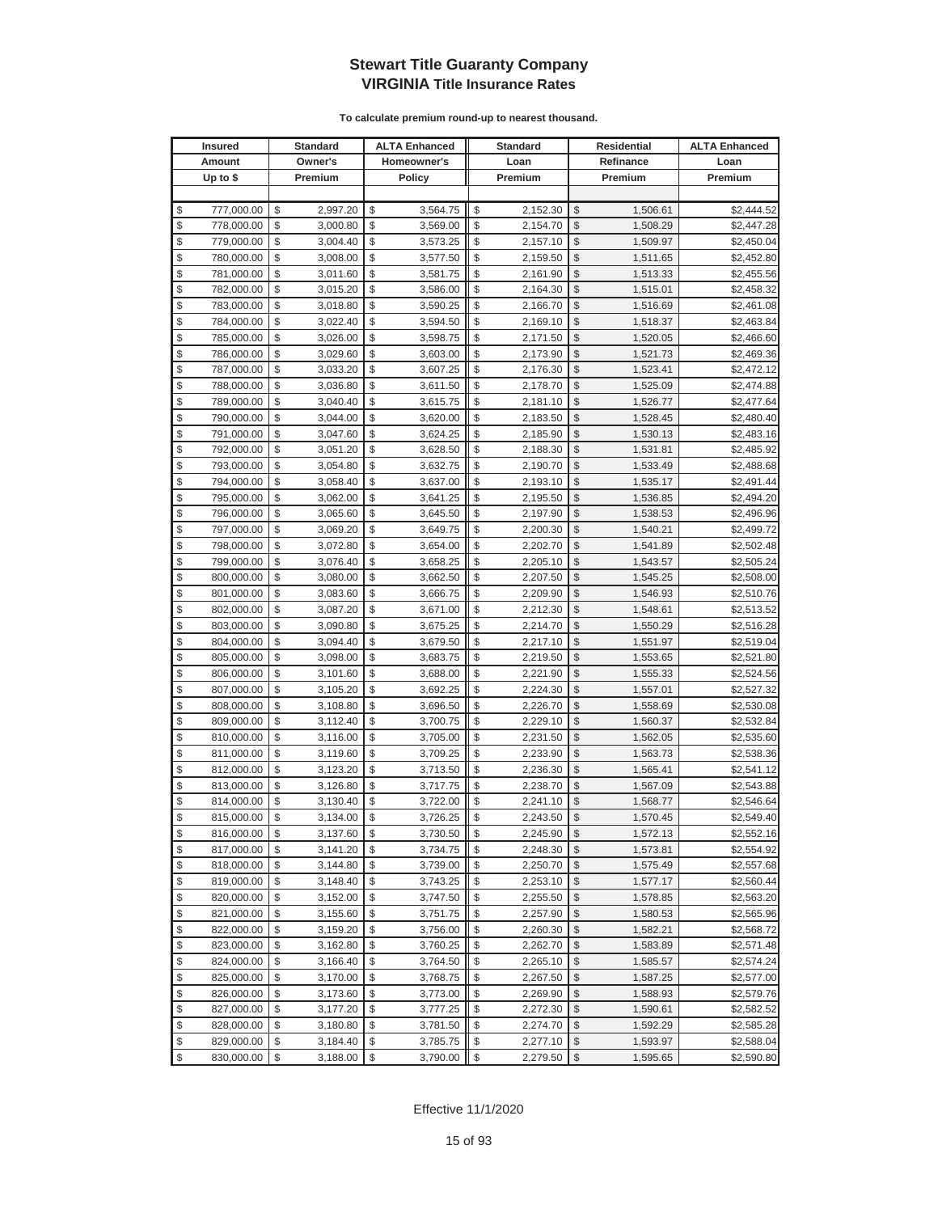| <b>Insured</b>   | <b>Standard</b> | <b>ALTA Enhanced</b> | <b>Standard</b> | <b>Residential</b> |           | <b>ALTA Enhanced</b> |
|------------------|-----------------|----------------------|-----------------|--------------------|-----------|----------------------|
| Amount           | Owner's         | Homeowner's          | Loan            |                    | Refinance | Loan                 |
| Up to $$$        | Premium         | <b>Policy</b>        | Premium         |                    | Premium   | Premium              |
|                  |                 |                      |                 |                    |           |                      |
| \$<br>777,000.00 | \$<br>2,997.20  | \$<br>3,564.75       | \$<br>2,152.30  | \$                 | 1,506.61  | \$2,444.52           |
| \$<br>778,000.00 | \$<br>3,000.80  | \$<br>3,569.00       | \$<br>2,154.70  | \$                 | 1,508.29  | \$2,447.28           |
| \$<br>779,000.00 | \$<br>3,004.40  | \$<br>3,573.25       | \$<br>2,157.10  | $\mathcal{S}$      | 1,509.97  | \$2,450.04           |
| \$<br>780,000.00 | \$<br>3,008.00  | \$<br>3,577.50       | \$<br>2,159.50  | \$                 | 1,511.65  | \$2,452.80           |
| \$<br>781,000.00 | \$<br>3,011.60  | \$<br>3,581.75       | \$<br>2,161.90  | \$                 | 1,513.33  | \$2,455.56           |
| \$<br>782,000.00 | \$<br>3,015.20  | \$<br>3,586.00       | \$<br>2,164.30  | \$                 | 1,515.01  | \$2,458.32           |
| \$<br>783,000.00 | \$<br>3,018.80  | \$<br>3,590.25       | \$<br>2,166.70  | \$                 | 1,516.69  | \$2,461.08           |
| \$<br>784,000.00 | \$<br>3,022.40  | \$<br>3,594.50       | \$<br>2,169.10  | \$                 | 1,518.37  | \$2,463.84           |
| \$<br>785,000.00 | \$<br>3,026.00  | \$<br>3,598.75       | \$<br>2,171.50  | \$                 | 1,520.05  | \$2,466.60           |
| \$<br>786,000.00 | \$<br>3,029.60  | \$<br>3,603.00       | \$<br>2,173.90  | \$                 | 1,521.73  | \$2,469.36           |
| \$<br>787,000.00 | \$<br>3,033.20  | \$<br>3,607.25       | \$<br>2,176.30  | $\frac{1}{2}$      | 1,523.41  | \$2,472.12           |
| \$<br>788,000.00 | \$<br>3,036.80  | \$<br>3,611.50       | \$<br>2,178.70  | \$                 | 1,525.09  | \$2,474.88           |
| \$<br>789,000.00 | \$<br>3,040.40  | \$<br>3,615.75       | \$<br>2,181.10  | \$                 | 1,526.77  | \$2,477.64           |
| \$<br>790,000.00 | \$<br>3,044.00  | \$<br>3,620.00       | \$<br>2,183.50  | \$                 | 1,528.45  | \$2,480.40           |
| \$<br>791,000.00 | \$<br>3,047.60  | \$<br>3,624.25       | \$<br>2,185.90  | \$                 | 1,530.13  | \$2,483.16           |
| \$<br>792,000.00 | \$<br>3,051.20  | \$<br>3,628.50       | \$<br>2,188.30  | \$                 | 1,531.81  | \$2,485.92           |
| \$<br>793,000.00 | \$<br>3,054.80  | \$<br>3,632.75       | \$<br>2,190.70  | \$                 | 1,533.49  | \$2,488.68           |
| \$<br>794,000.00 | \$<br>3,058.40  | \$<br>3,637.00       | \$<br>2,193.10  | \$                 | 1,535.17  | \$2,491.44           |
| \$<br>795,000.00 | \$<br>3,062.00  | \$<br>3,641.25       | \$<br>2,195.50  | $\mathcal{S}$      | 1,536.85  | \$2,494.20           |
| \$<br>796,000.00 | \$<br>3,065.60  | \$<br>3,645.50       | \$<br>2,197.90  | \$                 | 1,538.53  | \$2,496.96           |
| \$<br>797,000.00 | \$<br>3,069.20  | \$<br>3,649.75       | \$<br>2,200.30  | \$                 | 1,540.21  | \$2,499.72           |
| \$<br>798,000.00 | \$<br>3,072.80  | \$<br>3,654.00       | \$<br>2,202.70  | $\mathcal{S}$      | 1,541.89  | \$2,502.48           |
| \$<br>799,000.00 | \$<br>3,076.40  | \$<br>3,658.25       | \$<br>2,205.10  | \$                 | 1,543.57  | \$2,505.24           |
| \$<br>800,000.00 | \$<br>3,080.00  | \$<br>3,662.50       | \$<br>2,207.50  | \$                 | 1,545.25  | \$2,508.00           |
| \$<br>801,000.00 | \$<br>3,083.60  | \$<br>3,666.75       | \$<br>2,209.90  | \$                 | 1,546.93  | \$2,510.76           |
| \$<br>802,000.00 | \$<br>3,087.20  | \$<br>3,671.00       | \$<br>2,212.30  | \$                 | 1,548.61  | \$2,513.52           |
| \$<br>803,000.00 | \$<br>3,090.80  | \$<br>3,675.25       | \$<br>2,214.70  | \$                 | 1,550.29  | \$2,516.28           |
| \$<br>804,000.00 | \$<br>3,094.40  | \$<br>3,679.50       | \$<br>2,217.10  | \$                 | 1,551.97  | \$2,519.04           |
| \$<br>805,000.00 | \$<br>3,098.00  | \$<br>3,683.75       | \$<br>2,219.50  | \$                 | 1,553.65  | \$2,521.80           |
| \$<br>806,000.00 | \$<br>3,101.60  | \$<br>3,688.00       | \$<br>2,221.90  | \$                 | 1,555.33  | \$2,524.56           |
| \$<br>807,000.00 | \$<br>3,105.20  | \$<br>3,692.25       | \$<br>2,224.30  | \$                 | 1,557.01  | \$2,527.32           |
| \$<br>808,000.00 | \$<br>3,108.80  | \$<br>3,696.50       | \$<br>2,226.70  | \$                 | 1,558.69  | \$2,530.08           |
| \$<br>809,000.00 | \$<br>3,112.40  | \$<br>3,700.75       | \$<br>2,229.10  | \$                 | 1,560.37  | \$2,532.84           |
| \$<br>810,000.00 | \$<br>3,116.00  | \$<br>3,705.00       | \$<br>2,231.50  | \$                 | 1,562.05  | \$2,535.60           |
| \$<br>811,000.00 | \$<br>3,119.60  | \$<br>3,709.25       | \$<br>2,233.90  | \$                 | 1,563.73  | \$2,538.36           |
| \$<br>812,000.00 | \$<br>3,123.20  | \$<br>3,713.50       | \$<br>2,236.30  | \$                 | 1,565.41  | \$2,541.12           |
| \$<br>813,000.00 | \$<br>3,126.80  | \$<br>3,717.75       | \$<br>2,238.70  | \$                 | 1,567.09  | \$2,543.88           |
| \$<br>814,000.00 | \$<br>3,130.40  | \$<br>3,722.00       | \$<br>2,241.10  | \$                 | 1,568.77  | \$2,546.64           |
| \$<br>815,000.00 | \$<br>3,134.00  | \$<br>3,726.25       | \$<br>2,243.50  | $\mathbb{S}$       | 1,570.45  | \$2,549.40           |
| \$<br>816,000.00 | \$<br>3,137.60  | \$<br>3,730.50       | \$<br>2,245.90  | $\sqrt[6]{2}$      | 1,572.13  | \$2,552.16           |
| \$<br>817,000.00 | \$<br>3,141.20  | \$<br>3,734.75       | \$<br>2,248.30  | \$                 | 1,573.81  | \$2,554.92           |
| \$<br>818,000.00 | \$<br>3,144.80  | \$<br>3,739.00       | \$<br>2,250.70  | \$                 | 1,575.49  | \$2,557.68           |
| \$<br>819,000.00 | \$<br>3,148.40  | \$<br>3,743.25       | \$<br>2,253.10  | \$                 | 1,577.17  | \$2,560.44           |
| \$<br>820,000.00 | \$<br>3,152.00  | \$<br>3,747.50       | \$<br>2,255.50  | \$                 | 1,578.85  | \$2,563.20           |
| \$<br>821,000.00 | \$<br>3,155.60  | \$<br>3,751.75       | \$<br>2,257.90  | \$                 | 1,580.53  | \$2,565.96           |
| \$<br>822,000.00 | \$<br>3,159.20  | \$<br>3,756.00       | \$<br>2,260.30  | \$                 | 1,582.21  | \$2,568.72           |
| \$<br>823,000.00 | \$<br>3,162.80  | \$<br>3,760.25       | \$<br>2,262.70  | \$                 | 1,583.89  | \$2,571.48           |
| \$<br>824,000.00 | \$<br>3,166.40  | \$<br>3,764.50       | \$<br>2,265.10  | \$                 | 1,585.57  | \$2,574.24           |
| \$<br>825,000.00 | \$<br>3,170.00  | \$<br>3,768.75       | \$<br>2,267.50  | \$                 | 1,587.25  | \$2,577.00           |
| \$<br>826,000.00 | \$<br>3,173.60  | \$<br>3,773.00       | \$<br>2,269.90  | \$                 | 1,588.93  | \$2,579.76           |
| \$<br>827,000.00 | \$<br>3,177.20  | \$<br>3,777.25       | \$<br>2,272.30  | \$                 | 1,590.61  | \$2,582.52           |
| \$<br>828,000.00 | \$<br>3,180.80  | \$<br>3,781.50       | \$<br>2,274.70  | \$                 | 1,592.29  | \$2,585.28           |
| \$<br>829,000.00 | \$<br>3,184.40  | \$<br>3,785.75       | \$<br>2,277.10  | \$                 | 1,593.97  | \$2,588.04           |
| \$<br>830,000.00 | \$<br>3,188.00  | \$<br>3,790.00       | \$<br>2,279.50  | $\frac{1}{2}$      | 1,595.65  | \$2,590.80           |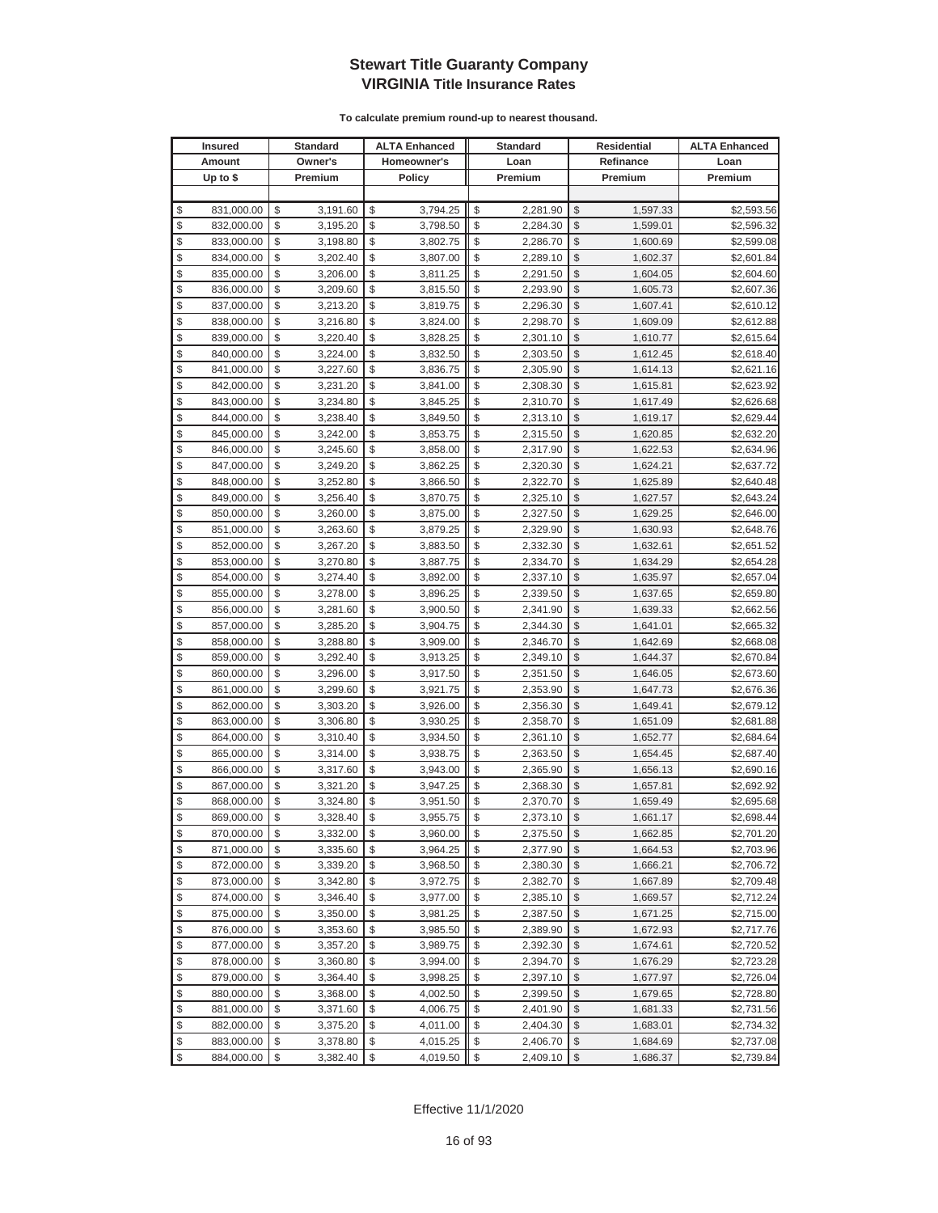| <b>Insured</b>   | <b>Standard</b> | <b>ALTA Enhanced</b> | <b>Standard</b> |               | <b>Residential</b> | <b>ALTA Enhanced</b> |
|------------------|-----------------|----------------------|-----------------|---------------|--------------------|----------------------|
| Amount           | Owner's         | Homeowner's          | Loan            |               | Refinance          | Loan                 |
| Up to $$$        | Premium         | <b>Policy</b>        | Premium         |               | Premium            | Premium              |
|                  |                 |                      |                 |               |                    |                      |
| \$<br>831,000.00 | \$<br>3,191.60  | \$<br>3,794.25       | \$<br>2,281.90  | \$            | 1,597.33           | \$2,593.56           |
| \$<br>832,000.00 | \$<br>3,195.20  | \$<br>3,798.50       | \$<br>2,284.30  | \$            | 1,599.01           | \$2,596.32           |
| \$<br>833,000.00 | \$<br>3,198.80  | \$<br>3,802.75       | \$<br>2,286.70  | $\mathcal{S}$ | 1,600.69           | \$2,599.08           |
| \$<br>834,000.00 | \$<br>3,202.40  | \$<br>3,807.00       | \$<br>2,289.10  | \$            | 1,602.37           | \$2,601.84           |
| \$<br>835,000.00 | \$<br>3,206.00  | \$<br>3,811.25       | \$<br>2,291.50  | \$            | 1,604.05           | \$2,604.60           |
| \$<br>836,000.00 | \$<br>3,209.60  | \$<br>3,815.50       | \$<br>2,293.90  | \$            | 1,605.73           | \$2,607.36           |
| \$<br>837,000.00 | \$<br>3,213.20  | \$<br>3,819.75       | \$<br>2,296.30  | \$            | 1,607.41           | \$2,610.12           |
| \$<br>838,000.00 | \$<br>3,216.80  | \$<br>3,824.00       | \$<br>2,298.70  | \$            | 1,609.09           | \$2,612.88           |
| \$<br>839,000.00 | \$<br>3,220.40  | \$<br>3,828.25       | \$<br>2,301.10  | \$            | 1,610.77           | \$2,615.64           |
| \$<br>840,000.00 | \$<br>3,224.00  | \$<br>3,832.50       | \$<br>2,303.50  | \$            | 1,612.45           | \$2,618.40           |
| \$<br>841,000.00 | \$<br>3,227.60  | \$<br>3,836.75       | \$<br>2,305.90  | \$            | 1,614.13           | \$2,621.16           |
| \$<br>842,000.00 | \$<br>3,231.20  | \$<br>3,841.00       | \$<br>2,308.30  | \$            | 1,615.81           | \$2,623.92           |
| \$<br>843,000.00 | \$<br>3,234.80  | \$<br>3,845.25       | \$<br>2,310.70  | \$            | 1,617.49           | \$2,626.68           |
| \$<br>844,000.00 | \$<br>3,238.40  | \$<br>3,849.50       | \$<br>2,313.10  | \$            | 1,619.17           | \$2,629.44           |
| \$<br>845,000.00 | \$<br>3,242.00  | \$<br>3,853.75       | \$<br>2,315.50  | \$            | 1,620.85           | \$2,632.20           |
| \$<br>846,000.00 | \$<br>3,245.60  | \$<br>3,858.00       | \$<br>2,317.90  | \$            | 1,622.53           | \$2,634.96           |
| \$<br>847,000.00 | \$<br>3,249.20  | \$<br>3,862.25       | \$<br>2,320.30  | \$            | 1,624.21           | \$2,637.72           |
| \$<br>848,000.00 | \$<br>3,252.80  | \$<br>3,866.50       | \$<br>2,322.70  | \$            | 1,625.89           | \$2,640.48           |
| \$<br>849,000.00 | \$<br>3,256.40  | \$<br>3,870.75       | \$<br>2,325.10  | $\mathcal{S}$ | 1,627.57           | \$2,643.24           |
| \$<br>850,000.00 | \$<br>3,260.00  | \$<br>3,875.00       | \$<br>2,327.50  | \$            | 1,629.25           | \$2,646.00           |
| \$<br>851,000.00 | \$<br>3,263.60  | \$<br>3,879.25       | \$<br>2,329.90  | \$            | 1,630.93           | \$2,648.76           |
| \$<br>852,000.00 | \$<br>3,267.20  | \$<br>3,883.50       | \$<br>2,332.30  | $\mathcal{S}$ | 1,632.61           | \$2,651.52           |
| \$<br>853,000.00 | \$<br>3,270.80  | \$<br>3,887.75       | \$<br>2,334.70  | \$            | 1,634.29           | \$2,654.28           |
| \$<br>854,000.00 | \$<br>3,274.40  | \$<br>3,892.00       | \$<br>2,337.10  | \$            | 1,635.97           | \$2,657.04           |
| \$<br>855,000.00 | \$<br>3,278.00  | \$<br>3,896.25       | \$<br>2,339.50  | \$            | 1,637.65           | \$2,659.80           |
| \$<br>856,000.00 | \$<br>3,281.60  | \$<br>3,900.50       | \$<br>2,341.90  | \$            | 1,639.33           | \$2,662.56           |
| \$<br>857,000.00 | \$<br>3,285.20  | \$<br>3,904.75       | \$<br>2,344.30  | \$            | 1,641.01           | \$2,665.32           |
| \$<br>858,000.00 | \$<br>3,288.80  | \$<br>3,909.00       | \$<br>2,346.70  | \$            | 1,642.69           | \$2,668.08           |
| \$<br>859,000.00 | \$<br>3,292.40  | \$<br>3,913.25       | \$<br>2,349.10  | \$            | 1,644.37           | \$2,670.84           |
| \$<br>860,000.00 | \$<br>3,296.00  | \$<br>3,917.50       | \$<br>2,351.50  | \$            | 1,646.05           | \$2,673.60           |
| \$<br>861,000.00 | \$<br>3,299.60  | \$<br>3,921.75       | \$<br>2,353.90  | \$            | 1,647.73           | \$2,676.36           |
| \$<br>862,000.00 | \$<br>3,303.20  | \$<br>3,926.00       | \$<br>2,356.30  | \$            | 1,649.41           | \$2,679.12           |
| \$<br>863,000.00 | \$<br>3,306.80  | \$<br>3,930.25       | \$<br>2,358.70  | \$            | 1,651.09           | \$2,681.88           |
| \$<br>864,000.00 | \$<br>3,310.40  | \$<br>3,934.50       | \$<br>2,361.10  | \$            | 1,652.77           | \$2,684.64           |
| \$<br>865,000.00 | \$<br>3,314.00  | \$<br>3,938.75       | \$<br>2,363.50  | \$            | 1,654.45           | \$2,687.40           |
| \$<br>866,000.00 | \$<br>3,317.60  | \$<br>3,943.00       | \$<br>2,365.90  | \$            | 1,656.13           | \$2,690.16           |
| \$<br>867,000.00 | \$<br>3,321.20  | \$<br>3,947.25       | \$<br>2,368.30  | \$            | 1,657.81           | \$2,692.92           |
| \$<br>868,000.00 | \$<br>3,324.80  | \$<br>3,951.50       | \$<br>2,370.70  | \$            | 1,659.49           | \$2,695.68           |
| \$<br>869,000.00 | \$<br>3,328.40  | \$<br>3,955.75       | \$<br>2,373.10  | $\mathbb{S}$  | 1,661.17           | \$2,698.44           |
| \$<br>870,000.00 | \$<br>3,332.00  | \$<br>3,960.00       | \$<br>2,375.50  | $\sqrt{2}$    | 1,662.85           | \$2,701.20           |
| \$<br>871,000.00 | \$<br>3,335.60  | \$<br>3,964.25       | \$<br>2,377.90  | \$            | 1,664.53           | \$2,703.96           |
| \$<br>872,000.00 | \$<br>3,339.20  | \$<br>3,968.50       | \$<br>2,380.30  | \$            | 1,666.21           | \$2,706.72           |
| \$<br>873,000.00 | \$<br>3,342.80  | \$<br>3,972.75       | \$<br>2,382.70  | \$            | 1,667.89           | \$2,709.48           |
| \$<br>874,000.00 | \$<br>3,346.40  | \$<br>3,977.00       | \$<br>2,385.10  | \$            | 1,669.57           | \$2,712.24           |
| \$<br>875,000.00 | \$<br>3,350.00  | \$<br>3,981.25       | \$<br>2,387.50  | \$            | 1,671.25           | \$2,715.00           |
| \$<br>876,000.00 | \$<br>3,353.60  | \$<br>3,985.50       | \$<br>2,389.90  | \$            | 1,672.93           | \$2,717.76           |
| \$<br>877,000.00 | \$<br>3,357.20  | \$<br>3,989.75       | \$<br>2,392.30  | \$            | 1,674.61           | \$2,720.52           |
| \$<br>878,000.00 | \$<br>3,360.80  | \$<br>3,994.00       | \$<br>2,394.70  | \$            | 1,676.29           | \$2,723.28           |
| \$<br>879,000.00 | \$<br>3,364.40  | \$<br>3,998.25       | \$<br>2,397.10  | \$            | 1,677.97           | \$2,726.04           |
| \$<br>880,000.00 | \$<br>3,368.00  | \$<br>4,002.50       | \$<br>2,399.50  | \$            | 1,679.65           | \$2,728.80           |
| \$<br>881,000.00 | \$<br>3,371.60  | \$<br>4,006.75       | \$<br>2,401.90  | \$            | 1,681.33           | \$2,731.56           |
| \$<br>882,000.00 | \$<br>3,375.20  | \$<br>4,011.00       | \$<br>2,404.30  | \$            | 1,683.01           | \$2,734.32           |
| \$<br>883,000.00 | \$<br>3,378.80  | \$<br>4,015.25       | \$<br>2,406.70  | \$            | 1,684.69           | \$2,737.08           |
| \$<br>884,000.00 | \$<br>3,382.40  | \$<br>4,019.50       | \$<br>2,409.10  | $\sqrt{2}$    | 1,686.37           | \$2,739.84           |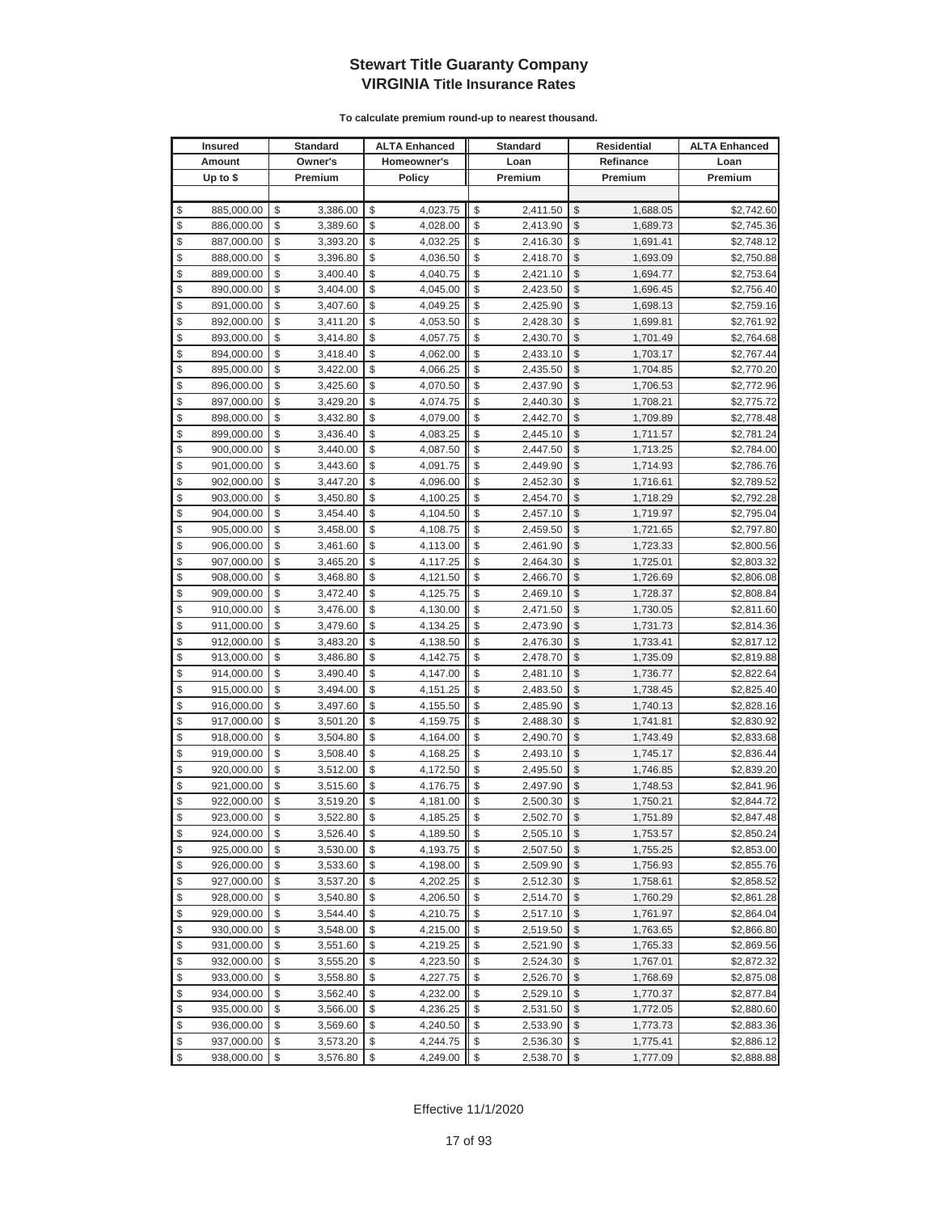|               | <b>Insured</b> | <b>Standard</b> | <b>ALTA Enhanced</b> | <b>Standard</b> | <b>Residential</b><br>Refinance |          | <b>ALTA Enhanced</b> |
|---------------|----------------|-----------------|----------------------|-----------------|---------------------------------|----------|----------------------|
|               | Amount         | Owner's         | Homeowner's          | Loan            |                                 |          | Loan                 |
|               | Up to $$$      | Premium         | <b>Policy</b>        | Premium         |                                 | Premium  | Premium              |
|               |                |                 |                      |                 |                                 |          |                      |
| \$            | 885,000.00     | \$<br>3,386.00  | \$<br>4,023.75       | \$<br>2,411.50  | \$                              | 1,688.05 | \$2,742.60           |
| \$            | 886,000.00     | \$<br>3,389.60  | \$<br>4,028.00       | \$<br>2,413.90  | \$                              | 1,689.73 | \$2,745.36           |
| \$            | 887,000.00     | \$<br>3,393.20  | \$<br>4,032.25       | \$<br>2,416.30  | \$                              | 1,691.41 | \$2,748.12           |
| \$            | 888,000.00     | \$<br>3,396.80  | \$<br>4,036.50       | \$<br>2,418.70  | \$                              | 1,693.09 | \$2,750.88           |
| \$            | 889,000.00     | \$<br>3,400.40  | \$<br>4,040.75       | \$<br>2,421.10  | \$                              | 1,694.77 | \$2,753.64           |
| \$            | 890,000.00     | \$<br>3,404.00  | \$<br>4,045.00       | \$<br>2,423.50  | \$                              | 1,696.45 | \$2,756.40           |
| \$            | 891,000.00     | \$<br>3,407.60  | \$<br>4,049.25       | \$<br>2,425.90  | \$                              | 1,698.13 | \$2,759.16           |
| \$            | 892,000.00     | \$<br>3,411.20  | \$<br>4,053.50       | \$<br>2,428.30  | \$                              | 1,699.81 | \$2,761.92           |
| \$            | 893,000.00     | \$<br>3,414.80  | \$<br>4,057.75       | \$<br>2,430.70  | \$                              | 1,701.49 | \$2,764.68           |
| \$            | 894,000.00     | \$<br>3,418.40  | \$<br>4,062.00       | \$<br>2,433.10  | \$                              | 1,703.17 | \$2,767.44           |
| \$            | 895,000.00     | \$<br>3,422.00  | \$<br>4,066.25       | \$<br>2,435.50  | \$                              | 1,704.85 | \$2,770.20           |
| \$            | 896,000.00     | \$<br>3,425.60  | \$<br>4,070.50       | \$<br>2,437.90  | \$                              | 1,706.53 | \$2,772.96           |
| \$            | 897,000.00     | \$<br>3,429.20  | \$<br>4,074.75       | \$<br>2,440.30  | \$                              | 1,708.21 | \$2,775.72           |
| \$            | 898,000.00     | \$<br>3,432.80  | \$<br>4,079.00       | \$<br>2,442.70  | \$                              | 1,709.89 | \$2,778.48           |
| \$            | 899,000.00     | \$<br>3,436.40  | \$<br>4,083.25       | \$<br>2,445.10  | \$                              | 1,711.57 | \$2,781.24           |
| \$            | 900,000.00     | \$<br>3,440.00  | \$<br>4,087.50       | \$<br>2,447.50  | \$                              | 1,713.25 | \$2,784.00           |
| \$            | 901,000.00     | \$<br>3,443.60  | \$<br>4,091.75       | \$<br>2,449.90  | \$                              | 1,714.93 | \$2,786.76           |
| \$            | 902,000.00     | \$<br>3,447.20  | \$<br>4,096.00       | \$<br>2,452.30  | \$                              | 1,716.61 | \$2,789.52           |
| \$            | 903,000.00     | \$<br>3,450.80  | \$<br>4,100.25       | \$<br>2,454.70  | \$                              | 1,718.29 | \$2,792.28           |
| \$            | 904,000.00     | \$<br>3,454.40  | \$<br>4,104.50       | \$<br>2,457.10  | \$                              | 1,719.97 | \$2,795.04           |
| \$            | 905,000.00     | \$<br>3,458.00  | \$<br>4,108.75       | \$<br>2,459.50  | \$                              | 1,721.65 | \$2,797.80           |
| \$            | 906,000.00     | \$<br>3,461.60  | \$<br>4,113.00       | \$<br>2,461.90  | \$                              | 1,723.33 | \$2,800.56           |
| \$            | 907,000.00     | \$<br>3,465.20  | \$<br>4,117.25       | \$<br>2,464.30  | \$                              | 1,725.01 | \$2,803.32           |
| \$            | 908,000.00     | \$<br>3,468.80  | \$<br>4,121.50       | \$<br>2,466.70  | \$                              | 1,726.69 | \$2,806.08           |
| \$            | 909,000.00     | \$<br>3,472.40  | \$<br>4,125.75       | \$<br>2,469.10  | \$                              | 1,728.37 | \$2,808.84           |
| \$            | 910,000.00     | \$<br>3,476.00  | \$<br>4,130.00       | \$<br>2,471.50  | \$                              | 1,730.05 | \$2,811.60           |
| \$            | 911,000.00     | \$<br>3,479.60  | \$<br>4,134.25       | \$<br>2,473.90  | \$                              | 1,731.73 | \$2,814.36           |
| \$            | 912,000.00     | \$<br>3,483.20  | \$<br>4,138.50       | \$<br>2,476.30  | \$                              | 1,733.41 | \$2,817.12           |
| \$            | 913,000.00     | \$<br>3,486.80  | \$<br>4,142.75       | \$<br>2,478.70  | \$                              | 1,735.09 | \$2,819.88           |
| \$            | 914,000.00     | \$<br>3,490.40  | \$<br>4,147.00       | \$<br>2,481.10  | \$                              | 1,736.77 | \$2,822.64           |
| \$            | 915,000.00     | \$<br>3,494.00  | \$<br>4,151.25       | \$<br>2,483.50  | \$                              | 1,738.45 | \$2,825.40           |
| \$            | 916,000.00     | \$<br>3,497.60  | \$<br>4,155.50       | \$<br>2,485.90  | \$                              | 1,740.13 | \$2,828.16           |
| \$            | 917,000.00     | \$<br>3,501.20  | \$<br>4,159.75       | \$<br>2,488.30  | \$                              | 1,741.81 | \$2,830.92           |
| \$            | 918,000.00     | \$<br>3,504.80  | \$<br>4,164.00       | \$<br>2,490.70  | \$                              | 1,743.49 | \$2,833.68           |
| \$            | 919,000.00     | \$<br>3,508.40  | \$<br>4,168.25       | \$<br>2,493.10  | \$                              | 1,745.17 | \$2,836.44           |
| \$            | 920,000.00     | \$<br>3,512.00  | \$<br>4,172.50       | \$<br>2,495.50  | \$                              | 1,746.85 | \$2,839.20           |
| \$            | 921,000.00     | \$<br>3,515.60  | \$<br>4,176.75       | \$<br>2,497.90  | \$                              | 1,748.53 | \$2,841.96           |
| \$            | 922,000.00     | \$<br>3,519.20  | \$<br>4,181.00       | \$<br>2,500.30  | \$                              | 1,750.21 | \$2,844.72           |
| $\mathcal{S}$ | 923,000.00     | \$<br>3.522.80  | \$<br>4.185.25       | \$<br>2,502.70  | \$                              | 1,751.89 | \$2,847.48           |
| \$            | 924,000.00     | \$<br>3,526.40  | \$<br>4,189.50       | \$<br>2,505.10  | \$                              | 1,753.57 | \$2,850.24           |
| \$            | 925,000.00     | \$<br>3,530.00  | \$<br>4,193.75       | \$<br>2,507.50  | \$                              | 1,755.25 | \$2,853.00           |
| \$            | 926,000.00     | \$<br>3,533.60  | \$<br>4,198.00       | \$<br>2,509.90  | \$                              | 1,756.93 | \$2,855.76           |
| \$            | 927,000.00     | \$<br>3,537.20  | \$<br>4,202.25       | \$<br>2,512.30  | \$                              | 1,758.61 | \$2,858.52           |
| \$            | 928,000.00     | \$<br>3,540.80  | \$<br>4,206.50       | \$<br>2,514.70  | \$                              | 1,760.29 | \$2,861.28           |
| \$            | 929,000.00     | \$<br>3,544.40  | \$<br>4,210.75       | \$<br>2,517.10  | \$                              | 1,761.97 | \$2,864.04           |
| \$            | 930,000.00     | \$<br>3,548.00  | \$<br>4,215.00       | \$<br>2,519.50  | \$                              | 1,763.65 | \$2,866.80           |
| \$            | 931,000.00     | \$<br>3,551.60  | \$<br>4,219.25       | \$<br>2,521.90  | \$                              | 1,765.33 | \$2,869.56           |
| \$            | 932,000.00     | \$<br>3,555.20  | \$<br>4,223.50       | \$<br>2,524.30  | \$                              | 1,767.01 | \$2,872.32           |
| \$            | 933,000.00     | \$<br>3,558.80  | \$<br>4,227.75       | \$<br>2,526.70  | \$                              | 1,768.69 | \$2,875.08           |
| \$            | 934,000.00     | \$<br>3,562.40  | \$<br>4,232.00       | \$<br>2,529.10  | \$                              | 1,770.37 | \$2,877.84           |
| \$            | 935,000.00     | \$<br>3,566.00  | \$<br>4,236.25       | \$<br>2,531.50  | \$                              | 1,772.05 | \$2,880.60           |
| \$            | 936,000.00     | \$<br>3,569.60  | \$<br>4,240.50       | \$<br>2,533.90  | \$                              | 1,773.73 | \$2,883.36           |
| \$            | 937,000.00     | \$<br>3,573.20  | \$<br>4,244.75       | \$<br>2,536.30  | \$                              | 1,775.41 | \$2,886.12           |
| \$            | 938,000.00     | \$<br>3,576.80  | \$<br>4,249.00       | \$<br>2,538.70  | \$                              | 1,777.09 | \$2,888.88           |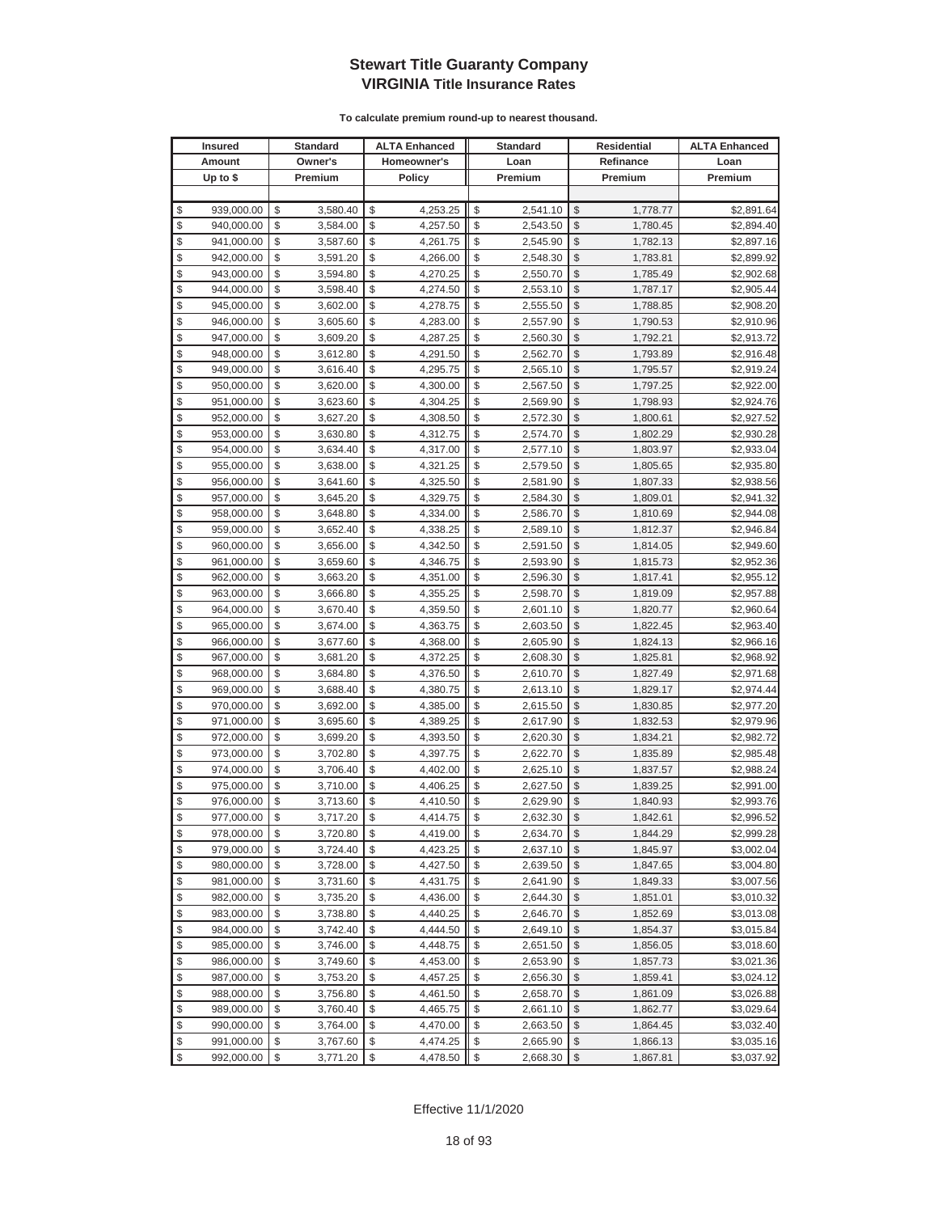|          | <b>Insured</b>           |          | <b>Standard</b>      |          | <b>ALTA Enhanced</b> |          | <b>Standard</b>      |                                | Residential          | <b>ALTA Enhanced</b>     |
|----------|--------------------------|----------|----------------------|----------|----------------------|----------|----------------------|--------------------------------|----------------------|--------------------------|
|          | Amount                   |          | Owner's              |          | Homeowner's          |          | Loan                 |                                | Refinance            | Loan                     |
|          | Up to $$$                |          | Premium              |          | <b>Policy</b>        |          | Premium              |                                | Premium              | Premium                  |
|          |                          |          |                      |          |                      |          |                      |                                |                      |                          |
| \$       | 939,000.00               | \$       | 3,580.40             | \$       | 4,253.25             | \$       | 2,541.10             | \$                             | 1,778.77             | \$2,891.64               |
| \$       | 940,000.00               | \$       | 3,584.00             | \$       | 4,257.50             | \$       | 2,543.50             | \$                             | 1,780.45             | \$2,894.40               |
| \$       | 941,000.00               | \$       | 3,587.60             | \$       | 4,261.75             | \$       | 2,545.90             | \$                             | 1,782.13             | \$2,897.16               |
| \$       | 942,000.00               | \$       | 3,591.20             | \$       | 4,266.00             | \$       | 2,548.30             | \$                             | 1,783.81             | \$2,899.92               |
| \$       | 943,000.00               | \$       | 3,594.80             | \$       | 4,270.25             | \$       | 2,550.70             | \$                             | 1,785.49             | \$2,902.68               |
| \$       | 944,000.00               | \$       | 3,598.40             | \$       | 4,274.50             | \$       | 2,553.10             | \$                             | 1,787.17             | \$2,905.44               |
| \$       | 945,000.00               | \$       | 3,602.00             | \$       | 4,278.75             | \$       | 2,555.50             | \$                             | 1,788.85             | \$2,908.20               |
| \$       | 946,000.00               | \$       | 3,605.60             | \$       | 4,283.00             | \$       | 2,557.90             | \$                             | 1,790.53             | \$2,910.96               |
| \$       | 947,000.00               | \$       | 3,609.20             | \$       | 4,287.25             | \$       | 2,560.30             | \$                             | 1,792.21             | \$2,913.72               |
| \$       | 948,000.00               | \$       | 3,612.80             | \$       | 4,291.50             | \$       | 2,562.70             | \$                             | 1,793.89             | \$2,916.48               |
| \$       | 949,000.00               | \$       | 3,616.40             | \$       | 4,295.75             | \$       | 2,565.10             | \$                             | 1,795.57             | \$2,919.24               |
| \$       | 950,000.00               | \$       | 3,620.00             | \$       | 4,300.00             | \$       | 2,567.50             | \$                             | 1,797.25             | \$2,922.00               |
| \$       | 951,000.00               | \$       | 3,623.60             | \$       | 4,304.25             | \$       | 2,569.90             | \$                             | 1,798.93             | \$2,924.76               |
| \$       | 952,000.00               | \$       | 3,627.20             | \$       | 4,308.50             | \$       | 2,572.30             | \$                             | 1,800.61             | \$2,927.52               |
| \$       | 953,000.00               | \$       | 3,630.80             | \$       | 4,312.75             | \$       | 2,574.70             | \$                             | 1,802.29             | \$2,930.28               |
| \$       | 954,000.00               | \$       | 3,634.40             | \$       | 4,317.00             | \$       | 2,577.10             | \$                             | 1,803.97             | \$2,933.04               |
| \$       | 955,000.00               | \$       | 3,638.00             | \$       | 4,321.25             | \$       | 2,579.50             | \$                             | 1,805.65             | \$2,935.80               |
| \$       | 956,000.00               | \$       | 3,641.60             | \$       | 4,325.50             | \$       | 2,581.90             | \$                             | 1,807.33             | \$2,938.56               |
| \$       | 957,000.00               | \$       | 3,645.20             | \$       | 4,329.75             | \$       | 2,584.30             | \$                             | 1,809.01             | \$2,941.32               |
| \$       | 958,000.00               | \$       | 3,648.80             | \$       | 4,334.00             | \$       | 2,586.70             | \$                             | 1,810.69             | \$2,944.08               |
| \$       | 959,000.00               | \$       | 3,652.40             | \$       | 4,338.25             | \$       | 2,589.10             | \$                             | 1,812.37             | \$2,946.84               |
| \$       | 960,000.00               | \$       | 3,656.00             | \$       | 4,342.50             | \$       | 2,591.50             | \$                             | 1,814.05             | \$2,949.60               |
| \$       | 961,000.00               | \$       | 3,659.60             | \$       | 4,346.75             | \$       | 2,593.90             | \$                             | 1,815.73             | \$2,952.36               |
| \$       | 962,000.00               | \$       | 3,663.20             | \$       | 4,351.00             | \$       | 2,596.30             | \$                             | 1,817.41             | \$2,955.12               |
| \$       | 963,000.00               | \$       | 3,666.80             | \$       | 4,355.25             | \$       | 2,598.70             | \$                             | 1,819.09             | \$2,957.88               |
| \$       | 964,000.00               | \$       | 3,670.40             | \$       | 4,359.50             | \$       | 2,601.10             | \$                             | 1,820.77             | \$2,960.64               |
| \$       | 965,000.00               | \$       | 3,674.00             | \$       | 4,363.75             | \$       | 2,603.50             | \$                             | 1,822.45             | \$2,963.40               |
| \$       | 966,000.00               | \$       | 3,677.60             | \$       | 4,368.00             | \$       | 2,605.90             | \$                             | 1,824.13             | \$2,966.16               |
| \$       | 967,000.00               | \$       | 3,681.20             | \$       | 4,372.25             | \$       | 2,608.30             | \$                             | 1,825.81             | \$2,968.92               |
| \$       | 968,000.00               | \$       | 3,684.80             | \$       | 4,376.50             | \$       | 2,610.70             | \$                             | 1,827.49             | \$2,971.68               |
| \$       | 969,000.00               | \$       | 3,688.40             | \$       | 4,380.75             | \$       | 2,613.10             | \$                             | 1,829.17             | \$2,974.44               |
| \$       | 970,000.00               | \$       | 3,692.00             | \$       | 4,385.00             | \$       | 2,615.50             | \$                             | 1,830.85             | \$2,977.20               |
| \$       | 971,000.00               | \$       | 3,695.60             | \$       | 4,389.25             | \$       | 2,617.90             | \$                             | 1,832.53             | \$2,979.96               |
| \$       | 972,000.00               | \$       | 3,699.20             | \$       | 4,393.50             | \$       | 2,620.30             | \$                             | 1,834.21             | \$2,982.72               |
| \$       | 973,000.00               | \$       | 3,702.80             | \$       | 4,397.75             | \$       | 2,622.70             | \$                             | 1,835.89             | \$2,985.48               |
| \$       | 974,000.00               | \$       | 3,706.40             | \$       | 4,402.00             | \$       | 2,625.10             | \$                             | 1,837.57             | \$2,988.24               |
| \$       | 975,000.00               | \$       | 3,710.00             | \$       | 4,406.25             | \$       | 2,627.50             | \$                             | 1,839.25             | \$2,991.00               |
| \$       | 976,000.00               | \$       | 3,713.60             | \$       | 4,410.50             | \$       | 2,629.90             | \$                             | 1,840.93             | \$2,993.76               |
| \$       | 977,000.00               | \$       | 3,717.20             | \$       | 4,414.75             | \$       | 2,632.30             | \$                             | 1,842.61             | \$2,996.52               |
| \$       | 978,000.00               | \$       | 3,720.80             | \$<br>\$ | 4,419.00<br>4,423.25 | \$<br>\$ | 2,634.70             | $\sqrt[6]{3}$<br>$\mathcal{S}$ | 1,844.29             | \$2,999.28               |
| \$       | 979,000.00               | \$       | 3,724.40             |          |                      |          | 2,637.10             |                                | 1,845.97             | \$3,002.04               |
| \$<br>\$ | 980,000.00<br>981,000.00 | \$<br>\$ | 3,728.00             | \$<br>\$ | 4,427.50<br>4,431.75 | \$<br>\$ | 2,639.50<br>2,641.90 | $\frac{1}{2}$<br>\$            | 1,847.65             | \$3,004.80               |
| \$       |                          | \$       | 3,731.60             | \$       |                      | \$       |                      |                                | 1,849.33<br>1,851.01 | \$3,007.56               |
| \$       | 982,000.00<br>983,000.00 | \$       | 3,735.20<br>3,738.80 | \$       | 4,436.00<br>4,440.25 | \$       | 2,644.30<br>2,646.70 | \$<br>\$                       | 1,852.69             | \$3,010.32<br>\$3,013.08 |
| \$       | 984,000.00               | \$       |                      | \$       | 4,444.50             | \$       |                      | \$                             |                      |                          |
| \$       | 985,000.00               | \$       | 3,742.40<br>3,746.00 | \$       | 4,448.75             | \$       | 2,649.10<br>2,651.50 | \$                             | 1,854.37<br>1,856.05 | \$3,015.84<br>\$3,018.60 |
| \$       |                          | \$       |                      | \$       |                      | \$       |                      | \$                             |                      |                          |
| \$       | 986,000.00<br>987,000.00 | \$       | 3,749.60<br>3,753.20 | \$       | 4,453.00<br>4,457.25 | \$       | 2,653.90<br>2,656.30 | \$                             | 1,857.73<br>1,859.41 | \$3,021.36<br>\$3,024.12 |
| \$       | 988,000.00               | \$       | 3,756.80             | \$       | 4,461.50             | \$       | 2,658.70             | \$                             | 1,861.09             | \$3,026.88               |
| \$       | 989,000.00               | \$       | 3,760.40             | \$       | 4,465.75             | \$       | 2,661.10             | \$                             | 1,862.77             | \$3,029.64               |
| \$       | 990,000.00               | \$       | 3,764.00             | \$       | 4,470.00             | \$       | 2,663.50             | \$                             | 1,864.45             | \$3,032.40               |
| \$       | 991,000.00               | \$       | 3,767.60             | \$       | 4,474.25             | \$       | 2,665.90             | \$                             | 1,866.13             | \$3,035.16               |
| $\$\$    | 992,000.00               | \$       | 3,771.20             | \$       | 4,478.50             | \$       | 2,668.30             | $\frac{1}{2}$                  | 1,867.81             | \$3,037.92               |
|          |                          |          |                      |          |                      |          |                      |                                |                      |                          |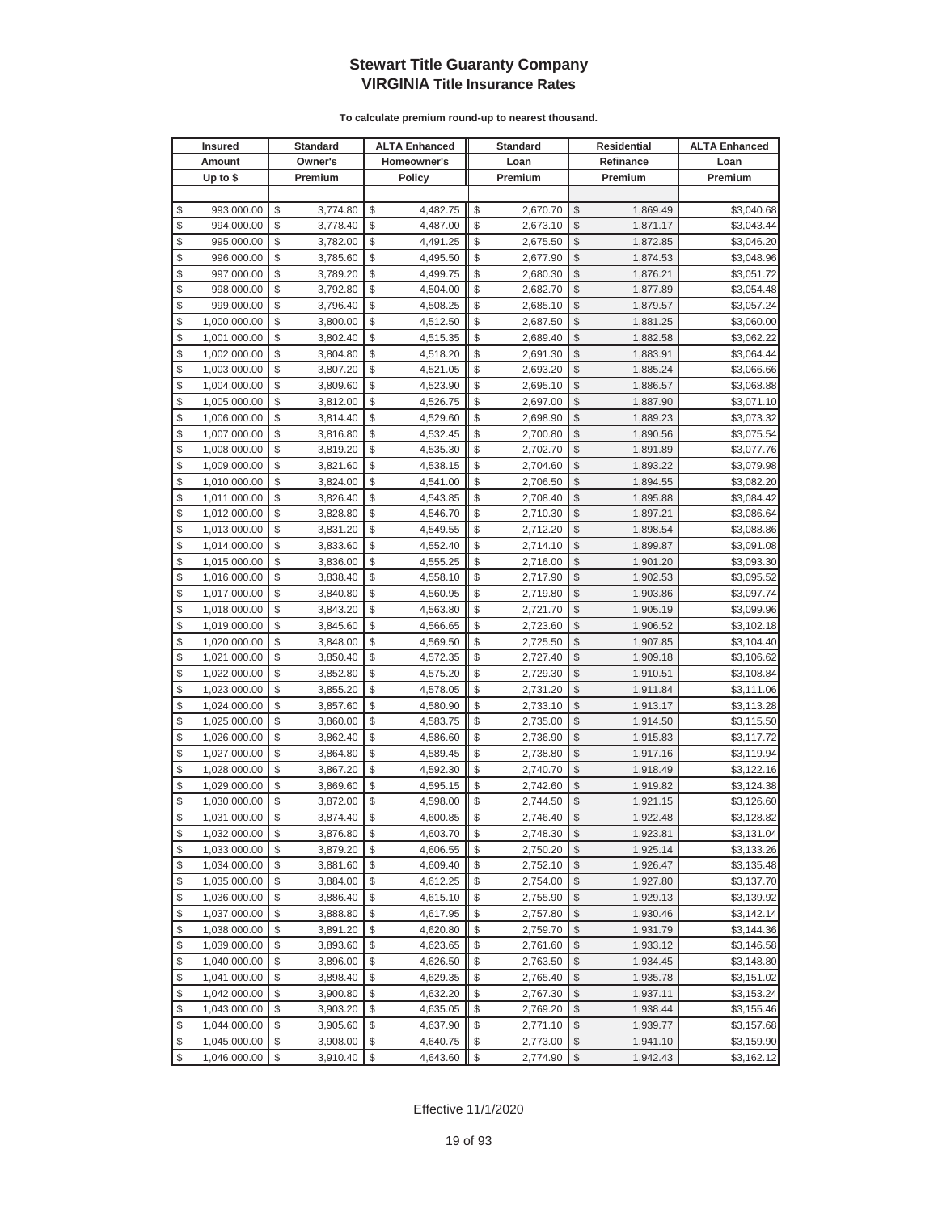| <b>Insured</b>     | <b>Standard</b> | <b>ALTA Enhanced</b> | <b>Standard</b> | Residential<br>Refinance |          | <b>ALTA Enhanced</b> |
|--------------------|-----------------|----------------------|-----------------|--------------------------|----------|----------------------|
| Amount             | Owner's         | Homeowner's          | Loan            |                          |          | Loan                 |
| Up to $$$          | Premium         | <b>Policy</b>        | Premium         |                          | Premium  | Premium              |
|                    |                 |                      |                 |                          |          |                      |
| \$<br>993,000.00   | \$<br>3,774.80  | \$<br>4,482.75       | \$<br>2,670.70  | \$                       | 1,869.49 | \$3,040.68           |
| \$<br>994,000.00   | \$<br>3,778.40  | \$<br>4,487.00       | \$<br>2,673.10  | \$                       | 1,871.17 | \$3,043.44           |
| \$<br>995,000.00   | \$<br>3,782.00  | \$<br>4,491.25       | \$<br>2,675.50  | \$                       | 1,872.85 | \$3,046.20           |
| \$<br>996,000.00   | \$<br>3,785.60  | \$<br>4,495.50       | \$<br>2,677.90  | \$                       | 1,874.53 | \$3,048.96           |
| \$<br>997,000.00   | \$<br>3,789.20  | \$<br>4,499.75       | \$<br>2,680.30  | \$                       | 1,876.21 | \$3,051.72           |
| \$<br>998,000.00   | \$<br>3,792.80  | \$<br>4,504.00       | \$<br>2,682.70  | \$                       | 1,877.89 | \$3,054.48           |
| \$<br>999,000.00   | \$<br>3,796.40  | \$<br>4,508.25       | \$<br>2,685.10  | \$                       | 1,879.57 | \$3,057.24           |
| \$<br>1,000,000.00 | \$<br>3,800.00  | \$<br>4,512.50       | \$<br>2,687.50  | \$                       | 1,881.25 | \$3,060.00           |
| \$<br>1,001,000.00 | \$<br>3,802.40  | \$<br>4,515.35       | \$<br>2,689.40  | \$                       | 1,882.58 | \$3,062.22           |
| \$<br>1,002,000.00 | \$<br>3,804.80  | \$<br>4,518.20       | \$<br>2,691.30  | \$                       | 1,883.91 | \$3,064.44           |
| \$<br>1,003,000.00 | \$<br>3,807.20  | \$<br>4,521.05       | \$<br>2,693.20  | $\frac{1}{2}$            | 1,885.24 | \$3,066.66           |
| \$<br>1,004,000.00 | \$<br>3,809.60  | \$<br>4,523.90       | \$<br>2,695.10  | \$                       | 1,886.57 | \$3,068.88           |
| \$<br>1,005,000.00 | \$<br>3,812.00  | \$<br>4,526.75       | \$<br>2,697.00  | \$                       | 1,887.90 | \$3,071.10           |
| \$<br>1,006,000.00 | \$<br>3,814.40  | \$<br>4,529.60       | \$<br>2,698.90  | \$                       | 1,889.23 | \$3,073.32           |
| \$<br>1,007,000.00 | \$<br>3,816.80  | \$<br>4,532.45       | \$<br>2,700.80  | \$                       | 1,890.56 | \$3,075.54           |
| \$<br>1,008,000.00 | \$<br>3,819.20  | \$<br>4,535.30       | \$<br>2,702.70  | \$                       | 1,891.89 | \$3,077.76           |
| \$<br>1,009,000.00 | \$<br>3,821.60  | \$<br>4,538.15       | \$<br>2,704.60  | \$                       | 1,893.22 | \$3,079.98           |
| \$<br>1,010,000.00 | \$<br>3,824.00  | \$<br>4,541.00       | \$<br>2,706.50  | \$                       | 1,894.55 | \$3,082.20           |
| \$<br>1,011,000.00 | \$<br>3,826.40  | \$<br>4,543.85       | \$<br>2,708.40  | \$                       | 1,895.88 | \$3,084.42           |
| \$<br>1,012,000.00 | \$<br>3,828.80  | \$<br>4,546.70       | \$<br>2,710.30  | \$                       | 1,897.21 | \$3,086.64           |
| \$<br>1,013,000.00 | \$<br>3,831.20  | \$<br>4,549.55       | \$<br>2,712.20  | \$                       | 1,898.54 | \$3,088.86           |
| \$<br>1,014,000.00 | \$<br>3,833.60  | \$<br>4,552.40       | \$<br>2,714.10  | \$                       | 1,899.87 | \$3,091.08           |
| \$<br>1,015,000.00 | \$<br>3,836.00  | \$<br>4,555.25       | \$<br>2,716.00  | \$                       | 1,901.20 | \$3,093.30           |
| \$<br>1,016,000.00 | \$<br>3,838.40  | \$<br>4,558.10       | \$<br>2,717.90  | \$                       | 1,902.53 | \$3,095.52           |
| \$<br>1,017,000.00 | \$<br>3,840.80  | \$<br>4,560.95       | \$<br>2,719.80  | \$                       | 1,903.86 | \$3,097.74           |
| \$<br>1,018,000.00 | \$<br>3,843.20  | \$<br>4,563.80       | \$<br>2,721.70  | \$                       | 1,905.19 | \$3,099.96           |
| \$<br>1,019,000.00 | \$<br>3,845.60  | \$<br>4,566.65       | \$<br>2,723.60  | \$                       | 1,906.52 | \$3,102.18           |
| \$<br>1,020,000.00 | \$<br>3,848.00  | \$<br>4,569.50       | \$<br>2,725.50  | \$                       | 1,907.85 | \$3,104.40           |
| \$<br>1,021,000.00 | \$<br>3,850.40  | \$<br>4,572.35       | \$<br>2,727.40  | \$                       | 1,909.18 | \$3,106.62           |
| \$<br>1,022,000.00 | \$<br>3,852.80  | \$<br>4,575.20       | \$<br>2,729.30  | \$                       | 1,910.51 | \$3,108.84           |
| \$<br>1,023,000.00 | \$<br>3,855.20  | \$<br>4,578.05       | \$<br>2,731.20  | \$                       | 1,911.84 | \$3,111.06           |
| \$<br>1,024,000.00 | \$<br>3,857.60  | \$<br>4,580.90       | \$<br>2,733.10  | \$                       | 1,913.17 | \$3,113.28           |
| \$<br>1,025,000.00 | \$<br>3,860.00  | \$<br>4,583.75       | \$<br>2,735.00  | \$                       | 1,914.50 | \$3,115.50           |
| \$<br>1,026,000.00 | \$<br>3,862.40  | \$<br>4,586.60       | \$<br>2,736.90  | \$                       | 1,915.83 | \$3,117.72           |
| \$<br>1,027,000.00 | \$<br>3,864.80  | \$<br>4,589.45       | \$<br>2,738.80  | \$                       | 1,917.16 | \$3,119.94           |
| \$<br>1,028,000.00 | \$<br>3,867.20  | \$<br>4,592.30       | \$<br>2,740.70  | \$                       | 1,918.49 | \$3,122.16           |
| \$<br>1,029,000.00 | \$<br>3,869.60  | \$<br>4,595.15       | \$<br>2,742.60  | \$                       | 1,919.82 | \$3,124.38           |
| \$<br>1,030,000.00 | \$<br>3,872.00  | \$<br>4,598.00       | \$<br>2,744.50  | \$                       | 1,921.15 | \$3,126.60           |
| \$<br>1,031,000.00 | \$<br>3,874.40  | \$<br>4,600.85       | \$<br>2,746.40  | \$                       | 1,922.48 | \$3,128.82           |
| \$<br>1,032,000.00 | \$<br>3,876.80  | \$<br>4,603.70       | \$<br>2,748.30  | \$                       | 1,923.81 | \$3,131.04           |
| \$<br>1,033,000.00 | \$<br>3,879.20  | \$<br>4,606.55       | 2,750.20        | \$                       | 1,925.14 | \$3,133.26           |
| \$<br>1,034,000.00 | \$<br>3,881.60  | \$<br>4,609.40       | \$<br>2,752.10  | \$                       | 1,926.47 | \$3,135.48           |
| \$<br>1,035,000.00 | \$<br>3,884.00  | \$<br>4,612.25       | \$<br>2,754.00  | \$                       | 1,927.80 | \$3,137.70           |
| \$<br>1,036,000.00 | \$<br>3,886.40  | \$<br>4,615.10       | \$<br>2,755.90  | \$                       | 1,929.13 | \$3,139.92           |
| \$<br>1,037,000.00 | \$<br>3,888.80  | \$<br>4,617.95       | \$<br>2,757.80  | \$                       | 1,930.46 | \$3,142.14           |
| \$<br>1,038,000.00 | \$<br>3,891.20  | \$<br>4,620.80       | \$<br>2,759.70  | \$                       | 1,931.79 | \$3,144.36           |
| \$<br>1,039,000.00 | \$<br>3,893.60  | \$<br>4,623.65       | \$<br>2,761.60  | \$                       | 1,933.12 | \$3,146.58           |
| \$<br>1,040,000.00 | \$<br>3,896.00  | \$<br>4,626.50       | \$<br>2,763.50  | \$                       | 1,934.45 | \$3,148.80           |
| \$<br>1,041,000.00 | \$<br>3,898.40  | \$<br>4,629.35       | \$<br>2,765.40  | \$                       | 1,935.78 | \$3,151.02           |
| \$<br>1,042,000.00 | \$<br>3,900.80  | \$<br>4,632.20       | \$<br>2,767.30  | \$                       | 1,937.11 | \$3,153.24           |
| \$<br>1,043,000.00 | \$<br>3,903.20  | \$<br>4,635.05       | \$<br>2,769.20  | \$                       | 1,938.44 | \$3,155.46           |
| \$<br>1,044,000.00 | \$<br>3,905.60  | \$<br>4,637.90       | \$<br>2,771.10  | \$                       | 1,939.77 | \$3,157.68           |
| \$<br>1,045,000.00 | \$<br>3,908.00  | \$<br>4,640.75       | \$<br>2,773.00  | \$                       | 1,941.10 | \$3,159.90           |
| \$<br>1,046,000.00 | \$<br>3,910.40  | \$<br>4,643.60       | \$<br>2,774.90  | $\frac{1}{2}$            | 1,942.43 | \$3,162.12           |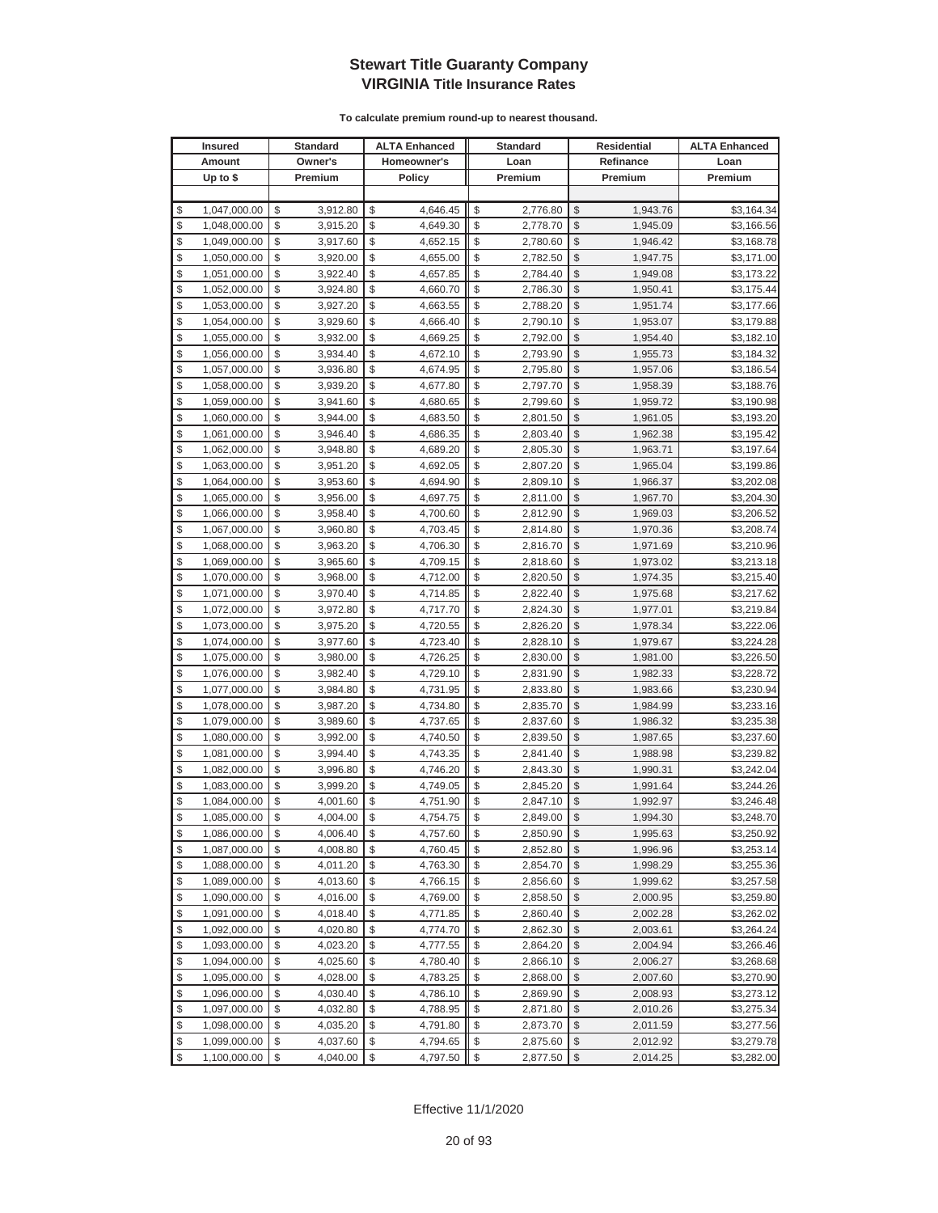|          | <b>Insured</b>               |          | Standard             |          | <b>ALTA Enhanced</b> |          | <b>Standard</b>      |                         | <b>Residential</b>   | <b>ALTA Enhanced</b>     |
|----------|------------------------------|----------|----------------------|----------|----------------------|----------|----------------------|-------------------------|----------------------|--------------------------|
|          | Amount                       |          | Owner's              |          | Homeowner's          |          | Loan                 |                         | Refinance            | Loan                     |
|          | Up to $$$                    |          | Premium              |          | <b>Policy</b>        |          | Premium              |                         | Premium              | Premium                  |
|          |                              |          |                      |          |                      |          |                      |                         |                      |                          |
| \$       | 1,047,000.00                 | \$       | 3,912.80             | \$       | 4,646.45             | \$       | 2,776.80             | \$                      | 1,943.76             | \$3,164.34               |
| \$       | 1,048,000.00                 | \$       | 3,915.20             | \$       | 4,649.30             | \$       | 2,778.70             | \$                      | 1,945.09             | \$3,166.56               |
| \$       | 1,049,000.00                 | \$       | 3,917.60             | \$       | 4,652.15             | \$       | 2,780.60             | \$                      | 1,946.42             | \$3,168.78               |
| \$       | 1,050,000.00                 | \$       | 3,920.00             | \$       | 4,655.00             | \$       | 2,782.50             | \$                      | 1,947.75             | \$3,171.00               |
| \$       | 1,051,000.00                 | \$       | 3,922.40             | \$       | 4,657.85             | \$       | 2,784.40             | \$                      | 1,949.08             | \$3,173.22               |
| \$       | 1,052,000.00                 | \$       | 3,924.80             | \$       | 4,660.70             | \$       | 2,786.30             | \$                      | 1,950.41             | \$3,175.44               |
| \$       | 1,053,000.00                 | \$       | 3,927.20             | \$       | 4,663.55             | \$       | 2,788.20             | \$                      | 1,951.74             | \$3,177.66               |
| \$       | 1,054,000.00                 | \$       | 3,929.60             | \$       | 4,666.40             | \$       | 2,790.10             | \$                      | 1,953.07             | \$3,179.88               |
| \$       | 1,055,000.00                 | \$       | 3,932.00             | \$       | 4,669.25             | \$       | 2,792.00             | \$                      | 1,954.40             | \$3,182.10               |
| \$       | 1,056,000.00                 | \$       | 3,934.40             | \$       | 4,672.10             | \$       | 2,793.90             | \$                      | 1,955.73             | \$3,184.32               |
| \$       | 1,057,000.00                 | \$       | 3,936.80             | \$       | 4,674.95             | \$       | 2,795.80             | \$                      | 1,957.06             | \$3,186.54               |
| \$       | 1,058,000.00                 | \$       | 3,939.20             | \$       | 4,677.80             | \$       | 2,797.70             | \$                      | 1,958.39             | \$3,188.76               |
| \$       | 1,059,000.00                 | \$       | 3,941.60             | \$       | 4,680.65             | \$       | 2,799.60             | \$                      | 1,959.72             | \$3,190.98               |
| \$       | 1,060,000.00                 | \$       | 3,944.00             | \$       | 4,683.50             | \$       | 2,801.50             | \$                      | 1,961.05             | \$3,193.20               |
| \$       | 1,061,000.00                 | \$       | 3,946.40             | \$       | 4,686.35             | \$       | 2,803.40             | \$                      | 1,962.38             | \$3,195.42               |
| \$       | 1,062,000.00                 | \$       | 3,948.80             | \$       | 4,689.20             | \$       | 2,805.30             | \$                      | 1,963.71             | \$3,197.64               |
| \$       | 1,063,000.00                 | \$       | 3,951.20             | \$       | 4,692.05             | \$       | 2,807.20             | \$                      | 1,965.04             | \$3,199.86               |
| \$       | 1,064,000.00                 | \$       | 3,953.60             | \$       | 4,694.90             | \$       | 2,809.10             | \$                      | 1,966.37             | \$3,202.08               |
| \$       | 1,065,000.00                 | \$       | 3,956.00             | \$       | 4,697.75             | \$       | 2,811.00             | \$                      | 1,967.70             | \$3,204.30               |
| \$       | 1,066,000.00                 | \$       | 3,958.40             | \$       | 4,700.60             | \$       | 2,812.90             | \$                      | 1,969.03             | \$3,206.52               |
| \$       | 1,067,000.00                 | \$       | 3,960.80             | \$       | 4,703.45             | \$       | 2,814.80             | \$                      | 1,970.36             | \$3,208.74               |
| \$       | 1,068,000.00                 | \$       | 3,963.20             | \$       | 4,706.30             | \$       | 2,816.70             | \$                      | 1,971.69             | \$3,210.96               |
| \$       | 1,069,000.00                 | \$       | 3,965.60             | \$       | 4,709.15             | \$       | 2,818.60             | \$                      | 1,973.02             | \$3,213.18               |
| \$       | 1,070,000.00                 | \$       | 3,968.00             | \$       | 4,712.00             | \$       | 2,820.50             | \$                      | 1,974.35             | \$3,215.40               |
| \$       | 1,071,000.00                 | \$       | 3,970.40             | \$       | 4,714.85             | \$       | 2,822.40             | \$                      | 1,975.68             | \$3,217.62               |
| \$       | 1,072,000.00                 | \$       | 3,972.80             | \$       | 4,717.70             | \$       | 2,824.30             | \$                      | 1,977.01             | \$3,219.84               |
| \$       | 1,073,000.00                 | \$       | 3,975.20             | \$       | 4,720.55             | \$       | 2,826.20             | \$                      | 1,978.34             | \$3,222.06               |
| \$       | 1,074,000.00                 | \$       | 3,977.60             | \$       | 4,723.40             | \$       | 2,828.10             | \$                      | 1,979.67             | \$3,224.28               |
| \$       | 1,075,000.00                 | \$       | 3,980.00             | \$       | 4,726.25             | \$       | 2,830.00             | \$                      | 1,981.00             | \$3,226.50               |
| \$       | 1,076,000.00                 | \$       | 3,982.40             | \$       | 4,729.10             | \$       | 2,831.90             | \$                      | 1,982.33             | \$3,228.72               |
| \$       | 1,077,000.00                 | \$       | 3,984.80             | \$       | 4,731.95             | \$       | 2,833.80             | \$                      | 1,983.66             | \$3,230.94               |
| \$       | 1,078,000.00                 | \$       | 3,987.20             | \$       | 4,734.80             | \$       | 2,835.70             | \$                      | 1,984.99             | \$3,233.16               |
| \$       | 1,079,000.00                 | \$       | 3,989.60             | \$       | 4,737.65             | \$       | 2,837.60             | \$                      | 1,986.32             | \$3,235.38               |
| \$       | 1,080,000.00                 | \$       | 3,992.00             | \$       | 4,740.50             | \$       | 2,839.50             | \$                      | 1,987.65             | \$3,237.60               |
| \$       | 1,081,000.00                 | \$       | 3,994.40             | \$       | 4,743.35             | \$       | 2,841.40             | \$                      | 1,988.98             | \$3,239.82               |
| \$       | 1,082,000.00                 | \$       | 3,996.80             | \$       | 4,746.20             | \$       | 2,843.30             | \$                      | 1,990.31             | \$3,242.04               |
| \$       | 1,083,000.00                 | \$       | 3,999.20             | \$       | 4,749.05             | \$       | 2,845.20             | \$                      | 1,991.64             | \$3,244.26               |
| \$       | 1,084,000.00                 | \$       | 4,001.60             | \$       | 4,751.90             | \$       | 2,847.10             | \$                      | 1,992.97             | \$3,246.48               |
| \$       | 1,085,000.00                 | \$       | 4,004.00             | \$       | 4,754.75             | \$       | 2,849.00             | \$                      | 1,994.30             | \$3,248.70               |
| \$       | 1,086,000.00                 | \$       | 4,006.40             | \$       | 4,757.60             | \$       | 2,850.90             | \$                      | 1,995.63             | \$3,250.92               |
| \$       | 1,087,000.00                 | \$       | 4,008.80             | \$       | 4,760.45             | \$       | 2,852.80             | \$                      | 1,996.96             | \$3,253.14               |
| \$<br>\$ | 1,088,000.00                 | \$<br>\$ | 4,011.20             | \$       | 4,763.30             | \$<br>\$ | 2,854.70             | $\frac{1}{2}$<br>\$     | 1,998.29             | \$3,255.36               |
|          | 1,089,000.00                 |          | 4,013.60             | \$       | 4,766.15             |          | 2,856.60             |                         | 1,999.62             | \$3,257.58               |
| \$<br>\$ | 1,090,000.00                 | \$<br>\$ | 4,016.00             | \$<br>\$ | 4,769.00             | \$<br>\$ | 2,858.50<br>2,860.40 | \$<br>\$                | 2,000.95             | \$3,259.80               |
| \$       | 1,091,000.00<br>1,092,000.00 | \$       | 4,018.40<br>4,020.80 | \$       | 4,771.85<br>4,774.70 | \$       | 2,862.30             | \$                      | 2,002.28<br>2,003.61 | \$3,262.02<br>\$3,264.24 |
| \$       | 1,093,000.00                 | \$       | 4,023.20             | \$       | 4,777.55             | \$       | 2,864.20             | \$                      | 2,004.94             | \$3,266.46               |
| \$       | 1,094,000.00                 | \$       |                      | \$       |                      |          |                      | \$                      |                      |                          |
| \$       | 1,095,000.00                 | \$       | 4,025.60<br>4,028.00 | \$       | 4,780.40<br>4,783.25 | \$<br>\$ | 2,866.10<br>2,868.00 | \$                      | 2,006.27<br>2,007.60 | \$3,268.68<br>\$3,270.90 |
| \$       | 1,096,000.00                 | \$       | 4,030.40             | \$       | 4,786.10             | \$       | 2,869.90             | \$                      | 2,008.93             | \$3,273.12               |
| \$       | 1,097,000.00                 | \$       | 4,032.80             | \$       | 4,788.95             | \$       | 2,871.80             | \$                      | 2,010.26             | \$3,275.34               |
| \$       | 1,098,000.00                 | \$       | 4,035.20             | \$       | 4,791.80             | \$       | 2,873.70             | \$                      | 2,011.59             | \$3,277.56               |
| \$       | 1,099,000.00                 | \$       | 4,037.60             | \$       | 4,794.65             | \$       | 2,875.60             | \$                      | 2,012.92             | \$3,279.78               |
| \$       | 1,100,000.00                 | \$       | 4,040.00             | \$       | 4,797.50             | \$       | 2,877.50             | $\sqrt[6]{\frac{1}{2}}$ | 2,014.25             | \$3,282.00               |
|          |                              |          |                      |          |                      |          |                      |                         |                      |                          |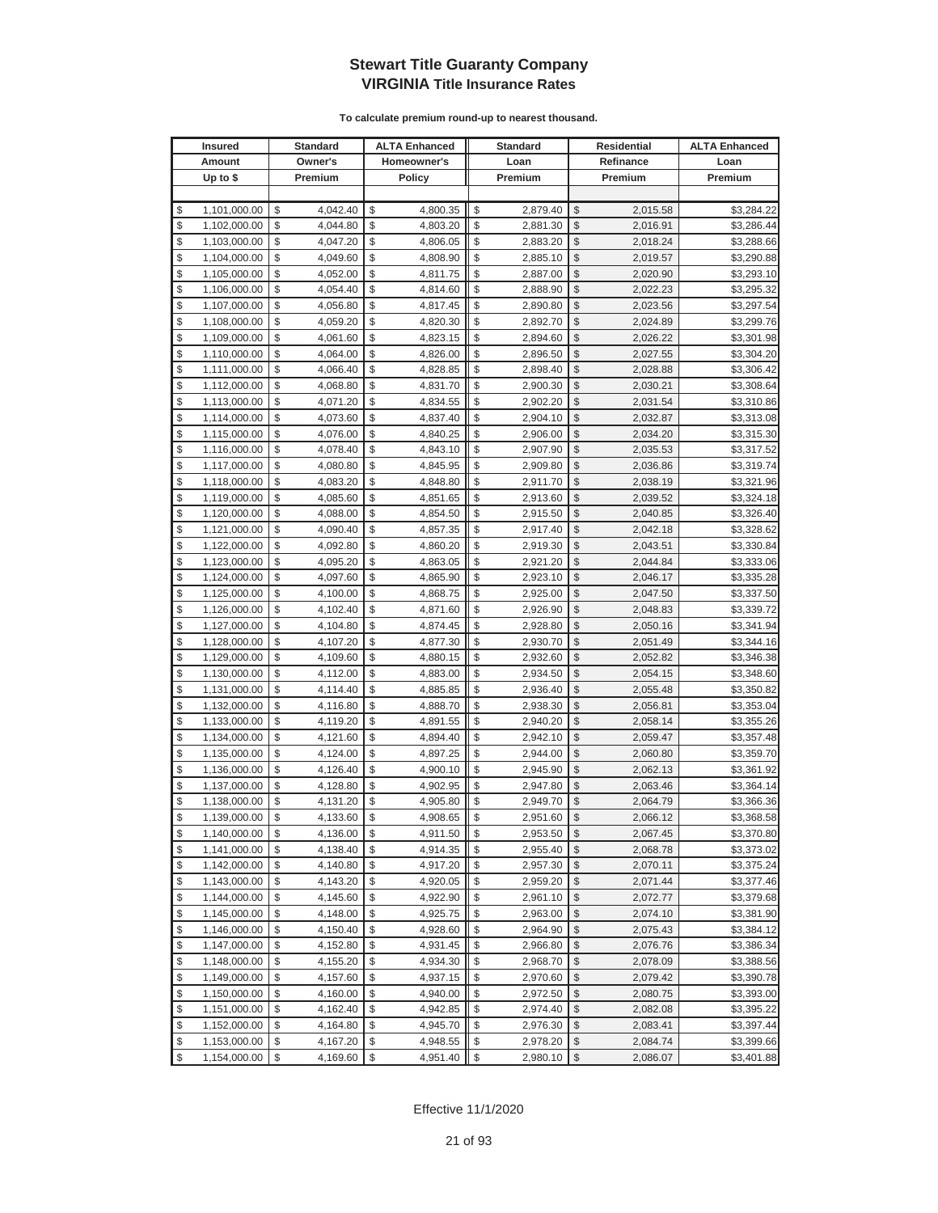|          | <b>Insured</b>               |          | Standard             |          | <b>ALTA Enhanced</b> |          | <b>Standard</b>      |                                | <b>Residential</b>   | <b>ALTA Enhanced</b>     |
|----------|------------------------------|----------|----------------------|----------|----------------------|----------|----------------------|--------------------------------|----------------------|--------------------------|
|          | Amount                       |          | Owner's              |          | Homeowner's          |          | Loan                 |                                | Refinance            | Loan                     |
|          | Up to $$$                    |          | Premium              |          | <b>Policy</b>        |          | Premium              |                                | Premium              | Premium                  |
|          |                              |          |                      |          |                      |          |                      |                                |                      |                          |
| \$       | 1,101,000.00                 | \$       | 4,042.40             | \$       | 4,800.35             | \$       | 2,879.40             | \$                             | 2,015.58             | \$3,284.22               |
| \$       | 1,102,000.00                 | \$       | 4,044.80             | \$       | 4,803.20             | \$       | 2,881.30             | \$                             | 2,016.91             | \$3,286.44               |
| \$       | 1,103,000.00                 | \$       | 4,047.20             | \$       | 4,806.05             | \$       | 2,883.20             | \$                             | 2,018.24             | \$3,288.66               |
| \$       | 1,104,000.00                 | \$       | 4,049.60             | \$       | 4,808.90             | \$       | 2,885.10             | \$                             | 2,019.57             | \$3,290.88               |
| \$       | 1,105,000.00                 | \$       | 4,052.00             | \$       | 4,811.75             | \$       | 2,887.00             | \$                             | 2,020.90             | \$3,293.10               |
| \$       | 1,106,000.00                 | \$       | 4,054.40             | \$       | 4,814.60             | \$       | 2,888.90             | \$                             | 2,022.23             | \$3,295.32               |
| \$       | 1,107,000.00                 | \$       | 4,056.80             | \$       | 4,817.45             | \$       | 2,890.80             | \$                             | 2,023.56             | \$3,297.54               |
| \$       | 1,108,000.00                 | \$       | 4,059.20             | \$       | 4,820.30             | \$       | 2,892.70             | \$                             | 2,024.89             | \$3,299.76               |
| \$       | 1,109,000.00                 | \$       | 4,061.60             | \$       | 4,823.15             | \$       | 2,894.60             | \$                             | 2,026.22             | \$3,301.98               |
| \$       | 1,110,000.00                 | \$       | 4,064.00             | \$       | 4,826.00             | \$       | 2,896.50             | \$                             | 2,027.55             | \$3,304.20               |
| \$       | 1,111,000.00                 | \$       | 4,066.40             | \$       | 4,828.85             | \$       | 2,898.40             | \$                             | 2,028.88             | \$3,306.42               |
| \$       | 1,112,000.00                 | \$       | 4,068.80             | \$       | 4,831.70             | \$       | 2,900.30             | \$                             | 2,030.21             | \$3,308.64               |
| \$       | 1,113,000.00                 | \$       | 4,071.20             | \$       | 4,834.55             | \$       | 2,902.20             | \$                             | 2,031.54             | \$3,310.86               |
| \$       | 1,114,000.00                 | \$       | 4,073.60             | \$       | 4,837.40             | \$       | 2,904.10             | \$                             | 2,032.87             | \$3,313.08               |
| \$       | 1,115,000.00                 | \$       | 4,076.00             | \$       | 4,840.25             | \$       | 2,906.00             | \$                             | 2,034.20             | \$3,315.30               |
| \$       | 1,116,000.00                 | \$       | 4,078.40             | \$       | 4,843.10             | \$       | 2,907.90             | \$                             | 2,035.53             | \$3,317.52               |
| \$       | 1,117,000.00                 | \$       | 4,080.80             | \$       | 4,845.95             | \$       | 2,909.80             | \$                             | 2,036.86             | \$3,319.74               |
| \$       | 1,118,000.00                 | \$       | 4,083.20             | \$       | 4,848.80             | \$       | 2,911.70             | \$                             | 2,038.19             | \$3,321.96               |
| \$       | 1,119,000.00                 | \$       | 4,085.60             | \$       | 4,851.65             | \$       | 2,913.60             | \$                             | 2,039.52             | \$3,324.18               |
| \$       | 1,120,000.00                 | \$       | 4,088.00             | \$       | 4,854.50             | \$       | 2,915.50             | \$                             | 2,040.85             | \$3,326.40               |
| \$       | 1,121,000.00                 | \$       | 4,090.40             | \$       | 4,857.35             | \$       | 2,917.40             | \$                             | 2,042.18             | \$3,328.62               |
| \$       | 1,122,000.00                 | \$       | 4,092.80             | \$       | 4,860.20             | \$       | 2,919.30             | \$                             | 2,043.51             | \$3,330.84               |
| \$       | 1,123,000.00                 | \$       | 4,095.20             | \$       | 4,863.05             | \$       | 2,921.20             | \$                             | 2,044.84             | \$3,333.06               |
| \$       | 1,124,000.00                 | \$       | 4,097.60             | \$       | 4,865.90             | \$       | 2,923.10             | \$                             | 2,046.17             | \$3,335.28               |
| \$       | 1,125,000.00                 | \$       | 4,100.00             | \$       | 4,868.75             | \$       | 2,925.00             | \$                             | 2,047.50             | \$3,337.50               |
| \$       | 1,126,000.00                 | \$       | 4,102.40             | \$       | 4,871.60             | \$       | 2,926.90             | \$                             | 2,048.83             | \$3,339.72               |
| \$       | 1,127,000.00                 | \$       | 4,104.80             | \$       | 4,874.45             | \$       | 2,928.80             | \$                             | 2,050.16             | \$3,341.94               |
| \$       | 1,128,000.00                 | \$       | 4,107.20             | \$       | 4,877.30             | \$       | 2,930.70             | \$                             | 2,051.49             | \$3,344.16               |
| \$       | 1,129,000.00                 | \$       | 4,109.60             | \$       | 4,880.15             | \$       | 2,932.60             | \$                             | 2,052.82             | \$3,346.38               |
| \$       | 1,130,000.00                 | \$       | 4,112.00             | \$       | 4,883.00             | \$       | 2,934.50             | \$                             | 2,054.15             | \$3,348.60               |
| \$       | 1,131,000.00                 | \$       | 4,114.40             | \$       | 4,885.85             | \$       | 2,936.40             | \$                             | 2,055.48             | \$3,350.82               |
| \$       | 1,132,000.00                 | \$       | 4,116.80             | \$       | 4,888.70             | \$       | 2,938.30             | \$                             | 2,056.81             | \$3,353.04               |
| \$       | 1,133,000.00                 | \$       | 4,119.20             | \$       | 4,891.55             | \$       | 2,940.20             | \$                             | 2,058.14             | \$3,355.26               |
| \$       | 1,134,000.00                 | \$       | 4,121.60             | \$       | 4,894.40             | \$       | 2,942.10             | \$                             | 2,059.47             | \$3,357.48               |
| \$       | 1,135,000.00                 | \$       | 4,124.00             | \$       | 4,897.25             | \$       | 2,944.00             | \$                             | 2,060.80             | \$3,359.70               |
| \$       | 1,136,000.00                 | \$       | 4,126.40             | \$       | 4,900.10             | \$       | 2,945.90             | \$                             | 2,062.13             | \$3,361.92               |
| \$       | 1,137,000.00                 | \$       | 4,128.80             | \$       | 4,902.95             | \$       | 2,947.80             | \$                             | 2,063.46             | \$3,364.14               |
| \$       | 1,138,000.00                 | \$       | 4,131.20             | \$       | 4,905.80             | \$       | 2,949.70             | \$                             | 2,064.79             | \$3,366.36               |
| \$       | 1,139,000.00                 | \$       | 4,133.60             | \$       | 4,908.65             | \$       | 2,951.60             | \$                             | 2,066.12             | \$3,368.58               |
| \$       | 1,140,000.00                 | \$       | 4,136.00             | \$       | 4,911.50             | \$       | 2,953.50             | $\sqrt[6]{3}$                  | 2,067.45             | \$3,370.80               |
| \$       | 1,141,000.00                 | \$       | 4,138.40             | \$       | 4,914.35             | \$       | 2,955.40             | \$                             | 2,068.78             | \$3,373.02               |
| \$       | 1,142,000.00                 | \$       | 4,140.80             | \$       | 4,917.20             | \$<br>\$ | 2,957.30             | $\frac{1}{2}$<br>$\frac{1}{2}$ | 2,070.11             | \$3,375.24               |
| \$       | 1,143,000.00                 | \$       | 4,143.20             | \$       | 4,920.05             |          | 2,959.20             |                                | 2,071.44             | \$3,377.46               |
| \$<br>\$ | 1,144,000.00                 | \$<br>\$ | 4,145.60             | \$<br>\$ | 4,922.90             | \$<br>\$ | 2,961.10             | \$<br>\$                       | 2,072.77             | \$3,379.68               |
|          | 1,145,000.00                 | \$       | 4,148.00             | \$       | 4,925.75             | \$       | 2,963.00             | \$                             | 2,074.10             | \$3,381.90               |
| \$<br>\$ | 1,146,000.00<br>1,147,000.00 | \$       | 4,150.40<br>4,152.80 | \$       | 4,928.60             | \$       | 2,964.90             | \$                             | 2,075.43             | \$3,384.12               |
|          |                              |          |                      |          | 4,931.45             |          | 2,966.80             |                                | 2,076.76             | \$3,386.34               |
| \$<br>\$ | 1,148,000.00<br>1,149,000.00 | \$<br>\$ | 4,155.20<br>4,157.60 | \$<br>\$ | 4,934.30<br>4,937.15 | \$<br>\$ | 2,968.70<br>2,970.60 | \$<br>\$                       | 2,078.09<br>2,079.42 | \$3,388.56<br>\$3,390.78 |
| \$       | 1,150,000.00                 | \$       | 4,160.00             | \$       | 4,940.00             | \$       | 2,972.50             | \$                             | 2,080.75             | \$3,393.00               |
| \$       | 1,151,000.00                 | \$       | 4,162.40             | \$       | 4,942.85             | \$       | 2,974.40             | \$                             | 2,082.08             | \$3,395.22               |
| \$       |                              | \$       | 4,164.80             | \$       | 4,945.70             | \$       | 2,976.30             | \$                             | 2,083.41             | \$3,397.44               |
| \$       | 1,152,000.00<br>1,153,000.00 | \$       | 4,167.20             | \$       | 4,948.55             | \$       | 2,978.20             | \$                             | 2,084.74             | \$3,399.66               |
| \$       | 1,154,000.00                 | \$       | 4,169.60             | \$       | 4,951.40             | \$       | 2,980.10             | $\sqrt[6]{\frac{1}{2}}$        | 2,086.07             | \$3,401.88               |
|          |                              |          |                      |          |                      |          |                      |                                |                      |                          |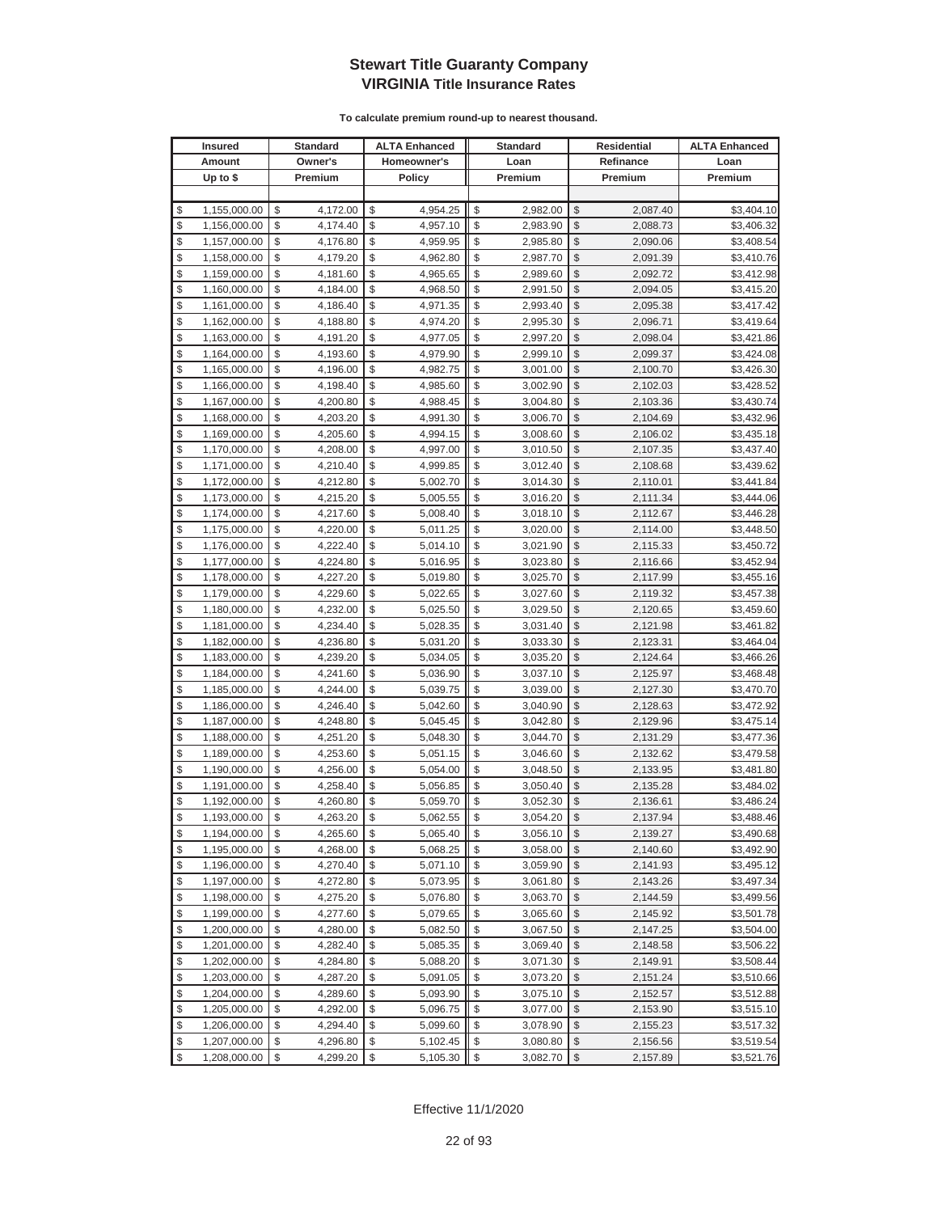|          | <b>Insured</b>               |          | Standard             |          | <b>ALTA Enhanced</b> |          | <b>Standard</b>      | Residential   |                      | <b>ALTA Enhanced</b>     |
|----------|------------------------------|----------|----------------------|----------|----------------------|----------|----------------------|---------------|----------------------|--------------------------|
|          | Amount                       |          | Owner's              |          | Homeowner's          |          | Loan                 |               | Refinance            | Loan                     |
|          | Up to $$$                    |          | Premium              |          | <b>Policy</b>        |          | Premium              |               | Premium              | Premium                  |
|          |                              |          |                      |          |                      |          |                      |               |                      |                          |
| \$       | 1,155,000.00                 | \$       | 4,172.00             | \$       | 4,954.25             | \$       | 2,982.00             | \$            | 2,087.40             | \$3,404.10               |
| \$       | 1,156,000.00                 | \$       | 4,174.40             | \$       | 4,957.10             | \$       | 2,983.90             | \$            | 2,088.73             | \$3,406.32               |
| \$       | 1,157,000.00                 | \$       | 4,176.80             | \$       | 4,959.95             | \$       | 2,985.80             | \$            | 2,090.06             | \$3,408.54               |
| \$       | 1,158,000.00                 | \$       | 4,179.20             | \$       | 4,962.80             | \$       | 2,987.70             | \$            | 2,091.39             | \$3,410.76               |
| \$       | 1,159,000.00                 | \$       | 4,181.60             | \$       | 4,965.65             | \$       | 2,989.60             | \$            | 2,092.72             | \$3,412.98               |
| \$       | 1,160,000.00                 | \$       | 4,184.00             | \$       | 4,968.50             | \$       | 2,991.50             | \$            | 2,094.05             | \$3,415.20               |
| \$       | 1,161,000.00                 | \$       | 4,186.40             | \$       | 4,971.35             | \$       | 2,993.40             | \$            | 2,095.38             | \$3,417.42               |
| \$       | 1,162,000.00                 | \$       | 4,188.80             | \$       | 4,974.20             | \$       | 2,995.30             | \$            | 2,096.71             | \$3,419.64               |
| \$       | 1,163,000.00                 | \$       | 4,191.20             | \$       | 4,977.05             | \$       | 2,997.20             | \$            | 2,098.04             | \$3,421.86               |
| \$       | 1,164,000.00                 | \$       | 4,193.60             | \$       | 4,979.90             | \$       | 2,999.10             | \$            | 2,099.37             | \$3,424.08               |
| \$       | 1,165,000.00                 | \$       | 4,196.00             | \$       | 4,982.75             | \$       | 3,001.00             | \$            | 2,100.70             | \$3,426.30               |
| \$       | 1,166,000.00                 | \$       | 4,198.40             | \$       | 4,985.60             | \$       | 3,002.90             | \$            | 2,102.03             | \$3,428.52               |
| \$       | 1,167,000.00                 | \$       | 4,200.80             | \$       | 4,988.45             | \$       | 3,004.80             | \$            | 2,103.36             | \$3,430.74               |
| \$       | 1,168,000.00                 | \$       | 4,203.20             | \$       | 4,991.30             | \$       | 3,006.70             | \$            | 2,104.69             | \$3,432.96               |
| \$       | 1,169,000.00                 | \$       | 4,205.60             | \$       | 4,994.15             | \$       | 3,008.60             | \$            | 2,106.02             | \$3,435.18               |
| \$       | 1,170,000.00                 | \$       | 4,208.00             | \$       | 4,997.00             | \$       | 3,010.50             | \$            | 2,107.35             | \$3,437.40               |
| \$       | 1,171,000.00                 | \$       | 4,210.40             | \$       | 4,999.85             | \$       | 3,012.40             | \$            | 2,108.68             | \$3,439.62               |
| \$       | 1,172,000.00                 | \$       | 4,212.80             | \$       | 5,002.70             | \$       | 3,014.30             | \$            | 2,110.01             | \$3,441.84               |
| \$       | 1,173,000.00                 | \$       | 4,215.20             | \$       | 5,005.55             | \$       | 3,016.20             | \$            | 2,111.34             | \$3,444.06               |
| \$       | 1,174,000.00                 | \$       | 4,217.60             | \$       | 5,008.40             | \$       | 3,018.10             | \$            | 2,112.67             | \$3,446.28               |
| \$       | 1,175,000.00                 | \$       | 4,220.00             | \$       | 5,011.25             | \$       | 3,020.00             | \$            | 2,114.00             | \$3,448.50               |
| \$       | 1,176,000.00                 | \$       | 4,222.40             | \$       | 5,014.10             | \$       | 3,021.90             | \$            | 2,115.33             | \$3,450.72               |
| \$       | 1,177,000.00                 | \$       | 4,224.80             | \$       | 5,016.95             | \$       | 3,023.80             | \$            | 2,116.66             | \$3,452.94               |
| \$       | 1,178,000.00                 | \$       | 4,227.20             | \$       | 5,019.80             | \$       | 3,025.70             | \$            | 2,117.99             | \$3,455.16               |
| \$       | 1,179,000.00                 | \$       | 4,229.60             | \$       | 5,022.65             | \$       | 3,027.60             | \$            | 2,119.32             | \$3,457.38               |
| \$       | 1,180,000.00                 | \$       | 4,232.00             | \$       | 5,025.50             | \$       | 3,029.50             | \$            | 2,120.65             | \$3,459.60               |
| \$       | 1,181,000.00                 | \$       | 4,234.40             | \$       | 5,028.35             | \$       | 3,031.40             | $\mathcal{S}$ | 2,121.98             | \$3,461.82               |
| \$       | 1,182,000.00                 | \$       | 4,236.80             | \$       | 5,031.20             | \$       | 3,033.30             | \$            | 2,123.31             | \$3,464.04               |
| \$       | 1,183,000.00                 | \$       | 4,239.20             | \$       | 5,034.05             | \$       | 3,035.20             | $\mathcal{S}$ | 2,124.64             | \$3,466.26               |
| \$       | 1,184,000.00                 | \$       | 4,241.60             | \$       | 5,036.90             | \$       | 3,037.10             | \$            | 2,125.97             | \$3,468.48               |
| \$       | 1,185,000.00                 | \$       | 4,244.00             | \$       | 5,039.75             | \$       | 3,039.00             | \$            | 2,127.30             | \$3,470.70               |
| \$       | 1,186,000.00                 | \$       | 4,246.40             | \$       | 5,042.60             | \$       | 3,040.90             | \$            | 2,128.63             | \$3,472.92               |
| \$       | 1,187,000.00                 | \$       | 4,248.80             | \$       | 5,045.45             | \$       | 3,042.80             | \$            | 2,129.96             | \$3,475.14               |
| \$       | 1,188,000.00                 | \$       | 4,251.20             | \$       | 5,048.30             | \$       | 3,044.70             | \$            | 2,131.29             | \$3,477.36               |
| \$       | 1,189,000.00                 | \$       | 4,253.60             | \$       | 5,051.15             | \$       | 3,046.60             | \$            | 2,132.62             | \$3,479.58               |
| \$       | 1,190,000.00                 | \$       | 4,256.00             | \$<br>\$ | 5,054.00             | \$       | 3,048.50             | \$<br>\$      | 2,133.95             | \$3,481.80               |
| \$<br>\$ | 1,191,000.00<br>1,192,000.00 | \$<br>\$ | 4,258.40             | \$       | 5,056.85             | \$<br>\$ | 3,050.40             | \$            | 2,135.28             | \$3,484.02               |
| \$       | 1,193,000.00                 | \$       | 4,260.80<br>4,263.20 | \$       | 5,059.70<br>5,062.55 | \$       | 3,052.30<br>3,054.20 | $\mathcal{S}$ | 2,136.61<br>2,137.94 | \$3,486.24<br>\$3,488.46 |
| \$       | 1,194,000.00                 | \$       | 4,265.60             | \$       | 5,065.40             | \$       | 3,056.10             | $\sqrt[6]{2}$ | 2,139.27             | \$3,490.68               |
| \$       | 1,195,000.00                 | \$       | 4,268.00             | \$       | 5,068.25             | \$       | 3,058.00             | \$            | 2,140.60             | \$3,492.90               |
| \$       | 1,196,000.00                 | \$       | 4,270.40             | \$       | 5,071.10             | \$       | 3,059.90             | $\frac{1}{2}$ | 2,141.93             | \$3,495.12               |
| \$       | 1,197,000.00                 | \$       | 4,272.80             | \$       | 5,073.95             | \$       | 3,061.80             | \$            | 2,143.26             | \$3,497.34               |
| \$       | 1,198,000.00                 | \$       | 4,275.20             | \$       | 5,076.80             | \$       | 3,063.70             | \$            | 2,144.59             | \$3,499.56               |
| \$       | 1,199,000.00                 | \$       | 4,277.60             | \$       | 5,079.65             | \$       | 3,065.60             | \$            | 2,145.92             | \$3,501.78               |
| \$       | 1,200,000.00                 | \$       | 4,280.00             | \$       | 5,082.50             | \$       | 3,067.50             | \$            | 2,147.25             | \$3,504.00               |
| \$       | 1,201,000.00                 | \$       | 4,282.40             | \$       | 5,085.35             | \$       | 3,069.40             | \$            | 2,148.58             | \$3,506.22               |
| \$       | 1,202,000.00                 | \$       | 4,284.80             | \$       | 5,088.20             | \$       | 3,071.30             | \$            | 2,149.91             | \$3,508.44               |
| \$       | 1,203,000.00                 | \$       | 4,287.20             | \$       | 5,091.05             | \$       | 3,073.20             | \$            | 2,151.24             | \$3,510.66               |
| \$       | 1,204,000.00                 | \$       | 4,289.60             | \$       | 5,093.90             | \$       | 3,075.10             | \$            | 2,152.57             | \$3,512.88               |
| \$       | 1,205,000.00                 | \$       | 4,292.00             | \$       | 5,096.75             | \$       | 3,077.00             | \$            | 2,153.90             | \$3,515.10               |
| \$       | 1,206,000.00                 | \$       | 4,294.40             | \$       | 5,099.60             | \$       | 3,078.90             | \$            | 2,155.23             | \$3,517.32               |
| \$       | 1,207,000.00                 | \$       | 4,296.80             | \$       | 5,102.45             | \$       | 3,080.80             | \$            | 2,156.56             | \$3,519.54               |
| \$       | 1,208,000.00                 | \$       | 4,299.20             | \$       | 5,105.30             | \$       | 3,082.70             | $\frac{1}{2}$ | 2,157.89             | \$3,521.76               |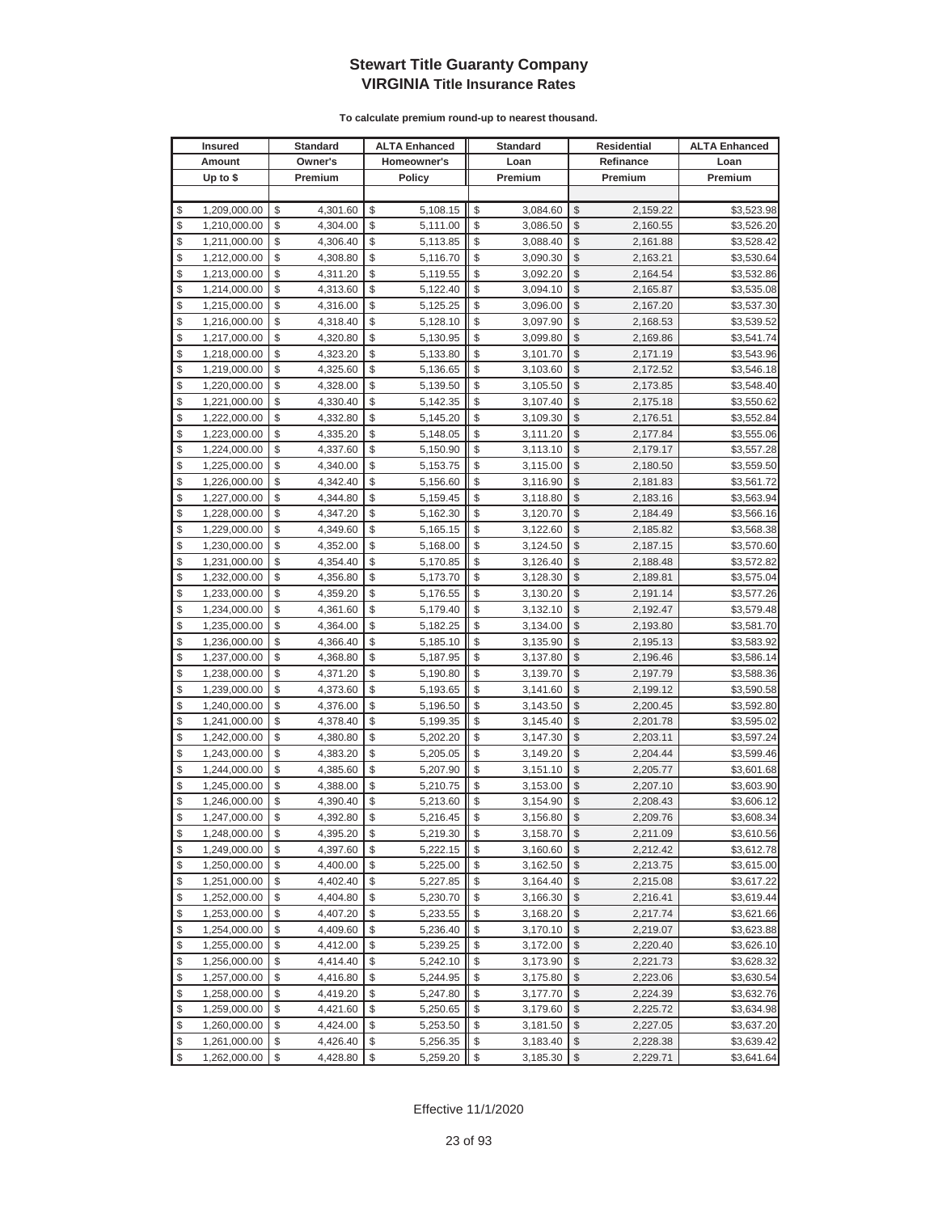| <b>Insured</b>     | <b>Standard</b> | <b>ALTA Enhanced</b> | <b>Standard</b> | <b>Residential</b> | <b>ALTA Enhanced</b> |
|--------------------|-----------------|----------------------|-----------------|--------------------|----------------------|
| Amount             | Owner's         | Homeowner's          | Loan            | Refinance          | Loan                 |
| Up to $$$          | Premium         | <b>Policy</b>        | Premium         | Premium            | Premium              |
|                    |                 |                      |                 |                    |                      |
| \$<br>1,209,000.00 | \$<br>4,301.60  | \$<br>5,108.15       | \$<br>3,084.60  | \$<br>2,159.22     | \$3,523.98           |
| \$<br>1,210,000.00 | \$<br>4,304.00  | \$<br>5,111.00       | \$<br>3,086.50  | \$<br>2,160.55     | \$3,526.20           |
| \$<br>1,211,000.00 | \$<br>4,306.40  | \$<br>5,113.85       | \$<br>3,088.40  | \$<br>2,161.88     | \$3,528.42           |
| \$<br>1,212,000.00 | \$<br>4,308.80  | \$<br>5,116.70       | \$<br>3,090.30  | \$<br>2,163.21     | \$3,530.64           |
| \$<br>1,213,000.00 | \$<br>4,311.20  | \$<br>5,119.55       | \$<br>3,092.20  | \$<br>2,164.54     | \$3,532.86           |
| \$<br>1,214,000.00 | \$<br>4,313.60  | \$<br>5,122.40       | \$<br>3,094.10  | \$<br>2,165.87     | \$3,535.08           |
| \$<br>1,215,000.00 | \$<br>4,316.00  | \$<br>5,125.25       | \$<br>3,096.00  | \$<br>2,167.20     | \$3,537.30           |
| \$<br>1,216,000.00 | \$<br>4,318.40  | \$<br>5,128.10       | \$<br>3,097.90  | \$<br>2,168.53     | \$3,539.52           |
| \$<br>1,217,000.00 | \$<br>4,320.80  | \$<br>5,130.95       | \$<br>3,099.80  | \$<br>2,169.86     | \$3,541.74           |
| \$<br>1,218,000.00 | \$<br>4,323.20  | \$<br>5,133.80       | \$<br>3,101.70  | \$<br>2,171.19     | \$3,543.96           |
| \$<br>1,219,000.00 | \$<br>4,325.60  | \$<br>5,136.65       | \$<br>3,103.60  | \$<br>2,172.52     | \$3,546.18           |
| \$<br>1,220,000.00 | \$<br>4,328.00  | \$<br>5,139.50       | \$<br>3,105.50  | \$<br>2,173.85     | \$3,548.40           |
| \$<br>1,221,000.00 | \$<br>4,330.40  | \$<br>5,142.35       | \$<br>3,107.40  | \$<br>2,175.18     | \$3,550.62           |
| \$<br>1,222,000.00 | \$<br>4,332.80  | \$<br>5,145.20       | \$<br>3,109.30  | \$<br>2,176.51     | \$3,552.84           |
| \$<br>1,223,000.00 | \$<br>4,335.20  | \$<br>5,148.05       | \$<br>3,111.20  | \$<br>2,177.84     | \$3,555.06           |
| \$<br>1,224,000.00 | \$<br>4,337.60  | \$<br>5,150.90       | \$<br>3,113.10  | \$<br>2,179.17     | \$3,557.28           |
| \$<br>1,225,000.00 | \$<br>4,340.00  | \$<br>5,153.75       | \$<br>3,115.00  | \$<br>2,180.50     | \$3,559.50           |
| \$<br>1,226,000.00 | \$<br>4,342.40  | \$<br>5,156.60       | \$<br>3,116.90  | \$<br>2,181.83     | \$3,561.72           |
| \$<br>1,227,000.00 | \$<br>4,344.80  | \$<br>5,159.45       | \$<br>3,118.80  | \$<br>2,183.16     | \$3,563.94           |
| \$<br>1,228,000.00 | \$<br>4,347.20  | \$<br>5,162.30       | \$<br>3,120.70  | \$<br>2,184.49     | \$3,566.16           |
| \$<br>1,229,000.00 | \$<br>4,349.60  | \$<br>5,165.15       | \$<br>3,122.60  | \$<br>2,185.82     | \$3,568.38           |
| \$<br>1,230,000.00 | \$<br>4,352.00  | \$<br>5,168.00       | \$<br>3,124.50  | \$<br>2,187.15     | \$3,570.60           |
| \$<br>1,231,000.00 | \$<br>4,354.40  | \$<br>5,170.85       | \$<br>3,126.40  | \$<br>2,188.48     | \$3,572.82           |
| \$<br>1,232,000.00 | \$<br>4,356.80  | \$<br>5,173.70       | \$<br>3,128.30  | \$<br>2,189.81     | \$3,575.04           |
| \$<br>1,233,000.00 | \$<br>4,359.20  | \$<br>5,176.55       | \$<br>3,130.20  | \$<br>2,191.14     | \$3,577.26           |
| \$<br>1,234,000.00 | \$<br>4,361.60  | \$<br>5,179.40       | \$<br>3,132.10  | \$<br>2,192.47     | \$3,579.48           |
| \$<br>1,235,000.00 | \$<br>4,364.00  | \$<br>5,182.25       | \$<br>3,134.00  | \$<br>2,193.80     | \$3,581.70           |
| \$<br>1,236,000.00 | \$<br>4,366.40  | \$<br>5,185.10       | \$<br>3,135.90  | \$<br>2,195.13     | \$3,583.92           |
| \$<br>1,237,000.00 | \$<br>4,368.80  | \$<br>5,187.95       | \$<br>3,137.80  | \$<br>2,196.46     | \$3,586.14           |
| \$<br>1,238,000.00 | \$<br>4,371.20  | \$<br>5,190.80       | \$<br>3,139.70  | \$<br>2,197.79     | \$3,588.36           |
| \$<br>1,239,000.00 | \$<br>4,373.60  | \$<br>5,193.65       | \$<br>3,141.60  | \$<br>2,199.12     | \$3,590.58           |
| \$<br>1,240,000.00 | \$<br>4,376.00  | \$<br>5,196.50       | \$<br>3,143.50  | \$<br>2,200.45     | \$3,592.80           |
| \$<br>1,241,000.00 | \$<br>4,378.40  | \$<br>5,199.35       | \$<br>3,145.40  | \$<br>2,201.78     | \$3,595.02           |
| \$<br>1,242,000.00 | \$<br>4,380.80  | \$<br>5,202.20       | \$<br>3,147.30  | \$<br>2,203.11     | \$3,597.24           |
| \$<br>1,243,000.00 | \$<br>4,383.20  | \$<br>5,205.05       | \$<br>3,149.20  | \$<br>2,204.44     | \$3,599.46           |
| \$<br>1,244,000.00 | \$<br>4,385.60  | \$<br>5,207.90       | \$<br>3,151.10  | \$<br>2,205.77     | \$3,601.68           |
| \$<br>1,245,000.00 | \$<br>4,388.00  | \$<br>5,210.75       | \$<br>3,153.00  | \$<br>2,207.10     | \$3,603.90           |
| \$<br>1,246,000.00 | \$<br>4,390.40  | \$<br>5,213.60       | \$<br>3,154.90  | \$<br>2,208.43     | \$3,606.12           |
| \$<br>1.247.000.00 | \$<br>4,392.80  | \$<br>5.216.45       | \$<br>3,156.80  | \$<br>2,209.76     | \$3,608.34           |
| \$<br>1,248,000.00 | \$<br>4,395.20  | \$<br>5,219.30       | \$<br>3,158.70  | \$<br>2,211.09     | \$3,610.56           |
| \$<br>1,249,000.00 | \$<br>4,397.60  | \$<br>5,222.15       | \$<br>3,160.60  | \$<br>2,212.42     | \$3,612.78           |
| \$<br>1,250,000.00 | \$<br>4,400.00  | \$<br>5,225.00       | \$<br>3,162.50  | \$<br>2,213.75     | \$3,615.00           |
| \$<br>1,251,000.00 | \$<br>4,402.40  | \$<br>5,227.85       | \$<br>3,164.40  | \$<br>2,215.08     | \$3,617.22           |
| \$<br>1,252,000.00 | \$<br>4,404.80  | \$<br>5,230.70       | \$<br>3,166.30  | \$<br>2,216.41     | \$3,619.44           |
| \$<br>1,253,000.00 | \$<br>4,407.20  | \$<br>5,233.55       | \$<br>3,168.20  | \$<br>2,217.74     | \$3,621.66           |
| \$<br>1,254,000.00 | \$<br>4,409.60  | \$<br>5,236.40       | \$<br>3,170.10  | \$<br>2,219.07     | \$3,623.88           |
| \$<br>1,255,000.00 | \$<br>4,412.00  | \$<br>5,239.25       | \$<br>3,172.00  | \$<br>2,220.40     | \$3,626.10           |
| \$<br>1,256,000.00 | \$<br>4,414.40  | \$<br>5,242.10       | \$<br>3,173.90  | \$<br>2,221.73     | \$3,628.32           |
| \$<br>1,257,000.00 | \$<br>4,416.80  | \$<br>5,244.95       | \$<br>3,175.80  | \$<br>2,223.06     | \$3,630.54           |
| \$<br>1,258,000.00 | \$<br>4,419.20  | \$<br>5,247.80       | \$<br>3,177.70  | \$<br>2,224.39     | \$3,632.76           |
| \$<br>1,259,000.00 | \$<br>4,421.60  | \$<br>5,250.65       | \$<br>3,179.60  | \$<br>2,225.72     | \$3,634.98           |
| \$<br>1,260,000.00 | \$<br>4,424.00  | \$<br>5,253.50       | \$<br>3,181.50  | \$<br>2,227.05     | \$3,637.20           |
| \$<br>1,261,000.00 | \$<br>4,426.40  | \$<br>5,256.35       | \$<br>3,183.40  | \$<br>2,228.38     | \$3,639.42           |
| \$<br>1,262,000.00 | \$<br>4,428.80  | \$<br>5,259.20       | \$<br>3,185.30  | \$<br>2,229.71     | \$3,641.64           |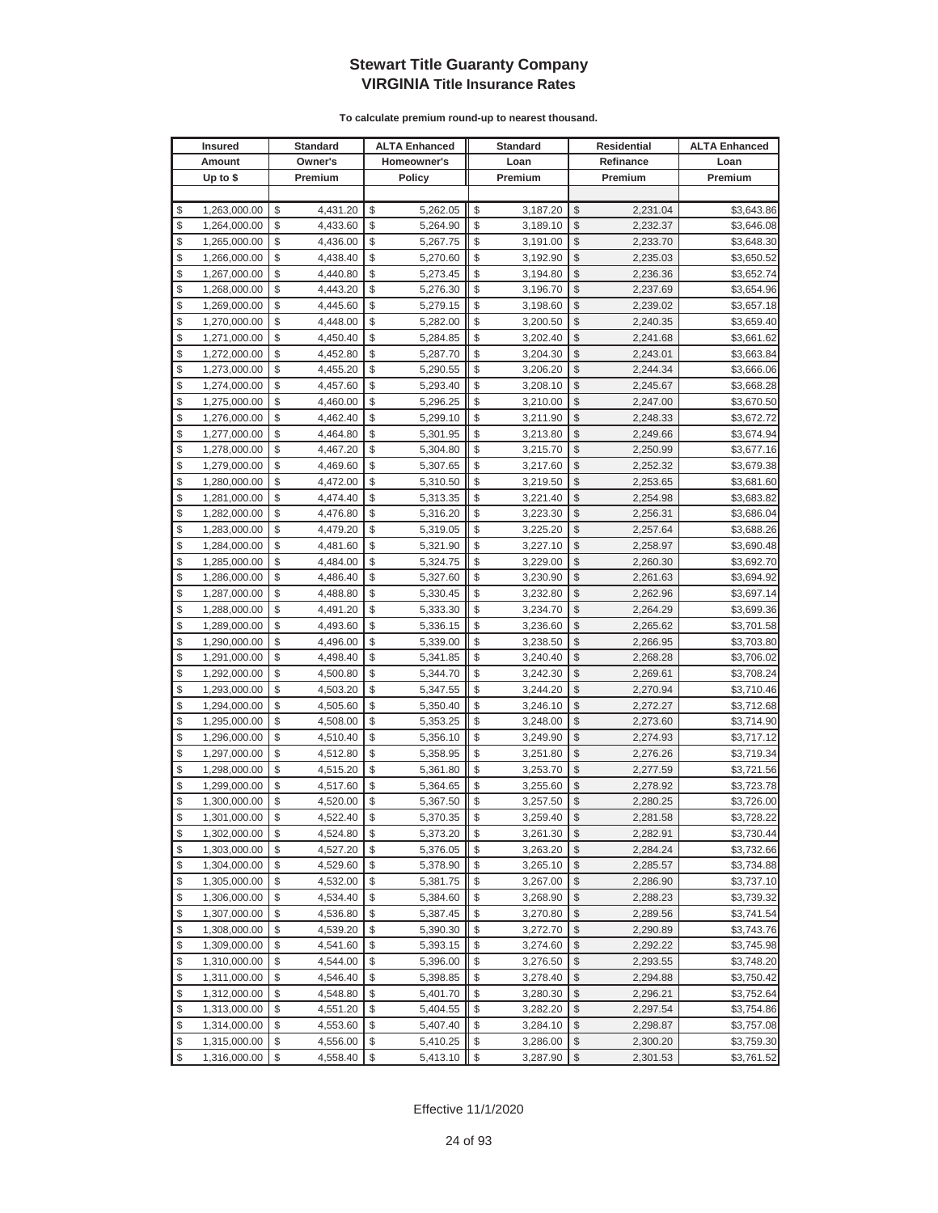|          | <b>Insured</b>               |          | Standard             |          | <b>ALTA Enhanced</b> |          | <b>Standard</b>      |                         | Residential          | <b>ALTA Enhanced</b>     |
|----------|------------------------------|----------|----------------------|----------|----------------------|----------|----------------------|-------------------------|----------------------|--------------------------|
|          | Amount                       |          | Owner's              |          | Homeowner's          |          | Loan                 |                         | Refinance            | Loan                     |
|          | Up to $$$                    |          | Premium              |          | <b>Policy</b>        |          | Premium              |                         | Premium              | Premium                  |
|          |                              |          |                      |          |                      |          |                      |                         |                      |                          |
| \$       | 1,263,000.00                 | \$       | 4,431.20             | \$       | 5,262.05             | \$       | 3,187.20             | \$                      | 2,231.04             | \$3,643.86               |
| \$       | 1,264,000.00                 | \$       | 4,433.60             | \$       | 5,264.90             | \$       | 3,189.10             | \$                      | 2,232.37             | \$3,646.08               |
| \$       | 1,265,000.00                 | \$       | 4,436.00             | \$       | 5,267.75             | \$       | 3,191.00             | \$                      | 2,233.70             | \$3,648.30               |
| \$       | 1,266,000.00                 | \$       | 4,438.40             | \$       | 5,270.60             | \$       | 3,192.90             | \$                      | 2,235.03             | \$3,650.52               |
| \$       | 1,267,000.00                 | \$       | 4,440.80             | \$       | 5,273.45             | \$       | 3,194.80             | \$                      | 2,236.36             | \$3,652.74               |
| \$       | 1,268,000.00                 | \$       | 4,443.20             | \$       | 5,276.30             | \$       | 3,196.70             | \$                      | 2,237.69             | \$3,654.96               |
| \$       | 1,269,000.00                 | \$       | 4,445.60             | \$       | 5,279.15             | \$       | 3,198.60             | \$                      | 2,239.02             | \$3,657.18               |
| \$       | 1,270,000.00                 | \$       | 4,448.00             | \$       | 5,282.00             | \$       | 3,200.50             | \$                      | 2,240.35             | \$3,659.40               |
| \$       | 1,271,000.00                 | \$       | 4,450.40             | \$       | 5,284.85             | \$       | 3,202.40             | \$                      | 2,241.68             | \$3,661.62               |
| \$       | 1,272,000.00                 | \$       | 4,452.80             | \$       | 5,287.70             | \$       | 3,204.30             | \$                      | 2,243.01             | \$3,663.84               |
| \$       | 1,273,000.00                 | \$       | 4,455.20             | \$       | 5,290.55             | \$       | 3,206.20             | \$                      | 2,244.34             | \$3,666.06               |
| \$       | 1,274,000.00                 | \$       | 4,457.60             | \$       | 5,293.40             | \$       | 3,208.10             | \$                      | 2,245.67             | \$3,668.28               |
| \$       | 1,275,000.00                 | \$       | 4,460.00             | \$       | 5,296.25             | \$       | 3,210.00             | \$                      | 2,247.00             | \$3,670.50               |
| \$       | 1,276,000.00                 | \$       | 4,462.40             | \$       | 5,299.10             | \$       | 3,211.90             | \$                      | 2,248.33             | \$3,672.72               |
| \$       | 1,277,000.00                 | \$       | 4,464.80             | \$       | 5,301.95             | \$       | 3,213.80             | \$                      | 2,249.66             | \$3,674.94               |
| \$       | 1,278,000.00                 | \$       | 4,467.20             | \$       | 5,304.80             | \$       | 3,215.70             | \$                      | 2,250.99             | \$3,677.16               |
| \$       | 1,279,000.00                 | \$       | 4,469.60             | \$       | 5,307.65             | \$       | 3,217.60             | \$                      | 2,252.32             | \$3,679.38               |
| \$       | 1,280,000.00                 | \$       | 4,472.00             | \$       | 5,310.50             | \$       | 3,219.50             | \$                      | 2,253.65             | \$3,681.60               |
| \$       | 1,281,000.00                 | \$       | 4,474.40             | \$       | 5,313.35             | \$       | 3,221.40             | \$                      | 2,254.98             | \$3,683.82               |
| \$       | 1,282,000.00                 | \$       | 4,476.80             | \$       | 5,316.20             | \$       | 3,223.30             | \$                      | 2,256.31             | \$3,686.04               |
| \$       | 1,283,000.00                 | \$       | 4,479.20             | \$       | 5,319.05             | \$       | 3,225.20             | \$                      | 2,257.64             | \$3,688.26               |
| \$       | 1,284,000.00                 | \$       | 4,481.60             | \$       | 5,321.90             | \$       | 3,227.10             | \$                      | 2,258.97             | \$3,690.48               |
| \$       | 1,285,000.00                 | \$       | 4,484.00             | \$       | 5,324.75             | \$       | 3,229.00             | \$                      | 2,260.30             | \$3,692.70               |
| \$       | 1,286,000.00                 | \$       | 4,486.40             | \$       | 5,327.60             | \$       | 3,230.90             | \$                      | 2,261.63             | \$3,694.92               |
| \$       | 1,287,000.00                 | \$       | 4,488.80             | \$       | 5,330.45             | \$       | 3,232.80             | \$                      | 2,262.96             | \$3,697.14               |
| \$       | 1,288,000.00                 | \$       | 4,491.20             | \$       | 5,333.30             | \$       | 3,234.70             | \$                      | 2,264.29             | \$3,699.36               |
| \$       | 1,289,000.00                 | \$       | 4,493.60             | \$       | 5,336.15             | \$       | 3,236.60             | \$                      | 2,265.62             | \$3,701.58               |
| \$       | 1,290,000.00                 | \$       | 4,496.00             | \$       | 5,339.00             | \$       | 3,238.50             | \$                      | 2,266.95             | \$3,703.80               |
| \$       | 1,291,000.00                 | \$       | 4,498.40             | \$       | 5,341.85             | \$       | 3,240.40             | \$                      | 2,268.28             | \$3,706.02               |
| \$       | 1,292,000.00                 | \$       | 4,500.80             | \$       | 5,344.70             | \$       | 3,242.30             | \$                      | 2,269.61             | \$3,708.24               |
| \$       | 1,293,000.00                 | \$       | 4,503.20             | \$       | 5,347.55             | \$       | 3,244.20             | \$                      | 2,270.94             | \$3,710.46               |
| \$       | 1,294,000.00                 | \$       | 4,505.60             | \$       | 5,350.40             | \$       | 3,246.10             | \$                      | 2,272.27             | \$3,712.68               |
| \$       | 1,295,000.00                 | \$       | 4,508.00             | \$       | 5,353.25             | \$       | 3,248.00             | \$                      | 2,273.60             | \$3,714.90               |
| \$       | 1,296,000.00                 | \$       | 4,510.40             | \$       | 5,356.10             | \$       | 3,249.90             | \$                      | 2,274.93             | \$3,717.12               |
| \$       | 1,297,000.00                 | \$       | 4,512.80             | \$       | 5,358.95             | \$       | 3,251.80             | \$                      | 2,276.26             | \$3,719.34               |
| \$       | 1,298,000.00                 | \$       | 4,515.20             | \$       | 5,361.80             | \$       | 3,253.70             | \$                      | 2,277.59             | \$3,721.56               |
| \$       | 1,299,000.00                 | \$       | 4,517.60             | \$<br>\$ | 5,364.65             | \$       | 3,255.60             | \$                      | 2,278.92             | \$3,723.78               |
| \$<br>\$ | 1,300,000.00                 | \$       | 4,520.00             | \$       | 5,367.50<br>5,370.35 | \$<br>\$ | 3,257.50             | \$<br>\$                | 2,280.25             | \$3,726.00               |
|          | 1,301,000.00                 | \$       | 4,522.40             |          |                      |          | 3,259.40             |                         | 2,281.58             | \$3,728.22               |
| \$<br>\$ | 1,302,000.00                 | \$<br>\$ | 4,524.80             | \$<br>\$ | 5,373.20             | \$<br>\$ | 3,261.30             | $\sqrt[6]{3}$<br>\$     | 2,282.91             | \$3,730.44               |
| \$       | 1,303,000.00                 | \$       | 4,527.20             | \$       | 5,376.05             | \$       | 3,263.20             | $\frac{1}{2}$           | 2,284.24             | \$3,732.66               |
| \$       | 1,304,000.00<br>1,305,000.00 | \$       | 4,529.60<br>4,532.00 | \$       | 5,378.90<br>5,381.75 | \$       | 3,265.10<br>3,267.00 | \$                      | 2,285.57<br>2,286.90 | \$3,734.88<br>\$3,737.10 |
| \$       | 1,306,000.00                 | \$       | 4,534.40             | \$       |                      | \$       |                      | \$                      | 2,288.23             |                          |
| \$       | 1,307,000.00                 | \$       | 4,536.80             | \$       | 5,384.60<br>5,387.45 | \$       | 3,268.90<br>3,270.80 | \$                      | 2,289.56             | \$3,739.32<br>\$3,741.54 |
| \$       | 1,308,000.00                 | \$       | 4,539.20             | \$       | 5,390.30             | \$       | 3,272.70             | \$                      | 2,290.89             | \$3,743.76               |
| \$       | 1,309,000.00                 | \$       | 4,541.60             | \$       | 5,393.15             | \$       | 3,274.60             | \$                      | 2,292.22             | \$3,745.98               |
| \$       | 1,310,000.00                 | \$       | 4,544.00             | \$       | 5,396.00             | \$       | 3,276.50             | \$                      | 2,293.55             | \$3,748.20               |
| \$       | 1,311,000.00                 | \$       | 4,546.40             | \$       | 5,398.85             | \$       | 3,278.40             | \$                      | 2,294.88             | \$3,750.42               |
| \$       | 1,312,000.00                 | \$       | 4,548.80             | \$       | 5,401.70             | \$       | 3,280.30             | \$                      | 2,296.21             | \$3,752.64               |
| \$       | 1,313,000.00                 | \$       | 4,551.20             | \$       | 5,404.55             | \$       | 3,282.20             | \$                      | 2,297.54             | \$3,754.86               |
| \$       | 1,314,000.00                 | \$       | 4,553.60             | \$       | 5,407.40             | \$       | 3,284.10             | \$                      | 2,298.87             | \$3,757.08               |
| \$       | 1,315,000.00                 | \$       | 4,556.00             | \$       | 5,410.25             | \$       | 3,286.00             | \$                      | 2,300.20             | \$3,759.30               |
| \$       | 1,316,000.00                 | \$       | 4,558.40             | \$       | 5,413.10             | \$       | 3,287.90             | $\sqrt[6]{\frac{1}{2}}$ | 2,301.53             | \$3,761.52               |
|          |                              |          |                      |          |                      |          |                      |                         |                      |                          |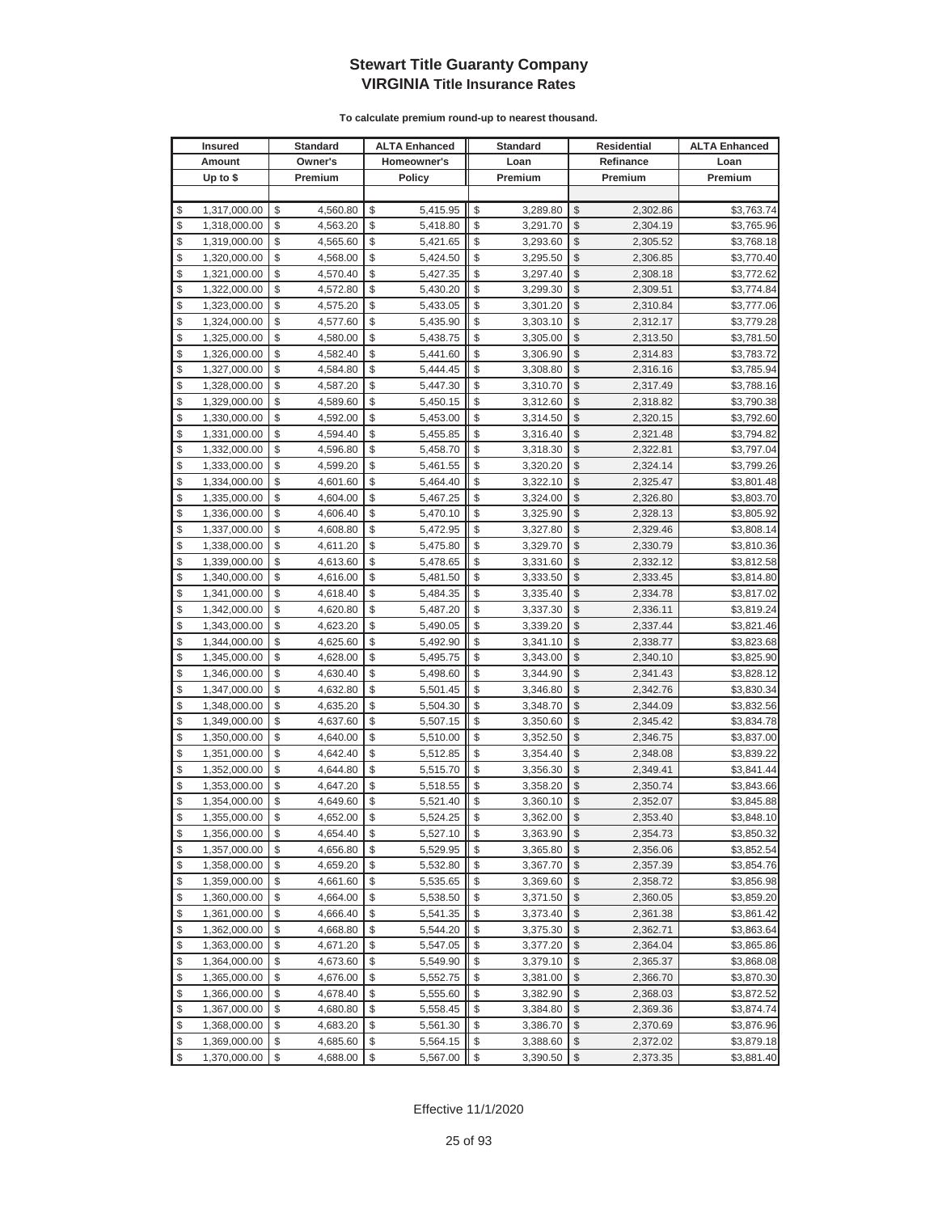|          | <b>Insured</b>               |          | Standard             |          | <b>ALTA Enhanced</b> |          | <b>Standard</b>      |               | Residential          | <b>ALTA Enhanced</b>     |
|----------|------------------------------|----------|----------------------|----------|----------------------|----------|----------------------|---------------|----------------------|--------------------------|
|          | Amount                       |          | Owner's              |          | Homeowner's          |          | Loan                 |               | Refinance            | Loan                     |
|          | Up to $$$                    |          | Premium              |          | <b>Policy</b>        |          | Premium              |               | Premium              | Premium                  |
|          |                              |          |                      |          |                      |          |                      |               |                      |                          |
| \$       | 1,317,000.00                 | \$       | 4,560.80             | \$       | 5,415.95             | \$       | 3,289.80             | \$            | 2,302.86             | \$3,763.74               |
| \$       | 1,318,000.00                 | \$       | 4,563.20             | \$       | 5,418.80             | \$       | 3,291.70             | \$            | 2,304.19             | \$3,765.96               |
| \$       | 1,319,000.00                 | \$       | 4,565.60             | \$       | 5,421.65             | \$       | 3,293.60             | $\mathcal{S}$ | 2,305.52             | \$3,768.18               |
| \$       | 1,320,000.00                 | \$       | 4,568.00             | \$       | 5,424.50             | \$       | 3,295.50             | \$            | 2,306.85             | \$3,770.40               |
| \$       | 1,321,000.00                 | \$       | 4,570.40             | \$       | 5,427.35             | \$       | 3,297.40             | \$            | 2,308.18             | \$3,772.62               |
| \$       | 1,322,000.00                 | \$       | 4,572.80             | \$       | 5,430.20             | \$       | 3,299.30             | \$            | 2,309.51             | \$3,774.84               |
| \$       | 1,323,000.00                 | \$       | 4,575.20             | \$       | 5,433.05             | \$       | 3,301.20             | \$            | 2,310.84             | \$3,777.06               |
| \$       | 1,324,000.00                 | \$       | 4,577.60             | \$       | 5,435.90             | \$       | 3,303.10             | \$            | 2,312.17             | \$3,779.28               |
| \$       | 1,325,000.00                 | \$       | 4,580.00             | \$       | 5,438.75             | \$       | 3,305.00             | \$            | 2,313.50             | \$3,781.50               |
| \$       | 1,326,000.00                 | \$       | 4,582.40             | \$       | 5,441.60             | \$       | 3,306.90             | \$            | 2,314.83             | \$3,783.72               |
| \$       | 1,327,000.00                 | \$       | 4,584.80             | \$       | 5,444.45             | \$       | 3,308.80             | \$            | 2,316.16             | \$3,785.94               |
| \$       | 1,328,000.00                 | \$       | 4,587.20             | \$       | 5,447.30             | \$       | 3,310.70             | \$            | 2,317.49             | \$3,788.16               |
| \$       | 1,329,000.00                 | \$       | 4,589.60             | \$       | 5,450.15             | \$       | 3,312.60             | \$            | 2,318.82             | \$3,790.38               |
| \$       | 1,330,000.00                 | \$       | 4,592.00             | \$       | 5,453.00             | \$       | 3,314.50             | \$            | 2,320.15             | \$3,792.60               |
| \$       | 1,331,000.00                 | \$       | 4,594.40             | \$       | 5,455.85             | \$       | 3,316.40             | \$            | 2,321.48             | \$3,794.82               |
| \$       | 1,332,000.00                 | \$       | 4,596.80             | \$       | 5,458.70             | \$       | 3,318.30             | \$            | 2,322.81             | \$3,797.04               |
| \$       | 1,333,000.00                 | \$       | 4,599.20             | \$       | 5,461.55             | \$       | 3,320.20             | \$            | 2,324.14             | \$3,799.26               |
| \$       | 1,334,000.00                 | \$       | 4,601.60             | \$       | 5,464.40             | \$       | 3,322.10             | \$            | 2,325.47             | \$3,801.48               |
| \$       | 1,335,000.00                 | \$       | 4,604.00             | \$       | 5,467.25             | \$       | 3,324.00             | \$            | 2,326.80             | \$3,803.70               |
| \$       | 1,336,000.00                 | \$       | 4,606.40             | \$       | 5,470.10             | \$       | 3,325.90             | \$            | 2,328.13             | \$3,805.92               |
| \$       | 1,337,000.00                 | \$       | 4,608.80             | \$       | 5,472.95             | \$       | 3,327.80             | \$            | 2,329.46             | \$3,808.14               |
| \$       | 1,338,000.00                 | \$       | 4,611.20             | \$       | 5,475.80             | \$       | 3,329.70             | \$            | 2,330.79             | \$3,810.36               |
| \$       | 1,339,000.00                 | \$       | 4,613.60             | \$       | 5,478.65             | \$       | 3,331.60             | \$            | 2,332.12             | \$3,812.58               |
| \$       | 1,340,000.00                 | \$       | 4,616.00             | \$       | 5,481.50             | \$       | 3,333.50             | \$            | 2,333.45             | \$3,814.80               |
| \$       | 1,341,000.00                 | \$       | 4,618.40             | \$       | 5,484.35             | \$       | 3,335.40             | \$            | 2,334.78             | \$3,817.02               |
| \$       | 1,342,000.00                 | \$       | 4,620.80             | \$       | 5,487.20             | \$       | 3,337.30             | \$            | 2,336.11             | \$3,819.24               |
| \$       | 1,343,000.00                 | \$       | 4,623.20             | \$       | 5,490.05             | \$       | 3,339.20             | $\mathcal{S}$ | 2,337.44             | \$3,821.46               |
| \$       | 1,344,000.00                 | \$       | 4,625.60             | \$       | 5,492.90             | \$       | 3,341.10             | \$            | 2,338.77             | \$3,823.68               |
| \$       | 1,345,000.00                 | \$       | 4,628.00             | \$       | 5,495.75             | \$       | 3,343.00             | $\mathcal{S}$ | 2,340.10             | \$3,825.90               |
| \$       | 1,346,000.00                 | \$       | 4,630.40             | \$       | 5,498.60             | \$       | 3,344.90             | \$            | 2,341.43             | \$3,828.12               |
| \$       | 1,347,000.00                 | \$       | 4,632.80             | \$       | 5,501.45             | \$       | 3,346.80             | \$            | 2,342.76             | \$3,830.34               |
| \$       | 1,348,000.00                 | \$       | 4,635.20             | \$       | 5,504.30             | \$       | 3,348.70             | \$            | 2,344.09             | \$3,832.56               |
| \$       | 1,349,000.00                 | \$       | 4,637.60             | \$       | 5,507.15             | \$       | 3,350.60             | \$            | 2,345.42             | \$3,834.78               |
| \$       | 1,350,000.00                 | \$       | 4,640.00             | \$       | 5,510.00             | \$       | 3,352.50             | \$            | 2,346.75             | \$3,837.00               |
| \$       | 1,351,000.00                 | \$       | 4,642.40             | \$       | 5,512.85             | \$       | 3,354.40             | \$            | 2,348.08             | \$3,839.22               |
| \$       | 1,352,000.00                 | \$       | 4,644.80             | \$<br>\$ | 5,515.70             | \$<br>\$ | 3,356.30             | \$<br>\$      | 2,349.41             | \$3,841.44               |
| \$<br>\$ | 1,353,000.00                 | \$<br>\$ | 4,647.20             | \$       | 5,518.55             | \$       | 3,358.20             | \$            | 2,350.74<br>2,352.07 | \$3,843.66               |
| \$       | 1,354,000.00<br>1,355,000.00 | \$       | 4,649.60<br>4,652.00 | \$       | 5,521.40<br>5,524.25 | \$       | 3,360.10<br>3,362.00 | $\mathcal{S}$ | 2,353.40             | \$3,845.88<br>\$3,848.10 |
| \$       | 1,356,000.00                 | \$       | 4,654.40             | \$       |                      | \$       | 3,363.90             | $\sqrt[6]{2}$ | 2,354.73             | \$3,850.32               |
| \$       | 1,357,000.00                 | \$       | 4,656.80             | \$       | 5,527.10<br>5,529.95 | \$       | 3,365.80             | \$            | 2,356.06             | \$3,852.54               |
| \$       | 1,358,000.00                 | \$       | 4,659.20             | \$       | 5,532.80             | \$       | 3,367.70             | $\frac{1}{2}$ | 2,357.39             | \$3,854.76               |
| \$       | 1,359,000.00                 | \$       | 4,661.60             | \$       | 5,535.65             | \$       | 3,369.60             | \$            | 2,358.72             | \$3,856.98               |
| \$       | 1,360,000.00                 | \$       | 4,664.00             | \$       | 5,538.50             | \$       | 3,371.50             | \$            | 2,360.05             | \$3,859.20               |
| \$       | 1,361,000.00                 | \$       | 4,666.40             | \$       | 5,541.35             | \$       | 3,373.40             | \$            | 2,361.38             | \$3,861.42               |
| \$       | 1,362,000.00                 | \$       | 4,668.80             | \$       | 5,544.20             | \$       | 3,375.30             | \$            | 2,362.71             | \$3,863.64               |
| \$       | 1,363,000.00                 | \$       | 4,671.20             | \$       | 5,547.05             | \$       | 3,377.20             | \$            | 2,364.04             | \$3,865.86               |
| \$       | 1,364,000.00                 | \$       | 4,673.60             | \$       | 5,549.90             | \$       | 3,379.10             | \$            | 2,365.37             | \$3,868.08               |
| \$       | 1,365,000.00                 | \$       | 4,676.00             | \$       | 5,552.75             | \$       | 3,381.00             | \$            | 2,366.70             | \$3,870.30               |
| \$       | 1,366,000.00                 | \$       | 4,678.40             | \$       | 5,555.60             | \$       | 3,382.90             | \$            | 2,368.03             | \$3,872.52               |
| \$       | 1,367,000.00                 | \$       | 4,680.80             | \$       | 5,558.45             | \$       | 3,384.80             | \$            | 2,369.36             | \$3,874.74               |
| \$       | 1,368,000.00                 | \$       | 4,683.20             | \$       | 5,561.30             | \$       | 3,386.70             | \$            | 2,370.69             | \$3,876.96               |
| \$       | 1,369,000.00                 | \$       | 4,685.60             | \$       | 5,564.15             | \$       | 3,388.60             | \$            | 2,372.02             | \$3,879.18               |
| \$       | 1,370,000.00                 | \$       | 4,688.00             | \$       | 5,567.00             | \$       | 3,390.50             | $\frac{1}{2}$ | 2,373.35             | \$3,881.40               |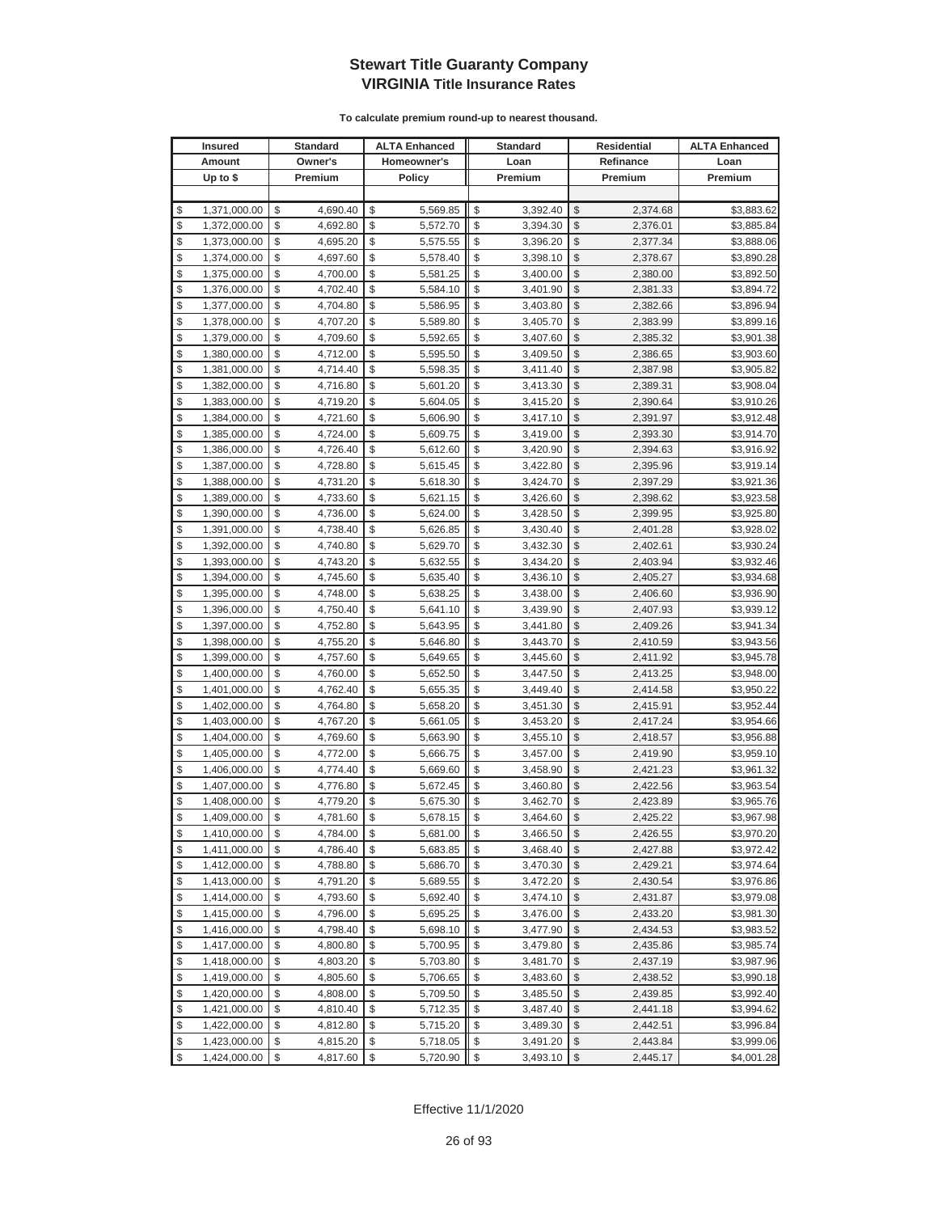|          | <b>Insured</b>               |          | Standard             |          | <b>ALTA Enhanced</b> |          | <b>Standard</b>      |               | Residential          | <b>ALTA Enhanced</b>     |
|----------|------------------------------|----------|----------------------|----------|----------------------|----------|----------------------|---------------|----------------------|--------------------------|
|          | Amount                       |          | Owner's              |          | Homeowner's          |          | Loan                 |               | Refinance            | Loan                     |
|          | Up to $$$                    |          | Premium              |          | <b>Policy</b>        |          | Premium              |               | Premium              | Premium                  |
|          |                              |          |                      |          |                      |          |                      |               |                      |                          |
| \$       | 1,371,000.00                 | \$       | 4,690.40             | \$       | 5,569.85             | \$       | 3,392.40             | \$            | 2,374.68             | \$3,883.62               |
| \$       | 1,372,000.00                 | \$       | 4,692.80             | \$       | 5,572.70             | \$       | 3,394.30             | \$            | 2,376.01             | \$3,885.84               |
| \$       | 1,373,000.00                 | \$       | 4,695.20             | \$       | 5,575.55             | \$       | 3,396.20             | \$            | 2,377.34             | \$3,888.06               |
| \$       | 1,374,000.00                 | \$       | 4,697.60             | \$       | 5,578.40             | \$       | 3,398.10             | \$            | 2,378.67             | \$3,890.28               |
| \$       | 1,375,000.00                 | \$       | 4,700.00             | \$       | 5,581.25             | \$       | 3,400.00             | \$            | 2,380.00             | \$3,892.50               |
| \$       | 1,376,000.00                 | \$       | 4,702.40             | \$       | 5,584.10             | \$       | 3,401.90             | \$            | 2,381.33             | \$3,894.72               |
| \$       | 1,377,000.00                 | \$       | 4,704.80             | \$       | 5,586.95             | \$       | 3,403.80             | \$            | 2,382.66             | \$3,896.94               |
| \$       | 1,378,000.00                 | \$       | 4,707.20             | \$       | 5,589.80             | \$       | 3,405.70             | \$            | 2,383.99             | \$3,899.16               |
| \$       | 1,379,000.00                 | \$       | 4,709.60             | \$       | 5,592.65             | \$       | 3,407.60             | \$            | 2,385.32             | \$3,901.38               |
| \$       | 1,380,000.00                 | \$       | 4,712.00             | \$       | 5,595.50             | \$       | 3,409.50             | \$            | 2,386.65             | \$3,903.60               |
| \$       | 1,381,000.00                 | \$       | 4,714.40             | \$       | 5,598.35             | \$       | 3,411.40             | \$            | 2,387.98             | \$3,905.82               |
| \$       | 1,382,000.00                 | \$       | 4,716.80             | \$       | 5,601.20             | \$       | 3,413.30             | \$            | 2,389.31             | \$3,908.04               |
| \$       | 1,383,000.00                 | \$       | 4,719.20             | \$       | 5,604.05             | \$       | 3,415.20             | \$            | 2,390.64             | \$3,910.26               |
| \$       | 1,384,000.00                 | \$       | 4,721.60             | \$       | 5,606.90             | \$       | 3,417.10             | \$            | 2,391.97             | \$3,912.48               |
| \$       | 1,385,000.00                 | \$       | 4,724.00             | \$       | 5,609.75             | \$       | 3,419.00             | \$            | 2,393.30             | \$3,914.70               |
| \$       | 1,386,000.00                 | \$       | 4,726.40             | \$       | 5,612.60             | \$       | 3,420.90             | \$            | 2,394.63             | \$3,916.92               |
| \$       | 1,387,000.00                 | \$       | 4,728.80             | \$       | 5,615.45             | \$       | 3,422.80             | \$            | 2,395.96             | \$3,919.14               |
| \$       | 1,388,000.00                 | \$       | 4,731.20             | \$       | 5,618.30             | \$       | 3,424.70             | \$            | 2,397.29             | \$3,921.36               |
| \$       | 1,389,000.00                 | \$       | 4,733.60             | \$       | 5,621.15             | \$       | 3,426.60             | \$            | 2,398.62             | \$3,923.58               |
| \$       | 1,390,000.00                 | \$       | 4,736.00             | \$       | 5,624.00             | \$       | 3,428.50             | \$            | 2,399.95             | \$3,925.80               |
| \$       | 1,391,000.00                 | \$       | 4,738.40             | \$       | 5,626.85             | \$       | 3,430.40             | \$            | 2,401.28             | \$3,928.02               |
| \$       | 1,392,000.00                 | \$       | 4,740.80             | \$       | 5,629.70             | \$       | 3,432.30             | \$            | 2,402.61             | \$3,930.24               |
| \$       | 1,393,000.00                 | \$       | 4,743.20             | \$       | 5,632.55             | \$       | 3,434.20             | \$            | 2,403.94             | \$3,932.46               |
| \$       | 1,394,000.00                 | \$       | 4,745.60             | \$       | 5,635.40             | \$       | 3,436.10             | \$            | 2,405.27             | \$3,934.68               |
| \$       | 1,395,000.00                 | \$       | 4,748.00             | \$       | 5,638.25             | \$       | 3,438.00             | \$            | 2,406.60             | \$3,936.90               |
| \$       | 1,396,000.00                 | \$       | 4,750.40             | \$       | 5,641.10             | \$       | 3,439.90             | \$            | 2,407.93             | \$3,939.12               |
| \$       | 1,397,000.00                 | \$       | 4,752.80             | \$       | 5,643.95             | \$       | 3,441.80             | \$            | 2,409.26             | \$3,941.34               |
| \$       | 1,398,000.00                 | \$       | 4,755.20             | \$       | 5,646.80             | \$       | 3,443.70             | \$            | 2,410.59             | \$3,943.56               |
| \$       | 1,399,000.00                 | \$       | 4,757.60             | \$       | 5,649.65             | \$       | 3,445.60             | \$            | 2,411.92             | \$3,945.78               |
| \$       | 1,400,000.00                 | \$       | 4,760.00             | \$       | 5,652.50             | \$       | 3,447.50             | \$            | 2,413.25             | \$3,948.00               |
| \$       | 1,401,000.00                 | \$       | 4,762.40             | \$       | 5,655.35             | \$       | 3,449.40             | \$            | 2,414.58             | \$3,950.22               |
| \$       | 1,402,000.00                 | \$       | 4,764.80             | \$       | 5,658.20             | \$       | 3,451.30             | \$            | 2,415.91             | \$3,952.44               |
| \$       | 1,403,000.00                 | \$       | 4,767.20             | \$       | 5,661.05             | \$       | 3,453.20             | \$            | 2,417.24             | \$3,954.66               |
| \$       | 1,404,000.00                 | \$       | 4,769.60             | \$       | 5,663.90             | \$       | 3,455.10             | \$            | 2,418.57             | \$3,956.88               |
| \$       | 1,405,000.00                 | \$       | 4,772.00             | \$       | 5,666.75             | \$       | 3,457.00             | \$            | 2,419.90             | \$3,959.10               |
| \$       | 1,406,000.00                 | \$       | 4,774.40             | \$<br>\$ | 5,669.60             | \$       | 3,458.90             | \$<br>\$      | 2,421.23             | \$3,961.32               |
| \$<br>\$ | 1,407,000.00                 | \$<br>\$ | 4,776.80             | \$       | 5,672.45             | \$<br>\$ | 3,460.80             | \$            | 2,422.56             | \$3,963.54               |
| \$       | 1,408,000.00<br>1,409,000.00 | \$       | 4,779.20<br>4,781.60 | \$       | 5,675.30<br>5,678.15 | \$       | 3,462.70<br>3,464.60 | \$            | 2,423.89<br>2,425.22 | \$3,965.76<br>\$3,967.98 |
| \$       | 1,410,000.00                 | \$       | 4,784.00             | \$       | 5,681.00             | \$       | 3,466.50             | \$            | 2,426.55             | \$3,970.20               |
| \$       | 1,411,000.00                 | \$       | 4,786.40             | \$       | 5,683.85             | \$       | 3,468.40             | \$            | 2,427.88             | \$3,972.42               |
| \$       | 1,412,000.00                 | \$       | 4,788.80             | \$       | 5,686.70             | \$       | 3,470.30             | $\frac{1}{2}$ | 2,429.21             | \$3,974.64               |
| \$       | 1,413,000.00                 | \$       | 4,791.20             | \$       | 5,689.55             | \$       | 3,472.20             | \$            | 2,430.54             | \$3,976.86               |
| \$       | 1,414,000.00                 | \$       | 4,793.60             | \$       | 5,692.40             | \$       | 3,474.10             | \$            | 2,431.87             | \$3,979.08               |
| \$       | 1,415,000.00                 | \$       | 4,796.00             | \$       | 5,695.25             | \$       | 3,476.00             | \$            | 2,433.20             | \$3,981.30               |
| \$       | 1,416,000.00                 | \$       | 4,798.40             | \$       | 5,698.10             | \$       | 3,477.90             | \$            | 2,434.53             | \$3,983.52               |
| \$       | 1,417,000.00                 | \$       | 4,800.80             | \$       | 5,700.95             | \$       | 3,479.80             | \$            | 2,435.86             | \$3,985.74               |
| \$       | 1,418,000.00                 | \$       | 4,803.20             | \$       | 5,703.80             | \$       | 3,481.70             | \$            | 2,437.19             | \$3,987.96               |
| \$       | 1,419,000.00                 | \$       | 4,805.60             | \$       | 5,706.65             | \$       | 3,483.60             | \$            | 2,438.52             | \$3,990.18               |
| \$       | 1,420,000.00                 | \$       | 4,808.00             | \$       | 5,709.50             | \$       | 3,485.50             | \$            | 2,439.85             | \$3,992.40               |
| \$       | 1,421,000.00                 | \$       | 4,810.40             | \$       | 5,712.35             | \$       | 3,487.40             | \$            | 2,441.18             | \$3,994.62               |
| \$       | 1,422,000.00                 | \$       | 4,812.80             | \$       | 5,715.20             | \$       | 3,489.30             | \$            | 2,442.51             | \$3,996.84               |
| \$       | 1,423,000.00                 | \$       | 4,815.20             | \$       | 5,718.05             | \$       | 3,491.20             | \$            | 2,443.84             | \$3,999.06               |
| \$       | 1,424,000.00                 | \$       | 4,817.60             | \$       | 5,720.90             | \$       | 3,493.10             | $\sqrt[6]{3}$ | 2,445.17             | \$4,001.28               |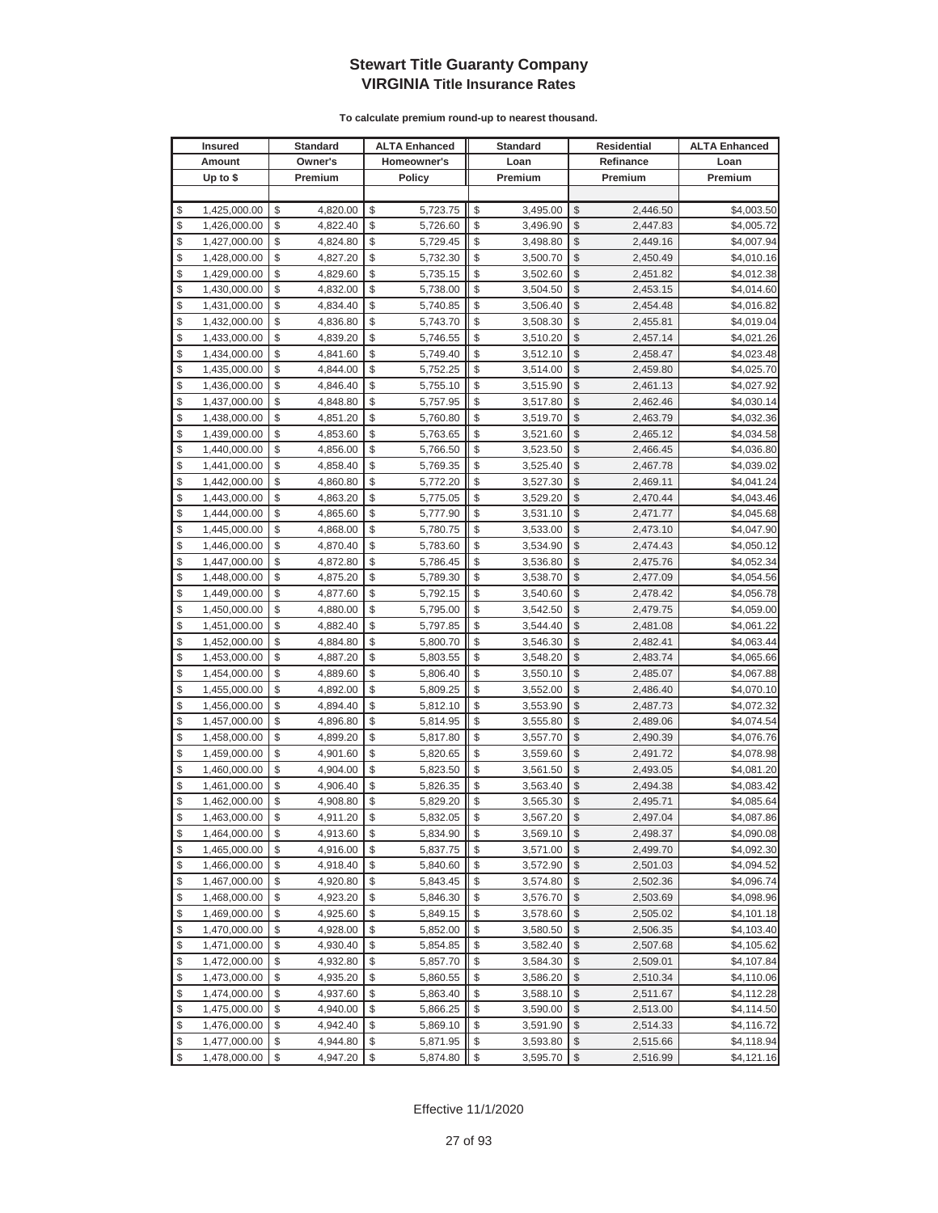| <b>Insured</b>     | <b>Standard</b> | <b>ALTA Enhanced</b> | <b>Standard</b> | Residential             |           | <b>ALTA Enhanced</b> |
|--------------------|-----------------|----------------------|-----------------|-------------------------|-----------|----------------------|
| Amount             | Owner's         | Homeowner's          | Loan            |                         | Refinance | Loan                 |
| Up to $$$          | Premium         | Policy               | Premium         |                         | Premium   | Premium              |
|                    |                 |                      |                 |                         |           |                      |
| \$<br>1,425,000.00 | \$<br>4,820.00  | \$<br>5,723.75       | \$<br>3,495.00  | \$                      | 2,446.50  | \$4,003.50           |
| \$<br>1,426,000.00 | \$<br>4,822.40  | \$<br>5,726.60       | \$<br>3,496.90  | \$                      | 2,447.83  | \$4,005.72           |
| \$<br>1,427,000.00 | \$<br>4,824.80  | \$<br>5,729.45       | \$<br>3,498.80  | \$                      | 2,449.16  | \$4,007.94           |
| \$<br>1,428,000.00 | \$<br>4,827.20  | \$<br>5,732.30       | \$<br>3,500.70  | \$                      | 2,450.49  | \$4,010.16           |
| \$<br>1,429,000.00 | \$<br>4,829.60  | \$<br>5,735.15       | \$<br>3,502.60  | \$                      | 2,451.82  | \$4,012.38           |
| \$<br>1,430,000.00 | \$<br>4,832.00  | \$<br>5,738.00       | \$<br>3,504.50  | \$                      | 2,453.15  | \$4,014.60           |
| \$<br>1,431,000.00 | \$<br>4,834.40  | \$<br>5,740.85       | \$<br>3,506.40  | \$                      | 2,454.48  | \$4,016.82           |
| \$<br>1,432,000.00 | \$<br>4,836.80  | \$<br>5,743.70       | \$<br>3,508.30  | \$                      | 2,455.81  | \$4,019.04           |
| \$<br>1,433,000.00 | \$<br>4,839.20  | \$<br>5,746.55       | \$<br>3,510.20  | \$                      | 2,457.14  | \$4,021.26           |
| \$<br>1,434,000.00 | \$<br>4,841.60  | \$<br>5,749.40       | \$<br>3,512.10  | \$                      | 2,458.47  | \$4,023.48           |
| \$<br>1,435,000.00 | \$<br>4,844.00  | \$<br>5,752.25       | \$<br>3,514.00  | \$                      | 2,459.80  | \$4,025.70           |
| \$<br>1,436,000.00 | \$<br>4,846.40  | \$<br>5,755.10       | \$<br>3,515.90  | \$                      | 2,461.13  | \$4,027.92           |
| \$<br>1,437,000.00 | \$<br>4,848.80  | \$<br>5,757.95       | \$<br>3,517.80  | \$                      | 2,462.46  | \$4,030.14           |
| \$<br>1,438,000.00 | \$<br>4,851.20  | \$<br>5,760.80       | \$<br>3,519.70  | \$                      | 2,463.79  | \$4,032.36           |
| \$<br>1,439,000.00 | \$<br>4,853.60  | \$<br>5,763.65       | \$<br>3,521.60  | \$                      | 2,465.12  | \$4,034.58           |
| \$<br>1,440,000.00 | \$<br>4,856.00  | \$<br>5,766.50       | \$<br>3,523.50  | \$                      | 2,466.45  | \$4,036.80           |
| \$<br>1,441,000.00 | \$<br>4,858.40  | \$<br>5,769.35       | \$<br>3,525.40  | \$                      | 2,467.78  | \$4,039.02           |
| \$<br>1,442,000.00 | \$<br>4,860.80  | \$<br>5,772.20       | \$<br>3,527.30  | \$                      | 2,469.11  | \$4,041.24           |
| \$<br>1,443,000.00 | \$<br>4,863.20  | \$<br>5,775.05       | \$<br>3,529.20  | \$                      | 2,470.44  | \$4,043.46           |
| \$<br>1,444,000.00 | \$<br>4,865.60  | \$<br>5,777.90       | \$<br>3,531.10  | \$                      | 2,471.77  | \$4,045.68           |
| \$<br>1,445,000.00 | \$<br>4,868.00  | \$<br>5,780.75       | \$<br>3,533.00  | \$                      | 2,473.10  | \$4,047.90           |
| \$<br>1,446,000.00 | \$<br>4,870.40  | \$<br>5,783.60       | \$<br>3,534.90  | \$                      | 2,474.43  | \$4,050.12           |
| \$<br>1,447,000.00 | \$<br>4,872.80  | \$<br>5,786.45       | \$<br>3,536.80  | \$                      | 2,475.76  | \$4,052.34           |
| \$<br>1,448,000.00 | \$<br>4,875.20  | \$<br>5,789.30       | \$<br>3,538.70  | \$                      | 2,477.09  | \$4,054.56           |
| \$<br>1,449,000.00 | \$<br>4,877.60  | \$<br>5,792.15       | \$<br>3,540.60  | \$                      | 2,478.42  | \$4,056.78           |
| \$<br>1,450,000.00 | \$<br>4,880.00  | \$<br>5,795.00       | \$<br>3,542.50  | \$                      | 2,479.75  | \$4,059.00           |
| \$<br>1,451,000.00 | \$<br>4,882.40  | \$<br>5,797.85       | \$<br>3,544.40  | \$                      | 2,481.08  | \$4,061.22           |
| \$<br>1,452,000.00 | \$<br>4,884.80  | \$<br>5,800.70       | \$<br>3,546.30  | \$                      | 2,482.41  | \$4,063.44           |
| \$<br>1,453,000.00 | \$<br>4,887.20  | \$<br>5,803.55       | \$<br>3,548.20  | \$                      | 2,483.74  | \$4,065.66           |
| \$<br>1,454,000.00 | \$<br>4,889.60  | \$<br>5,806.40       | \$<br>3,550.10  | \$                      | 2,485.07  | \$4,067.88           |
| \$<br>1,455,000.00 | \$<br>4,892.00  | \$<br>5,809.25       | \$<br>3,552.00  | \$                      | 2,486.40  | \$4,070.10           |
| \$<br>1,456,000.00 | \$<br>4,894.40  | \$<br>5,812.10       | \$<br>3,553.90  | \$                      | 2,487.73  | \$4,072.32           |
| \$<br>1,457,000.00 | \$<br>4,896.80  | \$<br>5,814.95       | \$<br>3,555.80  | \$                      | 2,489.06  | \$4,074.54           |
| \$<br>1,458,000.00 | \$<br>4,899.20  | \$<br>5,817.80       | \$<br>3,557.70  | \$                      | 2,490.39  | \$4,076.76           |
| \$<br>1,459,000.00 | \$<br>4,901.60  | \$<br>5,820.65       | \$<br>3,559.60  | \$                      | 2,491.72  | \$4,078.98           |
| \$<br>1,460,000.00 | \$<br>4,904.00  | \$<br>5,823.50       | \$<br>3,561.50  | \$                      | 2,493.05  | \$4,081.20           |
| \$<br>1,461,000.00 | \$<br>4,906.40  | \$<br>5,826.35       | \$<br>3,563.40  | \$                      | 2,494.38  | \$4,083.42           |
| \$<br>1,462,000.00 | \$<br>4,908.80  | \$<br>5,829.20       | \$<br>3,565.30  | \$                      | 2,495.71  | \$4,085.64           |
| \$<br>1,463,000.00 | \$<br>4,911.20  | \$<br>5,832.05       | \$<br>3,567.20  | $\mathbb{S}$            | 2,497.04  | \$4,087.86           |
| \$<br>1,464,000.00 | \$<br>4,913.60  | \$<br>5,834.90       | \$<br>3,569.10  | \$                      | 2,498.37  | \$4,090.08           |
| \$<br>1,465,000.00 | \$<br>4,916.00  | \$<br>5,837.75       | 3,571.00        | \$                      | 2,499.70  | \$4,092.30           |
| \$<br>1,466,000.00 | \$<br>4,918.40  | \$<br>5,840.60       | \$<br>3,572.90  | \$                      | 2,501.03  | \$4,094.52           |
| \$<br>1,467,000.00 | \$<br>4,920.80  | \$<br>5,843.45       | \$<br>3,574.80  | \$                      | 2,502.36  | \$4,096.74           |
| \$<br>1,468,000.00 | \$<br>4,923.20  | \$<br>5,846.30       | \$<br>3,576.70  | \$                      | 2,503.69  | \$4,098.96           |
| \$<br>1,469,000.00 | \$<br>4,925.60  | \$<br>5,849.15       | \$<br>3,578.60  | \$                      | 2,505.02  | \$4,101.18           |
| \$<br>1,470,000.00 | \$<br>4,928.00  | \$<br>5,852.00       | \$<br>3,580.50  | \$                      | 2,506.35  | \$4,103.40           |
| \$<br>1,471,000.00 | \$<br>4,930.40  | \$<br>5,854.85       | \$<br>3,582.40  | \$                      | 2,507.68  | \$4,105.62           |
| \$<br>1,472,000.00 | \$<br>4,932.80  | \$<br>5,857.70       | \$<br>3,584.30  | \$                      | 2,509.01  | \$4,107.84           |
| \$<br>1,473,000.00 | \$<br>4,935.20  | \$<br>5,860.55       | \$<br>3,586.20  | \$                      | 2,510.34  | \$4,110.06           |
| \$<br>1,474,000.00 | \$<br>4,937.60  | \$<br>5,863.40       | \$<br>3,588.10  | \$                      | 2,511.67  | \$4,112.28           |
| \$<br>1,475,000.00 | \$<br>4,940.00  | \$<br>5,866.25       | \$<br>3,590.00  | \$                      | 2,513.00  | \$4,114.50           |
| \$<br>1,476,000.00 | \$<br>4,942.40  | \$<br>5,869.10       | \$<br>3,591.90  | \$                      | 2,514.33  | \$4,116.72           |
| \$<br>1,477,000.00 | \$<br>4,944.80  | \$<br>5,871.95       | \$<br>3,593.80  | \$                      | 2,515.66  | \$4,118.94           |
| \$<br>1,478,000.00 | \$<br>4,947.20  | \$<br>5,874.80       | \$<br>3,595.70  | $\sqrt[6]{\frac{1}{2}}$ | 2,516.99  | \$4,121.16           |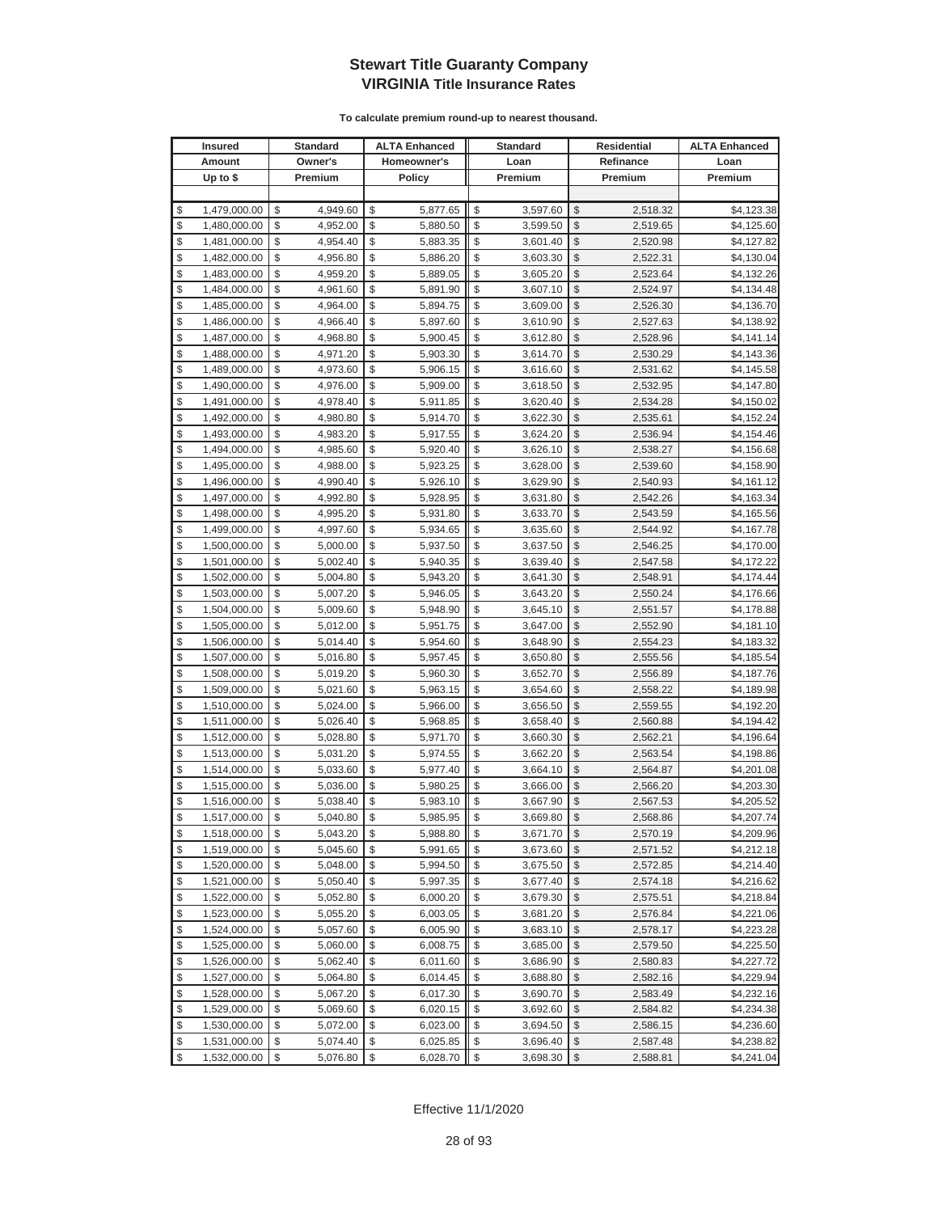| <b>Insured</b>     | Standard       | <b>ALTA Enhanced</b> | <b>Standard</b> |                         | Residential | <b>ALTA Enhanced</b> |
|--------------------|----------------|----------------------|-----------------|-------------------------|-------------|----------------------|
| Amount             | Owner's        | Homeowner's          | Loan            |                         | Refinance   | Loan                 |
| Up to $$$          | Premium        | <b>Policy</b>        | Premium         |                         | Premium     | Premium              |
|                    |                |                      |                 |                         |             |                      |
| \$<br>1,479,000.00 | \$<br>4,949.60 | \$<br>5,877.65       | \$<br>3,597.60  | \$                      | 2,518.32    | \$4,123.38           |
| \$<br>1,480,000.00 | \$<br>4,952.00 | \$<br>5,880.50       | \$<br>3,599.50  | \$                      | 2,519.65    | \$4,125.60           |
| \$<br>1,481,000.00 | \$<br>4,954.40 | \$<br>5,883.35       | \$<br>3,601.40  | \$                      | 2,520.98    | \$4,127.82           |
| \$<br>1,482,000.00 | \$<br>4,956.80 | \$<br>5,886.20       | \$<br>3,603.30  | \$                      | 2,522.31    | \$4,130.04           |
| \$<br>1,483,000.00 | \$<br>4,959.20 | \$<br>5,889.05       | \$<br>3,605.20  | \$                      | 2,523.64    | \$4,132.26           |
| \$<br>1,484,000.00 | \$<br>4,961.60 | \$<br>5,891.90       | \$<br>3,607.10  | \$                      | 2,524.97    | \$4,134.48           |
| \$<br>1,485,000.00 | \$<br>4,964.00 | \$<br>5,894.75       | \$<br>3,609.00  | \$                      | 2,526.30    | \$4,136.70           |
| \$<br>1,486,000.00 | \$<br>4,966.40 | \$<br>5,897.60       | \$<br>3,610.90  | \$                      | 2,527.63    | \$4,138.92           |
| \$<br>1,487,000.00 | \$<br>4,968.80 | \$<br>5,900.45       | \$<br>3,612.80  | \$                      | 2,528.96    | \$4,141.14           |
| \$<br>1,488,000.00 | \$<br>4,971.20 | \$<br>5,903.30       | \$<br>3,614.70  | \$                      | 2,530.29    | \$4,143.36           |
| \$<br>1,489,000.00 | \$<br>4,973.60 | \$<br>5,906.15       | \$<br>3,616.60  | \$                      | 2,531.62    | \$4,145.58           |
| \$<br>1,490,000.00 | \$<br>4,976.00 | \$<br>5,909.00       | \$<br>3,618.50  | \$                      | 2,532.95    | \$4,147.80           |
| \$<br>1,491,000.00 | \$<br>4,978.40 | \$<br>5,911.85       | \$<br>3,620.40  | \$                      | 2,534.28    | \$4,150.02           |
| \$<br>1,492,000.00 | \$<br>4,980.80 | \$<br>5,914.70       | \$<br>3,622.30  | \$                      | 2,535.61    | \$4,152.24           |
| \$<br>1,493,000.00 | \$<br>4,983.20 | \$<br>5,917.55       | \$<br>3,624.20  | \$                      | 2,536.94    | \$4,154.46           |
| \$<br>1,494,000.00 | \$<br>4,985.60 | \$<br>5,920.40       | \$<br>3,626.10  | \$                      | 2,538.27    | \$4,156.68           |
| \$<br>1,495,000.00 | \$<br>4,988.00 | \$<br>5,923.25       | \$<br>3,628.00  | \$                      | 2,539.60    | \$4,158.90           |
| \$<br>1,496,000.00 | \$<br>4,990.40 | \$<br>5,926.10       | \$<br>3,629.90  | \$                      | 2,540.93    | \$4,161.12           |
| \$<br>1,497,000.00 | \$<br>4,992.80 | \$<br>5,928.95       | \$<br>3,631.80  | \$                      | 2,542.26    | \$4,163.34           |
| \$<br>1,498,000.00 | \$<br>4,995.20 | \$<br>5,931.80       | \$<br>3,633.70  | \$                      | 2,543.59    | \$4,165.56           |
| \$<br>1,499,000.00 | \$<br>4,997.60 | \$<br>5,934.65       | \$<br>3,635.60  | \$                      | 2,544.92    | \$4,167.78           |
| \$<br>1,500,000.00 | \$<br>5,000.00 | \$<br>5,937.50       | \$<br>3,637.50  | \$                      | 2,546.25    | \$4,170.00           |
| \$<br>1,501,000.00 | \$<br>5,002.40 | \$<br>5,940.35       | \$<br>3,639.40  | \$                      | 2,547.58    | \$4,172.22           |
| \$<br>1,502,000.00 | \$<br>5,004.80 | \$<br>5,943.20       | \$<br>3,641.30  | \$                      | 2,548.91    | \$4,174.44           |
| \$<br>1,503,000.00 | \$<br>5,007.20 | \$<br>5,946.05       | \$<br>3,643.20  | \$                      | 2,550.24    | \$4,176.66           |
| \$<br>1,504,000.00 | \$<br>5,009.60 | \$<br>5,948.90       | \$<br>3,645.10  | \$                      | 2,551.57    | \$4,178.88           |
| \$<br>1,505,000.00 | \$<br>5,012.00 | \$<br>5,951.75       | \$<br>3,647.00  | \$                      | 2,552.90    | \$4,181.10           |
| \$<br>1,506,000.00 | \$<br>5,014.40 | \$<br>5,954.60       | \$<br>3,648.90  | \$                      | 2,554.23    | \$4,183.32           |
| \$<br>1,507,000.00 | \$<br>5,016.80 | \$<br>5,957.45       | \$<br>3,650.80  | \$                      | 2,555.56    | \$4,185.54           |
| \$<br>1,508,000.00 | \$<br>5,019.20 | \$<br>5,960.30       | \$<br>3,652.70  | \$                      | 2,556.89    | \$4,187.76           |
| \$<br>1,509,000.00 | \$<br>5,021.60 | \$<br>5,963.15       | \$<br>3,654.60  | \$                      | 2,558.22    | \$4,189.98           |
| \$<br>1,510,000.00 | \$<br>5,024.00 | \$<br>5,966.00       | \$<br>3,656.50  | \$                      | 2,559.55    | \$4,192.20           |
| \$<br>1,511,000.00 | \$<br>5,026.40 | \$<br>5,968.85       | \$<br>3,658.40  | \$                      | 2,560.88    | \$4,194.42           |
| \$<br>1,512,000.00 | \$<br>5,028.80 | \$<br>5,971.70       | \$<br>3,660.30  | \$                      | 2,562.21    | \$4,196.64           |
| \$<br>1,513,000.00 | \$<br>5,031.20 | \$<br>5,974.55       | \$<br>3,662.20  | \$                      | 2,563.54    | \$4,198.86           |
| \$<br>1,514,000.00 | \$<br>5,033.60 | \$<br>5,977.40       | \$<br>3,664.10  | \$                      | 2,564.87    | \$4,201.08           |
| \$<br>1,515,000.00 | \$<br>5,036.00 | \$<br>5,980.25       | \$<br>3,666.00  | \$                      | 2,566.20    | \$4,203.30           |
| \$<br>1,516,000.00 | \$<br>5,038.40 | \$<br>5,983.10       | \$<br>3,667.90  | \$                      | 2,567.53    | \$4,205.52           |
| \$<br>1,517,000.00 | \$<br>5,040.80 | \$<br>5,985.95       | \$<br>3,669.80  | \$                      | 2,568.86    | \$4,207.74]          |
| \$<br>1,518,000.00 | \$<br>5,043.20 | \$<br>5,988.80       | \$<br>3,671.70  | $\sqrt[6]{3}$           | 2,570.19    | \$4,209.96           |
| \$<br>1,519,000.00 | \$<br>5,045.60 | \$<br>5,991.65       | \$<br>3,673.60  | $\mathcal{S}$           | 2,571.52    | \$4,212.18           |
| \$<br>1,520,000.00 | \$<br>5,048.00 | \$<br>5,994.50       | \$<br>3,675.50  | $\frac{1}{2}$           | 2,572.85    | \$4,214.40           |
| \$<br>1,521,000.00 | \$<br>5,050.40 | \$<br>5,997.35       | \$<br>3,677.40  | \$                      | 2,574.18    | \$4,216.62           |
| \$<br>1,522,000.00 | \$<br>5,052.80 | \$<br>6,000.20       | \$<br>3,679.30  | \$                      | 2,575.51    | \$4,218.84           |
| \$<br>1,523,000.00 | \$<br>5,055.20 | \$<br>6,003.05       | \$<br>3,681.20  | \$                      | 2,576.84    | \$4,221.06           |
| \$<br>1,524,000.00 | \$<br>5,057.60 | \$<br>6,005.90       | \$<br>3,683.10  | \$                      | 2,578.17    | \$4,223.28           |
| \$<br>1,525,000.00 | \$<br>5,060.00 | \$<br>6,008.75       | \$<br>3,685.00  | \$                      | 2,579.50    | \$4,225.50           |
| \$<br>1,526,000.00 | \$<br>5,062.40 | \$<br>6,011.60       | \$<br>3,686.90  | \$                      | 2,580.83    | \$4,227.72           |
| \$<br>1,527,000.00 | \$<br>5,064.80 | \$<br>6,014.45       | \$<br>3,688.80  | \$                      | 2,582.16    | \$4,229.94           |
| \$<br>1,528,000.00 | \$<br>5,067.20 | \$<br>6,017.30       | \$<br>3,690.70  | \$                      | 2,583.49    | \$4,232.16           |
| \$<br>1,529,000.00 | \$<br>5,069.60 | \$<br>6,020.15       | \$<br>3,692.60  | \$                      | 2,584.82    | \$4,234.38           |
| \$<br>1,530,000.00 | \$<br>5,072.00 | \$<br>6,023.00       | \$<br>3,694.50  | \$                      | 2,586.15    | \$4,236.60           |
| \$<br>1,531,000.00 | \$<br>5,074.40 | \$<br>6,025.85       | \$<br>3,696.40  | \$                      | 2,587.48    | \$4,238.82           |
| \$<br>1,532,000.00 | \$<br>5,076.80 | \$<br>6,028.70       | \$<br>3,698.30  | $\sqrt[6]{\frac{1}{2}}$ | 2,588.81    | \$4,241.04           |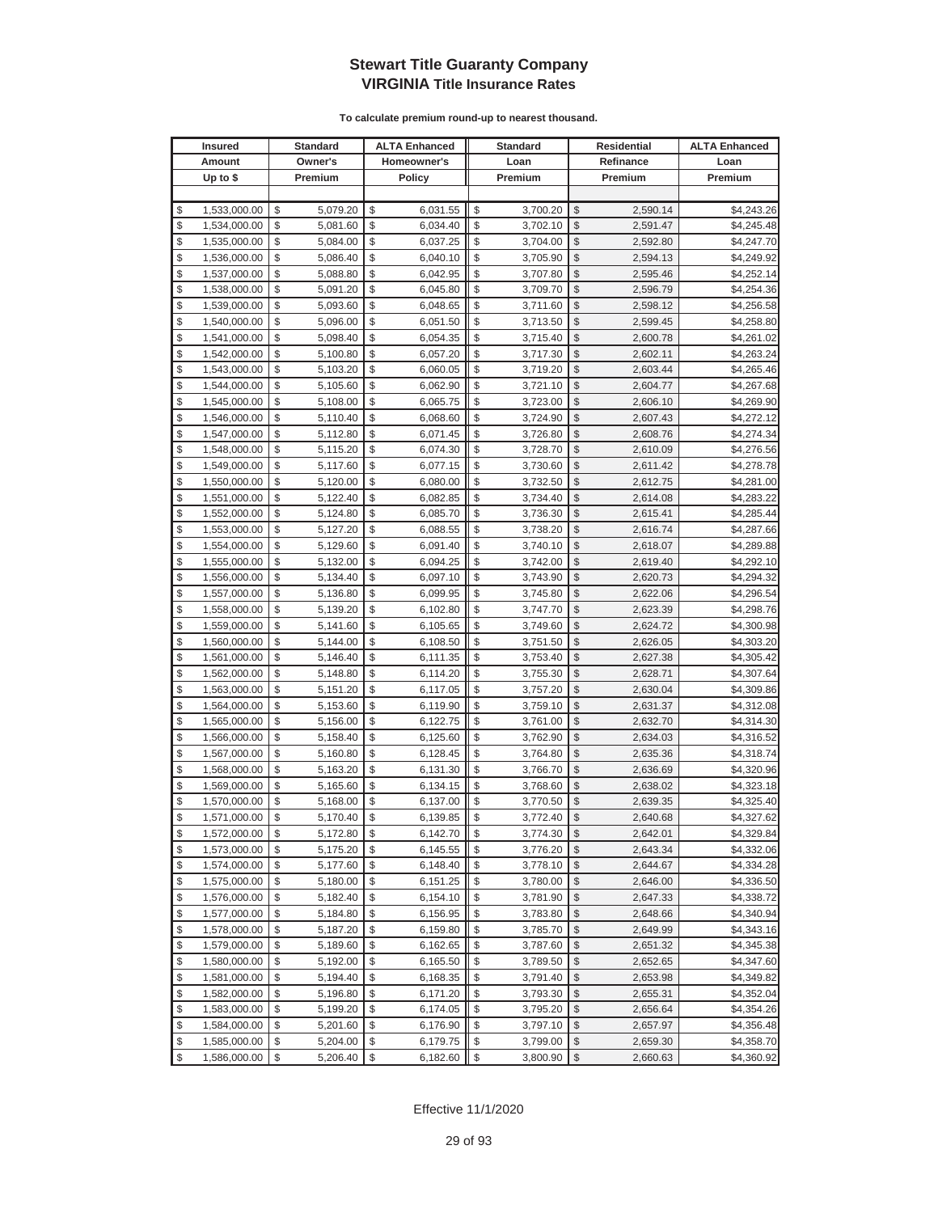| <b>Insured</b>     | Standard       | <b>ALTA Enhanced</b> | <b>Standard</b> |               | Residential | <b>ALTA Enhanced</b> |
|--------------------|----------------|----------------------|-----------------|---------------|-------------|----------------------|
| Amount             | Owner's        | Homeowner's          | Loan            |               | Refinance   | Loan                 |
| Up to $$$          | Premium        | <b>Policy</b>        | Premium         |               | Premium     | Premium              |
|                    |                |                      |                 |               |             |                      |
| \$<br>1,533,000.00 | \$<br>5,079.20 | \$<br>6,031.55       | \$<br>3,700.20  | \$            | 2,590.14    | \$4,243.26           |
| \$<br>1,534,000.00 | \$<br>5,081.60 | \$<br>6,034.40       | \$<br>3,702.10  | \$            | 2,591.47    | \$4,245.48           |
| \$<br>1,535,000.00 | \$<br>5,084.00 | \$<br>6,037.25       | \$<br>3,704.00  | $\mathcal{S}$ | 2,592.80    | \$4,247.70           |
| \$<br>1,536,000.00 | \$<br>5,086.40 | \$<br>6,040.10       | \$<br>3,705.90  | \$            | 2,594.13    | \$4,249.92           |
| \$<br>1,537,000.00 | \$<br>5,088.80 | \$<br>6,042.95       | \$<br>3,707.80  | \$            | 2,595.46    | \$4,252.14           |
| \$<br>1,538,000.00 | \$<br>5,091.20 | \$<br>6,045.80       | \$<br>3,709.70  | \$            | 2,596.79    | \$4,254.36           |
| \$<br>1,539,000.00 | \$<br>5,093.60 | \$<br>6,048.65       | \$<br>3,711.60  | \$            | 2,598.12    | \$4,256.58           |
| \$<br>1,540,000.00 | \$<br>5,096.00 | \$<br>6,051.50       | \$<br>3,713.50  | \$            | 2,599.45    | \$4,258.80           |
| \$<br>1,541,000.00 | \$<br>5,098.40 | \$<br>6,054.35       | \$<br>3,715.40  | \$            | 2,600.78    | \$4,261.02           |
| \$<br>1,542,000.00 | \$<br>5,100.80 | \$<br>6,057.20       | \$<br>3,717.30  | \$            | 2,602.11    | \$4,263.24           |
| \$<br>1,543,000.00 | \$<br>5,103.20 | \$<br>6,060.05       | \$<br>3,719.20  | \$            | 2,603.44    | \$4,265.46           |
| \$<br>1,544,000.00 | \$<br>5,105.60 | \$<br>6,062.90       | \$<br>3,721.10  | \$            | 2,604.77    | \$4,267.68           |
| \$<br>1,545,000.00 | \$<br>5,108.00 | \$<br>6,065.75       | \$<br>3,723.00  | \$            | 2,606.10    | \$4,269.90           |
| \$<br>1,546,000.00 | \$<br>5,110.40 | \$<br>6,068.60       | \$<br>3,724.90  | \$            | 2,607.43    | \$4,272.12           |
| \$<br>1,547,000.00 | \$<br>5,112.80 | \$<br>6,071.45       | \$<br>3,726.80  | \$            | 2,608.76    | \$4,274.34           |
| \$<br>1,548,000.00 | \$<br>5,115.20 | \$<br>6,074.30       | \$<br>3,728.70  | \$            | 2,610.09    | \$4,276.56           |
| \$<br>1,549,000.00 | \$<br>5,117.60 | \$<br>6,077.15       | \$<br>3,730.60  | \$            | 2,611.42    | \$4,278.78           |
| \$<br>1,550,000.00 | \$<br>5,120.00 | \$<br>6,080.00       | \$<br>3,732.50  | \$            | 2,612.75    | \$4,281.00           |
| \$<br>1,551,000.00 | \$<br>5,122.40 | \$<br>6,082.85       | \$<br>3,734.40  | \$            | 2,614.08    | \$4,283.22           |
| \$<br>1,552,000.00 | \$<br>5,124.80 | \$<br>6,085.70       | \$<br>3,736.30  | \$            | 2,615.41    | \$4,285.44           |
| \$<br>1,553,000.00 | \$<br>5,127.20 | \$<br>6,088.55       | \$<br>3,738.20  | \$            | 2,616.74    | \$4,287.66           |
| \$<br>1,554,000.00 | \$<br>5,129.60 | \$<br>6,091.40       | \$<br>3,740.10  | \$            | 2,618.07    | \$4,289.88           |
| \$<br>1,555,000.00 | \$<br>5,132.00 | \$<br>6,094.25       | \$<br>3,742.00  | \$            | 2,619.40    | \$4,292.10           |
| \$<br>1,556,000.00 | \$<br>5,134.40 | \$<br>6,097.10       | \$<br>3,743.90  | \$            | 2,620.73    | \$4,294.32           |
| \$<br>1,557,000.00 | \$<br>5,136.80 | \$<br>6,099.95       | \$<br>3,745.80  | \$            | 2,622.06    | \$4,296.54           |
| \$<br>1,558,000.00 | \$<br>5,139.20 | \$<br>6,102.80       | \$<br>3,747.70  | \$            | 2,623.39    | \$4,298.76           |
| \$<br>1,559,000.00 | \$<br>5,141.60 | \$<br>6,105.65       | \$<br>3,749.60  | \$            | 2,624.72    | \$4,300.98           |
| \$<br>1,560,000.00 | \$<br>5,144.00 | \$<br>6,108.50       | \$<br>3,751.50  | \$            | 2,626.05    | \$4,303.20           |
| \$<br>1,561,000.00 | \$<br>5,146.40 | \$<br>6,111.35       | \$<br>3,753.40  | \$            | 2,627.38    | \$4,305.42           |
| \$<br>1,562,000.00 | \$<br>5,148.80 | \$<br>6,114.20       | \$<br>3,755.30  | \$            | 2,628.71    | \$4,307.64           |
| \$<br>1,563,000.00 | \$<br>5,151.20 | \$<br>6,117.05       | \$<br>3,757.20  | \$            | 2,630.04    | \$4,309.86           |
| \$<br>1,564,000.00 | \$<br>5,153.60 | \$<br>6,119.90       | \$<br>3,759.10  | \$            | 2,631.37    | \$4,312.08           |
| \$<br>1,565,000.00 | \$<br>5,156.00 | \$<br>6,122.75       | \$<br>3,761.00  | \$            | 2,632.70    | \$4,314.30           |
| \$<br>1,566,000.00 | \$<br>5,158.40 | \$<br>6,125.60       | \$<br>3,762.90  | \$            | 2,634.03    | \$4,316.52           |
| \$<br>1,567,000.00 | \$<br>5,160.80 | \$<br>6,128.45       | \$<br>3,764.80  | \$            | 2,635.36    | \$4,318.74           |
| \$<br>1,568,000.00 | \$<br>5,163.20 | \$<br>6,131.30       | \$<br>3,766.70  | \$            | 2,636.69    | \$4,320.96           |
| \$<br>1,569,000.00 | \$<br>5,165.60 | \$<br>6,134.15       | \$<br>3,768.60  | \$            | 2,638.02    | \$4,323.18           |
| \$<br>1,570,000.00 | \$<br>5,168.00 | \$<br>6,137.00       | \$<br>3,770.50  | \$            | 2,639.35    | \$4,325.40           |
| \$<br>1,571,000.00 | \$<br>5,170.40 | \$<br>6,139.85       | \$<br>3,772.40  | $\mathcal{S}$ | 2,640.68    | \$4,327.62           |
| \$<br>1,572,000.00 | \$<br>5,172.80 | \$<br>6,142.70       | \$<br>3,774.30  | $\sqrt[6]{3}$ | 2,642.01    | \$4,329.84           |
| \$<br>1,573,000.00 | \$<br>5,175.20 | \$<br>6,145.55       | \$<br>3,776.20  | $\mathcal{S}$ | 2,643.34    | \$4,332.06           |
| \$<br>1,574,000.00 | \$<br>5,177.60 | \$<br>6,148.40       | \$<br>3,778.10  | $\frac{1}{2}$ | 2,644.67    | \$4,334.28           |
| \$<br>1,575,000.00 | \$<br>5,180.00 | \$<br>6,151.25       | \$<br>3,780.00  | \$            | 2,646.00    | \$4,336.50           |
| \$<br>1,576,000.00 | \$<br>5,182.40 | \$<br>6,154.10       | \$<br>3,781.90  | \$            | 2,647.33    | \$4,338.72           |
| \$<br>1,577,000.00 | \$<br>5,184.80 | \$<br>6,156.95       | \$<br>3,783.80  | \$            | 2,648.66    | \$4,340.94           |
| \$<br>1,578,000.00 | \$<br>5,187.20 | \$<br>6,159.80       | \$<br>3,785.70  | \$            | 2,649.99    | \$4,343.16           |
| \$<br>1,579,000.00 | \$<br>5,189.60 | \$<br>6,162.65       | \$<br>3,787.60  | \$            | 2,651.32    | \$4,345.38           |
| \$<br>1,580,000.00 | \$<br>5,192.00 | \$<br>6,165.50       | \$<br>3,789.50  | \$            | 2,652.65    | \$4,347.60           |
| \$<br>1,581,000.00 | \$<br>5,194.40 | \$<br>6,168.35       | \$<br>3,791.40  | \$            | 2,653.98    | \$4,349.82           |
| \$<br>1,582,000.00 | \$<br>5,196.80 | \$<br>6,171.20       | \$<br>3,793.30  | \$            | 2,655.31    | \$4,352.04           |
| \$<br>1,583,000.00 | \$<br>5,199.20 | \$<br>6,174.05       | \$<br>3,795.20  | \$            | 2,656.64    | \$4,354.26           |
| \$<br>1,584,000.00 | \$<br>5,201.60 | \$<br>6,176.90       | \$<br>3,797.10  | \$            | 2,657.97    | \$4,356.48           |
| \$<br>1,585,000.00 | \$<br>5,204.00 | \$<br>6,179.75       | \$<br>3,799.00  | \$            | 2,659.30    | \$4,358.70           |
| \$<br>1,586,000.00 | \$<br>5,206.40 | \$<br>6,182.60       | \$<br>3,800.90  | \$            | 2,660.63    | \$4,360.92           |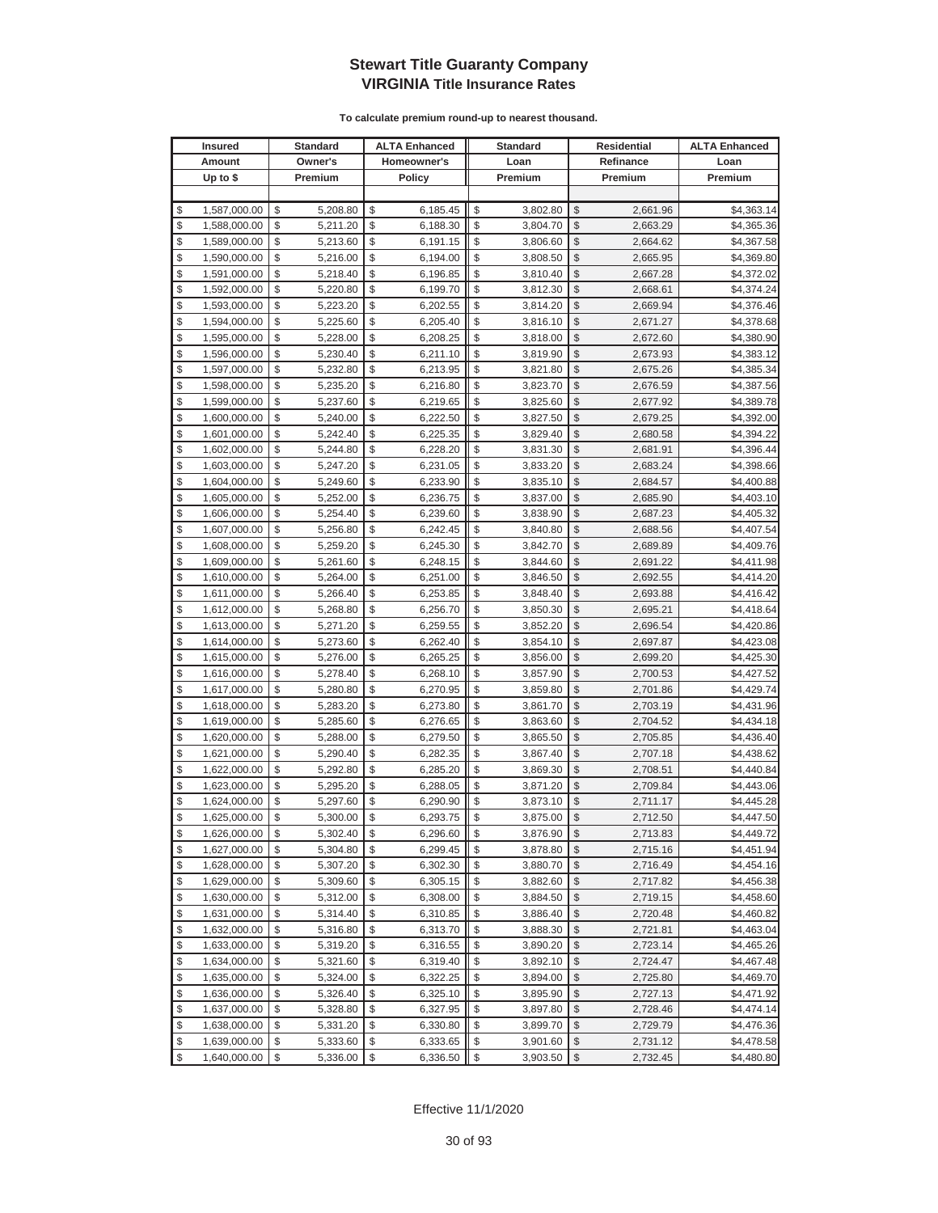|          | <b>Insured</b>               |          | Standard             |          | <b>ALTA Enhanced</b> |          | <b>Standard</b>      |               | Residential          | <b>ALTA Enhanced</b>     |
|----------|------------------------------|----------|----------------------|----------|----------------------|----------|----------------------|---------------|----------------------|--------------------------|
|          | Amount                       |          | Owner's              |          | Homeowner's          |          | Loan                 |               | Refinance            | Loan                     |
|          | Up to $$$                    |          | Premium              |          | <b>Policy</b>        |          | Premium              |               | Premium              | Premium                  |
|          |                              |          |                      |          |                      |          |                      |               |                      |                          |
| \$       | 1,587,000.00                 | \$       | 5,208.80             | \$       | 6,185.45             | \$       | 3,802.80             | \$            | 2,661.96             | \$4,363.14               |
| \$       | 1,588,000.00                 | \$       | 5,211.20             | \$       | 6,188.30             | \$       | 3,804.70             | \$            | 2,663.29             | \$4,365.36               |
| \$       | 1,589,000.00                 | \$       | 5,213.60             | \$       | 6,191.15             | \$       | 3,806.60             | \$            | 2,664.62             | \$4,367.58               |
| \$       | 1,590,000.00                 | \$       | 5,216.00             | \$       | 6,194.00             | \$       | 3,808.50             | \$            | 2,665.95             | \$4,369.80               |
| \$       | 1,591,000.00                 | \$       | 5,218.40             | \$       | 6,196.85             | \$       | 3,810.40             | \$            | 2,667.28             | \$4,372.02               |
| \$       | 1,592,000.00                 | \$       | 5,220.80             | \$       | 6,199.70             | \$       | 3,812.30             | \$            | 2,668.61             | \$4,374.24               |
| \$       | 1,593,000.00                 | \$       | 5,223.20             | \$       | 6,202.55             | \$       | 3,814.20             | \$            | 2,669.94             | \$4,376.46               |
| \$       | 1,594,000.00                 | \$       | 5,225.60             | \$       | 6,205.40             | \$       | 3,816.10             | \$            | 2,671.27             | \$4,378.68               |
| \$       | 1,595,000.00                 | \$       | 5,228.00             | \$       | 6,208.25             | \$       | 3,818.00             | \$            | 2,672.60             | \$4,380.90               |
| \$       | 1,596,000.00                 | \$       | 5,230.40             | \$       | 6,211.10             | \$       | 3,819.90             | \$            | 2,673.93             | \$4,383.12               |
| \$       | 1,597,000.00                 | \$       | 5,232.80             | \$       | 6,213.95             | \$       | 3,821.80             | \$            | 2,675.26             | \$4,385.34               |
| \$       | 1,598,000.00                 | \$       | 5,235.20             | \$       | 6,216.80             | \$       | 3,823.70             | \$            | 2,676.59             | \$4,387.56               |
| \$       | 1,599,000.00                 | \$       | 5,237.60             | \$       | 6,219.65             | \$       | 3,825.60             | \$            | 2,677.92             | \$4,389.78               |
| \$       | 1,600,000.00                 | \$       | 5,240.00             | \$       | 6,222.50             | \$       | 3,827.50             | \$            | 2,679.25             | \$4,392.00               |
| \$       | 1,601,000.00                 | \$       | 5,242.40             | \$       | 6,225.35             | \$       | 3,829.40             | \$            | 2,680.58             | \$4,394.22               |
| \$       | 1,602,000.00                 | \$       | 5,244.80             | \$       | 6,228.20             | \$       | 3,831.30             | \$            | 2,681.91             | \$4,396.44               |
| \$       | 1,603,000.00                 | \$       | 5,247.20             | \$       | 6,231.05             | \$       | 3,833.20             | \$            | 2,683.24             | \$4,398.66               |
| \$       | 1,604,000.00                 | \$       | 5,249.60             | \$       | 6,233.90             | \$       | 3,835.10             | \$            | 2,684.57             | \$4,400.88               |
| \$       | 1,605,000.00                 | \$       | 5,252.00             | \$       | 6,236.75             | \$       | 3,837.00             | \$            | 2,685.90             | \$4,403.10               |
| \$       | 1,606,000.00                 | \$       | 5,254.40             | \$       | 6,239.60             | \$       | 3,838.90             | \$            | 2,687.23             | \$4,405.32               |
| \$       | 1,607,000.00                 | \$       | 5,256.80             | \$       | 6,242.45             | \$       | 3,840.80             | \$            | 2,688.56             | \$4,407.54               |
| \$       | 1,608,000.00                 | \$       | 5,259.20             | \$       | 6,245.30             | \$       | 3,842.70             | \$            | 2,689.89             | \$4,409.76               |
| \$       | 1,609,000.00                 | \$       | 5,261.60             | \$       | 6,248.15             | \$       | 3,844.60             | \$            | 2,691.22             | \$4,411.98               |
| \$       | 1,610,000.00                 | \$       | 5,264.00             | \$       | 6,251.00             | \$       | 3,846.50             | \$            | 2,692.55             | \$4,414.20               |
| \$       | 1,611,000.00                 | \$       | 5,266.40             | \$       | 6,253.85             | \$       | 3,848.40             | \$            | 2,693.88             | \$4,416.42               |
| \$       | 1,612,000.00                 | \$       | 5,268.80             | \$       | 6,256.70             | \$       | 3,850.30             | \$            | 2,695.21             | \$4,418.64               |
| \$       | 1,613,000.00                 | \$       | 5,271.20             | \$       | 6,259.55             | \$       | 3,852.20             | \$            | 2,696.54             | \$4,420.86               |
| \$       | 1,614,000.00                 | \$       | 5,273.60             | \$       | 6,262.40             | \$       | 3,854.10             | \$            | 2,697.87             | \$4,423.08               |
| \$       | 1,615,000.00                 | \$       | 5,276.00             | \$       | 6,265.25             | \$       | 3,856.00             | \$            | 2,699.20             | \$4,425.30               |
| \$       | 1,616,000.00                 | \$       | 5,278.40             | \$       | 6,268.10             | \$       | 3,857.90             | \$            | 2,700.53             | \$4,427.52               |
| \$       | 1,617,000.00                 | \$       | 5,280.80             | \$       | 6,270.95             | \$       | 3,859.80             | \$            | 2,701.86             | \$4,429.74               |
| \$       | 1,618,000.00                 | \$       | 5,283.20             | \$       | 6,273.80             | \$       | 3,861.70             | \$            | 2,703.19             | \$4,431.96               |
| \$       | 1,619,000.00                 | \$       | 5,285.60             | \$       | 6,276.65             | \$       | 3,863.60             | \$            | 2,704.52             | \$4,434.18               |
| \$       | 1,620,000.00                 | \$       | 5,288.00             | \$       | 6,279.50             | \$       | 3,865.50             | \$            | 2,705.85             | \$4,436.40               |
| \$       | 1,621,000.00                 | \$       | 5,290.40             | \$       | 6,282.35             | \$       | 3,867.40             | \$            | 2,707.18             | \$4,438.62               |
| \$       | 1,622,000.00                 | \$       | 5,292.80             | \$<br>\$ | 6,285.20             | \$       | 3,869.30             | \$<br>\$      | 2,708.51             | \$4,440.84               |
| \$<br>\$ | 1,623,000.00                 | \$<br>\$ | 5,295.20             | \$       | 6,288.05<br>6,290.90 | \$<br>\$ | 3,871.20             | \$            | 2,709.84             | \$4,443.06               |
| \$       | 1,624,000.00<br>1,625,000.00 | \$       | 5,297.60<br>5,300.00 | \$       | 6,293.75             | \$       | 3,873.10<br>3,875.00 | \$            | 2,711.17<br>2,712.50 | \$4,445.28<br>\$4,447.50 |
| \$       | 1,626,000.00                 | \$       | 5,302.40             | \$       | 6,296.60             | \$       | 3,876.90             | $\sqrt[6]{3}$ | 2,713.83             | \$4,449.72               |
| \$       | 1,627,000.00                 | \$       | 5,304.80             | \$       | 6,299.45             | \$       | 3,878.80             | $\mathcal{S}$ | 2,715.16             | \$4,451.94               |
| \$       | 1,628,000.00                 | \$       | 5,307.20             | \$       | 6,302.30             | \$       | 3,880.70             | $\frac{1}{2}$ | 2,716.49             | \$4,454.16               |
| \$       | 1,629,000.00                 | \$       | 5,309.60             | \$       | 6,305.15             | \$       | 3,882.60             | \$            | 2,717.82             | \$4,456.38               |
| \$       | 1,630,000.00                 | \$       | 5,312.00             | \$       | 6,308.00             | \$       | 3,884.50             | \$            | 2,719.15             | \$4,458.60               |
| \$       | 1,631,000.00                 | \$       | 5,314.40             | \$       | 6,310.85             | \$       | 3,886.40             | \$            | 2,720.48             | \$4,460.82               |
| \$       | 1,632,000.00                 | \$       | 5,316.80             | \$       | 6,313.70             | \$       | 3,888.30             | \$            | 2,721.81             | \$4,463.04               |
| \$       | 1,633,000.00                 | \$       | 5,319.20             | \$       | 6,316.55             | \$       | 3,890.20             | \$            | 2,723.14             | \$4,465.26               |
| \$       | 1,634,000.00                 | \$       | 5,321.60             | \$       | 6,319.40             | \$       | 3,892.10             | \$            | 2,724.47             | \$4,467.48               |
| \$       | 1,635,000.00                 | \$       | 5,324.00             | \$       | 6,322.25             | \$       | 3,894.00             | \$            | 2,725.80             | \$4,469.70               |
| \$       | 1,636,000.00                 | \$       | 5,326.40             | \$       | 6,325.10             | \$       | 3,895.90             | \$            | 2,727.13             | \$4,471.92               |
| \$       | 1,637,000.00                 | \$       | 5,328.80             | \$       | 6,327.95             | \$       | 3,897.80             | \$            | 2,728.46             | \$4,474.14               |
| \$       | 1,638,000.00                 | \$       | 5,331.20             | \$       | 6,330.80             | \$       | 3,899.70             | \$            | 2,729.79             | \$4,476.36               |
| \$       | 1,639,000.00                 | \$       | 5,333.60             | \$       | 6,333.65             | \$       | 3,901.60             | \$            | 2,731.12             | \$4,478.58               |
| \$       | 1,640,000.00                 | \$       | 5,336.00             | \$       | 6,336.50             | \$       | 3,903.50             | $\sqrt[6]{3}$ | 2,732.45             | \$4,480.80               |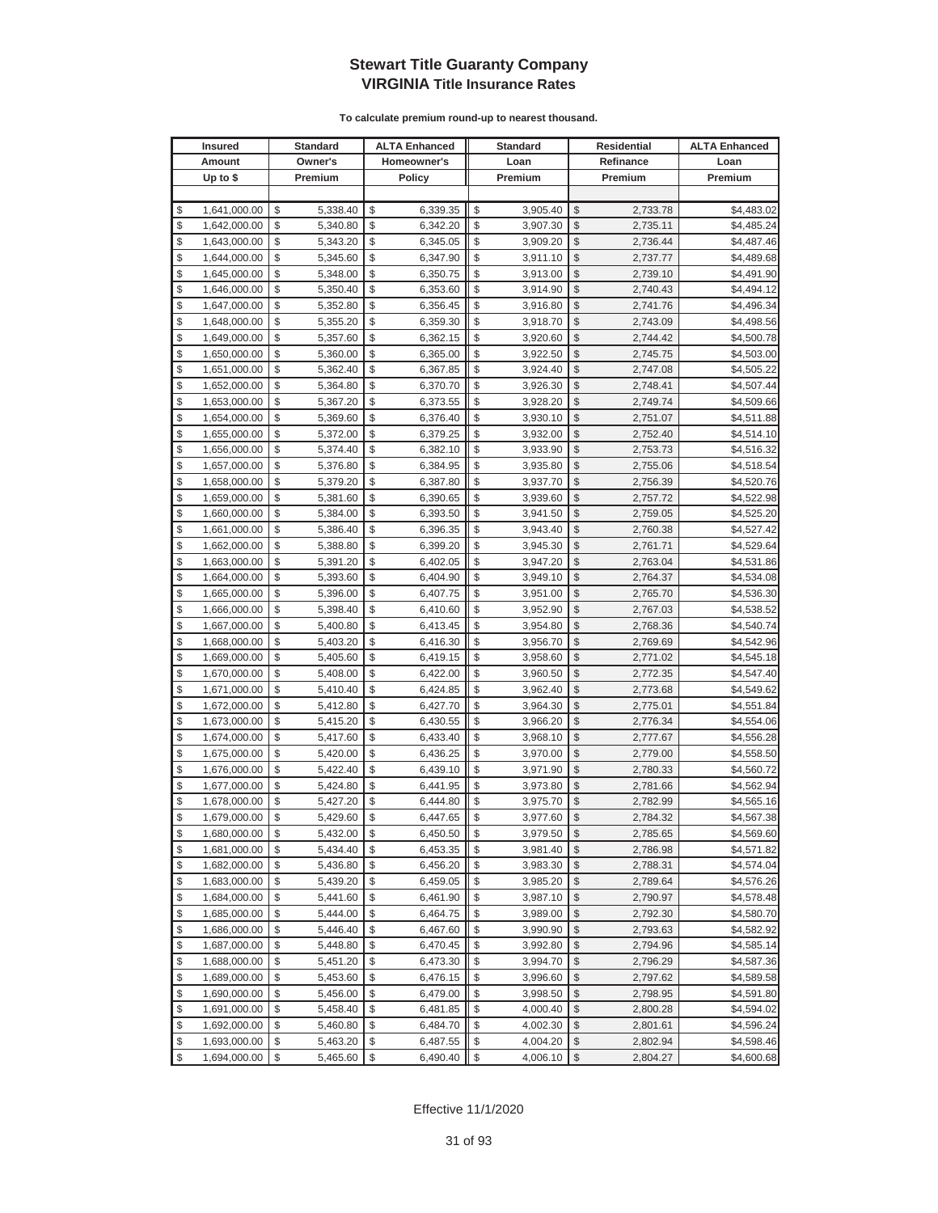|          | <b>Insured</b>               |          | Standard             |          | <b>ALTA Enhanced</b> |          | <b>Standard</b>      |               | Residential          | <b>ALTA Enhanced</b>     |
|----------|------------------------------|----------|----------------------|----------|----------------------|----------|----------------------|---------------|----------------------|--------------------------|
|          | Amount                       |          | Owner's              |          | Homeowner's          |          | Loan                 |               | Refinance            | Loan                     |
|          | Up to $$$                    |          | Premium              |          | <b>Policy</b>        |          | Premium              |               | Premium              | Premium                  |
|          |                              |          |                      |          |                      |          |                      |               |                      |                          |
| \$       | 1,641,000.00                 | \$       | 5,338.40             | \$       | 6,339.35             | \$       | 3,905.40             | \$            | 2,733.78             | \$4,483.02               |
| \$       | 1,642,000.00                 | \$       | 5,340.80             | \$       | 6,342.20             | \$       | 3,907.30             | \$            | 2,735.11             | \$4,485.24               |
| \$       | 1,643,000.00                 | \$       | 5,343.20             | \$       | 6,345.05             | \$       | 3,909.20             | \$            | 2,736.44             | \$4,487.46               |
| \$       | 1,644,000.00                 | \$       | 5,345.60             | \$       | 6,347.90             | \$       | 3,911.10             | \$            | 2,737.77             | \$4,489.68               |
| \$       | 1,645,000.00                 | \$       | 5,348.00             | \$       | 6,350.75             | \$       | 3,913.00             | \$            | 2,739.10             | \$4,491.90               |
| \$       | 1,646,000.00                 | \$       | 5,350.40             | \$       | 6,353.60             | \$       | 3,914.90             | \$            | 2,740.43             | \$4,494.12               |
| \$       | 1,647,000.00                 | \$       | 5,352.80             | \$       | 6,356.45             | \$       | 3,916.80             | \$            | 2,741.76             | \$4,496.34               |
| \$       | 1,648,000.00                 | \$       | 5,355.20             | \$       | 6,359.30             | \$       | 3,918.70             | \$            | 2,743.09             | \$4,498.56               |
| \$       | 1,649,000.00                 | \$       | 5,357.60             | \$       | 6,362.15             | \$       | 3,920.60             | \$            | 2,744.42             | \$4,500.78               |
| \$       | 1,650,000.00                 | \$       | 5,360.00             | \$       | 6,365.00             | \$       | 3,922.50             | \$            | 2,745.75             | \$4,503.00               |
| \$       | 1,651,000.00                 | \$       | 5,362.40             | \$       | 6,367.85             | \$       | 3,924.40             | \$            | 2,747.08             | \$4,505.22               |
| \$       | 1,652,000.00                 | \$       | 5,364.80             | \$       | 6,370.70             | \$       | 3,926.30             | \$            | 2,748.41             | \$4,507.44               |
| \$       | 1,653,000.00                 | \$       | 5,367.20             | \$       | 6,373.55             | \$       | 3,928.20             | \$            | 2,749.74             | \$4,509.66               |
| \$       | 1,654,000.00                 | \$       | 5,369.60             | \$       | 6,376.40             | \$       | 3,930.10             | \$            | 2,751.07             | \$4,511.88               |
| \$       | 1,655,000.00                 | \$       | 5,372.00             | \$       | 6,379.25             | \$       | 3,932.00             | \$            | 2,752.40             | \$4,514.10               |
| \$       | 1,656,000.00                 | \$       | 5,374.40             | \$       | 6,382.10             | \$       | 3,933.90             | \$            | 2,753.73             | \$4,516.32               |
| \$       | 1,657,000.00                 | \$       | 5,376.80             | \$       | 6,384.95             | \$       | 3,935.80             | \$            | 2,755.06             | \$4,518.54               |
| \$       | 1,658,000.00                 | \$       | 5,379.20             | \$       | 6,387.80             | \$       | 3,937.70             | \$            | 2,756.39             | \$4,520.76               |
| \$       | 1,659,000.00                 | \$       | 5,381.60             | \$       | 6,390.65             | \$       | 3,939.60             | \$            | 2,757.72             | \$4,522.98               |
| \$       | 1,660,000.00                 | \$       | 5,384.00             | \$       | 6,393.50             | \$       | 3,941.50             | \$            | 2,759.05             | \$4,525.20               |
| \$       | 1,661,000.00                 | \$       | 5,386.40             | \$       | 6,396.35             | \$       | 3,943.40             | \$            | 2,760.38             | \$4,527.42               |
| \$       | 1,662,000.00                 | \$       | 5,388.80             | \$       | 6,399.20             | \$       | 3,945.30             | \$            | 2,761.71             | \$4,529.64               |
| \$       | 1,663,000.00                 | \$       | 5,391.20             | \$       | 6,402.05             | \$       | 3,947.20             | \$            | 2,763.04             | \$4,531.86               |
| \$       | 1,664,000.00                 | \$       | 5,393.60             | \$       | 6,404.90             | \$       | 3,949.10             | \$            | 2,764.37             | \$4,534.08               |
| \$       | 1,665,000.00                 | \$       | 5,396.00             | \$       | 6,407.75             | \$       | 3,951.00             | \$            | 2,765.70             | \$4,536.30               |
| \$       | 1,666,000.00                 | \$       | 5,398.40             | \$       | 6,410.60             | \$       | 3,952.90             | \$            | 2,767.03             | \$4,538.52               |
| \$       | 1,667,000.00                 | \$       | 5,400.80             | \$       | 6,413.45             | \$       | 3,954.80             | \$            | 2,768.36             | \$4,540.74               |
| \$       | 1,668,000.00                 | \$       | 5,403.20             | \$       | 6,416.30             | \$       | 3,956.70             | \$            | 2,769.69             | \$4,542.96               |
| \$       | 1,669,000.00                 | \$       | 5,405.60             | \$       | 6,419.15             | \$       | 3,958.60             | \$            | 2,771.02             | \$4,545.18               |
| \$       | 1,670,000.00                 | \$       | 5,408.00             | \$       | 6,422.00             | \$       | 3,960.50             | \$            | 2,772.35             | \$4,547.40               |
| \$       | 1,671,000.00                 | \$       | 5,410.40             | \$       | 6,424.85             | \$       | 3,962.40             | \$            | 2,773.68             | \$4,549.62               |
| \$       | 1,672,000.00                 | \$       | 5,412.80             | \$       | 6,427.70             | \$       | 3,964.30             | \$            | 2,775.01             | \$4,551.84               |
| \$       | 1,673,000.00                 | \$       | 5,415.20             | \$       | 6,430.55             | \$       | 3,966.20             | \$            | 2,776.34             | \$4,554.06               |
| \$       | 1,674,000.00                 | \$       | 5,417.60             | \$       | 6,433.40             | \$       | 3,968.10             | \$            | 2,777.67             | \$4,556.28               |
| \$       | 1,675,000.00                 | \$       | 5,420.00             | \$       | 6,436.25             | \$       | 3,970.00             | \$            | 2,779.00             | \$4,558.50               |
| \$       | 1,676,000.00                 | \$       | 5,422.40             | \$       | 6,439.10             | \$       | 3,971.90             | \$            | 2,780.33             | \$4,560.72               |
| \$       | 1,677,000.00                 | \$       | 5,424.80             | \$       | 6,441.95             | \$       | 3,973.80             | \$            | 2,781.66             | \$4,562.94               |
| \$       | 1,678,000.00                 | \$       | 5,427.20             | \$       | 6,444.80             | \$       | 3,975.70             | \$            | 2,782.99             | \$4,565.16               |
| \$       | 1,679,000.00                 | \$       | 5,429.60             | \$       | 6,447.65             | \$       | 3,977.60             | \$            | 2,784.32             | \$4,567.38               |
| \$       | 1,680,000.00                 | \$       | 5,432.00             | \$       | 6,450.50             | \$       | 3,979.50             | \$            | 2,785.65             | \$4,569.60               |
| \$       | 1,681,000.00                 | \$       | 5,434.40             | \$       | 6,453.35             | \$       | 3,981.40             | \$            | 2,786.98             | \$4,571.82               |
| \$       | 1,682,000.00                 | \$       | 5,436.80             | \$       | 6,456.20             | \$       | 3,983.30             | $\frac{1}{2}$ | 2,788.31             | \$4,574.04               |
| \$       | 1,683,000.00                 | \$       | 5,439.20             | \$       | 6,459.05             | \$       | 3,985.20             | \$            | 2,789.64             | \$4,576.26               |
| \$       | 1,684,000.00                 | \$       | 5,441.60             | \$       | 6,461.90             | \$       | 3,987.10             | \$<br>\$      | 2,790.97             | \$4,578.48               |
| \$       | 1,685,000.00                 | \$       | 5,444.00             | \$       | 6,464.75             | \$       | 3,989.00             |               | 2,792.30             | \$4,580.70               |
| \$<br>\$ | 1,686,000.00                 | \$<br>\$ | 5,446.40             | \$       | 6,467.60             | \$<br>\$ | 3,990.90             | \$            | 2,793.63<br>2,794.96 | \$4,582.92               |
|          | 1,687,000.00                 |          | 5,448.80             | \$<br>\$ | 6,470.45             |          | 3,992.80             | \$            |                      | \$4,585.14               |
| \$<br>\$ | 1,688,000.00                 | \$<br>\$ | 5,451.20             | \$       | 6,473.30             | \$<br>\$ | 3,994.70             | \$<br>\$      | 2,796.29             | \$4,587.36               |
| \$       | 1,689,000.00<br>1,690,000.00 | \$       | 5,453.60<br>5,456.00 | \$       | 6,476.15<br>6,479.00 | \$       | 3,996.60<br>3,998.50 | \$            | 2,797.62<br>2,798.95 | \$4,589.58<br>\$4,591.80 |
| \$       |                              | \$       |                      |          | 6,481.85             | \$       |                      | \$            |                      |                          |
| \$       | 1,691,000.00                 | \$       | 5,458.40             | \$<br>\$ |                      | \$       | 4,000.40             | \$            | 2,800.28             | \$4,594.02               |
| \$       | 1,692,000.00<br>1,693,000.00 | \$       | 5,460.80<br>5,463.20 | \$       | 6,484.70             | \$       | 4,002.30             | \$            | 2,801.61             | \$4,596.24<br>\$4,598.46 |
| \$       | 1,694,000.00                 | \$       | 5,465.60             | \$       | 6,487.55<br>6,490.40 | \$       | 4,004.20<br>4,006.10 | $\sqrt[6]{3}$ | 2,802.94<br>2,804.27 | \$4,600.68               |
|          |                              |          |                      |          |                      |          |                      |               |                      |                          |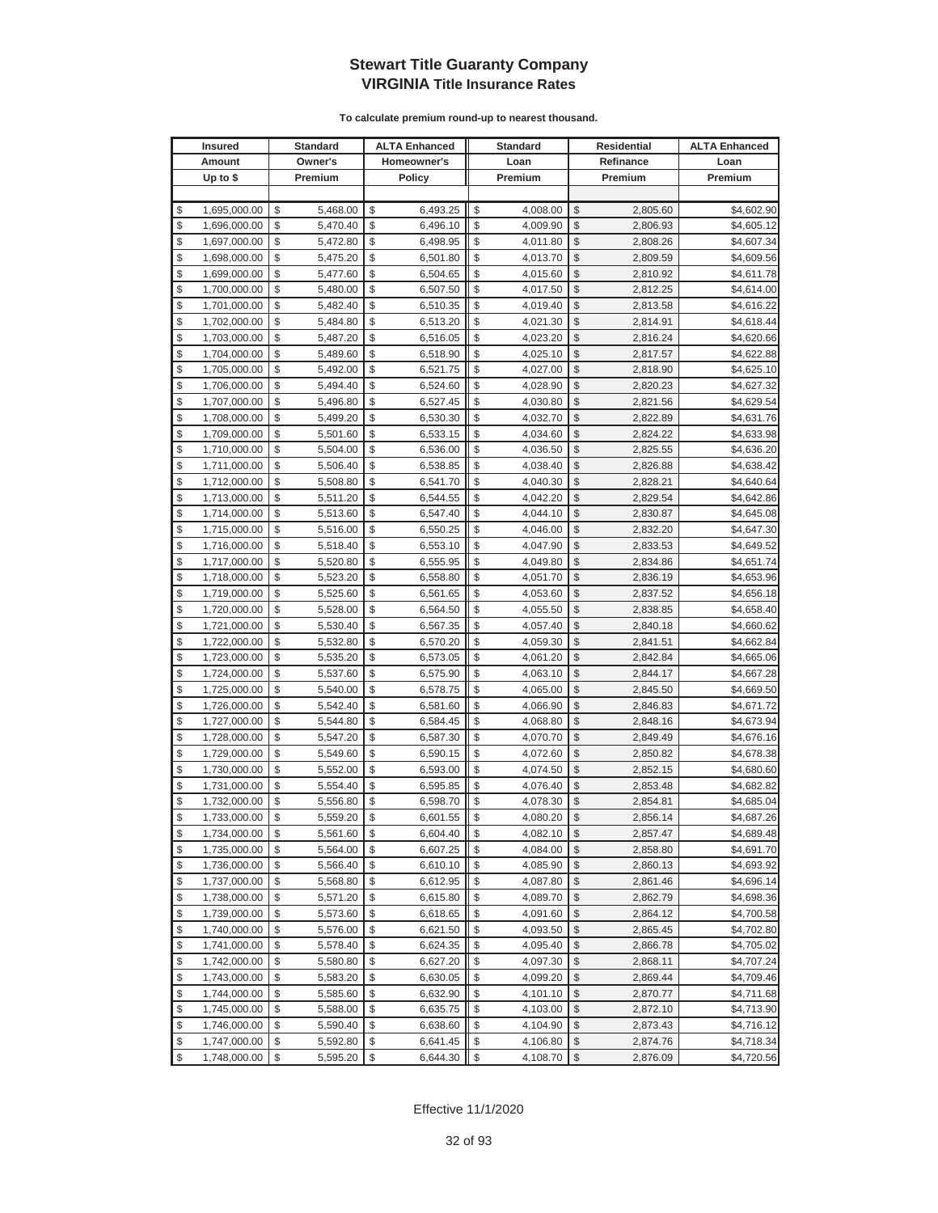| <b>Insured</b>     | <b>Standard</b> | <b>ALTA Enhanced</b> | <b>Standard</b> | <b>Residential</b> |           | <b>ALTA Enhanced</b> |
|--------------------|-----------------|----------------------|-----------------|--------------------|-----------|----------------------|
| Amount             | Owner's         | Homeowner's          | Loan            |                    | Refinance | Loan                 |
| Up to $$$          | Premium         | <b>Policy</b>        | Premium         |                    | Premium   | Premium              |
|                    |                 |                      |                 |                    |           |                      |
| \$<br>1,695,000.00 | \$<br>5,468.00  | \$<br>6,493.25       | \$<br>4,008.00  | \$                 | 2,805.60  | \$4,602.90           |
| \$<br>1,696,000.00 | \$<br>5,470.40  | \$<br>6,496.10       | \$<br>4,009.90  | $\mathcal{S}$      | 2,806.93  | \$4,605.12           |
| \$<br>1,697,000.00 | \$<br>5,472.80  | \$<br>6,498.95       | \$<br>4,011.80  | \$                 | 2,808.26  | \$4,607.34           |
| \$<br>1,698,000.00 | \$<br>5,475.20  | \$<br>6,501.80       | \$<br>4,013.70  | \$                 | 2,809.59  | \$4,609.56           |
| \$<br>1,699,000.00 | \$<br>5,477.60  | \$<br>6,504.65       | \$<br>4,015.60  | \$                 | 2,810.92  | \$4,611.78           |
| \$<br>1,700,000.00 | \$<br>5,480.00  | \$<br>6,507.50       | \$<br>4,017.50  | \$                 | 2,812.25  | \$4,614.00           |
| \$<br>1,701,000.00 | \$<br>5,482.40  | \$<br>6,510.35       | \$<br>4,019.40  | \$                 | 2,813.58  | \$4,616.22           |
| \$<br>1,702,000.00 | \$<br>5,484.80  | \$<br>6,513.20       | \$<br>4,021.30  | \$                 | 2,814.91  | \$4,618.44           |
| \$<br>1,703,000.00 | \$<br>5,487.20  | \$<br>6,516.05       | \$<br>4,023.20  | \$                 | 2,816.24  | \$4,620.66           |
| \$<br>1,704,000.00 | \$<br>5,489.60  | \$<br>6,518.90       | \$<br>4,025.10  | \$                 | 2,817.57  | \$4,622.88           |
| \$<br>1,705,000.00 | \$<br>5,492.00  | \$<br>6,521.75       | \$<br>4,027.00  | \$                 | 2,818.90  | \$4,625.10           |
| \$<br>1,706,000.00 | \$<br>5,494.40  | \$<br>6,524.60       | \$<br>4,028.90  | \$                 | 2,820.23  | \$4,627.32           |
| \$<br>1,707,000.00 | \$<br>5,496.80  | \$<br>6,527.45       | \$<br>4,030.80  | \$                 | 2,821.56  | \$4,629.54           |
| \$<br>1,708,000.00 | \$<br>5,499.20  | \$<br>6,530.30       | \$<br>4,032.70  | \$                 | 2,822.89  | \$4,631.76           |
| \$<br>1,709,000.00 | \$<br>5,501.60  | \$<br>6,533.15       | \$<br>4,034.60  | \$                 | 2,824.22  | \$4,633.98           |
| \$<br>1,710,000.00 | \$<br>5,504.00  | \$<br>6,536.00       | \$<br>4,036.50  | \$                 | 2,825.55  | \$4,636.20           |
| \$<br>1,711,000.00 | \$<br>5,506.40  | \$<br>6,538.85       | \$<br>4,038.40  | \$                 | 2,826.88  | \$4,638.42           |
| \$<br>1,712,000.00 | \$<br>5,508.80  | \$<br>6,541.70       | \$<br>4,040.30  | \$                 | 2,828.21  | \$4,640.64           |
| \$<br>1,713,000.00 | \$<br>5,511.20  | \$<br>6,544.55       | \$<br>4,042.20  | $\mathcal{S}$      | 2,829.54  | \$4,642.86           |
| \$<br>1,714,000.00 | \$<br>5,513.60  | \$<br>6,547.40       | \$<br>4,044.10  | \$                 | 2,830.87  | \$4,645.08           |
| \$<br>1,715,000.00 | \$<br>5,516.00  | \$<br>6,550.25       | \$<br>4,046.00  | $\mathcal{S}$      | 2,832.20  | \$4,647.30           |
| \$<br>1,716,000.00 | \$<br>5,518.40  | \$<br>6,553.10       | \$<br>4,047.90  | $\mathcal{S}$      | 2,833.53  | \$4,649.52           |
| \$<br>1,717,000.00 | \$<br>5,520.80  | \$<br>6,555.95       | \$<br>4,049.80  | \$                 | 2,834.86  | \$4,651.74           |
| \$<br>1,718,000.00 | \$<br>5,523.20  | \$<br>6,558.80       | \$<br>4,051.70  | \$                 | 2,836.19  | \$4,653.96           |
| \$<br>1,719,000.00 | \$<br>5,525.60  | \$<br>6,561.65       | \$<br>4,053.60  | \$                 | 2,837.52  | \$4,656.18           |
| \$<br>1,720,000.00 | \$<br>5,528.00  | \$<br>6,564.50       | \$<br>4,055.50  | \$                 | 2,838.85  | \$4,658.40           |
| \$<br>1,721,000.00 | \$<br>5,530.40  | \$<br>6,567.35       | \$<br>4,057.40  | \$                 | 2,840.18  | \$4,660.62           |
| \$<br>1,722,000.00 | \$<br>5,532.80  | \$<br>6,570.20       | \$<br>4,059.30  | \$                 | 2,841.51  | \$4,662.84           |
| \$<br>1,723,000.00 | \$<br>5,535.20  | \$<br>6,573.05       | \$<br>4,061.20  | \$                 | 2,842.84  | \$4,665.06           |
| \$<br>1,724,000.00 | \$<br>5,537.60  | \$<br>6,575.90       | \$<br>4,063.10  | \$                 | 2,844.17  | \$4,667.28           |
| \$<br>1,725,000.00 | \$<br>5,540.00  | \$<br>6,578.75       | \$<br>4,065.00  | \$                 | 2,845.50  | \$4,669.50           |
| \$<br>1,726,000.00 | \$<br>5,542.40  | \$<br>6,581.60       | \$<br>4,066.90  | \$                 | 2,846.83  | \$4,671.72           |
| \$<br>1,727,000.00 | \$<br>5,544.80  | \$<br>6,584.45       | \$<br>4,068.80  | \$                 | 2,848.16  | \$4,673.94           |
| \$<br>1,728,000.00 | \$<br>5,547.20  | \$<br>6,587.30       | \$<br>4,070.70  | \$                 | 2,849.49  | \$4,676.16           |
| \$<br>1,729,000.00 | \$<br>5,549.60  | \$<br>6,590.15       | \$<br>4,072.60  | \$                 | 2,850.82  | \$4,678.38           |
| \$<br>1,730,000.00 | \$<br>5,552.00  | \$<br>6,593.00       | \$<br>4,074.50  | \$                 | 2,852.15  | \$4,680.60           |
| \$<br>1,731,000.00 | \$<br>5,554.40  | \$<br>6,595.85       | \$<br>4,076.40  | \$                 | 2,853.48  | \$4,682.82           |
| \$<br>1,732,000.00 | \$<br>5,556.80  | \$<br>6,598.70       | \$<br>4,078.30  | \$                 | 2,854.81  | \$4,685.04           |
| \$<br>1,733,000.00 | \$<br>5,559.20  | \$<br>6,601.55       | \$<br>4,080.20  | $\mathbb{S}$       | 2,856.14  | \$4,687.26           |
| \$<br>1,734,000.00 | \$<br>5,561.60  | \$<br>6,604.40       | \$<br>4,082.10  | $\sqrt[6]{2}$      | 2,857.47  | \$4,689.48           |
| \$<br>1,735,000.00 | \$<br>5,564.00  | \$<br>6,607.25       | \$<br>4,084.00  | \$                 | 2,858.80  | \$4,691.70           |
| \$<br>1,736,000.00 | \$<br>5,566.40  | \$<br>6,610.10       | \$<br>4,085.90  | \$                 | 2,860.13  | \$4,693.92           |
| \$<br>1,737,000.00 | \$<br>5,568.80  | \$<br>6,612.95       | \$<br>4,087.80  | \$                 | 2,861.46  | \$4,696.14           |
| \$<br>1,738,000.00 | \$<br>5,571.20  | \$<br>6,615.80       | \$<br>4,089.70  | \$                 | 2,862.79  | \$4,698.36           |
| \$<br>1,739,000.00 | \$<br>5,573.60  | \$<br>6,618.65       | \$<br>4,091.60  | \$                 | 2,864.12  | \$4,700.58           |
| \$<br>1,740,000.00 | \$<br>5,576.00  | \$<br>6,621.50       | \$<br>4,093.50  | \$                 | 2,865.45  | \$4,702.80           |
| \$<br>1,741,000.00 | \$<br>5,578.40  | \$<br>6,624.35       | \$<br>4,095.40  | \$                 | 2,866.78  | \$4,705.02           |
| \$<br>1,742,000.00 | \$<br>5,580.80  | \$<br>6,627.20       | \$<br>4,097.30  | \$                 | 2,868.11  | \$4,707.24           |
| \$<br>1,743,000.00 | \$<br>5,583.20  | \$<br>6,630.05       | \$<br>4,099.20  | \$                 | 2,869.44  | \$4,709.46           |
| \$<br>1,744,000.00 | \$<br>5,585.60  | \$<br>6,632.90       | \$<br>4,101.10  | \$                 | 2,870.77  | \$4,711.68           |
| \$<br>1,745,000.00 | \$<br>5,588.00  | \$<br>6,635.75       | \$<br>4,103.00  | \$                 | 2,872.10  | \$4,713.90           |
| \$<br>1,746,000.00 | \$<br>5,590.40  | \$<br>6,638.60       | \$<br>4,104.90  | \$                 | 2,873.43  | \$4,716.12           |
| \$<br>1,747,000.00 | \$<br>5,592.80  | \$<br>6,641.45       | \$<br>4,106.80  | \$                 | 2,874.76  | \$4,718.34           |
| \$<br>1,748,000.00 | \$<br>5,595.20  | \$<br>6,644.30       | \$<br>4,108.70  | $\sqrt{2}$         | 2,876.09  | \$4,720.56           |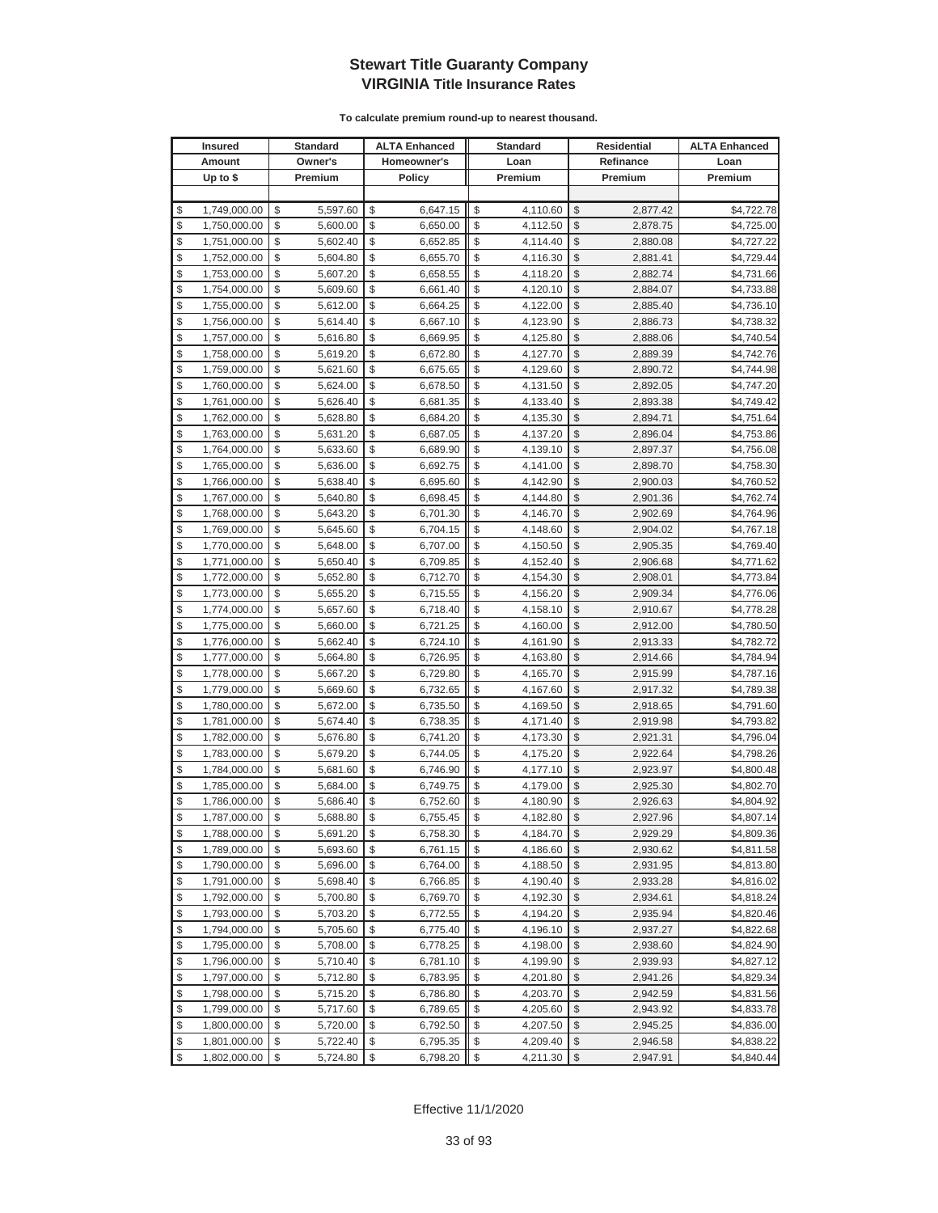| <b>Insured</b>     | <b>Standard</b> | <b>ALTA Enhanced</b> | <b>Standard</b> | <b>Residential</b> |           | <b>ALTA Enhanced</b> |  |
|--------------------|-----------------|----------------------|-----------------|--------------------|-----------|----------------------|--|
| Amount             | Owner's         | Homeowner's          | Loan            |                    | Refinance | Loan                 |  |
| Up to \$           | Premium         | <b>Policy</b>        | Premium         |                    | Premium   | Premium              |  |
|                    |                 |                      |                 |                    |           |                      |  |
| \$<br>1,749,000.00 | \$<br>5,597.60  | \$<br>6,647.15       | \$<br>4,110.60  | \$                 | 2,877.42  | \$4,722.78           |  |
| \$<br>1,750,000.00 | \$<br>5,600.00  | \$<br>6,650.00       | \$<br>4,112.50  | \$                 | 2,878.75  | \$4,725.00           |  |
| \$<br>1,751,000.00 | \$<br>5,602.40  | \$<br>6,652.85       | \$<br>4,114.40  | $\mathcal{S}$      | 2,880.08  | \$4,727.22           |  |
| \$<br>1,752,000.00 | \$<br>5,604.80  | \$<br>6,655.70       | \$<br>4,116.30  | \$                 | 2,881.41  | \$4,729.44           |  |
| \$<br>1,753,000.00 | \$<br>5,607.20  | \$<br>6,658.55       | \$<br>4,118.20  | \$                 | 2,882.74  | \$4,731.66           |  |
| \$<br>1,754,000.00 | \$<br>5,609.60  | \$<br>6,661.40       | \$<br>4,120.10  | \$                 | 2,884.07  | \$4,733.88           |  |
| \$<br>1,755,000.00 | \$<br>5,612.00  | \$<br>6,664.25       | \$<br>4,122.00  | \$                 | 2,885.40  | \$4,736.10           |  |
| \$<br>1,756,000.00 | \$<br>5,614.40  | \$<br>6,667.10       | \$<br>4,123.90  | \$                 | 2,886.73  | \$4,738.32           |  |
| \$<br>1,757,000.00 | \$<br>5,616.80  | \$<br>6,669.95       | \$<br>4,125.80  | \$                 | 2,888.06  | \$4,740.54           |  |
| \$<br>1,758,000.00 | \$<br>5,619.20  | \$<br>6,672.80       | \$<br>4,127.70  | \$                 | 2,889.39  | \$4,742.76           |  |
| \$<br>1,759,000.00 | \$<br>5,621.60  | \$<br>6,675.65       | \$<br>4,129.60  | \$                 | 2,890.72  | \$4,744.98           |  |
| \$<br>1,760,000.00 | \$<br>5,624.00  | \$<br>6,678.50       | \$<br>4,131.50  | \$                 | 2,892.05  | \$4,747.20           |  |
| \$<br>1,761,000.00 | \$<br>5,626.40  | \$<br>6,681.35       | \$<br>4,133.40  | \$                 | 2,893.38  | \$4,749.42           |  |
| \$<br>1,762,000.00 | \$<br>5,628.80  | \$<br>6,684.20       | \$<br>4,135.30  | \$                 | 2,894.71  | \$4,751.64           |  |
| \$<br>1,763,000.00 | \$<br>5,631.20  | \$<br>6,687.05       | \$<br>4,137.20  | \$                 | 2,896.04  | \$4,753.86           |  |
| \$<br>1,764,000.00 | \$<br>5,633.60  | \$<br>6,689.90       | \$<br>4,139.10  | \$                 | 2,897.37  | \$4,756.08           |  |
| \$<br>1,765,000.00 | \$<br>5,636.00  | \$<br>6,692.75       | \$<br>4,141.00  | \$                 | 2,898.70  | \$4,758.30           |  |
| \$<br>1,766,000.00 | \$<br>5,638.40  | \$<br>6,695.60       | \$<br>4,142.90  | \$                 | 2,900.03  | \$4,760.52           |  |
| \$<br>1,767,000.00 | \$<br>5,640.80  | \$<br>6,698.45       | \$<br>4,144.80  | $\mathcal{S}$      | 2,901.36  | \$4,762.74           |  |
| \$<br>1,768,000.00 | \$<br>5,643.20  | \$<br>6,701.30       | \$<br>4,146.70  | \$                 | 2,902.69  | \$4,764.96           |  |
| \$<br>1,769,000.00 | \$<br>5,645.60  | \$<br>6,704.15       | \$<br>4,148.60  | $\mathcal{S}$      | 2,904.02  | \$4,767.18           |  |
| \$<br>1,770,000.00 | \$<br>5,648.00  | \$<br>6,707.00       | \$<br>4,150.50  | \$                 | 2,905.35  | \$4,769.40           |  |
| \$<br>1,771,000.00 | \$<br>5,650.40  | \$<br>6,709.85       | \$<br>4,152.40  | \$                 | 2,906.68  | \$4,771.62           |  |
| \$<br>1,772,000.00 | \$<br>5,652.80  | \$<br>6,712.70       | \$<br>4,154.30  | \$                 | 2,908.01  | \$4,773.84           |  |
| \$<br>1,773,000.00 | \$<br>5,655.20  | \$<br>6,715.55       | \$<br>4,156.20  | \$                 | 2,909.34  | \$4,776.06           |  |
| \$<br>1,774,000.00 | \$<br>5,657.60  | \$<br>6,718.40       | \$<br>4,158.10  | \$                 | 2,910.67  | \$4,778.28           |  |
| \$<br>1,775,000.00 | \$<br>5,660.00  | \$<br>6,721.25       | \$<br>4,160.00  | \$                 | 2,912.00  | \$4,780.50           |  |
| \$<br>1,776,000.00 | \$<br>5,662.40  | \$<br>6,724.10       | \$<br>4,161.90  | \$                 | 2,913.33  | \$4,782.72           |  |
| \$<br>1,777,000.00 | \$<br>5,664.80  | \$<br>6,726.95       | \$<br>4,163.80  | \$                 | 2,914.66  | \$4,784.94           |  |
| \$<br>1,778,000.00 | \$<br>5,667.20  | \$<br>6,729.80       | \$<br>4,165.70  | \$                 | 2,915.99  | \$4,787.16           |  |
| \$<br>1,779,000.00 | \$<br>5,669.60  | \$<br>6,732.65       | \$<br>4,167.60  | \$                 | 2,917.32  | \$4,789.38           |  |
| \$<br>1,780,000.00 | \$<br>5,672.00  | \$<br>6,735.50       | \$<br>4,169.50  | \$                 | 2,918.65  | \$4,791.60           |  |
| \$<br>1,781,000.00 | \$<br>5,674.40  | \$<br>6,738.35       | \$<br>4,171.40  | \$                 | 2,919.98  | \$4,793.82           |  |
| \$<br>1,782,000.00 | \$<br>5,676.80  | \$<br>6,741.20       | \$<br>4,173.30  | \$                 | 2,921.31  | \$4,796.04           |  |
| \$<br>1,783,000.00 | \$<br>5,679.20  | \$<br>6,744.05       | \$<br>4,175.20  | \$                 | 2,922.64  | \$4,798.26           |  |
| \$<br>1,784,000.00 | \$<br>5,681.60  | \$<br>6,746.90       | \$<br>4,177.10  | \$                 | 2,923.97  | \$4,800.48           |  |
| \$<br>1,785,000.00 | \$<br>5,684.00  | \$<br>6,749.75       | \$<br>4,179.00  | \$                 | 2,925.30  | \$4,802.70           |  |
| \$<br>1,786,000.00 | \$<br>5,686.40  | \$<br>6,752.60       | \$<br>4,180.90  | \$                 | 2,926.63  | \$4,804.92           |  |
| \$<br>1,787,000.00 | \$<br>5,688.80  | \$<br>6,755.45       | \$<br>4,182.80  | $\mathbb{S}$       | 2,927.96  | \$4,807.14           |  |
| \$<br>1,788,000.00 | \$<br>5,691.20  | \$<br>6,758.30       | \$<br>4,184.70  | $\sqrt[6]{2}$      | 2,929.29  | \$4,809.36           |  |
| \$<br>1,789,000.00 | \$<br>5,693.60  | \$<br>6,761.15       | \$<br>4,186.60  | \$                 | 2,930.62  | \$4,811.58           |  |
| \$<br>1,790,000.00 | \$<br>5,696.00  | \$<br>6,764.00       | \$<br>4,188.50  | \$                 | 2,931.95  | \$4,813.80           |  |
| \$<br>1,791,000.00 | \$<br>5,698.40  | \$<br>6,766.85       | \$<br>4,190.40  | \$                 | 2,933.28  | \$4,816.02           |  |
| \$<br>1,792,000.00 | \$<br>5,700.80  | \$<br>6,769.70       | \$<br>4,192.30  | \$                 | 2,934.61  | \$4,818.24           |  |
| \$<br>1,793,000.00 | \$<br>5,703.20  | \$<br>6,772.55       | \$<br>4,194.20  | \$                 | 2,935.94  | \$4,820.46           |  |
| \$<br>1,794,000.00 | \$<br>5,705.60  | \$<br>6,775.40       | \$<br>4,196.10  | \$                 | 2,937.27  | \$4,822.68           |  |
| \$<br>1,795,000.00 | \$<br>5,708.00  | \$<br>6,778.25       | \$<br>4,198.00  | \$                 | 2,938.60  | \$4,824.90           |  |
| \$<br>1,796,000.00 | \$<br>5,710.40  | \$<br>6,781.10       | \$<br>4,199.90  | \$                 | 2,939.93  | \$4,827.12           |  |
| \$<br>1,797,000.00 | \$<br>5,712.80  | \$<br>6,783.95       | \$<br>4,201.80  | \$                 | 2,941.26  | \$4,829.34           |  |
| \$<br>1,798,000.00 | \$<br>5,715.20  | \$<br>6,786.80       | \$<br>4,203.70  | \$                 | 2,942.59  | \$4,831.56           |  |
| \$<br>1,799,000.00 | \$<br>5,717.60  | \$<br>6,789.65       | \$<br>4,205.60  | \$                 | 2,943.92  | \$4,833.78           |  |
| \$<br>1,800,000.00 | \$<br>5,720.00  | \$<br>6,792.50       | \$<br>4,207.50  | \$                 | 2,945.25  | \$4,836.00           |  |
| \$<br>1,801,000.00 | \$<br>5,722.40  | \$<br>6,795.35       | \$<br>4,209.40  | \$                 | 2,946.58  | \$4,838.22           |  |
| \$<br>1,802,000.00 | \$<br>5,724.80  | \$<br>6,798.20       | \$<br>4,211.30  | $\frac{1}{2}$      | 2,947.91  | \$4,840.44           |  |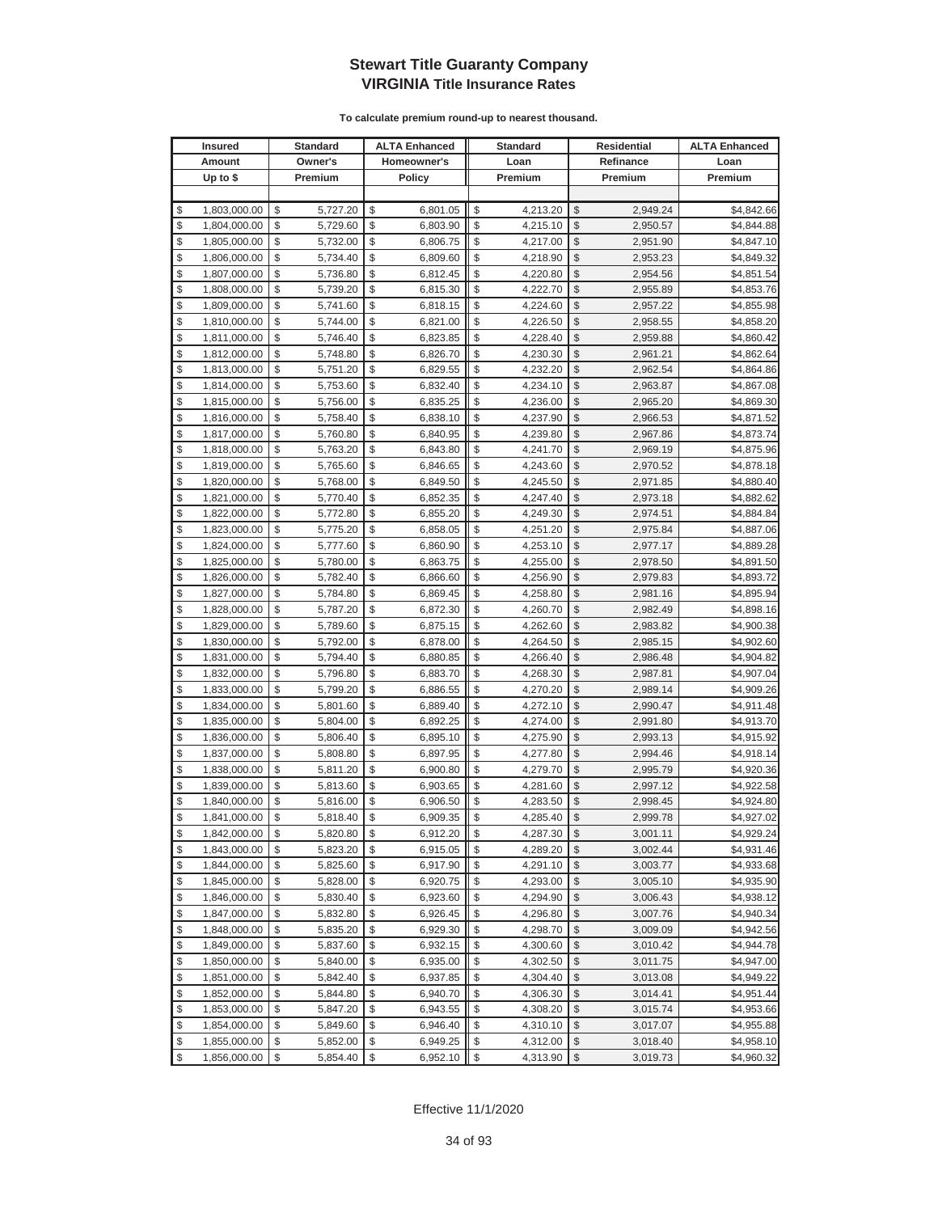|          | <b>Insured</b>               |          | Standard             |          | <b>ALTA Enhanced</b> |          | <b>Standard</b>      |               | Residential          | <b>ALTA Enhanced</b>     |
|----------|------------------------------|----------|----------------------|----------|----------------------|----------|----------------------|---------------|----------------------|--------------------------|
|          | Amount                       |          | Owner's              |          | Homeowner's          |          | Loan                 |               | Refinance            | Loan                     |
|          | Up to $$$                    |          | Premium              |          | <b>Policy</b>        |          | Premium              |               | Premium              | Premium                  |
|          |                              |          |                      |          |                      |          |                      |               |                      |                          |
| \$       | 1,803,000.00                 | \$       | 5,727.20             | \$       | 6,801.05             | \$       | 4,213.20             | \$            | 2,949.24             | \$4,842.66               |
| \$       | 1,804,000.00                 | \$       | 5,729.60             | \$       | 6,803.90             | \$       | 4,215.10             | \$            | 2,950.57             | \$4,844.88               |
| \$       | 1,805,000.00                 | \$       | 5,732.00             | \$       | 6,806.75             | \$       | 4,217.00             | \$            | 2,951.90             | \$4,847.10               |
| \$       | 1,806,000.00                 | \$       | 5,734.40             | \$       | 6,809.60             | \$       | 4,218.90             | \$            | 2,953.23             | \$4,849.32               |
| \$       | 1,807,000.00                 | \$       | 5,736.80             | \$       | 6,812.45             | \$       | 4,220.80             | \$            | 2,954.56             | \$4,851.54               |
| \$       | 1,808,000.00                 | \$       | 5,739.20             | \$       | 6,815.30             | \$       | 4,222.70             | \$            | 2,955.89             | \$4,853.76               |
| \$       | 1,809,000.00                 | \$       | 5,741.60             | \$       | 6,818.15             | \$       | 4,224.60             | \$            | 2,957.22             | \$4,855.98               |
| \$       | 1,810,000.00                 | \$       | 5,744.00             | \$       | 6,821.00             | \$       | 4,226.50             | \$            | 2,958.55             | \$4,858.20               |
| \$       | 1,811,000.00                 | \$       | 5,746.40             | \$       | 6,823.85             | \$       | 4,228.40             | \$            | 2,959.88             | \$4,860.42               |
| \$       | 1,812,000.00                 | \$       | 5,748.80             | \$       | 6,826.70             | \$       | 4,230.30             | \$            | 2,961.21             | \$4,862.64               |
| \$       | 1,813,000.00                 | \$       | 5,751.20             | \$       | 6,829.55             | \$       | 4,232.20             | \$            | 2,962.54             | \$4,864.86               |
| \$       | 1,814,000.00                 | \$       | 5,753.60             | \$       | 6,832.40             | \$       | 4,234.10             | \$            | 2,963.87             | \$4,867.08               |
| \$       | 1,815,000.00                 | \$       | 5,756.00             | \$       | 6,835.25             | \$       | 4,236.00             | \$            | 2,965.20             | \$4,869.30               |
| \$       | 1,816,000.00                 | \$       | 5,758.40             | \$       | 6,838.10             | \$       | 4,237.90             | \$            | 2,966.53             | \$4,871.52               |
| \$       | 1,817,000.00                 | \$       | 5,760.80             | \$       | 6,840.95             | \$       | 4,239.80             | \$            | 2,967.86             | \$4,873.74               |
| \$       | 1,818,000.00                 | \$       | 5,763.20             | \$       | 6,843.80             | \$       | 4,241.70             | \$            | 2,969.19             | \$4,875.96               |
| \$       | 1,819,000.00                 | \$       | 5,765.60             | \$       | 6,846.65             | \$       | 4,243.60             | \$            | 2,970.52             | \$4,878.18               |
| \$       | 1,820,000.00                 | \$       | 5,768.00             | \$       | 6,849.50             | \$       | 4,245.50             | \$            | 2,971.85             | \$4,880.40               |
| \$       | 1,821,000.00                 | \$       | 5,770.40             | \$       | 6,852.35             | \$       | 4,247.40             | \$            | 2,973.18             | \$4,882.62               |
| \$       | 1,822,000.00                 | \$       | 5,772.80             | \$       | 6,855.20             | \$       | 4,249.30             | \$            | 2,974.51             | \$4,884.84               |
| \$       | 1,823,000.00                 | \$       | 5,775.20             | \$       | 6,858.05             | \$       | 4,251.20             | \$            | 2,975.84             | \$4,887.06               |
| \$       | 1,824,000.00                 | \$       | 5,777.60             | \$       | 6,860.90             | \$       | 4,253.10             | \$            | 2,977.17             | \$4,889.28               |
| \$       | 1,825,000.00                 | \$       | 5,780.00             | \$       | 6,863.75             | \$       | 4,255.00             | \$            | 2,978.50             | \$4,891.50               |
| \$       | 1,826,000.00                 | \$       | 5,782.40             | \$       | 6,866.60             | \$       | 4,256.90             | \$            | 2,979.83             | \$4,893.72               |
| \$       | 1,827,000.00                 | \$       | 5,784.80             | \$       | 6,869.45             | \$       | 4,258.80             | \$            | 2,981.16             | \$4,895.94               |
| \$       | 1,828,000.00                 | \$       | 5,787.20             | \$       | 6,872.30             | \$       | 4,260.70             | \$            | 2,982.49             | \$4,898.16               |
| \$       | 1,829,000.00                 | \$       | 5,789.60             | \$       | 6,875.15             | \$       | 4,262.60             | $\mathcal{S}$ | 2,983.82             | \$4,900.38               |
| \$       | 1,830,000.00                 | \$       | 5,792.00             | \$       | 6,878.00             | \$       | 4,264.50             | \$            | 2,985.15             | \$4,902.60               |
| \$       | 1,831,000.00                 | \$       | 5,794.40             | \$       | 6,880.85             | \$       | 4,266.40             | \$            | 2,986.48             | \$4,904.82               |
| \$       | 1,832,000.00                 | \$       | 5,796.80             | \$       | 6,883.70             | \$       | 4,268.30             | \$            | 2,987.81             | \$4,907.04               |
| \$       | 1,833,000.00                 | \$       | 5,799.20             | \$       | 6,886.55             | \$       | 4,270.20             | \$            | 2,989.14             | \$4,909.26               |
| \$       | 1,834,000.00                 | \$       | 5,801.60             | \$       | 6,889.40             | \$       | 4,272.10             | \$            | 2,990.47             | \$4,911.48               |
| \$       | 1,835,000.00                 | \$       | 5,804.00             | \$       | 6,892.25             | \$       | 4,274.00             | \$            | 2,991.80             | \$4,913.70               |
| \$       | 1,836,000.00                 | \$       | 5,806.40             | \$       | 6,895.10             | \$       | 4,275.90             | \$            | 2,993.13             | \$4,915.92               |
| \$       | 1,837,000.00                 | \$       | 5,808.80             | \$       | 6,897.95             | \$       | 4,277.80             | \$            | 2,994.46             | \$4,918.14               |
| \$       | 1,838,000.00                 | \$       | 5,811.20             | \$<br>\$ | 6,900.80             | \$       | 4,279.70             | \$<br>\$      | 2,995.79             | \$4,920.36               |
| \$<br>\$ | 1,839,000.00                 | \$<br>\$ | 5,813.60             | \$       | 6,903.65             | \$<br>\$ | 4,281.60             | \$            | 2,997.12             | \$4,922.58               |
| \$       | 1,840,000.00<br>1,841,000.00 | \$       | 5,816.00<br>5,818.40 | \$       | 6,906.50<br>6,909.35 | \$       | 4,283.50<br>4,285.40 | \$            | 2,998.45<br>2,999.78 | \$4,924.80<br>\$4,927.02 |
| \$       | 1,842,000.00                 | \$       | 5,820.80             | \$       | 6,912.20             | \$       | 4,287.30             | $\sqrt[6]{3}$ | 3,001.11             | \$4,929.24               |
| \$       | 1,843,000.00                 | \$       | 5,823.20             | \$       | 6,915.05             | \$       | 4,289.20             | $\mathcal{S}$ | 3,002.44             | \$4,931.46               |
| \$       | 1,844,000.00                 | \$       | 5,825.60             | \$       | 6,917.90             | \$       | 4,291.10             | $\frac{1}{2}$ | 3,003.77             | \$4,933.68               |
| \$       | 1,845,000.00                 | \$       | 5,828.00             | \$       | 6,920.75             | \$       | 4,293.00             | \$            | 3,005.10             | \$4,935.90               |
| \$       | 1,846,000.00                 | \$       | 5,830.40             | \$       | 6,923.60             | \$       | 4,294.90             | \$            | 3,006.43             | \$4,938.12               |
| \$       | 1,847,000.00                 | \$       | 5,832.80             | \$       | 6,926.45             | \$       | 4,296.80             | \$            | 3,007.76             | \$4,940.34               |
| \$       | 1,848,000.00                 | \$       | 5,835.20             | \$       | 6,929.30             | \$       | 4,298.70             | \$            | 3,009.09             | \$4,942.56               |
| \$       | 1,849,000.00                 | \$       | 5,837.60             | \$       | 6,932.15             | \$       | 4,300.60             | \$            | 3,010.42             | \$4,944.78               |
| \$       | 1,850,000.00                 | \$       | 5,840.00             | \$       | 6,935.00             | \$       | 4,302.50             | \$            | 3,011.75             | \$4,947.00               |
| \$       | 1,851,000.00                 | \$       | 5,842.40             | \$       | 6,937.85             | \$       | 4,304.40             | \$            | 3,013.08             | \$4,949.22               |
| \$       | 1,852,000.00                 | \$       | 5,844.80             | \$       | 6,940.70             | \$       | 4,306.30             | \$            | 3,014.41             | \$4,951.44               |
| \$       | 1,853,000.00                 | \$       | 5,847.20             | \$       | 6,943.55             | \$       | 4,308.20             | \$            | 3,015.74             | \$4,953.66               |
| \$       | 1,854,000.00                 | \$       | 5,849.60             | \$       | 6,946.40             | \$       | 4,310.10             | \$            | 3,017.07             | \$4,955.88               |
| \$       | 1,855,000.00                 | \$       | 5,852.00             | \$       | 6,949.25             | \$       | 4,312.00             | \$            | 3,018.40             | \$4,958.10               |
| \$       | 1,856,000.00                 | \$       | 5,854.40             | \$       | 6,952.10             | \$       | 4,313.90             | \$            | 3,019.73             | \$4,960.32               |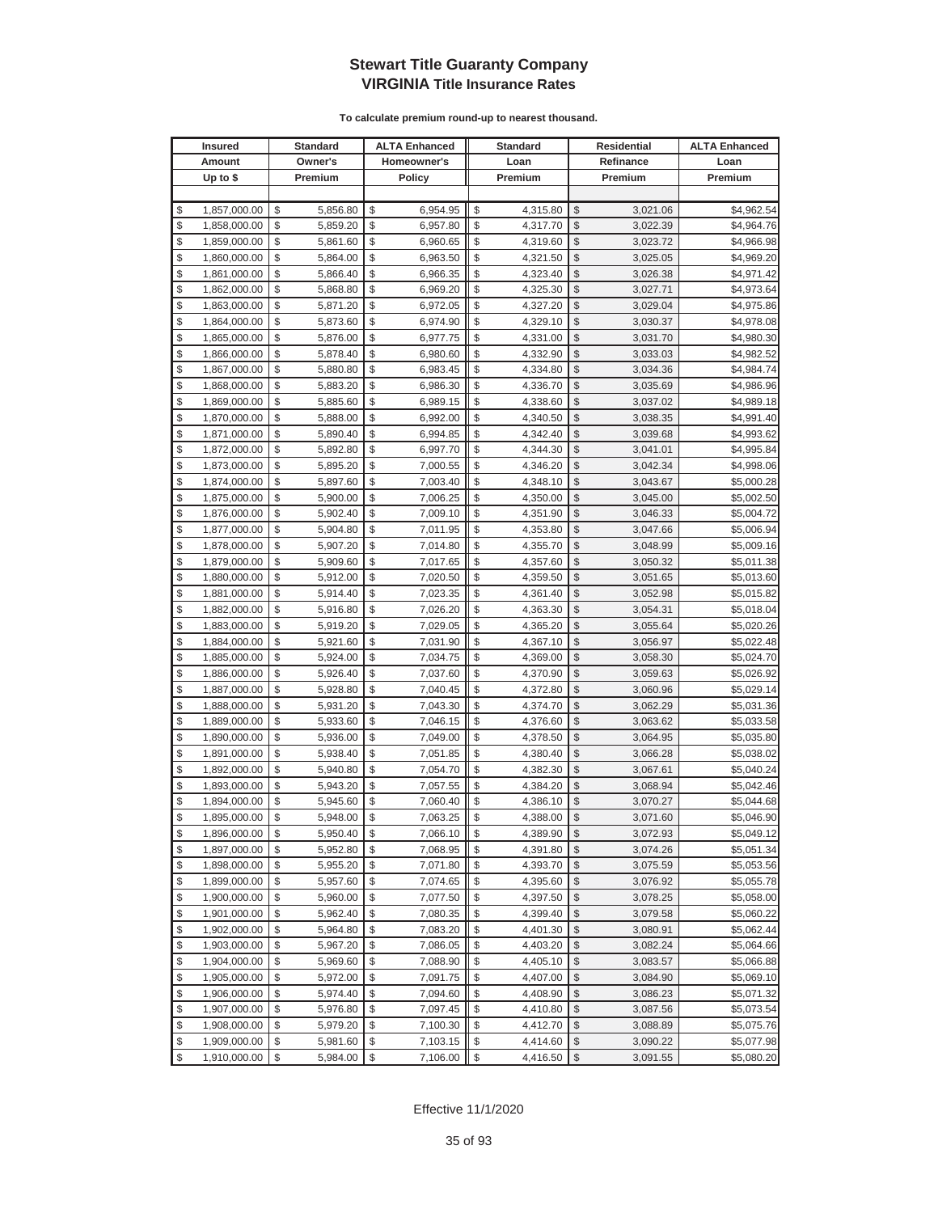| Homeowner's<br>Amount<br>Owner's<br>Loan<br>Refinance<br>Loan<br>Up to $$$<br>Premium<br><b>Policy</b><br>Premium<br>Premium<br>Premium<br>\$<br>1,857,000.00<br>\$<br>6,954.95<br>\$<br>4,315.80<br>\$<br>\$4,962.54<br>\$<br>5,856.80<br>3,021.06<br>\$<br>\$<br>\$<br>1,858,000.00<br>\$<br>5,859.20<br>6,957.80<br>\$<br>3,022.39<br>\$4,964.76<br>4,317.70<br>\$<br>\$<br>\$<br>\$<br>1,859,000.00<br>\$<br>\$4,966.98<br>5,861.60<br>6,960.65<br>4,319.60<br>3,023.72<br>\$<br>\$<br>\$<br>\$<br>\$<br>1,860,000.00<br>5,864.00<br>6,963.50<br>4,321.50<br>3,025.05<br>\$4,969.20<br>\$<br>\$<br>\$<br>\$<br>\$<br>1,861,000.00<br>5,866.40<br>6,966.35<br>4,323.40<br>3,026.38<br>\$4,971.42<br>\$<br>\$<br>\$<br>\$<br>\$<br>\$4,973.64<br>1,862,000.00<br>5,868.80<br>6,969.20<br>4,325.30<br>3,027.71<br>\$<br>\$<br>\$<br>\$<br>\$<br>1,863,000.00<br>5,871.20<br>6,972.05<br>4,327.20<br>3,029.04<br>\$4,975.86<br>\$<br>\$<br>\$<br>\$<br>\$<br>1,864,000.00<br>5,873.60<br>6,974.90<br>4,329.10<br>3,030.37<br>\$4,978.08<br>\$<br>\$<br>\$<br>\$<br>\$<br>5,876.00<br>1,865,000.00<br>6,977.75<br>4,331.00<br>3,031.70<br>\$4,980.30<br>\$<br>\$<br>\$<br>\$<br>\$<br>5,878.40<br>\$4,982.52<br>1,866,000.00<br>6,980.60<br>4,332.90<br>3,033.03<br>\$<br>\$<br>\$<br>\$<br>\$<br>1,867,000.00<br>5,880.80<br>6,983.45<br>4,334.80<br>3,034.36<br>\$4,984.74<br>\$<br>\$<br>\$<br>\$<br>\$<br>5,883.20<br>4,336.70<br>1,868,000.00<br>6,986.30<br>3,035.69<br>\$4,986.96<br>\$<br>\$<br>\$<br>\$<br>\$<br>1,869,000.00<br>5,885.60<br>6,989.15<br>4,338.60<br>3,037.02<br>\$4,989.18<br>\$<br>\$<br>\$<br>\$<br>\$<br>1,870,000.00<br>5,888.00<br>6,992.00<br>4,340.50<br>3,038.35<br>\$4,991.40<br>\$<br>\$<br>\$<br>\$<br>\$<br>1,871,000.00<br>5,890.40<br>6,994.85<br>4,342.40<br>3,039.68<br>\$4,993.62<br>\$<br>\$<br>\$<br>\$<br>\$<br>5,892.80<br>6,997.70<br>\$4,995.84<br>1,872,000.00<br>4,344.30<br>3,041.01<br>\$<br>\$<br>\$<br>\$<br>\$<br>1,873,000.00<br>5,895.20<br>7,000.55<br>4,346.20<br>3,042.34<br>\$4,998.06<br>\$<br>\$<br>\$<br>\$<br>\$<br>1,874,000.00<br>5,897.60<br>7,003.40<br>4,348.10<br>3,043.67<br>\$5,000.28<br>\$<br>\$<br>\$<br>\$<br>\$<br>5,900.00<br>1,875,000.00<br>7,006.25<br>4,350.00<br>\$5,002.50<br>3,045.00<br>\$<br>\$<br>\$<br>\$<br>\$<br>5,902.40<br>1,876,000.00<br>7,009.10<br>4,351.90<br>3,046.33<br>\$5,004.72<br>\$<br>\$<br>\$<br>\$<br>\$<br>5,904.80<br>1,877,000.00<br>7,011.95<br>4,353.80<br>3,047.66<br>\$5,006.94<br>\$<br>\$<br>\$<br>\$<br>\$<br>1,878,000.00<br>5,907.20<br>7,014.80<br>4,355.70<br>3,048.99<br>\$5,009.16<br>\$<br>\$<br>\$<br>\$<br>\$<br>1,879,000.00<br>5,909.60<br>7,017.65<br>4,357.60<br>\$5,011.38<br>3,050.32<br>\$<br>\$<br>\$<br>\$<br>\$<br>1,880,000.00<br>5,912.00<br>7,020.50<br>4,359.50<br>\$5,013.60<br>3,051.65<br>\$<br>\$<br>\$<br>\$<br>7,023.35<br>\$<br>1,881,000.00<br>5,914.40<br>4,361.40<br>3,052.98<br>\$5,015.82<br>\$<br>\$<br>\$<br>\$<br>\$<br>1,882,000.00<br>5,916.80<br>7,026.20<br>4,363.30<br>3,054.31<br>\$5,018.04<br>\$<br>\$<br>\$<br>\$<br>\$<br>1,883,000.00<br>5,919.20<br>7,029.05<br>4,365.20<br>3,055.64<br>\$5,020.26<br>\$<br>\$<br>\$<br>\$<br>\$<br>5,921.60<br>1,884,000.00<br>7,031.90<br>4,367.10<br>3,056.97<br>\$5,022.48<br>\$<br>\$<br>\$<br>\$<br>\$<br>5,924.00<br>7,034.75<br>\$5,024.70<br>1,885,000.00<br>4,369.00<br>3,058.30<br>\$<br>\$<br>\$<br>\$<br>\$<br>5,926.40<br>7,037.60<br>4,370.90<br>3,059.63<br>1,886,000.00<br>\$5,026.92<br>\$<br>\$<br>\$<br>\$<br>\$<br>1,887,000.00<br>5,928.80<br>7,040.45<br>4,372.80<br>3,060.96<br>\$5,029.14<br>\$<br>\$<br>\$<br>\$<br>\$<br>1,888,000.00<br>5,931.20<br>7,043.30<br>4,374.70<br>3,062.29<br>\$5,031.36<br>\$<br>\$<br>\$<br>\$<br>\$<br>5,933.60<br>7,046.15<br>4,376.60<br>1,889,000.00<br>3,063.62<br>\$5,033.58<br>\$<br>\$<br>\$<br>\$<br>\$<br>1,890,000.00<br>5,936.00<br>7,049.00<br>3,064.95<br>4,378.50<br>\$5,035.80<br>\$<br>\$<br>\$<br>\$<br>\$<br>1,891,000.00<br>5,938.40<br>7,051.85<br>4,380.40<br>\$5,038.02<br>3,066.28<br>\$<br>\$<br>\$<br>\$<br>\$<br>1,892,000.00<br>5,940.80<br>7,054.70<br>4,382.30<br>3,067.61<br>\$5,040.24<br>\$<br>\$<br>\$<br>\$<br>\$<br>4,384.20<br>1,893,000.00<br>5,943.20<br>7,057.55<br>3,068.94<br>\$5,042.46<br>\$<br>\$<br>\$<br>\$<br>\$<br>1,894,000.00<br>5,945.60<br>7,060.40<br>4,386.10<br>\$5,044.68<br>3,070.27<br>\$<br>\$<br>$\mathbb{S}$<br>\$<br>\$<br>7,063.25<br>\$5,046.90<br>1,895,000.00<br>5,948.00<br>4,388.00<br>3,071.60<br>\$<br>\$<br>\$<br>\$<br>1,896,000.00<br>\$<br>5,950.40<br>7,066.10<br>4,389.90<br>3,072.93<br>\$5,049.12<br>\$<br>\$<br>\$<br>\$<br>1,897,000.00<br>5,952.80<br>7,068.95<br>\$<br>4,391.80<br>3,074.26<br>\$5,051.34<br>\$<br>7,071.80<br>\$<br>1,898,000.00<br>\$<br>5,955.20<br>\$<br>\$<br>4,393.70<br>3,075.59<br>\$5,053.56<br>\$<br>\$<br>5,957.60<br>\$<br>7,074.65<br>\$<br>4,395.60<br>\$<br>\$5,055.78<br>1,899,000.00<br>3,076.92<br>\$<br>1,900,000.00<br>5,960.00<br>\$<br>7,077.50<br>\$<br>\$<br>\$<br>4,397.50<br>3,078.25<br>\$5,058.00<br>\$<br>\$<br>\$<br>5,962.40<br>7,080.35<br>\$<br>\$<br>\$5,060.22<br>1,901,000.00<br>4,399.40<br>3,079.58<br>\$<br>\$<br>\$<br>1,902,000.00<br>\$<br>5,964.80<br>7,083.20<br>\$<br>4,401.30<br>3,080.91<br>\$5,062.44<br>\$<br>\$<br>\$<br>\$<br>\$<br>1,903,000.00<br>5,967.20<br>7,086.05<br>4,403.20<br>3,082.24<br>\$5,064.66<br>\$<br>\$<br>1,904,000.00<br>\$<br>\$<br>\$<br>5,969.60<br>7,088.90<br>4,405.10<br>3,083.57<br>\$5,066.88<br>\$<br>\$<br>\$<br>\$<br>\$<br>7,091.75<br>1,905,000.00<br>5,972.00<br>4,407.00<br>3,084.90<br>\$5,069.10<br>\$<br>\$<br>1,906,000.00<br>\$<br>5,974.40<br>7,094.60<br>\$<br>4,408.90<br>\$<br>3,086.23<br>\$5,071.32<br>\$<br>\$<br>1,907,000.00<br>\$<br>5,976.80<br>\$<br>7,097.45<br>4,410.80<br>\$<br>3,087.56<br>\$5,073.54<br>\$<br>1,908,000.00<br>\$<br>\$<br>\$<br>5,979.20<br>7,100.30<br>\$<br>4,412.70<br>3,088.89<br>\$5,075.76<br>\$<br>\$<br>\$<br>\$<br>\$<br>\$5,077.98<br>1,909,000.00<br>5,981.60<br>7,103.15<br>4,414.60<br>3,090.22 | <b>Insured</b>     | <b>Standard</b> | <b>ALTA Enhanced</b> | <b>Standard</b> |               | Residential | <b>ALTA Enhanced</b> |
|---------------------------------------------------------------------------------------------------------------------------------------------------------------------------------------------------------------------------------------------------------------------------------------------------------------------------------------------------------------------------------------------------------------------------------------------------------------------------------------------------------------------------------------------------------------------------------------------------------------------------------------------------------------------------------------------------------------------------------------------------------------------------------------------------------------------------------------------------------------------------------------------------------------------------------------------------------------------------------------------------------------------------------------------------------------------------------------------------------------------------------------------------------------------------------------------------------------------------------------------------------------------------------------------------------------------------------------------------------------------------------------------------------------------------------------------------------------------------------------------------------------------------------------------------------------------------------------------------------------------------------------------------------------------------------------------------------------------------------------------------------------------------------------------------------------------------------------------------------------------------------------------------------------------------------------------------------------------------------------------------------------------------------------------------------------------------------------------------------------------------------------------------------------------------------------------------------------------------------------------------------------------------------------------------------------------------------------------------------------------------------------------------------------------------------------------------------------------------------------------------------------------------------------------------------------------------------------------------------------------------------------------------------------------------------------------------------------------------------------------------------------------------------------------------------------------------------------------------------------------------------------------------------------------------------------------------------------------------------------------------------------------------------------------------------------------------------------------------------------------------------------------------------------------------------------------------------------------------------------------------------------------------------------------------------------------------------------------------------------------------------------------------------------------------------------------------------------------------------------------------------------------------------------------------------------------------------------------------------------------------------------------------------------------------------------------------------------------------------------------------------------------------------------------------------------------------------------------------------------------------------------------------------------------------------------------------------------------------------------------------------------------------------------------------------------------------------------------------------------------------------------------------------------------------------------------------------------------------------------------------------------------------------------------------------------------------------------------------------------------------------------------------------------------------------------------------------------------------------------------------------------------------------------------------------------------------------------------------------------------------------------------------------------------------------------------------------------------------------------------------------------------------------------------------------------------------------------------------------------------------------------------------------------------------------------------------------------------------------------------------------------------------------------------------------------------------------------------------------------------------------------------------------------------------------------------------------------------------------------------------------------------------------------------------------------------------------------------------------------------------------------------------------------------------------------------------------------------------------------------------------------------------------------------------------------------------------------------------------------------------------------------------------------------------------------------------------------------------------------------------------------------------------------------------------------------------------------------------------------------------------------------------------------------------------------------------------------------------------------------------------------------------------------------------------------------------------------------------------------|--------------------|-----------------|----------------------|-----------------|---------------|-------------|----------------------|
|                                                                                                                                                                                                                                                                                                                                                                                                                                                                                                                                                                                                                                                                                                                                                                                                                                                                                                                                                                                                                                                                                                                                                                                                                                                                                                                                                                                                                                                                                                                                                                                                                                                                                                                                                                                                                                                                                                                                                                                                                                                                                                                                                                                                                                                                                                                                                                                                                                                                                                                                                                                                                                                                                                                                                                                                                                                                                                                                                                                                                                                                                                                                                                                                                                                                                                                                                                                                                                                                                                                                                                                                                                                                                                                                                                                                                                                                                                                                                                                                                                                                                                                                                                                                                                                                                                                                                                                                                                                                                                                                                                                                                                                                                                                                                                                                                                                                                                                                                                                                                                                                                                                                                                                                                                                                                                                                                                                                                                                                                                                                                                                                                                                                                                                                                                                                                                                                                                                                                                                                                                                                                                               |                    |                 |                      |                 |               |             |                      |
|                                                                                                                                                                                                                                                                                                                                                                                                                                                                                                                                                                                                                                                                                                                                                                                                                                                                                                                                                                                                                                                                                                                                                                                                                                                                                                                                                                                                                                                                                                                                                                                                                                                                                                                                                                                                                                                                                                                                                                                                                                                                                                                                                                                                                                                                                                                                                                                                                                                                                                                                                                                                                                                                                                                                                                                                                                                                                                                                                                                                                                                                                                                                                                                                                                                                                                                                                                                                                                                                                                                                                                                                                                                                                                                                                                                                                                                                                                                                                                                                                                                                                                                                                                                                                                                                                                                                                                                                                                                                                                                                                                                                                                                                                                                                                                                                                                                                                                                                                                                                                                                                                                                                                                                                                                                                                                                                                                                                                                                                                                                                                                                                                                                                                                                                                                                                                                                                                                                                                                                                                                                                                                               |                    |                 |                      |                 |               |             |                      |
|                                                                                                                                                                                                                                                                                                                                                                                                                                                                                                                                                                                                                                                                                                                                                                                                                                                                                                                                                                                                                                                                                                                                                                                                                                                                                                                                                                                                                                                                                                                                                                                                                                                                                                                                                                                                                                                                                                                                                                                                                                                                                                                                                                                                                                                                                                                                                                                                                                                                                                                                                                                                                                                                                                                                                                                                                                                                                                                                                                                                                                                                                                                                                                                                                                                                                                                                                                                                                                                                                                                                                                                                                                                                                                                                                                                                                                                                                                                                                                                                                                                                                                                                                                                                                                                                                                                                                                                                                                                                                                                                                                                                                                                                                                                                                                                                                                                                                                                                                                                                                                                                                                                                                                                                                                                                                                                                                                                                                                                                                                                                                                                                                                                                                                                                                                                                                                                                                                                                                                                                                                                                                                               |                    |                 |                      |                 |               |             |                      |
|                                                                                                                                                                                                                                                                                                                                                                                                                                                                                                                                                                                                                                                                                                                                                                                                                                                                                                                                                                                                                                                                                                                                                                                                                                                                                                                                                                                                                                                                                                                                                                                                                                                                                                                                                                                                                                                                                                                                                                                                                                                                                                                                                                                                                                                                                                                                                                                                                                                                                                                                                                                                                                                                                                                                                                                                                                                                                                                                                                                                                                                                                                                                                                                                                                                                                                                                                                                                                                                                                                                                                                                                                                                                                                                                                                                                                                                                                                                                                                                                                                                                                                                                                                                                                                                                                                                                                                                                                                                                                                                                                                                                                                                                                                                                                                                                                                                                                                                                                                                                                                                                                                                                                                                                                                                                                                                                                                                                                                                                                                                                                                                                                                                                                                                                                                                                                                                                                                                                                                                                                                                                                                               |                    |                 |                      |                 |               |             |                      |
|                                                                                                                                                                                                                                                                                                                                                                                                                                                                                                                                                                                                                                                                                                                                                                                                                                                                                                                                                                                                                                                                                                                                                                                                                                                                                                                                                                                                                                                                                                                                                                                                                                                                                                                                                                                                                                                                                                                                                                                                                                                                                                                                                                                                                                                                                                                                                                                                                                                                                                                                                                                                                                                                                                                                                                                                                                                                                                                                                                                                                                                                                                                                                                                                                                                                                                                                                                                                                                                                                                                                                                                                                                                                                                                                                                                                                                                                                                                                                                                                                                                                                                                                                                                                                                                                                                                                                                                                                                                                                                                                                                                                                                                                                                                                                                                                                                                                                                                                                                                                                                                                                                                                                                                                                                                                                                                                                                                                                                                                                                                                                                                                                                                                                                                                                                                                                                                                                                                                                                                                                                                                                                               |                    |                 |                      |                 |               |             |                      |
|                                                                                                                                                                                                                                                                                                                                                                                                                                                                                                                                                                                                                                                                                                                                                                                                                                                                                                                                                                                                                                                                                                                                                                                                                                                                                                                                                                                                                                                                                                                                                                                                                                                                                                                                                                                                                                                                                                                                                                                                                                                                                                                                                                                                                                                                                                                                                                                                                                                                                                                                                                                                                                                                                                                                                                                                                                                                                                                                                                                                                                                                                                                                                                                                                                                                                                                                                                                                                                                                                                                                                                                                                                                                                                                                                                                                                                                                                                                                                                                                                                                                                                                                                                                                                                                                                                                                                                                                                                                                                                                                                                                                                                                                                                                                                                                                                                                                                                                                                                                                                                                                                                                                                                                                                                                                                                                                                                                                                                                                                                                                                                                                                                                                                                                                                                                                                                                                                                                                                                                                                                                                                                               |                    |                 |                      |                 |               |             |                      |
|                                                                                                                                                                                                                                                                                                                                                                                                                                                                                                                                                                                                                                                                                                                                                                                                                                                                                                                                                                                                                                                                                                                                                                                                                                                                                                                                                                                                                                                                                                                                                                                                                                                                                                                                                                                                                                                                                                                                                                                                                                                                                                                                                                                                                                                                                                                                                                                                                                                                                                                                                                                                                                                                                                                                                                                                                                                                                                                                                                                                                                                                                                                                                                                                                                                                                                                                                                                                                                                                                                                                                                                                                                                                                                                                                                                                                                                                                                                                                                                                                                                                                                                                                                                                                                                                                                                                                                                                                                                                                                                                                                                                                                                                                                                                                                                                                                                                                                                                                                                                                                                                                                                                                                                                                                                                                                                                                                                                                                                                                                                                                                                                                                                                                                                                                                                                                                                                                                                                                                                                                                                                                                               |                    |                 |                      |                 |               |             |                      |
|                                                                                                                                                                                                                                                                                                                                                                                                                                                                                                                                                                                                                                                                                                                                                                                                                                                                                                                                                                                                                                                                                                                                                                                                                                                                                                                                                                                                                                                                                                                                                                                                                                                                                                                                                                                                                                                                                                                                                                                                                                                                                                                                                                                                                                                                                                                                                                                                                                                                                                                                                                                                                                                                                                                                                                                                                                                                                                                                                                                                                                                                                                                                                                                                                                                                                                                                                                                                                                                                                                                                                                                                                                                                                                                                                                                                                                                                                                                                                                                                                                                                                                                                                                                                                                                                                                                                                                                                                                                                                                                                                                                                                                                                                                                                                                                                                                                                                                                                                                                                                                                                                                                                                                                                                                                                                                                                                                                                                                                                                                                                                                                                                                                                                                                                                                                                                                                                                                                                                                                                                                                                                                               |                    |                 |                      |                 |               |             |                      |
|                                                                                                                                                                                                                                                                                                                                                                                                                                                                                                                                                                                                                                                                                                                                                                                                                                                                                                                                                                                                                                                                                                                                                                                                                                                                                                                                                                                                                                                                                                                                                                                                                                                                                                                                                                                                                                                                                                                                                                                                                                                                                                                                                                                                                                                                                                                                                                                                                                                                                                                                                                                                                                                                                                                                                                                                                                                                                                                                                                                                                                                                                                                                                                                                                                                                                                                                                                                                                                                                                                                                                                                                                                                                                                                                                                                                                                                                                                                                                                                                                                                                                                                                                                                                                                                                                                                                                                                                                                                                                                                                                                                                                                                                                                                                                                                                                                                                                                                                                                                                                                                                                                                                                                                                                                                                                                                                                                                                                                                                                                                                                                                                                                                                                                                                                                                                                                                                                                                                                                                                                                                                                                               |                    |                 |                      |                 |               |             |                      |
|                                                                                                                                                                                                                                                                                                                                                                                                                                                                                                                                                                                                                                                                                                                                                                                                                                                                                                                                                                                                                                                                                                                                                                                                                                                                                                                                                                                                                                                                                                                                                                                                                                                                                                                                                                                                                                                                                                                                                                                                                                                                                                                                                                                                                                                                                                                                                                                                                                                                                                                                                                                                                                                                                                                                                                                                                                                                                                                                                                                                                                                                                                                                                                                                                                                                                                                                                                                                                                                                                                                                                                                                                                                                                                                                                                                                                                                                                                                                                                                                                                                                                                                                                                                                                                                                                                                                                                                                                                                                                                                                                                                                                                                                                                                                                                                                                                                                                                                                                                                                                                                                                                                                                                                                                                                                                                                                                                                                                                                                                                                                                                                                                                                                                                                                                                                                                                                                                                                                                                                                                                                                                                               |                    |                 |                      |                 |               |             |                      |
|                                                                                                                                                                                                                                                                                                                                                                                                                                                                                                                                                                                                                                                                                                                                                                                                                                                                                                                                                                                                                                                                                                                                                                                                                                                                                                                                                                                                                                                                                                                                                                                                                                                                                                                                                                                                                                                                                                                                                                                                                                                                                                                                                                                                                                                                                                                                                                                                                                                                                                                                                                                                                                                                                                                                                                                                                                                                                                                                                                                                                                                                                                                                                                                                                                                                                                                                                                                                                                                                                                                                                                                                                                                                                                                                                                                                                                                                                                                                                                                                                                                                                                                                                                                                                                                                                                                                                                                                                                                                                                                                                                                                                                                                                                                                                                                                                                                                                                                                                                                                                                                                                                                                                                                                                                                                                                                                                                                                                                                                                                                                                                                                                                                                                                                                                                                                                                                                                                                                                                                                                                                                                                               |                    |                 |                      |                 |               |             |                      |
|                                                                                                                                                                                                                                                                                                                                                                                                                                                                                                                                                                                                                                                                                                                                                                                                                                                                                                                                                                                                                                                                                                                                                                                                                                                                                                                                                                                                                                                                                                                                                                                                                                                                                                                                                                                                                                                                                                                                                                                                                                                                                                                                                                                                                                                                                                                                                                                                                                                                                                                                                                                                                                                                                                                                                                                                                                                                                                                                                                                                                                                                                                                                                                                                                                                                                                                                                                                                                                                                                                                                                                                                                                                                                                                                                                                                                                                                                                                                                                                                                                                                                                                                                                                                                                                                                                                                                                                                                                                                                                                                                                                                                                                                                                                                                                                                                                                                                                                                                                                                                                                                                                                                                                                                                                                                                                                                                                                                                                                                                                                                                                                                                                                                                                                                                                                                                                                                                                                                                                                                                                                                                                               |                    |                 |                      |                 |               |             |                      |
|                                                                                                                                                                                                                                                                                                                                                                                                                                                                                                                                                                                                                                                                                                                                                                                                                                                                                                                                                                                                                                                                                                                                                                                                                                                                                                                                                                                                                                                                                                                                                                                                                                                                                                                                                                                                                                                                                                                                                                                                                                                                                                                                                                                                                                                                                                                                                                                                                                                                                                                                                                                                                                                                                                                                                                                                                                                                                                                                                                                                                                                                                                                                                                                                                                                                                                                                                                                                                                                                                                                                                                                                                                                                                                                                                                                                                                                                                                                                                                                                                                                                                                                                                                                                                                                                                                                                                                                                                                                                                                                                                                                                                                                                                                                                                                                                                                                                                                                                                                                                                                                                                                                                                                                                                                                                                                                                                                                                                                                                                                                                                                                                                                                                                                                                                                                                                                                                                                                                                                                                                                                                                                               |                    |                 |                      |                 |               |             |                      |
|                                                                                                                                                                                                                                                                                                                                                                                                                                                                                                                                                                                                                                                                                                                                                                                                                                                                                                                                                                                                                                                                                                                                                                                                                                                                                                                                                                                                                                                                                                                                                                                                                                                                                                                                                                                                                                                                                                                                                                                                                                                                                                                                                                                                                                                                                                                                                                                                                                                                                                                                                                                                                                                                                                                                                                                                                                                                                                                                                                                                                                                                                                                                                                                                                                                                                                                                                                                                                                                                                                                                                                                                                                                                                                                                                                                                                                                                                                                                                                                                                                                                                                                                                                                                                                                                                                                                                                                                                                                                                                                                                                                                                                                                                                                                                                                                                                                                                                                                                                                                                                                                                                                                                                                                                                                                                                                                                                                                                                                                                                                                                                                                                                                                                                                                                                                                                                                                                                                                                                                                                                                                                                               |                    |                 |                      |                 |               |             |                      |
|                                                                                                                                                                                                                                                                                                                                                                                                                                                                                                                                                                                                                                                                                                                                                                                                                                                                                                                                                                                                                                                                                                                                                                                                                                                                                                                                                                                                                                                                                                                                                                                                                                                                                                                                                                                                                                                                                                                                                                                                                                                                                                                                                                                                                                                                                                                                                                                                                                                                                                                                                                                                                                                                                                                                                                                                                                                                                                                                                                                                                                                                                                                                                                                                                                                                                                                                                                                                                                                                                                                                                                                                                                                                                                                                                                                                                                                                                                                                                                                                                                                                                                                                                                                                                                                                                                                                                                                                                                                                                                                                                                                                                                                                                                                                                                                                                                                                                                                                                                                                                                                                                                                                                                                                                                                                                                                                                                                                                                                                                                                                                                                                                                                                                                                                                                                                                                                                                                                                                                                                                                                                                                               |                    |                 |                      |                 |               |             |                      |
|                                                                                                                                                                                                                                                                                                                                                                                                                                                                                                                                                                                                                                                                                                                                                                                                                                                                                                                                                                                                                                                                                                                                                                                                                                                                                                                                                                                                                                                                                                                                                                                                                                                                                                                                                                                                                                                                                                                                                                                                                                                                                                                                                                                                                                                                                                                                                                                                                                                                                                                                                                                                                                                                                                                                                                                                                                                                                                                                                                                                                                                                                                                                                                                                                                                                                                                                                                                                                                                                                                                                                                                                                                                                                                                                                                                                                                                                                                                                                                                                                                                                                                                                                                                                                                                                                                                                                                                                                                                                                                                                                                                                                                                                                                                                                                                                                                                                                                                                                                                                                                                                                                                                                                                                                                                                                                                                                                                                                                                                                                                                                                                                                                                                                                                                                                                                                                                                                                                                                                                                                                                                                                               |                    |                 |                      |                 |               |             |                      |
|                                                                                                                                                                                                                                                                                                                                                                                                                                                                                                                                                                                                                                                                                                                                                                                                                                                                                                                                                                                                                                                                                                                                                                                                                                                                                                                                                                                                                                                                                                                                                                                                                                                                                                                                                                                                                                                                                                                                                                                                                                                                                                                                                                                                                                                                                                                                                                                                                                                                                                                                                                                                                                                                                                                                                                                                                                                                                                                                                                                                                                                                                                                                                                                                                                                                                                                                                                                                                                                                                                                                                                                                                                                                                                                                                                                                                                                                                                                                                                                                                                                                                                                                                                                                                                                                                                                                                                                                                                                                                                                                                                                                                                                                                                                                                                                                                                                                                                                                                                                                                                                                                                                                                                                                                                                                                                                                                                                                                                                                                                                                                                                                                                                                                                                                                                                                                                                                                                                                                                                                                                                                                                               |                    |                 |                      |                 |               |             |                      |
|                                                                                                                                                                                                                                                                                                                                                                                                                                                                                                                                                                                                                                                                                                                                                                                                                                                                                                                                                                                                                                                                                                                                                                                                                                                                                                                                                                                                                                                                                                                                                                                                                                                                                                                                                                                                                                                                                                                                                                                                                                                                                                                                                                                                                                                                                                                                                                                                                                                                                                                                                                                                                                                                                                                                                                                                                                                                                                                                                                                                                                                                                                                                                                                                                                                                                                                                                                                                                                                                                                                                                                                                                                                                                                                                                                                                                                                                                                                                                                                                                                                                                                                                                                                                                                                                                                                                                                                                                                                                                                                                                                                                                                                                                                                                                                                                                                                                                                                                                                                                                                                                                                                                                                                                                                                                                                                                                                                                                                                                                                                                                                                                                                                                                                                                                                                                                                                                                                                                                                                                                                                                                                               |                    |                 |                      |                 |               |             |                      |
|                                                                                                                                                                                                                                                                                                                                                                                                                                                                                                                                                                                                                                                                                                                                                                                                                                                                                                                                                                                                                                                                                                                                                                                                                                                                                                                                                                                                                                                                                                                                                                                                                                                                                                                                                                                                                                                                                                                                                                                                                                                                                                                                                                                                                                                                                                                                                                                                                                                                                                                                                                                                                                                                                                                                                                                                                                                                                                                                                                                                                                                                                                                                                                                                                                                                                                                                                                                                                                                                                                                                                                                                                                                                                                                                                                                                                                                                                                                                                                                                                                                                                                                                                                                                                                                                                                                                                                                                                                                                                                                                                                                                                                                                                                                                                                                                                                                                                                                                                                                                                                                                                                                                                                                                                                                                                                                                                                                                                                                                                                                                                                                                                                                                                                                                                                                                                                                                                                                                                                                                                                                                                                               |                    |                 |                      |                 |               |             |                      |
|                                                                                                                                                                                                                                                                                                                                                                                                                                                                                                                                                                                                                                                                                                                                                                                                                                                                                                                                                                                                                                                                                                                                                                                                                                                                                                                                                                                                                                                                                                                                                                                                                                                                                                                                                                                                                                                                                                                                                                                                                                                                                                                                                                                                                                                                                                                                                                                                                                                                                                                                                                                                                                                                                                                                                                                                                                                                                                                                                                                                                                                                                                                                                                                                                                                                                                                                                                                                                                                                                                                                                                                                                                                                                                                                                                                                                                                                                                                                                                                                                                                                                                                                                                                                                                                                                                                                                                                                                                                                                                                                                                                                                                                                                                                                                                                                                                                                                                                                                                                                                                                                                                                                                                                                                                                                                                                                                                                                                                                                                                                                                                                                                                                                                                                                                                                                                                                                                                                                                                                                                                                                                                               |                    |                 |                      |                 |               |             |                      |
|                                                                                                                                                                                                                                                                                                                                                                                                                                                                                                                                                                                                                                                                                                                                                                                                                                                                                                                                                                                                                                                                                                                                                                                                                                                                                                                                                                                                                                                                                                                                                                                                                                                                                                                                                                                                                                                                                                                                                                                                                                                                                                                                                                                                                                                                                                                                                                                                                                                                                                                                                                                                                                                                                                                                                                                                                                                                                                                                                                                                                                                                                                                                                                                                                                                                                                                                                                                                                                                                                                                                                                                                                                                                                                                                                                                                                                                                                                                                                                                                                                                                                                                                                                                                                                                                                                                                                                                                                                                                                                                                                                                                                                                                                                                                                                                                                                                                                                                                                                                                                                                                                                                                                                                                                                                                                                                                                                                                                                                                                                                                                                                                                                                                                                                                                                                                                                                                                                                                                                                                                                                                                                               |                    |                 |                      |                 |               |             |                      |
|                                                                                                                                                                                                                                                                                                                                                                                                                                                                                                                                                                                                                                                                                                                                                                                                                                                                                                                                                                                                                                                                                                                                                                                                                                                                                                                                                                                                                                                                                                                                                                                                                                                                                                                                                                                                                                                                                                                                                                                                                                                                                                                                                                                                                                                                                                                                                                                                                                                                                                                                                                                                                                                                                                                                                                                                                                                                                                                                                                                                                                                                                                                                                                                                                                                                                                                                                                                                                                                                                                                                                                                                                                                                                                                                                                                                                                                                                                                                                                                                                                                                                                                                                                                                                                                                                                                                                                                                                                                                                                                                                                                                                                                                                                                                                                                                                                                                                                                                                                                                                                                                                                                                                                                                                                                                                                                                                                                                                                                                                                                                                                                                                                                                                                                                                                                                                                                                                                                                                                                                                                                                                                               |                    |                 |                      |                 |               |             |                      |
|                                                                                                                                                                                                                                                                                                                                                                                                                                                                                                                                                                                                                                                                                                                                                                                                                                                                                                                                                                                                                                                                                                                                                                                                                                                                                                                                                                                                                                                                                                                                                                                                                                                                                                                                                                                                                                                                                                                                                                                                                                                                                                                                                                                                                                                                                                                                                                                                                                                                                                                                                                                                                                                                                                                                                                                                                                                                                                                                                                                                                                                                                                                                                                                                                                                                                                                                                                                                                                                                                                                                                                                                                                                                                                                                                                                                                                                                                                                                                                                                                                                                                                                                                                                                                                                                                                                                                                                                                                                                                                                                                                                                                                                                                                                                                                                                                                                                                                                                                                                                                                                                                                                                                                                                                                                                                                                                                                                                                                                                                                                                                                                                                                                                                                                                                                                                                                                                                                                                                                                                                                                                                                               |                    |                 |                      |                 |               |             |                      |
|                                                                                                                                                                                                                                                                                                                                                                                                                                                                                                                                                                                                                                                                                                                                                                                                                                                                                                                                                                                                                                                                                                                                                                                                                                                                                                                                                                                                                                                                                                                                                                                                                                                                                                                                                                                                                                                                                                                                                                                                                                                                                                                                                                                                                                                                                                                                                                                                                                                                                                                                                                                                                                                                                                                                                                                                                                                                                                                                                                                                                                                                                                                                                                                                                                                                                                                                                                                                                                                                                                                                                                                                                                                                                                                                                                                                                                                                                                                                                                                                                                                                                                                                                                                                                                                                                                                                                                                                                                                                                                                                                                                                                                                                                                                                                                                                                                                                                                                                                                                                                                                                                                                                                                                                                                                                                                                                                                                                                                                                                                                                                                                                                                                                                                                                                                                                                                                                                                                                                                                                                                                                                                               |                    |                 |                      |                 |               |             |                      |
|                                                                                                                                                                                                                                                                                                                                                                                                                                                                                                                                                                                                                                                                                                                                                                                                                                                                                                                                                                                                                                                                                                                                                                                                                                                                                                                                                                                                                                                                                                                                                                                                                                                                                                                                                                                                                                                                                                                                                                                                                                                                                                                                                                                                                                                                                                                                                                                                                                                                                                                                                                                                                                                                                                                                                                                                                                                                                                                                                                                                                                                                                                                                                                                                                                                                                                                                                                                                                                                                                                                                                                                                                                                                                                                                                                                                                                                                                                                                                                                                                                                                                                                                                                                                                                                                                                                                                                                                                                                                                                                                                                                                                                                                                                                                                                                                                                                                                                                                                                                                                                                                                                                                                                                                                                                                                                                                                                                                                                                                                                                                                                                                                                                                                                                                                                                                                                                                                                                                                                                                                                                                                                               |                    |                 |                      |                 |               |             |                      |
|                                                                                                                                                                                                                                                                                                                                                                                                                                                                                                                                                                                                                                                                                                                                                                                                                                                                                                                                                                                                                                                                                                                                                                                                                                                                                                                                                                                                                                                                                                                                                                                                                                                                                                                                                                                                                                                                                                                                                                                                                                                                                                                                                                                                                                                                                                                                                                                                                                                                                                                                                                                                                                                                                                                                                                                                                                                                                                                                                                                                                                                                                                                                                                                                                                                                                                                                                                                                                                                                                                                                                                                                                                                                                                                                                                                                                                                                                                                                                                                                                                                                                                                                                                                                                                                                                                                                                                                                                                                                                                                                                                                                                                                                                                                                                                                                                                                                                                                                                                                                                                                                                                                                                                                                                                                                                                                                                                                                                                                                                                                                                                                                                                                                                                                                                                                                                                                                                                                                                                                                                                                                                                               |                    |                 |                      |                 |               |             |                      |
|                                                                                                                                                                                                                                                                                                                                                                                                                                                                                                                                                                                                                                                                                                                                                                                                                                                                                                                                                                                                                                                                                                                                                                                                                                                                                                                                                                                                                                                                                                                                                                                                                                                                                                                                                                                                                                                                                                                                                                                                                                                                                                                                                                                                                                                                                                                                                                                                                                                                                                                                                                                                                                                                                                                                                                                                                                                                                                                                                                                                                                                                                                                                                                                                                                                                                                                                                                                                                                                                                                                                                                                                                                                                                                                                                                                                                                                                                                                                                                                                                                                                                                                                                                                                                                                                                                                                                                                                                                                                                                                                                                                                                                                                                                                                                                                                                                                                                                                                                                                                                                                                                                                                                                                                                                                                                                                                                                                                                                                                                                                                                                                                                                                                                                                                                                                                                                                                                                                                                                                                                                                                                                               |                    |                 |                      |                 |               |             |                      |
|                                                                                                                                                                                                                                                                                                                                                                                                                                                                                                                                                                                                                                                                                                                                                                                                                                                                                                                                                                                                                                                                                                                                                                                                                                                                                                                                                                                                                                                                                                                                                                                                                                                                                                                                                                                                                                                                                                                                                                                                                                                                                                                                                                                                                                                                                                                                                                                                                                                                                                                                                                                                                                                                                                                                                                                                                                                                                                                                                                                                                                                                                                                                                                                                                                                                                                                                                                                                                                                                                                                                                                                                                                                                                                                                                                                                                                                                                                                                                                                                                                                                                                                                                                                                                                                                                                                                                                                                                                                                                                                                                                                                                                                                                                                                                                                                                                                                                                                                                                                                                                                                                                                                                                                                                                                                                                                                                                                                                                                                                                                                                                                                                                                                                                                                                                                                                                                                                                                                                                                                                                                                                                               |                    |                 |                      |                 |               |             |                      |
|                                                                                                                                                                                                                                                                                                                                                                                                                                                                                                                                                                                                                                                                                                                                                                                                                                                                                                                                                                                                                                                                                                                                                                                                                                                                                                                                                                                                                                                                                                                                                                                                                                                                                                                                                                                                                                                                                                                                                                                                                                                                                                                                                                                                                                                                                                                                                                                                                                                                                                                                                                                                                                                                                                                                                                                                                                                                                                                                                                                                                                                                                                                                                                                                                                                                                                                                                                                                                                                                                                                                                                                                                                                                                                                                                                                                                                                                                                                                                                                                                                                                                                                                                                                                                                                                                                                                                                                                                                                                                                                                                                                                                                                                                                                                                                                                                                                                                                                                                                                                                                                                                                                                                                                                                                                                                                                                                                                                                                                                                                                                                                                                                                                                                                                                                                                                                                                                                                                                                                                                                                                                                                               |                    |                 |                      |                 |               |             |                      |
|                                                                                                                                                                                                                                                                                                                                                                                                                                                                                                                                                                                                                                                                                                                                                                                                                                                                                                                                                                                                                                                                                                                                                                                                                                                                                                                                                                                                                                                                                                                                                                                                                                                                                                                                                                                                                                                                                                                                                                                                                                                                                                                                                                                                                                                                                                                                                                                                                                                                                                                                                                                                                                                                                                                                                                                                                                                                                                                                                                                                                                                                                                                                                                                                                                                                                                                                                                                                                                                                                                                                                                                                                                                                                                                                                                                                                                                                                                                                                                                                                                                                                                                                                                                                                                                                                                                                                                                                                                                                                                                                                                                                                                                                                                                                                                                                                                                                                                                                                                                                                                                                                                                                                                                                                                                                                                                                                                                                                                                                                                                                                                                                                                                                                                                                                                                                                                                                                                                                                                                                                                                                                                               |                    |                 |                      |                 |               |             |                      |
|                                                                                                                                                                                                                                                                                                                                                                                                                                                                                                                                                                                                                                                                                                                                                                                                                                                                                                                                                                                                                                                                                                                                                                                                                                                                                                                                                                                                                                                                                                                                                                                                                                                                                                                                                                                                                                                                                                                                                                                                                                                                                                                                                                                                                                                                                                                                                                                                                                                                                                                                                                                                                                                                                                                                                                                                                                                                                                                                                                                                                                                                                                                                                                                                                                                                                                                                                                                                                                                                                                                                                                                                                                                                                                                                                                                                                                                                                                                                                                                                                                                                                                                                                                                                                                                                                                                                                                                                                                                                                                                                                                                                                                                                                                                                                                                                                                                                                                                                                                                                                                                                                                                                                                                                                                                                                                                                                                                                                                                                                                                                                                                                                                                                                                                                                                                                                                                                                                                                                                                                                                                                                                               |                    |                 |                      |                 |               |             |                      |
|                                                                                                                                                                                                                                                                                                                                                                                                                                                                                                                                                                                                                                                                                                                                                                                                                                                                                                                                                                                                                                                                                                                                                                                                                                                                                                                                                                                                                                                                                                                                                                                                                                                                                                                                                                                                                                                                                                                                                                                                                                                                                                                                                                                                                                                                                                                                                                                                                                                                                                                                                                                                                                                                                                                                                                                                                                                                                                                                                                                                                                                                                                                                                                                                                                                                                                                                                                                                                                                                                                                                                                                                                                                                                                                                                                                                                                                                                                                                                                                                                                                                                                                                                                                                                                                                                                                                                                                                                                                                                                                                                                                                                                                                                                                                                                                                                                                                                                                                                                                                                                                                                                                                                                                                                                                                                                                                                                                                                                                                                                                                                                                                                                                                                                                                                                                                                                                                                                                                                                                                                                                                                                               |                    |                 |                      |                 |               |             |                      |
|                                                                                                                                                                                                                                                                                                                                                                                                                                                                                                                                                                                                                                                                                                                                                                                                                                                                                                                                                                                                                                                                                                                                                                                                                                                                                                                                                                                                                                                                                                                                                                                                                                                                                                                                                                                                                                                                                                                                                                                                                                                                                                                                                                                                                                                                                                                                                                                                                                                                                                                                                                                                                                                                                                                                                                                                                                                                                                                                                                                                                                                                                                                                                                                                                                                                                                                                                                                                                                                                                                                                                                                                                                                                                                                                                                                                                                                                                                                                                                                                                                                                                                                                                                                                                                                                                                                                                                                                                                                                                                                                                                                                                                                                                                                                                                                                                                                                                                                                                                                                                                                                                                                                                                                                                                                                                                                                                                                                                                                                                                                                                                                                                                                                                                                                                                                                                                                                                                                                                                                                                                                                                                               |                    |                 |                      |                 |               |             |                      |
|                                                                                                                                                                                                                                                                                                                                                                                                                                                                                                                                                                                                                                                                                                                                                                                                                                                                                                                                                                                                                                                                                                                                                                                                                                                                                                                                                                                                                                                                                                                                                                                                                                                                                                                                                                                                                                                                                                                                                                                                                                                                                                                                                                                                                                                                                                                                                                                                                                                                                                                                                                                                                                                                                                                                                                                                                                                                                                                                                                                                                                                                                                                                                                                                                                                                                                                                                                                                                                                                                                                                                                                                                                                                                                                                                                                                                                                                                                                                                                                                                                                                                                                                                                                                                                                                                                                                                                                                                                                                                                                                                                                                                                                                                                                                                                                                                                                                                                                                                                                                                                                                                                                                                                                                                                                                                                                                                                                                                                                                                                                                                                                                                                                                                                                                                                                                                                                                                                                                                                                                                                                                                                               |                    |                 |                      |                 |               |             |                      |
|                                                                                                                                                                                                                                                                                                                                                                                                                                                                                                                                                                                                                                                                                                                                                                                                                                                                                                                                                                                                                                                                                                                                                                                                                                                                                                                                                                                                                                                                                                                                                                                                                                                                                                                                                                                                                                                                                                                                                                                                                                                                                                                                                                                                                                                                                                                                                                                                                                                                                                                                                                                                                                                                                                                                                                                                                                                                                                                                                                                                                                                                                                                                                                                                                                                                                                                                                                                                                                                                                                                                                                                                                                                                                                                                                                                                                                                                                                                                                                                                                                                                                                                                                                                                                                                                                                                                                                                                                                                                                                                                                                                                                                                                                                                                                                                                                                                                                                                                                                                                                                                                                                                                                                                                                                                                                                                                                                                                                                                                                                                                                                                                                                                                                                                                                                                                                                                                                                                                                                                                                                                                                                               |                    |                 |                      |                 |               |             |                      |
|                                                                                                                                                                                                                                                                                                                                                                                                                                                                                                                                                                                                                                                                                                                                                                                                                                                                                                                                                                                                                                                                                                                                                                                                                                                                                                                                                                                                                                                                                                                                                                                                                                                                                                                                                                                                                                                                                                                                                                                                                                                                                                                                                                                                                                                                                                                                                                                                                                                                                                                                                                                                                                                                                                                                                                                                                                                                                                                                                                                                                                                                                                                                                                                                                                                                                                                                                                                                                                                                                                                                                                                                                                                                                                                                                                                                                                                                                                                                                                                                                                                                                                                                                                                                                                                                                                                                                                                                                                                                                                                                                                                                                                                                                                                                                                                                                                                                                                                                                                                                                                                                                                                                                                                                                                                                                                                                                                                                                                                                                                                                                                                                                                                                                                                                                                                                                                                                                                                                                                                                                                                                                                               |                    |                 |                      |                 |               |             |                      |
|                                                                                                                                                                                                                                                                                                                                                                                                                                                                                                                                                                                                                                                                                                                                                                                                                                                                                                                                                                                                                                                                                                                                                                                                                                                                                                                                                                                                                                                                                                                                                                                                                                                                                                                                                                                                                                                                                                                                                                                                                                                                                                                                                                                                                                                                                                                                                                                                                                                                                                                                                                                                                                                                                                                                                                                                                                                                                                                                                                                                                                                                                                                                                                                                                                                                                                                                                                                                                                                                                                                                                                                                                                                                                                                                                                                                                                                                                                                                                                                                                                                                                                                                                                                                                                                                                                                                                                                                                                                                                                                                                                                                                                                                                                                                                                                                                                                                                                                                                                                                                                                                                                                                                                                                                                                                                                                                                                                                                                                                                                                                                                                                                                                                                                                                                                                                                                                                                                                                                                                                                                                                                                               |                    |                 |                      |                 |               |             |                      |
|                                                                                                                                                                                                                                                                                                                                                                                                                                                                                                                                                                                                                                                                                                                                                                                                                                                                                                                                                                                                                                                                                                                                                                                                                                                                                                                                                                                                                                                                                                                                                                                                                                                                                                                                                                                                                                                                                                                                                                                                                                                                                                                                                                                                                                                                                                                                                                                                                                                                                                                                                                                                                                                                                                                                                                                                                                                                                                                                                                                                                                                                                                                                                                                                                                                                                                                                                                                                                                                                                                                                                                                                                                                                                                                                                                                                                                                                                                                                                                                                                                                                                                                                                                                                                                                                                                                                                                                                                                                                                                                                                                                                                                                                                                                                                                                                                                                                                                                                                                                                                                                                                                                                                                                                                                                                                                                                                                                                                                                                                                                                                                                                                                                                                                                                                                                                                                                                                                                                                                                                                                                                                                               |                    |                 |                      |                 |               |             |                      |
|                                                                                                                                                                                                                                                                                                                                                                                                                                                                                                                                                                                                                                                                                                                                                                                                                                                                                                                                                                                                                                                                                                                                                                                                                                                                                                                                                                                                                                                                                                                                                                                                                                                                                                                                                                                                                                                                                                                                                                                                                                                                                                                                                                                                                                                                                                                                                                                                                                                                                                                                                                                                                                                                                                                                                                                                                                                                                                                                                                                                                                                                                                                                                                                                                                                                                                                                                                                                                                                                                                                                                                                                                                                                                                                                                                                                                                                                                                                                                                                                                                                                                                                                                                                                                                                                                                                                                                                                                                                                                                                                                                                                                                                                                                                                                                                                                                                                                                                                                                                                                                                                                                                                                                                                                                                                                                                                                                                                                                                                                                                                                                                                                                                                                                                                                                                                                                                                                                                                                                                                                                                                                                               |                    |                 |                      |                 |               |             |                      |
|                                                                                                                                                                                                                                                                                                                                                                                                                                                                                                                                                                                                                                                                                                                                                                                                                                                                                                                                                                                                                                                                                                                                                                                                                                                                                                                                                                                                                                                                                                                                                                                                                                                                                                                                                                                                                                                                                                                                                                                                                                                                                                                                                                                                                                                                                                                                                                                                                                                                                                                                                                                                                                                                                                                                                                                                                                                                                                                                                                                                                                                                                                                                                                                                                                                                                                                                                                                                                                                                                                                                                                                                                                                                                                                                                                                                                                                                                                                                                                                                                                                                                                                                                                                                                                                                                                                                                                                                                                                                                                                                                                                                                                                                                                                                                                                                                                                                                                                                                                                                                                                                                                                                                                                                                                                                                                                                                                                                                                                                                                                                                                                                                                                                                                                                                                                                                                                                                                                                                                                                                                                                                                               |                    |                 |                      |                 |               |             |                      |
|                                                                                                                                                                                                                                                                                                                                                                                                                                                                                                                                                                                                                                                                                                                                                                                                                                                                                                                                                                                                                                                                                                                                                                                                                                                                                                                                                                                                                                                                                                                                                                                                                                                                                                                                                                                                                                                                                                                                                                                                                                                                                                                                                                                                                                                                                                                                                                                                                                                                                                                                                                                                                                                                                                                                                                                                                                                                                                                                                                                                                                                                                                                                                                                                                                                                                                                                                                                                                                                                                                                                                                                                                                                                                                                                                                                                                                                                                                                                                                                                                                                                                                                                                                                                                                                                                                                                                                                                                                                                                                                                                                                                                                                                                                                                                                                                                                                                                                                                                                                                                                                                                                                                                                                                                                                                                                                                                                                                                                                                                                                                                                                                                                                                                                                                                                                                                                                                                                                                                                                                                                                                                                               |                    |                 |                      |                 |               |             |                      |
|                                                                                                                                                                                                                                                                                                                                                                                                                                                                                                                                                                                                                                                                                                                                                                                                                                                                                                                                                                                                                                                                                                                                                                                                                                                                                                                                                                                                                                                                                                                                                                                                                                                                                                                                                                                                                                                                                                                                                                                                                                                                                                                                                                                                                                                                                                                                                                                                                                                                                                                                                                                                                                                                                                                                                                                                                                                                                                                                                                                                                                                                                                                                                                                                                                                                                                                                                                                                                                                                                                                                                                                                                                                                                                                                                                                                                                                                                                                                                                                                                                                                                                                                                                                                                                                                                                                                                                                                                                                                                                                                                                                                                                                                                                                                                                                                                                                                                                                                                                                                                                                                                                                                                                                                                                                                                                                                                                                                                                                                                                                                                                                                                                                                                                                                                                                                                                                                                                                                                                                                                                                                                                               |                    |                 |                      |                 |               |             |                      |
|                                                                                                                                                                                                                                                                                                                                                                                                                                                                                                                                                                                                                                                                                                                                                                                                                                                                                                                                                                                                                                                                                                                                                                                                                                                                                                                                                                                                                                                                                                                                                                                                                                                                                                                                                                                                                                                                                                                                                                                                                                                                                                                                                                                                                                                                                                                                                                                                                                                                                                                                                                                                                                                                                                                                                                                                                                                                                                                                                                                                                                                                                                                                                                                                                                                                                                                                                                                                                                                                                                                                                                                                                                                                                                                                                                                                                                                                                                                                                                                                                                                                                                                                                                                                                                                                                                                                                                                                                                                                                                                                                                                                                                                                                                                                                                                                                                                                                                                                                                                                                                                                                                                                                                                                                                                                                                                                                                                                                                                                                                                                                                                                                                                                                                                                                                                                                                                                                                                                                                                                                                                                                                               |                    |                 |                      |                 |               |             |                      |
|                                                                                                                                                                                                                                                                                                                                                                                                                                                                                                                                                                                                                                                                                                                                                                                                                                                                                                                                                                                                                                                                                                                                                                                                                                                                                                                                                                                                                                                                                                                                                                                                                                                                                                                                                                                                                                                                                                                                                                                                                                                                                                                                                                                                                                                                                                                                                                                                                                                                                                                                                                                                                                                                                                                                                                                                                                                                                                                                                                                                                                                                                                                                                                                                                                                                                                                                                                                                                                                                                                                                                                                                                                                                                                                                                                                                                                                                                                                                                                                                                                                                                                                                                                                                                                                                                                                                                                                                                                                                                                                                                                                                                                                                                                                                                                                                                                                                                                                                                                                                                                                                                                                                                                                                                                                                                                                                                                                                                                                                                                                                                                                                                                                                                                                                                                                                                                                                                                                                                                                                                                                                                                               |                    |                 |                      |                 |               |             |                      |
|                                                                                                                                                                                                                                                                                                                                                                                                                                                                                                                                                                                                                                                                                                                                                                                                                                                                                                                                                                                                                                                                                                                                                                                                                                                                                                                                                                                                                                                                                                                                                                                                                                                                                                                                                                                                                                                                                                                                                                                                                                                                                                                                                                                                                                                                                                                                                                                                                                                                                                                                                                                                                                                                                                                                                                                                                                                                                                                                                                                                                                                                                                                                                                                                                                                                                                                                                                                                                                                                                                                                                                                                                                                                                                                                                                                                                                                                                                                                                                                                                                                                                                                                                                                                                                                                                                                                                                                                                                                                                                                                                                                                                                                                                                                                                                                                                                                                                                                                                                                                                                                                                                                                                                                                                                                                                                                                                                                                                                                                                                                                                                                                                                                                                                                                                                                                                                                                                                                                                                                                                                                                                                               |                    |                 |                      |                 |               |             |                      |
|                                                                                                                                                                                                                                                                                                                                                                                                                                                                                                                                                                                                                                                                                                                                                                                                                                                                                                                                                                                                                                                                                                                                                                                                                                                                                                                                                                                                                                                                                                                                                                                                                                                                                                                                                                                                                                                                                                                                                                                                                                                                                                                                                                                                                                                                                                                                                                                                                                                                                                                                                                                                                                                                                                                                                                                                                                                                                                                                                                                                                                                                                                                                                                                                                                                                                                                                                                                                                                                                                                                                                                                                                                                                                                                                                                                                                                                                                                                                                                                                                                                                                                                                                                                                                                                                                                                                                                                                                                                                                                                                                                                                                                                                                                                                                                                                                                                                                                                                                                                                                                                                                                                                                                                                                                                                                                                                                                                                                                                                                                                                                                                                                                                                                                                                                                                                                                                                                                                                                                                                                                                                                                               |                    |                 |                      |                 |               |             |                      |
|                                                                                                                                                                                                                                                                                                                                                                                                                                                                                                                                                                                                                                                                                                                                                                                                                                                                                                                                                                                                                                                                                                                                                                                                                                                                                                                                                                                                                                                                                                                                                                                                                                                                                                                                                                                                                                                                                                                                                                                                                                                                                                                                                                                                                                                                                                                                                                                                                                                                                                                                                                                                                                                                                                                                                                                                                                                                                                                                                                                                                                                                                                                                                                                                                                                                                                                                                                                                                                                                                                                                                                                                                                                                                                                                                                                                                                                                                                                                                                                                                                                                                                                                                                                                                                                                                                                                                                                                                                                                                                                                                                                                                                                                                                                                                                                                                                                                                                                                                                                                                                                                                                                                                                                                                                                                                                                                                                                                                                                                                                                                                                                                                                                                                                                                                                                                                                                                                                                                                                                                                                                                                                               |                    |                 |                      |                 |               |             |                      |
|                                                                                                                                                                                                                                                                                                                                                                                                                                                                                                                                                                                                                                                                                                                                                                                                                                                                                                                                                                                                                                                                                                                                                                                                                                                                                                                                                                                                                                                                                                                                                                                                                                                                                                                                                                                                                                                                                                                                                                                                                                                                                                                                                                                                                                                                                                                                                                                                                                                                                                                                                                                                                                                                                                                                                                                                                                                                                                                                                                                                                                                                                                                                                                                                                                                                                                                                                                                                                                                                                                                                                                                                                                                                                                                                                                                                                                                                                                                                                                                                                                                                                                                                                                                                                                                                                                                                                                                                                                                                                                                                                                                                                                                                                                                                                                                                                                                                                                                                                                                                                                                                                                                                                                                                                                                                                                                                                                                                                                                                                                                                                                                                                                                                                                                                                                                                                                                                                                                                                                                                                                                                                                               |                    |                 |                      |                 |               |             |                      |
|                                                                                                                                                                                                                                                                                                                                                                                                                                                                                                                                                                                                                                                                                                                                                                                                                                                                                                                                                                                                                                                                                                                                                                                                                                                                                                                                                                                                                                                                                                                                                                                                                                                                                                                                                                                                                                                                                                                                                                                                                                                                                                                                                                                                                                                                                                                                                                                                                                                                                                                                                                                                                                                                                                                                                                                                                                                                                                                                                                                                                                                                                                                                                                                                                                                                                                                                                                                                                                                                                                                                                                                                                                                                                                                                                                                                                                                                                                                                                                                                                                                                                                                                                                                                                                                                                                                                                                                                                                                                                                                                                                                                                                                                                                                                                                                                                                                                                                                                                                                                                                                                                                                                                                                                                                                                                                                                                                                                                                                                                                                                                                                                                                                                                                                                                                                                                                                                                                                                                                                                                                                                                                               |                    |                 |                      |                 |               |             |                      |
|                                                                                                                                                                                                                                                                                                                                                                                                                                                                                                                                                                                                                                                                                                                                                                                                                                                                                                                                                                                                                                                                                                                                                                                                                                                                                                                                                                                                                                                                                                                                                                                                                                                                                                                                                                                                                                                                                                                                                                                                                                                                                                                                                                                                                                                                                                                                                                                                                                                                                                                                                                                                                                                                                                                                                                                                                                                                                                                                                                                                                                                                                                                                                                                                                                                                                                                                                                                                                                                                                                                                                                                                                                                                                                                                                                                                                                                                                                                                                                                                                                                                                                                                                                                                                                                                                                                                                                                                                                                                                                                                                                                                                                                                                                                                                                                                                                                                                                                                                                                                                                                                                                                                                                                                                                                                                                                                                                                                                                                                                                                                                                                                                                                                                                                                                                                                                                                                                                                                                                                                                                                                                                               |                    |                 |                      |                 |               |             |                      |
|                                                                                                                                                                                                                                                                                                                                                                                                                                                                                                                                                                                                                                                                                                                                                                                                                                                                                                                                                                                                                                                                                                                                                                                                                                                                                                                                                                                                                                                                                                                                                                                                                                                                                                                                                                                                                                                                                                                                                                                                                                                                                                                                                                                                                                                                                                                                                                                                                                                                                                                                                                                                                                                                                                                                                                                                                                                                                                                                                                                                                                                                                                                                                                                                                                                                                                                                                                                                                                                                                                                                                                                                                                                                                                                                                                                                                                                                                                                                                                                                                                                                                                                                                                                                                                                                                                                                                                                                                                                                                                                                                                                                                                                                                                                                                                                                                                                                                                                                                                                                                                                                                                                                                                                                                                                                                                                                                                                                                                                                                                                                                                                                                                                                                                                                                                                                                                                                                                                                                                                                                                                                                                               |                    |                 |                      |                 |               |             |                      |
|                                                                                                                                                                                                                                                                                                                                                                                                                                                                                                                                                                                                                                                                                                                                                                                                                                                                                                                                                                                                                                                                                                                                                                                                                                                                                                                                                                                                                                                                                                                                                                                                                                                                                                                                                                                                                                                                                                                                                                                                                                                                                                                                                                                                                                                                                                                                                                                                                                                                                                                                                                                                                                                                                                                                                                                                                                                                                                                                                                                                                                                                                                                                                                                                                                                                                                                                                                                                                                                                                                                                                                                                                                                                                                                                                                                                                                                                                                                                                                                                                                                                                                                                                                                                                                                                                                                                                                                                                                                                                                                                                                                                                                                                                                                                                                                                                                                                                                                                                                                                                                                                                                                                                                                                                                                                                                                                                                                                                                                                                                                                                                                                                                                                                                                                                                                                                                                                                                                                                                                                                                                                                                               |                    |                 |                      |                 |               |             |                      |
|                                                                                                                                                                                                                                                                                                                                                                                                                                                                                                                                                                                                                                                                                                                                                                                                                                                                                                                                                                                                                                                                                                                                                                                                                                                                                                                                                                                                                                                                                                                                                                                                                                                                                                                                                                                                                                                                                                                                                                                                                                                                                                                                                                                                                                                                                                                                                                                                                                                                                                                                                                                                                                                                                                                                                                                                                                                                                                                                                                                                                                                                                                                                                                                                                                                                                                                                                                                                                                                                                                                                                                                                                                                                                                                                                                                                                                                                                                                                                                                                                                                                                                                                                                                                                                                                                                                                                                                                                                                                                                                                                                                                                                                                                                                                                                                                                                                                                                                                                                                                                                                                                                                                                                                                                                                                                                                                                                                                                                                                                                                                                                                                                                                                                                                                                                                                                                                                                                                                                                                                                                                                                                               |                    |                 |                      |                 |               |             |                      |
|                                                                                                                                                                                                                                                                                                                                                                                                                                                                                                                                                                                                                                                                                                                                                                                                                                                                                                                                                                                                                                                                                                                                                                                                                                                                                                                                                                                                                                                                                                                                                                                                                                                                                                                                                                                                                                                                                                                                                                                                                                                                                                                                                                                                                                                                                                                                                                                                                                                                                                                                                                                                                                                                                                                                                                                                                                                                                                                                                                                                                                                                                                                                                                                                                                                                                                                                                                                                                                                                                                                                                                                                                                                                                                                                                                                                                                                                                                                                                                                                                                                                                                                                                                                                                                                                                                                                                                                                                                                                                                                                                                                                                                                                                                                                                                                                                                                                                                                                                                                                                                                                                                                                                                                                                                                                                                                                                                                                                                                                                                                                                                                                                                                                                                                                                                                                                                                                                                                                                                                                                                                                                                               |                    |                 |                      |                 |               |             |                      |
|                                                                                                                                                                                                                                                                                                                                                                                                                                                                                                                                                                                                                                                                                                                                                                                                                                                                                                                                                                                                                                                                                                                                                                                                                                                                                                                                                                                                                                                                                                                                                                                                                                                                                                                                                                                                                                                                                                                                                                                                                                                                                                                                                                                                                                                                                                                                                                                                                                                                                                                                                                                                                                                                                                                                                                                                                                                                                                                                                                                                                                                                                                                                                                                                                                                                                                                                                                                                                                                                                                                                                                                                                                                                                                                                                                                                                                                                                                                                                                                                                                                                                                                                                                                                                                                                                                                                                                                                                                                                                                                                                                                                                                                                                                                                                                                                                                                                                                                                                                                                                                                                                                                                                                                                                                                                                                                                                                                                                                                                                                                                                                                                                                                                                                                                                                                                                                                                                                                                                                                                                                                                                                               |                    |                 |                      |                 |               |             |                      |
|                                                                                                                                                                                                                                                                                                                                                                                                                                                                                                                                                                                                                                                                                                                                                                                                                                                                                                                                                                                                                                                                                                                                                                                                                                                                                                                                                                                                                                                                                                                                                                                                                                                                                                                                                                                                                                                                                                                                                                                                                                                                                                                                                                                                                                                                                                                                                                                                                                                                                                                                                                                                                                                                                                                                                                                                                                                                                                                                                                                                                                                                                                                                                                                                                                                                                                                                                                                                                                                                                                                                                                                                                                                                                                                                                                                                                                                                                                                                                                                                                                                                                                                                                                                                                                                                                                                                                                                                                                                                                                                                                                                                                                                                                                                                                                                                                                                                                                                                                                                                                                                                                                                                                                                                                                                                                                                                                                                                                                                                                                                                                                                                                                                                                                                                                                                                                                                                                                                                                                                                                                                                                                               | \$<br>1,910,000.00 | \$<br>5,984.00  | \$<br>7,106.00       | \$<br>4,416.50  | $\frac{1}{2}$ | 3,091.55    | \$5,080.20           |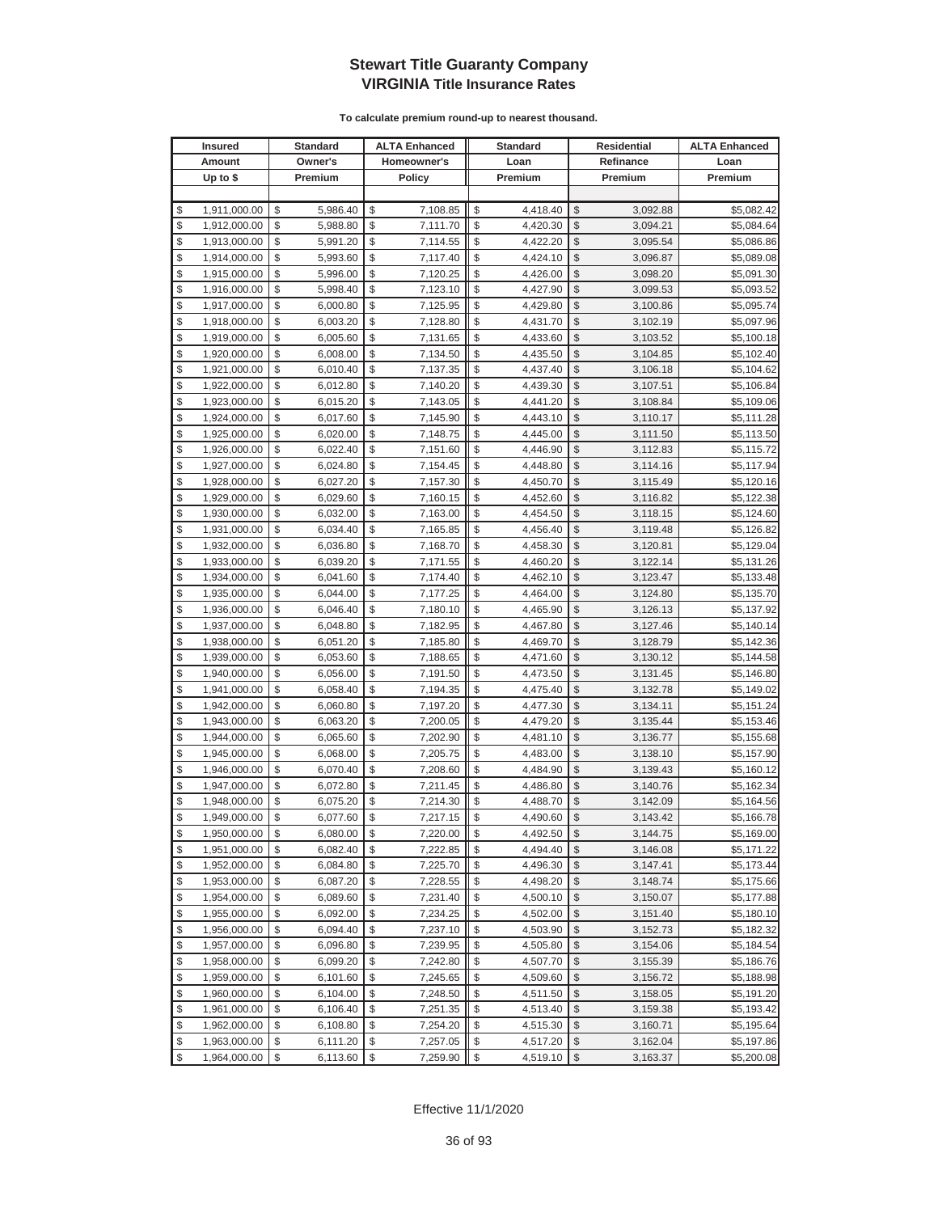|          | <b>Insured</b>               |          | <b>Standard</b>      | <b>ALTA Enhanced</b>               |          | <b>Standard</b>      |                         | <b>Residential</b>   | <b>ALTA Enhanced</b>     |
|----------|------------------------------|----------|----------------------|------------------------------------|----------|----------------------|-------------------------|----------------------|--------------------------|
|          | Amount                       |          | Owner's              | Homeowner's                        |          | Loan                 |                         | Refinance            | Loan                     |
|          | Up to \$                     |          | Premium              | <b>Policy</b>                      |          | Premium              |                         | Premium              | Premium                  |
|          |                              |          |                      |                                    |          |                      |                         |                      |                          |
| \$       | 1,911,000.00                 | \$       | 5,986.40             | \$<br>7,108.85                     | \$       | 4,418.40             | \$                      | 3,092.88             | \$5,082.42               |
| \$       | 1,912,000.00                 | \$       | 5,988.80             | \$<br>7,111.70                     | \$       | 4,420.30             | \$                      | 3,094.21             | \$5,084.64               |
| \$       | 1,913,000.00                 | \$       | 5,991.20             | \$<br>7,114.55                     | \$       | 4,422.20             | \$                      | 3,095.54             | \$5,086.86               |
| \$       | 1,914,000.00                 | \$       | 5,993.60             | \$<br>7,117.40                     | \$       | 4,424.10             | \$                      | 3,096.87             | \$5,089.08               |
| \$       | 1,915,000.00                 | \$       | 5,996.00             | \$<br>7,120.25                     | \$       | 4,426.00             | \$                      | 3,098.20             | \$5,091.30               |
| \$       | 1,916,000.00                 | \$       | 5,998.40             | \$<br>7,123.10                     | \$       | 4,427.90             | \$                      | 3,099.53             | \$5,093.52               |
| \$       | 1,917,000.00                 | \$       | 6,000.80             | \$<br>7,125.95                     | \$       | 4,429.80             | \$                      | 3,100.86             | \$5,095.74               |
| \$       | 1,918,000.00                 | \$       | 6,003.20             | \$<br>7,128.80                     | \$       | 4,431.70             | \$                      | 3,102.19             | \$5,097.96               |
| \$       | 1,919,000.00                 | \$       | 6,005.60             | \$<br>7,131.65                     | \$       | 4,433.60             | \$                      | 3,103.52             | \$5,100.18               |
| \$       | 1,920,000.00                 | \$       | 6,008.00             | \$<br>7,134.50                     | \$       | 4,435.50             | \$                      | 3,104.85             | \$5,102.40               |
| \$       | 1,921,000.00                 | \$       | 6,010.40             | \$<br>7,137.35                     | \$       | 4,437.40             | \$                      | 3,106.18             | \$5,104.62               |
| \$       | 1,922,000.00                 | \$       | 6,012.80             | \$<br>7,140.20                     | \$       | 4,439.30             | \$                      | 3,107.51             | \$5,106.84               |
| \$       | 1,923,000.00                 | \$       | 6,015.20             | \$<br>7,143.05                     | \$       | 4,441.20             | \$                      | 3,108.84             | \$5,109.06               |
| \$       | 1,924,000.00                 | \$       | 6,017.60             | \$<br>7,145.90                     | \$       | 4,443.10             | \$                      | 3,110.17             | \$5,111.28               |
| \$       | 1,925,000.00                 | \$       | 6,020.00             | \$<br>7,148.75                     | \$       | 4,445.00             | \$                      | 3,111.50             | \$5,113.50               |
| \$       | 1,926,000.00                 | \$       | 6,022.40             | \$<br>7,151.60                     | \$       | 4,446.90             | \$                      | 3,112.83             | \$5,115.72               |
| \$       | 1,927,000.00                 | \$       | 6,024.80             | \$<br>7,154.45                     | \$       | 4,448.80             | \$                      | 3,114.16             | \$5,117.94               |
| \$       | 1,928,000.00                 | \$       | 6,027.20             | \$<br>7,157.30                     | \$       | 4,450.70             | \$                      | 3,115.49             | \$5,120.16               |
| \$       | 1,929,000.00                 | \$       | 6,029.60             | \$<br>7,160.15                     | \$       | 4,452.60             | \$                      | 3,116.82             | \$5,122.38               |
| \$       | 1,930,000.00                 | \$       | 6,032.00             | \$<br>7,163.00                     | \$       | 4,454.50             | \$                      | 3,118.15             | \$5,124.60               |
| \$       | 1,931,000.00                 | \$       | 6,034.40             | \$<br>7,165.85                     | \$       | 4,456.40             | \$                      | 3,119.48             | \$5,126.82               |
| \$       | 1,932,000.00                 | \$       | 6,036.80             | \$<br>7,168.70                     | \$       | 4,458.30             | \$                      | 3,120.81             | \$5,129.04               |
| \$       | 1,933,000.00                 | \$       | 6,039.20             | \$<br>7,171.55                     | \$       | 4,460.20             | \$                      | 3,122.14             | \$5,131.26               |
| \$       | 1,934,000.00                 | \$       | 6,041.60             | \$<br>7,174.40                     | \$       | 4,462.10             | \$                      | 3,123.47             | \$5,133.48               |
| \$       | 1,935,000.00                 | \$       | 6,044.00             | \$<br>7,177.25                     | \$       | 4,464.00             | \$                      | 3,124.80             | \$5,135.70               |
| \$       | 1,936,000.00                 | \$       | 6,046.40             | \$<br>7,180.10                     | \$       | 4,465.90             | \$                      | 3,126.13             | \$5,137.92               |
| \$       | 1,937,000.00                 | \$       | 6,048.80             | \$<br>7,182.95                     | \$       | 4,467.80             | \$                      | 3,127.46             | \$5,140.14               |
| \$       | 1,938,000.00                 | \$       | 6,051.20             | \$<br>7,185.80                     | \$       | 4,469.70             | \$                      | 3,128.79             | \$5,142.36               |
| \$       | 1,939,000.00                 | \$       | 6,053.60             | \$<br>7,188.65                     | \$       | 4,471.60             | \$                      | 3,130.12             | \$5,144.58               |
| \$       | 1,940,000.00                 | \$       | 6,056.00             | \$<br>7,191.50                     | \$       | 4,473.50             | \$                      | 3,131.45             | \$5,146.80               |
| \$       | 1,941,000.00                 | \$       | 6,058.40             | \$<br>7,194.35                     | \$       | 4,475.40             | \$                      | 3,132.78             | \$5,149.02               |
| \$       | 1,942,000.00                 | \$       | 6,060.80             | \$<br>7,197.20                     | \$       | 4,477.30             | \$                      | 3,134.11             | \$5,151.24               |
| \$       | 1,943,000.00                 | \$       | 6,063.20             | \$<br>7,200.05                     | \$       | 4,479.20             | \$                      | 3,135.44             | \$5,153.46               |
| \$       | 1,944,000.00                 | \$       | 6,065.60             | \$<br>7,202.90                     | \$       | 4,481.10             | \$                      | 3,136.77             | \$5,155.68               |
| \$       | 1,945,000.00                 | \$       | 6,068.00             | \$<br>7,205.75                     | \$       | 4,483.00             | \$                      | 3,138.10             | \$5,157.90               |
| \$<br>\$ | 1,946,000.00                 | \$       | 6,070.40             | \$<br>7,208.60                     | \$       | 4,484.90             | \$<br>\$                | 3,139.43             | \$5,160.12               |
| \$       | 1,947,000.00                 | \$<br>\$ | 6,072.80             | \$<br>7,211.45<br>\$               | \$<br>\$ | 4,486.80             | \$                      | 3,140.76<br>3,142.09 | \$5,162.34               |
| \$       | 1,948,000.00<br>1,949,000.00 | \$       | 6,075.20<br>6,077.60 | 7,214.30<br>$\sqrt{2}$<br>7,217.15 | \$       | 4,488.70<br>4,490.60 | $\sqrt[6]{\frac{1}{2}}$ | 3,143.42             | \$5,164.56<br>\$5,166.78 |
| \$       | 1,950,000.00                 | \$       | 6,080.00             | \$                                 | \$       | 4,492.50             | \$                      | 3,144.75             | \$5,169.00               |
| \$       | 1,951,000.00                 | \$       | 6,082.40             | 7,220.00<br>\$<br>7,222.85         | \$       | 4,494.40             | \$                      | 3,146.08             | \$5,171.22               |
| \$       | 1,952,000.00                 | \$       | 6,084.80             | \$<br>7,225.70                     | \$       | 4,496.30             | $\frac{1}{2}$           | 3,147.41             | \$5,173.44               |
| \$       | 1,953,000.00                 | \$       | 6,087.20             | \$<br>7,228.55                     | \$       | 4,498.20             | \$                      | 3,148.74             | \$5,175.66               |
| \$       | 1,954,000.00                 | \$       | 6,089.60             | \$<br>7,231.40                     | \$       | 4,500.10             | \$                      | 3,150.07             | \$5,177.88               |
| \$       | 1,955,000.00                 | \$       | 6,092.00             | \$<br>7,234.25                     | \$       | 4,502.00             | \$                      | 3,151.40             | \$5,180.10               |
| \$       | 1,956,000.00                 | \$       | 6,094.40             | \$<br>7,237.10                     | \$       | 4,503.90             | \$                      | 3,152.73             | \$5,182.32               |
| \$       | 1,957,000.00                 | \$       | 6,096.80             | \$<br>7,239.95                     | \$       | 4,505.80             | \$                      | 3,154.06             | \$5,184.54               |
| \$       | 1,958,000.00                 | \$       | 6,099.20             | \$<br>7,242.80                     | \$       | 4,507.70             | \$                      | 3,155.39             | \$5,186.76               |
| \$       | 1,959,000.00                 | \$       | 6,101.60             | \$<br>7,245.65                     | \$       | 4,509.60             | \$                      | 3,156.72             | \$5,188.98               |
| \$       | 1,960,000.00                 | \$       | 6,104.00             | \$<br>7,248.50                     | \$       | 4,511.50             | \$                      | 3,158.05             | \$5,191.20               |
| \$       | 1,961,000.00                 | \$       | 6,106.40             | \$<br>7,251.35                     | \$       | 4,513.40             | \$                      | 3,159.38             | \$5,193.42               |
| \$       | 1,962,000.00                 | \$       | 6,108.80             | \$<br>7,254.20                     | \$       | 4,515.30             | \$                      | 3,160.71             | \$5,195.64               |
| \$       | 1,963,000.00                 | \$       | 6,111.20             | \$<br>7,257.05                     | \$       | 4,517.20             | \$                      | 3,162.04             | \$5,197.86               |
| \$       | 1,964,000.00                 | \$       | 6,113.60             | \$<br>7,259.90                     | \$       | 4,519.10             | $\$\$                   | 3,163.37             | \$5,200.08               |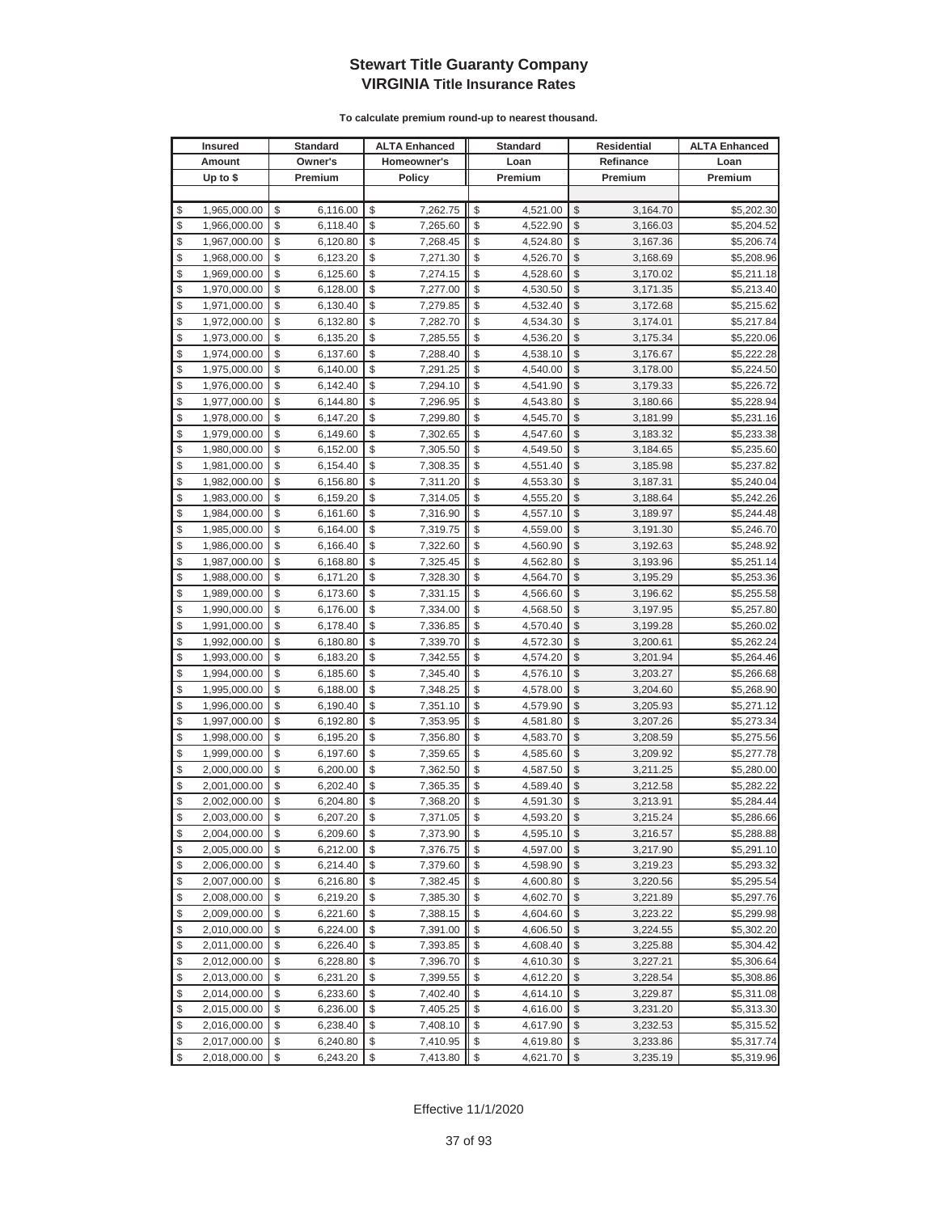| <b>Insured</b> |                              | <b>Standard</b> |                      | <b>ALTA Enhanced</b> |                      | <b>Standard</b> |                      |               | Residential          | <b>ALTA Enhanced</b>     |
|----------------|------------------------------|-----------------|----------------------|----------------------|----------------------|-----------------|----------------------|---------------|----------------------|--------------------------|
|                | Amount                       |                 | Owner's              | Homeowner's          |                      | Loan            |                      |               | Refinance            | Loan                     |
|                | Up to $$$                    |                 | Premium              |                      | Policy               |                 | Premium              |               | Premium              | Premium                  |
|                |                              |                 |                      |                      |                      |                 |                      |               |                      |                          |
| \$             | 1,965,000.00                 | \$              | 6,116.00             | \$                   | 7,262.75             | \$              | 4,521.00             | \$            | 3,164.70             | \$5,202.30               |
| \$             | 1,966,000.00                 | \$              | 6,118.40             | \$                   | 7,265.60             | \$              | 4,522.90             | \$            | 3,166.03             | \$5,204.52               |
| \$             | 1,967,000.00                 | \$              | 6,120.80             | \$                   | 7,268.45             | \$              | 4,524.80             | \$            | 3,167.36             | \$5,206.74               |
| \$             | 1,968,000.00                 | \$              | 6,123.20             | \$                   | 7,271.30             | \$              | 4,526.70             | \$            | 3,168.69             | \$5,208.96               |
| \$             | 1,969,000.00                 | \$              | 6,125.60             | \$                   | 7,274.15             | \$              | 4,528.60             | \$            | 3,170.02             | \$5,211.18               |
| \$             | 1,970,000.00                 | \$              | 6,128.00             | \$                   | 7,277.00             | \$              | 4,530.50             | \$            | 3,171.35             | \$5,213.40               |
| \$             | 1,971,000.00                 | \$              | 6,130.40             | \$                   | 7,279.85             | \$              | 4,532.40             | \$            | 3,172.68             | \$5,215.62               |
| \$             | 1,972,000.00                 | \$              | 6,132.80             | \$                   | 7,282.70             | \$              | 4,534.30             | \$            | 3,174.01             | \$5,217.84               |
| \$             | 1,973,000.00                 | \$              | 6,135.20             | \$                   | 7,285.55             | \$              | 4,536.20             | \$            | 3,175.34             | \$5,220.06               |
| \$             | 1,974,000.00                 | \$              | 6,137.60             | \$                   | 7,288.40             | \$              | 4,538.10             | \$            | 3,176.67             | \$5,222.28               |
| \$             | 1,975,000.00                 | \$              | 6,140.00             | \$                   | 7,291.25             | \$              | 4,540.00             | \$            | 3,178.00             | \$5,224.50               |
| \$             | 1,976,000.00                 | \$              | 6,142.40             | \$                   | 7,294.10             | \$              | 4,541.90             | \$            | 3,179.33             | \$5,226.72               |
| \$             | 1,977,000.00                 | \$              | 6,144.80             | \$                   | 7,296.95             | \$              | 4,543.80             | \$            | 3,180.66             | \$5,228.94               |
| \$             | 1,978,000.00                 | \$              | 6,147.20             | \$                   | 7,299.80             | \$              | 4,545.70             | \$            | 3,181.99             | \$5,231.16               |
| \$             | 1,979,000.00                 | \$              | 6,149.60             | \$                   | 7,302.65             | \$              | 4,547.60             | \$            | 3,183.32             | \$5,233.38               |
| \$             | 1,980,000.00                 | \$              | 6,152.00             | \$                   | 7,305.50             | \$              | 4,549.50             | \$            | 3,184.65             | \$5,235.60               |
| \$             | 1,981,000.00                 | \$              | 6,154.40             | \$                   | 7,308.35             | \$              | 4,551.40             | \$            | 3,185.98             | \$5,237.82               |
| \$             | 1,982,000.00                 | \$              | 6,156.80             | \$                   | 7,311.20             | \$              | 4,553.30             | \$            | 3,187.31             | \$5,240.04               |
| \$             | 1,983,000.00                 | \$              | 6,159.20             | \$                   | 7,314.05             | \$              | 4,555.20             | \$            | 3,188.64             | \$5,242.26               |
| \$             | 1,984,000.00                 | \$              | 6,161.60             | \$                   | 7,316.90             | \$              | 4,557.10             | \$            | 3,189.97             | \$5,244.48               |
| \$             | 1,985,000.00                 | \$              | 6,164.00             | \$                   | 7,319.75             | \$              | 4,559.00             | \$            | 3,191.30             | \$5,246.70               |
| \$             | 1,986,000.00                 | \$              | 6,166.40             | \$                   | 7,322.60             | \$              | 4,560.90             | \$            | 3,192.63             | \$5,248.92               |
| \$             | 1,987,000.00                 | \$              | 6,168.80             | \$                   | 7,325.45             | \$              | 4,562.80             | \$            | 3,193.96             | \$5,251.14               |
| \$             | 1,988,000.00                 | \$              | 6,171.20             | \$                   | 7,328.30             | \$              | 4,564.70             | \$            | 3,195.29             | \$5,253.36               |
| \$             | 1,989,000.00                 | \$              | 6,173.60             | \$                   | 7,331.15             | \$              | 4,566.60             | \$            | 3,196.62             | \$5,255.58               |
| \$             | 1,990,000.00                 | \$              | 6,176.00             | \$                   | 7,334.00             | \$              | 4,568.50             | \$            | 3,197.95             | \$5,257.80               |
| \$             | 1,991,000.00                 | \$              | 6,178.40             | \$                   | 7,336.85             | \$              | 4,570.40             | \$            | 3,199.28             | \$5,260.02               |
| \$             | 1,992,000.00                 | \$              | 6,180.80             | \$                   | 7,339.70             | \$              | 4,572.30             | \$            | 3,200.61             | \$5,262.24               |
| \$             | 1,993,000.00                 | \$              | 6,183.20             | \$                   | 7,342.55             | \$              | 4,574.20             | \$            | 3,201.94             | \$5,264.46               |
| \$             | 1,994,000.00                 | \$              | 6,185.60             | \$                   | 7,345.40             | \$              | 4,576.10             | \$            | 3,203.27             | \$5,266.68               |
| \$             | 1,995,000.00                 | \$              | 6,188.00             | \$                   | 7,348.25             | \$              | 4,578.00             | \$            | 3,204.60             | \$5,268.90               |
| \$             | 1,996,000.00                 | \$              | 6,190.40             | \$                   | 7,351.10             | \$              | 4,579.90             | \$            | 3,205.93             | \$5,271.12               |
| \$             | 1,997,000.00                 | \$              | 6,192.80             | \$                   | 7,353.95             | \$              | 4,581.80             | \$            | 3,207.26             | \$5,273.34               |
| \$             | 1,998,000.00                 | \$              | 6,195.20             | \$                   | 7,356.80             | \$              | 4,583.70             | \$            | 3,208.59             | \$5,275.56               |
| \$<br>\$       | 1,999,000.00                 | \$<br>\$        | 6,197.60<br>6,200.00 | \$<br>\$             | 7,359.65<br>7,362.50 | \$<br>\$        | 4,585.60             | \$<br>\$      | 3,209.92             | \$5,277.78               |
| \$             | 2,000,000.00<br>2,001,000.00 | \$              | 6,202.40             | \$                   | 7,365.35             | \$              | 4,587.50<br>4,589.40 | \$            | 3,211.25             | \$5,280.00               |
| \$             | 2,002,000.00                 | \$              | 6,204.80             | \$                   | 7,368.20             | \$              | 4,591.30             | \$            | 3,212.58<br>3,213.91 | \$5,282.22<br>\$5,284.44 |
| \$             | 2,003,000.00                 | \$              | 6,207.20             | \$                   | 7,371.05             | \$              | 4,593.20             | $\mathbb{S}$  | 3,215.24             | \$5,286.66               |
| \$             | 2,004,000.00                 | \$              | 6,209.60             | \$                   | 7,373.90             | \$              | 4,595.10             | \$            | 3,216.57             | \$5,288.88               |
| \$             | 2,005,000.00                 | \$              | 6,212.00             | \$                   | 7,376.75             |                 | 4,597.00             | \$            | 3,217.90             | \$5,291.10               |
| \$             | 2,006,000.00                 | \$              | 6,214.40             | \$                   | 7,379.60             | \$              | 4,598.90             | \$            | 3,219.23             | \$5,293.32               |
| \$             | 2,007,000.00                 | \$              | 6,216.80             | \$                   | 7,382.45             | \$              | 4,600.80             | \$            | 3,220.56             | \$5,295.54               |
| \$             | 2,008,000.00                 | \$              | 6,219.20             | \$                   | 7,385.30             | \$              | 4,602.70             | \$            | 3,221.89             | \$5,297.76               |
| \$             | 2,009,000.00                 | \$              | 6,221.60             | \$                   | 7,388.15             | \$              | 4,604.60             | \$            | 3,223.22             | \$5,299.98               |
| \$             | 2,010,000.00                 | \$              | 6,224.00             | \$                   | 7,391.00             | \$              | 4,606.50             | \$            | 3,224.55             | \$5,302.20               |
| \$             | 2,011,000.00                 | \$              | 6,226.40             | \$                   | 7,393.85             | \$              | 4,608.40             | \$            | 3,225.88             | \$5,304.42               |
| \$             | 2,012,000.00                 | \$              | 6,228.80             | \$                   | 7,396.70             | \$              | 4,610.30             | \$            | 3,227.21             | \$5,306.64               |
| \$             | 2,013,000.00                 | \$              | 6,231.20             | \$                   | 7,399.55             | \$              | 4,612.20             | \$            | 3,228.54             | \$5,308.86               |
| \$             | 2,014,000.00                 | \$              | 6,233.60             | \$                   | 7,402.40             | \$              | 4,614.10             | \$            | 3,229.87             | \$5,311.08               |
| \$             | 2,015,000.00                 | \$              | 6,236.00             | \$                   | 7,405.25             | \$              | 4,616.00             | \$            | 3,231.20             | \$5,313.30               |
| \$             | 2,016,000.00                 | \$              | 6,238.40             | \$                   | 7,408.10             | \$              | 4,617.90             | \$            | 3,232.53             | \$5,315.52               |
| \$             | 2,017,000.00                 | \$              | 6,240.80             | \$                   | 7,410.95             | \$              | 4,619.80             | \$            | 3,233.86             | \$5,317.74               |
| \$             | 2,018,000.00                 | \$              | 6,243.20             | \$                   | 7,413.80             | \$              | 4,621.70             | $\frac{1}{2}$ | 3,235.19             | \$5,319.96               |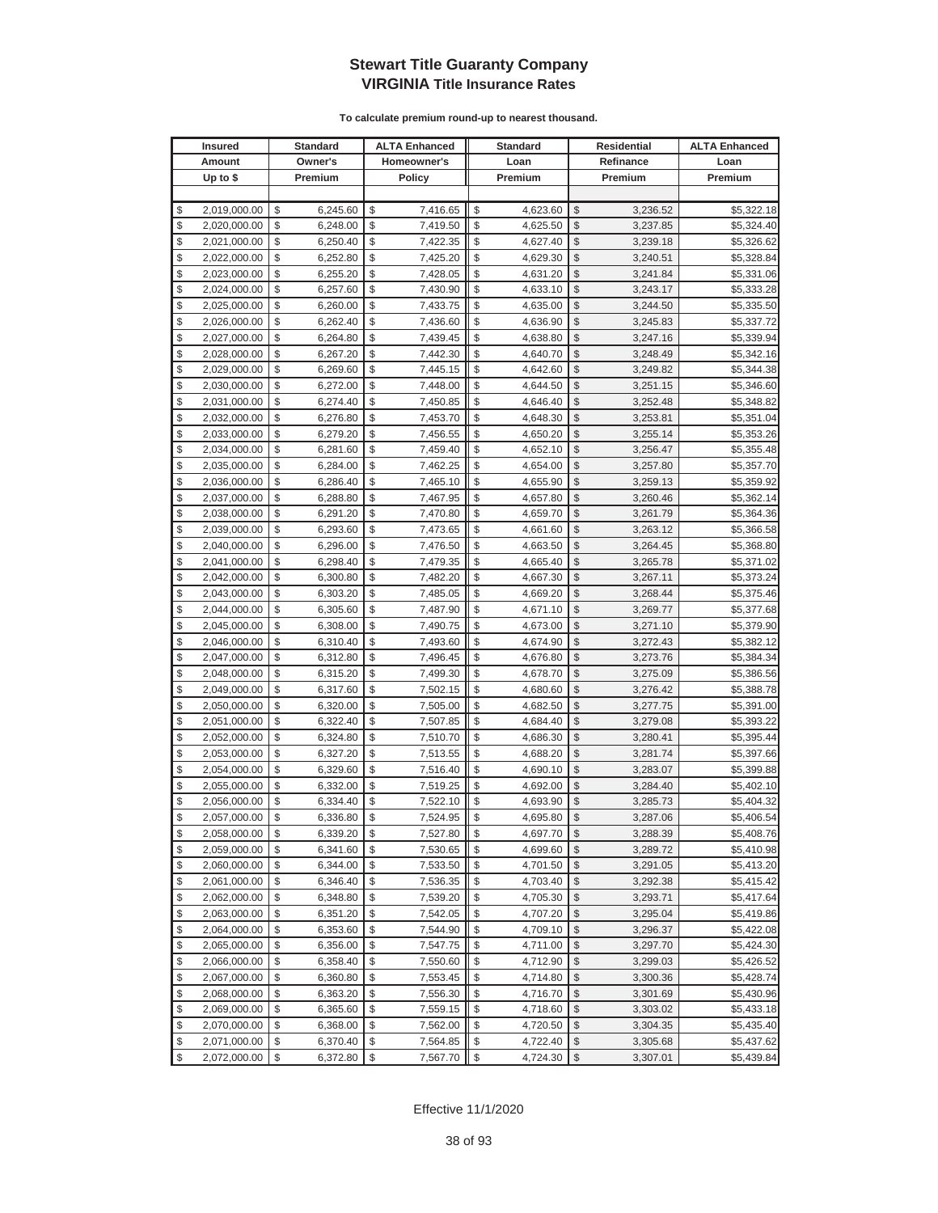|          | <b>Insured</b>               |          | <b>Standard</b>      |             | <b>ALTA Enhanced</b> |          | <b>Standard</b>      |               | <b>Residential</b>   | <b>ALTA Enhanced</b>     |
|----------|------------------------------|----------|----------------------|-------------|----------------------|----------|----------------------|---------------|----------------------|--------------------------|
|          | Amount                       |          | Owner's              | Homeowner's |                      | Loan     |                      |               | Refinance            | Loan                     |
|          | Up to \$                     |          | Premium              |             | Policy               |          | Premium              |               | Premium              | Premium                  |
|          |                              |          |                      |             |                      |          |                      |               |                      |                          |
| \$       | 2,019,000.00                 | \$       | 6,245.60             | \$          | 7,416.65             | \$       | 4,623.60             | \$            | 3,236.52             | \$5,322.18               |
| \$       | 2,020,000.00                 | \$       | 6,248.00             | \$          | 7,419.50             | \$       | 4,625.50             | \$            | 3,237.85             | \$5,324.40               |
| \$       | 2,021,000.00                 | \$       | 6,250.40             | \$          | 7,422.35             | \$       | 4,627.40             | $\mathcal{S}$ | 3,239.18             | \$5,326.62               |
| \$       | 2,022,000.00                 | \$       | 6,252.80             | \$          | 7,425.20             | \$       | 4,629.30             | \$            | 3,240.51             | \$5,328.84               |
| \$       | 2,023,000.00                 | \$       | 6,255.20             | \$          | 7,428.05             | \$       | 4,631.20             | \$            | 3,241.84             | \$5,331.06               |
| \$       | 2,024,000.00                 | \$       | 6,257.60             | \$          | 7,430.90             | \$       | 4,633.10             | \$            | 3,243.17             | \$5,333.28               |
| \$       | 2,025,000.00                 | \$       | 6,260.00             | \$          | 7,433.75             | \$       | 4,635.00             | \$            | 3,244.50             | \$5,335.50               |
| \$       | 2,026,000.00                 | \$       | 6,262.40             | \$          | 7,436.60             | \$       | 4,636.90             | \$            | 3,245.83             | \$5,337.72               |
| \$       | 2,027,000.00                 | \$       | 6,264.80             | \$          | 7,439.45             | \$       | 4,638.80             | \$            | 3,247.16             | \$5,339.94               |
| \$       | 2,028,000.00                 | \$       | 6,267.20             | \$          | 7,442.30             | \$       | 4,640.70             | \$            | 3,248.49             | \$5,342.16               |
| \$       | 2,029,000.00                 | \$       | 6,269.60             | \$          | 7,445.15             | \$       | 4,642.60             | \$            | 3,249.82             | \$5,344.38               |
| \$       | 2,030,000.00                 | \$       | 6,272.00             | \$          | 7,448.00             | \$       | 4,644.50             | \$            | 3,251.15             | \$5,346.60               |
| \$       | 2,031,000.00                 | \$       | 6,274.40             | \$          | 7,450.85             | \$       | 4,646.40             | \$            | 3,252.48             | \$5,348.82               |
| \$       | 2,032,000.00                 | \$       | 6,276.80             | \$          | 7,453.70             | \$       | 4,648.30             | \$            | 3,253.81             | \$5,351.04               |
| \$       | 2,033,000.00                 | \$       | 6,279.20             | \$          | 7,456.55             | \$       | 4,650.20             | \$            | 3,255.14             | \$5,353.26               |
| \$       | 2,034,000.00                 | \$       | 6,281.60             | \$          | 7,459.40             | \$       | 4,652.10             | \$            | 3,256.47             | \$5,355.48               |
| \$       | 2,035,000.00                 | \$       | 6,284.00             | \$          | 7,462.25             | \$       | 4,654.00             | \$            | 3,257.80             | \$5,357.70               |
| \$       | 2,036,000.00                 | \$       | 6,286.40             | \$          | 7,465.10             | \$       | 4,655.90             | \$            | 3,259.13             | \$5,359.92               |
| \$       | 2,037,000.00                 | \$       | 6,288.80             | \$          | 7,467.95             | \$       | 4,657.80             | $\mathcal{S}$ | 3,260.46             | \$5,362.14               |
| \$       | 2,038,000.00                 | \$       | 6,291.20             | \$          | 7,470.80             | \$       | 4,659.70             | \$            | 3,261.79             | \$5,364.36               |
| \$       | 2,039,000.00                 | \$       | 6,293.60             | \$          | 7,473.65             | \$       | 4,661.60             | $\mathcal{S}$ | 3,263.12             | \$5,366.58               |
| \$       | 2,040,000.00                 | \$       | 6,296.00             | \$          | 7,476.50             | \$       | 4,663.50             | \$            | 3,264.45             | \$5,368.80               |
| \$       | 2,041,000.00                 | \$       | 6,298.40             | \$          | 7,479.35             | \$       | 4,665.40             | \$            | 3,265.78             | \$5,371.02               |
| \$       | 2,042,000.00                 | \$       | 6,300.80             | \$          | 7,482.20             | \$       | 4,667.30             | \$            | 3,267.11             | \$5,373.24               |
| \$       | 2,043,000.00                 | \$       | 6,303.20             | \$          | 7,485.05             | \$       | 4,669.20             | \$            | 3,268.44             | \$5,375.46               |
| \$       | 2,044,000.00                 | \$       | 6,305.60             | \$          | 7,487.90             | \$       | 4,671.10             | \$            | 3,269.77             | \$5,377.68               |
| \$       | 2,045,000.00                 | \$       | 6,308.00             | \$          | 7,490.75             | \$       | 4,673.00             | \$            | 3,271.10             | \$5,379.90               |
| \$       | 2,046,000.00                 | \$       | 6,310.40             | \$          | 7,493.60             | \$       | 4,674.90             | \$            | 3,272.43             | \$5,382.12               |
| \$       | 2,047,000.00                 | \$       | 6,312.80             | \$          | 7,496.45             | \$       | 4,676.80             | \$            | 3,273.76             | \$5,384.34               |
| \$       | 2,048,000.00                 | \$       | 6,315.20             | \$          | 7,499.30             | \$       | 4,678.70             | \$            | 3,275.09             | \$5,386.56               |
| \$       | 2,049,000.00                 | \$       | 6,317.60             | \$          | 7,502.15             | \$       | 4,680.60             | \$            | 3,276.42             | \$5,388.78               |
| \$       | 2,050,000.00                 | \$       | 6,320.00             | \$          | 7,505.00             | \$       | 4,682.50             | \$            | 3,277.75             | \$5,391.00               |
| \$       | 2,051,000.00                 | \$       | 6,322.40             | \$          | 7,507.85             | \$       | 4,684.40             | \$            | 3,279.08             | \$5,393.22               |
| \$       | 2,052,000.00                 | \$       | 6,324.80             | \$          | 7,510.70             | \$       | 4,686.30             | \$            | 3,280.41             | \$5,395.44               |
| \$       | 2,053,000.00                 | \$       | 6,327.20             | \$          | 7,513.55             | \$       | 4,688.20             | \$            | 3,281.74             | \$5,397.66               |
| \$       | 2,054,000.00                 | \$<br>\$ | 6,329.60             | \$<br>\$    | 7,516.40             | \$<br>\$ | 4,690.10             | \$<br>\$      | 3,283.07             | \$5,399.88               |
| \$<br>\$ | 2,055,000.00                 | \$       | 6,332.00             | \$          | 7,519.25             | \$       | 4,692.00             | \$            | 3,284.40             | \$5,402.10               |
| \$       | 2,056,000.00<br>2,057,000.00 | \$       | 6,334.40<br>6,336.80 | \$          | 7,522.10<br>7,524.95 | \$       | 4,693.90<br>4,695.80 | \$            | 3,285.73<br>3,287.06 | \$5,404.32<br>\$5,406.54 |
| \$       | 2,058,000.00                 | \$       | 6,339.20             | \$          | 7,527.80             | \$       | 4,697.70             | $\sqrt{2}$    | 3,288.39             | \$5,408.76               |
| \$       | 2,059,000.00                 | \$       | 6,341.60             | \$          | 7,530.65             | \$       | 4,699.60             | \$            | 3,289.72             | \$5,410.98               |
| \$       | 2,060,000.00                 | \$       | 6,344.00             | \$          | 7,533.50             | \$       | 4,701.50             | \$            | 3,291.05             | \$5,413.20               |
| \$       | 2,061,000.00                 | \$       | 6,346.40             | \$          | 7,536.35             | \$       | 4,703.40             | \$            | 3,292.38             | \$5,415.42               |
| \$       | 2,062,000.00                 | \$       | 6,348.80             | \$          | 7,539.20             | \$       | 4,705.30             | \$            | 3,293.71             | \$5,417.64               |
| \$       | 2,063,000.00                 | \$       | 6,351.20             | \$          | 7,542.05             | \$       | 4,707.20             | \$            | 3,295.04             | \$5,419.86               |
| \$       | 2,064,000.00                 | \$       | 6,353.60             | \$          | 7,544.90             | \$       | 4,709.10             | \$            | 3,296.37             | \$5,422.08               |
| \$       | 2,065,000.00                 | \$       | 6,356.00             | \$          | 7,547.75             | \$       | 4,711.00             | \$            | 3,297.70             | \$5,424.30               |
| \$       | 2,066,000.00                 | \$       | 6,358.40             | \$          | 7,550.60             | \$       | 4,712.90             | \$            | 3,299.03             | \$5,426.52               |
| \$       | 2,067,000.00                 | \$       | 6,360.80             | \$          | 7,553.45             | \$       | 4,714.80             | \$            | 3,300.36             | \$5,428.74               |
| \$       | 2,068,000.00                 | \$       | 6,363.20             | \$          | 7,556.30             | \$       | 4,716.70             | \$            | 3,301.69             | \$5,430.96               |
| \$       | 2,069,000.00                 | \$       | 6,365.60             | \$          | 7,559.15             | \$       | 4,718.60             | \$            | 3,303.02             | \$5,433.18               |
| \$       | 2,070,000.00                 | \$       | 6,368.00             | \$          | 7,562.00             | \$       | 4,720.50             | \$            | 3,304.35             | \$5,435.40               |
| \$       | 2,071,000.00                 | \$       | 6,370.40             | \$          | 7,564.85             | \$       | 4,722.40             | \$            | 3,305.68             | \$5,437.62               |
| \$       | 2,072,000.00                 | \$       | 6,372.80             | \$          | 7,567.70             | \$       | 4,724.30             | \$            | 3,307.01             | \$5,439.84               |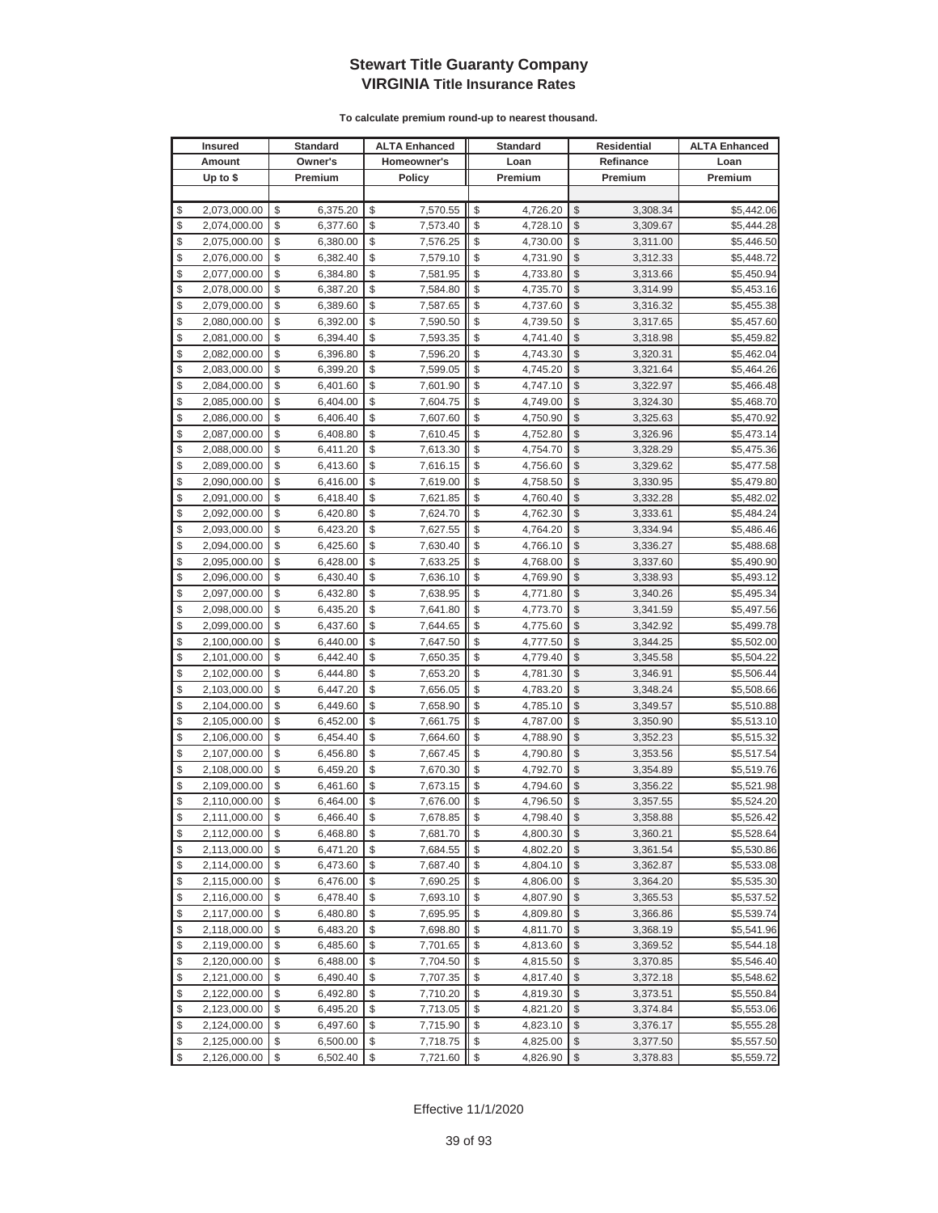|          | <b>Insured</b>               |          | <b>Standard</b>      |          | <b>ALTA Enhanced</b> |                         | <b>Standard</b>      |               | <b>Residential</b>   | <b>ALTA Enhanced</b>     |
|----------|------------------------------|----------|----------------------|----------|----------------------|-------------------------|----------------------|---------------|----------------------|--------------------------|
|          | Amount                       |          | Owner's              |          | Homeowner's          |                         | Loan                 |               | Refinance            | Loan                     |
|          | Up to $$$                    |          | Premium              |          | <b>Policy</b>        |                         | Premium              |               | Premium              | Premium                  |
|          |                              |          |                      |          |                      |                         |                      |               |                      |                          |
| \$       | 2,073,000.00                 | \$       | 6,375.20             | \$       | 7,570.55             | \$                      | 4,726.20             | \$            | 3,308.34             | \$5,442.06               |
| \$       | 2,074,000.00                 | \$       | 6,377.60             | \$       | 7,573.40             | \$                      | 4,728.10             | \$            | 3,309.67             | \$5,444.28               |
| \$       | 2,075,000.00                 | \$       | 6,380.00             | \$       | 7,576.25             | \$                      | 4,730.00             | \$            | 3,311.00             | \$5,446.50               |
| \$       | 2,076,000.00                 | \$       | 6,382.40             | \$       | 7,579.10             | \$                      | 4,731.90             | \$            | 3,312.33             | \$5,448.72               |
| \$       | 2,077,000.00                 | \$       | 6,384.80             | \$       | 7,581.95             | \$                      | 4,733.80             | \$            | 3,313.66             | \$5,450.94               |
| \$       | 2,078,000.00                 | \$       | 6,387.20             | \$       | 7,584.80             | \$                      | 4,735.70             | \$            | 3,314.99             | \$5,453.16               |
| \$       | 2,079,000.00                 | \$       | 6,389.60             | \$       | 7,587.65             | \$                      | 4,737.60             | \$            | 3,316.32             | \$5,455.38               |
| \$       | 2,080,000.00                 | \$       | 6,392.00             | \$       | 7,590.50             | \$                      | 4,739.50             | \$            | 3,317.65             | \$5,457.60               |
| \$       | 2,081,000.00                 | \$       | 6,394.40             | \$       | 7,593.35             | \$                      | 4,741.40             | \$            | 3,318.98             | \$5,459.82               |
| \$       | 2,082,000.00                 | \$       | 6,396.80             | \$       | 7,596.20             | \$                      | 4,743.30             | \$            | 3,320.31             | \$5,462.04               |
| \$       | 2,083,000.00                 | \$       | 6,399.20             | \$       | 7,599.05             | \$                      | 4,745.20             | \$            | 3,321.64             | \$5,464.26               |
| \$       | 2,084,000.00                 | \$       | 6,401.60             | \$       | 7,601.90             | \$                      | 4,747.10             | \$            | 3,322.97             | \$5,466.48               |
| \$       | 2,085,000.00                 | \$       | 6,404.00             | \$       | 7,604.75             | \$                      | 4,749.00             | \$            | 3,324.30             | \$5,468.70               |
| \$       | 2,086,000.00                 | \$       | 6,406.40             | \$       | 7,607.60             | \$                      | 4,750.90             | \$            | 3,325.63             | \$5,470.92               |
| \$       | 2,087,000.00                 | \$       | 6,408.80             | \$       | 7,610.45             | \$                      | 4,752.80             | \$            | 3,326.96             | \$5,473.14               |
| \$       | 2,088,000.00                 | \$       | 6,411.20             | \$       | 7,613.30             | \$                      | 4,754.70             | \$            | 3,328.29             | \$5,475.36               |
| \$       | 2,089,000.00                 | \$       | 6,413.60             | \$       | 7,616.15             | \$                      | 4,756.60             | \$            | 3,329.62             | \$5,477.58               |
| \$       | 2,090,000.00                 | \$       | 6,416.00             | \$       | 7,619.00             | \$                      | 4,758.50             | \$            | 3,330.95             | \$5,479.80               |
| \$       | 2,091,000.00                 | \$       | 6,418.40             | \$       | 7,621.85             | \$                      | 4,760.40             | \$            | 3,332.28             | \$5,482.02               |
| \$       | 2,092,000.00                 | \$       | 6,420.80             | \$       | 7,624.70             | \$                      | 4,762.30             | \$            | 3,333.61             | \$5,484.24               |
| \$       | 2,093,000.00                 | \$       | 6,423.20             | \$       | 7,627.55             | \$                      | 4,764.20             | $\mathcal{S}$ | 3,334.94             | \$5,486.46               |
| \$       | 2,094,000.00                 | \$       | 6,425.60             | \$       | 7,630.40             | \$                      | 4,766.10             | \$            | 3,336.27             | \$5,488.68               |
| \$       | 2,095,000.00                 | \$       | 6,428.00             | \$       | 7,633.25             | \$                      | 4,768.00             | \$            | 3,337.60             | \$5,490.90               |
| \$       | 2,096,000.00                 | \$       | 6,430.40             | \$       | 7,636.10             | \$                      | 4,769.90             | \$            | 3,338.93             | \$5,493.12               |
| \$       | 2,097,000.00                 | \$       | 6,432.80             | \$       | 7,638.95             | \$                      | 4,771.80             | \$            | 3,340.26             | \$5,495.34               |
| \$       | 2,098,000.00                 | \$       | 6,435.20             | \$       | 7,641.80             | \$                      | 4,773.70             | \$            | 3,341.59             | \$5,497.56               |
| \$       | 2,099,000.00                 | \$       | 6,437.60             | \$       | 7,644.65             | \$                      | 4,775.60             | \$            | 3,342.92             | \$5,499.78               |
| \$       | 2,100,000.00                 | \$       | 6,440.00             | \$       | 7,647.50             | \$                      | 4,777.50             | \$            | 3,344.25             | \$5,502.00               |
| \$       | 2,101,000.00                 | \$       | 6,442.40             | \$       | 7,650.35             | \$                      | 4,779.40             | \$            | 3,345.58             | \$5,504.22               |
| \$       | 2,102,000.00                 | \$       | 6,444.80             | \$       | 7,653.20             | \$                      | 4,781.30             | \$            | 3,346.91             | \$5,506.44               |
| \$       | 2,103,000.00                 | \$       | 6,447.20             | \$       | 7,656.05             | \$                      | 4,783.20             | \$            | 3,348.24             | \$5,508.66               |
| \$       | 2,104,000.00                 | \$       | 6,449.60             | \$       | 7,658.90             | \$                      | 4,785.10             | \$            | 3,349.57             | \$5,510.88               |
| \$       | 2,105,000.00                 | \$       | 6,452.00             | \$       | 7,661.75             | \$                      | 4,787.00             | \$            | 3,350.90             | \$5,513.10               |
| \$       | 2,106,000.00                 | \$       | 6,454.40             | \$       | 7,664.60             | \$                      | 4,788.90             | \$            | 3,352.23             | \$5,515.32               |
| \$       | 2,107,000.00                 | \$       | 6,456.80             | \$       | 7,667.45             | \$                      | 4,790.80             | \$            | 3,353.56             | \$5,517.54               |
| \$<br>\$ | 2,108,000.00                 | \$<br>\$ | 6,459.20<br>6,461.60 | \$<br>\$ | 7,670.30             | \$<br>\$                | 4,792.70             | \$<br>\$      | 3,354.89             | \$5,519.76               |
| \$       | 2,109,000.00                 | \$       |                      | \$       | 7,673.15<br>7,676.00 | \$                      | 4,794.60             | \$            | 3,356.22             | \$5,521.98               |
| \$       | 2,110,000.00<br>2,111,000.00 | \$       | 6,464.00<br>6,466.40 | \$       | 7,678.85             | \$                      | 4,796.50<br>4,798.40 | $\mathbb{S}$  | 3,357.55<br>3,358.88 | \$5,524.20<br>\$5,526.42 |
| \$       | 2,112,000.00                 | \$       | 6,468.80             | \$       | 7,681.70             | \$                      | 4,800.30             | $\sqrt{2}$    | 3,360.21             | \$5,528.64               |
| \$       | 2,113,000.00                 | \$       | 6,471.20             | \$       | 7,684.55             | \$                      | 4,802.20             | \$            | 3,361.54             | \$5,530.86               |
| \$       | 2,114,000.00                 | \$       | 6,473.60             | \$       | 7,687.40             | \$                      | 4,804.10             | \$            | 3,362.87             | \$5,533.08               |
| \$       | 2,115,000.00                 | \$       | 6,476.00             | \$       | 7,690.25             | \$                      | 4,806.00             | \$            | 3,364.20             | \$5,535.30               |
| \$       | 2,116,000.00                 | \$       | 6,478.40             | \$       | 7,693.10             | \$                      | 4,807.90             | \$            | 3,365.53             | \$5,537.52               |
| \$       | 2,117,000.00                 | \$       | 6,480.80             | \$       | 7,695.95             | \$                      | 4,809.80             | \$            | 3,366.86             | \$5,539.74               |
| \$       | 2,118,000.00                 | \$       | 6,483.20             | \$       | 7,698.80             | \$                      | 4,811.70             | \$            | 3,368.19             | \$5,541.96               |
| \$       | 2,119,000.00                 | \$       | 6,485.60             | \$       | 7,701.65             | \$                      | 4,813.60             | \$            | 3,369.52             | \$5,544.18               |
| \$       | 2,120,000.00                 | \$       | 6,488.00             | \$       | 7,704.50             | \$                      | 4,815.50             | \$            | 3,370.85             | \$5,546.40               |
| \$       | 2,121,000.00                 | \$       | 6,490.40             | \$       | 7,707.35             | \$                      | 4,817.40             | \$            | 3,372.18             | \$5,548.62               |
| \$       | 2,122,000.00                 | \$       | 6,492.80             | \$       | 7,710.20             | \$                      | 4,819.30             | \$            | 3,373.51             | \$5,550.84               |
| \$       | 2,123,000.00                 | \$       | 6,495.20             | \$       | 7,713.05             | \$                      | 4,821.20             | \$            | 3,374.84             | \$5,553.06               |
| \$       | 2,124,000.00                 | \$       | 6,497.60             | \$       | 7,715.90             | \$                      | 4,823.10             | \$            | 3,376.17             | \$5,555.28               |
| \$       | 2,125,000.00                 | \$       | 6,500.00             | \$       | 7,718.75             | \$                      | 4,825.00             | \$            | 3,377.50             | \$5,557.50               |
| \$       | 2,126,000.00                 | \$       | 6,502.40             | \$       | 7,721.60             | $\sqrt[6]{\frac{1}{2}}$ | 4,826.90             | $\frac{1}{2}$ | 3,378.83             | \$5,559.72               |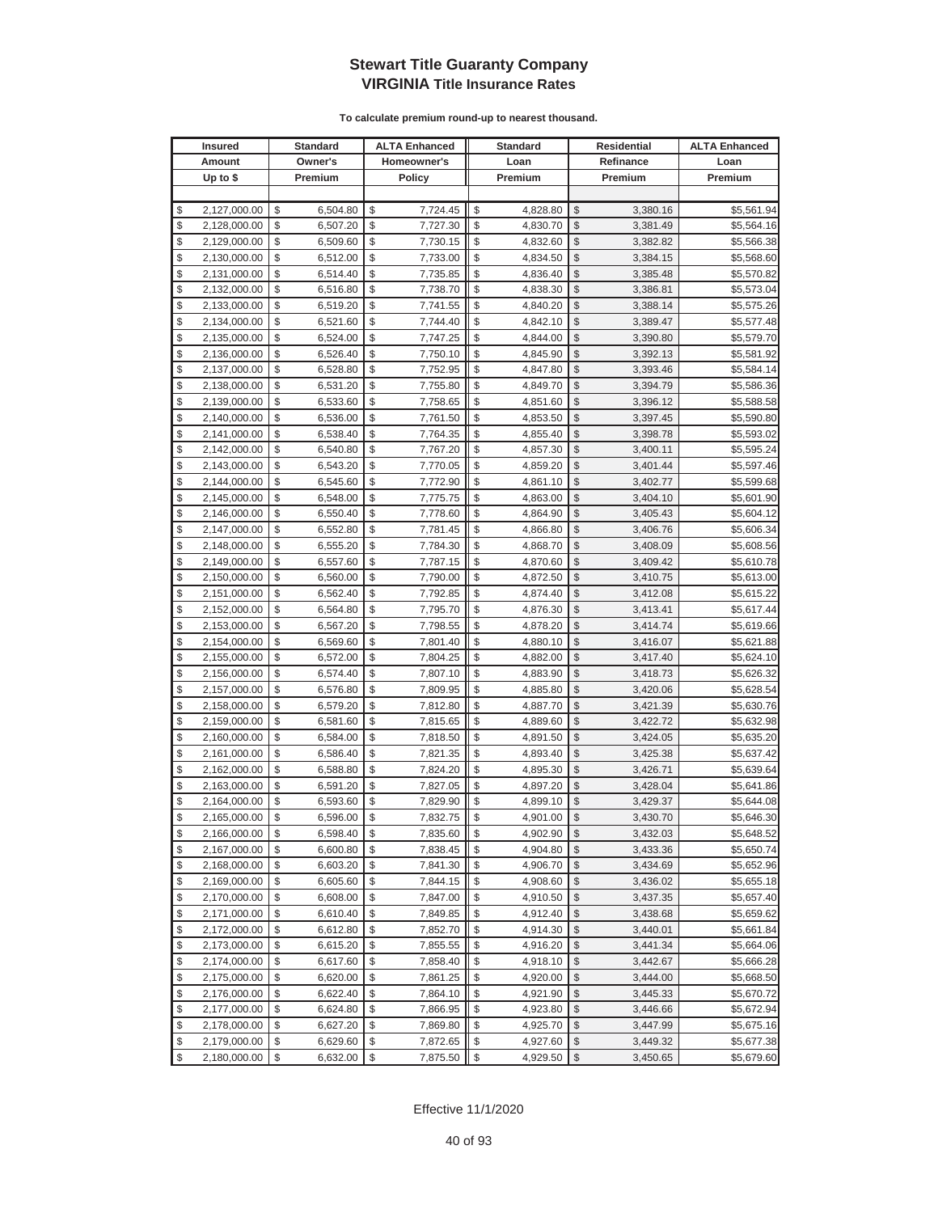|               | <b>Insured</b> | <b>Standard</b> | <b>ALTA Enhanced</b> | <b>Standard</b> |               | <b>Residential</b> | <b>ALTA Enhanced</b> |
|---------------|----------------|-----------------|----------------------|-----------------|---------------|--------------------|----------------------|
|               | Amount         | Owner's         | Homeowner's          | Loan            |               | Refinance          | Loan                 |
|               | Up to $$$      | Premium         | Policy               | Premium         |               | Premium            | Premium              |
|               |                |                 |                      |                 |               |                    |                      |
| \$            | 2,127,000.00   | \$<br>6,504.80  | \$<br>7,724.45       | \$<br>4,828.80  | \$            | 3,380.16           | \$5,561.94           |
| \$            | 2,128,000.00   | \$<br>6,507.20  | \$<br>7,727.30       | \$<br>4,830.70  | $\mathcal{S}$ | 3,381.49           | \$5,564.16           |
| \$            | 2,129,000.00   | \$<br>6,509.60  | \$<br>7,730.15       | \$<br>4,832.60  | \$            | 3,382.82           | \$5,566.38           |
| \$            | 2,130,000.00   | \$<br>6,512.00  | \$<br>7,733.00       | \$<br>4,834.50  | $\mathcal{S}$ | 3,384.15           | \$5,568.60           |
| \$            | 2,131,000.00   | \$<br>6,514.40  | \$<br>7,735.85       | \$<br>4,836.40  | \$            | 3,385.48           | \$5,570.82           |
| \$            | 2,132,000.00   | \$<br>6,516.80  | \$<br>7,738.70       | \$<br>4,838.30  | \$            | 3,386.81           | \$5,573.04           |
| \$            | 2,133,000.00   | \$<br>6,519.20  | \$<br>7,741.55       | \$<br>4,840.20  | \$            | 3,388.14           | \$5,575.26           |
| \$            | 2,134,000.00   | \$<br>6,521.60  | \$<br>7,744.40       | \$<br>4,842.10  | \$            | 3,389.47           | \$5,577.48           |
| \$            | 2,135,000.00   | \$<br>6,524.00  | \$<br>7,747.25       | \$<br>4,844.00  | \$            | 3,390.80           | \$5,579.70           |
| \$            | 2,136,000.00   | \$<br>6,526.40  | \$<br>7,750.10       | \$<br>4,845.90  | \$            | 3,392.13           | \$5,581.92           |
| \$            | 2,137,000.00   | \$<br>6,528.80  | \$<br>7,752.95       | \$<br>4,847.80  | \$            | 3,393.46           | \$5,584.14           |
| \$            | 2,138,000.00   | \$<br>6,531.20  | \$<br>7,755.80       | \$<br>4,849.70  | \$            | 3,394.79           | \$5,586.36           |
| \$            | 2,139,000.00   | \$<br>6,533.60  | \$<br>7,758.65       | \$<br>4,851.60  | \$            | 3,396.12           | \$5,588.58           |
| \$            | 2,140,000.00   | \$<br>6,536.00  | \$<br>7,761.50       | \$<br>4,853.50  | \$            | 3,397.45           | \$5,590.80           |
| \$            | 2,141,000.00   | \$<br>6,538.40  | \$<br>7,764.35       | \$<br>4,855.40  | \$            | 3,398.78           | \$5,593.02           |
| \$            | 2,142,000.00   | \$<br>6,540.80  | \$<br>7,767.20       | \$<br>4,857.30  | \$            | 3,400.11           | \$5,595.24           |
| \$            | 2,143,000.00   | \$<br>6,543.20  | \$<br>7,770.05       | \$<br>4,859.20  | \$            | 3,401.44           | \$5,597.46           |
| \$            | 2,144,000.00   | \$<br>6,545.60  | \$<br>7,772.90       | \$<br>4,861.10  | \$            | 3,402.77           | \$5,599.68           |
| \$            | 2,145,000.00   | \$<br>6,548.00  | \$<br>7,775.75       | \$<br>4,863.00  | \$            | 3,404.10           | \$5,601.90           |
| \$            | 2,146,000.00   | \$<br>6,550.40  | \$<br>7,778.60       | \$<br>4,864.90  | \$            | 3,405.43           | \$5,604.12           |
| \$            | 2,147,000.00   | \$<br>6,552.80  | \$<br>7,781.45       | \$<br>4,866.80  | \$            | 3,406.76           | \$5,606.34           |
| \$            | 2,148,000.00   | \$<br>6,555.20  | \$<br>7,784.30       | \$<br>4,868.70  | \$            | 3,408.09           | \$5,608.56           |
| \$            | 2,149,000.00   | \$<br>6,557.60  | \$<br>7,787.15       | \$<br>4,870.60  | \$            | 3,409.42           | \$5,610.78           |
| \$            | 2,150,000.00   | \$<br>6,560.00  | \$<br>7,790.00       | \$<br>4,872.50  | \$            | 3,410.75           | \$5,613.00           |
| \$            | 2,151,000.00   | \$<br>6,562.40  | \$<br>7,792.85       | \$<br>4,874.40  | \$            | 3,412.08           | \$5,615.22           |
| \$            | 2,152,000.00   | \$<br>6,564.80  | \$<br>7,795.70       | \$<br>4,876.30  | \$            | 3,413.41           | \$5,617.44           |
| \$            | 2,153,000.00   | \$<br>6,567.20  | \$<br>7,798.55       | \$<br>4,878.20  | \$            | 3,414.74           | \$5,619.66           |
| \$            | 2,154,000.00   | \$<br>6,569.60  | \$<br>7,801.40       | \$<br>4,880.10  | \$            | 3,416.07           | \$5,621.88           |
| \$            | 2,155,000.00   | \$<br>6,572.00  | \$<br>7,804.25       | \$<br>4,882.00  | \$            | 3,417.40           | \$5,624.10           |
| \$            | 2,156,000.00   | \$<br>6,574.40  | \$<br>7,807.10       | \$<br>4,883.90  | \$            | 3,418.73           | \$5,626.32           |
| \$            | 2,157,000.00   | \$<br>6,576.80  | \$<br>7,809.95       | \$<br>4,885.80  | $\mathcal{S}$ | 3,420.06           | \$5,628.54           |
| \$            | 2,158,000.00   | \$<br>6,579.20  | \$<br>7,812.80       | \$<br>4,887.70  | \$            | 3,421.39           | \$5,630.76           |
| \$            | 2,159,000.00   | \$<br>6,581.60  | \$<br>7,815.65       | \$<br>4,889.60  | \$            | 3,422.72           | \$5,632.98           |
| \$            | 2,160,000.00   | \$<br>6,584.00  | \$<br>7,818.50       | \$<br>4,891.50  | $\mathcal{S}$ | 3,424.05           | \$5,635.20           |
| \$            | 2,161,000.00   | \$<br>6,586.40  | \$<br>7,821.35       | \$<br>4,893.40  | $\mathcal{S}$ | 3,425.38           | \$5,637.42           |
| \$            | 2,162,000.00   | \$<br>6,588.80  | \$<br>7,824.20       | \$<br>4,895.30  | \$            | 3,426.71           | \$5,639.64           |
| \$            | 2,163,000.00   | \$<br>6,591.20  | \$<br>7,827.05       | \$<br>4,897.20  | \$            | 3,428.04           | \$5,641.86           |
| \$            | 2,164,000.00   | \$<br>6,593.60  | \$<br>7,829.90       | \$<br>4,899.10  | \$            | 3,429.37           | \$5,644.08           |
| $\mathcal{S}$ | 2,165,000.00   | \$<br>6.596.00  | \$<br>7,832.75       | \$<br>4,901.00  | $\mathcal{S}$ | 3,430.70           | \$5,646.30           |
| \$            | 2,166,000.00   | \$<br>6,598.40  | \$<br>7,835.60       | \$<br>4,902.90  | \$            | 3,432.03           | \$5,648.52           |
| \$            | 2,167,000.00   | \$<br>6,600.80  | \$<br>7,838.45       | \$<br>4,904.80  | \$            | 3,433.36           | \$5,650.74           |
| \$            | 2,168,000.00   | \$<br>6,603.20  | \$<br>7,841.30       | \$<br>4,906.70  | \$            | 3,434.69           | \$5,652.96           |
| \$            | 2,169,000.00   | \$<br>6,605.60  | \$<br>7,844.15       | \$<br>4,908.60  | \$            | 3,436.02           | \$5,655.18           |
| \$            | 2,170,000.00   | \$<br>6,608.00  | \$<br>7,847.00       | \$<br>4,910.50  | \$            | 3,437.35           | \$5,657.40           |
| \$            | 2,171,000.00   | \$<br>6,610.40  | \$<br>7,849.85       | \$<br>4,912.40  | \$            | 3,438.68           | \$5,659.62           |
| \$            | 2,172,000.00   | \$<br>6,612.80  | \$<br>7,852.70       | \$<br>4,914.30  | \$            | 3,440.01           | \$5,661.84           |
| \$            | 2,173,000.00   | \$<br>6,615.20  | \$<br>7,855.55       | \$<br>4,916.20  | \$            | 3,441.34           | \$5,664.06           |
| \$            | 2,174,000.00   | \$<br>6,617.60  | \$<br>7,858.40       | \$<br>4,918.10  | \$            | 3,442.67           | \$5,666.28           |
| \$            | 2,175,000.00   | \$<br>6,620.00  | \$<br>7,861.25       | \$<br>4,920.00  | \$            | 3,444.00           | \$5,668.50           |
| \$            | 2,176,000.00   | \$<br>6,622.40  | \$<br>7,864.10       | \$<br>4,921.90  | \$            | 3,445.33           | \$5,670.72           |
| \$            | 2,177,000.00   | \$<br>6,624.80  | \$<br>7,866.95       | \$<br>4,923.80  | \$            | 3,446.66           | \$5,672.94           |
| \$            | 2,178,000.00   | \$<br>6,627.20  | \$<br>7,869.80       | \$<br>4,925.70  | \$            | 3,447.99           | \$5,675.16           |
| \$            | 2,179,000.00   | \$<br>6,629.60  | \$<br>7,872.65       | \$<br>4,927.60  | \$            | 3,449.32           | \$5,677.38           |
| \$            | 2,180,000.00   | \$<br>6,632.00  | \$<br>7,875.50       | \$<br>4,929.50  | \$            | 3,450.65           | \$5,679.60           |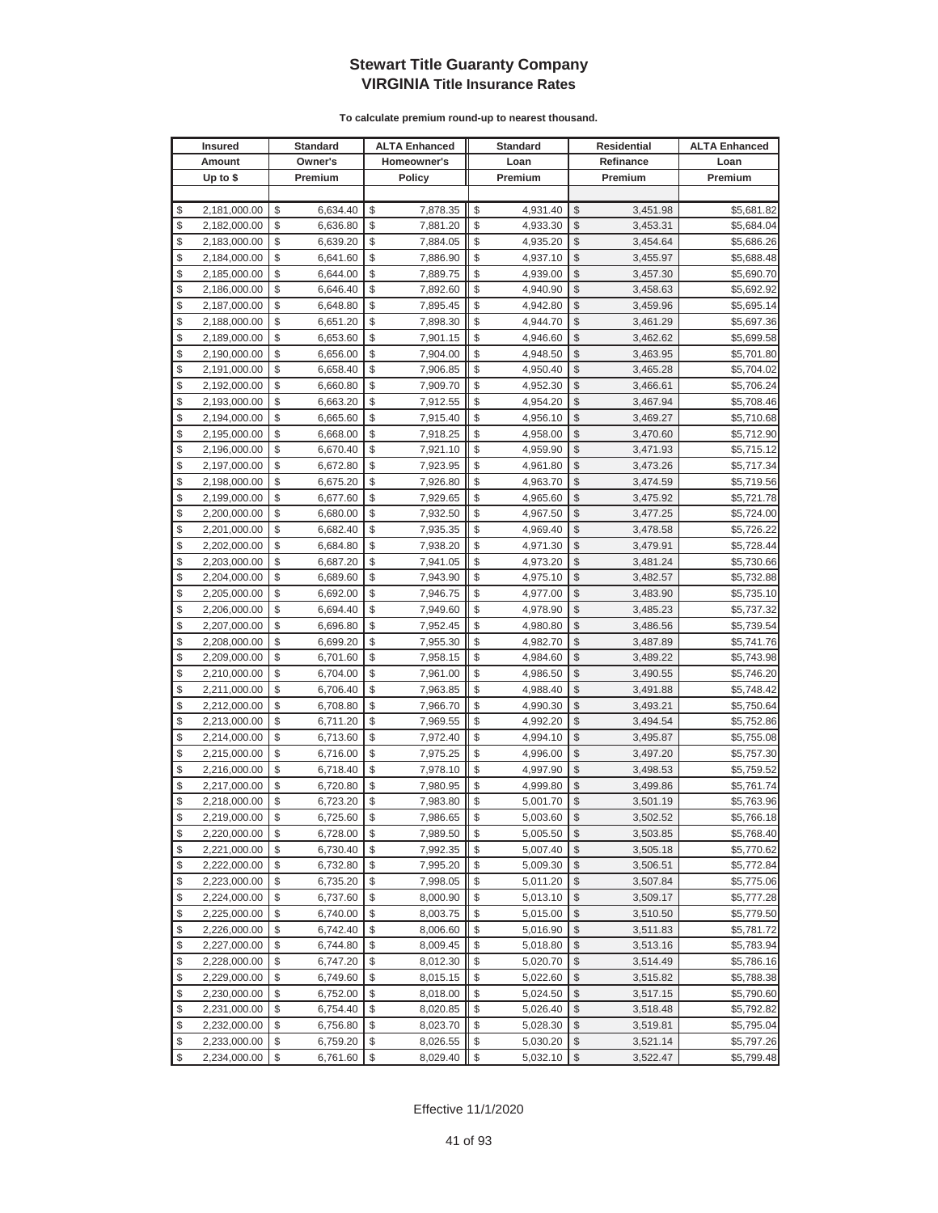| <b>Insured</b>     | Standard       | <b>ALTA Enhanced</b> | <b>Standard</b> |                         | Residential | <b>ALTA Enhanced</b> |
|--------------------|----------------|----------------------|-----------------|-------------------------|-------------|----------------------|
| Amount             | Owner's        | Homeowner's          | Loan            |                         | Refinance   | Loan                 |
| Up to $$$          | Premium        | <b>Policy</b>        | Premium         |                         | Premium     | Premium              |
|                    |                |                      |                 |                         |             |                      |
| \$<br>2,181,000.00 | \$<br>6,634.40 | \$<br>7,878.35       | \$<br>4,931.40  | \$                      | 3,451.98    | \$5,681.82           |
| \$<br>2,182,000.00 | \$<br>6,636.80 | \$<br>7,881.20       | \$<br>4,933.30  | \$                      | 3,453.31    | \$5,684.04           |
| \$<br>2,183,000.00 | \$<br>6,639.20 | \$<br>7,884.05       | \$<br>4,935.20  | \$                      | 3,454.64    | \$5,686.26           |
| \$<br>2,184,000.00 | \$<br>6,641.60 | \$<br>7,886.90       | \$<br>4,937.10  | \$                      | 3,455.97    | \$5,688.48           |
| \$<br>2,185,000.00 | \$<br>6,644.00 | \$<br>7,889.75       | \$<br>4,939.00  | \$                      | 3,457.30    | \$5,690.70           |
| \$<br>2,186,000.00 | \$<br>6,646.40 | \$<br>7,892.60       | \$<br>4,940.90  | \$                      | 3,458.63    | \$5,692.92           |
| \$<br>2,187,000.00 | \$<br>6,648.80 | \$<br>7,895.45       | \$<br>4,942.80  | \$                      | 3,459.96    | \$5,695.14           |
| \$<br>2,188,000.00 | \$<br>6,651.20 | \$<br>7,898.30       | \$<br>4,944.70  | \$                      | 3,461.29    | \$5,697.36           |
| \$<br>2,189,000.00 | \$<br>6,653.60 | \$<br>7,901.15       | \$<br>4,946.60  | \$                      | 3,462.62    | \$5,699.58           |
| \$<br>2,190,000.00 | \$<br>6,656.00 | \$<br>7,904.00       | \$<br>4,948.50  | \$                      | 3,463.95    | \$5,701.80           |
| \$<br>2,191,000.00 | \$<br>6,658.40 | \$<br>7,906.85       | \$<br>4,950.40  | \$                      | 3,465.28    | \$5,704.02           |
| \$<br>2,192,000.00 | \$<br>6,660.80 | \$<br>7,909.70       | \$<br>4,952.30  | \$                      | 3,466.61    | \$5,706.24           |
| \$<br>2,193,000.00 | \$<br>6,663.20 | \$<br>7,912.55       | \$<br>4,954.20  | \$                      | 3,467.94    | \$5,708.46           |
| \$<br>2,194,000.00 | \$<br>6,665.60 | \$<br>7,915.40       | \$<br>4,956.10  | \$                      | 3,469.27    | \$5,710.68           |
| \$<br>2,195,000.00 | \$<br>6,668.00 | \$<br>7,918.25       | \$<br>4,958.00  | \$                      | 3,470.60    | \$5,712.90           |
| \$<br>2,196,000.00 | \$<br>6,670.40 | \$<br>7,921.10       | \$<br>4,959.90  | \$                      | 3,471.93    | \$5,715.12           |
| \$<br>2,197,000.00 | \$<br>6,672.80 | \$<br>7,923.95       | \$<br>4,961.80  | \$                      | 3,473.26    | \$5,717.34           |
| \$<br>2,198,000.00 | \$<br>6,675.20 | \$<br>7,926.80       | \$<br>4,963.70  | \$                      | 3,474.59    | \$5,719.56           |
| \$<br>2,199,000.00 | \$<br>6,677.60 | \$<br>7,929.65       | \$<br>4,965.60  | \$                      | 3,475.92    | \$5,721.78           |
| \$<br>2,200,000.00 | \$<br>6,680.00 | \$<br>7,932.50       | \$<br>4,967.50  | \$                      | 3,477.25    | \$5,724.00           |
| \$<br>2,201,000.00 | \$<br>6,682.40 | \$<br>7,935.35       | \$<br>4,969.40  | \$                      | 3,478.58    | \$5,726.22           |
| \$<br>2,202,000.00 | \$<br>6,684.80 | \$<br>7,938.20       | \$<br>4,971.30  | \$                      | 3,479.91    | \$5,728.44           |
| \$<br>2,203,000.00 | \$<br>6,687.20 | \$<br>7,941.05       | \$<br>4,973.20  | \$                      | 3,481.24    | \$5,730.66           |
| \$<br>2,204,000.00 | \$<br>6,689.60 | \$<br>7,943.90       | \$<br>4,975.10  | \$                      | 3,482.57    | \$5,732.88           |
| \$<br>2,205,000.00 | \$<br>6,692.00 | \$<br>7,946.75       | \$<br>4,977.00  | \$                      | 3,483.90    | \$5,735.10           |
| \$<br>2,206,000.00 | \$<br>6,694.40 | \$<br>7,949.60       | \$<br>4,978.90  | \$                      | 3,485.23    | \$5,737.32           |
| \$<br>2,207,000.00 | \$<br>6,696.80 | \$<br>7,952.45       | \$<br>4,980.80  | \$                      | 3,486.56    | \$5,739.54           |
| \$<br>2,208,000.00 | \$<br>6,699.20 | \$<br>7,955.30       | \$<br>4,982.70  | \$                      | 3,487.89    | \$5,741.76           |
| \$<br>2,209,000.00 | \$<br>6,701.60 | \$<br>7,958.15       | \$<br>4,984.60  | \$                      | 3,489.22    | \$5,743.98           |
| \$<br>2,210,000.00 | \$<br>6,704.00 | \$<br>7,961.00       | \$<br>4,986.50  | \$                      | 3,490.55    | \$5,746.20           |
| \$<br>2,211,000.00 | \$<br>6,706.40 | \$<br>7,963.85       | \$<br>4,988.40  | \$                      | 3,491.88    | \$5,748.42           |
| \$<br>2,212,000.00 | \$<br>6,708.80 | \$<br>7,966.70       | \$<br>4,990.30  | \$                      | 3,493.21    | \$5,750.64           |
| \$<br>2,213,000.00 | \$<br>6,711.20 | \$<br>7,969.55       | \$<br>4,992.20  | \$                      | 3,494.54    | \$5,752.86           |
| \$<br>2,214,000.00 | \$<br>6,713.60 | \$<br>7,972.40       | \$<br>4,994.10  | \$                      | 3,495.87    | \$5,755.08           |
| \$<br>2,215,000.00 | \$<br>6,716.00 | \$<br>7,975.25       | \$<br>4,996.00  | \$                      | 3,497.20    | \$5,757.30           |
| \$<br>2,216,000.00 | \$<br>6,718.40 | \$<br>7,978.10       | \$<br>4,997.90  | \$                      | 3,498.53    | \$5,759.52           |
| \$<br>2,217,000.00 | \$<br>6,720.80 | \$<br>7,980.95       | \$<br>4,999.80  | \$                      | 3,499.86    | \$5,761.74           |
| \$<br>2,218,000.00 | \$<br>6,723.20 | \$<br>7,983.80       | \$<br>5,001.70  | \$                      | 3,501.19    | \$5,763.96           |
| \$<br>2,219,000.00 | \$<br>6,725.60 | \$<br>7,986.65       | \$<br>5,003.60  | \$                      | 3,502.52    | \$5,766.18           |
| \$<br>2,220,000.00 | \$<br>6,728.00 | \$<br>7,989.50       | \$<br>5,005.50  | $\sqrt[6]{3}$           | 3,503.85    | \$5,768.40           |
| \$<br>2,221,000.00 | \$<br>6,730.40 | \$<br>7,992.35       | \$<br>5,007.40  | \$                      | 3,505.18    | \$5,770.62           |
| \$<br>2,222,000.00 | \$<br>6,732.80 | \$<br>7,995.20       | \$<br>5,009.30  | $\frac{1}{2}$           | 3,506.51    | \$5,772.84           |
| \$<br>2,223,000.00 | \$<br>6,735.20 | \$<br>7,998.05       | \$<br>5,011.20  | $\frac{1}{2}$           | 3,507.84    | \$5,775.06           |
| \$<br>2,224,000.00 | \$<br>6,737.60 | \$<br>8,000.90       | \$<br>5,013.10  | \$                      | 3,509.17    | \$5,777.28           |
| \$<br>2,225,000.00 | \$<br>6,740.00 | \$<br>8,003.75       | \$<br>5,015.00  | \$                      | 3,510.50    | \$5,779.50           |
| \$<br>2,226,000.00 | \$<br>6,742.40 | \$<br>8,006.60       | \$<br>5,016.90  | \$                      | 3,511.83    | \$5,781.72           |
| \$<br>2,227,000.00 | \$<br>6,744.80 | \$<br>8,009.45       | \$<br>5,018.80  | \$                      | 3,513.16    | \$5,783.94           |
| \$<br>2,228,000.00 | \$<br>6,747.20 | \$<br>8,012.30       | \$<br>5,020.70  | \$                      | 3,514.49    | \$5,786.16           |
| \$<br>2,229,000.00 | \$<br>6,749.60 | \$<br>8,015.15       | \$<br>5,022.60  | \$                      | 3,515.82    | \$5,788.38           |
| \$<br>2,230,000.00 | \$<br>6,752.00 | \$<br>8,018.00       | \$<br>5,024.50  | \$                      | 3,517.15    | \$5,790.60           |
| \$<br>2,231,000.00 | \$<br>6,754.40 | \$<br>8,020.85       | \$<br>5,026.40  | \$                      | 3,518.48    | \$5,792.82           |
| \$<br>2,232,000.00 | \$<br>6,756.80 | \$<br>8,023.70       | \$<br>5,028.30  | \$                      | 3,519.81    | \$5,795.04           |
| \$<br>2,233,000.00 | \$<br>6,759.20 | \$<br>8,026.55       | \$<br>5,030.20  | \$                      | 3,521.14    | \$5,797.26           |
| \$<br>2,234,000.00 | \$<br>6,761.60 | \$<br>8,029.40       | \$<br>5,032.10  | $\sqrt[6]{\frac{1}{2}}$ | 3,522.47    | \$5,799.48           |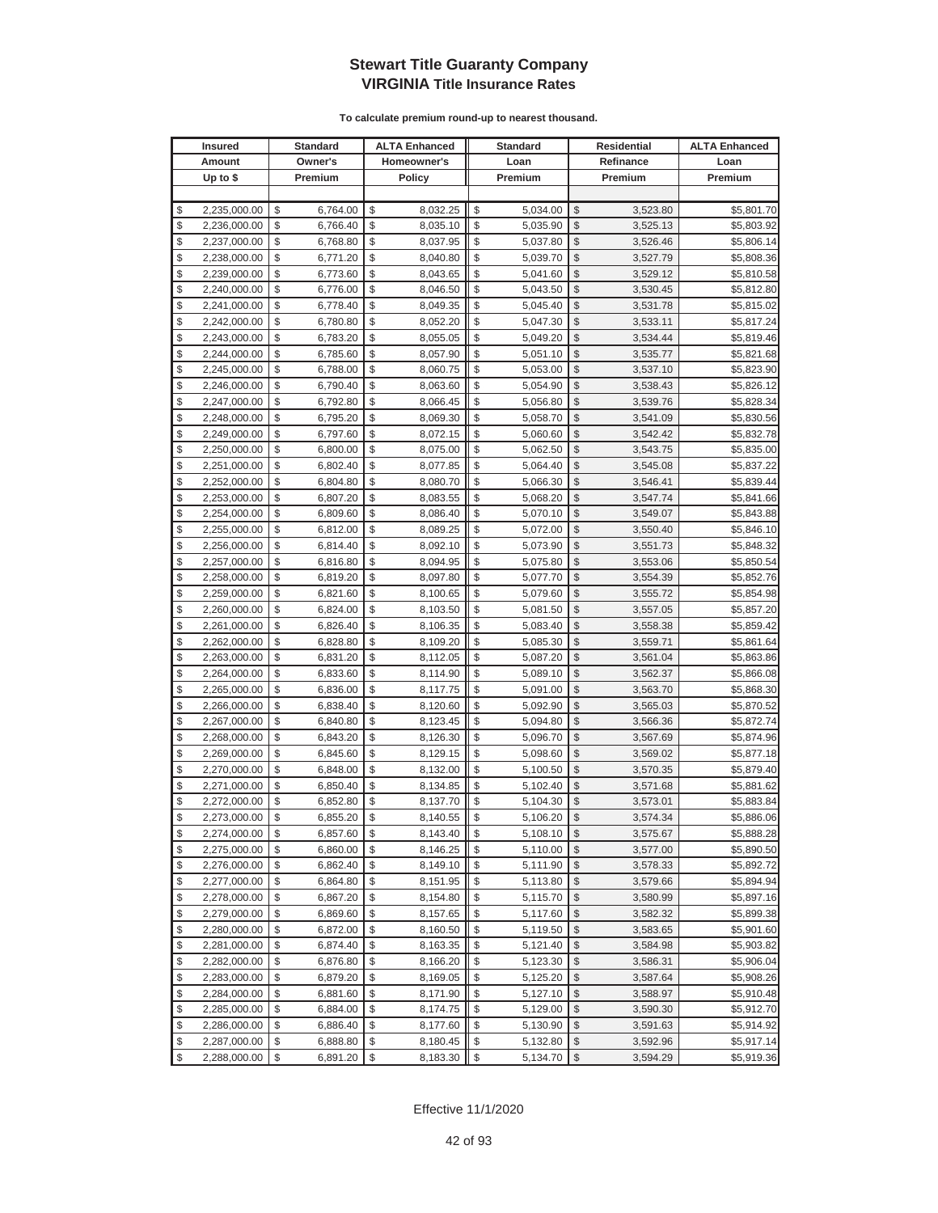| Homeowner's<br>Amount<br>Owner's<br>Loan<br>Refinance<br>Loan<br>Up to $$$<br>Premium<br>Policy<br>Premium<br>Premium<br>Premium<br>\$<br>2,235,000.00<br>\$<br>8,032.25<br>\$<br>5,034.00<br>\$<br>3,523.80<br>\$<br>6,764.00<br>\$<br>\$<br>\$<br>\$<br>2,236,000.00<br>\$<br>6,766.40<br>8,035.10<br>5,035.90<br>3,525.13<br>\$<br>\$<br>\$<br>\$<br>2,237,000.00<br>\$<br>6,768.80<br>8,037.95<br>5,037.80<br>3,526.46<br>\$<br>\$<br>\$<br>\$<br>\$<br>2,238,000.00<br>6,771.20<br>8,040.80<br>5,039.70<br>3,527.79<br>\$<br>\$<br>\$<br>\$<br>\$<br>2,239,000.00<br>6,773.60<br>8,043.65<br>5,041.60<br>3,529.12<br>\$<br>\$<br>\$<br>\$<br>\$<br>8,046.50<br>2,240,000.00<br>6,776.00<br>5,043.50<br>3,530.45<br>\$<br>\$<br>\$<br>\$<br>\$<br>2,241,000.00<br>6,778.40<br>8,049.35<br>5,045.40<br>3,531.78<br>\$<br>\$<br>\$<br>\$<br>\$<br>2,242,000.00<br>6,780.80<br>8,052.20<br>5,047.30<br>3,533.11<br>\$<br>\$<br>\$<br>\$<br>2,243,000.00<br>\$<br>6,783.20<br>8,055.05<br>5,049.20<br>3,534.44<br>\$<br>\$<br>\$<br>\$<br>\$<br>6,785.60<br>2,244,000.00<br>8,057.90<br>5,051.10<br>3,535.77<br>\$<br>\$<br>\$<br>\$<br>\$<br>2,245,000.00<br>6,788.00<br>8,060.75<br>5,053.00<br>3,537.10<br>\$<br>\$<br>\$<br>\$<br>\$<br>2,246,000.00<br>6,790.40<br>8,063.60<br>5,054.90<br>3,538.43<br>\$<br>\$<br>\$<br>\$<br>\$<br>2,247,000.00<br>6,792.80<br>8,066.45<br>5,056.80<br>3,539.76<br>\$<br>\$<br>\$<br>\$<br>\$<br>2,248,000.00<br>6,795.20<br>8,069.30<br>5,058.70<br>3,541.09<br>\$<br>\$<br>\$<br>\$<br>\$<br>2,249,000.00<br>6,797.60<br>8,072.15<br>5,060.60<br>3,542.42<br>\$<br>\$<br>\$<br>\$<br>\$<br>2,250,000.00<br>6,800.00<br>8,075.00<br>5,062.50<br>3,543.75<br>\$<br>\$<br>\$<br>\$<br>\$<br>2,251,000.00<br>6,802.40<br>8,077.85<br>5,064.40<br>3,545.08<br>\$<br>\$<br>\$<br>\$<br>\$<br>2,252,000.00<br>6,804.80<br>8,080.70<br>5,066.30<br>3,546.41<br>\$<br>\$<br>$\mathcal{S}$<br>\$<br>\$<br>2,253,000.00<br>6,807.20<br>8,083.55<br>5,068.20<br>3,547.74<br>\$<br>\$<br>\$<br>\$<br>\$<br>2,254,000.00<br>6,809.60<br>8,086.40<br>5,070.10<br>3,549.07<br>$\mathcal{S}$<br>\$<br>\$<br>\$<br>\$<br>2,255,000.00<br>6,812.00<br>8,089.25<br>5,072.00<br>3,550.40<br>\$<br>\$<br>\$<br>\$<br>\$<br>8,092.10<br>2,256,000.00<br>6,814.40<br>5,073.90<br>3,551.73<br>\$<br>\$<br>\$<br>\$<br>2,257,000.00<br>\$<br>6,816.80<br>8,094.95<br>5,075.80<br>3,553.06<br>\$<br>\$<br>\$<br>\$<br>\$<br>2,258,000.00<br>6,819.20<br>8,097.80<br>5,077.70<br>3,554.39<br>\$<br>\$<br>\$<br>\$<br>\$<br>2,259,000.00<br>6,821.60<br>8,100.65<br>5,079.60<br>3,555.72<br>\$<br>\$<br>\$<br>\$<br>\$<br>6,824.00<br>2,260,000.00<br>8,103.50<br>5,081.50<br>3,557.05<br>\$<br>\$<br>\$<br>\$<br>\$<br>2,261,000.00<br>6,826.40<br>8,106.35<br>5,083.40<br>3,558.38<br>\$<br>\$<br>\$<br>\$<br>2,262,000.00<br>\$<br>6,828.80<br>8,109.20<br>5,085.30<br>3,559.71<br>\$<br>\$<br>\$<br>\$<br>\$<br>6,831.20<br>2,263,000.00<br>8,112.05<br>5,087.20<br>3,561.04<br>\$<br>\$<br>\$<br>\$<br>\$<br>2,264,000.00<br>8,114.90<br>5,089.10<br>6,833.60<br>3,562.37<br>\$<br>\$<br>\$<br>\$<br>\$<br>2,265,000.00<br>6,836.00<br>8,117.75<br>5,091.00<br>3,563.70 | <b>Insured</b> | <b>Standard</b><br><b>ALTA Enhanced</b> | <b>Standard</b> | <b>Residential</b> | <b>ALTA Enhanced</b>     |
|------------------------------------------------------------------------------------------------------------------------------------------------------------------------------------------------------------------------------------------------------------------------------------------------------------------------------------------------------------------------------------------------------------------------------------------------------------------------------------------------------------------------------------------------------------------------------------------------------------------------------------------------------------------------------------------------------------------------------------------------------------------------------------------------------------------------------------------------------------------------------------------------------------------------------------------------------------------------------------------------------------------------------------------------------------------------------------------------------------------------------------------------------------------------------------------------------------------------------------------------------------------------------------------------------------------------------------------------------------------------------------------------------------------------------------------------------------------------------------------------------------------------------------------------------------------------------------------------------------------------------------------------------------------------------------------------------------------------------------------------------------------------------------------------------------------------------------------------------------------------------------------------------------------------------------------------------------------------------------------------------------------------------------------------------------------------------------------------------------------------------------------------------------------------------------------------------------------------------------------------------------------------------------------------------------------------------------------------------------------------------------------------------------------------------------------------------------------------------------------------------------------------------------------------------------------------------------------------------------------------------------------------------------------------------------------------------------------------------------------------------------------------------------------------------------------------------------------------------------------------------------------------------------------------------------------------------------------------------------------------------------------------------------------------------------------------------------------------------------------------------------------------------------------------------------------|----------------|-----------------------------------------|-----------------|--------------------|--------------------------|
|                                                                                                                                                                                                                                                                                                                                                                                                                                                                                                                                                                                                                                                                                                                                                                                                                                                                                                                                                                                                                                                                                                                                                                                                                                                                                                                                                                                                                                                                                                                                                                                                                                                                                                                                                                                                                                                                                                                                                                                                                                                                                                                                                                                                                                                                                                                                                                                                                                                                                                                                                                                                                                                                                                                                                                                                                                                                                                                                                                                                                                                                                                                                                                                          |                |                                         |                 |                    |                          |
|                                                                                                                                                                                                                                                                                                                                                                                                                                                                                                                                                                                                                                                                                                                                                                                                                                                                                                                                                                                                                                                                                                                                                                                                                                                                                                                                                                                                                                                                                                                                                                                                                                                                                                                                                                                                                                                                                                                                                                                                                                                                                                                                                                                                                                                                                                                                                                                                                                                                                                                                                                                                                                                                                                                                                                                                                                                                                                                                                                                                                                                                                                                                                                                          |                |                                         |                 |                    |                          |
|                                                                                                                                                                                                                                                                                                                                                                                                                                                                                                                                                                                                                                                                                                                                                                                                                                                                                                                                                                                                                                                                                                                                                                                                                                                                                                                                                                                                                                                                                                                                                                                                                                                                                                                                                                                                                                                                                                                                                                                                                                                                                                                                                                                                                                                                                                                                                                                                                                                                                                                                                                                                                                                                                                                                                                                                                                                                                                                                                                                                                                                                                                                                                                                          |                |                                         |                 |                    |                          |
|                                                                                                                                                                                                                                                                                                                                                                                                                                                                                                                                                                                                                                                                                                                                                                                                                                                                                                                                                                                                                                                                                                                                                                                                                                                                                                                                                                                                                                                                                                                                                                                                                                                                                                                                                                                                                                                                                                                                                                                                                                                                                                                                                                                                                                                                                                                                                                                                                                                                                                                                                                                                                                                                                                                                                                                                                                                                                                                                                                                                                                                                                                                                                                                          |                |                                         |                 |                    | \$5,801.70               |
|                                                                                                                                                                                                                                                                                                                                                                                                                                                                                                                                                                                                                                                                                                                                                                                                                                                                                                                                                                                                                                                                                                                                                                                                                                                                                                                                                                                                                                                                                                                                                                                                                                                                                                                                                                                                                                                                                                                                                                                                                                                                                                                                                                                                                                                                                                                                                                                                                                                                                                                                                                                                                                                                                                                                                                                                                                                                                                                                                                                                                                                                                                                                                                                          |                |                                         |                 |                    | \$5,803.92               |
|                                                                                                                                                                                                                                                                                                                                                                                                                                                                                                                                                                                                                                                                                                                                                                                                                                                                                                                                                                                                                                                                                                                                                                                                                                                                                                                                                                                                                                                                                                                                                                                                                                                                                                                                                                                                                                                                                                                                                                                                                                                                                                                                                                                                                                                                                                                                                                                                                                                                                                                                                                                                                                                                                                                                                                                                                                                                                                                                                                                                                                                                                                                                                                                          |                |                                         |                 |                    | \$5,806.14               |
|                                                                                                                                                                                                                                                                                                                                                                                                                                                                                                                                                                                                                                                                                                                                                                                                                                                                                                                                                                                                                                                                                                                                                                                                                                                                                                                                                                                                                                                                                                                                                                                                                                                                                                                                                                                                                                                                                                                                                                                                                                                                                                                                                                                                                                                                                                                                                                                                                                                                                                                                                                                                                                                                                                                                                                                                                                                                                                                                                                                                                                                                                                                                                                                          |                |                                         |                 |                    | \$5,808.36               |
|                                                                                                                                                                                                                                                                                                                                                                                                                                                                                                                                                                                                                                                                                                                                                                                                                                                                                                                                                                                                                                                                                                                                                                                                                                                                                                                                                                                                                                                                                                                                                                                                                                                                                                                                                                                                                                                                                                                                                                                                                                                                                                                                                                                                                                                                                                                                                                                                                                                                                                                                                                                                                                                                                                                                                                                                                                                                                                                                                                                                                                                                                                                                                                                          |                |                                         |                 |                    | \$5,810.58               |
|                                                                                                                                                                                                                                                                                                                                                                                                                                                                                                                                                                                                                                                                                                                                                                                                                                                                                                                                                                                                                                                                                                                                                                                                                                                                                                                                                                                                                                                                                                                                                                                                                                                                                                                                                                                                                                                                                                                                                                                                                                                                                                                                                                                                                                                                                                                                                                                                                                                                                                                                                                                                                                                                                                                                                                                                                                                                                                                                                                                                                                                                                                                                                                                          |                |                                         |                 |                    | \$5,812.80               |
|                                                                                                                                                                                                                                                                                                                                                                                                                                                                                                                                                                                                                                                                                                                                                                                                                                                                                                                                                                                                                                                                                                                                                                                                                                                                                                                                                                                                                                                                                                                                                                                                                                                                                                                                                                                                                                                                                                                                                                                                                                                                                                                                                                                                                                                                                                                                                                                                                                                                                                                                                                                                                                                                                                                                                                                                                                                                                                                                                                                                                                                                                                                                                                                          |                |                                         |                 |                    | \$5,815.02               |
|                                                                                                                                                                                                                                                                                                                                                                                                                                                                                                                                                                                                                                                                                                                                                                                                                                                                                                                                                                                                                                                                                                                                                                                                                                                                                                                                                                                                                                                                                                                                                                                                                                                                                                                                                                                                                                                                                                                                                                                                                                                                                                                                                                                                                                                                                                                                                                                                                                                                                                                                                                                                                                                                                                                                                                                                                                                                                                                                                                                                                                                                                                                                                                                          |                |                                         |                 |                    | \$5,817.24               |
|                                                                                                                                                                                                                                                                                                                                                                                                                                                                                                                                                                                                                                                                                                                                                                                                                                                                                                                                                                                                                                                                                                                                                                                                                                                                                                                                                                                                                                                                                                                                                                                                                                                                                                                                                                                                                                                                                                                                                                                                                                                                                                                                                                                                                                                                                                                                                                                                                                                                                                                                                                                                                                                                                                                                                                                                                                                                                                                                                                                                                                                                                                                                                                                          |                |                                         |                 |                    | \$5,819.46               |
|                                                                                                                                                                                                                                                                                                                                                                                                                                                                                                                                                                                                                                                                                                                                                                                                                                                                                                                                                                                                                                                                                                                                                                                                                                                                                                                                                                                                                                                                                                                                                                                                                                                                                                                                                                                                                                                                                                                                                                                                                                                                                                                                                                                                                                                                                                                                                                                                                                                                                                                                                                                                                                                                                                                                                                                                                                                                                                                                                                                                                                                                                                                                                                                          |                |                                         |                 |                    | \$5,821.68               |
|                                                                                                                                                                                                                                                                                                                                                                                                                                                                                                                                                                                                                                                                                                                                                                                                                                                                                                                                                                                                                                                                                                                                                                                                                                                                                                                                                                                                                                                                                                                                                                                                                                                                                                                                                                                                                                                                                                                                                                                                                                                                                                                                                                                                                                                                                                                                                                                                                                                                                                                                                                                                                                                                                                                                                                                                                                                                                                                                                                                                                                                                                                                                                                                          |                |                                         |                 |                    | \$5,823.90               |
|                                                                                                                                                                                                                                                                                                                                                                                                                                                                                                                                                                                                                                                                                                                                                                                                                                                                                                                                                                                                                                                                                                                                                                                                                                                                                                                                                                                                                                                                                                                                                                                                                                                                                                                                                                                                                                                                                                                                                                                                                                                                                                                                                                                                                                                                                                                                                                                                                                                                                                                                                                                                                                                                                                                                                                                                                                                                                                                                                                                                                                                                                                                                                                                          |                |                                         |                 |                    | \$5,826.12               |
|                                                                                                                                                                                                                                                                                                                                                                                                                                                                                                                                                                                                                                                                                                                                                                                                                                                                                                                                                                                                                                                                                                                                                                                                                                                                                                                                                                                                                                                                                                                                                                                                                                                                                                                                                                                                                                                                                                                                                                                                                                                                                                                                                                                                                                                                                                                                                                                                                                                                                                                                                                                                                                                                                                                                                                                                                                                                                                                                                                                                                                                                                                                                                                                          |                |                                         |                 |                    | \$5,828.34               |
|                                                                                                                                                                                                                                                                                                                                                                                                                                                                                                                                                                                                                                                                                                                                                                                                                                                                                                                                                                                                                                                                                                                                                                                                                                                                                                                                                                                                                                                                                                                                                                                                                                                                                                                                                                                                                                                                                                                                                                                                                                                                                                                                                                                                                                                                                                                                                                                                                                                                                                                                                                                                                                                                                                                                                                                                                                                                                                                                                                                                                                                                                                                                                                                          |                |                                         |                 |                    | \$5,830.56               |
|                                                                                                                                                                                                                                                                                                                                                                                                                                                                                                                                                                                                                                                                                                                                                                                                                                                                                                                                                                                                                                                                                                                                                                                                                                                                                                                                                                                                                                                                                                                                                                                                                                                                                                                                                                                                                                                                                                                                                                                                                                                                                                                                                                                                                                                                                                                                                                                                                                                                                                                                                                                                                                                                                                                                                                                                                                                                                                                                                                                                                                                                                                                                                                                          |                |                                         |                 |                    | \$5,832.78               |
|                                                                                                                                                                                                                                                                                                                                                                                                                                                                                                                                                                                                                                                                                                                                                                                                                                                                                                                                                                                                                                                                                                                                                                                                                                                                                                                                                                                                                                                                                                                                                                                                                                                                                                                                                                                                                                                                                                                                                                                                                                                                                                                                                                                                                                                                                                                                                                                                                                                                                                                                                                                                                                                                                                                                                                                                                                                                                                                                                                                                                                                                                                                                                                                          |                |                                         |                 |                    | \$5,835.00               |
|                                                                                                                                                                                                                                                                                                                                                                                                                                                                                                                                                                                                                                                                                                                                                                                                                                                                                                                                                                                                                                                                                                                                                                                                                                                                                                                                                                                                                                                                                                                                                                                                                                                                                                                                                                                                                                                                                                                                                                                                                                                                                                                                                                                                                                                                                                                                                                                                                                                                                                                                                                                                                                                                                                                                                                                                                                                                                                                                                                                                                                                                                                                                                                                          |                |                                         |                 |                    | \$5,837.22               |
|                                                                                                                                                                                                                                                                                                                                                                                                                                                                                                                                                                                                                                                                                                                                                                                                                                                                                                                                                                                                                                                                                                                                                                                                                                                                                                                                                                                                                                                                                                                                                                                                                                                                                                                                                                                                                                                                                                                                                                                                                                                                                                                                                                                                                                                                                                                                                                                                                                                                                                                                                                                                                                                                                                                                                                                                                                                                                                                                                                                                                                                                                                                                                                                          |                |                                         |                 |                    | \$5,839.44               |
|                                                                                                                                                                                                                                                                                                                                                                                                                                                                                                                                                                                                                                                                                                                                                                                                                                                                                                                                                                                                                                                                                                                                                                                                                                                                                                                                                                                                                                                                                                                                                                                                                                                                                                                                                                                                                                                                                                                                                                                                                                                                                                                                                                                                                                                                                                                                                                                                                                                                                                                                                                                                                                                                                                                                                                                                                                                                                                                                                                                                                                                                                                                                                                                          |                |                                         |                 |                    | \$5,841.66               |
|                                                                                                                                                                                                                                                                                                                                                                                                                                                                                                                                                                                                                                                                                                                                                                                                                                                                                                                                                                                                                                                                                                                                                                                                                                                                                                                                                                                                                                                                                                                                                                                                                                                                                                                                                                                                                                                                                                                                                                                                                                                                                                                                                                                                                                                                                                                                                                                                                                                                                                                                                                                                                                                                                                                                                                                                                                                                                                                                                                                                                                                                                                                                                                                          |                |                                         |                 |                    | \$5,843.88               |
|                                                                                                                                                                                                                                                                                                                                                                                                                                                                                                                                                                                                                                                                                                                                                                                                                                                                                                                                                                                                                                                                                                                                                                                                                                                                                                                                                                                                                                                                                                                                                                                                                                                                                                                                                                                                                                                                                                                                                                                                                                                                                                                                                                                                                                                                                                                                                                                                                                                                                                                                                                                                                                                                                                                                                                                                                                                                                                                                                                                                                                                                                                                                                                                          |                |                                         |                 |                    | \$5,846.10               |
|                                                                                                                                                                                                                                                                                                                                                                                                                                                                                                                                                                                                                                                                                                                                                                                                                                                                                                                                                                                                                                                                                                                                                                                                                                                                                                                                                                                                                                                                                                                                                                                                                                                                                                                                                                                                                                                                                                                                                                                                                                                                                                                                                                                                                                                                                                                                                                                                                                                                                                                                                                                                                                                                                                                                                                                                                                                                                                                                                                                                                                                                                                                                                                                          |                |                                         |                 |                    | \$5,848.32               |
|                                                                                                                                                                                                                                                                                                                                                                                                                                                                                                                                                                                                                                                                                                                                                                                                                                                                                                                                                                                                                                                                                                                                                                                                                                                                                                                                                                                                                                                                                                                                                                                                                                                                                                                                                                                                                                                                                                                                                                                                                                                                                                                                                                                                                                                                                                                                                                                                                                                                                                                                                                                                                                                                                                                                                                                                                                                                                                                                                                                                                                                                                                                                                                                          |                |                                         |                 |                    | \$5,850.54               |
|                                                                                                                                                                                                                                                                                                                                                                                                                                                                                                                                                                                                                                                                                                                                                                                                                                                                                                                                                                                                                                                                                                                                                                                                                                                                                                                                                                                                                                                                                                                                                                                                                                                                                                                                                                                                                                                                                                                                                                                                                                                                                                                                                                                                                                                                                                                                                                                                                                                                                                                                                                                                                                                                                                                                                                                                                                                                                                                                                                                                                                                                                                                                                                                          |                |                                         |                 |                    | \$5,852.76               |
|                                                                                                                                                                                                                                                                                                                                                                                                                                                                                                                                                                                                                                                                                                                                                                                                                                                                                                                                                                                                                                                                                                                                                                                                                                                                                                                                                                                                                                                                                                                                                                                                                                                                                                                                                                                                                                                                                                                                                                                                                                                                                                                                                                                                                                                                                                                                                                                                                                                                                                                                                                                                                                                                                                                                                                                                                                                                                                                                                                                                                                                                                                                                                                                          |                |                                         |                 |                    | \$5,854.98               |
|                                                                                                                                                                                                                                                                                                                                                                                                                                                                                                                                                                                                                                                                                                                                                                                                                                                                                                                                                                                                                                                                                                                                                                                                                                                                                                                                                                                                                                                                                                                                                                                                                                                                                                                                                                                                                                                                                                                                                                                                                                                                                                                                                                                                                                                                                                                                                                                                                                                                                                                                                                                                                                                                                                                                                                                                                                                                                                                                                                                                                                                                                                                                                                                          |                |                                         |                 |                    | \$5,857.20               |
|                                                                                                                                                                                                                                                                                                                                                                                                                                                                                                                                                                                                                                                                                                                                                                                                                                                                                                                                                                                                                                                                                                                                                                                                                                                                                                                                                                                                                                                                                                                                                                                                                                                                                                                                                                                                                                                                                                                                                                                                                                                                                                                                                                                                                                                                                                                                                                                                                                                                                                                                                                                                                                                                                                                                                                                                                                                                                                                                                                                                                                                                                                                                                                                          |                |                                         |                 |                    | \$5,859.42               |
|                                                                                                                                                                                                                                                                                                                                                                                                                                                                                                                                                                                                                                                                                                                                                                                                                                                                                                                                                                                                                                                                                                                                                                                                                                                                                                                                                                                                                                                                                                                                                                                                                                                                                                                                                                                                                                                                                                                                                                                                                                                                                                                                                                                                                                                                                                                                                                                                                                                                                                                                                                                                                                                                                                                                                                                                                                                                                                                                                                                                                                                                                                                                                                                          |                |                                         |                 |                    | \$5,861.64               |
|                                                                                                                                                                                                                                                                                                                                                                                                                                                                                                                                                                                                                                                                                                                                                                                                                                                                                                                                                                                                                                                                                                                                                                                                                                                                                                                                                                                                                                                                                                                                                                                                                                                                                                                                                                                                                                                                                                                                                                                                                                                                                                                                                                                                                                                                                                                                                                                                                                                                                                                                                                                                                                                                                                                                                                                                                                                                                                                                                                                                                                                                                                                                                                                          |                |                                         |                 |                    | \$5,863.86               |
|                                                                                                                                                                                                                                                                                                                                                                                                                                                                                                                                                                                                                                                                                                                                                                                                                                                                                                                                                                                                                                                                                                                                                                                                                                                                                                                                                                                                                                                                                                                                                                                                                                                                                                                                                                                                                                                                                                                                                                                                                                                                                                                                                                                                                                                                                                                                                                                                                                                                                                                                                                                                                                                                                                                                                                                                                                                                                                                                                                                                                                                                                                                                                                                          |                |                                         |                 |                    | \$5,866.08               |
|                                                                                                                                                                                                                                                                                                                                                                                                                                                                                                                                                                                                                                                                                                                                                                                                                                                                                                                                                                                                                                                                                                                                                                                                                                                                                                                                                                                                                                                                                                                                                                                                                                                                                                                                                                                                                                                                                                                                                                                                                                                                                                                                                                                                                                                                                                                                                                                                                                                                                                                                                                                                                                                                                                                                                                                                                                                                                                                                                                                                                                                                                                                                                                                          |                |                                         |                 |                    | \$5,868.30               |
| \$<br>\$<br>\$<br>\$<br>\$<br>2,266,000.00<br>6,838.40<br>8,120.60<br>5,092.90<br>3,565.03                                                                                                                                                                                                                                                                                                                                                                                                                                                                                                                                                                                                                                                                                                                                                                                                                                                                                                                                                                                                                                                                                                                                                                                                                                                                                                                                                                                                                                                                                                                                                                                                                                                                                                                                                                                                                                                                                                                                                                                                                                                                                                                                                                                                                                                                                                                                                                                                                                                                                                                                                                                                                                                                                                                                                                                                                                                                                                                                                                                                                                                                                               |                |                                         |                 |                    | \$5,870.52               |
| \$<br>\$<br>\$<br>\$<br>\$<br>6,840.80<br>8,123.45<br>2,267,000.00<br>5,094.80<br>3,566.36                                                                                                                                                                                                                                                                                                                                                                                                                                                                                                                                                                                                                                                                                                                                                                                                                                                                                                                                                                                                                                                                                                                                                                                                                                                                                                                                                                                                                                                                                                                                                                                                                                                                                                                                                                                                                                                                                                                                                                                                                                                                                                                                                                                                                                                                                                                                                                                                                                                                                                                                                                                                                                                                                                                                                                                                                                                                                                                                                                                                                                                                                               |                |                                         |                 |                    | \$5,872.74               |
| \$<br>\$<br>\$<br>\$<br>\$<br>2,268,000.00<br>6,843.20<br>8,126.30<br>5,096.70<br>3,567.69                                                                                                                                                                                                                                                                                                                                                                                                                                                                                                                                                                                                                                                                                                                                                                                                                                                                                                                                                                                                                                                                                                                                                                                                                                                                                                                                                                                                                                                                                                                                                                                                                                                                                                                                                                                                                                                                                                                                                                                                                                                                                                                                                                                                                                                                                                                                                                                                                                                                                                                                                                                                                                                                                                                                                                                                                                                                                                                                                                                                                                                                                               |                |                                         |                 |                    | \$5,874.96               |
| \$<br>\$<br>\$<br>\$<br>\$<br>2,269,000.00<br>6,845.60<br>8,129.15<br>5,098.60<br>3,569.02                                                                                                                                                                                                                                                                                                                                                                                                                                                                                                                                                                                                                                                                                                                                                                                                                                                                                                                                                                                                                                                                                                                                                                                                                                                                                                                                                                                                                                                                                                                                                                                                                                                                                                                                                                                                                                                                                                                                                                                                                                                                                                                                                                                                                                                                                                                                                                                                                                                                                                                                                                                                                                                                                                                                                                                                                                                                                                                                                                                                                                                                                               |                |                                         |                 |                    | \$5,877.18               |
| \$<br>\$<br>\$<br>\$<br>\$<br>2,270,000.00<br>6,848.00<br>8,132.00<br>5,100.50<br>3,570.35                                                                                                                                                                                                                                                                                                                                                                                                                                                                                                                                                                                                                                                                                                                                                                                                                                                                                                                                                                                                                                                                                                                                                                                                                                                                                                                                                                                                                                                                                                                                                                                                                                                                                                                                                                                                                                                                                                                                                                                                                                                                                                                                                                                                                                                                                                                                                                                                                                                                                                                                                                                                                                                                                                                                                                                                                                                                                                                                                                                                                                                                                               |                |                                         |                 |                    | \$5,879.40               |
| \$<br>\$<br>\$<br>\$<br>\$<br>8,134.85<br>2,271,000.00<br>6,850.40<br>5,102.40<br>3,571.68                                                                                                                                                                                                                                                                                                                                                                                                                                                                                                                                                                                                                                                                                                                                                                                                                                                                                                                                                                                                                                                                                                                                                                                                                                                                                                                                                                                                                                                                                                                                                                                                                                                                                                                                                                                                                                                                                                                                                                                                                                                                                                                                                                                                                                                                                                                                                                                                                                                                                                                                                                                                                                                                                                                                                                                                                                                                                                                                                                                                                                                                                               |                |                                         |                 |                    | \$5,881.62               |
| \$<br>\$<br>\$<br>\$<br>\$<br>2,272,000.00<br>6,852.80<br>8,137.70<br>5,104.30<br>3,573.01<br>\$<br>\$<br>$\mathbb{S}$                                                                                                                                                                                                                                                                                                                                                                                                                                                                                                                                                                                                                                                                                                                                                                                                                                                                                                                                                                                                                                                                                                                                                                                                                                                                                                                                                                                                                                                                                                                                                                                                                                                                                                                                                                                                                                                                                                                                                                                                                                                                                                                                                                                                                                                                                                                                                                                                                                                                                                                                                                                                                                                                                                                                                                                                                                                                                                                                                                                                                                                                   |                |                                         |                 |                    | \$5,883.84               |
| \$<br>\$<br>8,140.55<br>2,273,000.00<br>6,855.20<br>5,106.20<br>3,574.34<br>\$<br>\$<br>$\sqrt[6]{2}$                                                                                                                                                                                                                                                                                                                                                                                                                                                                                                                                                                                                                                                                                                                                                                                                                                                                                                                                                                                                                                                                                                                                                                                                                                                                                                                                                                                                                                                                                                                                                                                                                                                                                                                                                                                                                                                                                                                                                                                                                                                                                                                                                                                                                                                                                                                                                                                                                                                                                                                                                                                                                                                                                                                                                                                                                                                                                                                                                                                                                                                                                    |                |                                         |                 |                    | \$5,886.06               |
| 2,274,000.00<br>8,143.40<br>\$<br>\$<br>6,857.60<br>5,108.10<br>3,575.67<br>\$<br>\$<br>\$<br>\$<br>8,146.25<br>\$<br>5,110.00                                                                                                                                                                                                                                                                                                                                                                                                                                                                                                                                                                                                                                                                                                                                                                                                                                                                                                                                                                                                                                                                                                                                                                                                                                                                                                                                                                                                                                                                                                                                                                                                                                                                                                                                                                                                                                                                                                                                                                                                                                                                                                                                                                                                                                                                                                                                                                                                                                                                                                                                                                                                                                                                                                                                                                                                                                                                                                                                                                                                                                                           |                |                                         |                 |                    | \$5,888.28               |
| 2,275,000.00<br>6,860.00<br>3,577.00<br>\$<br>\$<br>\$<br>\$                                                                                                                                                                                                                                                                                                                                                                                                                                                                                                                                                                                                                                                                                                                                                                                                                                                                                                                                                                                                                                                                                                                                                                                                                                                                                                                                                                                                                                                                                                                                                                                                                                                                                                                                                                                                                                                                                                                                                                                                                                                                                                                                                                                                                                                                                                                                                                                                                                                                                                                                                                                                                                                                                                                                                                                                                                                                                                                                                                                                                                                                                                                             |                |                                         |                 |                    | \$5,890.50<br>\$5,892.72 |
| 2,276,000.00<br>6,862.40<br>8,149.10<br>\$<br>5,111.90<br>3,578.33<br>\$<br>2,277,000.00<br>8,151.95<br>\$<br>\$<br>\$<br>6,864.80<br>\$<br>5,113.80<br>3,579.66                                                                                                                                                                                                                                                                                                                                                                                                                                                                                                                                                                                                                                                                                                                                                                                                                                                                                                                                                                                                                                                                                                                                                                                                                                                                                                                                                                                                                                                                                                                                                                                                                                                                                                                                                                                                                                                                                                                                                                                                                                                                                                                                                                                                                                                                                                                                                                                                                                                                                                                                                                                                                                                                                                                                                                                                                                                                                                                                                                                                                         |                |                                         |                 |                    | \$5,894.94               |
| \$<br>\$<br>\$<br>2,278,000.00<br>\$<br>6,867.20<br>8,154.80<br>\$<br>3,580.99                                                                                                                                                                                                                                                                                                                                                                                                                                                                                                                                                                                                                                                                                                                                                                                                                                                                                                                                                                                                                                                                                                                                                                                                                                                                                                                                                                                                                                                                                                                                                                                                                                                                                                                                                                                                                                                                                                                                                                                                                                                                                                                                                                                                                                                                                                                                                                                                                                                                                                                                                                                                                                                                                                                                                                                                                                                                                                                                                                                                                                                                                                           |                |                                         |                 |                    | \$5,897.16               |
| 5,115.70<br>\$<br>\$<br>\$<br>8,157.65<br>\$<br>\$<br>2,279,000.00<br>6,869.60<br>5,117.60<br>3,582.32                                                                                                                                                                                                                                                                                                                                                                                                                                                                                                                                                                                                                                                                                                                                                                                                                                                                                                                                                                                                                                                                                                                                                                                                                                                                                                                                                                                                                                                                                                                                                                                                                                                                                                                                                                                                                                                                                                                                                                                                                                                                                                                                                                                                                                                                                                                                                                                                                                                                                                                                                                                                                                                                                                                                                                                                                                                                                                                                                                                                                                                                                   |                |                                         |                 |                    | \$5,899.38               |
| \$<br>\$<br>\$<br>\$<br>\$                                                                                                                                                                                                                                                                                                                                                                                                                                                                                                                                                                                                                                                                                                                                                                                                                                                                                                                                                                                                                                                                                                                                                                                                                                                                                                                                                                                                                                                                                                                                                                                                                                                                                                                                                                                                                                                                                                                                                                                                                                                                                                                                                                                                                                                                                                                                                                                                                                                                                                                                                                                                                                                                                                                                                                                                                                                                                                                                                                                                                                                                                                                                                               |                |                                         |                 |                    |                          |
| 2,280,000.00<br>6,872.00<br>8,160.50<br>5,119.50<br>3,583.65<br>\$<br>\$<br>\$<br>\$<br>2,281,000.00<br>\$<br>6,874.40<br>8,163.35<br>5,121.40<br>3,584.98                                                                                                                                                                                                                                                                                                                                                                                                                                                                                                                                                                                                                                                                                                                                                                                                                                                                                                                                                                                                                                                                                                                                                                                                                                                                                                                                                                                                                                                                                                                                                                                                                                                                                                                                                                                                                                                                                                                                                                                                                                                                                                                                                                                                                                                                                                                                                                                                                                                                                                                                                                                                                                                                                                                                                                                                                                                                                                                                                                                                                               |                |                                         |                 |                    | \$5,901.60<br>\$5,903.82 |
| \$<br>\$<br>\$<br>\$<br>2,282,000.00<br>\$<br>5,123.30                                                                                                                                                                                                                                                                                                                                                                                                                                                                                                                                                                                                                                                                                                                                                                                                                                                                                                                                                                                                                                                                                                                                                                                                                                                                                                                                                                                                                                                                                                                                                                                                                                                                                                                                                                                                                                                                                                                                                                                                                                                                                                                                                                                                                                                                                                                                                                                                                                                                                                                                                                                                                                                                                                                                                                                                                                                                                                                                                                                                                                                                                                                                   |                |                                         |                 |                    | \$5,906.04               |
| 6,876.80<br>8,166.20<br>3,586.31<br>\$<br>\$<br>\$<br>\$<br>\$<br>2,283,000.00<br>6,879.20<br>8,169.05<br>5,125.20<br>3,587.64                                                                                                                                                                                                                                                                                                                                                                                                                                                                                                                                                                                                                                                                                                                                                                                                                                                                                                                                                                                                                                                                                                                                                                                                                                                                                                                                                                                                                                                                                                                                                                                                                                                                                                                                                                                                                                                                                                                                                                                                                                                                                                                                                                                                                                                                                                                                                                                                                                                                                                                                                                                                                                                                                                                                                                                                                                                                                                                                                                                                                                                           |                |                                         |                 |                    | \$5,908.26               |
| \$<br>\$<br>\$<br>\$<br>2,284,000.00<br>\$<br>6,881.60<br>8,171.90<br>5,127.10<br>3,588.97                                                                                                                                                                                                                                                                                                                                                                                                                                                                                                                                                                                                                                                                                                                                                                                                                                                                                                                                                                                                                                                                                                                                                                                                                                                                                                                                                                                                                                                                                                                                                                                                                                                                                                                                                                                                                                                                                                                                                                                                                                                                                                                                                                                                                                                                                                                                                                                                                                                                                                                                                                                                                                                                                                                                                                                                                                                                                                                                                                                                                                                                                               |                |                                         |                 |                    | \$5,910.48               |
| \$<br>2,285,000.00<br>\$<br>6,884.00<br>\$<br>8,174.75<br>\$<br>5,129.00<br>\$<br>3,590.30                                                                                                                                                                                                                                                                                                                                                                                                                                                                                                                                                                                                                                                                                                                                                                                                                                                                                                                                                                                                                                                                                                                                                                                                                                                                                                                                                                                                                                                                                                                                                                                                                                                                                                                                                                                                                                                                                                                                                                                                                                                                                                                                                                                                                                                                                                                                                                                                                                                                                                                                                                                                                                                                                                                                                                                                                                                                                                                                                                                                                                                                                               |                |                                         |                 |                    | \$5,912.70               |
| \$<br>\$<br>\$<br>2,286,000.00<br>\$<br>6,886.40<br>8,177.60<br>\$<br>5,130.90<br>3,591.63                                                                                                                                                                                                                                                                                                                                                                                                                                                                                                                                                                                                                                                                                                                                                                                                                                                                                                                                                                                                                                                                                                                                                                                                                                                                                                                                                                                                                                                                                                                                                                                                                                                                                                                                                                                                                                                                                                                                                                                                                                                                                                                                                                                                                                                                                                                                                                                                                                                                                                                                                                                                                                                                                                                                                                                                                                                                                                                                                                                                                                                                                               |                |                                         |                 |                    | \$5,914.92               |
| \$<br>\$<br>\$<br>\$<br>2,287,000.00<br>6,888.80<br>8,180.45<br>\$<br>5,132.80<br>3,592.96                                                                                                                                                                                                                                                                                                                                                                                                                                                                                                                                                                                                                                                                                                                                                                                                                                                                                                                                                                                                                                                                                                                                                                                                                                                                                                                                                                                                                                                                                                                                                                                                                                                                                                                                                                                                                                                                                                                                                                                                                                                                                                                                                                                                                                                                                                                                                                                                                                                                                                                                                                                                                                                                                                                                                                                                                                                                                                                                                                                                                                                                                               |                |                                         |                 |                    | \$5,917.14               |
| \$<br>\$<br>\$<br>$\sqrt{2}$<br>2,288,000.00<br>\$<br>6,891.20<br>8,183.30<br>5,134.70<br>3,594.29                                                                                                                                                                                                                                                                                                                                                                                                                                                                                                                                                                                                                                                                                                                                                                                                                                                                                                                                                                                                                                                                                                                                                                                                                                                                                                                                                                                                                                                                                                                                                                                                                                                                                                                                                                                                                                                                                                                                                                                                                                                                                                                                                                                                                                                                                                                                                                                                                                                                                                                                                                                                                                                                                                                                                                                                                                                                                                                                                                                                                                                                                       |                |                                         |                 |                    | \$5,919.36               |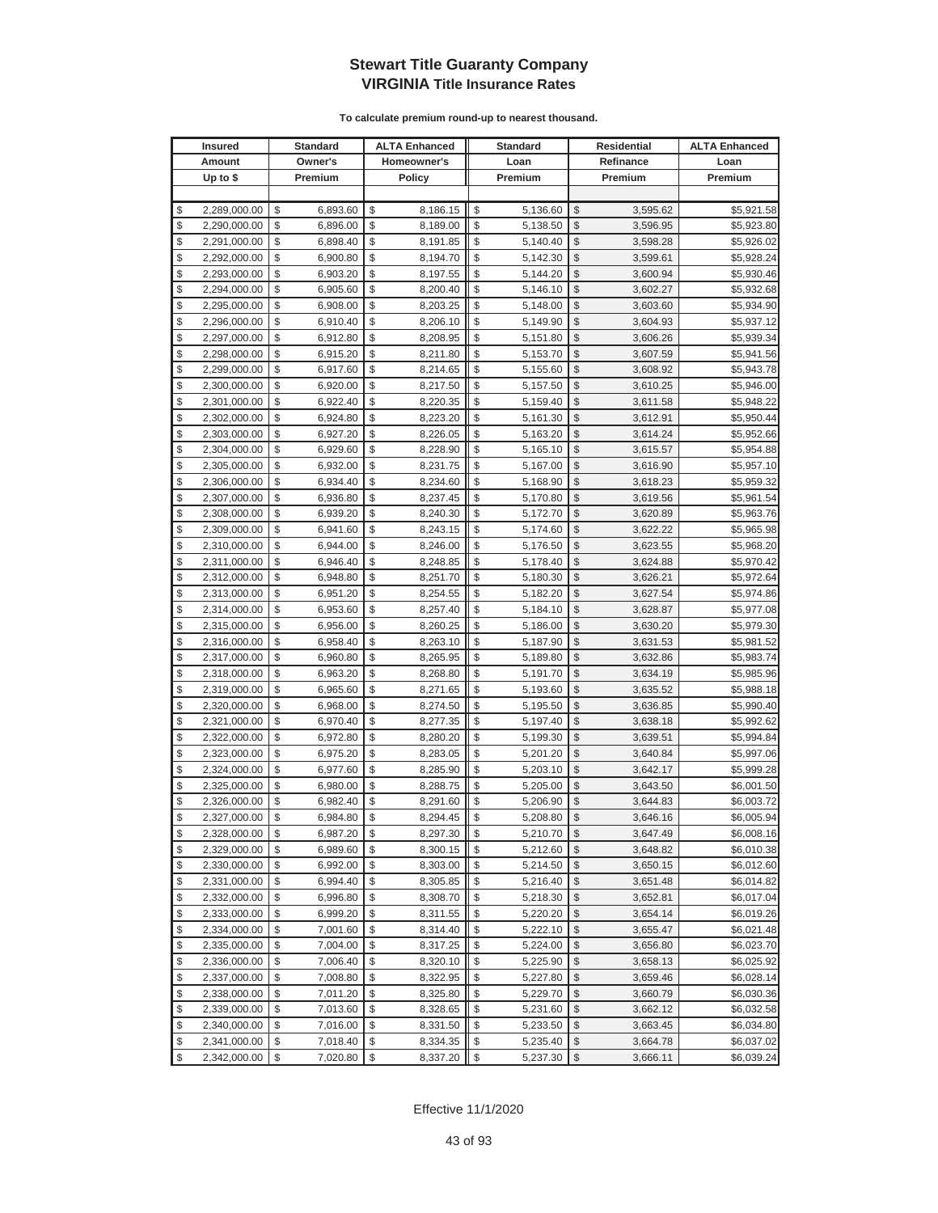|               | <b>Insured</b>               |          | <b>Standard</b> |             | <b>ALTA Enhanced</b> |          | <b>Standard</b> |          | <b>Residential</b> | <b>ALTA Enhanced</b> |
|---------------|------------------------------|----------|-----------------|-------------|----------------------|----------|-----------------|----------|--------------------|----------------------|
|               | Amount                       |          | Owner's         | Homeowner's |                      | Loan     |                 |          | Refinance          | Loan                 |
|               | Up to $$$                    |          | Premium         |             | <b>Policy</b>        |          | Premium         |          | Premium            | Premium              |
|               |                              |          |                 |             |                      |          |                 |          |                    |                      |
| \$            | 2,289,000.00                 | \$       | 6,893.60        | \$          | 8,186.15             | \$       | 5,136.60        | \$       | 3,595.62           | \$5,921.58           |
| \$            | 2,290,000.00                 | \$       | 6,896.00        | \$          | 8,189.00             | \$       | 5,138.50        | \$       | 3,596.95           | \$5,923.80           |
| \$            | 2,291,000.00                 | \$       | 6,898.40        | \$          | 8,191.85             | \$       | 5,140.40        | \$       | 3,598.28           | \$5,926.02           |
| \$            | 2,292,000.00                 | \$       | 6,900.80        | \$          | 8,194.70             | \$       | 5,142.30        | \$       | 3,599.61           | \$5,928.24           |
| \$            | 2,293,000.00                 | \$       | 6,903.20        | \$          | 8,197.55             | \$       | 5,144.20        | \$       | 3,600.94           | \$5,930.46           |
| \$            | 2,294,000.00                 | \$       | 6,905.60        | \$          | 8,200.40             | \$       | 5,146.10        | \$       | 3,602.27           | \$5,932.68           |
| \$            | 2,295,000.00                 | \$       | 6,908.00        | \$          | 8,203.25             | \$       | 5,148.00        | \$       | 3,603.60           | \$5,934.90           |
| \$            | 2,296,000.00                 | \$       | 6,910.40        | \$          | 8,206.10             | \$       | 5,149.90        | \$       | 3,604.93           | \$5,937.12           |
| \$            | 2,297,000.00                 | \$       | 6,912.80        | \$          | 8,208.95             | \$       | 5,151.80        | \$       | 3,606.26           | \$5,939.34           |
| \$            | 2,298,000.00                 | \$       | 6,915.20        | \$          | 8,211.80             | \$       | 5,153.70        | \$       | 3,607.59           | \$5,941.56           |
| \$            | 2,299,000.00                 | \$       | 6,917.60        | \$          | 8,214.65             | \$       | 5,155.60        | \$       | 3,608.92           | \$5,943.78           |
| \$            | 2,300,000.00                 | \$       | 6,920.00        | \$          | 8,217.50             | \$       | 5,157.50        | \$       | 3,610.25           | \$5,946.00           |
| \$            | 2,301,000.00                 | \$       | 6,922.40        | \$          | 8,220.35             | \$       | 5,159.40        | \$       | 3,611.58           | \$5,948.22           |
| \$            | 2,302,000.00                 | \$       | 6,924.80        | \$          | 8,223.20             | \$       | 5,161.30        | \$       | 3,612.91           | \$5,950.44           |
| \$            | 2,303,000.00                 | \$       | 6,927.20        | \$          | 8,226.05             | \$       | 5,163.20        | \$       | 3,614.24           | \$5,952.66           |
| \$            | 2,304,000.00                 | \$       | 6,929.60        | \$          | 8,228.90             | \$       | 5,165.10        | \$       | 3,615.57           | \$5,954.88           |
| \$            | 2,305,000.00                 | \$       | 6,932.00        | \$          | 8,231.75             | \$       | 5,167.00        | \$       | 3,616.90           | \$5,957.10           |
| \$            | 2,306,000.00                 | \$       | 6,934.40        | \$          | 8,234.60             | \$       | 5,168.90        | \$       | 3,618.23           | \$5,959.32           |
| \$            | 2,307,000.00                 | \$       | 6,936.80        | \$          | 8,237.45             | \$       | 5,170.80        | \$       | 3,619.56           | \$5,961.54           |
| \$            | 2,308,000.00                 | \$       | 6,939.20        | \$          | 8,240.30             | \$       | 5,172.70        | \$       | 3,620.89           | \$5,963.76           |
| \$            | 2,309,000.00                 | \$       | 6,941.60        | \$          | 8,243.15             | \$       | 5,174.60        | \$       | 3,622.22           | \$5,965.98           |
| \$            | 2,310,000.00                 | \$       | 6,944.00        | \$          | 8,246.00             | \$       | 5,176.50        | \$       | 3,623.55           | \$5,968.20           |
| \$            | 2,311,000.00                 | \$       | 6,946.40        | \$          | 8,248.85             | \$       | 5,178.40        | \$       | 3,624.88           | \$5,970.42           |
| \$            | 2,312,000.00                 | \$       | 6,948.80        | \$          | 8,251.70             | \$       | 5,180.30        | \$       | 3,626.21           | \$5,972.64           |
| \$            | 2,313,000.00                 | \$       | 6,951.20        | \$          | 8,254.55             | \$       | 5,182.20        | \$       | 3,627.54           | \$5,974.86           |
| \$            | 2,314,000.00                 | \$       | 6,953.60        | \$          | 8,257.40             | \$       | 5,184.10        | \$       | 3,628.87           | \$5,977.08           |
| \$            | 2,315,000.00                 | \$       | 6,956.00        | \$          | 8,260.25             | \$       | 5,186.00        | \$       | 3,630.20           | \$5,979.30           |
| \$            | 2,316,000.00                 | \$       | 6,958.40        | \$          | 8,263.10             | \$       | 5,187.90        | \$       | 3,631.53           | \$5,981.52           |
| \$            | 2,317,000.00                 | \$       | 6,960.80        | \$          | 8,265.95             | \$       | 5,189.80        | \$       | 3,632.86           | \$5,983.74           |
| \$            | 2,318,000.00                 | \$       | 6,963.20        | \$          | 8,268.80             | \$       | 5,191.70        | \$       | 3,634.19           | \$5,985.96           |
| \$            | 2,319,000.00                 | \$       | 6,965.60        | \$          | 8,271.65             | \$       | 5,193.60        | \$       | 3,635.52           | \$5,988.18           |
| \$            | 2,320,000.00                 | \$       | 6,968.00        | \$          | 8,274.50             | \$       | 5,195.50        | \$       | 3,636.85           | \$5,990.40           |
| \$            | 2,321,000.00                 | \$       | 6,970.40        | \$          | 8,277.35             | \$       | 5,197.40        | \$       | 3,638.18           | \$5,992.62           |
| \$            | 2,322,000.00                 | \$       | 6,972.80        | \$          | 8,280.20             | \$       | 5,199.30        | \$       | 3,639.51           | \$5,994.84           |
| \$            | 2,323,000.00                 | \$       | 6,975.20        | \$          | 8,283.05             | \$       | 5,201.20        | \$       | 3,640.84           | \$5,997.06           |
| \$            | 2,324,000.00                 | \$       | 6,977.60        | \$          | 8,285.90             | \$       | 5,203.10        | \$       | 3,642.17           | \$5,999.28           |
| \$            | 2,325,000.00                 | \$       | 6,980.00        | \$          | 8,288.75             | \$       | 5,205.00        | \$       | 3,643.50           | \$6,001.50           |
| \$            | 2,326,000.00                 | \$       | 6,982.40        | \$          | 8,291.60             | \$       | 5,206.90        | \$       | 3,644.83           | \$6,003.72           |
| $\mathcal{S}$ | 2,327,000.00                 | \$       | 6.984.80        | \$          | 8,294.45             | \$       | 5.208.80        | \$       | 3,646.16           | \$6,005.94           |
| \$            | 2,328,000.00                 | \$       | 6,987.20        | \$          | 8,297.30             | \$       | 5,210.70        | \$       | 3,647.49           | \$6,008.16           |
| \$            | 2,329,000.00                 | \$       | 6,989.60        | \$          | 8,300.15             | \$       | 5,212.60        | \$       | 3,648.82           | \$6,010.38           |
| \$            | 2,330,000.00                 | \$       | 6,992.00        | \$          | 8,303.00             | \$       | 5,214.50        | \$       | 3,650.15           | \$6,012.60           |
| \$            | 2,331,000.00                 | \$       | 6,994.40        | \$          | 8,305.85             | \$       | 5,216.40        | \$       | 3,651.48           | \$6,014.82           |
| \$            | 2,332,000.00                 | \$       | 6,996.80        | \$          | 8,308.70             | \$       | 5,218.30        | \$       | 3,652.81           | \$6,017.04           |
| \$            | 2,333,000.00                 | \$       | 6,999.20        | \$          | 8,311.55             | \$       | 5,220.20        | \$       | 3,654.14           | \$6,019.26           |
| \$            | 2,334,000.00                 | \$       | 7,001.60        | \$          | 8,314.40             | \$       | 5,222.10        | \$       | 3,655.47           | \$6,021.48           |
| \$            | 2,335,000.00                 | \$       | 7,004.00        | \$          | 8,317.25             | \$       | 5,224.00        | \$       | 3,656.80           | \$6,023.70           |
| \$<br>\$      | 2,336,000.00<br>2,337,000.00 | \$<br>\$ | 7,006.40        | \$          | 8,320.10             | \$<br>\$ | 5,225.90        | \$<br>\$ | 3,658.13           | \$6,025.92           |
| \$            |                              |          | 7,008.80        | \$          | 8,322.95             |          | 5,227.80        | \$       | 3,659.46           | \$6,028.14           |
|               | 2,338,000.00                 | \$       | 7,011.20        | \$          | 8,325.80             | \$<br>\$ | 5,229.70        |          | 3,660.79           | \$6,030.36           |
| \$            | 2,339,000.00                 | \$       | 7,013.60        | \$          | 8,328.65             |          | 5,231.60        | \$       | 3,662.12           | \$6,032.58           |
| \$<br>\$      | 2,340,000.00                 | \$<br>\$ | 7,016.00        | \$          | 8,331.50             | \$       | 5,233.50        | \$       | 3,663.45           | \$6,034.80           |
|               | 2,341,000.00                 |          | 7,018.40        | \$          | 8,334.35             | \$       | 5,235.40        | \$       | 3,664.78           | \$6,037.02           |
| \$            | 2,342,000.00                 | \$       | 7,020.80        | \$          | 8,337.20             | \$       | 5,237.30        | \$       | 3,666.11           | \$6,039.24           |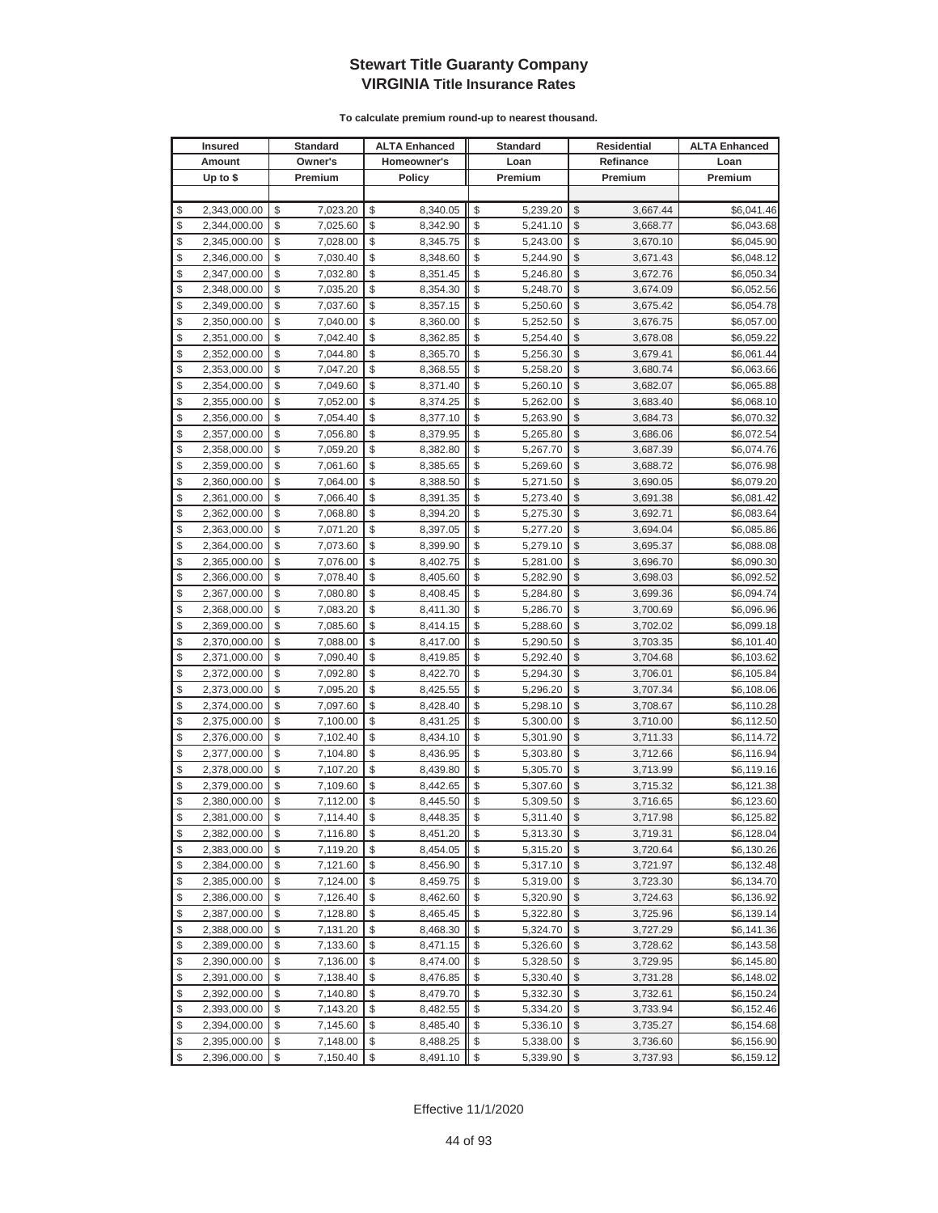|          | <b>Insured</b>               |          | Standard             |          | <b>ALTA Enhanced</b> |          | <b>Standard</b>      |               | Residential          | <b>ALTA Enhanced</b>     |
|----------|------------------------------|----------|----------------------|----------|----------------------|----------|----------------------|---------------|----------------------|--------------------------|
|          | Amount                       |          | Owner's              |          | Homeowner's          |          | Loan                 |               | Refinance            | Loan                     |
|          | Up to $$$                    |          | Premium              |          | <b>Policy</b>        |          | Premium              |               | Premium              | Premium                  |
|          |                              |          |                      |          |                      |          |                      |               |                      |                          |
| \$       | 2,343,000.00                 | \$       | 7,023.20             | \$       | 8,340.05             | \$       | 5,239.20             | \$            | 3,667.44             | \$6,041.46               |
| \$       | 2,344,000.00                 | \$       | 7,025.60             | \$       | 8,342.90             | \$       | 5,241.10             | \$            | 3,668.77             | \$6,043.68               |
| \$       | 2,345,000.00                 | \$       | 7,028.00             | \$       | 8,345.75             | \$       | 5,243.00             | \$            | 3,670.10             | \$6,045.90               |
| \$       | 2,346,000.00                 | \$       | 7,030.40             | \$       | 8,348.60             | \$       | 5,244.90             | \$            | 3,671.43             | \$6,048.12               |
| \$       | 2,347,000.00                 | \$       | 7,032.80             | \$       | 8,351.45             | \$       | 5,246.80             | \$            | 3,672.76             | \$6,050.34               |
| \$       | 2,348,000.00                 | \$       | 7,035.20             | \$       | 8,354.30             | \$       | 5,248.70             | \$            | 3,674.09             | \$6,052.56               |
| \$       | 2,349,000.00                 | \$       | 7,037.60             | \$       | 8,357.15             | \$       | 5,250.60             | \$            | 3,675.42             | \$6,054.78               |
| \$       | 2,350,000.00                 | \$       | 7,040.00             | \$       | 8,360.00             | \$       | 5,252.50             | \$            | 3,676.75             | \$6,057.00               |
| \$       | 2,351,000.00                 | \$       | 7,042.40             | \$       | 8,362.85             | \$       | 5,254.40             | \$            | 3,678.08             | \$6,059.22               |
| \$       | 2,352,000.00                 | \$       | 7,044.80             | \$       | 8,365.70             | \$       | 5,256.30             | \$            | 3,679.41             | \$6,061.44               |
| \$       | 2,353,000.00                 | \$       | 7,047.20             | \$       | 8,368.55             | \$       | 5,258.20             | \$            | 3,680.74             | \$6,063.66               |
| \$       | 2,354,000.00                 | \$       | 7,049.60             | \$       | 8,371.40             | \$       | 5,260.10             | \$            | 3,682.07             | \$6,065.88               |
| \$       | 2,355,000.00                 | \$       | 7,052.00             | \$       | 8,374.25             | \$       | 5,262.00             | \$            | 3,683.40             | \$6,068.10               |
| \$       | 2,356,000.00                 | \$       | 7,054.40             | \$       | 8,377.10             | \$       | 5,263.90             | \$            | 3,684.73             | \$6,070.32               |
| \$       | 2,357,000.00                 | \$       | 7,056.80             | \$       | 8,379.95             | \$       | 5,265.80             | \$            | 3,686.06             | \$6,072.54               |
| \$       | 2,358,000.00                 | \$       | 7,059.20             | \$       | 8,382.80             | \$       | 5,267.70             | \$            | 3,687.39             | \$6,074.76               |
| \$       | 2,359,000.00                 | \$       | 7,061.60             | \$       | 8,385.65             | \$       | 5,269.60             | \$            | 3,688.72             | \$6,076.98               |
| \$       | 2,360,000.00                 | \$       | 7,064.00             | \$       | 8,388.50             | \$       | 5,271.50             | \$            | 3,690.05             | \$6,079.20               |
| \$       | 2,361,000.00                 | \$       | 7,066.40             | \$       | 8,391.35             | \$       | 5,273.40             | \$            | 3,691.38             | \$6,081.42               |
| \$       | 2,362,000.00                 | \$       | 7,068.80             | \$       | 8,394.20             | \$       | 5,275.30             | \$            | 3,692.71             | \$6,083.64               |
| \$       | 2,363,000.00                 | \$       | 7,071.20             | \$       | 8,397.05             | \$       | 5,277.20             | \$            | 3,694.04             | \$6,085.86               |
| \$       | 2,364,000.00                 | \$       | 7,073.60             | \$       | 8,399.90             | \$       | 5,279.10             | \$            | 3,695.37             | \$6,088.08               |
| \$       | 2,365,000.00                 | \$       | 7,076.00             | \$       | 8,402.75             | \$       | 5,281.00             | \$            | 3,696.70             | \$6,090.30               |
| \$       | 2,366,000.00                 | \$       | 7,078.40             | \$       | 8,405.60             | \$       | 5,282.90             | \$            | 3,698.03             | \$6,092.52               |
| \$       | 2,367,000.00                 | \$       | 7,080.80             | \$       | 8,408.45             | \$       | 5,284.80             | \$            | 3,699.36             | \$6,094.74               |
| \$       | 2,368,000.00                 | \$       | 7,083.20             | \$       | 8,411.30             | \$       | 5,286.70             | \$            | 3,700.69             | \$6,096.96               |
| \$       | 2,369,000.00                 | \$       | 7,085.60             | \$       | 8,414.15             | \$       | 5,288.60             | $\mathcal{S}$ | 3,702.02             | \$6,099.18               |
| \$       | 2,370,000.00                 | \$       | 7,088.00             | \$       | 8,417.00             | \$       | 5,290.50             | \$            | 3,703.35             | \$6,101.40               |
| \$       | 2,371,000.00                 | \$       | 7,090.40             | \$       | 8,419.85             | \$       | 5,292.40             | \$            | 3,704.68             | \$6,103.62               |
| \$       | 2,372,000.00                 | \$       | 7,092.80             | \$       | 8,422.70             | \$       | 5,294.30             | \$            | 3,706.01             | \$6,105.84               |
| \$       | 2,373,000.00                 | \$       | 7,095.20             | \$       | 8,425.55             | \$       | 5,296.20             | \$            | 3,707.34             | \$6,108.06               |
| \$       | 2,374,000.00                 | \$       | 7,097.60             | \$       | 8,428.40             | \$       | 5,298.10             | \$            | 3,708.67             | \$6,110.28               |
| \$       | 2,375,000.00                 | \$       | 7,100.00             | \$       | 8,431.25             | \$       | 5,300.00             | \$            | 3,710.00             | \$6,112.50               |
| \$<br>\$ | 2,376,000.00                 | \$       | 7,102.40             | \$       | 8,434.10             | \$       | 5,301.90             | \$            | 3,711.33             | \$6,114.72               |
| \$       | 2,377,000.00<br>2,378,000.00 | \$<br>\$ | 7,104.80<br>7,107.20 | \$<br>\$ | 8,436.95<br>8,439.80 | \$<br>\$ | 5,303.80<br>5,305.70 | \$<br>\$      | 3,712.66<br>3,713.99 | \$6,116.94<br>\$6,119.16 |
| \$       | 2,379,000.00                 | \$       | 7,109.60             | \$       | 8,442.65             | \$       | 5,307.60             | \$            | 3,715.32             | \$6,121.38               |
| \$       | 2,380,000.00                 | \$       | 7,112.00             | \$       | 8,445.50             | \$       | 5,309.50             | \$            | 3,716.65             | \$6,123.60               |
| \$       | 2,381,000.00                 | \$       | 7,114.40             | \$       | 8,448.35             | \$       | 5,311.40             | \$            | 3,717.98             | \$6,125.82               |
| \$       | 2,382,000.00                 | \$       | 7,116.80             | \$       | 8,451.20             | \$       | 5,313.30             | $\sqrt[6]{2}$ | 3,719.31             | \$6,128.04               |
| \$       | 2,383,000.00                 | \$       | 7,119.20             | \$       | 8,454.05             | \$       | 5,315.20             | \$            | 3,720.64             | \$6,130.26               |
| \$       | 2,384,000.00                 | \$       | 7,121.60             | \$       | 8,456.90             | \$       | 5,317.10             | $\frac{1}{2}$ | 3,721.97             | \$6,132.48               |
| \$       | 2,385,000.00                 | \$       | 7,124.00             | \$       | 8,459.75             | \$       | 5,319.00             | \$            | 3,723.30             | \$6,134.70               |
| \$       | 2,386,000.00                 | \$       | 7,126.40             | \$       | 8,462.60             | \$       | 5,320.90             | \$            | 3,724.63             | \$6,136.92               |
| \$       | 2,387,000.00                 | \$       | 7,128.80             | \$       | 8,465.45             | \$       | 5,322.80             | \$            | 3,725.96             | \$6,139.14               |
| \$       | 2,388,000.00                 | \$       | 7,131.20             | \$       | 8,468.30             | \$       | 5,324.70             | \$            | 3,727.29             | \$6,141.36               |
| \$       | 2,389,000.00                 | \$       | 7,133.60             | \$       | 8,471.15             | \$       | 5,326.60             | \$            | 3,728.62             | \$6,143.58               |
| \$       | 2,390,000.00                 | \$       | 7,136.00             | \$       | 8,474.00             | \$       | 5,328.50             | \$            | 3,729.95             | \$6,145.80               |
| \$       | 2,391,000.00                 | \$       | 7,138.40             | \$       | 8,476.85             | \$       | 5,330.40             | \$            | 3,731.28             | \$6,148.02               |
| \$       | 2,392,000.00                 | \$       | 7,140.80             | \$       | 8,479.70             | \$       | 5,332.30             | \$            | 3,732.61             | \$6,150.24               |
| \$       | 2,393,000.00                 | \$       | 7,143.20             | \$       | 8,482.55             | \$       | 5,334.20             | \$            | 3,733.94             | \$6,152.46               |
| \$       | 2,394,000.00                 | \$       | 7,145.60             | \$       | 8,485.40             | \$       | 5,336.10             | \$            | 3,735.27             | \$6,154.68               |
| \$       | 2,395,000.00                 | \$       | 7,148.00             | \$       | 8,488.25             | \$       | 5,338.00             | \$            | 3,736.60             | \$6,156.90               |
| \$       | 2,396,000.00                 | \$       | 7,150.40             | \$       | 8,491.10             | \$       | 5,339.90             | $\frac{1}{2}$ | 3,737.93             | \$6,159.12               |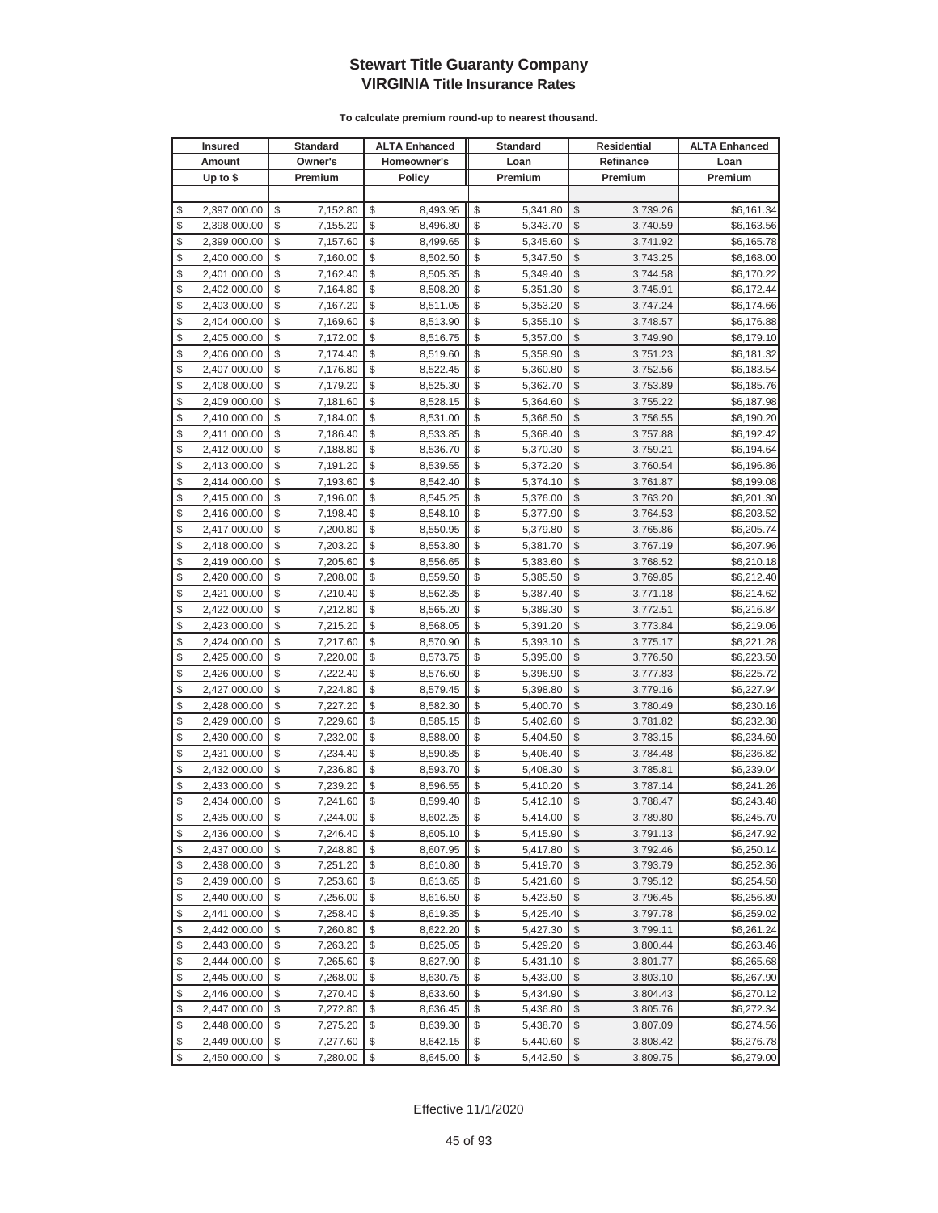|               | <b>Insured</b> | <b>Standard</b> |             | <b>ALTA Enhanced</b> |      | <b>Standard</b> |               | Residential | <b>ALTA Enhanced</b> |
|---------------|----------------|-----------------|-------------|----------------------|------|-----------------|---------------|-------------|----------------------|
|               | Amount         | Owner's         | Homeowner's |                      | Loan |                 |               | Refinance   | Loan                 |
|               | Up to $$$      | Premium         |             | <b>Policy</b>        |      | Premium         |               | Premium     | Premium              |
|               |                |                 |             |                      |      |                 |               |             |                      |
| \$            | 2,397,000.00   | \$<br>7,152.80  | \$          | 8,493.95             | \$   | 5,341.80        | \$            | 3,739.26    | \$6,161.34           |
| \$            | 2,398,000.00   | \$<br>7,155.20  | \$          | 8,496.80             | \$   | 5,343.70        | \$            | 3,740.59    | \$6,163.56           |
| \$            | 2,399,000.00   | \$<br>7,157.60  | \$          | 8,499.65             | \$   | 5,345.60        | \$            | 3,741.92    | \$6,165.78           |
| \$            | 2,400,000.00   | \$<br>7,160.00  | \$          | 8,502.50             | \$   | 5,347.50        | $\mathcal{S}$ | 3,743.25    | \$6,168.00           |
| \$            | 2,401,000.00   | \$<br>7,162.40  | \$          | 8,505.35             | \$   | 5,349.40        | \$            | 3,744.58    | \$6,170.22           |
| \$            | 2,402,000.00   | \$<br>7,164.80  | \$          | 8,508.20             | \$   | 5,351.30        | \$            | 3,745.91    | \$6,172.44           |
| \$            | 2,403,000.00   | \$<br>7,167.20  | \$          | 8,511.05             | \$   | 5,353.20        | \$            | 3,747.24    | \$6,174.66           |
| \$            | 2,404,000.00   | \$<br>7,169.60  | \$          | 8,513.90             | \$   | 5,355.10        | \$            | 3,748.57    | \$6,176.88           |
| \$            | 2,405,000.00   | \$<br>7,172.00  | \$          | 8,516.75             | \$   | 5,357.00        | \$            | 3,749.90    | \$6,179.10           |
| \$            | 2,406,000.00   | \$<br>7,174.40  | \$          | 8,519.60             | \$   | 5,358.90        | \$            | 3,751.23    | \$6,181.32           |
| \$            | 2,407,000.00   | \$<br>7,176.80  | \$          | 8,522.45             | \$   | 5,360.80        | \$            | 3,752.56    | \$6,183.54           |
| \$            | 2,408,000.00   | \$<br>7,179.20  | \$          | 8,525.30             | \$   | 5,362.70        | \$            | 3,753.89    | \$6,185.76           |
| \$            | 2,409,000.00   | \$<br>7,181.60  | \$          | 8,528.15             | \$   | 5,364.60        | \$            | 3,755.22    | \$6,187.98           |
| \$            | 2,410,000.00   | \$<br>7,184.00  | \$          | 8,531.00             | \$   | 5,366.50        | \$            | 3,756.55    | \$6,190.20           |
| \$            | 2,411,000.00   | \$<br>7,186.40  | \$          | 8,533.85             | \$   | 5,368.40        | \$            | 3,757.88    | \$6,192.42           |
| \$            | 2,412,000.00   | \$<br>7,188.80  | \$          | 8,536.70             | \$   | 5,370.30        | \$            | 3,759.21    | \$6,194.64           |
| \$            | 2,413,000.00   | \$<br>7,191.20  | \$          | 8,539.55             | \$   | 5,372.20        | \$            | 3,760.54    | \$6,196.86           |
| \$            | 2,414,000.00   | \$<br>7,193.60  | \$          | 8,542.40             | \$   | 5,374.10        | \$            | 3,761.87    | \$6,199.08           |
| \$            | 2,415,000.00   | \$<br>7,196.00  | \$          | 8,545.25             | \$   | 5,376.00        | \$            | 3,763.20    | \$6,201.30           |
| \$            | 2,416,000.00   | \$<br>7,198.40  | \$          | 8,548.10             | \$   | 5,377.90        | \$            | 3,764.53    | \$6,203.52           |
| \$            | 2,417,000.00   | \$<br>7,200.80  | \$          | 8,550.95             | \$   | 5,379.80        | \$            | 3,765.86    | \$6,205.74           |
| \$            | 2,418,000.00   | \$<br>7,203.20  | \$          | 8,553.80             | \$   | 5,381.70        | \$            | 3,767.19    | \$6,207.96           |
| \$            | 2,419,000.00   | \$<br>7,205.60  | \$          | 8,556.65             | \$   | 5,383.60        | \$            | 3,768.52    | \$6,210.18           |
| \$            | 2,420,000.00   | \$<br>7,208.00  | \$          | 8,559.50             | \$   | 5,385.50        | \$            | 3,769.85    | \$6,212.40           |
| \$            | 2,421,000.00   | \$<br>7,210.40  | \$          | 8,562.35             | \$   | 5,387.40        | \$            | 3,771.18    | \$6,214.62           |
| \$            | 2,422,000.00   | \$<br>7,212.80  | \$          | 8,565.20             | \$   | 5,389.30        | \$            | 3,772.51    | \$6,216.84           |
| \$            | 2,423,000.00   | \$<br>7,215.20  | \$          | 8,568.05             | \$   | 5,391.20        | \$            | 3,773.84    | \$6,219.06           |
| \$            | 2,424,000.00   | \$<br>7,217.60  | \$          | 8,570.90             | \$   | 5,393.10        | \$            | 3,775.17    | \$6,221.28           |
| \$            | 2,425,000.00   | \$<br>7,220.00  | \$          | 8,573.75             | \$   | 5,395.00        | \$            | 3,776.50    | \$6,223.50           |
| \$            | 2,426,000.00   | \$<br>7,222.40  | \$          | 8,576.60             | \$   | 5,396.90        | \$            | 3,777.83    | \$6,225.72           |
| \$            | 2,427,000.00   | \$<br>7,224.80  | \$          | 8,579.45             | \$   | 5,398.80        | $\mathcal{S}$ | 3,779.16    | \$6,227.94           |
| \$            | 2,428,000.00   | \$<br>7,227.20  | \$          | 8,582.30             | \$   | 5,400.70        | \$            | 3,780.49    | \$6,230.16           |
| \$            | 2,429,000.00   | \$<br>7,229.60  | \$          | 8,585.15             | \$   | 5,402.60        | \$            | 3,781.82    | \$6,232.38           |
| \$            | 2,430,000.00   | \$<br>7,232.00  | \$          | 8,588.00             | \$   | 5,404.50        | $\mathcal{S}$ | 3,783.15    | \$6,234.60           |
| \$            | 2,431,000.00   | \$<br>7,234.40  | \$          | 8,590.85             | \$   | 5,406.40        | \$            | 3,784.48    | \$6,236.82           |
| \$            | 2,432,000.00   | \$<br>7,236.80  | \$          | 8,593.70             | \$   | 5,408.30        | \$            | 3,785.81    | \$6,239.04           |
| \$            | 2,433,000.00   | \$<br>7,239.20  | \$          | 8,596.55             | \$   | 5,410.20        | \$            | 3,787.14    | \$6,241.26           |
| \$            | 2,434,000.00   | \$<br>7,241.60  | \$          | 8,599.40             | \$   | 5,412.10        | \$            | 3,788.47    | \$6,243.48           |
| $\mathcal{S}$ | 2,435,000.00   | \$<br>7.244.00  | \$          | 8.602.25             | \$   | 5,414.00        | $\mathcal{S}$ | 3,789.80    | \$6,245.70           |
| \$            | 2,436,000.00   | \$<br>7,246.40  | \$          | 8,605.10             | \$   | 5,415.90        | \$            | 3,791.13    | \$6,247.92           |
| \$            | 2,437,000.00   | \$<br>7,248.80  | \$          | 8,607.95             | \$   | 5,417.80        | \$            | 3,792.46    | \$6,250.14           |
| \$            | 2,438,000.00   | \$<br>7,251.20  | \$          | 8,610.80             | \$   | 5,419.70        | \$            | 3,793.79    | \$6,252.36           |
| \$            | 2,439,000.00   | \$<br>7,253.60  | \$          | 8,613.65             | \$   | 5,421.60        | \$            | 3,795.12    | \$6,254.58           |
| \$            | 2,440,000.00   | \$<br>7,256.00  | \$          | 8,616.50             | \$   | 5,423.50        | \$            | 3,796.45    | \$6,256.80           |
| \$            | 2,441,000.00   | \$<br>7,258.40  | \$          | 8,619.35             | \$   | 5,425.40        | \$            | 3,797.78    | \$6,259.02           |
| \$            | 2,442,000.00   | \$<br>7,260.80  | \$          | 8,622.20             | \$   | 5,427.30        | \$            | 3,799.11    | \$6,261.24           |
| \$            | 2,443,000.00   | \$<br>7,263.20  | \$          | 8,625.05             | \$   | 5,429.20        | \$            | 3,800.44    | \$6,263.46           |
| \$            | 2,444,000.00   | \$<br>7,265.60  | \$          | 8,627.90             | \$   | 5,431.10        | \$            | 3,801.77    | \$6,265.68           |
| \$            | 2,445,000.00   | \$<br>7,268.00  | \$          | 8,630.75             | \$   | 5,433.00        | \$            | 3,803.10    | \$6,267.90           |
| \$            | 2,446,000.00   | \$<br>7,270.40  | \$          | 8,633.60             | \$   | 5,434.90        | \$            | 3,804.43    | \$6,270.12           |
| \$            | 2,447,000.00   | \$<br>7,272.80  | \$          | 8,636.45             | \$   | 5,436.80        | \$            | 3,805.76    | \$6,272.34           |
| \$            | 2,448,000.00   | \$<br>7,275.20  | \$          | 8,639.30             | \$   | 5,438.70        | \$            | 3,807.09    | \$6,274.56           |
| \$            | 2,449,000.00   | \$<br>7,277.60  | \$          | 8,642.15             | \$   | 5,440.60        | \$            | 3,808.42    | \$6,276.78           |
| \$            | 2,450,000.00   | \$<br>7,280.00  | \$          | 8,645.00             | \$   | 5,442.50        | \$            | 3,809.75    | \$6,279.00           |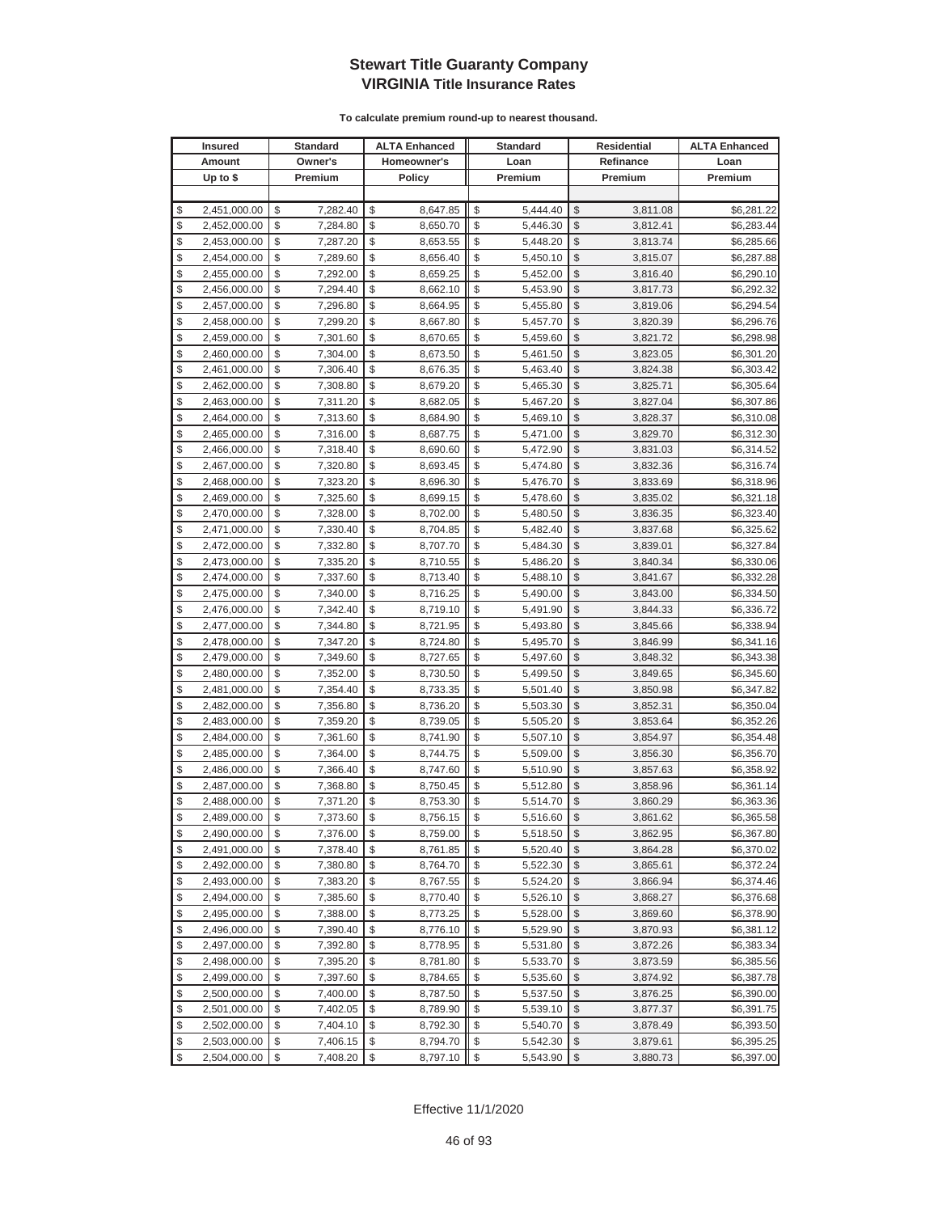| <b>Insured</b> |              |    | <b>Standard</b> | <b>ALTA Enhanced</b>                |            | <b>Standard</b> |                         | <b>Residential</b> | <b>ALTA Enhanced</b> |
|----------------|--------------|----|-----------------|-------------------------------------|------------|-----------------|-------------------------|--------------------|----------------------|
|                | Amount       |    | Owner's         | Homeowner's                         |            | Loan            |                         | Refinance          | Loan                 |
|                | Up to $$$    |    | Premium         | <b>Policy</b>                       |            | Premium         |                         | Premium            | Premium              |
|                |              |    |                 |                                     |            |                 |                         |                    |                      |
| \$             | 2,451,000.00 | \$ | 7,282.40        | \$<br>8,647.85                      | \$         | 5,444.40        | \$                      | 3,811.08           | \$6,281.22           |
| \$             | 2,452,000.00 | \$ | 7,284.80        | \$<br>8,650.70                      | \$         | 5,446.30        | \$                      | 3,812.41           | \$6,283.44           |
| \$             | 2,453,000.00 | \$ | 7,287.20        | \$<br>8,653.55                      | \$         | 5,448.20        | \$                      | 3,813.74           | \$6,285.66           |
| \$             | 2,454,000.00 | \$ | 7,289.60        | \$<br>8,656.40                      | \$         | 5,450.10        | \$                      | 3,815.07           | \$6,287.88           |
| \$             | 2,455,000.00 | \$ | 7,292.00        | \$<br>8,659.25                      | \$         | 5,452.00        | \$                      | 3,816.40           | \$6,290.10           |
| \$             | 2,456,000.00 | \$ | 7,294.40        | \$<br>8,662.10                      | \$         | 5,453.90        | \$                      | 3,817.73           | \$6,292.32           |
| \$             | 2,457,000.00 | \$ | 7,296.80        | \$<br>8,664.95                      | \$         | 5,455.80        | \$                      | 3,819.06           | \$6,294.54           |
| \$             | 2,458,000.00 | \$ | 7,299.20        | \$<br>8,667.80                      | \$         | 5,457.70        | \$                      | 3,820.39           | \$6,296.76           |
| \$             | 2,459,000.00 | \$ | 7,301.60        | \$<br>8,670.65                      | \$         | 5,459.60        | \$                      | 3,821.72           | \$6,298.98           |
| \$             | 2,460,000.00 | \$ | 7,304.00        | \$<br>8,673.50                      | \$         | 5,461.50        | \$                      | 3,823.05           | \$6,301.20           |
| \$             | 2,461,000.00 | \$ | 7,306.40        | \$<br>8,676.35                      | \$         | 5,463.40        | \$                      | 3,824.38           | \$6,303.42           |
| \$             | 2,462,000.00 | \$ | 7,308.80        | \$<br>8,679.20                      | \$         | 5,465.30        | \$                      | 3,825.71           | \$6,305.64           |
| \$             | 2,463,000.00 | \$ | 7,311.20        | \$<br>8,682.05                      | \$         | 5,467.20        | \$                      | 3,827.04           | \$6,307.86           |
| \$             | 2,464,000.00 | \$ | 7,313.60        | \$<br>8,684.90                      | \$         | 5,469.10        | \$                      | 3,828.37           | \$6,310.08           |
| \$             | 2,465,000.00 | \$ | 7,316.00        | \$<br>8,687.75                      | \$         | 5,471.00        | \$                      | 3,829.70           | \$6,312.30           |
| \$             | 2,466,000.00 | \$ | 7,318.40        | \$<br>8,690.60                      | \$         | 5,472.90        | \$                      | 3,831.03           | \$6,314.52           |
| \$             | 2,467,000.00 | \$ | 7,320.80        | \$<br>8,693.45                      | \$         | 5,474.80        | \$                      | 3,832.36           | \$6,316.74           |
| \$             | 2,468,000.00 | \$ | 7,323.20        | \$<br>8,696.30                      | \$         | 5,476.70        | \$                      | 3,833.69           | \$6,318.96           |
| \$             | 2,469,000.00 | \$ | 7,325.60        | \$<br>8,699.15                      | \$         | 5,478.60        | \$                      | 3,835.02           | \$6,321.18           |
| \$             | 2,470,000.00 | \$ | 7,328.00        | \$<br>8,702.00                      | \$         | 5,480.50        | \$                      | 3,836.35           | \$6,323.40           |
| \$             | 2,471,000.00 | \$ | 7,330.40        | \$<br>8,704.85                      | \$         | 5,482.40        | \$                      | 3,837.68           | \$6,325.62           |
| \$             | 2,472,000.00 | \$ | 7,332.80        | \$<br>8,707.70                      | \$         | 5,484.30        | \$                      | 3,839.01           | \$6,327.84           |
| \$             | 2,473,000.00 | \$ | 7,335.20        | \$<br>8,710.55                      | \$         | 5,486.20        | \$                      | 3,840.34           | \$6,330.06           |
| \$             | 2,474,000.00 | \$ | 7,337.60        | \$<br>8,713.40                      | \$         | 5,488.10        | \$                      | 3,841.67           | \$6,332.28           |
| \$             | 2,475,000.00 | \$ | 7,340.00        | \$<br>8,716.25                      | \$         | 5,490.00        | \$                      | 3,843.00           | \$6,334.50           |
| \$             | 2,476,000.00 | \$ | 7,342.40        | \$<br>8,719.10                      | \$         | 5,491.90        | \$                      | 3,844.33           | \$6,336.72           |
| \$             | 2,477,000.00 | \$ | 7,344.80        | \$<br>8,721.95                      | \$         | 5,493.80        | \$                      | 3,845.66           | \$6,338.94           |
| \$             | 2,478,000.00 | \$ | 7,347.20        | \$<br>8,724.80                      | \$         | 5,495.70        | \$                      | 3,846.99           | \$6,341.16           |
| \$             | 2,479,000.00 | \$ | 7,349.60        | \$<br>8,727.65                      | \$         | 5,497.60        | \$                      | 3,848.32           | \$6,343.38           |
| \$             | 2,480,000.00 | \$ | 7,352.00        | \$<br>8,730.50                      | \$         | 5,499.50        | \$                      | 3,849.65           | \$6,345.60           |
| \$             | 2,481,000.00 | \$ | 7,354.40        | \$<br>8,733.35                      | \$         | 5,501.40        | \$                      | 3,850.98           | \$6,347.82           |
| \$             | 2,482,000.00 | \$ | 7,356.80        | \$<br>8,736.20                      | \$         | 5,503.30        | \$                      | 3,852.31           | \$6,350.04           |
| \$             | 2,483,000.00 | \$ | 7,359.20        | \$<br>8,739.05                      | \$         | 5,505.20        | \$                      | 3,853.64           | \$6,352.26           |
| \$             | 2,484,000.00 | \$ | 7,361.60        | \$<br>8,741.90                      | \$         | 5,507.10        | \$                      | 3,854.97           | \$6,354.48           |
| \$             | 2,485,000.00 | \$ | 7,364.00        | \$<br>8,744.75                      | \$         | 5,509.00        | \$                      | 3,856.30           | \$6,356.70           |
| \$             | 2,486,000.00 | \$ | 7,366.40        | \$<br>8,747.60                      | \$         | 5,510.90        | \$                      | 3,857.63           | \$6,358.92           |
| \$             | 2,487,000.00 | \$ | 7,368.80        | \$<br>8,750.45                      | \$         | 5,512.80        | \$                      | 3,858.96           | \$6,361.14           |
| \$             | 2,488,000.00 | \$ | 7,371.20        | \$<br>8,753.30                      | \$         | 5,514.70        | \$                      | 3,860.29           | \$6,363.36           |
| \$             | 2,489,000.00 | \$ | 7,373.60        | \$<br>8,756.15                      | \$         | 5,516.60        | $\mathbb{S}$            | 3,861.62           | \$6,365.58           |
| \$             | 2,490,000.00 | \$ | 7,376.00        | \$<br>8,759.00                      | \$         | 5,518.50        | \$                      | 3,862.95           | \$6,367.80           |
| \$             | 2,491,000.00 | \$ | 7,378.40        | \$<br>8,761.85                      | \$         | 5,520.40        | \$                      | 3,864.28           | \$6,370.02           |
| \$             | 2,492,000.00 | \$ | 7,380.80        | \$<br>8,764.70                      | \$         | 5,522.30        | \$                      | 3,865.61           | \$6,372.24           |
| \$             | 2,493,000.00 | \$ | 7,383.20        | \$<br>8,767.55                      | \$         | 5,524.20        | \$                      | 3,866.94           | \$6,374.46           |
| \$             | 2,494,000.00 | \$ | 7,385.60        | \$<br>8,770.40                      | \$         | 5,526.10        | \$                      | 3,868.27           | \$6,376.68           |
| \$             | 2,495,000.00 | \$ | 7,388.00        | \$<br>8,773.25                      | \$         | 5,528.00        | \$                      | 3,869.60           | \$6,378.90           |
| \$             | 2,496,000.00 | \$ | 7,390.40        | \$<br>8,776.10                      | \$         | 5,529.90        | \$                      | 3,870.93           | \$6,381.12           |
| \$             | 2,497,000.00 | \$ | 7,392.80        | \$<br>8,778.95                      | \$         | 5,531.80        | \$                      | 3,872.26           | \$6,383.34           |
| \$             | 2,498,000.00 | \$ | 7,395.20        | \$<br>8,781.80                      | \$         | 5,533.70        | \$                      | 3,873.59           | \$6,385.56           |
| \$             | 2,499,000.00 | \$ | 7,397.60        | \$<br>8,784.65                      | \$         | 5,535.60        | \$                      | 3,874.92           | \$6,387.78           |
| \$             | 2,500,000.00 | \$ | 7,400.00        | \$<br>8,787.50                      | \$         | 5,537.50        | \$                      | 3,876.25           | \$6,390.00           |
| \$             | 2,501,000.00 | \$ | 7,402.05        | \$<br>8,789.90                      | \$         | 5,539.10        | \$                      | 3,877.37           | \$6,391.75           |
| \$             | 2,502,000.00 | \$ | 7,404.10        | \$<br>8,792.30                      | \$         | 5,540.70        | \$                      | 3,878.49           | \$6,393.50           |
| \$             | 2,503,000.00 | \$ | 7,406.15        | \$<br>8,794.70                      | \$         | 5,542.30        | \$                      | 3,879.61           | \$6,395.25           |
| \$             | 2,504,000.00 | \$ | 7,408.20        | $\sqrt[6]{\frac{1}{2}}$<br>8,797.10 | $\sqrt{2}$ | 5,543.90        | $\sqrt[6]{\frac{1}{2}}$ | 3,880.73           | \$6,397.00           |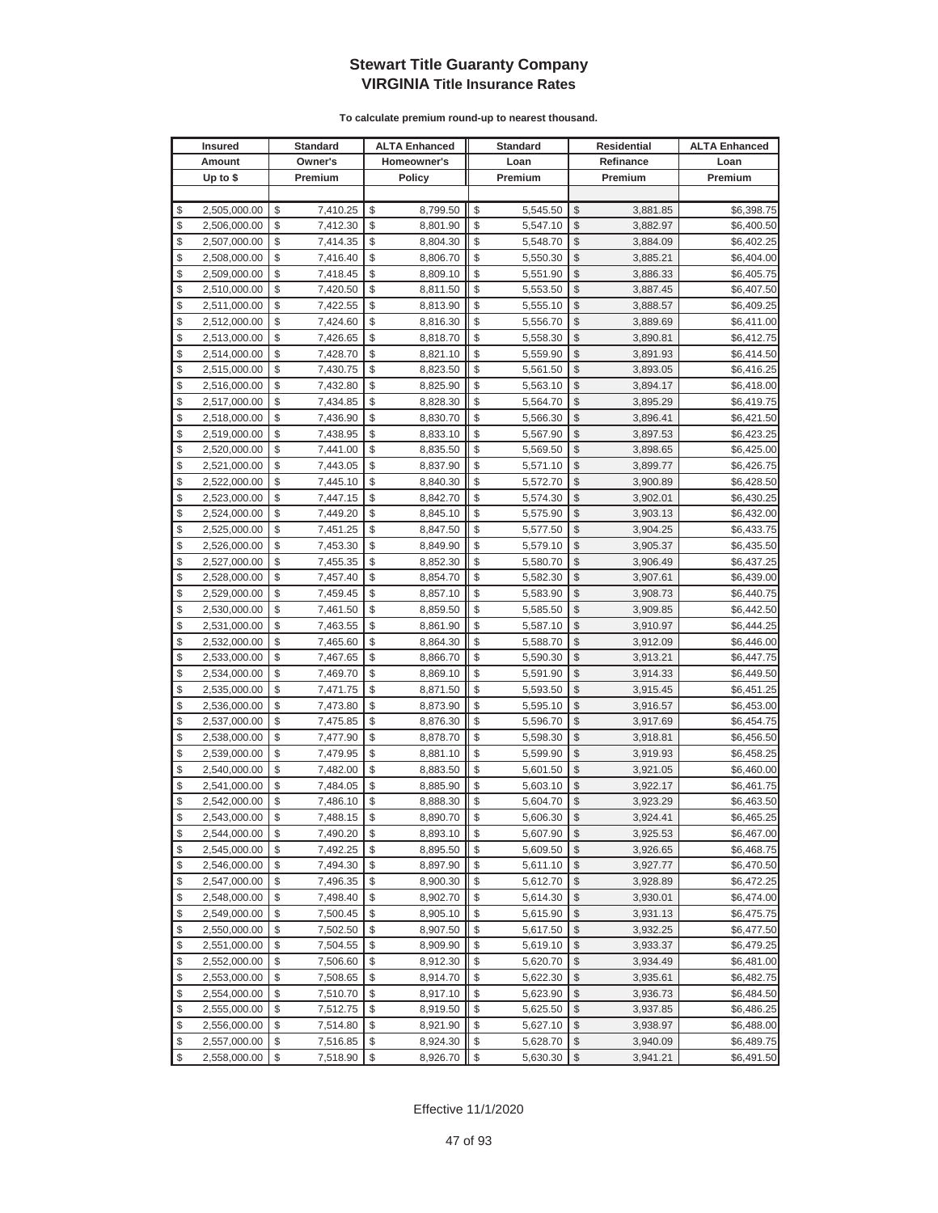| <b>Insured</b>     | Standard       | <b>ALTA Enhanced</b> | <b>Standard</b> |                         | Residential | <b>ALTA Enhanced</b> |
|--------------------|----------------|----------------------|-----------------|-------------------------|-------------|----------------------|
| Amount             | Owner's        | Homeowner's          | Loan            |                         | Refinance   | Loan                 |
| Up to $$$          | Premium        | <b>Policy</b>        | Premium         |                         | Premium     | Premium              |
|                    |                |                      |                 |                         |             |                      |
| \$<br>2,505,000.00 | \$<br>7,410.25 | \$<br>8,799.50       | \$<br>5,545.50  | \$                      | 3,881.85    | \$6,398.75           |
| \$<br>2,506,000.00 | \$<br>7,412.30 | \$<br>8,801.90       | \$<br>5,547.10  | \$                      | 3,882.97    | \$6,400.50           |
| \$<br>2,507,000.00 | \$<br>7,414.35 | \$<br>8,804.30       | \$<br>5,548.70  | \$                      | 3,884.09    | \$6,402.25           |
| \$<br>2,508,000.00 | \$<br>7,416.40 | \$<br>8,806.70       | \$<br>5,550.30  | \$                      | 3,885.21    | \$6,404.00           |
| \$<br>2,509,000.00 | \$<br>7,418.45 | \$<br>8,809.10       | \$<br>5,551.90  | \$                      | 3,886.33    | \$6,405.75           |
| \$<br>2,510,000.00 | \$<br>7,420.50 | \$<br>8,811.50       | \$<br>5,553.50  | \$                      | 3,887.45    | \$6,407.50           |
| \$<br>2,511,000.00 | \$<br>7,422.55 | \$<br>8,813.90       | \$<br>5,555.10  | \$                      | 3,888.57    | \$6,409.25           |
| \$<br>2,512,000.00 | \$<br>7,424.60 | \$<br>8,816.30       | \$<br>5,556.70  | \$                      | 3,889.69    | \$6,411.00           |
| \$<br>2,513,000.00 | \$<br>7,426.65 | \$<br>8,818.70       | \$<br>5,558.30  | \$                      | 3,890.81    | \$6,412.75           |
| \$<br>2,514,000.00 | \$<br>7,428.70 | \$<br>8,821.10       | \$<br>5,559.90  | \$                      | 3,891.93    | \$6,414.50           |
| \$<br>2,515,000.00 | \$<br>7,430.75 | \$<br>8,823.50       | \$<br>5,561.50  | \$                      | 3,893.05    | \$6,416.25           |
| \$<br>2,516,000.00 | \$<br>7,432.80 | \$<br>8,825.90       | \$<br>5,563.10  | \$                      | 3,894.17    | \$6,418.00           |
| \$<br>2,517,000.00 | \$<br>7,434.85 | \$<br>8,828.30       | \$<br>5,564.70  | \$                      | 3,895.29    | \$6,419.75           |
| \$<br>2,518,000.00 | \$<br>7,436.90 | \$<br>8,830.70       | \$<br>5,566.30  | \$                      | 3,896.41    | \$6,421.50           |
| \$<br>2,519,000.00 | \$<br>7,438.95 | \$<br>8,833.10       | \$<br>5,567.90  | \$                      | 3,897.53    | \$6,423.25           |
| \$<br>2,520,000.00 | \$<br>7,441.00 | \$<br>8,835.50       | \$<br>5,569.50  | \$                      | 3,898.65    | \$6,425.00           |
| \$<br>2,521,000.00 | \$<br>7,443.05 | \$<br>8,837.90       | \$<br>5,571.10  | \$                      | 3,899.77    | \$6,426.75           |
| \$<br>2,522,000.00 | \$<br>7,445.10 | \$<br>8,840.30       | \$<br>5,572.70  | \$                      | 3,900.89    | \$6,428.50           |
| \$<br>2,523,000.00 | \$<br>7,447.15 | \$<br>8,842.70       | \$<br>5,574.30  | \$                      | 3,902.01    | \$6,430.25           |
| \$<br>2,524,000.00 | \$<br>7,449.20 | \$<br>8,845.10       | \$<br>5,575.90  | \$                      | 3,903.13    | \$6,432.00           |
| \$<br>2,525,000.00 | \$<br>7,451.25 | \$<br>8,847.50       | \$<br>5,577.50  | \$                      | 3,904.25    | \$6,433.75           |
| \$<br>2,526,000.00 | \$<br>7,453.30 | \$<br>8,849.90       | \$<br>5,579.10  | \$                      | 3,905.37    | \$6,435.50           |
| \$<br>2,527,000.00 | \$<br>7,455.35 | \$<br>8,852.30       | \$<br>5,580.70  | \$                      | 3,906.49    | \$6,437.25           |
| \$<br>2,528,000.00 | \$<br>7,457.40 | \$<br>8,854.70       | \$<br>5,582.30  | \$                      | 3,907.61    | \$6,439.00           |
| \$<br>2,529,000.00 | \$<br>7,459.45 | \$<br>8,857.10       | \$<br>5,583.90  | \$                      | 3,908.73    | \$6,440.75           |
| \$<br>2,530,000.00 | \$<br>7,461.50 | \$<br>8,859.50       | \$<br>5,585.50  | \$                      | 3,909.85    | \$6,442.50           |
| \$<br>2,531,000.00 | \$<br>7,463.55 | \$<br>8,861.90       | \$<br>5,587.10  | \$                      | 3,910.97    | \$6,444.25           |
| \$<br>2,532,000.00 | \$<br>7,465.60 | \$<br>8,864.30       | \$<br>5,588.70  | \$                      | 3,912.09    | \$6,446.00           |
| \$<br>2,533,000.00 | \$<br>7,467.65 | \$<br>8,866.70       | \$<br>5,590.30  | \$                      | 3,913.21    | \$6,447.75           |
| \$<br>2,534,000.00 | \$<br>7,469.70 | \$<br>8,869.10       | \$<br>5,591.90  | \$                      | 3,914.33    | \$6,449.50           |
| \$<br>2,535,000.00 | \$<br>7,471.75 | \$<br>8,871.50       | \$<br>5,593.50  | \$                      | 3,915.45    | \$6,451.25           |
| \$<br>2,536,000.00 | \$<br>7,473.80 | \$<br>8,873.90       | \$<br>5,595.10  | \$                      | 3,916.57    | \$6,453.00           |
| \$<br>2,537,000.00 | \$<br>7,475.85 | \$<br>8,876.30       | \$<br>5,596.70  | \$                      | 3,917.69    | \$6,454.75           |
| \$<br>2,538,000.00 | \$<br>7,477.90 | \$<br>8,878.70       | \$<br>5,598.30  | \$                      | 3,918.81    | \$6,456.50           |
| \$<br>2,539,000.00 | \$<br>7,479.95 | \$<br>8,881.10       | \$<br>5,599.90  | \$                      | 3,919.93    | \$6,458.25           |
| \$<br>2,540,000.00 | \$<br>7,482.00 | \$<br>8,883.50       | \$<br>5,601.50  | \$                      | 3,921.05    | \$6,460.00           |
| \$<br>2,541,000.00 | \$<br>7,484.05 | \$<br>8,885.90       | \$<br>5,603.10  | \$                      | 3,922.17    | \$6,461.75           |
| \$<br>2,542,000.00 | \$<br>7,486.10 | \$<br>8,888.30       | \$<br>5,604.70  | \$                      | 3,923.29    | \$6,463.50           |
| \$<br>2,543,000.00 | \$<br>7,488.15 | \$<br>8,890.70       | \$<br>5,606.30  | \$                      | 3,924.41    | \$6,465.25           |
| \$<br>2,544,000.00 | \$<br>7,490.20 | \$<br>8,893.10       | \$<br>5,607.90  | $\sqrt[6]{3}$           | 3,925.53    | \$6,467.00           |
| \$<br>2,545,000.00 | \$<br>7,492.25 | \$<br>8,895.50       | \$<br>5,609.50  | $\mathcal{S}$           | 3,926.65    | \$6,468.75           |
| \$<br>2,546,000.00 | \$<br>7,494.30 | \$<br>8,897.90       | \$<br>5,611.10  | $\frac{1}{2}$           | 3,927.77    | \$6,470.50           |
| \$<br>2,547,000.00 | \$<br>7,496.35 | \$<br>8,900.30       | \$<br>5,612.70  | $\frac{1}{2}$           | 3,928.89    | \$6,472.25           |
| \$<br>2,548,000.00 | \$<br>7,498.40 | \$<br>8,902.70       | \$<br>5,614.30  | \$                      | 3,930.01    | \$6,474.00           |
| \$<br>2,549,000.00 | \$<br>7,500.45 | \$<br>8,905.10       | \$<br>5,615.90  | \$                      | 3,931.13    | \$6,475.75           |
| \$<br>2,550,000.00 | \$<br>7,502.50 | \$<br>8,907.50       | \$<br>5,617.50  | \$                      | 3,932.25    | \$6,477.50           |
| \$<br>2,551,000.00 | \$<br>7,504.55 | \$<br>8,909.90       | \$<br>5,619.10  | \$                      | 3,933.37    | \$6,479.25           |
| \$<br>2,552,000.00 | \$<br>7,506.60 | \$<br>8,912.30       | \$<br>5,620.70  | \$                      | 3,934.49    | \$6,481.00           |
| \$<br>2,553,000.00 | \$<br>7,508.65 | \$<br>8,914.70       | \$<br>5,622.30  | \$                      | 3,935.61    | \$6,482.75           |
| \$<br>2,554,000.00 | \$<br>7,510.70 | \$<br>8,917.10       | \$<br>5,623.90  | \$                      | 3,936.73    | \$6,484.50           |
| \$<br>2,555,000.00 | \$<br>7,512.75 | \$<br>8,919.50       | \$<br>5,625.50  | \$                      | 3,937.85    | \$6,486.25           |
| \$<br>2,556,000.00 | \$<br>7,514.80 | \$<br>8,921.90       | \$<br>5,627.10  | \$                      | 3,938.97    | \$6,488.00           |
| \$<br>2,557,000.00 | \$<br>7,516.85 | \$<br>8,924.30       | \$<br>5,628.70  | \$                      | 3,940.09    | \$6,489.75           |
| \$<br>2,558,000.00 | \$<br>7,518.90 | \$<br>8,926.70       | \$<br>5,630.30  | $\sqrt[6]{\frac{1}{2}}$ | 3,941.21    | \$6,491.50           |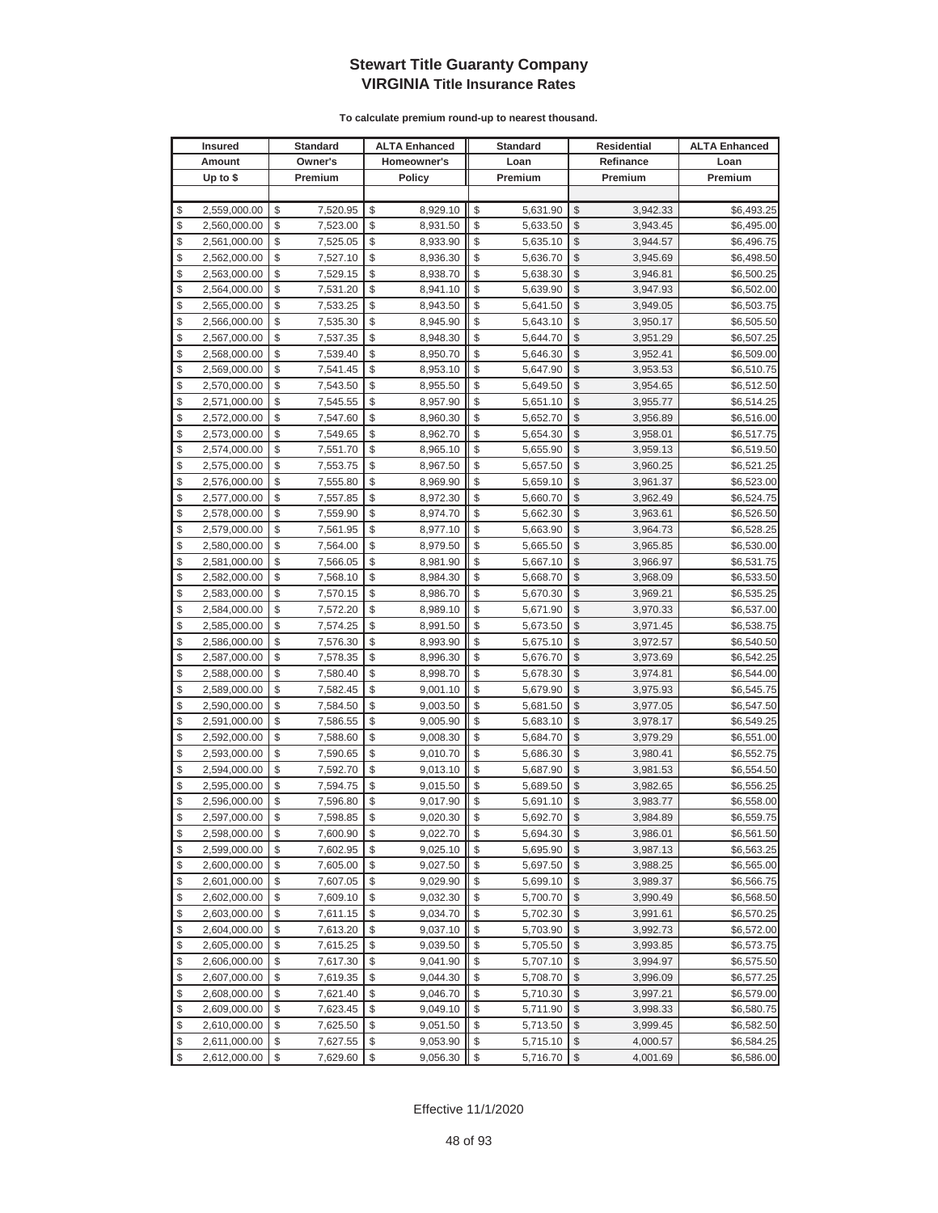| <b>Insured</b>     | <b>Standard</b> | <b>ALTA Enhanced</b> | <b>Standard</b> |                         | Residential | <b>ALTA Enhanced</b> |
|--------------------|-----------------|----------------------|-----------------|-------------------------|-------------|----------------------|
| Amount             | Owner's         | Homeowner's          | Loan            |                         | Refinance   | Loan                 |
| Up to $$$          | Premium         | <b>Policy</b>        | Premium         |                         | Premium     | Premium              |
|                    |                 |                      |                 |                         |             |                      |
| \$<br>2,559,000.00 | \$<br>7,520.95  | \$<br>8,929.10       | \$<br>5,631.90  | \$                      | 3,942.33    | \$6,493.25           |
| \$<br>2,560,000.00 | \$<br>7,523.00  | \$<br>8,931.50       | \$<br>5,633.50  | \$                      | 3,943.45    | \$6,495.00           |
| \$<br>2,561,000.00 | \$<br>7,525.05  | \$<br>8,933.90       | \$<br>5,635.10  | \$                      | 3,944.57    | \$6,496.75           |
| \$<br>2,562,000.00 | \$<br>7,527.10  | \$<br>8,936.30       | \$<br>5,636.70  | \$                      | 3,945.69    | \$6,498.50           |
| \$<br>2,563,000.00 | \$<br>7,529.15  | \$<br>8,938.70       | \$<br>5,638.30  | \$                      | 3,946.81    | \$6,500.25           |
| \$<br>2,564,000.00 | \$<br>7,531.20  | \$<br>8,941.10       | \$<br>5,639.90  | \$                      | 3,947.93    | \$6,502.00           |
| \$<br>2,565,000.00 | \$<br>7,533.25  | \$<br>8,943.50       | \$<br>5,641.50  | \$                      | 3,949.05    | \$6,503.75           |
| \$<br>2,566,000.00 | \$<br>7,535.30  | \$<br>8,945.90       | \$<br>5,643.10  | \$                      | 3,950.17    | \$6,505.50           |
| \$<br>2,567,000.00 | \$<br>7,537.35  | \$<br>8,948.30       | \$<br>5,644.70  | \$                      | 3,951.29    | \$6,507.25           |
| \$<br>2,568,000.00 | \$<br>7,539.40  | \$<br>8,950.70       | \$<br>5,646.30  | \$                      | 3,952.41    | \$6,509.00           |
| \$<br>2,569,000.00 | \$<br>7,541.45  | \$<br>8,953.10       | \$<br>5,647.90  | \$                      | 3,953.53    | \$6,510.75           |
| \$<br>2,570,000.00 | \$<br>7,543.50  | \$<br>8,955.50       | \$<br>5,649.50  | \$                      | 3,954.65    | \$6,512.50           |
| \$<br>2,571,000.00 | \$<br>7,545.55  | \$<br>8,957.90       | \$<br>5,651.10  | \$                      | 3,955.77    | \$6,514.25           |
| \$<br>2,572,000.00 | \$<br>7,547.60  | \$<br>8,960.30       | \$<br>5,652.70  | \$                      | 3,956.89    | \$6,516.00           |
| \$<br>2,573,000.00 | \$<br>7,549.65  | \$<br>8,962.70       | \$<br>5,654.30  | \$                      | 3,958.01    | \$6,517.75           |
| \$<br>2,574,000.00 | \$<br>7,551.70  | \$<br>8,965.10       | \$<br>5,655.90  | \$                      | 3,959.13    | \$6,519.50           |
| \$<br>2,575,000.00 | \$<br>7,553.75  | \$<br>8,967.50       | \$<br>5,657.50  | \$                      | 3,960.25    | \$6,521.25           |
| \$<br>2,576,000.00 | \$<br>7,555.80  | \$<br>8,969.90       | \$<br>5,659.10  | \$                      | 3,961.37    | \$6,523.00           |
| \$<br>2,577,000.00 | \$<br>7,557.85  | \$<br>8,972.30       | \$<br>5,660.70  | \$                      | 3,962.49    | \$6,524.75           |
| \$<br>2,578,000.00 | \$<br>7,559.90  | \$<br>8,974.70       | \$<br>5,662.30  | \$                      | 3,963.61    | \$6,526.50           |
| \$<br>2,579,000.00 | \$<br>7,561.95  | \$<br>8,977.10       | \$<br>5,663.90  | \$                      | 3,964.73    | \$6,528.25           |
| \$<br>2,580,000.00 | \$<br>7,564.00  | \$<br>8,979.50       | \$<br>5,665.50  | \$                      | 3,965.85    | \$6,530.00           |
| \$<br>2,581,000.00 | \$<br>7,566.05  | \$<br>8,981.90       | \$<br>5,667.10  | \$                      | 3,966.97    | \$6,531.75           |
| \$<br>2,582,000.00 | \$<br>7,568.10  | \$<br>8,984.30       | \$<br>5,668.70  | \$                      | 3,968.09    | \$6,533.50           |
| \$<br>2,583,000.00 | \$<br>7,570.15  | \$<br>8,986.70       | \$<br>5,670.30  | \$                      | 3,969.21    | \$6,535.25           |
| \$<br>2,584,000.00 | \$<br>7,572.20  | \$<br>8,989.10       | \$<br>5,671.90  | \$                      | 3,970.33    | \$6,537.00           |
| \$<br>2,585,000.00 | \$<br>7,574.25  | \$<br>8,991.50       | \$<br>5,673.50  | \$                      | 3,971.45    | \$6,538.75           |
| \$<br>2,586,000.00 | \$<br>7,576.30  | \$<br>8,993.90       | \$<br>5,675.10  | \$                      | 3,972.57    | \$6,540.50           |
| \$<br>2,587,000.00 | \$<br>7,578.35  | \$<br>8,996.30       | \$<br>5,676.70  | \$                      | 3,973.69    | \$6,542.25           |
| \$<br>2,588,000.00 | \$<br>7,580.40  | \$<br>8,998.70       | \$<br>5,678.30  | \$                      | 3,974.81    | \$6,544.00           |
| \$<br>2,589,000.00 | \$<br>7,582.45  | \$<br>9,001.10       | \$<br>5,679.90  | \$                      | 3,975.93    | \$6,545.75           |
| \$<br>2,590,000.00 | \$<br>7,584.50  | \$<br>9,003.50       | \$<br>5,681.50  | \$                      | 3,977.05    | \$6,547.50           |
| \$<br>2,591,000.00 | \$<br>7,586.55  | \$<br>9,005.90       | \$<br>5,683.10  | \$                      | 3,978.17    | \$6,549.25           |
| \$<br>2,592,000.00 | \$<br>7,588.60  | \$<br>9,008.30       | \$<br>5,684.70  | \$                      | 3,979.29    | \$6,551.00           |
| \$<br>2,593,000.00 | \$<br>7,590.65  | \$<br>9,010.70       | \$<br>5,686.30  | \$                      | 3,980.41    | \$6,552.75           |
| \$<br>2,594,000.00 | \$<br>7,592.70  | \$<br>9,013.10       | \$<br>5,687.90  | \$                      | 3,981.53    | \$6,554.50           |
| \$<br>2,595,000.00 | \$<br>7,594.75  | \$<br>9,015.50       | \$<br>5,689.50  | \$                      | 3,982.65    | \$6,556.25           |
| \$<br>2,596,000.00 | \$<br>7,596.80  | \$<br>9,017.90       | \$<br>5,691.10  | \$                      | 3,983.77    | \$6,558.00           |
| \$<br>2,597,000.00 | \$<br>7,598.85  | \$<br>9,020.30       | \$<br>5,692.70  | $\sqrt[6]{\frac{1}{2}}$ | 3,984.89    | \$6,559.75           |
| \$<br>2,598,000.00 | \$<br>7,600.90  | \$<br>9,022.70       | \$<br>5,694.30  | \$                      | 3,986.01    | \$6,561.50           |
| \$<br>2,599,000.00 | \$<br>7,602.95  | \$<br>9,025.10       | \$<br>5,695.90  | \$                      | 3,987.13    | \$6,563.25           |
| \$<br>2,600,000.00 | \$<br>7,605.00  | \$<br>9,027.50       | \$<br>5,697.50  | $\frac{1}{2}$           | 3,988.25    | \$6,565.00           |
| \$<br>2,601,000.00 | \$<br>7,607.05  | \$<br>9,029.90       | \$<br>5,699.10  | \$                      | 3,989.37    | \$6,566.75           |
| \$<br>2,602,000.00 | \$<br>7,609.10  | \$<br>9,032.30       | \$<br>5,700.70  | \$                      | 3,990.49    | \$6,568.50           |
| \$<br>2,603,000.00 | \$<br>7,611.15  | \$<br>9,034.70       | \$<br>5,702.30  | \$                      | 3,991.61    | \$6,570.25           |
| \$<br>2,604,000.00 | \$<br>7,613.20  | \$<br>9,037.10       | \$<br>5,703.90  | \$                      | 3,992.73    | \$6,572.00           |
| \$<br>2,605,000.00 | \$<br>7,615.25  | \$<br>9,039.50       | \$<br>5,705.50  | \$                      | 3,993.85    | \$6,573.75           |
| \$<br>2,606,000.00 | \$<br>7,617.30  | \$<br>9,041.90       | \$<br>5,707.10  | \$                      | 3,994.97    | \$6,575.50           |
| \$<br>2,607,000.00 | \$<br>7,619.35  | \$<br>9,044.30       | \$<br>5,708.70  | \$                      | 3,996.09    | \$6,577.25           |
| \$<br>2,608,000.00 | \$<br>7,621.40  | \$<br>9,046.70       | \$<br>5,710.30  | \$                      | 3,997.21    | \$6,579.00           |
| \$<br>2,609,000.00 | \$<br>7,623.45  | \$<br>9,049.10       | \$<br>5,711.90  | \$                      | 3,998.33    | \$6,580.75           |
| \$<br>2,610,000.00 | \$<br>7,625.50  | \$<br>9,051.50       | \$<br>5,713.50  | \$                      | 3,999.45    | \$6,582.50           |
| \$<br>2,611,000.00 | \$<br>7,627.55  | \$<br>9,053.90       | \$<br>5,715.10  | \$                      | 4,000.57    | \$6,584.25           |
| \$<br>2,612,000.00 | \$<br>7,629.60  | \$<br>9,056.30       | \$<br>5,716.70  | $\sqrt[6]{\frac{1}{2}}$ | 4,001.69    | \$6,586.00           |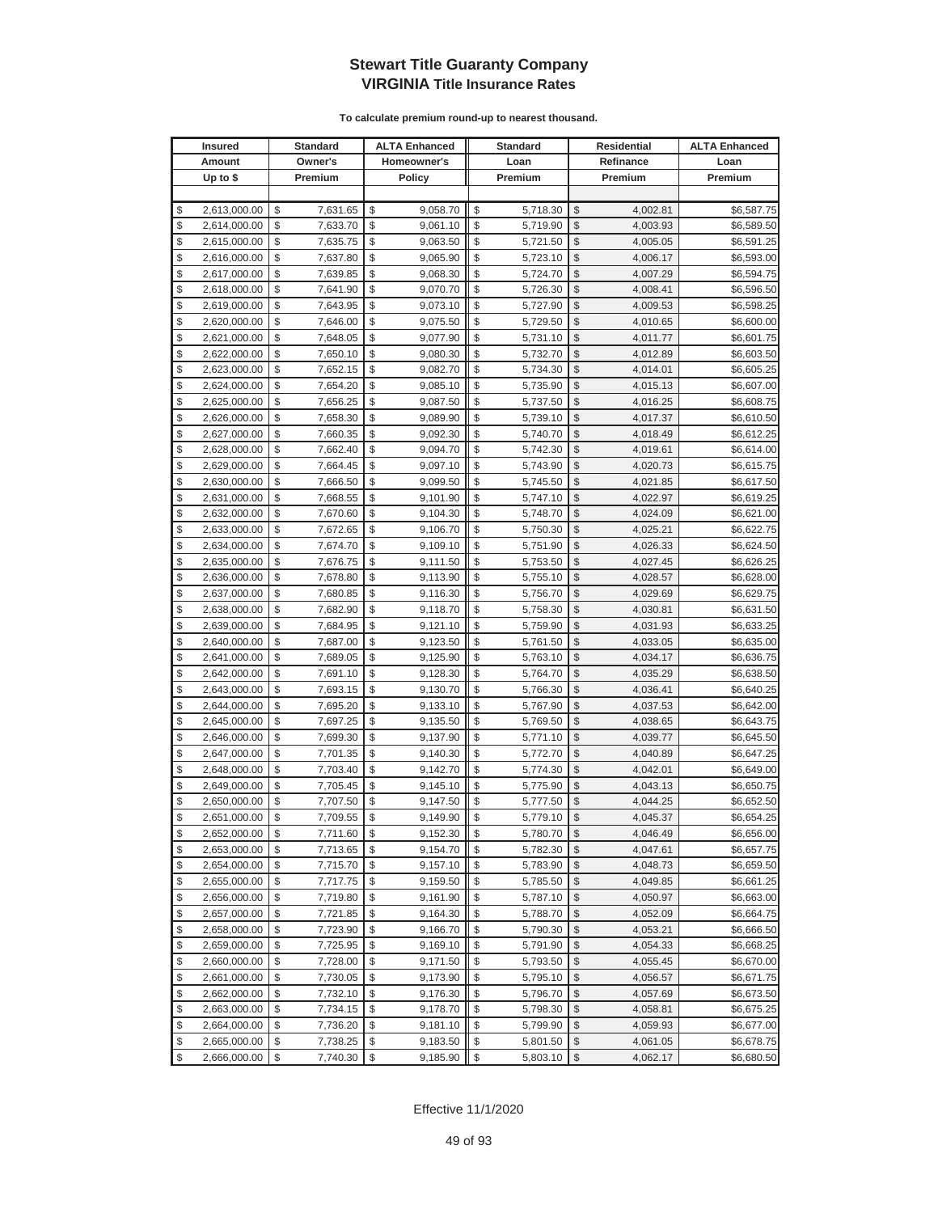|          | <b>Insured</b>               |                         | Standard             |          | <b>ALTA Enhanced</b> |          | <b>Standard</b>      |               | Residential          | <b>ALTA Enhanced</b>     |
|----------|------------------------------|-------------------------|----------------------|----------|----------------------|----------|----------------------|---------------|----------------------|--------------------------|
|          | Amount                       |                         | Owner's              |          | Homeowner's          |          | Loan                 |               | Refinance            | Loan                     |
|          | Up to $$$                    |                         | Premium              |          | <b>Policy</b>        |          | Premium              |               | Premium              | Premium                  |
|          |                              |                         |                      |          |                      |          |                      |               |                      |                          |
| \$       | 2,613,000.00                 | \$                      | 7,631.65             | \$       | 9,058.70             | \$       | 5,718.30             | \$            | 4,002.81             | \$6,587.75               |
| \$       | 2,614,000.00                 | \$                      | 7,633.70             | \$       | 9,061.10             | \$       | 5,719.90             | \$            | 4,003.93             | \$6,589.50               |
| \$       | 2,615,000.00                 | \$                      | 7,635.75             | \$       | 9,063.50             | \$       | 5,721.50             | \$            | 4,005.05             | \$6,591.25               |
| \$       | 2,616,000.00                 | \$                      | 7,637.80             | \$       | 9,065.90             | \$       | 5,723.10             | \$            | 4,006.17             | \$6,593.00               |
| \$       | 2,617,000.00                 | \$                      | 7,639.85             | \$       | 9,068.30             | \$       | 5,724.70             | \$            | 4,007.29             | \$6,594.75               |
| \$       | 2,618,000.00                 | \$                      | 7,641.90             | \$       | 9,070.70             | \$       | 5,726.30             | \$            | 4,008.41             | \$6,596.50               |
| \$       | 2,619,000.00                 | \$                      | 7,643.95             | \$       | 9,073.10             | \$       | 5,727.90             | \$            | 4,009.53             | \$6,598.25               |
| \$       | 2,620,000.00                 | \$                      | 7,646.00             | \$       | 9,075.50             | \$       | 5,729.50             | \$            | 4,010.65             | \$6,600.00               |
| \$       | 2,621,000.00                 | \$                      | 7,648.05             | \$       | 9,077.90             | \$       | 5,731.10             | \$            | 4,011.77             | \$6,601.75               |
| \$       | 2,622,000.00                 | \$                      | 7,650.10             | \$       | 9,080.30             | \$       | 5,732.70             | \$            | 4,012.89             | \$6,603.50               |
| \$       | 2,623,000.00                 | \$                      | 7,652.15             | \$       | 9,082.70             | \$       | 5,734.30             | \$            | 4,014.01             | \$6,605.25               |
| \$       | 2,624,000.00                 | \$                      | 7,654.20             | \$       | 9,085.10             | \$       | 5,735.90             | \$            | 4,015.13             | \$6,607.00               |
| \$       | 2,625,000.00                 | \$                      | 7,656.25             | \$       | 9,087.50             | \$       | 5,737.50             | \$            | 4,016.25             | \$6,608.75               |
| \$       | 2,626,000.00                 | \$                      | 7,658.30             | \$       | 9,089.90             | \$       | 5,739.10             | \$            | 4,017.37             | \$6,610.50               |
| \$       | 2,627,000.00                 | \$                      | 7,660.35             | \$       | 9,092.30             | \$       | 5,740.70             | \$            | 4,018.49             | \$6,612.25               |
| \$       | 2,628,000.00                 | \$                      | 7,662.40             | \$       | 9,094.70             | \$       | 5,742.30             | \$            | 4,019.61             | \$6,614.00               |
| \$       | 2,629,000.00                 | \$                      | 7,664.45             | \$       | 9,097.10             | \$       | 5,743.90             | \$            | 4,020.73             | \$6,615.75               |
| \$       | 2,630,000.00                 | \$                      | 7,666.50             | \$       | 9,099.50             | \$       | 5,745.50             | \$            | 4,021.85             | \$6,617.50               |
| \$       | 2,631,000.00                 | \$                      | 7,668.55             | \$       | 9,101.90             | \$       | 5,747.10             | \$            | 4,022.97             | \$6,619.25               |
| \$       | 2,632,000.00                 | \$                      | 7,670.60             | \$       | 9,104.30             | \$       | 5,748.70             | \$            | 4,024.09             | \$6,621.00               |
| \$       | 2,633,000.00                 | \$                      | 7,672.65             | \$       | 9,106.70             | \$       | 5,750.30             | \$            | 4,025.21             | \$6,622.75               |
| \$       | 2,634,000.00                 | \$                      | 7,674.70             | \$       | 9,109.10             | \$       | 5,751.90             | \$            | 4,026.33             | \$6,624.50               |
| \$       | 2,635,000.00                 | \$                      | 7,676.75             | \$       | 9,111.50             | \$       | 5,753.50             | \$            | 4,027.45             | \$6,626.25               |
| \$       | 2,636,000.00                 | \$                      | 7,678.80             | \$       | 9,113.90             | \$       | 5,755.10             | \$            | 4,028.57             | \$6,628.00               |
| \$       | 2,637,000.00                 | \$                      | 7,680.85             | \$       | 9,116.30             | \$       | 5,756.70             | \$            | 4,029.69             | \$6,629.75               |
| \$       | 2,638,000.00                 | \$                      | 7,682.90             | \$       | 9,118.70             | \$       | 5,758.30             | \$            | 4,030.81             | \$6,631.50               |
| \$       | 2,639,000.00                 | \$                      | 7,684.95             | \$       | 9,121.10             | \$       | 5,759.90             | $\mathcal{S}$ | 4,031.93             | \$6,633.25               |
| \$       | 2,640,000.00                 | \$                      | 7,687.00             | \$       | 9,123.50             | \$       | 5,761.50             | \$            | 4,033.05             | \$6,635.00               |
| \$       | 2,641,000.00                 | \$                      | 7,689.05             | \$       | 9,125.90             | \$       | 5,763.10             | \$            | 4,034.17             | \$6,636.75               |
| \$       | 2,642,000.00                 | \$                      | 7,691.10             | \$       | 9,128.30             | \$       | 5,764.70             | \$            | 4,035.29             | \$6,638.50               |
| \$       | 2,643,000.00                 | \$                      | 7,693.15             | \$       | 9,130.70             | \$       | 5,766.30             | \$            | 4,036.41             | \$6,640.25               |
| \$       | 2,644,000.00                 | \$                      | 7,695.20             | \$       | 9,133.10             | \$       | 5,767.90             | \$            | 4,037.53             | \$6,642.00               |
| \$       | 2,645,000.00                 | \$                      | 7,697.25             | \$       | 9,135.50             | \$       | 5,769.50             | \$            | 4,038.65             | \$6,643.75               |
| \$       | 2,646,000.00                 | \$                      | 7,699.30             | \$       | 9,137.90             | \$       | 5,771.10             | \$            | 4,039.77             | \$6,645.50               |
| \$       | 2,647,000.00                 | \$                      | 7,701.35             | \$       | 9,140.30             | \$       | 5,772.70             | \$            | 4,040.89             | \$6,647.25               |
| \$       | 2,648,000.00                 | \$                      | 7,703.40             | \$       | 9,142.70             | \$       | 5,774.30             | \$            | 4,042.01             | \$6,649.00               |
| \$<br>\$ | 2,649,000.00                 | \$<br>\$                | 7,705.45             | \$<br>\$ | 9,145.10             | \$<br>\$ | 5,775.90             | \$<br>\$      | 4,043.13             | \$6,650.75               |
| \$       | 2,650,000.00<br>2,651,000.00 | \$                      | 7,707.50<br>7,709.55 | \$       | 9,147.50<br>9,149.90 | \$       | 5,777.50<br>5,779.10 | \$            | 4,044.25<br>4,045.37 | \$6,652.50<br>\$6,654.25 |
| \$       | 2,652,000.00                 | \$                      | 7,711.60             | \$       | 9,152.30             | \$       | 5,780.70             | $\sqrt[6]{2}$ | 4,046.49             | \$6,656.00               |
| \$       | 2,653,000.00                 | \$                      | 7,713.65             | \$       | 9,154.70             | \$       | 5,782.30             | \$            | 4,047.61             | \$6,657.75               |
| \$       | 2,654,000.00                 | $\sqrt[6]{\frac{1}{2}}$ | 7,715.70             | \$       | 9,157.10             | \$       | 5,783.90             | $\frac{1}{2}$ | 4,048.73             | \$6,659.50               |
| \$       | 2,655,000.00                 | \$                      | 7,717.75             | \$       | 9,159.50             | \$       | 5,785.50             | \$            | 4,049.85             | \$6,661.25               |
| \$       | 2,656,000.00                 | \$                      | 7,719.80             | \$       | 9,161.90             | \$       | 5,787.10             | \$            | 4,050.97             | \$6,663.00               |
| \$       | 2,657,000.00                 | \$                      | 7,721.85             | \$       | 9,164.30             | \$       | 5,788.70             | \$            | 4,052.09             | \$6,664.75               |
| \$       | 2,658,000.00                 | \$                      | 7,723.90             | \$       | 9,166.70             | \$       | 5,790.30             | \$            | 4,053.21             | \$6,666.50               |
| \$       | 2,659,000.00                 | \$                      | 7,725.95             | \$       | 9,169.10             | \$       | 5,791.90             | \$            | 4,054.33             | \$6,668.25               |
| \$       | 2,660,000.00                 | \$                      | 7,728.00             | \$       | 9,171.50             | \$       | 5,793.50             | \$            | 4,055.45             | \$6,670.00               |
| \$       | 2,661,000.00                 | \$                      | 7,730.05             | \$       | 9,173.90             | \$       | 5,795.10             | \$            | 4,056.57             | \$6,671.75               |
| \$       | 2,662,000.00                 | \$                      | 7,732.10             | \$       | 9,176.30             | \$       | 5,796.70             | \$            | 4,057.69             | \$6,673.50               |
| \$       | 2,663,000.00                 | \$                      | 7,734.15             | \$       | 9,178.70             | \$       | 5,798.30             | \$            | 4,058.81             | \$6,675.25               |
| \$       | 2,664,000.00                 | \$                      | 7,736.20             | \$       | 9,181.10             | \$       | 5,799.90             | \$            | 4,059.93             | \$6,677.00               |
| \$       | 2,665,000.00                 | \$                      | 7,738.25             | \$       | 9,183.50             | \$       | 5,801.50             | \$            | 4,061.05             | \$6,678.75               |
| \$       | 2,666,000.00                 | \$                      | 7,740.30             | \$       | 9,185.90             | \$       | 5,803.10             | $\frac{1}{2}$ | 4,062.17             | \$6,680.50               |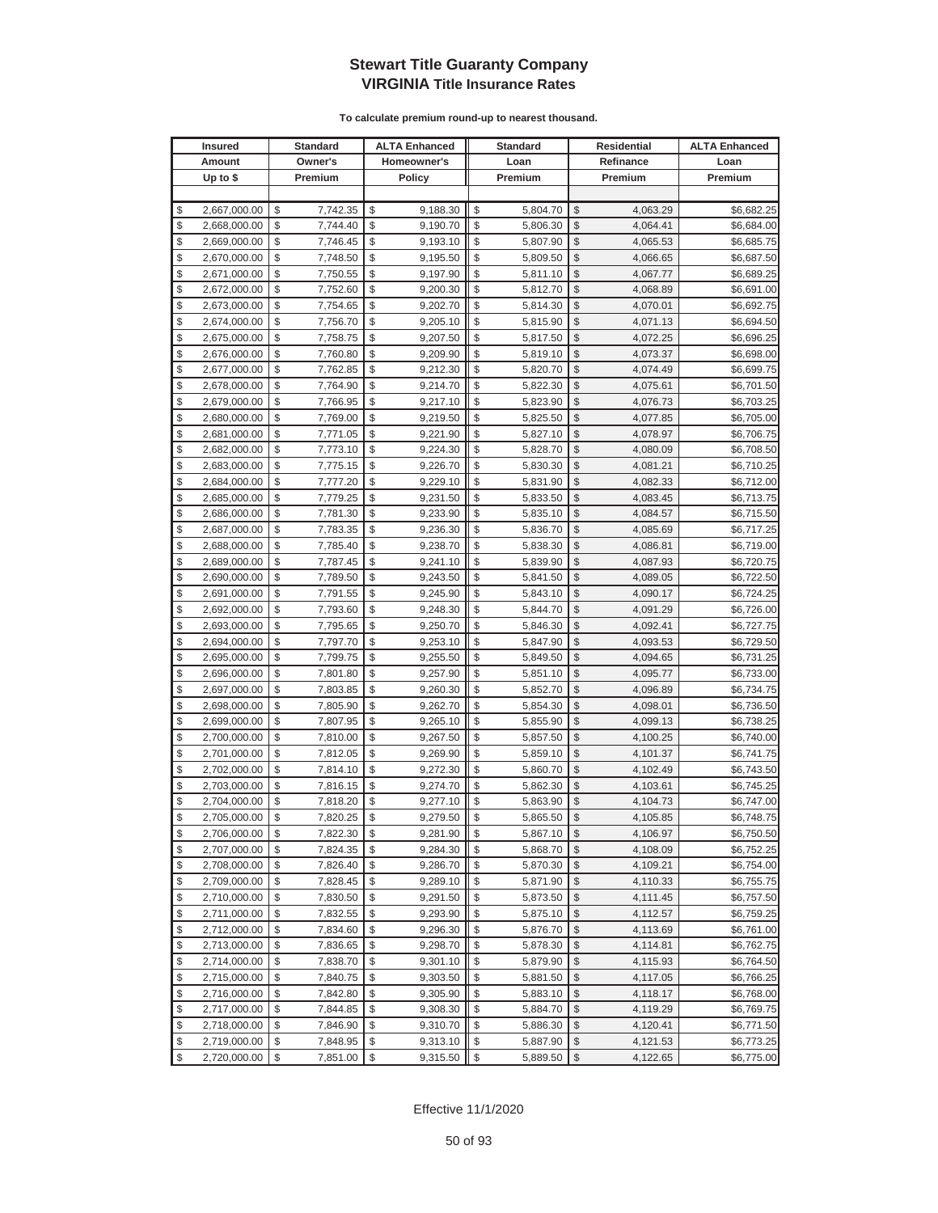|          | <b>Insured</b>               |          | <b>Standard</b>      |          | <b>ALTA Enhanced</b> |          | <b>Standard</b>      |               | <b>Residential</b>   | <b>ALTA Enhanced</b>     |
|----------|------------------------------|----------|----------------------|----------|----------------------|----------|----------------------|---------------|----------------------|--------------------------|
|          | Amount                       |          | Owner's              |          | Homeowner's          |          | Loan                 |               | Refinance            | Loan                     |
|          | Up to $$$                    |          | Premium              |          | <b>Policy</b>        |          | Premium              |               | Premium              | Premium                  |
|          |                              |          |                      |          |                      |          |                      |               |                      |                          |
| \$       | 2,667,000.00                 | \$       | 7,742.35             | \$       | 9,188.30             | \$       | 5,804.70             | \$            | 4,063.29             | \$6,682.25               |
| \$       | 2,668,000.00                 | \$       | 7,744.40             | \$       | 9,190.70             | \$       | 5,806.30             | \$            | 4,064.41             | \$6,684.00               |
| \$       | 2,669,000.00                 | \$       | 7,746.45             | \$       | 9,193.10             | \$       | 5,807.90             | $\mathcal{S}$ | 4,065.53             | \$6,685.75               |
| \$       | 2,670,000.00                 | \$       | 7,748.50             | \$       | 9,195.50             | \$       | 5,809.50             | \$            | 4,066.65             | \$6,687.50               |
| \$       | 2,671,000.00                 | \$       | 7,750.55             | \$       | 9,197.90             | \$       | 5,811.10             | \$            | 4,067.77             | \$6,689.25               |
| \$       | 2,672,000.00                 | \$       | 7,752.60             | \$       | 9,200.30             | \$       | 5,812.70             | \$            | 4,068.89             | \$6,691.00               |
| \$       | 2,673,000.00                 | \$       | 7,754.65             | \$       | 9,202.70             | \$       | 5,814.30             | \$            | 4,070.01             | \$6,692.75               |
| \$       | 2,674,000.00                 | \$       | 7,756.70             | \$       | 9,205.10             | \$       | 5,815.90             | \$            | 4,071.13             | \$6,694.50               |
| \$       | 2,675,000.00                 | \$       | 7,758.75             | \$       | 9,207.50             | \$       | 5,817.50             | \$            | 4,072.25             | \$6,696.25               |
| \$       | 2,676,000.00                 | \$       | 7,760.80             | \$       | 9,209.90             | \$       | 5,819.10             | \$            | 4,073.37             | \$6,698.00               |
| \$       | 2,677,000.00                 | \$       | 7,762.85             | \$       | 9,212.30             | \$       | 5,820.70             | \$            | 4,074.49             | \$6,699.75               |
| \$       | 2,678,000.00                 | \$       | 7,764.90             | \$       | 9,214.70             | \$       | 5,822.30             | \$            | 4,075.61             | \$6,701.50               |
| \$       | 2,679,000.00                 | \$       | 7,766.95             | \$       | 9,217.10             | \$       | 5,823.90             | \$            | 4,076.73             | \$6,703.25               |
| \$       | 2,680,000.00                 | \$       | 7,769.00             | \$       | 9,219.50             | \$       | 5,825.50             | \$            | 4,077.85             | \$6,705.00               |
| \$       | 2,681,000.00                 | \$       | 7,771.05             | \$       | 9,221.90             | \$       | 5,827.10             | \$            | 4,078.97             | \$6,706.75               |
| \$       | 2,682,000.00                 | \$       | 7,773.10             | \$       | 9,224.30             | \$       | 5,828.70             | \$            | 4,080.09             | \$6,708.50               |
| \$       | 2,683,000.00                 | \$       | 7,775.15             | \$       | 9,226.70             | \$       | 5,830.30             | \$            | 4,081.21             | \$6,710.25               |
| \$       | 2,684,000.00                 | \$       | 7,777.20             | \$       | 9,229.10             | \$       | 5,831.90             | \$            | 4,082.33             | \$6,712.00               |
| \$       | 2,685,000.00                 | \$       | 7,779.25             | \$       | 9,231.50             | \$       | 5,833.50             | \$            | 4,083.45             | \$6,713.75               |
| \$       | 2,686,000.00                 | \$       | 7,781.30             | \$       | 9,233.90             | \$       | 5,835.10             | \$            | 4,084.57             | \$6,715.50               |
| \$       | 2,687,000.00                 | \$       | 7,783.35             | \$       | 9,236.30             | \$       | 5,836.70             | \$            | 4,085.69             | \$6,717.25               |
| \$       | 2,688,000.00                 | \$       | 7,785.40             | \$       | 9,238.70             | \$       | 5,838.30             | \$            | 4,086.81             | \$6,719.00               |
| \$       | 2,689,000.00                 | \$       | 7,787.45             | \$       | 9,241.10             | \$       | 5,839.90             | \$            | 4,087.93             | \$6,720.75               |
| \$       | 2,690,000.00                 | \$       | 7,789.50             | \$       | 9,243.50             | \$       | 5,841.50             | \$            | 4,089.05             | \$6,722.50               |
| \$       | 2,691,000.00                 | \$       | 7,791.55             | \$       | 9,245.90             | \$       | 5,843.10             | \$            | 4,090.17             | \$6,724.25               |
| \$       | 2,692,000.00                 | \$       | 7,793.60             | \$       | 9,248.30             | \$       | 5,844.70             | \$            | 4,091.29             | \$6,726.00               |
| \$       | 2,693,000.00                 | \$       | 7,795.65             | \$       | 9,250.70             | \$       | 5,846.30             | \$            | 4,092.41             | \$6,727.75               |
| \$       | 2,694,000.00                 | \$       | 7,797.70             | \$       | 9,253.10             | \$       | 5,847.90             | \$            | 4,093.53             | \$6,729.50               |
| \$       | 2,695,000.00                 | \$       | 7,799.75             | \$       | 9,255.50             | \$       | 5,849.50             | \$            | 4,094.65             | \$6,731.25               |
| \$       | 2,696,000.00                 | \$       | 7,801.80             | \$       | 9,257.90             | \$       | 5,851.10             | \$            | 4,095.77             | \$6,733.00               |
| \$       | 2,697,000.00                 | \$       | 7,803.85             | \$       | 9,260.30             | \$       | 5,852.70             | \$            | 4,096.89             | \$6,734.75               |
| \$       | 2,698,000.00                 | \$       | 7,805.90             | \$       | 9,262.70             | \$       | 5,854.30             | \$            | 4,098.01             | \$6,736.50               |
| \$       | 2,699,000.00                 | \$       | 7,807.95             | \$       | 9,265.10             | \$       | 5,855.90             | \$            | 4,099.13             | \$6,738.25               |
| \$       | 2,700,000.00                 | \$       | 7,810.00             | \$       | 9,267.50             | \$       | 5,857.50             | \$            | 4,100.25             | \$6,740.00               |
| \$       | 2,701,000.00                 | \$       | 7,812.05             | \$<br>\$ | 9,269.90             | \$       | 5,859.10             | \$            | 4,101.37             | \$6,741.75               |
| \$<br>\$ | 2,702,000.00                 | \$<br>\$ | 7,814.10             | \$       | 9,272.30             | \$<br>\$ | 5,860.70             | \$<br>\$      | 4,102.49             | \$6,743.50               |
| \$       | 2,703,000.00                 | \$       | 7,816.15             | \$       | 9,274.70             | \$       | 5,862.30             | \$            | 4,103.61<br>4,104.73 | \$6,745.25<br>\$6,747.00 |
| \$       | 2,704,000.00<br>2,705,000.00 | \$       | 7,818.20<br>7,820.25 | \$       | 9,277.10<br>9,279.50 | \$       | 5,863.90<br>5,865.50 | \$            | 4,105.85             | \$6,748.75               |
| \$       | 2,706,000.00                 | \$       | 7,822.30             | \$       | 9,281.90             | \$       | 5,867.10             | $\sqrt[6]{2}$ | 4,106.97             | \$6,750.50               |
| \$       | 2,707,000.00                 | \$       | 7,824.35             | \$       | 9,284.30             | \$       | 5,868.70             | \$            | 4,108.09             | \$6,752.25               |
| \$       | 2,708,000.00                 | \$       | 7,826.40             | \$       | 9,286.70             | \$       | 5,870.30             | \$            | 4,109.21             | \$6,754.00               |
| \$       | 2,709,000.00                 | \$       | 7,828.45             | \$       | 9,289.10             | \$       | 5,871.90             | \$            | 4,110.33             | \$6,755.75               |
| \$       | 2,710,000.00                 | \$       | 7,830.50             | \$       | 9,291.50             | \$       | 5,873.50             | \$            | 4,111.45             | \$6,757.50               |
| \$       | 2,711,000.00                 | \$       | 7,832.55             | \$       | 9,293.90             | \$       | 5,875.10             | \$            | 4,112.57             | \$6,759.25               |
| \$       | 2,712,000.00                 | \$       | 7,834.60             | \$       | 9,296.30             | \$       | 5,876.70             | \$            | 4,113.69             | \$6,761.00               |
| \$       | 2,713,000.00                 | \$       | 7,836.65             | \$       | 9,298.70             | \$       | 5,878.30             | \$            | 4,114.81             | \$6,762.75               |
| \$       | 2,714,000.00                 | \$       | 7,838.70             | \$       | 9,301.10             | \$       | 5,879.90             | \$            | 4,115.93             | \$6,764.50               |
| \$       | 2,715,000.00                 | \$       | 7,840.75             | \$       | 9,303.50             | \$       | 5,881.50             | \$            | 4,117.05             | \$6,766.25               |
| \$       | 2,716,000.00                 | \$       | 7,842.80             | \$       | 9,305.90             | \$       | 5,883.10             | \$            | 4,118.17             | \$6,768.00               |
| \$       | 2,717,000.00                 | \$       | 7,844.85             | \$       | 9,308.30             | \$       | 5,884.70             | \$            | 4,119.29             | \$6,769.75               |
| \$       | 2,718,000.00                 | \$       | 7,846.90             | \$       | 9,310.70             | \$       | 5,886.30             | \$            | 4,120.41             | \$6,771.50               |
| \$       | 2,719,000.00                 | \$       | 7,848.95             | \$       | 9,313.10             | \$       | 5,887.90             | \$            | 4,121.53             | \$6,773.25               |
| \$       | 2,720,000.00                 | \$       | 7,851.00             | \$       | 9,315.50             | \$       | 5,889.50             | $\frac{1}{2}$ | 4,122.65             | \$6,775.00               |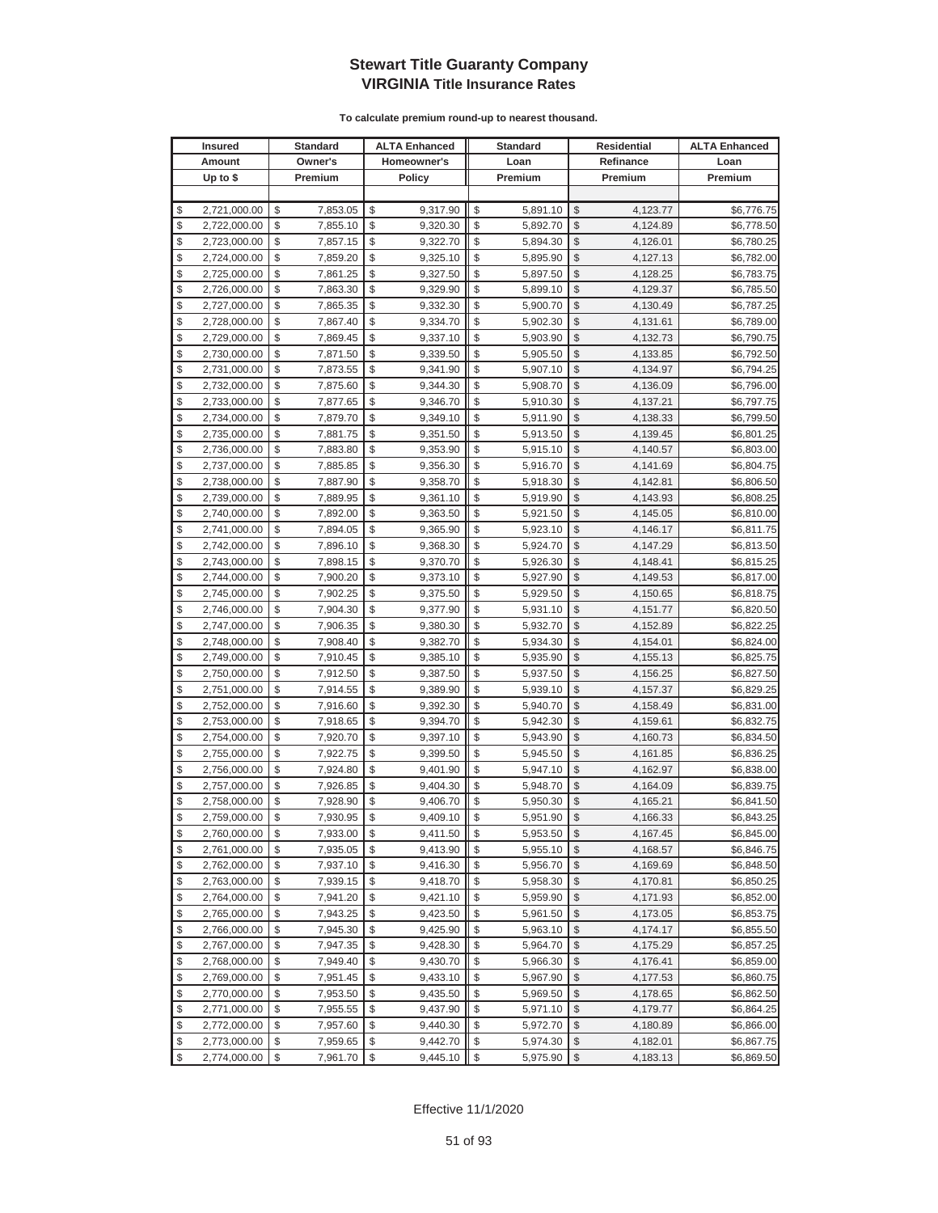| <b>Insured</b>     | Standard       | <b>ALTA Enhanced</b> | <b>Standard</b> |               | Residential | <b>ALTA Enhanced</b> |
|--------------------|----------------|----------------------|-----------------|---------------|-------------|----------------------|
| Amount             | Owner's        | Homeowner's          | Loan            |               | Refinance   | Loan                 |
| Up to $$$          | Premium        | <b>Policy</b>        | Premium         |               | Premium     | Premium              |
|                    |                |                      |                 |               |             |                      |
| \$<br>2,721,000.00 | \$<br>7,853.05 | \$<br>9,317.90       | \$<br>5,891.10  | \$            | 4,123.77    | \$6,776.75           |
| \$<br>2,722,000.00 | \$<br>7,855.10 | \$<br>9,320.30       | \$<br>5,892.70  | \$            | 4,124.89    | \$6,778.50           |
| \$<br>2,723,000.00 | \$<br>7,857.15 | \$<br>9,322.70       | \$<br>5,894.30  | \$            | 4,126.01    | \$6,780.25           |
| \$<br>2,724,000.00 | \$<br>7,859.20 | \$<br>9,325.10       | \$<br>5,895.90  | \$            | 4,127.13    | \$6,782.00           |
| \$<br>2,725,000.00 | \$<br>7,861.25 | \$<br>9,327.50       | \$<br>5,897.50  | \$            | 4,128.25    | \$6,783.75           |
| \$<br>2,726,000.00 | \$<br>7,863.30 | \$<br>9,329.90       | \$<br>5,899.10  | \$            | 4,129.37    | \$6,785.50           |
| \$<br>2,727,000.00 | \$<br>7,865.35 | \$<br>9,332.30       | \$<br>5,900.70  | \$            | 4,130.49    | \$6,787.25           |
| \$<br>2,728,000.00 | \$<br>7,867.40 | \$<br>9,334.70       | \$<br>5,902.30  | \$            | 4,131.61    | \$6,789.00           |
| \$<br>2,729,000.00 | \$<br>7,869.45 | \$<br>9,337.10       | \$<br>5,903.90  | \$            | 4,132.73    | \$6,790.75           |
| \$<br>2,730,000.00 | \$<br>7,871.50 | \$<br>9,339.50       | \$<br>5,905.50  | \$            | 4,133.85    | \$6,792.50           |
| \$<br>2,731,000.00 | \$<br>7,873.55 | \$<br>9,341.90       | \$<br>5,907.10  | \$            | 4,134.97    | \$6,794.25           |
| \$<br>2,732,000.00 | \$<br>7,875.60 | \$<br>9,344.30       | \$<br>5,908.70  | \$            | 4,136.09    | \$6,796.00           |
| \$<br>2,733,000.00 | \$<br>7,877.65 | \$<br>9,346.70       | \$<br>5,910.30  | \$            | 4,137.21    | \$6,797.75           |
| \$<br>2,734,000.00 | \$<br>7,879.70 | \$<br>9,349.10       | \$<br>5,911.90  | \$            | 4,138.33    | \$6,799.50           |
| \$<br>2,735,000.00 | \$<br>7,881.75 | \$<br>9,351.50       | \$<br>5,913.50  | \$            | 4,139.45    | \$6,801.25           |
| \$<br>2,736,000.00 | \$<br>7,883.80 | \$<br>9,353.90       | \$<br>5,915.10  | \$            | 4,140.57    | \$6,803.00           |
| \$<br>2,737,000.00 | \$<br>7,885.85 | \$<br>9,356.30       | \$<br>5,916.70  | \$            | 4,141.69    | \$6,804.75           |
| \$<br>2,738,000.00 | \$<br>7,887.90 | \$<br>9,358.70       | \$<br>5,918.30  | \$            | 4,142.81    | \$6,806.50           |
| \$<br>2,739,000.00 | \$<br>7,889.95 | \$<br>9,361.10       | \$<br>5,919.90  | \$            | 4,143.93    | \$6,808.25           |
| \$<br>2,740,000.00 | \$<br>7,892.00 | \$<br>9,363.50       | \$<br>5,921.50  | \$            | 4,145.05    | \$6,810.00           |
| \$<br>2,741,000.00 | \$<br>7,894.05 | \$<br>9,365.90       | \$<br>5,923.10  | \$            | 4,146.17    | \$6,811.75           |
| \$<br>2,742,000.00 | \$<br>7,896.10 | \$<br>9,368.30       | \$<br>5,924.70  | \$            | 4,147.29    | \$6,813.50           |
| \$<br>2,743,000.00 | \$<br>7,898.15 | \$<br>9,370.70       | \$<br>5,926.30  | \$            | 4,148.41    | \$6,815.25           |
| \$<br>2,744,000.00 | \$<br>7,900.20 | \$<br>9,373.10       | \$<br>5,927.90  | \$            | 4,149.53    | \$6,817.00           |
| \$<br>2,745,000.00 | \$<br>7,902.25 | \$<br>9,375.50       | \$<br>5,929.50  | \$            | 4,150.65    | \$6,818.75           |
| \$<br>2,746,000.00 | \$<br>7,904.30 | \$<br>9,377.90       | \$<br>5,931.10  | \$            | 4,151.77    | \$6,820.50           |
| \$<br>2,747,000.00 | \$<br>7,906.35 | \$<br>9,380.30       | \$<br>5,932.70  | $\mathcal{S}$ | 4,152.89    | \$6,822.25           |
| \$<br>2,748,000.00 | \$<br>7,908.40 | \$<br>9,382.70       | \$<br>5,934.30  | \$            | 4,154.01    | \$6,824.00           |
| \$<br>2,749,000.00 | \$<br>7,910.45 | \$<br>9,385.10       | \$<br>5,935.90  | \$            | 4,155.13    | \$6,825.75           |
| \$<br>2,750,000.00 | \$<br>7,912.50 | \$<br>9,387.50       | \$<br>5,937.50  | \$            | 4,156.25    | \$6,827.50           |
| \$<br>2,751,000.00 | \$<br>7,914.55 | \$<br>9,389.90       | \$<br>5,939.10  | \$            | 4,157.37    | \$6,829.25           |
| \$<br>2,752,000.00 | \$<br>7,916.60 | \$<br>9,392.30       | \$<br>5,940.70  | \$            | 4,158.49    | \$6,831.00           |
| \$<br>2,753,000.00 | \$<br>7,918.65 | \$<br>9,394.70       | \$<br>5,942.30  | \$            | 4,159.61    | \$6,832.75           |
| \$<br>2,754,000.00 | \$<br>7,920.70 | \$<br>9,397.10       | \$<br>5,943.90  | \$            | 4,160.73    | \$6,834.50           |
| \$<br>2,755,000.00 | \$<br>7,922.75 | \$<br>9,399.50       | \$<br>5,945.50  | \$            | 4,161.85    | \$6,836.25           |
| \$<br>2,756,000.00 | \$<br>7,924.80 | \$<br>9,401.90       | \$<br>5,947.10  | \$            | 4,162.97    | \$6,838.00           |
| \$<br>2,757,000.00 | \$<br>7,926.85 | \$<br>9,404.30       | \$<br>5,948.70  | \$            | 4,164.09    | \$6,839.75           |
| \$<br>2,758,000.00 | \$<br>7,928.90 | \$<br>9,406.70       | \$<br>5,950.30  | \$            | 4,165.21    | \$6,841.50           |
| \$<br>2,759,000.00 | \$<br>7,930.95 | \$<br>9,409.10       | \$<br>5,951.90  | \$            | 4,166.33    | \$6,843.25           |
| \$<br>2,760,000.00 | \$<br>7,933.00 | \$<br>9,411.50       | \$<br>5,953.50  | $\sqrt[6]{2}$ | 4,167.45    | \$6,845.00           |
| \$<br>2,761,000.00 | \$<br>7,935.05 | \$<br>9,413.90       | \$<br>5,955.10  | $\mathcal{S}$ | 4,168.57    | \$6,846.75           |
| \$<br>2,762,000.00 | \$<br>7,937.10 | \$<br>9,416.30       | \$<br>5,956.70  | $\frac{1}{2}$ | 4,169.69    | \$6,848.50           |
| \$<br>2,763,000.00 | \$<br>7,939.15 | \$<br>9,418.70       | \$<br>5,958.30  | \$            | 4,170.81    | \$6,850.25           |
| \$<br>2,764,000.00 | \$<br>7,941.20 | \$<br>9,421.10       | \$<br>5,959.90  | \$            | 4,171.93    | \$6,852.00           |
| \$<br>2,765,000.00 | \$<br>7,943.25 | \$<br>9,423.50       | \$<br>5,961.50  | \$            | 4,173.05    | \$6,853.75           |
| \$<br>2,766,000.00 | \$<br>7,945.30 | \$<br>9,425.90       | \$<br>5,963.10  | \$            | 4,174.17    | \$6,855.50           |
| \$<br>2,767,000.00 | \$<br>7,947.35 | \$<br>9,428.30       | \$<br>5,964.70  | \$            | 4,175.29    | \$6,857.25           |
| \$<br>2,768,000.00 | \$<br>7,949.40 | \$<br>9,430.70       | \$<br>5,966.30  | \$            | 4,176.41    | \$6,859.00           |
| \$<br>2,769,000.00 | \$<br>7,951.45 | \$<br>9,433.10       | \$<br>5,967.90  | \$            | 4,177.53    | \$6,860.75           |
| \$<br>2,770,000.00 | \$<br>7,953.50 | \$<br>9,435.50       | \$<br>5,969.50  | \$            | 4,178.65    | \$6,862.50           |
| \$<br>2,771,000.00 | \$<br>7,955.55 | \$<br>9,437.90       | \$<br>5,971.10  | \$            | 4,179.77    | \$6,864.25           |
| \$<br>2,772,000.00 | \$<br>7,957.60 | \$<br>9,440.30       | \$<br>5,972.70  | \$            | 4,180.89    | \$6,866.00           |
| \$<br>2,773,000.00 | \$<br>7,959.65 | \$<br>9,442.70       | \$<br>5,974.30  | \$            | 4,182.01    | \$6,867.75           |
| \$<br>2,774,000.00 | \$<br>7,961.70 | \$<br>9,445.10       | \$<br>5,975.90  | \$            | 4,183.13    | \$6,869.50           |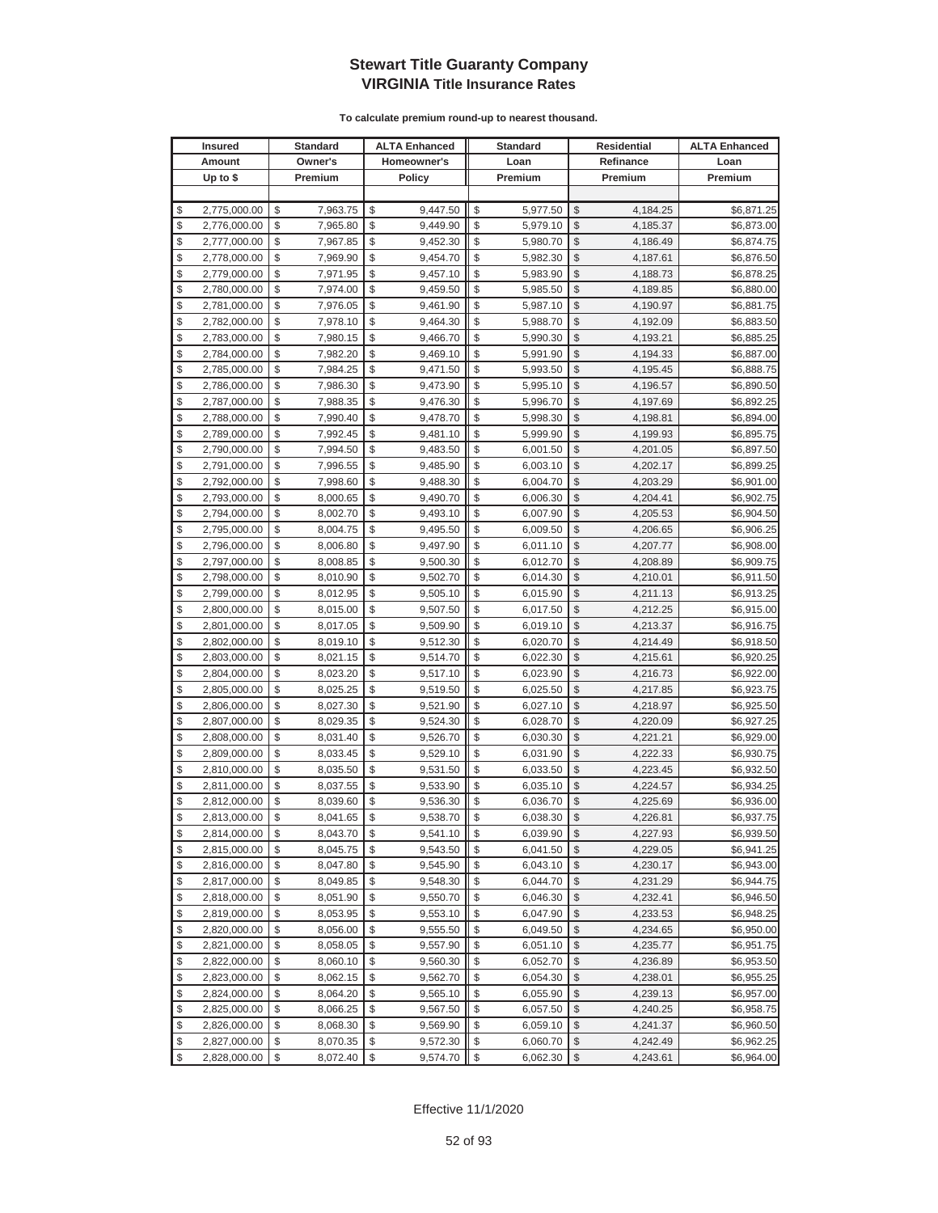|          | <b>Insured</b>               |          | <b>Standard</b>      |          | <b>ALTA Enhanced</b> |          | <b>Standard</b>      |               | <b>Residential</b>   | <b>ALTA Enhanced</b>     |
|----------|------------------------------|----------|----------------------|----------|----------------------|----------|----------------------|---------------|----------------------|--------------------------|
|          | Amount                       |          | Owner's              |          | Homeowner's          |          | Loan                 |               | Refinance            | Loan                     |
|          | Up to $$$                    |          | Premium              |          | <b>Policy</b>        |          | Premium              |               | Premium              | Premium                  |
|          |                              |          |                      |          |                      |          |                      |               |                      |                          |
| \$       | 2,775,000.00                 | \$       | 7,963.75             | \$       | 9,447.50             | \$       | 5,977.50             | \$            | 4,184.25             | \$6,871.25               |
| \$       | 2,776,000.00                 | \$       | 7,965.80             | \$       | 9,449.90             | \$       | 5,979.10             | $\mathcal{S}$ | 4,185.37             | \$6,873.00               |
| \$       | 2,777,000.00                 | \$       | 7,967.85             | \$       | 9,452.30             | \$       | 5,980.70             | $\mathcal{S}$ | 4,186.49             | \$6,874.75               |
| \$       | 2,778,000.00                 | \$       | 7,969.90             | \$       | 9,454.70             | \$       | 5,982.30             | \$            | 4,187.61             | \$6,876.50               |
| \$       | 2,779,000.00                 | \$       | 7,971.95             | \$       | 9,457.10             | \$       | 5,983.90             | \$            | 4,188.73             | \$6,878.25               |
| \$       | 2,780,000.00                 | \$       | 7,974.00             | \$       | 9,459.50             | \$       | 5,985.50             | \$            | 4,189.85             | \$6,880.00               |
| \$       | 2,781,000.00                 | \$       | 7,976.05             | \$       | 9,461.90             | \$       | 5,987.10             | \$            | 4,190.97             | \$6,881.75               |
| \$       | 2,782,000.00                 | \$       | 7,978.10             | \$       | 9,464.30             | \$       | 5,988.70             | \$            | 4,192.09             | \$6,883.50               |
| \$       | 2,783,000.00                 | \$       | 7,980.15             | \$       | 9,466.70             | \$       | 5,990.30             | \$            | 4,193.21             | \$6,885.25               |
| \$       | 2,784,000.00                 | \$       | 7,982.20             | \$       | 9,469.10             | \$       | 5,991.90             | \$            | 4,194.33             | \$6,887.00               |
| \$       | 2,785,000.00                 | \$       | 7,984.25             | \$       | 9,471.50             | \$       | 5,993.50             | \$            | 4,195.45             | \$6,888.75               |
| \$       | 2,786,000.00                 | \$       | 7,986.30             | \$       | 9,473.90             | \$       | 5,995.10             | \$            | 4,196.57             | \$6,890.50               |
| \$       | 2,787,000.00                 | \$       | 7,988.35             | \$       | 9,476.30             | \$       | 5,996.70             | \$            | 4,197.69             | \$6,892.25               |
| \$       | 2,788,000.00                 | \$       | 7,990.40             | \$       | 9,478.70             | \$       | 5,998.30             | \$            | 4,198.81             | \$6,894.00               |
| \$       | 2,789,000.00                 | \$       | 7,992.45             | \$       | 9,481.10             | \$       | 5,999.90             | \$            | 4,199.93             | \$6,895.75               |
| \$       | 2,790,000.00                 | \$       | 7,994.50             | \$       | 9,483.50             | \$       | 6,001.50             | \$            | 4,201.05             | \$6,897.50               |
| \$       | 2,791,000.00                 | \$       | 7,996.55             | \$       | 9,485.90             | \$       | 6,003.10             | \$            | 4,202.17             | \$6,899.25               |
| \$       | 2,792,000.00                 | \$       | 7,998.60             | \$       | 9,488.30             | \$       | 6,004.70             | \$            | 4,203.29             | \$6,901.00               |
| \$       | 2,793,000.00                 | \$       | 8,000.65             | \$       | 9,490.70             | \$       | 6,006.30             | $\mathcal{S}$ | 4,204.41             | \$6,902.75               |
| \$       | 2,794,000.00                 | \$       | 8,002.70             | \$       | 9,493.10             | \$       | 6,007.90             | \$            | 4,205.53             | \$6,904.50               |
| \$       | 2,795,000.00                 | \$       | 8,004.75             | \$       | 9,495.50             | \$       | 6,009.50             | \$            | 4,206.65             | \$6,906.25               |
| \$       | 2,796,000.00                 | \$       | 8,006.80             | \$       | 9,497.90             | \$       | 6,011.10             | \$            | 4,207.77             | \$6,908.00               |
| \$       | 2,797,000.00                 | \$       | 8,008.85             | \$       | 9,500.30             | \$       | 6,012.70             | \$            | 4,208.89             | \$6,909.75               |
| \$       | 2,798,000.00                 | \$       | 8,010.90             | \$       | 9,502.70             | \$       | 6,014.30             | \$            | 4,210.01             | \$6,911.50               |
| \$       | 2,799,000.00                 | \$       | 8,012.95             | \$       | 9,505.10             | \$       | 6,015.90             | \$            | 4,211.13             | \$6,913.25               |
| \$       | 2,800,000.00                 | \$       | 8,015.00             | \$       | 9,507.50             | \$       | 6,017.50             | \$            | 4,212.25             | \$6,915.00               |
| \$       | 2,801,000.00                 | \$       | 8,017.05             | \$       | 9,509.90             | \$       | 6,019.10             | \$            | 4,213.37             | \$6,916.75               |
| \$       | 2,802,000.00                 | \$       | 8,019.10             | \$       | 9,512.30             | \$       | 6,020.70             | \$            | 4,214.49             | \$6,918.50               |
| \$       | 2,803,000.00                 | \$       | 8,021.15             | \$       | 9,514.70             | \$       | 6,022.30             | \$            | 4,215.61             | \$6,920.25               |
| \$       | 2,804,000.00                 | \$       | 8,023.20             | \$       | 9,517.10             | \$       | 6,023.90             | \$            | 4,216.73             | \$6,922.00               |
| \$       | 2,805,000.00                 | \$       | 8,025.25             | \$       | 9,519.50             | \$       | 6,025.50             | \$            | 4,217.85             | \$6,923.75               |
| \$       | 2,806,000.00                 | \$       | 8,027.30             | \$       | 9,521.90             | \$       | 6,027.10             | \$            | 4,218.97             | \$6,925.50               |
| \$       | 2,807,000.00                 | \$       | 8,029.35             | \$       | 9,524.30             | \$       | 6,028.70             | \$            | 4,220.09             | \$6,927.25               |
| \$<br>\$ | 2,808,000.00                 | \$<br>\$ | 8,031.40             | \$<br>\$ | 9,526.70             | \$<br>\$ | 6,030.30<br>6,031.90 | \$<br>\$      | 4,221.21             | \$6,929.00<br>\$6,930.75 |
| \$       | 2,809,000.00<br>2,810,000.00 | \$       | 8,033.45<br>8,035.50 | \$       | 9,529.10<br>9,531.50 | \$       | 6,033.50             | \$            | 4,222.33             |                          |
| \$       | 2,811,000.00                 | \$       | 8,037.55             | \$       | 9,533.90             | \$       | 6,035.10             | \$            | 4,223.45<br>4,224.57 | \$6,932.50<br>\$6,934.25 |
| \$       | 2,812,000.00                 | \$       | 8,039.60             | \$       | 9,536.30             | \$       | 6,036.70             | \$            | 4,225.69             | \$6,936.00               |
| \$       | 2,813,000.00                 | \$       | 8,041.65             | \$       | 9,538.70             | \$       | 6,038.30             | $\mathbb{S}$  | 4,226.81             | \$6,937.75               |
| \$       | 2,814,000.00                 | \$       | 8,043.70             | \$       | 9,541.10             | \$       | 6,039.90             | $\sqrt[6]{2}$ | 4,227.93             | \$6,939.50               |
| \$       | 2,815,000.00                 | \$       | 8,045.75             | \$       | 9,543.50             | \$       | 6,041.50             | \$            | 4,229.05             | \$6,941.25               |
| \$       | 2,816,000.00                 | \$       | 8,047.80             | \$       | 9,545.90             | \$       | 6,043.10             | \$            | 4,230.17             | \$6,943.00               |
| \$       | 2,817,000.00                 | \$       | 8,049.85             | \$       | 9,548.30             | \$       | 6,044.70             | \$            | 4,231.29             | \$6,944.75               |
| \$       | 2,818,000.00                 | \$       | 8,051.90             | \$       | 9,550.70             | \$       | 6,046.30             | \$            | 4,232.41             | \$6,946.50               |
| \$       | 2,819,000.00                 | \$       | 8,053.95             | \$       | 9,553.10             | \$       | 6,047.90             | \$            | 4,233.53             | \$6,948.25               |
| \$       | 2,820,000.00                 | \$       | 8,056.00             | \$       | 9,555.50             | \$       | 6,049.50             | \$            | 4,234.65             | \$6,950.00               |
| \$       | 2,821,000.00                 | \$       | 8,058.05             | \$       | 9,557.90             | \$       | 6,051.10             | \$            | 4,235.77             | \$6,951.75               |
| \$       | 2,822,000.00                 | \$       | 8,060.10             | \$       | 9,560.30             | \$       | 6,052.70             | \$            | 4,236.89             | \$6,953.50               |
| \$       | 2,823,000.00                 | \$       | 8,062.15             | \$       | 9,562.70             | \$       | 6,054.30             | \$            | 4,238.01             | \$6,955.25               |
| \$       | 2,824,000.00                 | \$       | 8,064.20             | \$       | 9,565.10             | \$       | 6,055.90             | \$            | 4,239.13             | \$6,957.00               |
| \$       | 2,825,000.00                 | \$       | 8,066.25             | \$       | 9,567.50             | \$       | 6,057.50             | \$            | 4,240.25             | \$6,958.75               |
| \$       | 2,826,000.00                 | \$       | 8,068.30             | \$       | 9,569.90             | \$       | 6,059.10             | \$            | 4,241.37             | \$6,960.50               |
| \$       | 2,827,000.00                 | \$       | 8,070.35             | \$       | 9,572.30             | \$       | 6,060.70             | \$            | 4,242.49             | \$6,962.25               |
| \$       | 2,828,000.00                 | \$       | 8,072.40             | \$       | 9,574.70             | \$       | 6,062.30             | $\sqrt{2}$    | 4,243.61             | \$6,964.00               |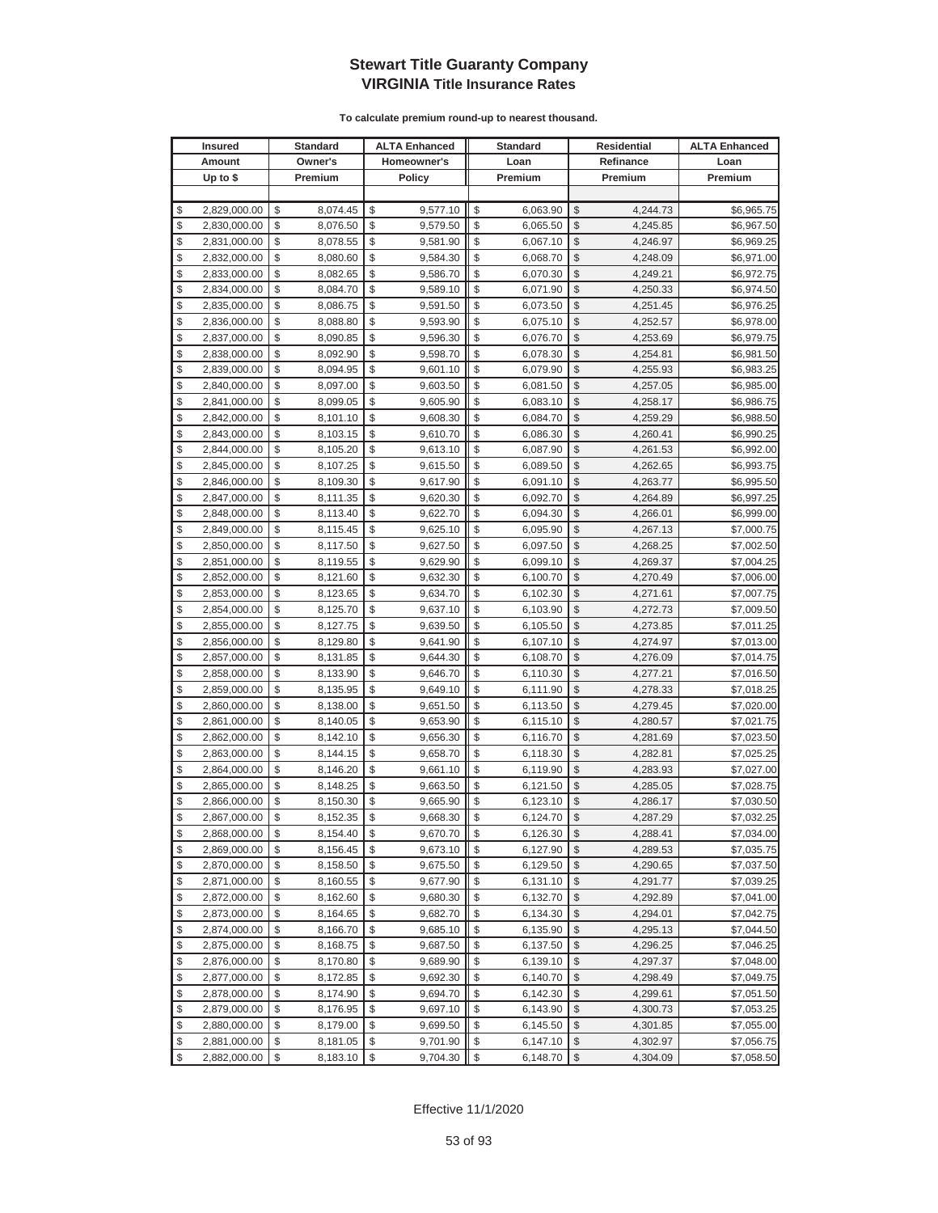|          | <b>Insured</b>               |          | <b>Standard</b>      |          | <b>ALTA Enhanced</b> |          | <b>Standard</b>      |               | <b>Residential</b>   | <b>ALTA Enhanced</b>     |
|----------|------------------------------|----------|----------------------|----------|----------------------|----------|----------------------|---------------|----------------------|--------------------------|
|          | Amount                       |          | Owner's              |          | Homeowner's          |          | Loan                 |               | Refinance            | Loan                     |
|          | Up to $$$                    |          | Premium              |          | Policy               |          | Premium              |               | Premium              | Premium                  |
|          |                              |          |                      |          |                      |          |                      |               |                      |                          |
| \$       | 2,829,000.00                 | \$       | 8,074.45             | \$       | 9,577.10             | \$       | 6,063.90             | \$            | 4,244.73             | \$6,965.75               |
| \$       | 2,830,000.00                 | \$       | 8,076.50             | \$       | 9,579.50             | \$       | 6,065.50             | \$            | 4,245.85             | \$6,967.50               |
| \$       | 2,831,000.00                 | \$       | 8,078.55             | \$       | 9,581.90             | \$       | 6,067.10             | \$            | 4,246.97             | \$6,969.25               |
| \$       | 2,832,000.00                 | \$       | 8,080.60             | \$       | 9,584.30             | \$       | 6,068.70             | \$            | 4,248.09             | \$6,971.00               |
| \$       | 2,833,000.00                 | \$       | 8,082.65             | \$       | 9,586.70             | \$       | 6,070.30             | \$            | 4,249.21             | \$6,972.75               |
| \$       | 2,834,000.00                 | \$       | 8,084.70             | \$       | 9,589.10             | \$       | 6,071.90             | \$            | 4,250.33             | \$6,974.50               |
| \$       | 2,835,000.00                 | \$       | 8,086.75             | \$       | 9,591.50             | \$       | 6,073.50             | \$            | 4,251.45             | \$6,976.25               |
| \$       | 2,836,000.00                 | \$       | 8,088.80             | \$       | 9,593.90             | \$       | 6,075.10             | \$            | 4,252.57             | \$6,978.00               |
| \$       | 2,837,000.00                 | \$       | 8,090.85             | \$       | 9,596.30             | \$       | 6,076.70             | \$            | 4,253.69             | \$6,979.75               |
| \$       | 2,838,000.00                 | \$       | 8,092.90             | \$       | 9,598.70             | \$       | 6,078.30             | \$            | 4,254.81             | \$6,981.50               |
| \$       | 2,839,000.00                 | \$       | 8,094.95             | \$       | 9,601.10             | \$       | 6,079.90             | \$            | 4,255.93             | \$6,983.25               |
| \$       | 2,840,000.00                 | \$       | 8,097.00             | \$       | 9,603.50             | \$       | 6,081.50             | \$            | 4,257.05             | \$6,985.00               |
| \$       | 2,841,000.00                 | \$       | 8,099.05             | \$       | 9,605.90             | \$       | 6,083.10             | \$            | 4,258.17             | \$6,986.75               |
| \$       | 2,842,000.00                 | \$       | 8,101.10             | \$       | 9,608.30             | \$       | 6,084.70             | \$            | 4,259.29             | \$6,988.50               |
| \$       | 2,843,000.00                 | \$       | 8,103.15             | \$       | 9,610.70             | \$       | 6,086.30             | \$            | 4,260.41             | \$6,990.25               |
| \$       | 2,844,000.00                 | \$       | 8,105.20             | \$       | 9,613.10             | \$       | 6,087.90             | \$            | 4,261.53             | \$6,992.00               |
| \$       | 2,845,000.00                 | \$       | 8,107.25             | \$       | 9,615.50             | \$       | 6,089.50             | \$            | 4,262.65             | \$6,993.75               |
| \$       | 2,846,000.00                 | \$       | 8,109.30             | \$       | 9,617.90             | \$       | 6,091.10             | \$            | 4,263.77             | \$6,995.50               |
| \$       | 2,847,000.00                 | \$       | 8,111.35             | \$       | 9,620.30             | \$       | 6,092.70             | $\mathcal{S}$ | 4,264.89             | \$6,997.25               |
| \$       | 2,848,000.00                 | \$       | 8,113.40             | \$       | 9,622.70             | \$       | 6,094.30             | \$            | 4,266.01             | \$6,999.00               |
| \$       | 2,849,000.00                 | \$       | 8,115.45             | \$       | 9,625.10             | \$       | 6,095.90             | \$            | 4,267.13             | \$7,000.75               |
| \$       | 2,850,000.00                 | \$       | 8,117.50             | \$       | 9,627.50             | \$       | 6,097.50             | \$            | 4,268.25             | \$7,002.50               |
| \$       | 2,851,000.00                 | \$       | 8,119.55             | \$       | 9,629.90             | \$       | 6,099.10             | \$            | 4,269.37             | \$7,004.25               |
| \$       | 2,852,000.00                 | \$       | 8,121.60             | \$       | 9,632.30             | \$       | 6,100.70             | \$            | 4,270.49             | \$7,006.00               |
| \$       | 2,853,000.00                 | \$       | 8,123.65             | \$       | 9,634.70             | \$       | 6,102.30             | \$            | 4,271.61             | \$7,007.75               |
| \$       | 2,854,000.00                 | \$       | 8,125.70             | \$       | 9,637.10             | \$       | 6,103.90             | \$            | 4,272.73             | \$7,009.50               |
| \$       | 2,855,000.00                 | \$       | 8,127.75             | \$       | 9,639.50             | \$       | 6,105.50             | \$            | 4,273.85             | \$7,011.25               |
| \$       | 2,856,000.00                 | \$       | 8,129.80             | \$       | 9,641.90             | \$       | 6,107.10             | \$            | 4,274.97             | \$7,013.00               |
| \$       | 2,857,000.00                 | \$       | 8,131.85             | \$       | 9,644.30             | \$       | 6,108.70             | \$            | 4,276.09             | \$7,014.75               |
| \$       | 2,858,000.00                 | \$       | 8,133.90             | \$       | 9,646.70             | \$       | 6,110.30             | \$            | 4,277.21             | \$7,016.50               |
| \$       | 2,859,000.00                 | \$       | 8,135.95             | \$       | 9,649.10             | \$       | 6,111.90             | \$            | 4,278.33             | \$7,018.25               |
| \$       | 2,860,000.00                 | \$       | 8,138.00             | \$       | 9,651.50             | \$       | 6,113.50             | \$            | 4,279.45             | \$7,020.00               |
| \$       | 2,861,000.00                 | \$       | 8,140.05             | \$       | 9,653.90             | \$       | 6,115.10             | \$            | 4,280.57             | \$7,021.75               |
| \$       | 2,862,000.00                 | \$       | 8,142.10             | \$       | 9,656.30             | \$       | 6,116.70             | \$            | 4,281.69             | \$7,023.50               |
| \$       | 2,863,000.00                 | \$       | 8,144.15             | \$<br>\$ | 9,658.70             | \$       | 6,118.30             | \$            | 4,282.81             | \$7,025.25               |
| \$<br>\$ | 2,864,000.00<br>2,865,000.00 | \$<br>\$ | 8,146.20             | \$       | 9,661.10<br>9,663.50 | \$<br>\$ | 6,119.90             | \$<br>\$      | 4,283.93             | \$7,027.00               |
| \$       |                              | \$       | 8,148.25             | \$       |                      | \$       | 6,121.50             | \$            | 4,285.05             | \$7,028.75<br>\$7,030.50 |
| \$       | 2,866,000.00<br>2,867,000.00 | \$       | 8,150.30<br>8,152.35 | \$       | 9,665.90<br>9,668.30 | \$       | 6,123.10<br>6,124.70 | $\mathbb{S}$  | 4,286.17<br>4,287.29 | \$7,032.25               |
| \$       | 2,868,000.00                 | \$       | 8,154.40             | \$       |                      | \$       |                      | $\sqrt{2}$    | 4,288.41             | \$7,034.00               |
| \$       | 2,869,000.00                 | \$       | 8,156.45             | \$       | 9,670.70<br>9,673.10 | \$       | 6,126.30<br>6,127.90 | \$            | 4,289.53             | \$7,035.75               |
| \$       | 2,870,000.00                 | \$       | 8,158.50             | \$       | 9,675.50             | \$       | 6,129.50             | \$            | 4,290.65             | \$7,037.50               |
| \$       | 2,871,000.00                 | \$       | 8,160.55             | \$       | 9,677.90             | \$       | 6,131.10             | \$            | 4,291.77             | \$7,039.25               |
| \$       | 2,872,000.00                 | \$       | 8,162.60             | \$       | 9,680.30             | \$       | 6,132.70             | \$            | 4,292.89             | \$7,041.00               |
| \$       | 2,873,000.00                 | \$       | 8,164.65             | \$       | 9,682.70             | \$       | 6,134.30             | \$            | 4,294.01             | \$7,042.75               |
| \$       | 2,874,000.00                 | \$       | 8,166.70             | \$       | 9,685.10             | \$       | 6,135.90             | \$            | 4,295.13             | \$7,044.50               |
| \$       | 2,875,000.00                 | \$       | 8,168.75             | \$       | 9,687.50             | \$       | 6,137.50             | \$            | 4,296.25             | \$7,046.25               |
| \$       | 2,876,000.00                 | \$       | 8,170.80             | \$       | 9,689.90             | \$       | 6,139.10             | \$            | 4,297.37             | \$7,048.00               |
| \$       | 2,877,000.00                 | \$       | 8,172.85             | \$       | 9,692.30             | \$       | 6,140.70             | \$            | 4,298.49             | \$7,049.75               |
| \$       | 2,878,000.00                 | \$       | 8,174.90             | \$       | 9,694.70             | \$       | 6,142.30             | \$            | 4,299.61             | \$7,051.50               |
| \$       | 2,879,000.00                 | \$       | 8,176.95             | \$       | 9,697.10             | \$       | 6,143.90             | \$            | 4,300.73             | \$7,053.25               |
| \$       | 2,880,000.00                 | \$       | 8,179.00             | \$       | 9,699.50             | \$       | 6,145.50             | \$            | 4,301.85             | \$7,055.00               |
| \$       | 2,881,000.00                 | \$       | 8,181.05             | \$       | 9,701.90             | \$       | 6,147.10             | \$            | 4,302.97             | \$7,056.75               |
| \$       | 2,882,000.00                 | \$       | 8,183.10             | \$       | 9,704.30             | \$       | 6,148.70             | $\sqrt{2}$    | 4,304.09             | \$7,058.50               |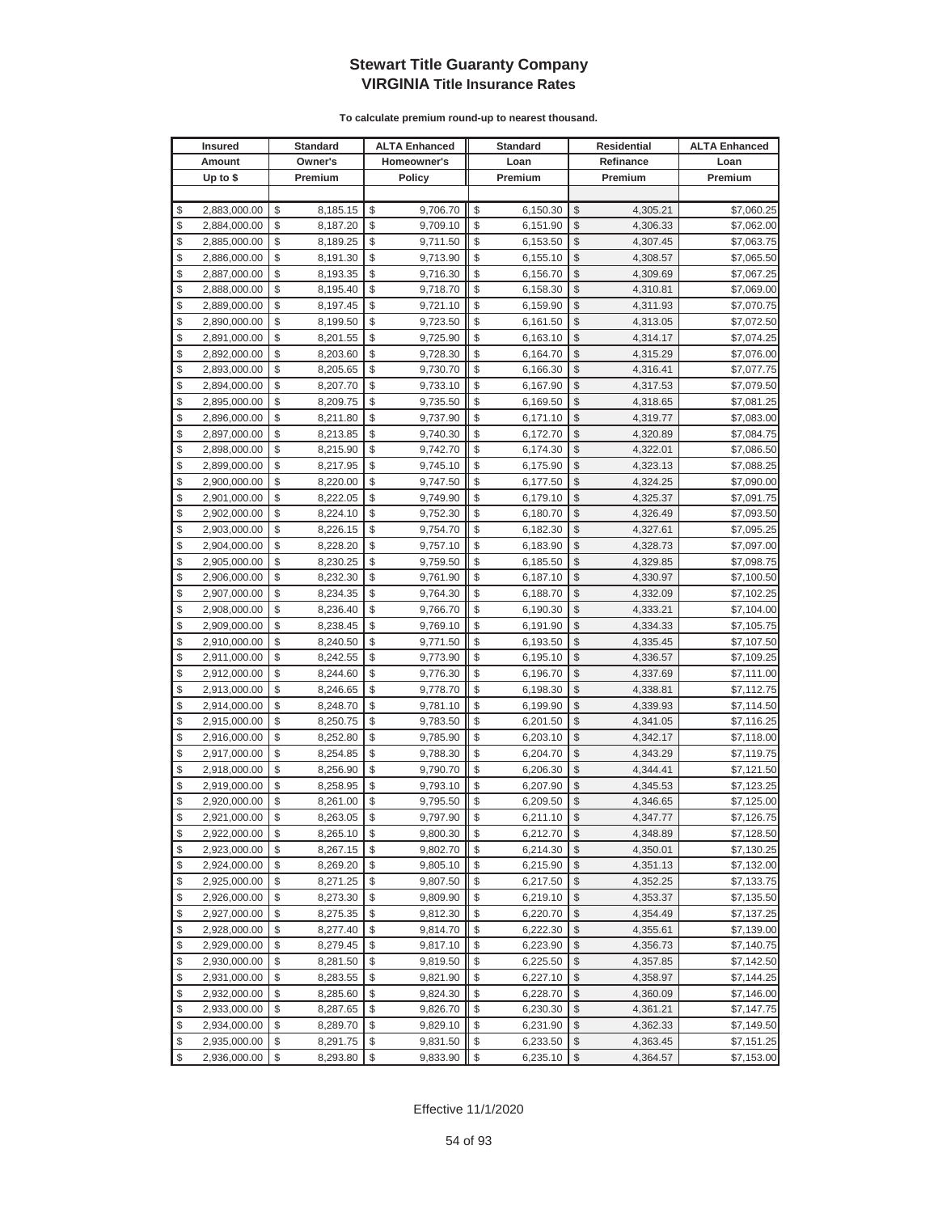|          | <b>Insured</b>               |          | <b>Standard</b>      |          | <b>ALTA Enhanced</b> |          | <b>Standard</b>      |                    | <b>Residential</b>   | <b>ALTA Enhanced</b>     |
|----------|------------------------------|----------|----------------------|----------|----------------------|----------|----------------------|--------------------|----------------------|--------------------------|
|          | Amount                       |          | Owner's              |          | Homeowner's          |          | Loan                 |                    | Refinance            | Loan                     |
|          | Up to $$$                    |          | Premium              |          | <b>Policy</b>        |          | Premium              |                    | Premium              | Premium                  |
|          |                              |          |                      |          |                      |          |                      |                    |                      |                          |
| \$       | 2,883,000.00                 | \$       | 8,185.15             | \$       | 9,706.70             | \$       | 6,150.30             | \$                 | 4,305.21             | \$7,060.25               |
| \$       | 2,884,000.00                 | \$       | 8,187.20             | \$       | 9,709.10             | \$       | 6,151.90             | \$                 | 4,306.33             | \$7,062.00               |
| \$       | 2,885,000.00                 | \$       | 8,189.25             | \$       | 9,711.50             | \$       | 6,153.50             | \$                 | 4,307.45             | \$7,063.75               |
| \$       | 2,886,000.00                 | \$       | 8,191.30             | \$       | 9,713.90             | \$       | 6,155.10             | \$                 | 4,308.57             | \$7,065.50               |
| \$       | 2,887,000.00                 | \$       | 8,193.35             | \$       | 9,716.30             | \$       | 6,156.70             | \$                 | 4,309.69             | \$7,067.25               |
| \$       | 2,888,000.00                 | \$       | 8,195.40             | \$       | 9,718.70             | \$       | 6,158.30             | \$                 | 4,310.81             | \$7,069.00               |
| \$       | 2,889,000.00                 | \$       | 8,197.45             | \$       | 9,721.10             | \$       | 6,159.90             | \$                 | 4,311.93             | \$7,070.75               |
| \$       | 2,890,000.00                 | \$       | 8,199.50             | \$       | 9,723.50             | \$       | 6,161.50             | \$                 | 4,313.05             | \$7,072.50               |
| \$       | 2,891,000.00                 | \$       | 8,201.55             | \$       | 9,725.90             | \$       | 6,163.10             | \$                 | 4,314.17             | \$7,074.25               |
| \$       | 2,892,000.00                 | \$       | 8,203.60             | \$       | 9,728.30             | \$       | 6,164.70             | \$                 | 4,315.29             | \$7,076.00               |
| \$       | 2,893,000.00                 | \$       | 8,205.65             | \$       | 9,730.70             | \$       | 6,166.30             | \$                 | 4,316.41             | \$7,077.75               |
| \$       | 2,894,000.00                 | \$       | 8,207.70             | \$       | 9,733.10             | \$       | 6,167.90             | \$                 | 4,317.53             | \$7,079.50               |
| \$       | 2,895,000.00                 | \$       | 8,209.75             | \$       | 9,735.50             | \$       | 6,169.50             | \$                 | 4,318.65             | \$7,081.25               |
| \$       | 2,896,000.00                 | \$       | 8,211.80             | \$       | 9,737.90             | \$       | 6,171.10             | \$                 | 4,319.77             | \$7,083.00               |
| \$       | 2,897,000.00                 | \$       | 8,213.85             | \$       | 9,740.30             | \$       | 6,172.70             | \$                 | 4,320.89             | \$7,084.75               |
| \$       | 2,898,000.00                 | \$       | 8,215.90             | \$       | 9,742.70             | \$       | 6,174.30             | \$                 | 4,322.01             | \$7,086.50               |
| \$       | 2,899,000.00                 | \$       | 8,217.95             | \$       | 9,745.10             | \$       | 6,175.90             | \$                 | 4,323.13             | \$7,088.25               |
| \$       | 2,900,000.00                 | \$       | 8,220.00             | \$       | 9,747.50             | \$       | 6,177.50             | \$                 | 4,324.25             | \$7,090.00               |
| \$       | 2,901,000.00                 | \$       | 8,222.05             | \$       | 9,749.90             | \$       | 6,179.10             | $\mathcal{S}$      | 4,325.37             | \$7,091.75               |
| \$       | 2,902,000.00                 | \$       | 8,224.10             | \$       | 9,752.30             | \$       | 6,180.70             | \$                 | 4,326.49             | \$7,093.50               |
| \$       | 2,903,000.00                 | \$       | 8,226.15             | \$       | 9,754.70             | \$       | 6,182.30             | \$                 | 4,327.61             | \$7,095.25               |
| \$       | 2,904,000.00                 | \$       | 8,228.20             | \$       | 9,757.10             | \$       | 6,183.90             | \$                 | 4,328.73             | \$7,097.00               |
| \$       | 2,905,000.00                 | \$       | 8,230.25             | \$       | 9,759.50             | \$       | 6,185.50             | \$                 | 4,329.85             | \$7,098.75               |
| \$       | 2,906,000.00                 | \$       | 8,232.30             | \$       | 9,761.90             | \$       | 6,187.10             | \$                 | 4,330.97             | \$7,100.50               |
| \$       | 2,907,000.00                 | \$       | 8,234.35             | \$       | 9,764.30             | \$       | 6,188.70             | \$                 | 4,332.09             | \$7,102.25               |
| \$       | 2,908,000.00                 | \$       | 8,236.40             | \$       | 9,766.70             | \$       | 6,190.30             | \$                 | 4,333.21             | \$7,104.00               |
| \$       | 2,909,000.00                 | \$       | 8,238.45             | \$       | 9,769.10             | \$       | 6,191.90             | \$                 | 4,334.33             | \$7,105.75               |
| \$       | 2,910,000.00                 | \$       | 8,240.50             | \$       | 9,771.50             | \$       | 6,193.50             | \$                 | 4,335.45             | \$7,107.50               |
| \$       | 2,911,000.00                 | \$       | 8,242.55             | \$       | 9,773.90             | \$       | 6,195.10             | \$                 | 4,336.57             | \$7,109.25               |
| \$       | 2,912,000.00                 | \$       | 8,244.60             | \$       | 9,776.30             | \$       | 6,196.70             | \$                 | 4,337.69             | \$7,111.00               |
| \$       | 2,913,000.00                 | \$       | 8,246.65             | \$       | 9,778.70             | \$       | 6,198.30             | \$                 | 4,338.81             | \$7,112.75               |
| \$       | 2,914,000.00                 | \$       | 8,248.70             | \$       | 9,781.10             | \$       | 6,199.90             | \$                 | 4,339.93             | \$7,114.50               |
| \$       | 2,915,000.00                 | \$       | 8,250.75             | \$       | 9,783.50             | \$       | 6,201.50             | \$                 | 4,341.05             | \$7,116.25               |
| \$       | 2,916,000.00                 | \$       | 8,252.80             | \$       | 9,785.90             | \$       | 6,203.10             | \$                 | 4,342.17             | \$7,118.00               |
| \$       | 2,917,000.00                 | \$       | 8,254.85             | \$       | 9,788.30             | \$       | 6,204.70             | \$                 | 4,343.29             | \$7,119.75               |
| \$       | 2,918,000.00                 | \$       | 8,256.90             | \$       | 9,790.70             | \$       | 6,206.30             | \$                 | 4,344.41             | \$7,121.50               |
| \$       | 2,919,000.00                 | \$       | 8,258.95             | \$       | 9,793.10             | \$       | 6,207.90             | \$                 | 4,345.53             | \$7,123.25               |
| \$<br>\$ | 2,920,000.00                 | \$       | 8,261.00             | \$       | 9,795.50             | \$<br>\$ | 6,209.50             | \$<br>$\mathbb{S}$ | 4,346.65             | \$7,125.00               |
|          | 2,921,000.00                 | \$       | 8,263.05             | \$       | 9,797.90             |          | 6,211.10             |                    | 4,347.77             | \$7,126.75               |
| \$       | 2,922,000.00                 | \$       | 8,265.10             | \$       | 9,800.30             | \$       | 6,212.70             | $\sqrt[6]{2}$      | 4,348.89             | \$7,128.50               |
| \$       | 2,923,000.00                 | \$       | 8,267.15             | \$       | 9,802.70<br>9,805.10 | \$       | 6,214.30             | \$<br>\$           | 4,350.01             | \$7,130.25               |
| \$<br>\$ | 2,924,000.00                 | \$<br>\$ | 8,269.20             | \$<br>\$ | 9,807.50             | \$<br>\$ | 6,215.90<br>6,217.50 | \$                 | 4,351.13             | \$7,132.00<br>\$7,133.75 |
| \$       | 2,925,000.00                 | \$       | 8,271.25             | \$       | 9,809.90             |          |                      | \$                 | 4,352.25             |                          |
| \$       | 2,926,000.00<br>2,927,000.00 | \$       | 8,273.30             | \$       |                      | \$<br>\$ | 6,219.10<br>6,220.70 | \$                 | 4,353.37             | \$7,135.50               |
| \$       |                              | \$       | 8,275.35             | \$       | 9,812.30             | \$       |                      | \$                 | 4,354.49             | \$7,137.25               |
|          | 2,928,000.00                 |          | 8,277.40             |          | 9,814.70             |          | 6,222.30             |                    | 4,355.61             | \$7,139.00               |
| \$<br>\$ | 2,929,000.00                 | \$<br>\$ | 8,279.45             | \$<br>\$ | 9,817.10             | \$<br>\$ | 6,223.90             | \$<br>\$           | 4,356.73             | \$7,140.75               |
| \$       | 2,930,000.00<br>2,931,000.00 | \$       | 8,281.50<br>8,283.55 | \$       | 9,819.50<br>9,821.90 | \$       | 6,225.50<br>6,227.10 | \$                 | 4,357.85<br>4,358.97 | \$7,142.50<br>\$7,144.25 |
| \$       | 2,932,000.00                 | \$       | 8,285.60             | \$       |                      | \$       |                      | \$                 | 4,360.09             | \$7,146.00               |
| \$       |                              |          | 8,287.65             |          | 9,824.30<br>9,826.70 | \$       | 6,228.70             |                    | 4,361.21             |                          |
| \$       | 2,933,000.00                 | \$<br>\$ |                      | \$<br>\$ |                      | \$       | 6,230.30             | \$<br>\$           |                      | \$7,147.75               |
| \$       | 2,934,000.00<br>2,935,000.00 | \$       | 8,289.70<br>8,291.75 | \$       | 9,829.10<br>9,831.50 | \$       | 6,231.90<br>6,233.50 | \$                 | 4,362.33<br>4,363.45 | \$7,149.50<br>\$7,151.25 |
| \$       | 2,936,000.00                 | \$       | 8,293.80             | \$       | 9,833.90             | \$       | 6,235.10             | $\sqrt{2}$         | 4,364.57             | \$7,153.00               |
|          |                              |          |                      |          |                      |          |                      |                    |                      |                          |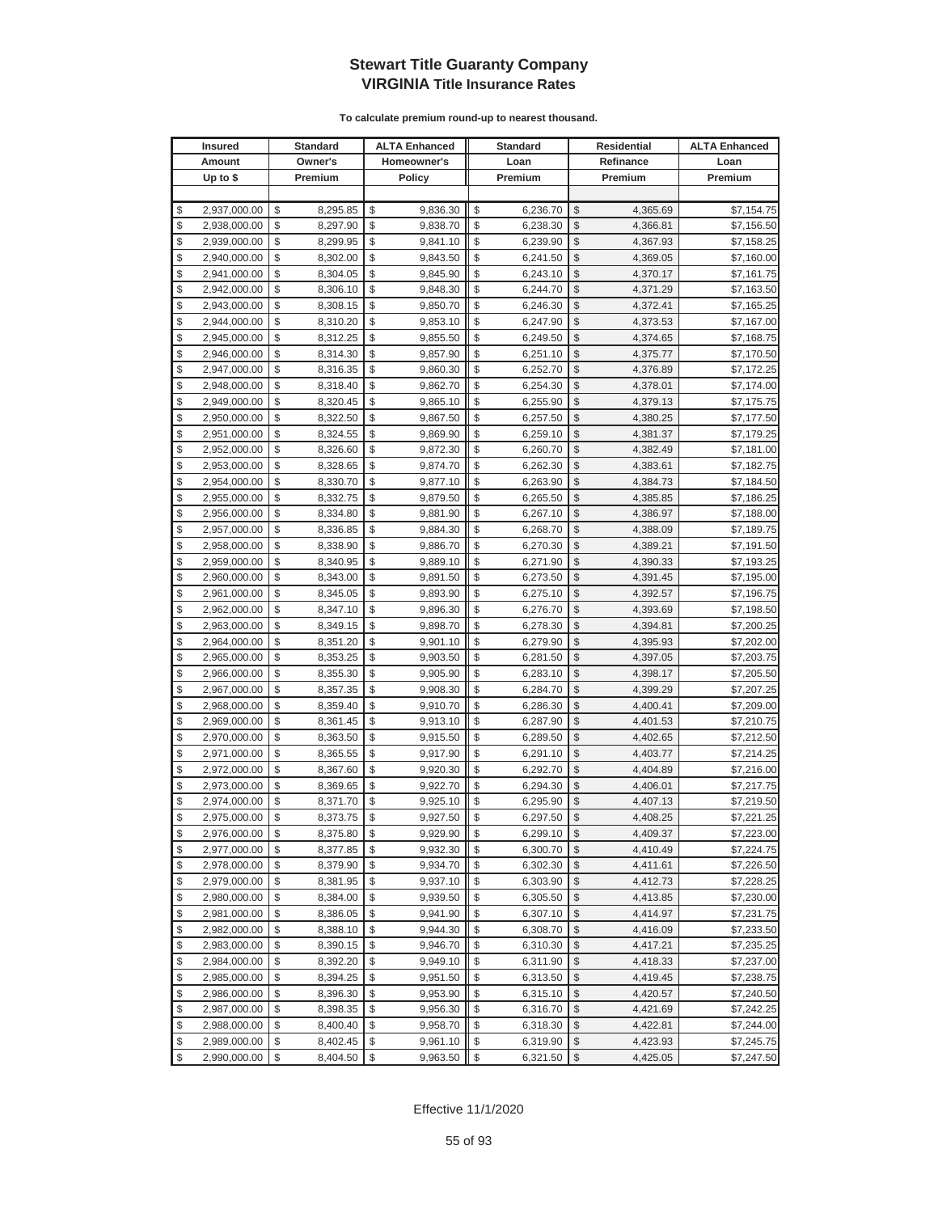| <b>Insured</b>     | Standard       | <b>ALTA Enhanced</b> | <b>Standard</b> |               | Residential | <b>ALTA Enhanced</b> |
|--------------------|----------------|----------------------|-----------------|---------------|-------------|----------------------|
| Amount             | Owner's        | Homeowner's          | Loan            |               | Refinance   | Loan                 |
| Up to $$$          | Premium        | <b>Policy</b>        | Premium         |               | Premium     | Premium              |
|                    |                |                      |                 |               |             |                      |
| \$<br>2,937,000.00 | \$<br>8,295.85 | \$<br>9,836.30       | \$<br>6,236.70  | \$            | 4.365.69    | \$7,154.75           |
| \$<br>2,938,000.00 | \$<br>8,297.90 | \$<br>9,838.70       | \$<br>6,238.30  | \$            | 4,366.81    | \$7,156.50           |
| \$<br>2,939,000.00 | \$<br>8,299.95 | \$<br>9,841.10       | \$<br>6,239.90  | \$            | 4,367.93    | \$7,158.25           |
| \$<br>2,940,000.00 | \$<br>8,302.00 | \$<br>9,843.50       | \$<br>6,241.50  | \$            | 4,369.05    | \$7,160.00           |
| \$<br>2,941,000.00 | \$<br>8,304.05 | \$<br>9,845.90       | \$<br>6,243.10  | \$            | 4,370.17    | \$7,161.75           |
| \$<br>2,942,000.00 | \$<br>8,306.10 | \$<br>9,848.30       | \$<br>6,244.70  | \$            | 4,371.29    | \$7,163.50           |
| \$<br>2,943,000.00 | \$<br>8,308.15 | \$<br>9,850.70       | \$<br>6,246.30  | \$            | 4,372.41    | \$7,165.25           |
| \$<br>2,944,000.00 | \$<br>8,310.20 | \$<br>9,853.10       | \$<br>6,247.90  | \$            | 4,373.53    | \$7,167.00           |
| \$<br>2,945,000.00 | \$<br>8,312.25 | \$<br>9,855.50       | \$<br>6,249.50  | \$            | 4,374.65    | \$7,168.75           |
| \$<br>2,946,000.00 | \$<br>8,314.30 | \$<br>9,857.90       | \$<br>6,251.10  | \$            | 4,375.77    | \$7,170.50           |
| \$<br>2,947,000.00 | \$<br>8,316.35 | \$<br>9,860.30       | \$<br>6,252.70  | \$            | 4,376.89    | \$7,172.25           |
| \$<br>2,948,000.00 | \$<br>8,318.40 | \$<br>9,862.70       | \$<br>6,254.30  | \$            | 4,378.01    | \$7,174.00           |
| \$<br>2,949,000.00 | \$<br>8,320.45 | \$<br>9,865.10       | \$<br>6,255.90  | \$            | 4,379.13    | \$7,175.75           |
| \$<br>2,950,000.00 | \$<br>8,322.50 | \$<br>9,867.50       | \$<br>6,257.50  | \$            | 4,380.25    | \$7,177.50           |
| \$<br>2,951,000.00 | \$<br>8,324.55 | \$<br>9,869.90       | \$<br>6,259.10  | \$            | 4,381.37    | \$7,179.25           |
| \$<br>2,952,000.00 | \$<br>8,326.60 | \$<br>9,872.30       | \$<br>6,260.70  | \$            | 4,382.49    | \$7,181.00           |
| \$<br>2,953,000.00 | \$<br>8,328.65 | \$<br>9,874.70       | \$<br>6,262.30  | \$            | 4,383.61    | \$7,182.75           |
| \$<br>2,954,000.00 | \$<br>8,330.70 | \$<br>9,877.10       | \$<br>6,263.90  | \$            | 4,384.73    | \$7,184.50           |
| \$<br>2,955,000.00 | \$<br>8,332.75 | \$<br>9,879.50       | \$<br>6,265.50  | \$            | 4,385.85    | \$7,186.25           |
| \$<br>2,956,000.00 | \$<br>8,334.80 | \$<br>9,881.90       | \$<br>6,267.10  | \$            | 4,386.97    | \$7,188.00           |
| \$<br>2,957,000.00 | \$<br>8,336.85 | \$<br>9,884.30       | \$<br>6,268.70  | \$            | 4,388.09    | \$7,189.75           |
| \$<br>2,958,000.00 | \$<br>8,338.90 | \$<br>9,886.70       | \$<br>6,270.30  | \$            | 4,389.21    | \$7,191.50           |
| \$<br>2,959,000.00 | \$<br>8,340.95 | \$<br>9,889.10       | \$<br>6,271.90  | \$            | 4,390.33    | \$7,193.25           |
| \$<br>2,960,000.00 | \$<br>8,343.00 | \$<br>9,891.50       | \$<br>6,273.50  | \$            | 4,391.45    | \$7,195.00           |
| \$<br>2,961,000.00 | \$<br>8,345.05 | \$<br>9,893.90       | \$<br>6,275.10  | \$            | 4,392.57    | \$7,196.75           |
| \$<br>2,962,000.00 | \$<br>8,347.10 | \$<br>9,896.30       | \$<br>6,276.70  | \$            | 4,393.69    | \$7,198.50           |
| \$<br>2,963,000.00 | \$<br>8,349.15 | \$<br>9,898.70       | \$<br>6,278.30  | $\mathcal{S}$ | 4,394.81    | \$7,200.25           |
| \$<br>2,964,000.00 | \$<br>8,351.20 | \$<br>9,901.10       | \$<br>6,279.90  | \$            | 4,395.93    | \$7,202.00           |
| \$<br>2,965,000.00 | \$<br>8,353.25 | \$<br>9,903.50       | \$<br>6,281.50  | \$            | 4,397.05    | \$7,203.75           |
| \$<br>2,966,000.00 | \$<br>8,355.30 | \$<br>9,905.90       | \$<br>6,283.10  | \$            | 4,398.17    | \$7,205.50           |
| \$<br>2,967,000.00 | \$<br>8,357.35 | \$<br>9,908.30       | \$<br>6,284.70  | \$            | 4,399.29    | \$7,207.25           |
| \$<br>2,968,000.00 | \$<br>8,359.40 | \$<br>9,910.70       | \$<br>6,286.30  | \$            | 4,400.41    | \$7,209.00           |
| \$<br>2,969,000.00 | \$<br>8,361.45 | \$<br>9,913.10       | \$<br>6,287.90  | \$            | 4,401.53    | \$7,210.75           |
| \$<br>2,970,000.00 | \$<br>8,363.50 | \$<br>9,915.50       | \$<br>6,289.50  | \$            | 4,402.65    | \$7,212.50           |
| \$<br>2,971,000.00 | \$<br>8,365.55 | \$<br>9,917.90       | \$<br>6,291.10  | \$            | 4,403.77    | \$7,214.25           |
| \$<br>2,972,000.00 | \$<br>8,367.60 | \$<br>9,920.30       | \$<br>6,292.70  | \$            | 4,404.89    | \$7,216.00           |
| \$<br>2,973,000.00 | \$<br>8,369.65 | \$<br>9,922.70       | \$<br>6,294.30  | \$            | 4,406.01    | \$7,217.75           |
| \$<br>2,974,000.00 | \$<br>8,371.70 | \$<br>9,925.10       | \$<br>6,295.90  | \$            | 4,407.13    | \$7,219.50           |
| \$<br>2,975,000.00 | \$<br>8,373.75 | \$<br>9,927.50       | \$<br>6,297.50  | \$            | 4,408.25    | \$7,221.25           |
| \$<br>2,976,000.00 | \$<br>8,375.80 | \$<br>9,929.90       | \$<br>6,299.10  | $\sqrt[6]{2}$ | 4,409.37    | \$7,223.00           |
| \$<br>2,977,000.00 | \$<br>8,377.85 | \$<br>9,932.30       | \$<br>6,300.70  | $\mathcal{S}$ | 4,410.49    | \$7,224.75           |
| \$<br>2,978,000.00 | \$<br>8,379.90 | \$<br>9,934.70       | \$<br>6,302.30  | $\mathcal{S}$ | 4,411.61    | \$7,226.50           |
| \$<br>2,979,000.00 | \$<br>8,381.95 | \$<br>9,937.10       | \$<br>6,303.90  | \$            | 4,412.73    | \$7,228.25           |
| \$<br>2,980,000.00 | \$<br>8,384.00 | \$<br>9,939.50       | \$<br>6,305.50  | \$            | 4,413.85    | \$7,230.00           |
| \$<br>2,981,000.00 | \$<br>8,386.05 | \$<br>9,941.90       | \$<br>6,307.10  | \$            | 4,414.97    | \$7,231.75           |
| \$<br>2,982,000.00 | \$<br>8,388.10 | \$<br>9,944.30       | \$<br>6,308.70  | \$            | 4,416.09    | \$7,233.50           |
| \$<br>2,983,000.00 | \$<br>8,390.15 | \$<br>9,946.70       | \$<br>6,310.30  | \$            | 4,417.21    | \$7,235.25           |
| \$<br>2,984,000.00 | \$<br>8,392.20 | \$<br>9,949.10       | \$<br>6,311.90  | \$            | 4,418.33    | \$7,237.00           |
| \$<br>2,985,000.00 | \$<br>8,394.25 | \$<br>9,951.50       | \$<br>6,313.50  | \$            | 4,419.45    | \$7,238.75           |
| \$<br>2,986,000.00 | \$<br>8,396.30 | \$<br>9,953.90       | \$<br>6,315.10  | \$            | 4,420.57    | \$7,240.50           |
| \$<br>2,987,000.00 | \$<br>8,398.35 | \$<br>9,956.30       | \$<br>6,316.70  | \$            | 4,421.69    | \$7,242.25           |
| \$<br>2,988,000.00 | \$<br>8,400.40 | \$<br>9,958.70       | \$<br>6,318.30  | \$            | 4,422.81    | \$7,244.00           |
| \$<br>2,989,000.00 | \$<br>8,402.45 | \$<br>9,961.10       | \$<br>6,319.90  | \$            | 4,423.93    | \$7,245.75           |
| \$<br>2,990,000.00 | \$<br>8,404.50 | \$<br>9,963.50       | \$<br>6,321.50  | \$            | 4,425.05    | \$7,247.50           |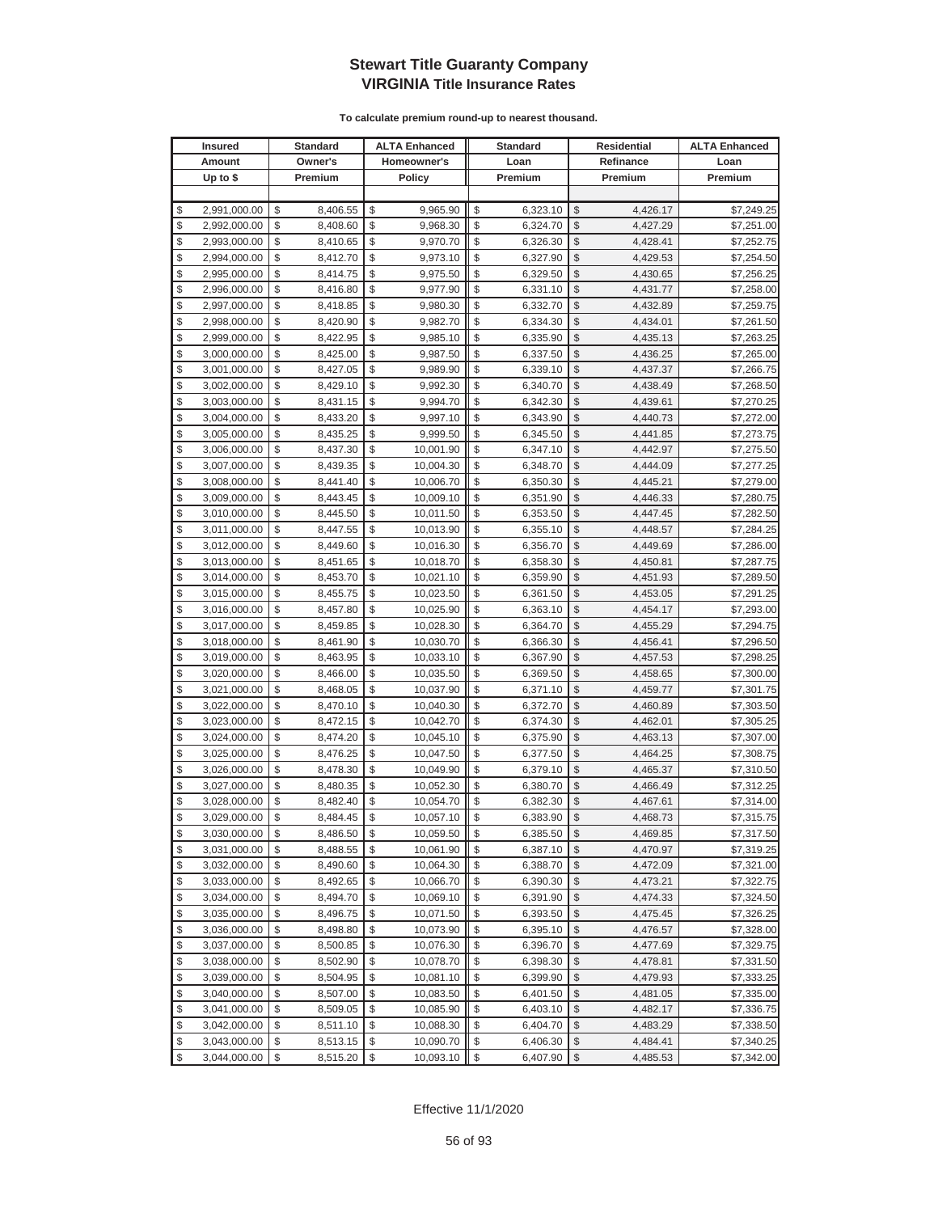| <b>Insured</b>     | <b>Standard</b> | <b>ALTA Enhanced</b> |                         | <b>Standard</b> |               | <b>Residential</b> | <b>ALTA Enhanced</b> |
|--------------------|-----------------|----------------------|-------------------------|-----------------|---------------|--------------------|----------------------|
| Amount             | Owner's         | Homeowner's          |                         | Loan            |               | Refinance          | Loan                 |
| Up to $$$          | Premium         | <b>Policy</b>        |                         | Premium         |               | Premium            | Premium              |
|                    |                 |                      |                         |                 |               |                    |                      |
| \$<br>2,991,000.00 | \$<br>8,406.55  | \$<br>9,965.90       | \$                      | 6,323.10        | \$            | 4,426.17           | \$7,249.25           |
| \$<br>2,992,000.00 | \$<br>8,408.60  | \$<br>9,968.30       | \$                      | 6,324.70        | \$            | 4,427.29           | \$7,251.00           |
| \$<br>2,993,000.00 | \$<br>8,410.65  | \$<br>9,970.70       | \$                      | 6,326.30        | $\mathcal{S}$ | 4,428.41           | \$7,252.75           |
| \$<br>2,994,000.00 | \$<br>8,412.70  | \$<br>9,973.10       | \$                      | 6,327.90        | \$            | 4,429.53           | \$7,254.50           |
| \$<br>2,995,000.00 | \$<br>8,414.75  | \$<br>9,975.50       | \$                      | 6,329.50        | \$            | 4,430.65           | \$7,256.25           |
| \$<br>2,996,000.00 | \$<br>8,416.80  | \$<br>9,977.90       | \$                      | 6,331.10        | \$            | 4,431.77           | \$7,258.00           |
| \$<br>2,997,000.00 | \$<br>8,418.85  | \$<br>9,980.30       | \$                      | 6,332.70        | \$            | 4,432.89           | \$7,259.75           |
| \$<br>2,998,000.00 | \$<br>8,420.90  | \$<br>9,982.70       | \$                      | 6,334.30        | \$            | 4,434.01           | \$7,261.50           |
| \$<br>2,999,000.00 | \$<br>8,422.95  | \$<br>9,985.10       | \$                      | 6,335.90        | \$            | 4,435.13           | \$7,263.25           |
| \$<br>3,000,000.00 | \$<br>8,425.00  | \$<br>9,987.50       | \$                      | 6,337.50        | \$            | 4,436.25           | \$7,265.00           |
| \$<br>3,001,000.00 | \$<br>8,427.05  | \$<br>9,989.90       | \$                      | 6,339.10        | \$            | 4,437.37           | \$7,266.75           |
| \$<br>3,002,000.00 | \$<br>8,429.10  | \$<br>9,992.30       | \$                      | 6,340.70        | \$            | 4,438.49           | \$7,268.50           |
| \$<br>3,003,000.00 | \$<br>8,431.15  | \$<br>9,994.70       | \$                      | 6,342.30        | \$            | 4,439.61           | \$7,270.25           |
| \$<br>3,004,000.00 | \$<br>8,433.20  | \$<br>9,997.10       | \$                      | 6,343.90        | \$            | 4,440.73           | \$7,272.00           |
| \$<br>3,005,000.00 | \$<br>8,435.25  | \$<br>9,999.50       | \$                      | 6,345.50        | \$            | 4,441.85           | \$7,273.75           |
| \$<br>3,006,000.00 | \$<br>8,437.30  | \$<br>10,001.90      | \$                      | 6,347.10        | \$            | 4,442.97           | \$7,275.50           |
| \$<br>3,007,000.00 | \$<br>8,439.35  | \$<br>10,004.30      | \$                      | 6,348.70        | \$            | 4,444.09           | \$7,277.25           |
| \$<br>3,008,000.00 | \$<br>8,441.40  | \$<br>10,006.70      | \$                      | 6,350.30        | \$            | 4,445.21           | \$7,279.00           |
| \$<br>3,009,000.00 | \$<br>8,443.45  | \$<br>10,009.10      | \$                      | 6,351.90        | $\mathcal{S}$ | 4,446.33           | \$7,280.75           |
| \$<br>3,010,000.00 | \$<br>8,445.50  | \$<br>10,011.50      | \$                      | 6,353.50        | \$            | 4,447.45           | \$7,282.50           |
| \$<br>3,011,000.00 | \$<br>8,447.55  | \$<br>10,013.90      | \$                      | 6,355.10        | $\mathcal{S}$ | 4,448.57           | \$7,284.25           |
| \$<br>3,012,000.00 | \$<br>8,449.60  | \$<br>10,016.30      | \$                      | 6,356.70        | \$            | 4,449.69           | \$7,286.00           |
| \$<br>3,013,000.00 | \$<br>8,451.65  | \$<br>10,018.70      | \$                      | 6,358.30        | \$            | 4,450.81           | \$7,287.75           |
| \$<br>3,014,000.00 | \$<br>8,453.70  | \$<br>10,021.10      | \$                      | 6,359.90        | \$            | 4,451.93           | \$7,289.50           |
| \$<br>3,015,000.00 | \$<br>8,455.75  | \$<br>10,023.50      | \$                      | 6,361.50        | \$            | 4,453.05           | \$7,291.25           |
| \$<br>3,016,000.00 | \$<br>8,457.80  | \$<br>10,025.90      | \$                      | 6,363.10        | \$            | 4,454.17           | \$7,293.00           |
| \$<br>3,017,000.00 | \$<br>8,459.85  | \$<br>10,028.30      | \$                      | 6,364.70        | \$            | 4,455.29           | \$7,294.75           |
| \$<br>3,018,000.00 | \$<br>8,461.90  | \$<br>10,030.70      | \$                      | 6,366.30        | \$            | 4,456.41           | \$7,296.50           |
| \$<br>3,019,000.00 | \$<br>8,463.95  | \$<br>10,033.10      | \$                      | 6,367.90        | \$            | 4,457.53           | \$7,298.25           |
| \$<br>3,020,000.00 | \$<br>8,466.00  | \$<br>10,035.50      | \$                      | 6,369.50        | \$            | 4,458.65           | \$7,300.00           |
| \$<br>3,021,000.00 | \$<br>8,468.05  | \$<br>10,037.90      | \$                      | 6,371.10        | \$            | 4,459.77           | \$7,301.75           |
| \$<br>3,022,000.00 | \$<br>8,470.10  | \$<br>10,040.30      | \$                      | 6,372.70        | \$            | 4,460.89           | \$7,303.50           |
| \$<br>3,023,000.00 | \$<br>8,472.15  | \$<br>10,042.70      | \$                      | 6,374.30        | \$            | 4,462.01           | \$7,305.25           |
| \$<br>3,024,000.00 | \$<br>8,474.20  | \$<br>10,045.10      | \$                      | 6,375.90        | \$            | 4,463.13           | \$7,307.00           |
| \$<br>3,025,000.00 | \$<br>8,476.25  | \$<br>10,047.50      | \$                      | 6,377.50        | \$            | 4,464.25           | \$7,308.75           |
| \$<br>3,026,000.00 | \$<br>8,478.30  | \$<br>10,049.90      | \$                      | 6,379.10        | \$            | 4,465.37           | \$7,310.50           |
| \$<br>3,027,000.00 | \$<br>8,480.35  | \$<br>10,052.30      | \$                      | 6,380.70        | \$            | 4,466.49           | \$7,312.25           |
| \$<br>3,028,000.00 | \$<br>8,482.40  | \$<br>10,054.70      | \$                      | 6,382.30        | \$            | 4,467.61           | \$7,314.00           |
| \$<br>3,029,000.00 | \$<br>8,484.45  | \$<br>10,057.10      | \$                      | 6,383.90        | $\mathbb{S}$  | 4,468.73           | \$7,315.75           |
| \$<br>3,030,000.00 | \$<br>8,486.50  | \$<br>10,059.50      | \$                      | 6,385.50        | $\sqrt{2}$    | 4,469.85           | \$7,317.50           |
| \$<br>3,031,000.00 | \$<br>8,488.55  | \$<br>10,061.90      | \$                      | 6,387.10        | \$            | 4,470.97           | \$7,319.25           |
| \$<br>3,032,000.00 | \$<br>8,490.60  | \$<br>10,064.30      | \$                      | 6,388.70        | \$            | 4,472.09           | \$7,321.00           |
| \$<br>3,033,000.00 | \$<br>8,492.65  | \$<br>10,066.70      | \$                      | 6,390.30        | \$            | 4,473.21           | \$7,322.75           |
| \$<br>3,034,000.00 | \$<br>8,494.70  | \$<br>10,069.10      | \$                      | 6,391.90        | \$            | 4,474.33           | \$7,324.50           |
| \$<br>3,035,000.00 | \$<br>8,496.75  | \$<br>10,071.50      | \$                      | 6,393.50        | \$            | 4,475.45           | \$7,326.25           |
| \$<br>3,036,000.00 | \$<br>8,498.80  | \$<br>10,073.90      | \$                      | 6,395.10        | \$            | 4,476.57           | \$7,328.00           |
| \$<br>3,037,000.00 | \$<br>8,500.85  | \$<br>10,076.30      | \$                      | 6,396.70        | \$            | 4,477.69           | \$7,329.75           |
| \$<br>3,038,000.00 | \$<br>8,502.90  | \$<br>10,078.70      | \$                      | 6,398.30        | \$            | 4,478.81           | \$7,331.50           |
| \$<br>3,039,000.00 | \$<br>8,504.95  | \$<br>10,081.10      | \$                      | 6,399.90        | \$            | 4,479.93           | \$7,333.25           |
| \$<br>3,040,000.00 | \$<br>8,507.00  | \$<br>10,083.50      | \$                      | 6,401.50        | \$            | 4,481.05           | \$7,335.00           |
| \$<br>3,041,000.00 | \$<br>8,509.05  | \$<br>10,085.90      | \$                      | 6,403.10        | \$            | 4,482.17           | \$7,336.75           |
| \$<br>3,042,000.00 | \$<br>8,511.10  | \$<br>10,088.30      | \$                      | 6,404.70        | \$            | 4,483.29           | \$7,338.50           |
| \$<br>3,043,000.00 | \$<br>8,513.15  | \$<br>10,090.70      | \$                      | 6,406.30        | \$            | 4,484.41           | \$7,340.25           |
| \$<br>3,044,000.00 | \$<br>8,515.20  | \$<br>10,093.10      | $\sqrt[6]{\frac{1}{2}}$ | 6,407.90        | $\sqrt{2}$    | 4,485.53           | \$7,342.00           |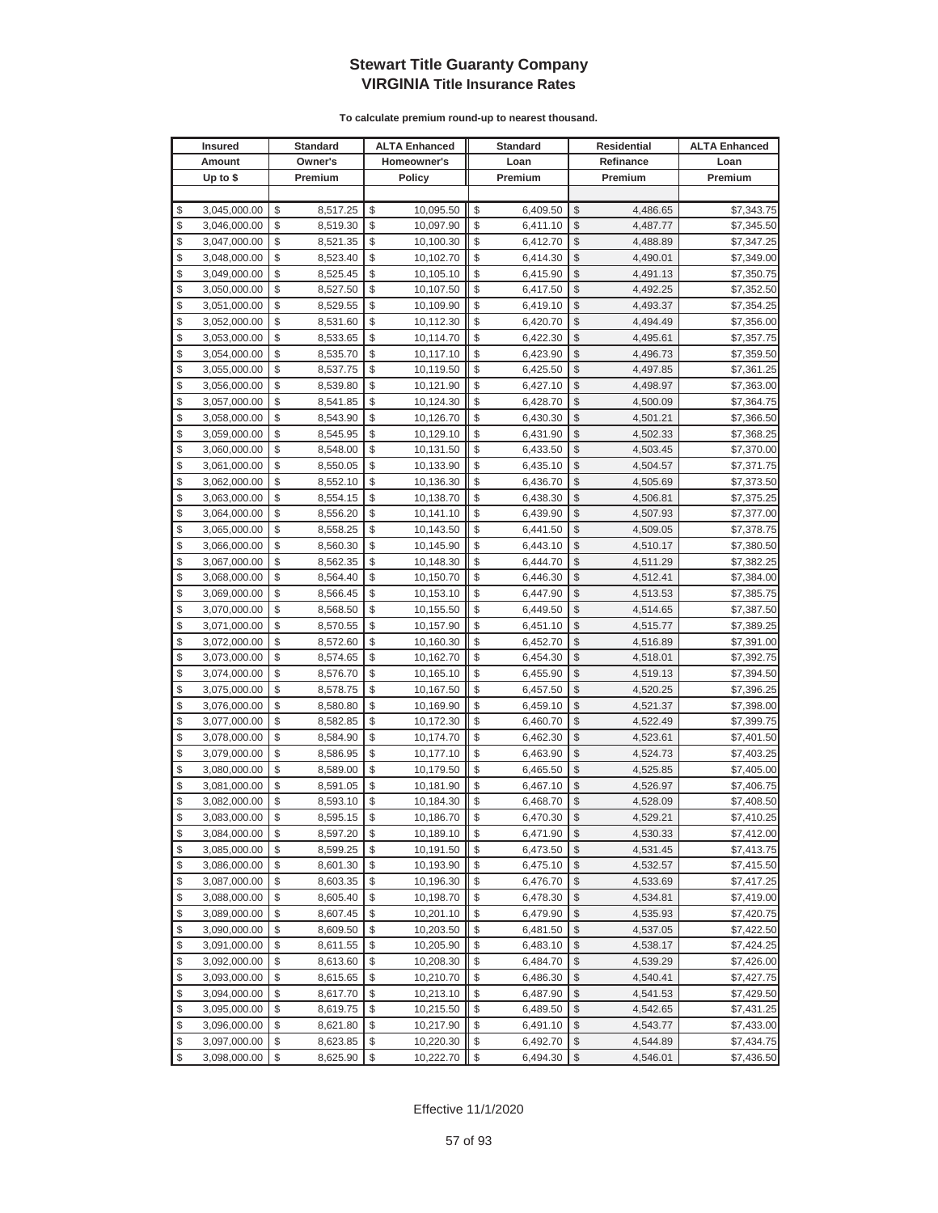|          | <b>Insured</b>               |                         | Standard             |          | <b>ALTA Enhanced</b>   |          | <b>Standard</b>      |               | Residential          | <b>ALTA Enhanced</b>     |
|----------|------------------------------|-------------------------|----------------------|----------|------------------------|----------|----------------------|---------------|----------------------|--------------------------|
|          | Amount                       |                         | Owner's              |          | Homeowner's            |          | Loan                 |               | Refinance            | Loan                     |
|          | Up to $$$                    |                         | Premium              |          | <b>Policy</b>          |          | Premium              |               | Premium              | Premium                  |
|          |                              |                         |                      |          |                        |          |                      |               |                      |                          |
| \$       | 3,045,000.00                 | \$                      | 8,517.25             | \$       | 10,095.50              | \$       | 6,409.50             | \$            | 4,486.65             | \$7,343.75               |
| \$       | 3,046,000.00                 | \$                      | 8,519.30             | \$       | 10,097.90              | \$       | 6,411.10             | \$            | 4,487.77             | \$7,345.50               |
| \$       | 3,047,000.00                 | \$                      | 8,521.35             | \$       | 10,100.30              | \$       | 6,412.70             | \$            | 4,488.89             | \$7,347.25               |
| \$       | 3,048,000.00                 | \$                      | 8,523.40             | \$       | 10,102.70              | \$       | 6,414.30             | \$            | 4,490.01             | \$7,349.00               |
| \$       | 3,049,000.00                 | \$                      | 8,525.45             | \$       | 10,105.10              | \$       | 6,415.90             | \$            | 4,491.13             | \$7,350.75               |
| \$       | 3,050,000.00                 | \$                      | 8,527.50             | \$       | 10,107.50              | \$       | 6,417.50             | \$            | 4,492.25             | \$7,352.50               |
| \$       | 3,051,000.00                 | \$                      | 8,529.55             | \$       | 10,109.90              | \$       | 6,419.10             | \$            | 4,493.37             | \$7,354.25               |
| \$       | 3,052,000.00                 | \$                      | 8,531.60             | \$       | 10,112.30              | \$       | 6,420.70             | \$            | 4,494.49             | \$7,356.00               |
| \$       | 3,053,000.00                 | \$                      | 8,533.65             | \$       | 10,114.70              | \$       | 6,422.30             | \$            | 4,495.61             | \$7,357.75               |
| \$       | 3,054,000.00                 | \$                      | 8,535.70             | \$       | 10,117.10              | \$       | 6,423.90             | \$            | 4,496.73             | \$7,359.50               |
| \$       | 3,055,000.00                 | \$                      | 8,537.75             | \$       | 10,119.50              | \$       | 6,425.50             | \$            | 4,497.85             | \$7,361.25               |
| \$       | 3,056,000.00                 | \$                      | 8,539.80             | \$       | 10,121.90              | \$       | 6,427.10             | \$            | 4,498.97             | \$7,363.00               |
| \$       | 3,057,000.00                 | \$                      | 8,541.85             | \$       | 10,124.30              | \$       | 6,428.70             | \$            | 4,500.09             | \$7,364.75               |
| \$       | 3,058,000.00                 | \$                      | 8,543.90             | \$       | 10,126.70              | \$       | 6,430.30             | \$            | 4,501.21             | \$7,366.50               |
| \$       | 3,059,000.00                 | \$                      | 8,545.95             | \$       | 10,129.10              | \$       | 6,431.90             | \$            | 4,502.33             | \$7,368.25               |
| \$       | 3,060,000.00                 | \$                      | 8,548.00             | \$       | 10,131.50              | \$       | 6,433.50             | \$            | 4,503.45             | \$7,370.00               |
| \$       | 3,061,000.00                 | \$                      | 8,550.05             | \$       | 10,133.90              | \$       | 6,435.10             | \$            | 4,504.57             | \$7,371.75               |
| \$       | 3,062,000.00                 | \$                      | 8,552.10             | \$       | 10,136.30              | \$       | 6,436.70             | \$            | 4,505.69             | \$7,373.50               |
| \$       | 3,063,000.00                 | \$                      | 8,554.15             | \$       | 10,138.70              | \$       | 6,438.30             | \$            | 4,506.81             | \$7,375.25               |
| \$       | 3,064,000.00                 | \$                      | 8,556.20             | \$       | 10,141.10              | \$       | 6,439.90             | \$            | 4,507.93             | \$7,377.00               |
| \$       | 3,065,000.00                 | \$                      | 8,558.25             | \$       | 10,143.50              | \$       | 6,441.50             | \$            | 4,509.05             | \$7,378.75               |
| \$       | 3,066,000.00                 | \$                      | 8,560.30             | \$       | 10,145.90              | \$       | 6,443.10             | \$            | 4,510.17             | \$7,380.50               |
| \$       | 3,067,000.00                 | \$                      | 8,562.35             | \$       | 10,148.30              | \$       | 6,444.70             | \$            | 4,511.29             | \$7,382.25               |
| \$       | 3,068,000.00                 | \$                      | 8,564.40             | \$       | 10,150.70              | \$       | 6,446.30             | \$            | 4,512.41             | \$7,384.00               |
| \$       | 3,069,000.00                 | \$                      | 8,566.45             | \$       | 10,153.10              | \$       | 6,447.90             | \$            | 4,513.53             | \$7,385.75               |
| \$       | 3,070,000.00                 | \$                      | 8,568.50             | \$       | 10,155.50              | \$       | 6,449.50             | \$            | 4,514.65             | \$7,387.50               |
| \$       | 3,071,000.00                 | \$                      | 8,570.55             | \$       | 10,157.90              | \$       | 6,451.10             | $\mathcal{S}$ | 4,515.77             | \$7,389.25               |
| \$       | 3,072,000.00                 | \$                      | 8,572.60             | \$       | 10,160.30              | \$       | 6,452.70             | \$            | 4,516.89             | \$7,391.00               |
| \$       | 3,073,000.00                 | \$                      | 8,574.65             | \$       | 10,162.70              | \$       | 6,454.30             | $\mathcal{S}$ | 4,518.01             | \$7,392.75               |
| \$       | 3,074,000.00                 | \$                      | 8,576.70             | \$       | 10,165.10              | \$       | 6,455.90             | \$            | 4,519.13             | \$7,394.50               |
| \$       | 3,075,000.00                 | \$                      | 8,578.75             | \$       | 10,167.50              | \$       | 6,457.50             | \$            | 4,520.25             | \$7,396.25               |
| \$       | 3,076,000.00                 | \$                      | 8,580.80             | \$       | 10,169.90              | \$       | 6,459.10             | \$            | 4,521.37             | \$7,398.00               |
| \$       | 3,077,000.00                 | \$                      | 8,582.85             | \$       | 10,172.30              | \$       | 6,460.70             | \$            | 4,522.49             | \$7,399.75               |
| \$<br>\$ | 3,078,000.00                 | \$<br>\$                | 8,584.90             | \$<br>\$ | 10,174.70              | \$<br>\$ | 6,462.30             | \$<br>\$      | 4,523.61             | \$7,401.50               |
| \$       | 3,079,000.00<br>3,080,000.00 | \$                      | 8,586.95<br>8,589.00 | \$       | 10,177.10<br>10,179.50 | \$       | 6,463.90<br>6,465.50 | \$            | 4,524.73<br>4,525.85 | \$7,403.25<br>\$7,405.00 |
| \$       | 3,081,000.00                 | \$                      | 8,591.05             | \$       | 10,181.90              | \$       | 6,467.10             | \$            | 4,526.97             | \$7,406.75               |
| \$       | 3,082,000.00                 | \$                      | 8,593.10             | \$       | 10,184.30              | \$       | 6,468.70             | \$            | 4,528.09             | \$7,408.50               |
| \$       | 3,083,000.00                 | \$                      | 8,595.15             | \$       | 10,186.70              | \$       | 6,470.30             | \$            | 4,529.21             | \$7,410.25               |
| \$       | 3,084,000.00                 | \$                      | 8,597.20             | \$       | 10,189.10              | \$       | 6,471.90             | $\sqrt[6]{2}$ | 4,530.33             | \$7,412.00               |
| \$       | 3,085,000.00                 | \$                      | 8,599.25             | \$       | 10,191.50              | \$       | 6,473.50             | \$            | 4,531.45             | \$7,413.75               |
| \$       | 3,086,000.00                 | $\sqrt[6]{\frac{1}{2}}$ | 8,601.30             | \$       | 10,193.90              | \$       | 6,475.10             | $\frac{1}{2}$ | 4,532.57             | \$7,415.50               |
| \$       | 3,087,000.00                 | \$                      | 8,603.35             | \$       | 10,196.30              | \$       | 6,476.70             | \$            | 4,533.69             | \$7,417.25               |
| \$       | 3,088,000.00                 | \$                      | 8,605.40             | \$       | 10,198.70              | \$       | 6,478.30             | \$            | 4,534.81             | \$7,419.00               |
| \$       | 3,089,000.00                 | \$                      | 8,607.45             | \$       | 10,201.10              | \$       | 6,479.90             | \$            | 4,535.93             | \$7,420.75               |
| \$       | 3,090,000.00                 | \$                      | 8,609.50             | \$       | 10,203.50              | \$       | 6,481.50             | \$            | 4,537.05             | \$7,422.50               |
| \$       | 3,091,000.00                 | \$                      | 8,611.55             | \$       | 10,205.90              | \$       | 6,483.10             | \$            | 4,538.17             | \$7,424.25               |
| \$       | 3,092,000.00                 | \$                      | 8,613.60             | \$       | 10,208.30              | \$       | 6,484.70             | \$            | 4,539.29             | \$7,426.00               |
| \$       | 3,093,000.00                 | \$                      | 8,615.65             | \$       | 10,210.70              | \$       | 6,486.30             | \$            | 4,540.41             | \$7,427.75               |
| \$       | 3,094,000.00                 | \$                      | 8,617.70             | \$       | 10,213.10              | \$       | 6,487.90             | \$            | 4,541.53             | \$7,429.50               |
| \$       | 3,095,000.00                 | \$                      | 8,619.75             | \$       | 10,215.50              | \$       | 6,489.50             | \$            | 4,542.65             | \$7,431.25               |
| \$       | 3,096,000.00                 | \$                      | 8,621.80             | \$       | 10,217.90              | \$       | 6,491.10             | \$            | 4,543.77             | \$7,433.00               |
| \$       | 3,097,000.00                 | \$                      | 8,623.85             | \$       | 10,220.30              | \$       | 6,492.70             | \$            | 4,544.89             | \$7,434.75               |
| \$       | 3,098,000.00                 | \$                      | 8,625.90             | \$       | 10,222.70              | \$       | 6,494.30             | $\frac{1}{2}$ | 4,546.01             | \$7,436.50               |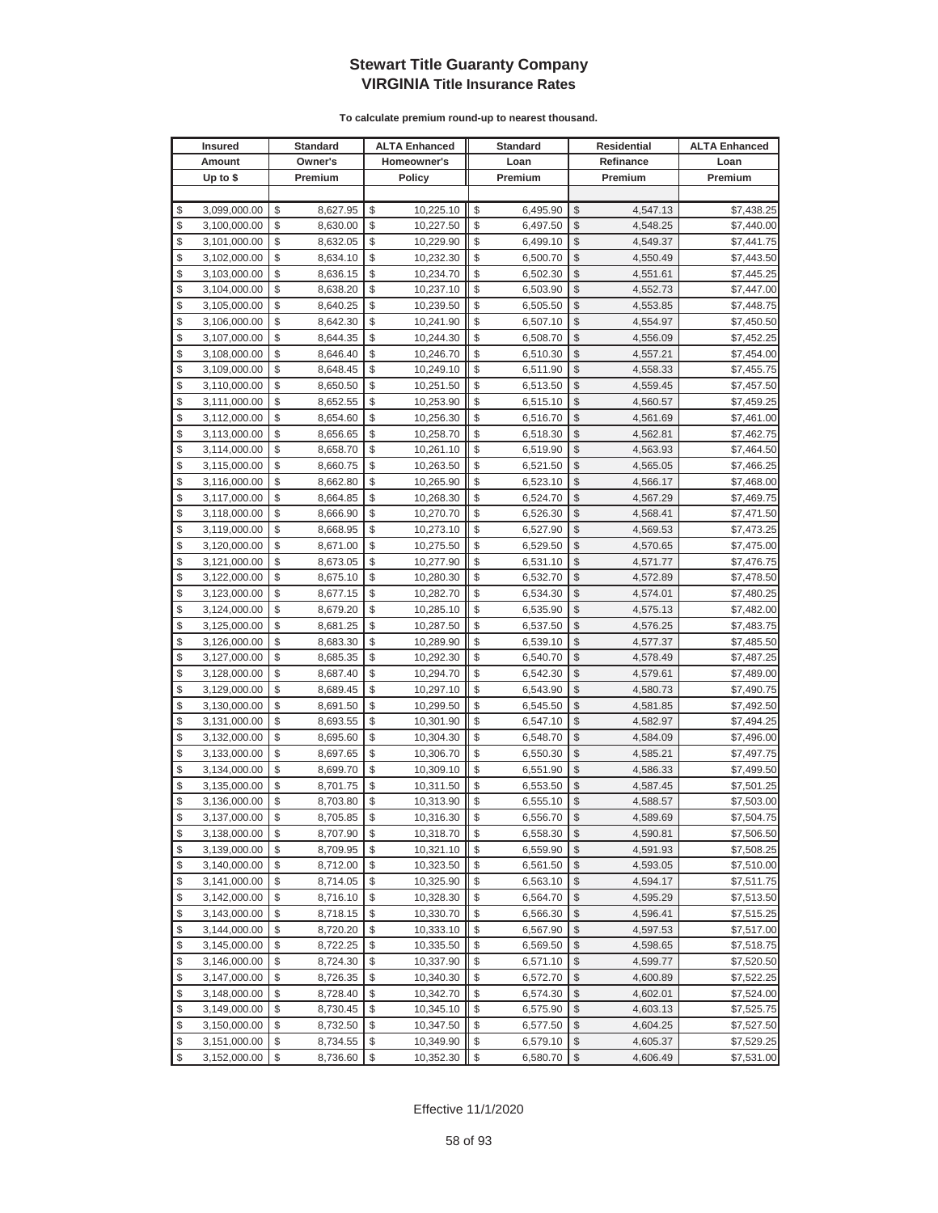|          | <b>Insured</b>               |          | Standard             |          | <b>ALTA Enhanced</b>   |          | <b>Standard</b>      |                         | Residential          | <b>ALTA Enhanced</b>     |
|----------|------------------------------|----------|----------------------|----------|------------------------|----------|----------------------|-------------------------|----------------------|--------------------------|
|          | Amount                       |          | Owner's              |          | Homeowner's            |          | Loan                 |                         | Refinance            | Loan                     |
|          | Up to $$$                    |          | Premium              |          | <b>Policy</b>          |          | Premium              |                         | Premium              | Premium                  |
|          |                              |          |                      |          |                        |          |                      |                         |                      |                          |
| \$       | 3,099,000.00                 | \$       | 8,627.95             | \$       | 10,225.10              | \$       | 6,495.90             | \$                      | 4,547.13             | \$7,438.25               |
| \$       | 3,100,000.00                 | \$       | 8,630.00             | \$       | 10,227.50              | \$       | 6,497.50             | \$                      | 4,548.25             | \$7,440.00               |
| \$       | 3,101,000.00                 | \$       | 8,632.05             | \$       | 10,229.90              | \$       | 6,499.10             | \$                      | 4,549.37             | \$7,441.75               |
| \$       | 3,102,000.00                 | \$       | 8,634.10             | \$       | 10,232.30              | \$       | 6,500.70             | \$                      | 4,550.49             | \$7,443.50               |
| \$       | 3,103,000.00                 | \$       | 8,636.15             | \$       | 10,234.70              | \$       | 6,502.30             | \$                      | 4,551.61             | \$7,445.25               |
| \$       | 3,104,000.00                 | \$       | 8,638.20             | \$       | 10,237.10              | \$       | 6,503.90             | \$                      | 4,552.73             | \$7,447.00               |
| \$       | 3,105,000.00                 | \$       | 8,640.25             | \$       | 10,239.50              | \$       | 6,505.50             | \$                      | 4,553.85             | \$7,448.75               |
| \$       | 3,106,000.00                 | \$       | 8,642.30             | \$       | 10,241.90              | \$       | 6,507.10             | \$                      | 4,554.97             | \$7,450.50               |
| \$       | 3,107,000.00                 | \$       | 8,644.35             | \$       | 10,244.30              | \$       | 6,508.70             | \$                      | 4,556.09             | \$7,452.25               |
| \$       | 3,108,000.00                 | \$       | 8,646.40             | \$       | 10,246.70              | \$       | 6,510.30             | \$                      | 4,557.21             | \$7,454.00               |
| \$       | 3,109,000.00                 | \$       | 8,648.45             | \$       | 10,249.10              | \$       | 6,511.90             | \$                      | 4,558.33             | \$7,455.75               |
| \$       | 3,110,000.00                 | \$       | 8,650.50             | \$       | 10,251.50              | \$       | 6,513.50             | \$                      | 4,559.45             | \$7,457.50               |
| \$       | 3,111,000.00                 | \$       | 8,652.55             | \$       | 10,253.90              | \$       | 6,515.10             | \$                      | 4,560.57             | \$7,459.25               |
| \$       | 3,112,000.00                 | \$       | 8,654.60             | \$       | 10,256.30              | \$       | 6,516.70             | \$                      | 4,561.69             | \$7,461.00               |
| \$       | 3,113,000.00                 | \$       | 8,656.65             | \$       | 10,258.70              | \$       | 6,518.30             | \$                      | 4,562.81             | \$7,462.75               |
| \$       | 3,114,000.00                 | \$       | 8,658.70             | \$       | 10,261.10              | \$       | 6,519.90             | \$                      | 4,563.93             | \$7,464.50               |
| \$       | 3,115,000.00                 | \$       | 8,660.75             | \$       | 10,263.50              | \$       | 6,521.50             | \$                      | 4,565.05             | \$7,466.25               |
| \$       | 3,116,000.00                 | \$       | 8,662.80             | \$       | 10,265.90              | \$       | 6,523.10             | \$                      | 4,566.17             | \$7,468.00               |
| \$       | 3,117,000.00                 | \$       | 8,664.85             | \$       | 10,268.30              | \$       | 6,524.70             | \$                      | 4,567.29             | \$7,469.75               |
| \$       | 3,118,000.00                 | \$       | 8,666.90             | \$       | 10,270.70              | \$       | 6,526.30             | \$                      | 4,568.41             | \$7,471.50               |
| \$       | 3,119,000.00                 | \$       | 8,668.95             | \$       | 10,273.10              | \$       | 6,527.90             | \$                      | 4,569.53             | \$7,473.25               |
| \$       | 3,120,000.00                 | \$       | 8,671.00             | \$       | 10,275.50              | \$       | 6,529.50             | \$                      | 4,570.65             | \$7,475.00               |
| \$       | 3,121,000.00                 | \$       | 8,673.05             | \$       | 10,277.90              | \$       | 6,531.10             | \$                      | 4,571.77             | \$7,476.75               |
| \$       | 3,122,000.00                 | \$       | 8,675.10             | \$       | 10,280.30              | \$       | 6,532.70             | \$                      | 4,572.89             | \$7,478.50               |
| \$       | 3,123,000.00                 | \$       | 8,677.15             | \$       | 10,282.70              | \$       | 6,534.30             | \$                      | 4,574.01             | \$7,480.25               |
| \$       | 3,124,000.00                 | \$       | 8,679.20             | \$       | 10,285.10              | \$       | 6,535.90             | \$                      | 4,575.13             | \$7,482.00               |
| \$       | 3,125,000.00                 | \$       | 8,681.25             | \$       | 10,287.50              | \$       | 6,537.50             | $\mathcal{S}$           | 4,576.25             | \$7,483.75               |
| \$       | 3,126,000.00                 | \$       | 8,683.30             | \$       | 10,289.90              | \$       | 6,539.10             | \$                      | 4,577.37             | \$7,485.50               |
| \$       | 3,127,000.00                 | \$       | 8,685.35             | \$       | 10,292.30              | \$       | 6,540.70             | \$                      | 4,578.49             | \$7,487.25               |
| \$       | 3,128,000.00                 | \$       | 8,687.40             | \$       | 10,294.70              | \$       | 6,542.30             | \$                      | 4,579.61             | \$7,489.00               |
| \$       | 3,129,000.00                 | \$       | 8,689.45             | \$       | 10,297.10              | \$       | 6,543.90             | \$                      | 4,580.73             | \$7,490.75               |
| \$       | 3,130,000.00                 | \$       | 8,691.50             | \$       | 10,299.50              | \$       | 6,545.50             | \$                      | 4,581.85             | \$7,492.50               |
| \$       | 3,131,000.00                 | \$       | 8,693.55             | \$       | 10,301.90              | \$       | 6,547.10             | \$                      | 4,582.97             | \$7,494.25               |
| \$       | 3,132,000.00                 | \$       | 8,695.60             | \$       | 10,304.30              | \$       | 6,548.70             | \$                      | 4,584.09             | \$7,496.00               |
| \$       | 3,133,000.00                 | \$       | 8,697.65             | \$       | 10,306.70              | \$       | 6,550.30             | \$                      | 4,585.21             | \$7,497.75               |
| \$       | 3,134,000.00                 | \$       | 8,699.70             | \$<br>\$ | 10,309.10              | \$       | 6,551.90             | \$                      | 4,586.33             | \$7,499.50               |
| \$<br>\$ | 3,135,000.00                 | \$<br>\$ | 8,701.75             | \$       | 10,311.50              | \$<br>\$ | 6,553.50             | \$<br>\$                | 4,587.45             | \$7,501.25               |
| \$       | 3,136,000.00<br>3,137,000.00 | \$       | 8,703.80<br>8,705.85 | \$       | 10,313.90<br>10,316.30 | \$       | 6,555.10<br>6,556.70 | $\mathcal{S}$           | 4,588.57<br>4,589.69 | \$7,503.00<br>\$7,504.75 |
| \$       | 3,138,000.00                 | \$       | 8,707.90             | \$       | 10,318.70              | \$       | 6,558.30             | $\sqrt[6]{2}$           | 4,590.81             | \$7,506.50               |
| \$       | 3,139,000.00                 | \$       | 8,709.95             | \$       | 10,321.10              | \$       | 6,559.90             | $\mathcal{S}$           | 4,591.93             | \$7,508.25               |
| \$       | 3,140,000.00                 | \$       | 8,712.00             | \$       | 10,323.50              | \$       | 6,561.50             | $\frac{1}{2}$           | 4,593.05             | \$7,510.00               |
| \$       | 3,141,000.00                 | \$       | 8,714.05             | \$       | 10,325.90              | \$       | 6,563.10             | \$                      | 4,594.17             | \$7,511.75               |
| \$       | 3,142,000.00                 | \$       | 8,716.10             | \$       | 10,328.30              | \$       | 6,564.70             | \$                      | 4,595.29             | \$7,513.50               |
| \$       | 3,143,000.00                 | \$       | 8,718.15             | \$       | 10,330.70              | \$       | 6,566.30             | \$                      | 4,596.41             | \$7,515.25               |
| \$       | 3,144,000.00                 | \$       | 8,720.20             | \$       | 10,333.10              | \$       | 6,567.90             | \$                      | 4,597.53             | \$7,517.00               |
| \$       | 3,145,000.00                 | \$       | 8,722.25             | \$       | 10,335.50              | \$       | 6,569.50             | \$                      | 4,598.65             | \$7,518.75               |
| \$       | 3,146,000.00                 | \$       | 8,724.30             | \$       | 10,337.90              | \$       | 6,571.10             | \$                      | 4,599.77             | \$7,520.50               |
| \$       | 3,147,000.00                 | \$       | 8,726.35             | \$       | 10,340.30              | \$       | 6,572.70             | \$                      | 4,600.89             | \$7,522.25               |
| \$       | 3,148,000.00                 | \$       | 8,728.40             | \$       | 10,342.70              | \$       | 6,574.30             | \$                      | 4,602.01             | \$7,524.00               |
| \$       | 3,149,000.00                 | \$       | 8,730.45             | \$       | 10,345.10              | \$       | 6,575.90             | \$                      | 4,603.13             | \$7,525.75               |
| \$       | 3,150,000.00                 | \$       | 8,732.50             | \$       | 10,347.50              | \$       | 6,577.50             | \$                      | 4,604.25             | \$7,527.50               |
| \$       | 3,151,000.00                 | \$       | 8,734.55             | \$       | 10,349.90              | \$       | 6,579.10             | \$                      | 4,605.37             | \$7,529.25               |
| \$       | 3,152,000.00                 | \$       | 8,736.60             | \$       | 10,352.30              | \$       | 6,580.70             | $\sqrt[6]{\frac{1}{2}}$ | 4,606.49             | \$7,531.00               |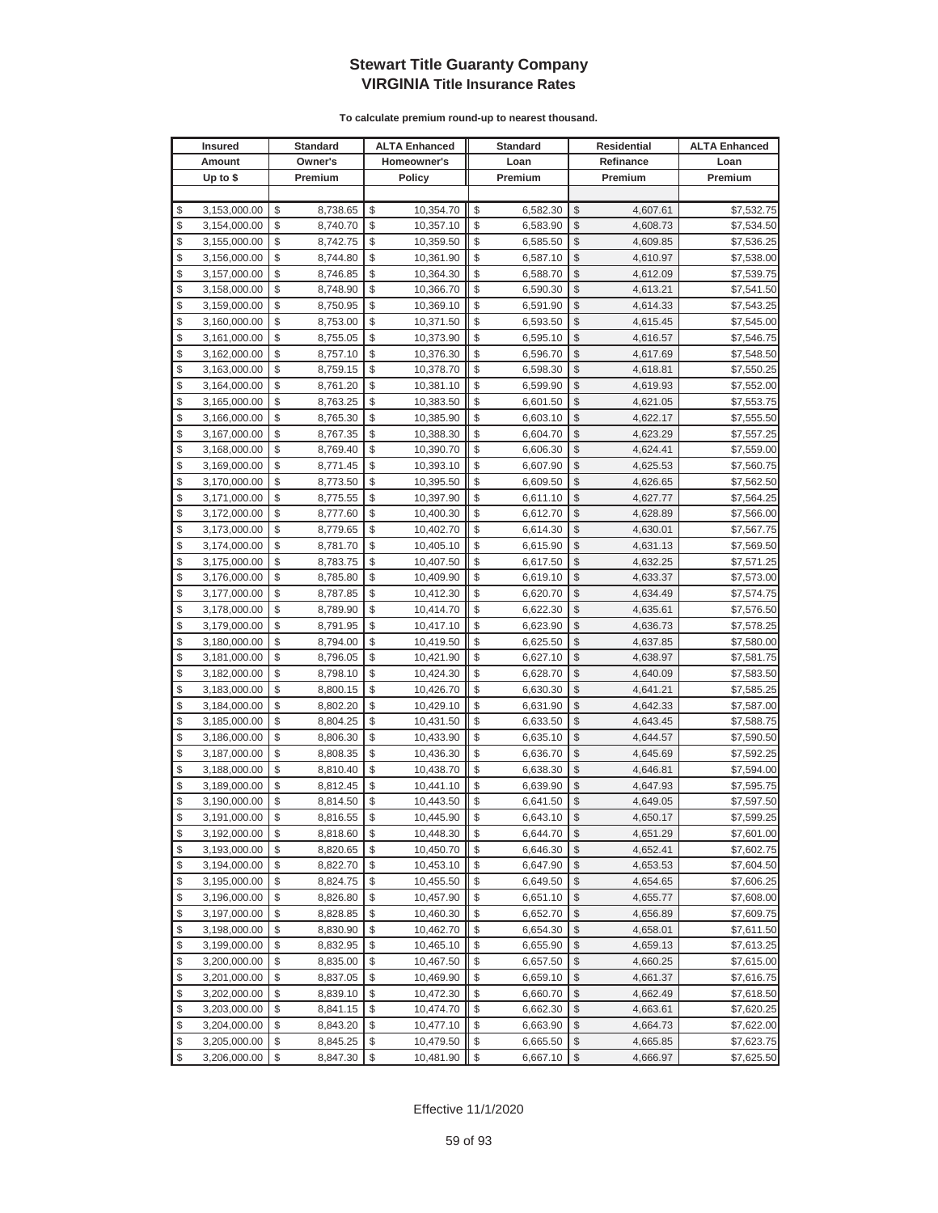| <b>Insured</b>     | Standard       | <b>ALTA Enhanced</b> |                           | <b>Standard</b> |                         | Residential | <b>ALTA Enhanced</b> |
|--------------------|----------------|----------------------|---------------------------|-----------------|-------------------------|-------------|----------------------|
| Amount             | Owner's        | Homeowner's          |                           | Loan            |                         | Refinance   | Loan                 |
| Up to $$$          | Premium        | <b>Policy</b>        |                           | Premium         |                         | Premium     | Premium              |
|                    |                |                      |                           |                 |                         |             |                      |
| \$<br>3,153,000.00 | \$<br>8,738.65 | \$<br>10,354.70      | \$                        | 6,582.30        | \$                      | 4,607.61    | \$7,532.75           |
| \$<br>3,154,000.00 | \$<br>8,740.70 | \$<br>10,357.10      | \$                        | 6,583.90        | \$                      | 4,608.73    | \$7,534.50           |
| \$<br>3,155,000.00 | \$<br>8,742.75 | \$<br>10,359.50      | \$                        | 6,585.50        | \$                      | 4,609.85    | \$7,536.25           |
| \$<br>3,156,000.00 | \$<br>8,744.80 | \$<br>10,361.90      | \$                        | 6,587.10        | \$                      | 4,610.97    | \$7,538.00           |
| \$<br>3,157,000.00 | \$<br>8,746.85 | \$<br>10,364.30      | \$                        | 6,588.70        | \$                      | 4,612.09    | \$7,539.75           |
| \$<br>3,158,000.00 | \$<br>8,748.90 | \$<br>10,366.70      | \$                        | 6,590.30        | \$                      | 4,613.21    | \$7,541.50           |
| \$<br>3,159,000.00 | \$<br>8,750.95 | \$<br>10,369.10      | \$                        | 6,591.90        | \$                      | 4,614.33    | \$7,543.25           |
| \$<br>3,160,000.00 | \$<br>8,753.00 | \$<br>10,371.50      | \$                        | 6,593.50        | \$                      | 4,615.45    | \$7,545.00           |
| \$<br>3,161,000.00 | \$<br>8,755.05 | \$<br>10,373.90      | \$                        | 6,595.10        | \$                      | 4,616.57    | \$7,546.75           |
| \$<br>3,162,000.00 | \$<br>8,757.10 | \$<br>10,376.30      | \$                        | 6,596.70        | \$                      | 4,617.69    | \$7,548.50           |
| \$<br>3,163,000.00 | \$<br>8,759.15 | \$<br>10,378.70      | \$                        | 6,598.30        | \$                      | 4,618.81    | \$7,550.25           |
| \$<br>3,164,000.00 | \$<br>8,761.20 | \$<br>10,381.10      | \$                        | 6,599.90        | \$                      | 4,619.93    | \$7,552.00           |
| \$<br>3,165,000.00 | \$<br>8,763.25 | \$<br>10,383.50      | \$                        | 6,601.50        | \$                      | 4,621.05    | \$7,553.75           |
| \$<br>3,166,000.00 | \$<br>8,765.30 | \$<br>10,385.90      | \$                        | 6,603.10        | \$                      | 4,622.17    | \$7,555.50           |
| \$<br>3,167,000.00 | \$<br>8,767.35 | \$<br>10,388.30      | \$                        | 6,604.70        | \$                      | 4,623.29    | \$7,557.25           |
| \$<br>3,168,000.00 | \$<br>8,769.40 | \$<br>10,390.70      | \$                        | 6,606.30        | \$                      | 4,624.41    | \$7,559.00           |
| \$<br>3,169,000.00 | \$<br>8,771.45 | \$<br>10,393.10      | \$                        | 6,607.90        | \$                      | 4,625.53    | \$7,560.75           |
| \$<br>3,170,000.00 | \$<br>8,773.50 | \$<br>10,395.50      | \$                        | 6,609.50        | \$                      | 4,626.65    | \$7,562.50           |
| \$<br>3,171,000.00 | \$<br>8,775.55 | \$<br>10,397.90      | \$                        | 6,611.10        | \$                      | 4,627.77    | \$7,564.25           |
| \$<br>3,172,000.00 | \$<br>8,777.60 | \$<br>10,400.30      | \$                        | 6,612.70        | \$                      | 4,628.89    | \$7,566.00           |
| \$<br>3,173,000.00 | \$<br>8,779.65 | \$<br>10,402.70      | \$                        | 6,614.30        | \$                      | 4,630.01    | \$7,567.75           |
| \$<br>3,174,000.00 | \$<br>8,781.70 | \$<br>10,405.10      | \$                        | 6,615.90        | \$                      | 4,631.13    | \$7,569.50           |
| \$<br>3,175,000.00 | \$<br>8,783.75 | \$<br>10,407.50      | \$                        | 6,617.50        | \$                      | 4,632.25    | \$7,571.25           |
| \$<br>3,176,000.00 | \$<br>8,785.80 | \$<br>10,409.90      | \$                        | 6,619.10        | \$                      | 4,633.37    | \$7,573.00           |
| \$<br>3,177,000.00 | \$<br>8,787.85 | \$<br>10,412.30      | \$                        | 6,620.70        | \$                      | 4,634.49    | \$7,574.75           |
| \$<br>3,178,000.00 | \$<br>8,789.90 | \$<br>10,414.70      | \$                        | 6,622.30        | \$                      | 4,635.61    | \$7,576.50           |
| \$<br>3,179,000.00 | \$<br>8,791.95 | \$<br>10,417.10      | \$                        | 6,623.90        | $\mathcal{S}$           | 4,636.73    | \$7,578.25           |
| \$<br>3,180,000.00 | \$<br>8,794.00 | \$<br>10,419.50      | \$                        | 6,625.50        | \$                      | 4,637.85    | \$7,580.00           |
| \$<br>3,181,000.00 | \$<br>8,796.05 | \$<br>10,421.90      | \$                        | 6,627.10        | \$                      | 4,638.97    | \$7,581.75           |
| \$<br>3,182,000.00 | \$<br>8,798.10 | \$<br>10,424.30      | \$                        | 6,628.70        | \$                      | 4,640.09    | \$7,583.50           |
| \$<br>3,183,000.00 | \$<br>8,800.15 | \$<br>10,426.70      | \$                        | 6,630.30        | \$                      | 4,641.21    | \$7,585.25           |
| \$<br>3,184,000.00 | \$<br>8,802.20 | \$<br>10,429.10      | \$                        | 6,631.90        | \$                      | 4,642.33    | \$7,587.00           |
| \$<br>3,185,000.00 | \$<br>8,804.25 | \$<br>10,431.50      | \$                        | 6,633.50        | \$                      | 4,643.45    | \$7,588.75           |
| \$<br>3,186,000.00 | \$<br>8,806.30 | \$<br>10,433.90      | \$                        | 6,635.10        | \$                      | 4,644.57    | \$7,590.50           |
| \$<br>3,187,000.00 | \$<br>8,808.35 | \$<br>10,436.30      | \$                        | 6,636.70        | \$                      | 4,645.69    | \$7,592.25           |
| \$<br>3,188,000.00 | \$<br>8,810.40 | \$<br>10,438.70      | \$                        | 6,638.30        | \$                      | 4,646.81    | \$7,594.00           |
| \$<br>3,189,000.00 | \$<br>8,812.45 | \$<br>10,441.10      | \$                        | 6,639.90        | \$                      | 4,647.93    | \$7,595.75           |
| \$<br>3,190,000.00 | \$<br>8,814.50 | \$<br>10,443.50      | \$                        | 6,641.50        | \$                      | 4,649.05    | \$7,597.50           |
| \$<br>3,191,000.00 | \$<br>8,816.55 | \$<br>10,445.90      | \$                        | 6,643.10        | $\mathcal{S}$           | 4,650.17    | \$7,599.25           |
| \$<br>3,192,000.00 | \$<br>8,818.60 | \$<br>10,448.30      | \$                        | 6,644.70        | $\sqrt[6]{2}$           | 4,651.29    | \$7,601.00           |
| \$<br>3,193,000.00 | \$<br>8,820.65 | \$<br>10,450.70      | \$                        | 6,646.30        | \$                      | 4,652.41    | \$7,602.75           |
| \$<br>3,194,000.00 | \$<br>8,822.70 | \$<br>10,453.10      | \$                        | 6,647.90        | $\sqrt[6]{\frac{1}{2}}$ | 4,653.53    | \$7,604.50           |
| \$<br>3,195,000.00 | \$<br>8,824.75 | \$<br>10,455.50      | \$                        | 6,649.50        | \$                      | 4,654.65    | \$7,606.25           |
| \$<br>3,196,000.00 | \$<br>8,826.80 | \$<br>10,457.90      | \$                        | 6,651.10        | \$                      | 4,655.77    | \$7,608.00           |
| \$<br>3,197,000.00 | \$<br>8,828.85 | \$<br>10,460.30      | \$                        | 6,652.70        | \$                      | 4,656.89    | \$7,609.75           |
| \$<br>3,198,000.00 | \$<br>8,830.90 | \$<br>10,462.70      | \$                        | 6,654.30        | \$                      | 4,658.01    | \$7,611.50           |
| \$<br>3,199,000.00 | \$<br>8,832.95 | \$<br>10,465.10      | \$                        | 6,655.90        | \$                      | 4,659.13    | \$7,613.25           |
| \$<br>3,200,000.00 | \$<br>8,835.00 | \$<br>10,467.50      | \$                        | 6,657.50        | \$                      | 4,660.25    | \$7,615.00           |
| \$<br>3,201,000.00 | \$<br>8,837.05 | \$<br>10,469.90      | \$                        | 6,659.10        | \$                      | 4,661.37    | \$7,616.75           |
| \$<br>3,202,000.00 | \$<br>8,839.10 | \$<br>10,472.30      | \$                        | 6,660.70        | \$                      | 4,662.49    | \$7,618.50           |
| \$<br>3,203,000.00 | \$<br>8,841.15 | \$<br>10,474.70      | \$                        | 6,662.30        | \$                      | 4,663.61    | \$7,620.25           |
| \$<br>3,204,000.00 | \$<br>8,843.20 | \$<br>10,477.10      | \$                        | 6,663.90        | \$                      | 4,664.73    | \$7,622.00           |
| \$<br>3,205,000.00 | \$<br>8,845.25 | \$<br>10,479.50      | \$                        | 6,665.50        | \$                      | 4,665.85    | \$7,623.75           |
| \$<br>3,206,000.00 | \$<br>8,847.30 | \$<br>10,481.90      | $\boldsymbol{\mathsf{S}}$ | 6,667.10        | $\sqrt[6]{\frac{1}{2}}$ | 4,666.97    | \$7,625.50           |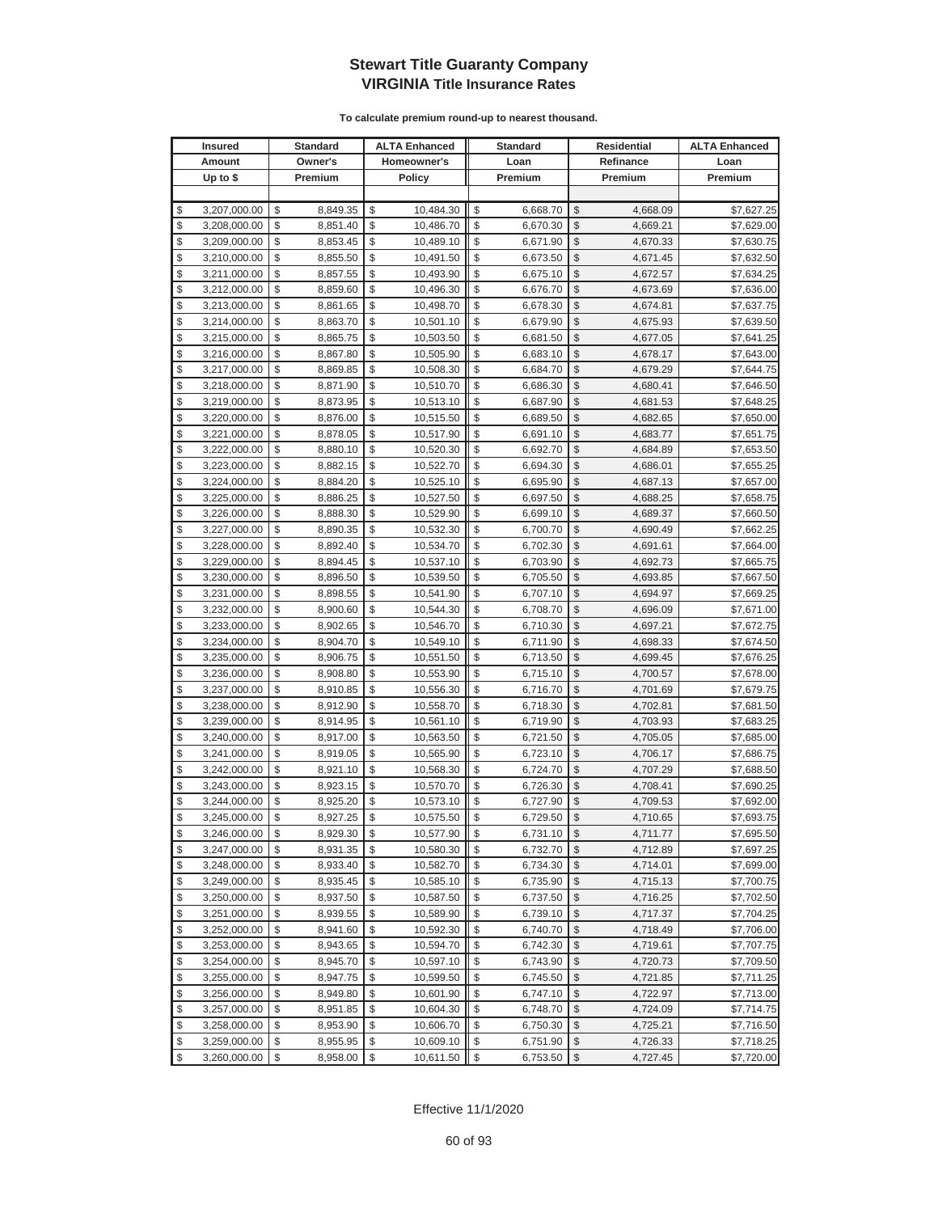| Homeowner's<br>Owner's<br>Refinance<br>Amount<br>Loan<br>Loan<br>Up to $$$<br><b>Policy</b><br>Premium<br>Premium<br>Premium<br>Premium<br>\$<br>\$<br>10,484.30<br>\$<br>\$<br>3,207,000.00<br>\$<br>8,849.35<br>6,668.70<br>4.668.09<br>\$7,627.25<br>\$<br>\$<br>\$<br>\$<br>3,208,000.00<br>\$<br>8,851.40<br>10,486.70<br>6,670.30<br>4,669.21<br>\$7,629.00<br>\$<br>\$<br>\$<br>\$<br>\$<br>3,209,000.00<br>8,853.45<br>10,489.10<br>6,671.90<br>4,670.33<br>\$7,630.75<br>\$<br>\$<br>\$<br>\$<br>3,210,000.00<br>\$<br>8,855.50<br>10,491.50<br>6,673.50<br>4,671.45<br>\$7,632.50<br>\$<br>\$<br>\$<br>\$<br>\$<br>3,211,000.00<br>8,857.55<br>10,493.90<br>6,675.10<br>\$7,634.25<br>4,672.57<br>\$<br>\$<br>\$<br>\$<br>3,212,000.00<br>\$<br>8,859.60<br>10,496.30<br>6,676.70<br>4,673.69<br>\$7,636.00<br>\$<br>\$<br>\$<br>\$<br>\$<br>8,861.65<br>10,498.70<br>3,213,000.00<br>6,678.30<br>4,674.81<br>\$7,637.75<br>\$<br>\$<br>\$<br>\$<br>3,214,000.00<br>\$<br>8,863.70<br>10,501.10<br>6,679.90<br>\$7,639.50<br>4,675.93<br>\$<br>\$<br>\$<br>3,215,000.00<br>\$<br>\$<br>8,865.75<br>10,503.50<br>6,681.50<br>4,677.05<br>\$7,641.25<br>\$<br>\$<br>\$<br>\$<br>\$<br>3,216,000.00<br>8,867.80<br>10,505.90<br>6,683.10<br>4,678.17<br>\$7,643.00<br>\$<br>\$<br>\$<br>\$<br>\$<br>10,508.30<br>3,217,000.00<br>8,869.85<br>6,684.70<br>4,679.29<br>\$7,644.75<br>\$<br>\$<br>\$<br>\$<br>3,218,000.00<br>\$<br>8,871.90<br>10,510.70<br>\$7,646.50<br>6,686.30<br>4,680.41<br>\$<br>\$<br>\$<br>\$<br>\$<br>3,219,000.00<br>8,873.95<br>10,513.10<br>6,687.90<br>4,681.53<br>\$7,648.25<br>\$<br>\$<br>\$<br>\$<br>\$<br>3,220,000.00<br>8,876.00<br>10,515.50<br>6,689.50<br>4,682.65<br>\$7,650.00<br>\$<br>\$<br>\$<br>\$<br>\$<br>3,221,000.00<br>8,878.05<br>10,517.90<br>4,683.77<br>\$7,651.75<br>6,691.10<br>\$<br>\$<br>\$<br>\$<br>\$<br>3,222,000.00<br>8,880.10<br>10,520.30<br>6,692.70<br>4,684.89<br>\$7,653.50<br>\$<br>\$<br>\$<br>\$<br>\$<br>3,223,000.00<br>8,882.15<br>10,522.70<br>6,694.30<br>4,686.01<br>\$7,655.25<br>\$<br>\$<br>\$<br>\$<br>\$<br>8,884.20<br>3,224,000.00<br>10,525.10<br>6,695.90<br>4,687.13<br>\$7,657.00<br>\$<br>\$<br>\$<br>\$<br>\$<br>8,886.25<br>3,225,000.00<br>10,527.50<br>6,697.50<br>4,688.25<br>\$7,658.75<br>\$<br>\$<br>\$<br>\$<br>\$<br>3,226,000.00<br>8,888.30<br>10,529.90<br>6,699.10<br>4,689.37<br>\$7,660.50<br>\$<br>\$<br>\$<br>\$<br>\$<br>3,227,000.00<br>8,890.35<br>10,532.30<br>6,700.70<br>4,690.49<br>\$7,662.25<br>\$<br>\$<br>\$<br>\$<br>\$<br>3,228,000.00<br>8,892.40<br>10,534.70<br>6,702.30<br>4,691.61<br>\$7,664.00<br>\$<br>\$<br>\$<br>\$<br>\$<br>3,229,000.00<br>8,894.45<br>10,537.10<br>6,703.90<br>4,692.73<br>\$7,665.75<br>\$<br>\$<br>\$<br>\$<br>\$<br>3,230,000.00<br>8,896.50<br>10,539.50<br>6,705.50<br>4,693.85<br>\$7,667.50<br>\$<br>\$<br>\$<br>\$<br>3,231,000.00<br>\$<br>8,898.55<br>10,541.90<br>6,707.10<br>4,694.97<br>\$7,669.25<br>\$<br>\$<br>\$<br>\$<br>\$<br>3,232,000.00<br>8,900.60<br>10,544.30<br>6,708.70<br>4,696.09<br>\$7,671.00<br>\$<br>\$<br>\$<br>8,902.65<br>\$<br>\$<br>3,233,000.00<br>10,546.70<br>6,710.30<br>4,697.21<br>\$7,672.75<br>\$<br>\$<br>\$<br>\$<br>\$<br>3,234,000.00<br>8,904.70<br>10,549.10<br>6,711.90<br>4,698.33<br>\$7,674.50<br>\$<br>\$<br>\$<br>\$<br>\$<br>3,235,000.00<br>8,906.75<br>10,551.50<br>6,713.50<br>4,699.45<br>\$7,676.25<br>\$<br>\$<br>\$<br>\$<br>\$<br>3,236,000.00<br>8,908.80<br>10,553.90<br>6,715.10<br>4,700.57<br>\$7,678.00<br>\$<br>\$<br>\$<br>\$<br>3,237,000.00<br>\$<br>8,910.85<br>10,556.30<br>6,716.70<br>4,701.69<br>\$7,679.75<br>\$<br>\$<br>\$<br>\$<br>\$<br>3,238,000.00<br>8,912.90<br>10,558.70<br>6,718.30<br>4,702.81<br>\$7,681.50<br>\$<br>\$<br>\$<br>\$<br>\$<br>3,239,000.00<br>8,914.95<br>10,561.10<br>6,719.90<br>4,703.93<br>\$7,683.25<br>\$<br>\$<br>\$<br>\$<br>\$<br>3,240,000.00<br>8,917.00<br>10,563.50<br>6,721.50<br>4,705.05<br>\$7,685.00<br>\$<br>\$<br>\$<br>\$<br>3,241,000.00<br>\$<br>8,919.05<br>10,565.90<br>6,723.10<br>4,706.17<br>\$7,686.75<br>\$<br>\$<br>\$<br>\$<br>\$<br>3,242,000.00<br>8,921.10<br>10,568.30<br>6,724.70<br>4,707.29<br>\$7,688.50<br>\$<br>\$<br>\$<br>\$<br>\$<br>3,243,000.00<br>8,923.15<br>10,570.70<br>6,726.30<br>4,708.41<br>\$7,690.25<br>\$<br>\$<br>\$<br>\$<br>\$<br>3,244,000.00<br>8,925.20<br>10,573.10<br>6,727.90<br>4,709.53<br>\$7,692.00<br>\$<br>\$<br>\$<br>\$<br>\$<br>10,575.50<br>6,729.50<br>\$7,693.75<br>3,245,000.00<br>8,927.25<br>4,710.65<br>\$<br>3,246,000.00<br>\$<br>\$<br>$\sqrt[6]{3}$<br>\$<br>8,929.30<br>10,577.90<br>6,731.10<br>4,711.77<br>\$7,695.50<br>\$<br>\$<br>\$<br>$\mathcal{S}$<br>\$<br>3,247,000.00<br>8,931.35<br>10,580.30<br>6,732.70<br>4,712.89<br>\$7,697.25<br>\$<br>\$<br>\$<br>$\mathcal{S}$<br>3,248,000.00<br>\$<br>8,933.40<br>10,582.70<br>6,734.30<br>\$7,699.00<br>4,714.01<br>\$<br>\$<br>\$<br>\$<br>3,249,000.00<br>8,935.45<br>\$<br>10,585.10<br>6,735.90<br>\$7,700.75<br>4,715.13<br>\$<br>\$<br>3,250,000.00<br>\$<br>8,937.50<br>\$<br>10,587.50<br>\$<br>6,737.50<br>4,716.25<br>\$7,702.50<br>\$<br>\$<br>\$<br>\$<br>8,939.55<br>\$<br>3,251,000.00<br>10,589.90<br>6,739.10<br>4,717.37<br>\$7,704.25<br>\$<br>\$<br>\$<br>3,252,000.00<br>\$<br>8,941.60<br>10,592.30<br>\$<br>6,740.70<br>4,718.49<br>\$7,706.00<br>\$<br>\$<br>3,253,000.00<br>\$<br>8,943.65<br>\$<br>10,594.70<br>6,742.30<br>\$<br>4,719.61<br>\$7,707.75<br>\$<br>\$<br>\$<br>\$<br>\$<br>3,254,000.00<br>8,945.70<br>10,597.10<br>6,743.90<br>4,720.73<br>\$7,709.50<br>\$<br>\$<br>\$<br>\$<br>\$<br>\$7,711.25<br>3,255,000.00<br>8,947.75<br>10,599.50<br>6,745.50<br>4,721.85<br>\$<br>\$<br>3,256,000.00<br>\$<br>8,949.80<br>\$<br>10,601.90<br>\$<br>6,747.10<br>4,722.97<br>\$7,713.00<br>\$<br>3,257,000.00<br>\$<br>8,951.85<br>10,604.30<br>\$<br>\$<br>6,748.70<br>\$<br>4,724.09<br>\$7,714.75 | <b>Insured</b>     | Standard       | <b>ALTA Enhanced</b> | <b>Standard</b> | Residential    | <b>ALTA Enhanced</b> |
|-----------------------------------------------------------------------------------------------------------------------------------------------------------------------------------------------------------------------------------------------------------------------------------------------------------------------------------------------------------------------------------------------------------------------------------------------------------------------------------------------------------------------------------------------------------------------------------------------------------------------------------------------------------------------------------------------------------------------------------------------------------------------------------------------------------------------------------------------------------------------------------------------------------------------------------------------------------------------------------------------------------------------------------------------------------------------------------------------------------------------------------------------------------------------------------------------------------------------------------------------------------------------------------------------------------------------------------------------------------------------------------------------------------------------------------------------------------------------------------------------------------------------------------------------------------------------------------------------------------------------------------------------------------------------------------------------------------------------------------------------------------------------------------------------------------------------------------------------------------------------------------------------------------------------------------------------------------------------------------------------------------------------------------------------------------------------------------------------------------------------------------------------------------------------------------------------------------------------------------------------------------------------------------------------------------------------------------------------------------------------------------------------------------------------------------------------------------------------------------------------------------------------------------------------------------------------------------------------------------------------------------------------------------------------------------------------------------------------------------------------------------------------------------------------------------------------------------------------------------------------------------------------------------------------------------------------------------------------------------------------------------------------------------------------------------------------------------------------------------------------------------------------------------------------------------------------------------------------------------------------------------------------------------------------------------------------------------------------------------------------------------------------------------------------------------------------------------------------------------------------------------------------------------------------------------------------------------------------------------------------------------------------------------------------------------------------------------------------------------------------------------------------------------------------------------------------------------------------------------------------------------------------------------------------------------------------------------------------------------------------------------------------------------------------------------------------------------------------------------------------------------------------------------------------------------------------------------------------------------------------------------------------------------------------------------------------------------------------------------------------------------------------------------------------------------------------------------------------------------------------------------------------------------------------------------------------------------------------------------------------------------------------------------------------------------------------------------------------------------------------------------------------------------------------------------------------------------------------------------------------------------------------------------------------------------------------------------------------------------------------------------------------------------------------------------------------------------------------------------------------------------------------------------------------------------------------------------------------------------------------------------------------------------------------------------------------------------------------------------------------------------------------------------------------------------------------------------------------------------------------------------------------------------------------------------------------------------------------------------------------------------------------------------------------------------------------------------------------------------------------------------------------------------------------------------------------------------------------------------------------------------------------------------------------------------------------------------------|--------------------|----------------|----------------------|-----------------|----------------|----------------------|
|                                                                                                                                                                                                                                                                                                                                                                                                                                                                                                                                                                                                                                                                                                                                                                                                                                                                                                                                                                                                                                                                                                                                                                                                                                                                                                                                                                                                                                                                                                                                                                                                                                                                                                                                                                                                                                                                                                                                                                                                                                                                                                                                                                                                                                                                                                                                                                                                                                                                                                                                                                                                                                                                                                                                                                                                                                                                                                                                                                                                                                                                                                                                                                                                                                                                                                                                                                                                                                                                                                                                                                                                                                                                                                                                                                                                                                                                                                                                                                                                                                                                                                                                                                                                                                                                                                                                                                                                                                                                                                                                                                                                                                                                                                                                                                                                                                                                                                                                                                                                                                                                                                                                                                                                                                                                                                                                                                                                                                                                                                                                                                                                                                                                                                                                                                                                                                                                                                                                                                 |                    |                |                      |                 |                |                      |
|                                                                                                                                                                                                                                                                                                                                                                                                                                                                                                                                                                                                                                                                                                                                                                                                                                                                                                                                                                                                                                                                                                                                                                                                                                                                                                                                                                                                                                                                                                                                                                                                                                                                                                                                                                                                                                                                                                                                                                                                                                                                                                                                                                                                                                                                                                                                                                                                                                                                                                                                                                                                                                                                                                                                                                                                                                                                                                                                                                                                                                                                                                                                                                                                                                                                                                                                                                                                                                                                                                                                                                                                                                                                                                                                                                                                                                                                                                                                                                                                                                                                                                                                                                                                                                                                                                                                                                                                                                                                                                                                                                                                                                                                                                                                                                                                                                                                                                                                                                                                                                                                                                                                                                                                                                                                                                                                                                                                                                                                                                                                                                                                                                                                                                                                                                                                                                                                                                                                                                 |                    |                |                      |                 |                |                      |
|                                                                                                                                                                                                                                                                                                                                                                                                                                                                                                                                                                                                                                                                                                                                                                                                                                                                                                                                                                                                                                                                                                                                                                                                                                                                                                                                                                                                                                                                                                                                                                                                                                                                                                                                                                                                                                                                                                                                                                                                                                                                                                                                                                                                                                                                                                                                                                                                                                                                                                                                                                                                                                                                                                                                                                                                                                                                                                                                                                                                                                                                                                                                                                                                                                                                                                                                                                                                                                                                                                                                                                                                                                                                                                                                                                                                                                                                                                                                                                                                                                                                                                                                                                                                                                                                                                                                                                                                                                                                                                                                                                                                                                                                                                                                                                                                                                                                                                                                                                                                                                                                                                                                                                                                                                                                                                                                                                                                                                                                                                                                                                                                                                                                                                                                                                                                                                                                                                                                                                 |                    |                |                      |                 |                |                      |
|                                                                                                                                                                                                                                                                                                                                                                                                                                                                                                                                                                                                                                                                                                                                                                                                                                                                                                                                                                                                                                                                                                                                                                                                                                                                                                                                                                                                                                                                                                                                                                                                                                                                                                                                                                                                                                                                                                                                                                                                                                                                                                                                                                                                                                                                                                                                                                                                                                                                                                                                                                                                                                                                                                                                                                                                                                                                                                                                                                                                                                                                                                                                                                                                                                                                                                                                                                                                                                                                                                                                                                                                                                                                                                                                                                                                                                                                                                                                                                                                                                                                                                                                                                                                                                                                                                                                                                                                                                                                                                                                                                                                                                                                                                                                                                                                                                                                                                                                                                                                                                                                                                                                                                                                                                                                                                                                                                                                                                                                                                                                                                                                                                                                                                                                                                                                                                                                                                                                                                 |                    |                |                      |                 |                |                      |
|                                                                                                                                                                                                                                                                                                                                                                                                                                                                                                                                                                                                                                                                                                                                                                                                                                                                                                                                                                                                                                                                                                                                                                                                                                                                                                                                                                                                                                                                                                                                                                                                                                                                                                                                                                                                                                                                                                                                                                                                                                                                                                                                                                                                                                                                                                                                                                                                                                                                                                                                                                                                                                                                                                                                                                                                                                                                                                                                                                                                                                                                                                                                                                                                                                                                                                                                                                                                                                                                                                                                                                                                                                                                                                                                                                                                                                                                                                                                                                                                                                                                                                                                                                                                                                                                                                                                                                                                                                                                                                                                                                                                                                                                                                                                                                                                                                                                                                                                                                                                                                                                                                                                                                                                                                                                                                                                                                                                                                                                                                                                                                                                                                                                                                                                                                                                                                                                                                                                                                 |                    |                |                      |                 |                |                      |
|                                                                                                                                                                                                                                                                                                                                                                                                                                                                                                                                                                                                                                                                                                                                                                                                                                                                                                                                                                                                                                                                                                                                                                                                                                                                                                                                                                                                                                                                                                                                                                                                                                                                                                                                                                                                                                                                                                                                                                                                                                                                                                                                                                                                                                                                                                                                                                                                                                                                                                                                                                                                                                                                                                                                                                                                                                                                                                                                                                                                                                                                                                                                                                                                                                                                                                                                                                                                                                                                                                                                                                                                                                                                                                                                                                                                                                                                                                                                                                                                                                                                                                                                                                                                                                                                                                                                                                                                                                                                                                                                                                                                                                                                                                                                                                                                                                                                                                                                                                                                                                                                                                                                                                                                                                                                                                                                                                                                                                                                                                                                                                                                                                                                                                                                                                                                                                                                                                                                                                 |                    |                |                      |                 |                |                      |
|                                                                                                                                                                                                                                                                                                                                                                                                                                                                                                                                                                                                                                                                                                                                                                                                                                                                                                                                                                                                                                                                                                                                                                                                                                                                                                                                                                                                                                                                                                                                                                                                                                                                                                                                                                                                                                                                                                                                                                                                                                                                                                                                                                                                                                                                                                                                                                                                                                                                                                                                                                                                                                                                                                                                                                                                                                                                                                                                                                                                                                                                                                                                                                                                                                                                                                                                                                                                                                                                                                                                                                                                                                                                                                                                                                                                                                                                                                                                                                                                                                                                                                                                                                                                                                                                                                                                                                                                                                                                                                                                                                                                                                                                                                                                                                                                                                                                                                                                                                                                                                                                                                                                                                                                                                                                                                                                                                                                                                                                                                                                                                                                                                                                                                                                                                                                                                                                                                                                                                 |                    |                |                      |                 |                |                      |
|                                                                                                                                                                                                                                                                                                                                                                                                                                                                                                                                                                                                                                                                                                                                                                                                                                                                                                                                                                                                                                                                                                                                                                                                                                                                                                                                                                                                                                                                                                                                                                                                                                                                                                                                                                                                                                                                                                                                                                                                                                                                                                                                                                                                                                                                                                                                                                                                                                                                                                                                                                                                                                                                                                                                                                                                                                                                                                                                                                                                                                                                                                                                                                                                                                                                                                                                                                                                                                                                                                                                                                                                                                                                                                                                                                                                                                                                                                                                                                                                                                                                                                                                                                                                                                                                                                                                                                                                                                                                                                                                                                                                                                                                                                                                                                                                                                                                                                                                                                                                                                                                                                                                                                                                                                                                                                                                                                                                                                                                                                                                                                                                                                                                                                                                                                                                                                                                                                                                                                 |                    |                |                      |                 |                |                      |
|                                                                                                                                                                                                                                                                                                                                                                                                                                                                                                                                                                                                                                                                                                                                                                                                                                                                                                                                                                                                                                                                                                                                                                                                                                                                                                                                                                                                                                                                                                                                                                                                                                                                                                                                                                                                                                                                                                                                                                                                                                                                                                                                                                                                                                                                                                                                                                                                                                                                                                                                                                                                                                                                                                                                                                                                                                                                                                                                                                                                                                                                                                                                                                                                                                                                                                                                                                                                                                                                                                                                                                                                                                                                                                                                                                                                                                                                                                                                                                                                                                                                                                                                                                                                                                                                                                                                                                                                                                                                                                                                                                                                                                                                                                                                                                                                                                                                                                                                                                                                                                                                                                                                                                                                                                                                                                                                                                                                                                                                                                                                                                                                                                                                                                                                                                                                                                                                                                                                                                 |                    |                |                      |                 |                |                      |
|                                                                                                                                                                                                                                                                                                                                                                                                                                                                                                                                                                                                                                                                                                                                                                                                                                                                                                                                                                                                                                                                                                                                                                                                                                                                                                                                                                                                                                                                                                                                                                                                                                                                                                                                                                                                                                                                                                                                                                                                                                                                                                                                                                                                                                                                                                                                                                                                                                                                                                                                                                                                                                                                                                                                                                                                                                                                                                                                                                                                                                                                                                                                                                                                                                                                                                                                                                                                                                                                                                                                                                                                                                                                                                                                                                                                                                                                                                                                                                                                                                                                                                                                                                                                                                                                                                                                                                                                                                                                                                                                                                                                                                                                                                                                                                                                                                                                                                                                                                                                                                                                                                                                                                                                                                                                                                                                                                                                                                                                                                                                                                                                                                                                                                                                                                                                                                                                                                                                                                 |                    |                |                      |                 |                |                      |
|                                                                                                                                                                                                                                                                                                                                                                                                                                                                                                                                                                                                                                                                                                                                                                                                                                                                                                                                                                                                                                                                                                                                                                                                                                                                                                                                                                                                                                                                                                                                                                                                                                                                                                                                                                                                                                                                                                                                                                                                                                                                                                                                                                                                                                                                                                                                                                                                                                                                                                                                                                                                                                                                                                                                                                                                                                                                                                                                                                                                                                                                                                                                                                                                                                                                                                                                                                                                                                                                                                                                                                                                                                                                                                                                                                                                                                                                                                                                                                                                                                                                                                                                                                                                                                                                                                                                                                                                                                                                                                                                                                                                                                                                                                                                                                                                                                                                                                                                                                                                                                                                                                                                                                                                                                                                                                                                                                                                                                                                                                                                                                                                                                                                                                                                                                                                                                                                                                                                                                 |                    |                |                      |                 |                |                      |
|                                                                                                                                                                                                                                                                                                                                                                                                                                                                                                                                                                                                                                                                                                                                                                                                                                                                                                                                                                                                                                                                                                                                                                                                                                                                                                                                                                                                                                                                                                                                                                                                                                                                                                                                                                                                                                                                                                                                                                                                                                                                                                                                                                                                                                                                                                                                                                                                                                                                                                                                                                                                                                                                                                                                                                                                                                                                                                                                                                                                                                                                                                                                                                                                                                                                                                                                                                                                                                                                                                                                                                                                                                                                                                                                                                                                                                                                                                                                                                                                                                                                                                                                                                                                                                                                                                                                                                                                                                                                                                                                                                                                                                                                                                                                                                                                                                                                                                                                                                                                                                                                                                                                                                                                                                                                                                                                                                                                                                                                                                                                                                                                                                                                                                                                                                                                                                                                                                                                                                 |                    |                |                      |                 |                |                      |
|                                                                                                                                                                                                                                                                                                                                                                                                                                                                                                                                                                                                                                                                                                                                                                                                                                                                                                                                                                                                                                                                                                                                                                                                                                                                                                                                                                                                                                                                                                                                                                                                                                                                                                                                                                                                                                                                                                                                                                                                                                                                                                                                                                                                                                                                                                                                                                                                                                                                                                                                                                                                                                                                                                                                                                                                                                                                                                                                                                                                                                                                                                                                                                                                                                                                                                                                                                                                                                                                                                                                                                                                                                                                                                                                                                                                                                                                                                                                                                                                                                                                                                                                                                                                                                                                                                                                                                                                                                                                                                                                                                                                                                                                                                                                                                                                                                                                                                                                                                                                                                                                                                                                                                                                                                                                                                                                                                                                                                                                                                                                                                                                                                                                                                                                                                                                                                                                                                                                                                 |                    |                |                      |                 |                |                      |
|                                                                                                                                                                                                                                                                                                                                                                                                                                                                                                                                                                                                                                                                                                                                                                                                                                                                                                                                                                                                                                                                                                                                                                                                                                                                                                                                                                                                                                                                                                                                                                                                                                                                                                                                                                                                                                                                                                                                                                                                                                                                                                                                                                                                                                                                                                                                                                                                                                                                                                                                                                                                                                                                                                                                                                                                                                                                                                                                                                                                                                                                                                                                                                                                                                                                                                                                                                                                                                                                                                                                                                                                                                                                                                                                                                                                                                                                                                                                                                                                                                                                                                                                                                                                                                                                                                                                                                                                                                                                                                                                                                                                                                                                                                                                                                                                                                                                                                                                                                                                                                                                                                                                                                                                                                                                                                                                                                                                                                                                                                                                                                                                                                                                                                                                                                                                                                                                                                                                                                 |                    |                |                      |                 |                |                      |
|                                                                                                                                                                                                                                                                                                                                                                                                                                                                                                                                                                                                                                                                                                                                                                                                                                                                                                                                                                                                                                                                                                                                                                                                                                                                                                                                                                                                                                                                                                                                                                                                                                                                                                                                                                                                                                                                                                                                                                                                                                                                                                                                                                                                                                                                                                                                                                                                                                                                                                                                                                                                                                                                                                                                                                                                                                                                                                                                                                                                                                                                                                                                                                                                                                                                                                                                                                                                                                                                                                                                                                                                                                                                                                                                                                                                                                                                                                                                                                                                                                                                                                                                                                                                                                                                                                                                                                                                                                                                                                                                                                                                                                                                                                                                                                                                                                                                                                                                                                                                                                                                                                                                                                                                                                                                                                                                                                                                                                                                                                                                                                                                                                                                                                                                                                                                                                                                                                                                                                 |                    |                |                      |                 |                |                      |
|                                                                                                                                                                                                                                                                                                                                                                                                                                                                                                                                                                                                                                                                                                                                                                                                                                                                                                                                                                                                                                                                                                                                                                                                                                                                                                                                                                                                                                                                                                                                                                                                                                                                                                                                                                                                                                                                                                                                                                                                                                                                                                                                                                                                                                                                                                                                                                                                                                                                                                                                                                                                                                                                                                                                                                                                                                                                                                                                                                                                                                                                                                                                                                                                                                                                                                                                                                                                                                                                                                                                                                                                                                                                                                                                                                                                                                                                                                                                                                                                                                                                                                                                                                                                                                                                                                                                                                                                                                                                                                                                                                                                                                                                                                                                                                                                                                                                                                                                                                                                                                                                                                                                                                                                                                                                                                                                                                                                                                                                                                                                                                                                                                                                                                                                                                                                                                                                                                                                                                 |                    |                |                      |                 |                |                      |
|                                                                                                                                                                                                                                                                                                                                                                                                                                                                                                                                                                                                                                                                                                                                                                                                                                                                                                                                                                                                                                                                                                                                                                                                                                                                                                                                                                                                                                                                                                                                                                                                                                                                                                                                                                                                                                                                                                                                                                                                                                                                                                                                                                                                                                                                                                                                                                                                                                                                                                                                                                                                                                                                                                                                                                                                                                                                                                                                                                                                                                                                                                                                                                                                                                                                                                                                                                                                                                                                                                                                                                                                                                                                                                                                                                                                                                                                                                                                                                                                                                                                                                                                                                                                                                                                                                                                                                                                                                                                                                                                                                                                                                                                                                                                                                                                                                                                                                                                                                                                                                                                                                                                                                                                                                                                                                                                                                                                                                                                                                                                                                                                                                                                                                                                                                                                                                                                                                                                                                 |                    |                |                      |                 |                |                      |
|                                                                                                                                                                                                                                                                                                                                                                                                                                                                                                                                                                                                                                                                                                                                                                                                                                                                                                                                                                                                                                                                                                                                                                                                                                                                                                                                                                                                                                                                                                                                                                                                                                                                                                                                                                                                                                                                                                                                                                                                                                                                                                                                                                                                                                                                                                                                                                                                                                                                                                                                                                                                                                                                                                                                                                                                                                                                                                                                                                                                                                                                                                                                                                                                                                                                                                                                                                                                                                                                                                                                                                                                                                                                                                                                                                                                                                                                                                                                                                                                                                                                                                                                                                                                                                                                                                                                                                                                                                                                                                                                                                                                                                                                                                                                                                                                                                                                                                                                                                                                                                                                                                                                                                                                                                                                                                                                                                                                                                                                                                                                                                                                                                                                                                                                                                                                                                                                                                                                                                 |                    |                |                      |                 |                |                      |
|                                                                                                                                                                                                                                                                                                                                                                                                                                                                                                                                                                                                                                                                                                                                                                                                                                                                                                                                                                                                                                                                                                                                                                                                                                                                                                                                                                                                                                                                                                                                                                                                                                                                                                                                                                                                                                                                                                                                                                                                                                                                                                                                                                                                                                                                                                                                                                                                                                                                                                                                                                                                                                                                                                                                                                                                                                                                                                                                                                                                                                                                                                                                                                                                                                                                                                                                                                                                                                                                                                                                                                                                                                                                                                                                                                                                                                                                                                                                                                                                                                                                                                                                                                                                                                                                                                                                                                                                                                                                                                                                                                                                                                                                                                                                                                                                                                                                                                                                                                                                                                                                                                                                                                                                                                                                                                                                                                                                                                                                                                                                                                                                                                                                                                                                                                                                                                                                                                                                                                 |                    |                |                      |                 |                |                      |
|                                                                                                                                                                                                                                                                                                                                                                                                                                                                                                                                                                                                                                                                                                                                                                                                                                                                                                                                                                                                                                                                                                                                                                                                                                                                                                                                                                                                                                                                                                                                                                                                                                                                                                                                                                                                                                                                                                                                                                                                                                                                                                                                                                                                                                                                                                                                                                                                                                                                                                                                                                                                                                                                                                                                                                                                                                                                                                                                                                                                                                                                                                                                                                                                                                                                                                                                                                                                                                                                                                                                                                                                                                                                                                                                                                                                                                                                                                                                                                                                                                                                                                                                                                                                                                                                                                                                                                                                                                                                                                                                                                                                                                                                                                                                                                                                                                                                                                                                                                                                                                                                                                                                                                                                                                                                                                                                                                                                                                                                                                                                                                                                                                                                                                                                                                                                                                                                                                                                                                 |                    |                |                      |                 |                |                      |
|                                                                                                                                                                                                                                                                                                                                                                                                                                                                                                                                                                                                                                                                                                                                                                                                                                                                                                                                                                                                                                                                                                                                                                                                                                                                                                                                                                                                                                                                                                                                                                                                                                                                                                                                                                                                                                                                                                                                                                                                                                                                                                                                                                                                                                                                                                                                                                                                                                                                                                                                                                                                                                                                                                                                                                                                                                                                                                                                                                                                                                                                                                                                                                                                                                                                                                                                                                                                                                                                                                                                                                                                                                                                                                                                                                                                                                                                                                                                                                                                                                                                                                                                                                                                                                                                                                                                                                                                                                                                                                                                                                                                                                                                                                                                                                                                                                                                                                                                                                                                                                                                                                                                                                                                                                                                                                                                                                                                                                                                                                                                                                                                                                                                                                                                                                                                                                                                                                                                                                 |                    |                |                      |                 |                |                      |
|                                                                                                                                                                                                                                                                                                                                                                                                                                                                                                                                                                                                                                                                                                                                                                                                                                                                                                                                                                                                                                                                                                                                                                                                                                                                                                                                                                                                                                                                                                                                                                                                                                                                                                                                                                                                                                                                                                                                                                                                                                                                                                                                                                                                                                                                                                                                                                                                                                                                                                                                                                                                                                                                                                                                                                                                                                                                                                                                                                                                                                                                                                                                                                                                                                                                                                                                                                                                                                                                                                                                                                                                                                                                                                                                                                                                                                                                                                                                                                                                                                                                                                                                                                                                                                                                                                                                                                                                                                                                                                                                                                                                                                                                                                                                                                                                                                                                                                                                                                                                                                                                                                                                                                                                                                                                                                                                                                                                                                                                                                                                                                                                                                                                                                                                                                                                                                                                                                                                                                 |                    |                |                      |                 |                |                      |
|                                                                                                                                                                                                                                                                                                                                                                                                                                                                                                                                                                                                                                                                                                                                                                                                                                                                                                                                                                                                                                                                                                                                                                                                                                                                                                                                                                                                                                                                                                                                                                                                                                                                                                                                                                                                                                                                                                                                                                                                                                                                                                                                                                                                                                                                                                                                                                                                                                                                                                                                                                                                                                                                                                                                                                                                                                                                                                                                                                                                                                                                                                                                                                                                                                                                                                                                                                                                                                                                                                                                                                                                                                                                                                                                                                                                                                                                                                                                                                                                                                                                                                                                                                                                                                                                                                                                                                                                                                                                                                                                                                                                                                                                                                                                                                                                                                                                                                                                                                                                                                                                                                                                                                                                                                                                                                                                                                                                                                                                                                                                                                                                                                                                                                                                                                                                                                                                                                                                                                 |                    |                |                      |                 |                |                      |
|                                                                                                                                                                                                                                                                                                                                                                                                                                                                                                                                                                                                                                                                                                                                                                                                                                                                                                                                                                                                                                                                                                                                                                                                                                                                                                                                                                                                                                                                                                                                                                                                                                                                                                                                                                                                                                                                                                                                                                                                                                                                                                                                                                                                                                                                                                                                                                                                                                                                                                                                                                                                                                                                                                                                                                                                                                                                                                                                                                                                                                                                                                                                                                                                                                                                                                                                                                                                                                                                                                                                                                                                                                                                                                                                                                                                                                                                                                                                                                                                                                                                                                                                                                                                                                                                                                                                                                                                                                                                                                                                                                                                                                                                                                                                                                                                                                                                                                                                                                                                                                                                                                                                                                                                                                                                                                                                                                                                                                                                                                                                                                                                                                                                                                                                                                                                                                                                                                                                                                 |                    |                |                      |                 |                |                      |
|                                                                                                                                                                                                                                                                                                                                                                                                                                                                                                                                                                                                                                                                                                                                                                                                                                                                                                                                                                                                                                                                                                                                                                                                                                                                                                                                                                                                                                                                                                                                                                                                                                                                                                                                                                                                                                                                                                                                                                                                                                                                                                                                                                                                                                                                                                                                                                                                                                                                                                                                                                                                                                                                                                                                                                                                                                                                                                                                                                                                                                                                                                                                                                                                                                                                                                                                                                                                                                                                                                                                                                                                                                                                                                                                                                                                                                                                                                                                                                                                                                                                                                                                                                                                                                                                                                                                                                                                                                                                                                                                                                                                                                                                                                                                                                                                                                                                                                                                                                                                                                                                                                                                                                                                                                                                                                                                                                                                                                                                                                                                                                                                                                                                                                                                                                                                                                                                                                                                                                 |                    |                |                      |                 |                |                      |
|                                                                                                                                                                                                                                                                                                                                                                                                                                                                                                                                                                                                                                                                                                                                                                                                                                                                                                                                                                                                                                                                                                                                                                                                                                                                                                                                                                                                                                                                                                                                                                                                                                                                                                                                                                                                                                                                                                                                                                                                                                                                                                                                                                                                                                                                                                                                                                                                                                                                                                                                                                                                                                                                                                                                                                                                                                                                                                                                                                                                                                                                                                                                                                                                                                                                                                                                                                                                                                                                                                                                                                                                                                                                                                                                                                                                                                                                                                                                                                                                                                                                                                                                                                                                                                                                                                                                                                                                                                                                                                                                                                                                                                                                                                                                                                                                                                                                                                                                                                                                                                                                                                                                                                                                                                                                                                                                                                                                                                                                                                                                                                                                                                                                                                                                                                                                                                                                                                                                                                 |                    |                |                      |                 |                |                      |
|                                                                                                                                                                                                                                                                                                                                                                                                                                                                                                                                                                                                                                                                                                                                                                                                                                                                                                                                                                                                                                                                                                                                                                                                                                                                                                                                                                                                                                                                                                                                                                                                                                                                                                                                                                                                                                                                                                                                                                                                                                                                                                                                                                                                                                                                                                                                                                                                                                                                                                                                                                                                                                                                                                                                                                                                                                                                                                                                                                                                                                                                                                                                                                                                                                                                                                                                                                                                                                                                                                                                                                                                                                                                                                                                                                                                                                                                                                                                                                                                                                                                                                                                                                                                                                                                                                                                                                                                                                                                                                                                                                                                                                                                                                                                                                                                                                                                                                                                                                                                                                                                                                                                                                                                                                                                                                                                                                                                                                                                                                                                                                                                                                                                                                                                                                                                                                                                                                                                                                 |                    |                |                      |                 |                |                      |
|                                                                                                                                                                                                                                                                                                                                                                                                                                                                                                                                                                                                                                                                                                                                                                                                                                                                                                                                                                                                                                                                                                                                                                                                                                                                                                                                                                                                                                                                                                                                                                                                                                                                                                                                                                                                                                                                                                                                                                                                                                                                                                                                                                                                                                                                                                                                                                                                                                                                                                                                                                                                                                                                                                                                                                                                                                                                                                                                                                                                                                                                                                                                                                                                                                                                                                                                                                                                                                                                                                                                                                                                                                                                                                                                                                                                                                                                                                                                                                                                                                                                                                                                                                                                                                                                                                                                                                                                                                                                                                                                                                                                                                                                                                                                                                                                                                                                                                                                                                                                                                                                                                                                                                                                                                                                                                                                                                                                                                                                                                                                                                                                                                                                                                                                                                                                                                                                                                                                                                 |                    |                |                      |                 |                |                      |
|                                                                                                                                                                                                                                                                                                                                                                                                                                                                                                                                                                                                                                                                                                                                                                                                                                                                                                                                                                                                                                                                                                                                                                                                                                                                                                                                                                                                                                                                                                                                                                                                                                                                                                                                                                                                                                                                                                                                                                                                                                                                                                                                                                                                                                                                                                                                                                                                                                                                                                                                                                                                                                                                                                                                                                                                                                                                                                                                                                                                                                                                                                                                                                                                                                                                                                                                                                                                                                                                                                                                                                                                                                                                                                                                                                                                                                                                                                                                                                                                                                                                                                                                                                                                                                                                                                                                                                                                                                                                                                                                                                                                                                                                                                                                                                                                                                                                                                                                                                                                                                                                                                                                                                                                                                                                                                                                                                                                                                                                                                                                                                                                                                                                                                                                                                                                                                                                                                                                                                 |                    |                |                      |                 |                |                      |
|                                                                                                                                                                                                                                                                                                                                                                                                                                                                                                                                                                                                                                                                                                                                                                                                                                                                                                                                                                                                                                                                                                                                                                                                                                                                                                                                                                                                                                                                                                                                                                                                                                                                                                                                                                                                                                                                                                                                                                                                                                                                                                                                                                                                                                                                                                                                                                                                                                                                                                                                                                                                                                                                                                                                                                                                                                                                                                                                                                                                                                                                                                                                                                                                                                                                                                                                                                                                                                                                                                                                                                                                                                                                                                                                                                                                                                                                                                                                                                                                                                                                                                                                                                                                                                                                                                                                                                                                                                                                                                                                                                                                                                                                                                                                                                                                                                                                                                                                                                                                                                                                                                                                                                                                                                                                                                                                                                                                                                                                                                                                                                                                                                                                                                                                                                                                                                                                                                                                                                 |                    |                |                      |                 |                |                      |
|                                                                                                                                                                                                                                                                                                                                                                                                                                                                                                                                                                                                                                                                                                                                                                                                                                                                                                                                                                                                                                                                                                                                                                                                                                                                                                                                                                                                                                                                                                                                                                                                                                                                                                                                                                                                                                                                                                                                                                                                                                                                                                                                                                                                                                                                                                                                                                                                                                                                                                                                                                                                                                                                                                                                                                                                                                                                                                                                                                                                                                                                                                                                                                                                                                                                                                                                                                                                                                                                                                                                                                                                                                                                                                                                                                                                                                                                                                                                                                                                                                                                                                                                                                                                                                                                                                                                                                                                                                                                                                                                                                                                                                                                                                                                                                                                                                                                                                                                                                                                                                                                                                                                                                                                                                                                                                                                                                                                                                                                                                                                                                                                                                                                                                                                                                                                                                                                                                                                                                 |                    |                |                      |                 |                |                      |
|                                                                                                                                                                                                                                                                                                                                                                                                                                                                                                                                                                                                                                                                                                                                                                                                                                                                                                                                                                                                                                                                                                                                                                                                                                                                                                                                                                                                                                                                                                                                                                                                                                                                                                                                                                                                                                                                                                                                                                                                                                                                                                                                                                                                                                                                                                                                                                                                                                                                                                                                                                                                                                                                                                                                                                                                                                                                                                                                                                                                                                                                                                                                                                                                                                                                                                                                                                                                                                                                                                                                                                                                                                                                                                                                                                                                                                                                                                                                                                                                                                                                                                                                                                                                                                                                                                                                                                                                                                                                                                                                                                                                                                                                                                                                                                                                                                                                                                                                                                                                                                                                                                                                                                                                                                                                                                                                                                                                                                                                                                                                                                                                                                                                                                                                                                                                                                                                                                                                                                 |                    |                |                      |                 |                |                      |
|                                                                                                                                                                                                                                                                                                                                                                                                                                                                                                                                                                                                                                                                                                                                                                                                                                                                                                                                                                                                                                                                                                                                                                                                                                                                                                                                                                                                                                                                                                                                                                                                                                                                                                                                                                                                                                                                                                                                                                                                                                                                                                                                                                                                                                                                                                                                                                                                                                                                                                                                                                                                                                                                                                                                                                                                                                                                                                                                                                                                                                                                                                                                                                                                                                                                                                                                                                                                                                                                                                                                                                                                                                                                                                                                                                                                                                                                                                                                                                                                                                                                                                                                                                                                                                                                                                                                                                                                                                                                                                                                                                                                                                                                                                                                                                                                                                                                                                                                                                                                                                                                                                                                                                                                                                                                                                                                                                                                                                                                                                                                                                                                                                                                                                                                                                                                                                                                                                                                                                 |                    |                |                      |                 |                |                      |
|                                                                                                                                                                                                                                                                                                                                                                                                                                                                                                                                                                                                                                                                                                                                                                                                                                                                                                                                                                                                                                                                                                                                                                                                                                                                                                                                                                                                                                                                                                                                                                                                                                                                                                                                                                                                                                                                                                                                                                                                                                                                                                                                                                                                                                                                                                                                                                                                                                                                                                                                                                                                                                                                                                                                                                                                                                                                                                                                                                                                                                                                                                                                                                                                                                                                                                                                                                                                                                                                                                                                                                                                                                                                                                                                                                                                                                                                                                                                                                                                                                                                                                                                                                                                                                                                                                                                                                                                                                                                                                                                                                                                                                                                                                                                                                                                                                                                                                                                                                                                                                                                                                                                                                                                                                                                                                                                                                                                                                                                                                                                                                                                                                                                                                                                                                                                                                                                                                                                                                 |                    |                |                      |                 |                |                      |
|                                                                                                                                                                                                                                                                                                                                                                                                                                                                                                                                                                                                                                                                                                                                                                                                                                                                                                                                                                                                                                                                                                                                                                                                                                                                                                                                                                                                                                                                                                                                                                                                                                                                                                                                                                                                                                                                                                                                                                                                                                                                                                                                                                                                                                                                                                                                                                                                                                                                                                                                                                                                                                                                                                                                                                                                                                                                                                                                                                                                                                                                                                                                                                                                                                                                                                                                                                                                                                                                                                                                                                                                                                                                                                                                                                                                                                                                                                                                                                                                                                                                                                                                                                                                                                                                                                                                                                                                                                                                                                                                                                                                                                                                                                                                                                                                                                                                                                                                                                                                                                                                                                                                                                                                                                                                                                                                                                                                                                                                                                                                                                                                                                                                                                                                                                                                                                                                                                                                                                 |                    |                |                      |                 |                |                      |
|                                                                                                                                                                                                                                                                                                                                                                                                                                                                                                                                                                                                                                                                                                                                                                                                                                                                                                                                                                                                                                                                                                                                                                                                                                                                                                                                                                                                                                                                                                                                                                                                                                                                                                                                                                                                                                                                                                                                                                                                                                                                                                                                                                                                                                                                                                                                                                                                                                                                                                                                                                                                                                                                                                                                                                                                                                                                                                                                                                                                                                                                                                                                                                                                                                                                                                                                                                                                                                                                                                                                                                                                                                                                                                                                                                                                                                                                                                                                                                                                                                                                                                                                                                                                                                                                                                                                                                                                                                                                                                                                                                                                                                                                                                                                                                                                                                                                                                                                                                                                                                                                                                                                                                                                                                                                                                                                                                                                                                                                                                                                                                                                                                                                                                                                                                                                                                                                                                                                                                 |                    |                |                      |                 |                |                      |
|                                                                                                                                                                                                                                                                                                                                                                                                                                                                                                                                                                                                                                                                                                                                                                                                                                                                                                                                                                                                                                                                                                                                                                                                                                                                                                                                                                                                                                                                                                                                                                                                                                                                                                                                                                                                                                                                                                                                                                                                                                                                                                                                                                                                                                                                                                                                                                                                                                                                                                                                                                                                                                                                                                                                                                                                                                                                                                                                                                                                                                                                                                                                                                                                                                                                                                                                                                                                                                                                                                                                                                                                                                                                                                                                                                                                                                                                                                                                                                                                                                                                                                                                                                                                                                                                                                                                                                                                                                                                                                                                                                                                                                                                                                                                                                                                                                                                                                                                                                                                                                                                                                                                                                                                                                                                                                                                                                                                                                                                                                                                                                                                                                                                                                                                                                                                                                                                                                                                                                 |                    |                |                      |                 |                |                      |
|                                                                                                                                                                                                                                                                                                                                                                                                                                                                                                                                                                                                                                                                                                                                                                                                                                                                                                                                                                                                                                                                                                                                                                                                                                                                                                                                                                                                                                                                                                                                                                                                                                                                                                                                                                                                                                                                                                                                                                                                                                                                                                                                                                                                                                                                                                                                                                                                                                                                                                                                                                                                                                                                                                                                                                                                                                                                                                                                                                                                                                                                                                                                                                                                                                                                                                                                                                                                                                                                                                                                                                                                                                                                                                                                                                                                                                                                                                                                                                                                                                                                                                                                                                                                                                                                                                                                                                                                                                                                                                                                                                                                                                                                                                                                                                                                                                                                                                                                                                                                                                                                                                                                                                                                                                                                                                                                                                                                                                                                                                                                                                                                                                                                                                                                                                                                                                                                                                                                                                 |                    |                |                      |                 |                |                      |
|                                                                                                                                                                                                                                                                                                                                                                                                                                                                                                                                                                                                                                                                                                                                                                                                                                                                                                                                                                                                                                                                                                                                                                                                                                                                                                                                                                                                                                                                                                                                                                                                                                                                                                                                                                                                                                                                                                                                                                                                                                                                                                                                                                                                                                                                                                                                                                                                                                                                                                                                                                                                                                                                                                                                                                                                                                                                                                                                                                                                                                                                                                                                                                                                                                                                                                                                                                                                                                                                                                                                                                                                                                                                                                                                                                                                                                                                                                                                                                                                                                                                                                                                                                                                                                                                                                                                                                                                                                                                                                                                                                                                                                                                                                                                                                                                                                                                                                                                                                                                                                                                                                                                                                                                                                                                                                                                                                                                                                                                                                                                                                                                                                                                                                                                                                                                                                                                                                                                                                 |                    |                |                      |                 |                |                      |
|                                                                                                                                                                                                                                                                                                                                                                                                                                                                                                                                                                                                                                                                                                                                                                                                                                                                                                                                                                                                                                                                                                                                                                                                                                                                                                                                                                                                                                                                                                                                                                                                                                                                                                                                                                                                                                                                                                                                                                                                                                                                                                                                                                                                                                                                                                                                                                                                                                                                                                                                                                                                                                                                                                                                                                                                                                                                                                                                                                                                                                                                                                                                                                                                                                                                                                                                                                                                                                                                                                                                                                                                                                                                                                                                                                                                                                                                                                                                                                                                                                                                                                                                                                                                                                                                                                                                                                                                                                                                                                                                                                                                                                                                                                                                                                                                                                                                                                                                                                                                                                                                                                                                                                                                                                                                                                                                                                                                                                                                                                                                                                                                                                                                                                                                                                                                                                                                                                                                                                 |                    |                |                      |                 |                |                      |
|                                                                                                                                                                                                                                                                                                                                                                                                                                                                                                                                                                                                                                                                                                                                                                                                                                                                                                                                                                                                                                                                                                                                                                                                                                                                                                                                                                                                                                                                                                                                                                                                                                                                                                                                                                                                                                                                                                                                                                                                                                                                                                                                                                                                                                                                                                                                                                                                                                                                                                                                                                                                                                                                                                                                                                                                                                                                                                                                                                                                                                                                                                                                                                                                                                                                                                                                                                                                                                                                                                                                                                                                                                                                                                                                                                                                                                                                                                                                                                                                                                                                                                                                                                                                                                                                                                                                                                                                                                                                                                                                                                                                                                                                                                                                                                                                                                                                                                                                                                                                                                                                                                                                                                                                                                                                                                                                                                                                                                                                                                                                                                                                                                                                                                                                                                                                                                                                                                                                                                 |                    |                |                      |                 |                |                      |
|                                                                                                                                                                                                                                                                                                                                                                                                                                                                                                                                                                                                                                                                                                                                                                                                                                                                                                                                                                                                                                                                                                                                                                                                                                                                                                                                                                                                                                                                                                                                                                                                                                                                                                                                                                                                                                                                                                                                                                                                                                                                                                                                                                                                                                                                                                                                                                                                                                                                                                                                                                                                                                                                                                                                                                                                                                                                                                                                                                                                                                                                                                                                                                                                                                                                                                                                                                                                                                                                                                                                                                                                                                                                                                                                                                                                                                                                                                                                                                                                                                                                                                                                                                                                                                                                                                                                                                                                                                                                                                                                                                                                                                                                                                                                                                                                                                                                                                                                                                                                                                                                                                                                                                                                                                                                                                                                                                                                                                                                                                                                                                                                                                                                                                                                                                                                                                                                                                                                                                 |                    |                |                      |                 |                |                      |
|                                                                                                                                                                                                                                                                                                                                                                                                                                                                                                                                                                                                                                                                                                                                                                                                                                                                                                                                                                                                                                                                                                                                                                                                                                                                                                                                                                                                                                                                                                                                                                                                                                                                                                                                                                                                                                                                                                                                                                                                                                                                                                                                                                                                                                                                                                                                                                                                                                                                                                                                                                                                                                                                                                                                                                                                                                                                                                                                                                                                                                                                                                                                                                                                                                                                                                                                                                                                                                                                                                                                                                                                                                                                                                                                                                                                                                                                                                                                                                                                                                                                                                                                                                                                                                                                                                                                                                                                                                                                                                                                                                                                                                                                                                                                                                                                                                                                                                                                                                                                                                                                                                                                                                                                                                                                                                                                                                                                                                                                                                                                                                                                                                                                                                                                                                                                                                                                                                                                                                 |                    |                |                      |                 |                |                      |
|                                                                                                                                                                                                                                                                                                                                                                                                                                                                                                                                                                                                                                                                                                                                                                                                                                                                                                                                                                                                                                                                                                                                                                                                                                                                                                                                                                                                                                                                                                                                                                                                                                                                                                                                                                                                                                                                                                                                                                                                                                                                                                                                                                                                                                                                                                                                                                                                                                                                                                                                                                                                                                                                                                                                                                                                                                                                                                                                                                                                                                                                                                                                                                                                                                                                                                                                                                                                                                                                                                                                                                                                                                                                                                                                                                                                                                                                                                                                                                                                                                                                                                                                                                                                                                                                                                                                                                                                                                                                                                                                                                                                                                                                                                                                                                                                                                                                                                                                                                                                                                                                                                                                                                                                                                                                                                                                                                                                                                                                                                                                                                                                                                                                                                                                                                                                                                                                                                                                                                 |                    |                |                      |                 |                |                      |
|                                                                                                                                                                                                                                                                                                                                                                                                                                                                                                                                                                                                                                                                                                                                                                                                                                                                                                                                                                                                                                                                                                                                                                                                                                                                                                                                                                                                                                                                                                                                                                                                                                                                                                                                                                                                                                                                                                                                                                                                                                                                                                                                                                                                                                                                                                                                                                                                                                                                                                                                                                                                                                                                                                                                                                                                                                                                                                                                                                                                                                                                                                                                                                                                                                                                                                                                                                                                                                                                                                                                                                                                                                                                                                                                                                                                                                                                                                                                                                                                                                                                                                                                                                                                                                                                                                                                                                                                                                                                                                                                                                                                                                                                                                                                                                                                                                                                                                                                                                                                                                                                                                                                                                                                                                                                                                                                                                                                                                                                                                                                                                                                                                                                                                                                                                                                                                                                                                                                                                 |                    |                |                      |                 |                |                      |
|                                                                                                                                                                                                                                                                                                                                                                                                                                                                                                                                                                                                                                                                                                                                                                                                                                                                                                                                                                                                                                                                                                                                                                                                                                                                                                                                                                                                                                                                                                                                                                                                                                                                                                                                                                                                                                                                                                                                                                                                                                                                                                                                                                                                                                                                                                                                                                                                                                                                                                                                                                                                                                                                                                                                                                                                                                                                                                                                                                                                                                                                                                                                                                                                                                                                                                                                                                                                                                                                                                                                                                                                                                                                                                                                                                                                                                                                                                                                                                                                                                                                                                                                                                                                                                                                                                                                                                                                                                                                                                                                                                                                                                                                                                                                                                                                                                                                                                                                                                                                                                                                                                                                                                                                                                                                                                                                                                                                                                                                                                                                                                                                                                                                                                                                                                                                                                                                                                                                                                 |                    |                |                      |                 |                |                      |
|                                                                                                                                                                                                                                                                                                                                                                                                                                                                                                                                                                                                                                                                                                                                                                                                                                                                                                                                                                                                                                                                                                                                                                                                                                                                                                                                                                                                                                                                                                                                                                                                                                                                                                                                                                                                                                                                                                                                                                                                                                                                                                                                                                                                                                                                                                                                                                                                                                                                                                                                                                                                                                                                                                                                                                                                                                                                                                                                                                                                                                                                                                                                                                                                                                                                                                                                                                                                                                                                                                                                                                                                                                                                                                                                                                                                                                                                                                                                                                                                                                                                                                                                                                                                                                                                                                                                                                                                                                                                                                                                                                                                                                                                                                                                                                                                                                                                                                                                                                                                                                                                                                                                                                                                                                                                                                                                                                                                                                                                                                                                                                                                                                                                                                                                                                                                                                                                                                                                                                 |                    |                |                      |                 |                |                      |
|                                                                                                                                                                                                                                                                                                                                                                                                                                                                                                                                                                                                                                                                                                                                                                                                                                                                                                                                                                                                                                                                                                                                                                                                                                                                                                                                                                                                                                                                                                                                                                                                                                                                                                                                                                                                                                                                                                                                                                                                                                                                                                                                                                                                                                                                                                                                                                                                                                                                                                                                                                                                                                                                                                                                                                                                                                                                                                                                                                                                                                                                                                                                                                                                                                                                                                                                                                                                                                                                                                                                                                                                                                                                                                                                                                                                                                                                                                                                                                                                                                                                                                                                                                                                                                                                                                                                                                                                                                                                                                                                                                                                                                                                                                                                                                                                                                                                                                                                                                                                                                                                                                                                                                                                                                                                                                                                                                                                                                                                                                                                                                                                                                                                                                                                                                                                                                                                                                                                                                 |                    |                |                      |                 |                |                      |
|                                                                                                                                                                                                                                                                                                                                                                                                                                                                                                                                                                                                                                                                                                                                                                                                                                                                                                                                                                                                                                                                                                                                                                                                                                                                                                                                                                                                                                                                                                                                                                                                                                                                                                                                                                                                                                                                                                                                                                                                                                                                                                                                                                                                                                                                                                                                                                                                                                                                                                                                                                                                                                                                                                                                                                                                                                                                                                                                                                                                                                                                                                                                                                                                                                                                                                                                                                                                                                                                                                                                                                                                                                                                                                                                                                                                                                                                                                                                                                                                                                                                                                                                                                                                                                                                                                                                                                                                                                                                                                                                                                                                                                                                                                                                                                                                                                                                                                                                                                                                                                                                                                                                                                                                                                                                                                                                                                                                                                                                                                                                                                                                                                                                                                                                                                                                                                                                                                                                                                 |                    |                |                      |                 |                |                      |
|                                                                                                                                                                                                                                                                                                                                                                                                                                                                                                                                                                                                                                                                                                                                                                                                                                                                                                                                                                                                                                                                                                                                                                                                                                                                                                                                                                                                                                                                                                                                                                                                                                                                                                                                                                                                                                                                                                                                                                                                                                                                                                                                                                                                                                                                                                                                                                                                                                                                                                                                                                                                                                                                                                                                                                                                                                                                                                                                                                                                                                                                                                                                                                                                                                                                                                                                                                                                                                                                                                                                                                                                                                                                                                                                                                                                                                                                                                                                                                                                                                                                                                                                                                                                                                                                                                                                                                                                                                                                                                                                                                                                                                                                                                                                                                                                                                                                                                                                                                                                                                                                                                                                                                                                                                                                                                                                                                                                                                                                                                                                                                                                                                                                                                                                                                                                                                                                                                                                                                 |                    |                |                      |                 |                |                      |
|                                                                                                                                                                                                                                                                                                                                                                                                                                                                                                                                                                                                                                                                                                                                                                                                                                                                                                                                                                                                                                                                                                                                                                                                                                                                                                                                                                                                                                                                                                                                                                                                                                                                                                                                                                                                                                                                                                                                                                                                                                                                                                                                                                                                                                                                                                                                                                                                                                                                                                                                                                                                                                                                                                                                                                                                                                                                                                                                                                                                                                                                                                                                                                                                                                                                                                                                                                                                                                                                                                                                                                                                                                                                                                                                                                                                                                                                                                                                                                                                                                                                                                                                                                                                                                                                                                                                                                                                                                                                                                                                                                                                                                                                                                                                                                                                                                                                                                                                                                                                                                                                                                                                                                                                                                                                                                                                                                                                                                                                                                                                                                                                                                                                                                                                                                                                                                                                                                                                                                 |                    |                |                      |                 |                |                      |
|                                                                                                                                                                                                                                                                                                                                                                                                                                                                                                                                                                                                                                                                                                                                                                                                                                                                                                                                                                                                                                                                                                                                                                                                                                                                                                                                                                                                                                                                                                                                                                                                                                                                                                                                                                                                                                                                                                                                                                                                                                                                                                                                                                                                                                                                                                                                                                                                                                                                                                                                                                                                                                                                                                                                                                                                                                                                                                                                                                                                                                                                                                                                                                                                                                                                                                                                                                                                                                                                                                                                                                                                                                                                                                                                                                                                                                                                                                                                                                                                                                                                                                                                                                                                                                                                                                                                                                                                                                                                                                                                                                                                                                                                                                                                                                                                                                                                                                                                                                                                                                                                                                                                                                                                                                                                                                                                                                                                                                                                                                                                                                                                                                                                                                                                                                                                                                                                                                                                                                 |                    |                |                      |                 |                |                      |
|                                                                                                                                                                                                                                                                                                                                                                                                                                                                                                                                                                                                                                                                                                                                                                                                                                                                                                                                                                                                                                                                                                                                                                                                                                                                                                                                                                                                                                                                                                                                                                                                                                                                                                                                                                                                                                                                                                                                                                                                                                                                                                                                                                                                                                                                                                                                                                                                                                                                                                                                                                                                                                                                                                                                                                                                                                                                                                                                                                                                                                                                                                                                                                                                                                                                                                                                                                                                                                                                                                                                                                                                                                                                                                                                                                                                                                                                                                                                                                                                                                                                                                                                                                                                                                                                                                                                                                                                                                                                                                                                                                                                                                                                                                                                                                                                                                                                                                                                                                                                                                                                                                                                                                                                                                                                                                                                                                                                                                                                                                                                                                                                                                                                                                                                                                                                                                                                                                                                                                 |                    |                |                      |                 |                |                      |
|                                                                                                                                                                                                                                                                                                                                                                                                                                                                                                                                                                                                                                                                                                                                                                                                                                                                                                                                                                                                                                                                                                                                                                                                                                                                                                                                                                                                                                                                                                                                                                                                                                                                                                                                                                                                                                                                                                                                                                                                                                                                                                                                                                                                                                                                                                                                                                                                                                                                                                                                                                                                                                                                                                                                                                                                                                                                                                                                                                                                                                                                                                                                                                                                                                                                                                                                                                                                                                                                                                                                                                                                                                                                                                                                                                                                                                                                                                                                                                                                                                                                                                                                                                                                                                                                                                                                                                                                                                                                                                                                                                                                                                                                                                                                                                                                                                                                                                                                                                                                                                                                                                                                                                                                                                                                                                                                                                                                                                                                                                                                                                                                                                                                                                                                                                                                                                                                                                                                                                 | \$<br>3,258,000.00 | \$<br>8,953.90 | \$<br>10,606.70      | \$<br>6,750.30  | \$<br>4,725.21 | \$7,716.50           |
| \$<br>\$<br>8,955.95<br>\$<br>\$<br>\$<br>3,259,000.00<br>10,609.10<br>6,751.90<br>\$7,718.25<br>4,726.33                                                                                                                                                                                                                                                                                                                                                                                                                                                                                                                                                                                                                                                                                                                                                                                                                                                                                                                                                                                                                                                                                                                                                                                                                                                                                                                                                                                                                                                                                                                                                                                                                                                                                                                                                                                                                                                                                                                                                                                                                                                                                                                                                                                                                                                                                                                                                                                                                                                                                                                                                                                                                                                                                                                                                                                                                                                                                                                                                                                                                                                                                                                                                                                                                                                                                                                                                                                                                                                                                                                                                                                                                                                                                                                                                                                                                                                                                                                                                                                                                                                                                                                                                                                                                                                                                                                                                                                                                                                                                                                                                                                                                                                                                                                                                                                                                                                                                                                                                                                                                                                                                                                                                                                                                                                                                                                                                                                                                                                                                                                                                                                                                                                                                                                                                                                                                                                       |                    |                |                      |                 |                |                      |
| \$<br>\$<br>\$<br>$\sqrt[6]{\frac{1}{2}}$<br>3,260,000.00<br>\$<br>8,958.00<br>10,611.50<br>6,753.50<br>4,727.45<br>\$7,720.00                                                                                                                                                                                                                                                                                                                                                                                                                                                                                                                                                                                                                                                                                                                                                                                                                                                                                                                                                                                                                                                                                                                                                                                                                                                                                                                                                                                                                                                                                                                                                                                                                                                                                                                                                                                                                                                                                                                                                                                                                                                                                                                                                                                                                                                                                                                                                                                                                                                                                                                                                                                                                                                                                                                                                                                                                                                                                                                                                                                                                                                                                                                                                                                                                                                                                                                                                                                                                                                                                                                                                                                                                                                                                                                                                                                                                                                                                                                                                                                                                                                                                                                                                                                                                                                                                                                                                                                                                                                                                                                                                                                                                                                                                                                                                                                                                                                                                                                                                                                                                                                                                                                                                                                                                                                                                                                                                                                                                                                                                                                                                                                                                                                                                                                                                                                                                                  |                    |                |                      |                 |                |                      |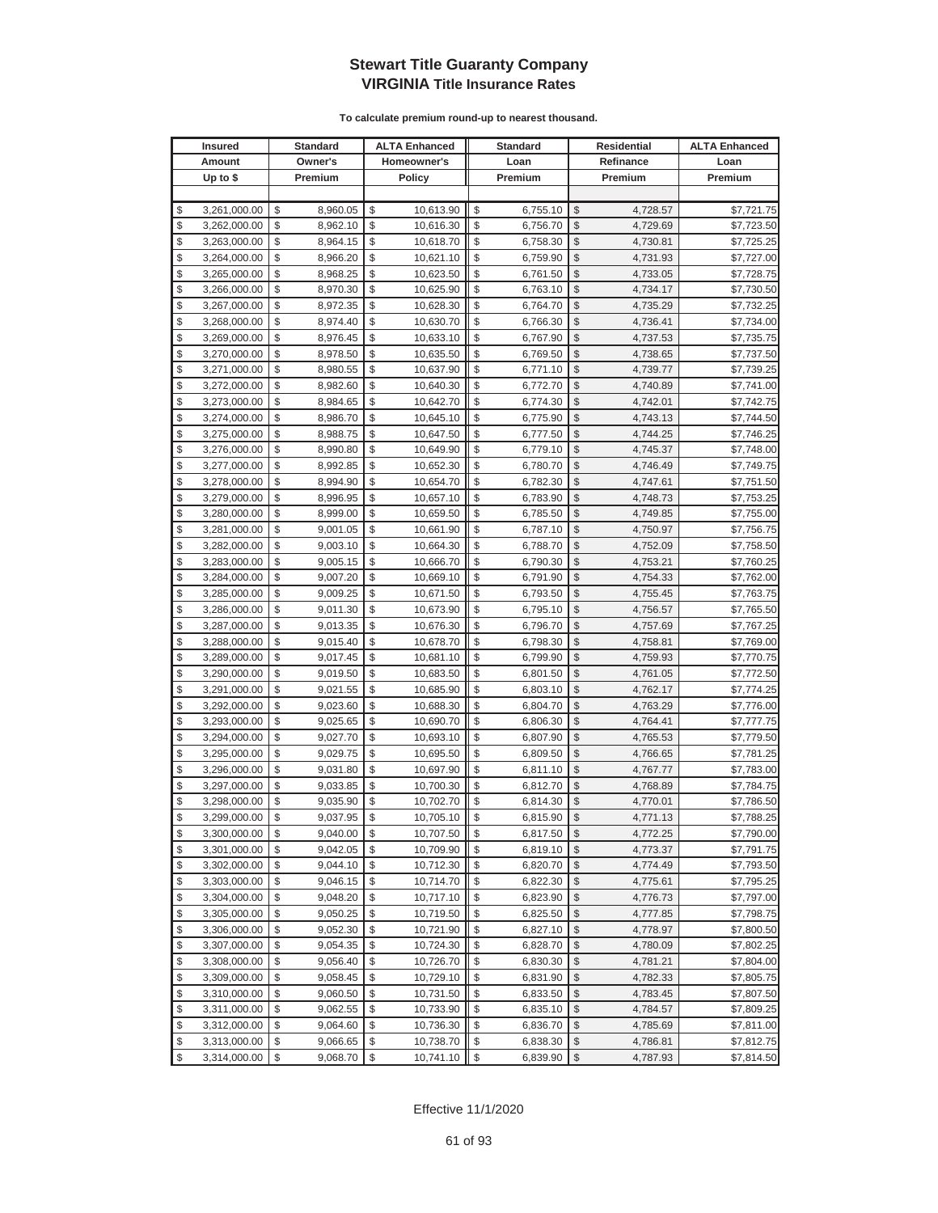|          | <b>Insured</b>               |          | <b>Standard</b>      |          | <b>ALTA Enhanced</b>   |                         | <b>Standard</b>      |               | <b>Residential</b>   | <b>ALTA Enhanced</b>     |
|----------|------------------------------|----------|----------------------|----------|------------------------|-------------------------|----------------------|---------------|----------------------|--------------------------|
|          | Amount                       |          | Owner's              |          | Homeowner's            |                         | Loan                 |               | Refinance            | Loan                     |
|          | Up to $$$                    |          | Premium              |          | <b>Policy</b>          |                         | Premium              |               | Premium              | Premium                  |
|          |                              |          |                      |          |                        |                         |                      |               |                      |                          |
| \$       | 3,261,000.00                 | \$       | 8,960.05             | \$       | 10,613.90              | \$                      | 6,755.10             | \$            | 4,728.57             | \$7,721.75               |
| \$       | 3,262,000.00                 | \$       | 8,962.10             | \$       | 10,616.30              | \$                      | 6,756.70             | \$            | 4,729.69             | \$7,723.50               |
| \$       | 3,263,000.00                 | \$       | 8,964.15             | \$       | 10,618.70              | \$                      | 6,758.30             | \$            | 4,730.81             | \$7,725.25               |
| \$       | 3,264,000.00                 | \$       | 8,966.20             | \$       | 10,621.10              | \$                      | 6,759.90             | \$            | 4,731.93             | \$7,727.00               |
| \$       | 3,265,000.00                 | \$       | 8,968.25             | \$       | 10,623.50              | \$                      | 6,761.50             | \$            | 4,733.05             | \$7,728.75               |
| \$       | 3,266,000.00                 | \$       | 8,970.30             | \$       | 10,625.90              | \$                      | 6,763.10             | \$            | 4,734.17             | \$7,730.50               |
| \$       | 3,267,000.00                 | \$       | 8,972.35             | \$       | 10,628.30              | \$                      | 6,764.70             | \$            | 4,735.29             | \$7,732.25               |
| \$       | 3,268,000.00                 | \$       | 8,974.40             | \$       | 10,630.70              | \$                      | 6,766.30             | \$            | 4,736.41             | \$7,734.00               |
| \$       | 3,269,000.00                 | \$       | 8,976.45             | \$       | 10,633.10              | \$                      | 6,767.90             | \$            | 4,737.53             | \$7,735.75               |
| \$       | 3,270,000.00                 | \$       | 8,978.50             | \$       | 10,635.50              | \$                      | 6,769.50             | \$            | 4,738.65             | \$7,737.50               |
| \$       | 3,271,000.00                 | \$       | 8,980.55             | \$       | 10,637.90              | \$                      | 6,771.10             | \$            | 4,739.77             | \$7,739.25               |
| \$       | 3,272,000.00                 | \$       | 8,982.60             | \$       | 10,640.30              | \$                      | 6,772.70             | \$            | 4,740.89             | \$7,741.00               |
| \$       | 3,273,000.00                 | \$       | 8,984.65             | \$       | 10,642.70              | \$                      | 6,774.30             | \$            | 4,742.01             | \$7,742.75               |
| \$       | 3,274,000.00                 | \$       | 8,986.70             | \$       | 10,645.10              | \$                      | 6,775.90             | \$            | 4,743.13             | \$7,744.50               |
| \$       | 3,275,000.00                 | \$       | 8,988.75             | \$       | 10,647.50              | \$                      | 6,777.50             | \$            | 4,744.25             | \$7,746.25               |
| \$       | 3,276,000.00                 | \$       | 8,990.80             | \$       | 10,649.90              | \$                      | 6,779.10             | \$            | 4,745.37             | \$7,748.00               |
| \$       | 3,277,000.00                 | \$       | 8,992.85             | \$       | 10,652.30              | \$                      | 6,780.70             | \$            | 4,746.49             | \$7,749.75               |
| \$       | 3,278,000.00                 | \$       | 8,994.90             | \$       | 10,654.70              | \$                      | 6,782.30             | \$            | 4,747.61             | \$7,751.50               |
| \$       | 3,279,000.00                 | \$       | 8,996.95             | \$       | 10,657.10              | \$                      | 6,783.90             | \$            | 4,748.73             | \$7,753.25               |
| \$       | 3,280,000.00                 | \$       | 8,999.00             | \$       | 10,659.50              | \$                      | 6,785.50             | \$            | 4,749.85             | \$7,755.00               |
| \$       | 3,281,000.00                 | \$       | 9,001.05             | \$       | 10,661.90              | \$                      | 6,787.10             | $\mathcal{S}$ | 4,750.97             | \$7,756.75               |
| \$       | 3,282,000.00                 | \$       | 9,003.10             | \$       | 10,664.30              | \$                      | 6,788.70             | \$            | 4,752.09             | \$7,758.50               |
| \$       | 3,283,000.00                 | \$       | 9,005.15             | \$       | 10,666.70              | \$                      | 6,790.30             | \$            | 4,753.21             | \$7,760.25               |
| \$       | 3,284,000.00                 | \$       | 9,007.20             | \$       | 10,669.10              | \$                      | 6,791.90             | \$            | 4,754.33             | \$7,762.00               |
| \$       | 3,285,000.00                 | \$       | 9,009.25             | \$       | 10,671.50              | \$                      | 6,793.50             | \$            | 4,755.45             | \$7,763.75               |
| \$       | 3,286,000.00                 | \$       | 9,011.30             | \$       | 10,673.90              | \$                      | 6,795.10             | \$            | 4,756.57             | \$7,765.50               |
| \$       | 3,287,000.00                 | \$       | 9,013.35             | \$       | 10,676.30              | \$                      | 6,796.70             | \$            | 4,757.69             | \$7,767.25               |
| \$       | 3,288,000.00                 | \$       | 9,015.40             | \$       | 10,678.70              | \$                      | 6,798.30             | \$            | 4,758.81             | \$7,769.00               |
| \$       | 3,289,000.00                 | \$       | 9,017.45             | \$       | 10,681.10              | \$                      | 6,799.90             | \$            | 4,759.93             | \$7,770.75               |
| \$       | 3,290,000.00                 | \$       | 9,019.50             | \$       | 10,683.50              | \$                      | 6,801.50             | \$            | 4,761.05             | \$7,772.50               |
| \$       | 3,291,000.00                 | \$       | 9,021.55             | \$       | 10,685.90              | \$                      | 6,803.10             | \$            | 4,762.17             | \$7,774.25               |
| \$       | 3,292,000.00                 | \$       | 9,023.60             | \$       | 10,688.30              | \$                      | 6,804.70             | \$            | 4,763.29             | \$7,776.00               |
| \$       | 3,293,000.00                 | \$       | 9,025.65             | \$       | 10,690.70              | \$                      | 6,806.30             | \$            | 4,764.41             | \$7,777.75               |
| \$       | 3,294,000.00                 | \$       | 9,027.70             | \$       | 10,693.10              | \$                      | 6,807.90             | \$            | 4,765.53             | \$7,779.50               |
| \$       | 3,295,000.00                 | \$       | 9,029.75             | \$       | 10,695.50              | \$                      | 6,809.50             | \$            | 4,766.65             | \$7,781.25               |
| \$       | 3,296,000.00                 | \$<br>\$ | 9,031.80             | \$<br>\$ | 10,697.90<br>10,700.30 | \$<br>\$                | 6,811.10             | \$<br>\$      | 4,767.77             | \$7,783.00               |
| \$<br>\$ | 3,297,000.00<br>3,298,000.00 | \$       | 9,033.85             | \$       |                        | \$                      | 6,812.70             | \$            | 4,768.89             | \$7,784.75               |
| \$       | 3,299,000.00                 | \$       | 9,035.90<br>9,037.95 | \$       | 10,702.70<br>10,705.10 | \$                      | 6,814.30<br>6,815.90 | $\mathbb{S}$  | 4,770.01<br>4,771.13 | \$7,786.50<br>\$7,788.25 |
| \$       | 3,300,000.00                 | \$       | 9,040.00             | \$       | 10,707.50              | \$                      | 6,817.50             | $\sqrt{2}$    | 4,772.25             | \$7,790.00               |
| \$       | 3,301,000.00                 | \$       | 9,042.05             | \$       | 10,709.90              | \$                      | 6,819.10             | \$            | 4,773.37             | \$7,791.75               |
| \$       | 3,302,000.00                 | \$       | 9,044.10             | \$       | 10,712.30              | \$                      | 6,820.70             | \$            | 4,774.49             | \$7,793.50               |
| \$       | 3,303,000.00                 | \$       | 9,046.15             | \$       | 10,714.70              | \$                      | 6,822.30             | \$            | 4,775.61             | \$7,795.25               |
| \$       | 3,304,000.00                 | \$       | 9,048.20             | \$       | 10,717.10              | \$                      | 6,823.90             | \$            | 4,776.73             | \$7,797.00               |
| \$       | 3,305,000.00                 | \$       | 9,050.25             | \$       | 10,719.50              | \$                      | 6,825.50             | \$            | 4,777.85             | \$7,798.75               |
| \$       | 3,306,000.00                 | \$       | 9,052.30             | \$       | 10,721.90              | \$                      | 6,827.10             | \$            | 4,778.97             | \$7,800.50               |
| \$       | 3,307,000.00                 | \$       | 9,054.35             | \$       | 10,724.30              | \$                      | 6,828.70             | \$            | 4,780.09             | \$7,802.25               |
| \$       | 3,308,000.00                 | \$       | 9,056.40             | \$       | 10,726.70              | \$                      | 6,830.30             | \$            | 4,781.21             | \$7,804.00               |
| \$       | 3,309,000.00                 | \$       | 9,058.45             | \$       | 10,729.10              | \$                      | 6,831.90             | \$            | 4,782.33             | \$7,805.75               |
| \$       | 3,310,000.00                 | \$       | 9,060.50             | \$       | 10,731.50              | \$                      | 6,833.50             | \$            | 4,783.45             | \$7,807.50               |
| \$       | 3,311,000.00                 | \$       | 9,062.55             | \$       | 10,733.90              | \$                      | 6,835.10             | \$            | 4,784.57             | \$7,809.25               |
| \$       | 3,312,000.00                 | \$       | 9,064.60             | \$       | 10,736.30              | \$                      | 6,836.70             | \$            | 4,785.69             | \$7,811.00               |
| \$       | 3,313,000.00                 | \$       | 9,066.65             | \$       | 10,738.70              | \$                      | 6,838.30             | \$            | 4,786.81             | \$7,812.75               |
| \$       | 3,314,000.00                 | \$       | 9,068.70             | \$       | 10,741.10              | $\sqrt[6]{\frac{1}{2}}$ | 6,839.90             | $\sqrt{2}$    | 4,787.93             | \$7,814.50               |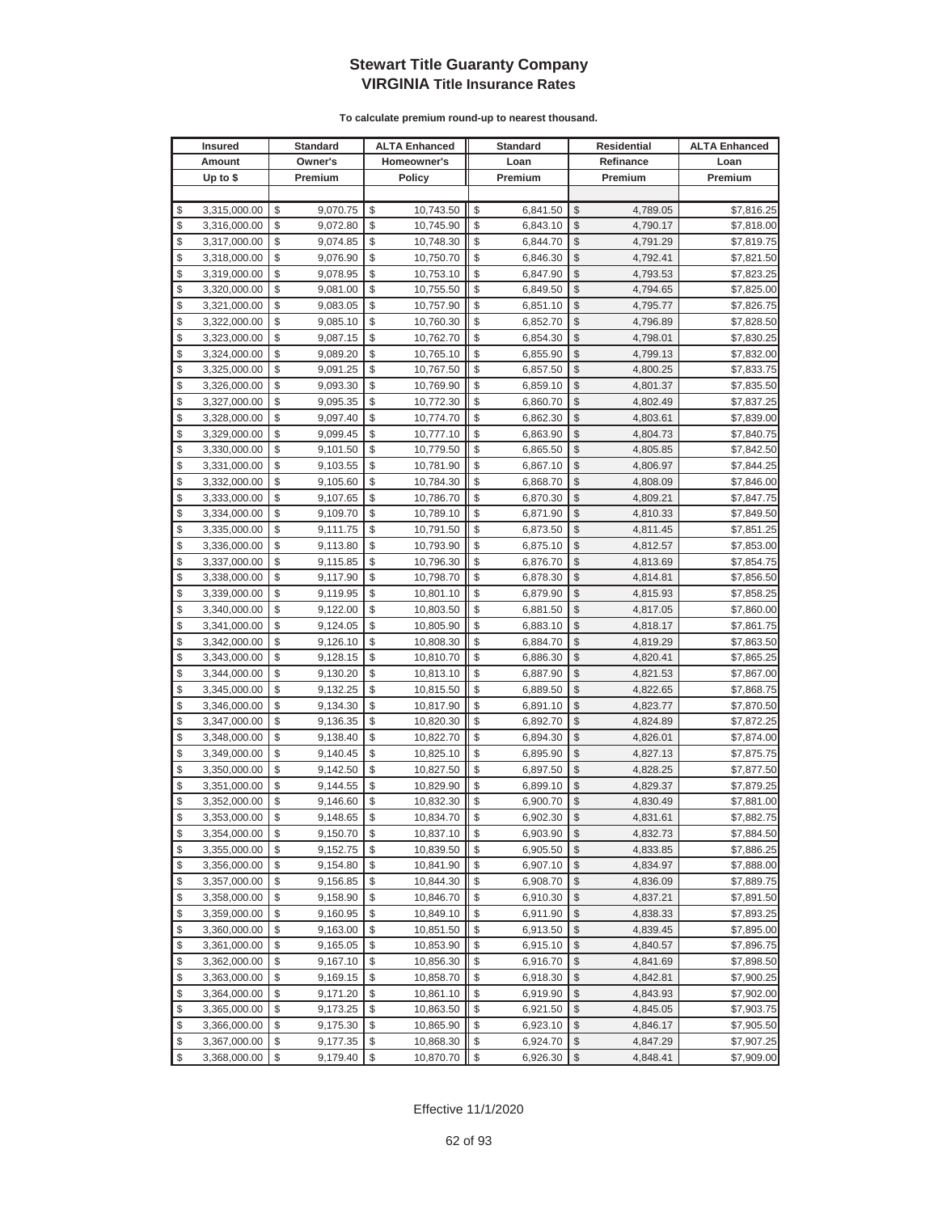|               | <b>Insured</b> | <b>Standard</b> |              | <b>ALTA Enhanced</b> | <b>Standard</b> |               | <b>Residential</b> | <b>ALTA Enhanced</b> |
|---------------|----------------|-----------------|--------------|----------------------|-----------------|---------------|--------------------|----------------------|
|               | Amount         | Owner's         |              | Homeowner's          | Loan            |               | Refinance          | Loan                 |
|               | Up to $$$      | Premium         |              | <b>Policy</b>        | Premium         |               | Premium            | Premium              |
|               |                |                 |              |                      |                 |               |                    |                      |
| \$            | 3,315,000.00   | \$<br>9,070.75  | \$           | 10,743.50            | \$<br>6,841.50  | \$            | 4,789.05           | \$7,816.25           |
| \$            | 3,316,000.00   | \$<br>9,072.80  | \$           | 10,745.90            | \$<br>6,843.10  | $\mathcal{S}$ | 4,790.17           | \$7,818.00           |
| \$            | 3,317,000.00   | \$<br>9,074.85  | \$           | 10,748.30            | \$<br>6,844.70  | \$            | 4,791.29           | \$7,819.75           |
| \$            | 3,318,000.00   | \$<br>9,076.90  | \$           | 10,750.70            | \$<br>6,846.30  | $\mathcal{S}$ | 4,792.41           | \$7,821.50           |
| \$            | 3,319,000.00   | \$<br>9,078.95  | \$           | 10,753.10            | \$<br>6,847.90  | \$            | 4,793.53           | \$7,823.25           |
| \$            | 3,320,000.00   | \$<br>9,081.00  | \$           | 10,755.50            | \$<br>6,849.50  | \$            | 4,794.65           | \$7,825.00           |
| \$            | 3,321,000.00   | \$<br>9,083.05  | \$           | 10,757.90            | \$<br>6,851.10  | \$            | 4,795.77           | \$7,826.75           |
| \$            | 3,322,000.00   | \$<br>9,085.10  | \$           | 10,760.30            | \$<br>6,852.70  | $\mathcal{S}$ | 4,796.89           | \$7,828.50           |
| \$            | 3,323,000.00   | \$<br>9,087.15  | \$           | 10,762.70            | \$<br>6,854.30  | \$            | 4,798.01           | \$7,830.25           |
| \$            | 3,324,000.00   | \$<br>9,089.20  | \$           | 10,765.10            | \$<br>6,855.90  | \$            | 4,799.13           | \$7,832.00           |
| \$            | 3,325,000.00   | \$<br>9,091.25  | \$           | 10,767.50            | \$<br>6,857.50  | \$            | 4,800.25           | \$7,833.75           |
| \$            | 3,326,000.00   | \$<br>9,093.30  | \$           | 10,769.90            | \$<br>6,859.10  | \$            | 4,801.37           | \$7,835.50           |
| \$            | 3,327,000.00   | \$<br>9,095.35  | \$           | 10,772.30            | \$<br>6,860.70  | \$            | 4,802.49           | \$7,837.25           |
| \$            | 3,328,000.00   | \$<br>9,097.40  | \$           | 10,774.70            | \$<br>6,862.30  | \$            | 4,803.61           | \$7,839.00           |
| \$            | 3,329,000.00   | \$<br>9,099.45  | \$           | 10,777.10            | \$<br>6,863.90  | \$            | 4,804.73           | \$7,840.75           |
| \$            | 3,330,000.00   | \$<br>9,101.50  | \$           | 10,779.50            | \$<br>6,865.50  | \$            | 4,805.85           | \$7,842.50           |
| \$            | 3,331,000.00   | \$<br>9,103.55  | \$           | 10,781.90            | \$<br>6,867.10  | \$            | 4,806.97           | \$7,844.25           |
| \$            | 3,332,000.00   | \$<br>9,105.60  | \$           | 10,784.30            | \$<br>6,868.70  | \$            | 4,808.09           | \$7,846.00           |
| \$            | 3,333,000.00   | \$<br>9,107.65  | \$           | 10,786.70            | \$<br>6,870.30  | \$            | 4,809.21           | \$7,847.75           |
| \$            | 3,334,000.00   | \$<br>9,109.70  | \$           | 10,789.10            | \$<br>6,871.90  | \$            | 4,810.33           | \$7,849.50           |
| \$            | 3,335,000.00   | \$<br>9,111.75  | \$           | 10,791.50            | \$<br>6,873.50  | \$            | 4,811.45           | \$7,851.25           |
| \$            | 3,336,000.00   | \$<br>9,113.80  | \$           | 10,793.90            | \$<br>6,875.10  | \$            | 4,812.57           | \$7,853.00           |
| \$            | 3,337,000.00   | \$<br>9,115.85  | \$           | 10,796.30            | \$<br>6,876.70  | \$            | 4,813.69           | \$7,854.75           |
| \$            | 3,338,000.00   | \$<br>9,117.90  | \$           | 10,798.70            | \$<br>6,878.30  | \$            | 4,814.81           | \$7,856.50           |
| \$            | 3,339,000.00   | \$<br>9,119.95  | \$           | 10,801.10            | \$<br>6,879.90  | \$            | 4,815.93           | \$7,858.25           |
| \$            | 3,340,000.00   | \$<br>9,122.00  | \$           | 10,803.50            | \$<br>6,881.50  | \$            | 4,817.05           | \$7,860.00           |
| \$            | 3,341,000.00   | \$<br>9,124.05  | \$           | 10,805.90            | \$<br>6,883.10  | \$            | 4,818.17           | \$7,861.75           |
| \$            | 3,342,000.00   | \$<br>9,126.10  | \$           | 10,808.30            | \$<br>6,884.70  | \$            | 4,819.29           | \$7,863.50           |
| \$            | 3,343,000.00   | \$<br>9,128.15  | \$           | 10,810.70            | \$<br>6,886.30  | \$            | 4,820.41           | \$7,865.25           |
| \$            | 3,344,000.00   | \$<br>9,130.20  | \$           | 10,813.10            | \$<br>6,887.90  | \$            | 4,821.53           | \$7,867.00           |
| \$            | 3,345,000.00   | \$<br>9,132.25  | \$           | 10,815.50            | \$<br>6,889.50  | \$            | 4,822.65           | \$7,868.75           |
| \$            | 3,346,000.00   | \$<br>9,134.30  | \$           | 10,817.90            | \$<br>6,891.10  | \$            | 4,823.77           | \$7,870.50           |
| \$            | 3,347,000.00   | \$<br>9,136.35  | \$           | 10,820.30            | \$<br>6,892.70  | \$            | 4,824.89           | \$7,872.25           |
| \$            | 3,348,000.00   | \$<br>9,138.40  | \$           | 10,822.70            | \$<br>6,894.30  | $\mathcal{S}$ | 4,826.01           | \$7,874.00           |
| \$            | 3,349,000.00   | \$<br>9,140.45  | \$           | 10,825.10            | \$<br>6,895.90  | \$            | 4,827.13           | \$7,875.75           |
| \$            | 3,350,000.00   | \$<br>9,142.50  | \$           | 10,827.50            | \$<br>6,897.50  | \$            | 4,828.25           | \$7,877.50           |
| \$            | 3,351,000.00   | \$<br>9,144.55  | \$           | 10,829.90            | \$<br>6,899.10  | $\mathcal{S}$ | 4,829.37           | \$7,879.25           |
| \$            | 3,352,000.00   | \$<br>9,146.60  | \$           | 10,832.30            | \$<br>6,900.70  | \$            | 4,830.49           | \$7,881.00           |
| $\mathcal{S}$ | 3.353.000.00   | \$<br>9,148.65  | $\mathbb{S}$ | 10,834.70            | \$<br>6,902.30  | $\mathcal{S}$ | 4,831.61           | \$7,882.75           |
| \$            | 3,354,000.00   | \$<br>9,150.70  | \$           | 10,837.10            | \$<br>6,903.90  | \$            | 4,832.73           | \$7,884.50           |
| \$            | 3,355,000.00   | \$<br>9,152.75  | \$           | 10,839.50            | \$<br>6,905.50  | \$            | 4,833.85           | \$7,886.25           |
| \$            | 3,356,000.00   | \$<br>9,154.80  | \$           | 10,841.90            | \$<br>6,907.10  | \$            | 4,834.97           | \$7,888.00           |
| \$            | 3,357,000.00   | \$<br>9,156.85  | \$           | 10,844.30            | \$<br>6,908.70  | \$            | 4,836.09           | \$7,889.75           |
| \$            | 3,358,000.00   | \$<br>9,158.90  | \$           | 10,846.70            | \$<br>6,910.30  | \$            | 4,837.21           | \$7,891.50           |
| \$            | 3,359,000.00   | \$<br>9,160.95  | \$           | 10,849.10            | \$<br>6,911.90  | \$            | 4,838.33           | \$7,893.25           |
| \$            | 3,360,000.00   | \$<br>9,163.00  | \$           | 10,851.50            | \$<br>6,913.50  | \$            | 4,839.45           | \$7,895.00           |
| \$            | 3,361,000.00   | \$<br>9,165.05  | \$           | 10,853.90            | \$<br>6,915.10  | \$            | 4,840.57           | \$7,896.75           |
| \$            | 3,362,000.00   | \$<br>9,167.10  | \$           | 10,856.30            | \$<br>6,916.70  | \$            | 4,841.69           | \$7,898.50           |
| \$            | 3,363,000.00   | \$<br>9,169.15  | \$           | 10,858.70            | \$<br>6,918.30  | \$            | 4,842.81           | \$7,900.25           |
| \$            | 3,364,000.00   | \$<br>9,171.20  | \$           | 10,861.10            | \$<br>6,919.90  | \$            | 4,843.93           | \$7,902.00           |
| \$            | 3,365,000.00   | \$<br>9,173.25  | \$           | 10,863.50            | \$<br>6,921.50  | \$            | 4,845.05           | \$7,903.75           |
| \$            | 3,366,000.00   | \$<br>9,175.30  | \$           | 10,865.90            | \$<br>6,923.10  | \$            | 4,846.17           | \$7,905.50           |
| \$            | 3,367,000.00   | \$<br>9,177.35  | \$           | 10,868.30            | \$<br>6,924.70  | \$            | 4,847.29           | \$7,907.25           |
| \$            | 3,368,000.00   | \$<br>9,179.40  | \$           | 10,870.70            | \$<br>6,926.30  | \$            | 4,848.41           | \$7,909.00           |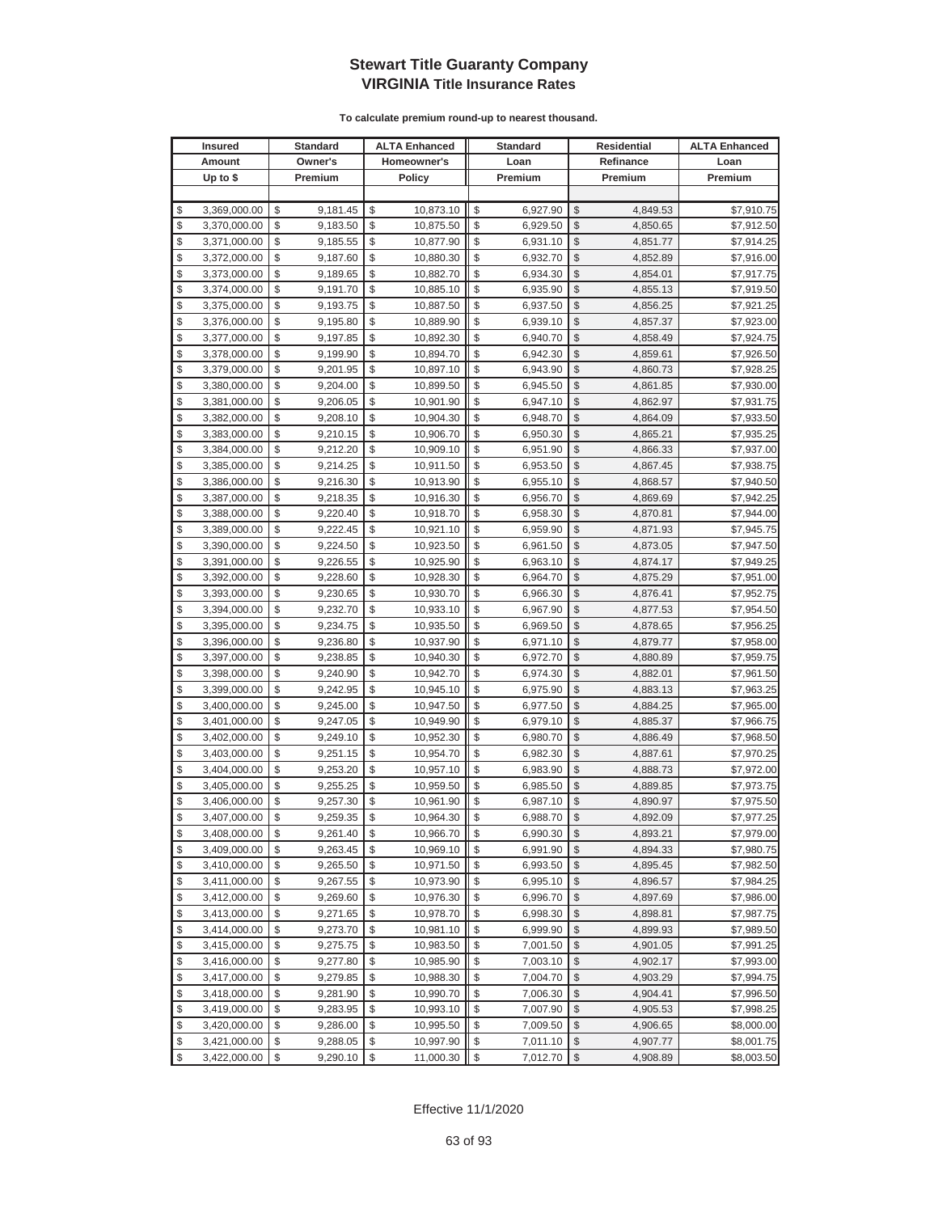|          | <b>Insured</b>               |          | <b>Standard</b>      |          | <b>ALTA Enhanced</b>   |                         | <b>Standard</b>      |                     | <b>Residential</b>   | <b>ALTA Enhanced</b>     |
|----------|------------------------------|----------|----------------------|----------|------------------------|-------------------------|----------------------|---------------------|----------------------|--------------------------|
|          | Amount                       |          | Owner's              |          | Homeowner's            |                         | Loan                 |                     | Refinance            | Loan                     |
|          | Up to $$$                    |          | Premium              |          | Policy                 |                         | Premium              |                     | Premium              | Premium                  |
|          |                              |          |                      |          |                        |                         |                      |                     |                      |                          |
| \$       | 3,369,000.00                 | \$       | 9,181.45             | \$       | 10,873.10              | \$                      | 6,927.90             | \$                  | 4,849.53             | \$7,910.75               |
| \$       | 3,370,000.00                 | \$       | 9,183.50             | \$       | 10,875.50              | \$                      | 6,929.50             | \$                  | 4,850.65             | \$7,912.50               |
| \$       | 3,371,000.00                 | \$       | 9,185.55             | \$       | 10,877.90              | \$                      | 6,931.10             | $\mathcal{S}$       | 4,851.77             | \$7,914.25               |
| \$       | 3,372,000.00                 | \$       | 9,187.60             | \$       | 10,880.30              | \$                      | 6,932.70             | \$                  | 4,852.89             | \$7,916.00               |
| \$       | 3,373,000.00                 | \$       | 9,189.65             | \$       | 10,882.70              | \$                      | 6,934.30             | \$                  | 4,854.01             | \$7,917.75               |
| \$       | 3,374,000.00                 | \$       | 9,191.70             | \$       | 10,885.10              | \$                      | 6,935.90             | \$                  | 4,855.13             | \$7,919.50               |
| \$       | 3,375,000.00                 | \$       | 9,193.75             | \$       | 10,887.50              | \$                      | 6,937.50             | \$                  | 4,856.25             | \$7,921.25               |
| \$       | 3,376,000.00                 | \$       | 9,195.80             | \$       | 10,889.90              | \$                      | 6,939.10             | \$                  | 4,857.37             | \$7,923.00               |
| \$       | 3,377,000.00                 | \$       | 9,197.85             | \$       | 10,892.30              | \$                      | 6,940.70             | \$                  | 4,858.49             | \$7,924.75               |
| \$       | 3,378,000.00                 | \$       | 9,199.90             | \$       | 10,894.70              | \$                      | 6,942.30             | \$                  | 4,859.61             | \$7,926.50               |
| \$       | 3,379,000.00                 | \$       | 9,201.95             | \$       | 10,897.10              | \$                      | 6,943.90             | \$                  | 4,860.73             | \$7,928.25               |
| \$       | 3,380,000.00                 | \$       | 9,204.00             | \$       | 10,899.50              | \$                      | 6,945.50             | \$                  | 4,861.85             | \$7,930.00               |
| \$       | 3,381,000.00                 | \$       | 9,206.05             | \$       | 10,901.90              | \$                      | 6,947.10             | \$                  | 4,862.97             | \$7,931.75               |
| \$       | 3,382,000.00                 | \$       | 9,208.10             | \$       | 10,904.30              | \$                      | 6,948.70             | \$                  | 4,864.09             | \$7,933.50               |
| \$       | 3,383,000.00                 | \$       | 9,210.15             | \$       | 10,906.70              | \$                      | 6,950.30             | \$                  | 4,865.21             | \$7,935.25               |
| \$       | 3,384,000.00                 | \$       | 9,212.20             | \$       | 10,909.10              | \$                      | 6,951.90             | \$                  | 4,866.33             | \$7,937.00               |
| \$       | 3,385,000.00                 | \$       | 9,214.25             | \$       | 10,911.50              | \$                      | 6,953.50             | \$                  | 4,867.45             | \$7,938.75               |
| \$       | 3,386,000.00                 | \$       | 9,216.30             | \$       | 10,913.90              | \$                      | 6,955.10             | \$                  | 4,868.57             | \$7,940.50               |
| \$       | 3,387,000.00                 | \$       | 9,218.35             | \$       | 10,916.30              | \$                      | 6,956.70             | $\mathcal{S}$       | 4,869.69             | \$7,942.25               |
| \$       | 3,388,000.00                 | \$       | 9,220.40             | \$       | 10,918.70              | \$                      | 6,958.30             | \$                  | 4,870.81             | \$7,944.00               |
| \$       | 3,389,000.00                 | \$       | 9,222.45             | \$       | 10,921.10              | \$                      | 6,959.90             | $\mathcal{S}$       | 4,871.93             | \$7,945.75               |
| \$       | 3,390,000.00                 | \$       | 9,224.50             | \$       | 10,923.50              | \$                      | 6,961.50             | \$                  | 4,873.05             | \$7,947.50               |
| \$       | 3,391,000.00                 | \$       | 9,226.55             | \$       | 10,925.90              | \$                      | 6,963.10             | \$                  | 4,874.17             | \$7,949.25               |
| \$       | 3,392,000.00                 | \$       | 9,228.60             | \$       | 10,928.30              | \$                      | 6,964.70             | \$                  | 4,875.29             | \$7,951.00               |
| \$       | 3,393,000.00                 | \$       | 9,230.65             | \$       | 10,930.70              | \$                      | 6,966.30             | \$                  | 4,876.41             | \$7,952.75               |
| \$       | 3,394,000.00                 | \$       | 9,232.70             | \$       | 10,933.10              | \$                      | 6,967.90             | \$                  | 4,877.53             | \$7,954.50               |
| \$       | 3,395,000.00                 | \$       | 9,234.75             | \$       | 10,935.50              | \$                      | 6,969.50             | \$                  | 4,878.65             | \$7,956.25               |
| \$       | 3,396,000.00                 | \$       | 9,236.80             | \$       | 10,937.90              | \$                      | 6,971.10             | \$                  | 4,879.77             | \$7,958.00               |
| \$       | 3,397,000.00                 | \$       | 9,238.85             | \$       | 10,940.30              | \$                      | 6,972.70             | \$<br>$\mathcal{S}$ | 4,880.89             | \$7,959.75               |
| \$<br>\$ | 3,398,000.00<br>3,399,000.00 | \$<br>\$ | 9,240.90<br>9,242.95 | \$<br>\$ | 10,942.70<br>10,945.10 | \$<br>\$                | 6,974.30<br>6,975.90 | \$                  | 4,882.01             | \$7,961.50<br>\$7,963.25 |
| \$       |                              | \$       |                      | \$       |                        | \$                      |                      | \$                  | 4,883.13             |                          |
| \$       | 3,400,000.00<br>3,401,000.00 | \$       | 9,245.00<br>9,247.05 | \$       | 10,947.50<br>10,949.90 | \$                      | 6,977.50             | \$                  | 4,884.25             | \$7,965.00               |
| \$       | 3,402,000.00                 | \$       | 9,249.10             | \$       | 10,952.30              | \$                      | 6,979.10             | \$                  | 4,885.37<br>4,886.49 | \$7,966.75<br>\$7,968.50 |
| \$       | 3,403,000.00                 | \$       | 9,251.15             | \$       | 10,954.70              | \$                      | 6,980.70<br>6,982.30 | \$                  | 4,887.61             | \$7,970.25               |
| \$       | 3,404,000.00                 | \$       | 9,253.20             | \$       | 10,957.10              | \$                      | 6,983.90             | \$                  | 4,888.73             | \$7,972.00               |
| \$       | 3,405,000.00                 | \$       | 9,255.25             | \$       | 10,959.50              | \$                      | 6,985.50             | \$                  | 4,889.85             | \$7,973.75               |
| \$       | 3,406,000.00                 | \$       | 9,257.30             | \$       | 10,961.90              | \$                      | 6,987.10             | \$                  | 4,890.97             | \$7,975.50               |
| \$       | 3,407,000.00                 | \$       | 9,259.35             | \$       | 10,964.30              | \$                      | 6,988.70             | $\mathbb{S}$        | 4,892.09             | \$7,977.25               |
| \$       | 3,408,000.00                 | \$       | 9,261.40             | \$       | 10,966.70              | \$                      | 6,990.30             | $\sqrt{2}$          | 4,893.21             | \$7,979.00               |
| \$       | 3,409,000.00                 | \$       | 9,263.45             | \$       | 10,969.10              | \$                      | 6,991.90             | \$                  | 4,894.33             | \$7,980.75               |
| \$       | 3,410,000.00                 | \$       | 9,265.50             | \$       | 10,971.50              | \$                      | 6,993.50             | \$                  | 4,895.45             | \$7,982.50               |
| \$       | 3,411,000.00                 | \$       | 9,267.55             | \$       | 10,973.90              | \$                      | 6,995.10             | \$                  | 4,896.57             | \$7,984.25               |
| \$       | 3,412,000.00                 | \$       | 9,269.60             | \$       | 10,976.30              | \$                      | 6,996.70             | \$                  | 4,897.69             | \$7,986.00               |
| \$       | 3,413,000.00                 | \$       | 9,271.65             | \$       | 10,978.70              | \$                      | 6,998.30             | \$                  | 4,898.81             | \$7,987.75               |
| \$       | 3,414,000.00                 | \$       | 9,273.70             | \$       | 10,981.10              | \$                      | 6,999.90             | \$                  | 4,899.93             | \$7,989.50               |
| \$       | 3,415,000.00                 | \$       | 9,275.75             | \$       | 10,983.50              | \$                      | 7,001.50             | \$                  | 4,901.05             | \$7,991.25               |
| \$       | 3,416,000.00                 | \$       | 9,277.80             | \$       | 10,985.90              | \$                      | 7,003.10             | \$                  | 4,902.17             | \$7,993.00               |
| \$       | 3,417,000.00                 | \$       | 9,279.85             | \$       | 10,988.30              | \$                      | 7,004.70             | \$                  | 4,903.29             | \$7,994.75               |
| \$       | 3,418,000.00                 | \$       | 9,281.90             | \$       | 10,990.70              | \$                      | 7,006.30             | \$                  | 4,904.41             | \$7,996.50               |
| \$       | 3,419,000.00                 | \$       | 9,283.95             | \$       | 10,993.10              | \$                      | 7,007.90             | \$                  | 4,905.53             | \$7,998.25               |
| \$       | 3,420,000.00                 | \$       | 9,286.00             | \$       | 10,995.50              | \$                      | 7,009.50             | \$                  | 4,906.65             | \$8,000.00               |
| \$       | 3,421,000.00                 | \$       | 9,288.05             | \$       | 10,997.90              | \$                      | 7,011.10             | \$                  | 4,907.77             | \$8,001.75               |
| \$       | 3,422,000.00                 | \$       | 9,290.10             | \$       | 11,000.30              | $\sqrt[6]{\frac{1}{2}}$ | 7,012.70             | $\sqrt{2}$          | 4,908.89             | \$8,003.50               |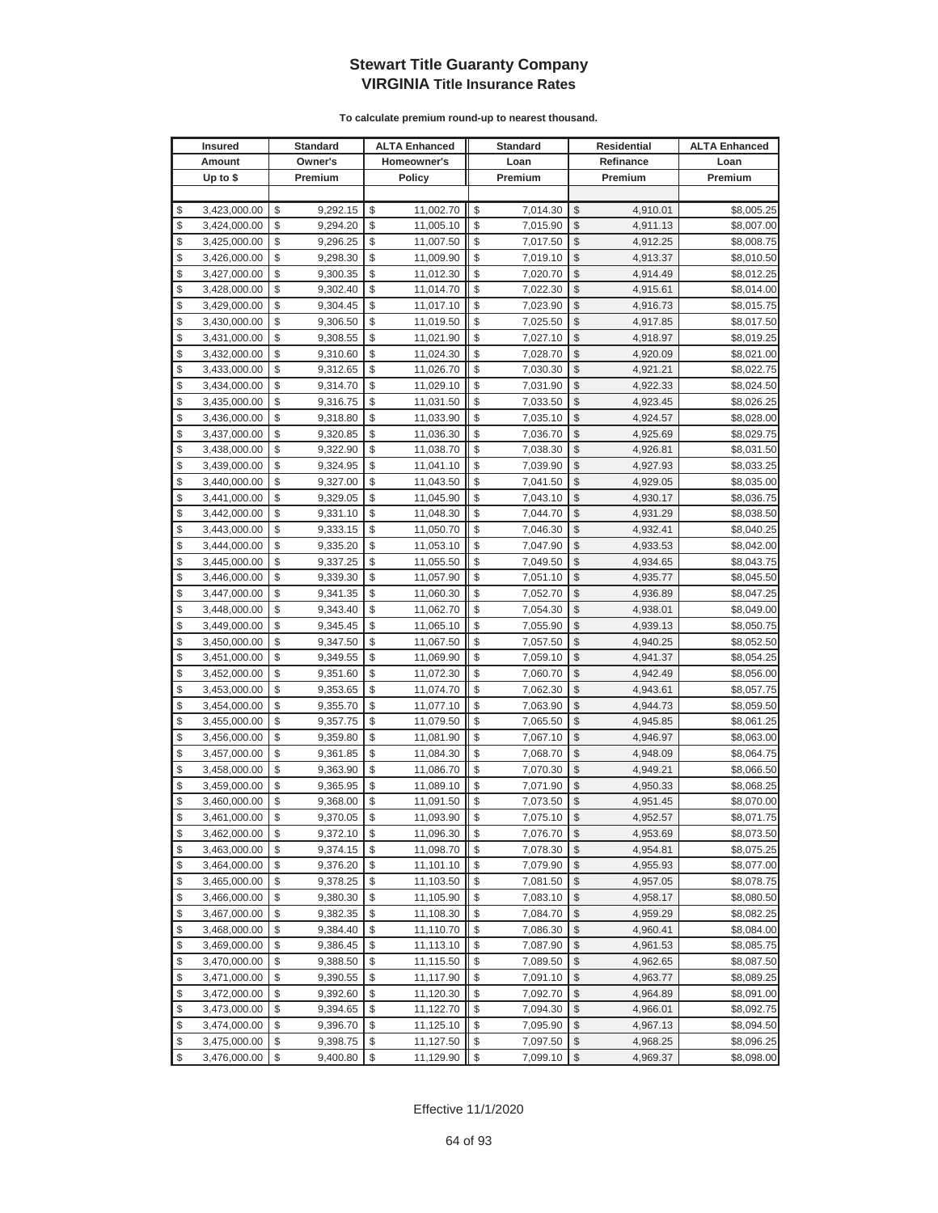|          | <b>Insured</b>               |          | <b>Standard</b>      |          | <b>ALTA Enhanced</b>   |          | <b>Standard</b>      | <b>Residential</b> |                      | <b>ALTA Enhanced</b>     |
|----------|------------------------------|----------|----------------------|----------|------------------------|----------|----------------------|--------------------|----------------------|--------------------------|
|          | Amount                       |          | Owner's              |          | Homeowner's            |          | Loan                 |                    | Refinance            | Loan                     |
|          | Up to $$$                    |          | Premium              |          | Policy                 |          | Premium              |                    | Premium              | Premium                  |
|          |                              |          |                      |          |                        |          |                      |                    |                      |                          |
| \$       | 3,423,000.00                 | \$       | 9,292.15             | \$       | 11,002.70              | \$       | 7,014.30             | \$                 | 4,910.01             | \$8,005.25               |
| \$       | 3,424,000.00                 | \$       | 9,294.20             | \$       | 11,005.10              | \$       | 7,015.90             | \$                 | 4,911.13             | \$8,007.00               |
| \$       | 3,425,000.00                 | \$       | 9,296.25             | \$       | 11,007.50              | \$       | 7,017.50             | \$                 | 4,912.25             | \$8,008.75               |
| \$       | 3,426,000.00                 | \$       | 9,298.30             | \$       | 11,009.90              | \$       | 7,019.10             | \$                 | 4,913.37             | \$8,010.50               |
| \$       | 3,427,000.00                 | \$       | 9,300.35             | \$       | 11,012.30              | \$       | 7,020.70             | \$                 | 4,914.49             | \$8,012.25               |
| \$       | 3,428,000.00                 | \$       | 9,302.40             | \$       | 11,014.70              | \$       | 7,022.30             | \$                 | 4,915.61             | \$8,014.00               |
| \$       | 3,429,000.00                 | \$       | 9,304.45             | \$       | 11,017.10              | \$       | 7,023.90             | \$                 | 4,916.73             | \$8,015.75               |
| \$       | 3,430,000.00                 | \$       | 9,306.50             | \$       | 11,019.50              | \$       | 7,025.50             | \$                 | 4,917.85             | \$8,017.50               |
| \$       | 3,431,000.00                 | \$       | 9,308.55             | \$       | 11,021.90              | \$       | 7,027.10             | \$                 | 4,918.97             | \$8,019.25               |
| \$       | 3,432,000.00                 | \$       | 9,310.60             | \$       | 11,024.30              | \$       | 7,028.70             | \$                 | 4,920.09             | \$8,021.00               |
| \$       | 3,433,000.00                 | \$       | 9,312.65             | \$       | 11,026.70              | \$       | 7,030.30             | \$                 | 4,921.21             | \$8,022.75               |
| \$       | 3,434,000.00                 | \$       | 9,314.70             | \$       | 11,029.10              | \$       | 7,031.90             | \$                 | 4,922.33             | \$8,024.50               |
| \$       | 3,435,000.00                 | \$       | 9,316.75             | \$       | 11,031.50              | \$       | 7,033.50             | \$                 | 4,923.45             | \$8,026.25               |
| \$       | 3,436,000.00                 | \$       | 9,318.80             | \$       | 11,033.90              | \$       | 7,035.10             | \$                 | 4,924.57             | \$8,028.00               |
| \$       | 3,437,000.00                 | \$       | 9,320.85             | \$       | 11,036.30              | \$       | 7,036.70             | \$                 | 4,925.69             | \$8,029.75               |
| \$       | 3,438,000.00                 | \$       | 9,322.90             | \$       | 11,038.70              | \$       | 7,038.30             | \$                 | 4,926.81             | \$8,031.50               |
| \$       | 3,439,000.00                 | \$       | 9,324.95             | \$       | 11,041.10              | \$       | 7,039.90             | \$                 | 4,927.93             | \$8,033.25               |
| \$       | 3,440,000.00                 | \$       | 9,327.00             | \$       | 11,043.50              | \$       | 7,041.50             | \$                 | 4,929.05             | \$8,035.00               |
| \$       | 3,441,000.00                 | \$       | 9,329.05             | \$       | 11,045.90              | \$       | 7,043.10             | $\mathcal{S}$      | 4,930.17             | \$8,036.75               |
| \$       | 3,442,000.00                 | \$       | 9,331.10             | \$       | 11,048.30              | \$       | 7,044.70             | \$                 | 4,931.29             | \$8,038.50               |
| \$       | 3,443,000.00                 | \$       | 9,333.15             | \$       | 11,050.70              | \$       | 7,046.30             | $\mathcal{S}$      | 4,932.41             | \$8,040.25               |
| \$       | 3,444,000.00                 | \$       | 9,335.20             | \$       | 11,053.10              | \$       | 7,047.90             | $\mathcal{S}$      | 4,933.53             | \$8,042.00               |
| \$       | 3,445,000.00                 | \$       | 9,337.25             | \$       | 11,055.50              | \$       | 7,049.50             | \$                 | 4,934.65             | \$8,043.75               |
| \$       | 3,446,000.00                 | \$       | 9,339.30             | \$       | 11,057.90              | \$       | 7,051.10             | \$                 | 4,935.77             | \$8,045.50               |
| \$       | 3,447,000.00                 | \$       | 9,341.35             | \$       | 11,060.30              | \$       | 7,052.70             | \$                 | 4,936.89             | \$8,047.25               |
| \$       | 3,448,000.00                 | \$       | 9,343.40             | \$       | 11,062.70              | \$       | 7,054.30             | \$                 | 4,938.01             | \$8,049.00               |
| \$       | 3,449,000.00                 | \$       | 9,345.45             | \$       | 11,065.10              | \$       | 7,055.90             | \$                 | 4,939.13             | \$8,050.75               |
| \$       | 3,450,000.00                 | \$       | 9,347.50             | \$       | 11,067.50              | \$       | 7,057.50             | \$                 | 4,940.25             | \$8,052.50               |
| \$       | 3,451,000.00                 | \$       | 9,349.55             | \$       | 11,069.90              | \$       | 7,059.10             | \$                 | 4,941.37             | \$8,054.25               |
| \$       | 3,452,000.00                 | \$       | 9,351.60             | \$       | 11,072.30              | \$       | 7,060.70             | \$                 | 4,942.49             | \$8,056.00               |
| \$       | 3,453,000.00                 | \$       | 9,353.65             | \$       | 11,074.70              | \$       | 7,062.30             | \$                 | 4,943.61             | \$8,057.75               |
| \$       | 3,454,000.00                 | \$       | 9,355.70             | \$       | 11,077.10              | \$       | 7,063.90             | \$                 | 4,944.73             | \$8,059.50               |
| \$       | 3,455,000.00                 | \$       | 9,357.75             | \$       | 11,079.50              | \$       | 7,065.50             | \$                 | 4,945.85             | \$8,061.25               |
| \$       | 3,456,000.00                 | \$       | 9,359.80             | \$       | 11,081.90              | \$       | 7,067.10             | \$                 | 4,946.97             | \$8,063.00               |
| \$       | 3,457,000.00                 | \$       | 9,361.85             | \$       | 11,084.30              | \$       | 7,068.70             | \$                 | 4,948.09             | \$8,064.75               |
| \$<br>\$ | 3,458,000.00<br>3,459,000.00 | \$<br>\$ | 9,363.90<br>9,365.95 | \$<br>\$ | 11,086.70<br>11,089.10 | \$<br>\$ | 7,070.30             | \$<br>\$           | 4,949.21             | \$8,066.50               |
| \$       |                              | \$       |                      | \$       |                        | \$       | 7,071.90             | \$                 | 4,950.33             | \$8,068.25               |
| \$       | 3,460,000.00<br>3,461,000.00 | \$       | 9,368.00<br>9,370.05 | \$       | 11,091.50<br>11,093.90 | \$       | 7,073.50<br>7,075.10 | $\mathbb{S}$       | 4,951.45<br>4,952.57 | \$8,070.00<br>\$8,071.75 |
| \$       | 3,462,000.00                 | \$       | 9,372.10             | \$       | 11,096.30              | \$       | 7,076.70             | $\sqrt{2}$         | 4,953.69             | \$8,073.50               |
| \$       | 3,463,000.00                 | \$       | 9,374.15             | \$       | 11,098.70              | \$       | 7,078.30             | \$                 | 4,954.81             | \$8,075.25               |
| \$       | 3,464,000.00                 | \$       | 9,376.20             | \$       | 11,101.10              | \$       | 7,079.90             | \$                 | 4,955.93             | \$8,077.00               |
| \$       | 3,465,000.00                 | \$       | 9,378.25             | \$       | 11,103.50              | \$       | 7,081.50             | \$                 | 4,957.05             | \$8,078.75               |
| \$       | 3,466,000.00                 | \$       | 9,380.30             | \$       | 11,105.90              | \$       | 7,083.10             | \$                 | 4,958.17             | \$8,080.50               |
| \$       | 3,467,000.00                 | \$       | 9,382.35             | \$       | 11,108.30              | \$       | 7,084.70             | \$                 | 4,959.29             | \$8,082.25               |
| \$       | 3,468,000.00                 | \$       | 9,384.40             | \$       | 11,110.70              | \$       | 7,086.30             | \$                 | 4,960.41             | \$8,084.00               |
| \$       | 3,469,000.00                 | \$       | 9,386.45             | \$       | 11,113.10              | \$       | 7,087.90             | \$                 | 4,961.53             | \$8,085.75               |
| \$       | 3,470,000.00                 | \$       | 9,388.50             | \$       | 11,115.50              | \$       | 7,089.50             | \$                 | 4,962.65             | \$8,087.50               |
| \$       | 3,471,000.00                 | \$       | 9,390.55             | \$       | 11,117.90              | \$       | 7,091.10             | \$                 | 4,963.77             | \$8,089.25               |
| \$       | 3,472,000.00                 | \$       | 9,392.60             | \$       | 11,120.30              | \$       | 7,092.70             | \$                 | 4,964.89             | \$8,091.00               |
| \$       | 3,473,000.00                 | \$       | 9,394.65             | \$       | 11,122.70              | \$       | 7,094.30             | \$                 | 4,966.01             | \$8,092.75               |
| \$       | 3,474,000.00                 | \$       | 9,396.70             | \$       | 11,125.10              | \$       | 7,095.90             | \$                 | 4,967.13             | \$8,094.50               |
| \$       | 3,475,000.00                 | \$       | 9,398.75             | \$       | 11,127.50              | \$       | 7,097.50             | \$                 | 4,968.25             | \$8,096.25               |
| \$       | 3,476,000.00                 | \$       | 9,400.80             | \$       | 11,129.90              | \$       | 7,099.10             | $\sqrt{2}$         | 4,969.37             | \$8,098.00               |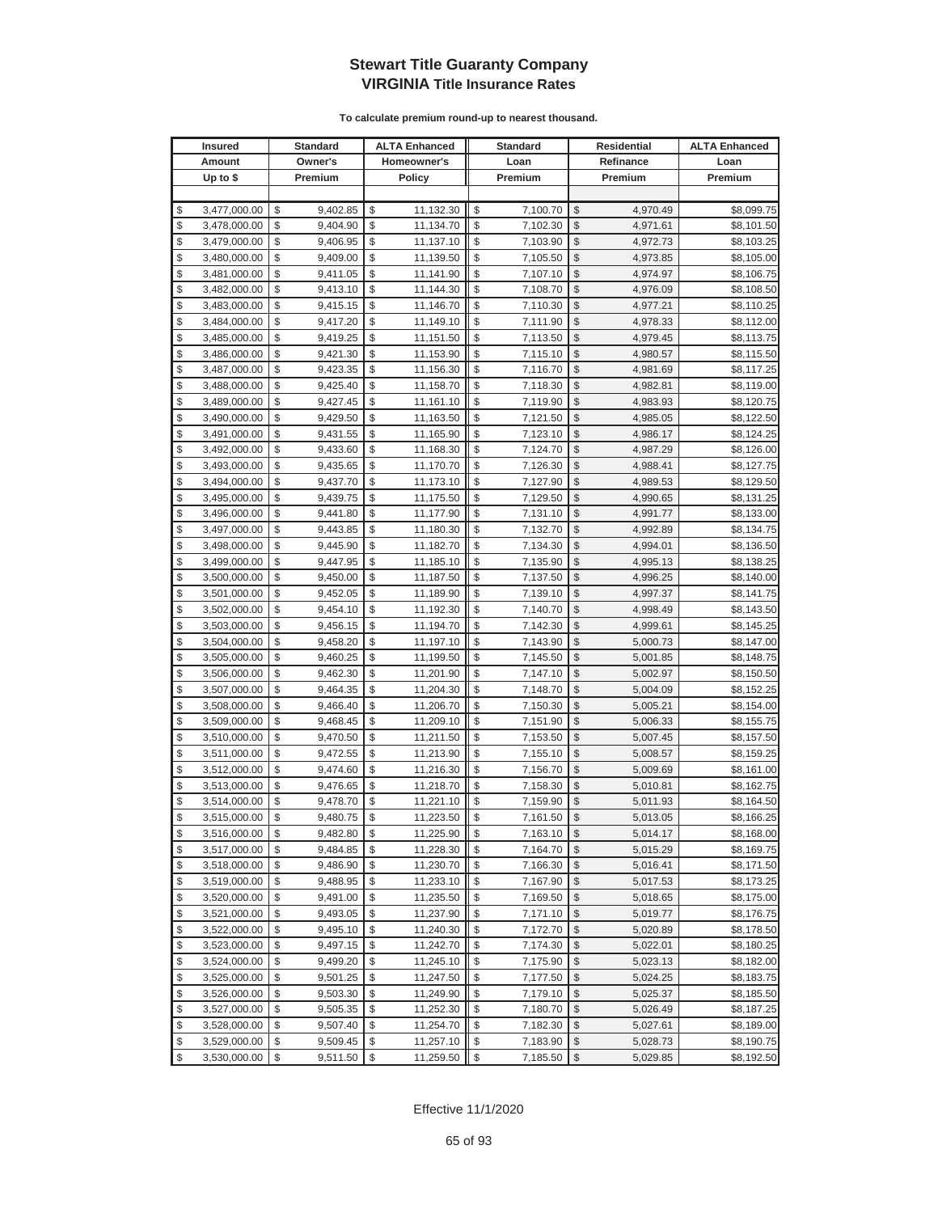|          | <b>Insured</b>               |          | Standard             |          | <b>ALTA Enhanced</b>   |          | <b>Standard</b>      |               | Residential          | <b>ALTA Enhanced</b>     |
|----------|------------------------------|----------|----------------------|----------|------------------------|----------|----------------------|---------------|----------------------|--------------------------|
|          | Amount                       |          | Owner's              |          | Homeowner's            |          | Loan                 |               | Refinance            | Loan                     |
|          | Up to $$$                    |          | Premium              |          | <b>Policy</b>          |          | Premium              |               | Premium              | Premium                  |
|          |                              |          |                      |          |                        |          |                      |               |                      |                          |
| \$       | 3,477,000.00                 | \$       | 9,402.85             | \$       | 11,132.30              | \$       | 7,100.70             | \$            | 4,970.49             | \$8,099.75               |
| \$       | 3,478,000.00                 | \$       | 9,404.90             | \$       | 11,134.70              | \$       | 7,102.30             | \$            | 4,971.61             | \$8,101.50               |
| \$       | 3,479,000.00                 | \$       | 9,406.95             | \$       | 11,137.10              | \$       | 7,103.90             | $\mathcal{S}$ | 4,972.73             | \$8,103.25               |
| \$       | 3,480,000.00                 | \$       | 9,409.00             | \$       | 11,139.50              | \$       | 7,105.50             | \$            | 4,973.85             | \$8,105.00               |
| \$       | 3,481,000.00                 | \$       | 9,411.05             | \$       | 11,141.90              | \$       | 7,107.10             | \$            | 4,974.97             | \$8,106.75               |
| \$       | 3,482,000.00                 | \$       | 9,413.10             | \$       | 11,144.30              | \$       | 7,108.70             | \$            | 4,976.09             | \$8,108.50               |
| \$       | 3,483,000.00                 | \$       | 9,415.15             | \$       | 11,146.70              | \$       | 7,110.30             | \$            | 4,977.21             | \$8,110.25               |
| \$       | 3,484,000.00                 | \$       | 9,417.20             | \$       | 11,149.10              | \$       | 7,111.90             | \$            | 4,978.33             | \$8,112.00               |
| \$       | 3,485,000.00                 | \$       | 9,419.25             | \$       | 11,151.50              | \$       | 7,113.50             | \$            | 4,979.45             | \$8,113.75               |
| \$       | 3,486,000.00                 | \$       | 9,421.30             | \$       | 11,153.90              | \$       | 7,115.10             | \$            | 4,980.57             | \$8,115.50               |
| \$       | 3,487,000.00                 | \$       | 9,423.35             | \$       | 11,156.30              | \$       | 7,116.70             | \$            | 4,981.69             | \$8,117.25               |
| \$       | 3,488,000.00                 | \$       | 9,425.40             | \$       | 11,158.70              | \$       | 7,118.30             | \$            | 4,982.81             | \$8,119.00               |
| \$       | 3,489,000.00                 | \$       | 9,427.45             | \$       | 11,161.10              | \$       | 7,119.90             | \$            | 4,983.93             | \$8,120.75               |
| \$       | 3,490,000.00                 | \$       | 9,429.50             | \$       | 11,163.50              | \$       | 7,121.50             | \$            | 4,985.05             | \$8,122.50               |
| \$       | 3,491,000.00                 | \$       | 9,431.55             | \$       | 11,165.90              | \$       | 7,123.10             | \$            | 4,986.17             | \$8,124.25               |
| \$       | 3,492,000.00                 | \$       | 9,433.60             | \$       | 11,168.30              | \$       | 7,124.70             | \$            | 4,987.29             | \$8,126.00               |
| \$       | 3,493,000.00                 | \$       | 9,435.65             | \$       | 11,170.70              | \$       | 7,126.30             | \$            | 4,988.41             | \$8,127.75               |
| \$       | 3,494,000.00                 | \$       | 9,437.70             | \$       | 11,173.10              | \$       | 7,127.90             | \$            | 4,989.53             | \$8,129.50               |
| \$       | 3,495,000.00                 | \$       | 9,439.75             | \$       | 11,175.50              | \$       | 7,129.50             | \$            | 4,990.65             | \$8,131.25               |
| \$       | 3,496,000.00                 | \$       | 9,441.80             | \$       | 11,177.90              | \$       | 7,131.10             | \$            | 4,991.77             | \$8,133.00               |
| \$       | 3,497,000.00                 | \$       | 9,443.85             | \$       | 11,180.30              | \$       | 7,132.70             | \$            | 4,992.89             | \$8,134.75               |
| \$       | 3,498,000.00                 | \$       | 9,445.90             | \$       | 11,182.70              | \$       | 7,134.30             | \$            | 4,994.01             | \$8,136.50               |
| \$       | 3,499,000.00                 | \$       | 9,447.95             | \$       | 11,185.10              | \$       | 7,135.90             | \$            | 4,995.13             | \$8,138.25               |
| \$       | 3,500,000.00                 | \$       | 9,450.00             | \$       | 11,187.50              | \$       | 7,137.50             | \$            | 4,996.25             | \$8,140.00               |
| \$       | 3,501,000.00                 | \$       | 9,452.05             | \$       | 11,189.90              | \$       | 7,139.10             | \$            | 4,997.37             | \$8,141.75               |
| \$       | 3,502,000.00                 | \$       | 9,454.10             | \$       | 11,192.30              | \$       | 7,140.70             | \$            | 4,998.49             | \$8,143.50               |
| \$       | 3,503,000.00                 | \$       | 9,456.15             | \$       | 11,194.70              | \$       | 7,142.30             | $\mathcal{S}$ | 4,999.61             | \$8,145.25               |
| \$       | 3,504,000.00                 | \$       | 9,458.20             | \$       | 11,197.10              | \$       | 7,143.90             | \$            | 5,000.73             | \$8,147.00               |
| \$       | 3,505,000.00                 | \$       | 9,460.25             | \$       | 11,199.50              | \$       | 7,145.50             | $\mathcal{S}$ | 5,001.85             | \$8,148.75               |
| \$       | 3,506,000.00                 | \$       | 9,462.30             | \$       | 11,201.90              | \$       | 7,147.10             | \$            | 5,002.97             | \$8,150.50               |
| \$       | 3,507,000.00                 | \$       | 9,464.35             | \$       | 11,204.30              | \$       | 7,148.70             | \$            | 5,004.09             | \$8,152.25               |
| \$       | 3,508,000.00                 | \$       | 9,466.40             | \$       | 11,206.70              | \$       | 7,150.30             | \$            | 5,005.21             | \$8,154.00               |
| \$       | 3,509,000.00                 | \$       | 9,468.45             | \$       | 11,209.10              | \$       | 7,151.90             | \$            | 5,006.33             | \$8,155.75               |
| \$       | 3,510,000.00                 | \$       | 9,470.50             | \$       | 11,211.50              | \$       | 7,153.50             | \$            | 5,007.45             | \$8,157.50               |
| \$       | 3,511,000.00                 | \$       | 9,472.55             | \$       | 11,213.90              | \$       | 7,155.10             | \$            | 5,008.57             | \$8,159.25               |
| \$       | 3,512,000.00                 | \$       | 9,474.60             | \$<br>\$ | 11,216.30              | \$       | 7,156.70             | \$<br>\$      | 5,009.69             | \$8,161.00               |
| \$<br>\$ | 3,513,000.00                 | \$<br>\$ | 9,476.65             | \$       | 11,218.70              | \$<br>\$ | 7,158.30             | \$            | 5,010.81             | \$8,162.75               |
| \$       | 3,514,000.00<br>3,515,000.00 | \$       | 9,478.70<br>9,480.75 | \$       | 11,221.10<br>11,223.50 | \$       | 7,159.90<br>7,161.50 | \$            | 5,011.93<br>5,013.05 | \$8,164.50<br>\$8,166.25 |
| \$       | 3,516,000.00                 | \$       | 9,482.80             | \$       |                        | \$       |                      | $\sqrt[6]{3}$ | 5,014.17             | \$8,168.00               |
| \$       | 3,517,000.00                 | \$       | 9,484.85             | \$       | 11,225.90<br>11,228.30 | \$       | 7,163.10             | $\mathcal{S}$ |                      | \$8,169.75               |
| \$       | 3,518,000.00                 | \$       | 9,486.90             | \$       | 11,230.70              | \$       | 7,164.70<br>7,166.30 | $\frac{1}{2}$ | 5,015.29<br>5,016.41 | \$8,171.50               |
| \$       | 3,519,000.00                 | \$       | 9,488.95             | \$       | 11,233.10              | \$       | 7,167.90             | \$            | 5,017.53             | \$8,173.25               |
| \$       | 3,520,000.00                 | \$       | 9,491.00             | \$       | 11,235.50              | \$       | 7,169.50             | \$            | 5,018.65             | \$8,175.00               |
| \$       | 3,521,000.00                 | \$       | 9,493.05             | \$       | 11,237.90              | \$       | 7,171.10             | \$            | 5,019.77             | \$8,176.75               |
| \$       | 3,522,000.00                 | \$       | 9,495.10             | \$       | 11,240.30              | \$       | 7,172.70             | \$            | 5,020.89             | \$8,178.50               |
| \$       | 3,523,000.00                 | \$       | 9,497.15             | \$       | 11,242.70              | \$       | 7,174.30             | \$            | 5,022.01             | \$8,180.25               |
| \$       | 3,524,000.00                 | \$       | 9,499.20             | \$       | 11,245.10              | \$       | 7,175.90             | \$            | 5,023.13             | \$8,182.00               |
| \$       | 3,525,000.00                 | \$       | 9,501.25             | \$       | 11,247.50              | \$       | 7,177.50             | \$            | 5,024.25             | \$8,183.75               |
| \$       | 3,526,000.00                 | \$       | 9,503.30             | \$       | 11,249.90              | \$       | 7,179.10             | \$            | 5,025.37             | \$8,185.50               |
| \$       | 3,527,000.00                 | \$       | 9,505.35             | \$       | 11,252.30              | \$       | 7,180.70             | \$            | 5,026.49             | \$8,187.25               |
| \$       | 3,528,000.00                 | \$       | 9,507.40             | \$       | 11,254.70              | \$       | 7,182.30             | \$            | 5,027.61             | \$8,189.00               |
| \$       | 3,529,000.00                 | \$       | 9,509.45             | \$       | 11,257.10              | \$       | 7,183.90             | \$            | 5,028.73             | \$8,190.75               |
| \$       | 3,530,000.00                 | \$       | 9,511.50             | \$       | 11,259.50              | \$       | 7,185.50             | $\frac{1}{2}$ | 5,029.85             | \$8,192.50               |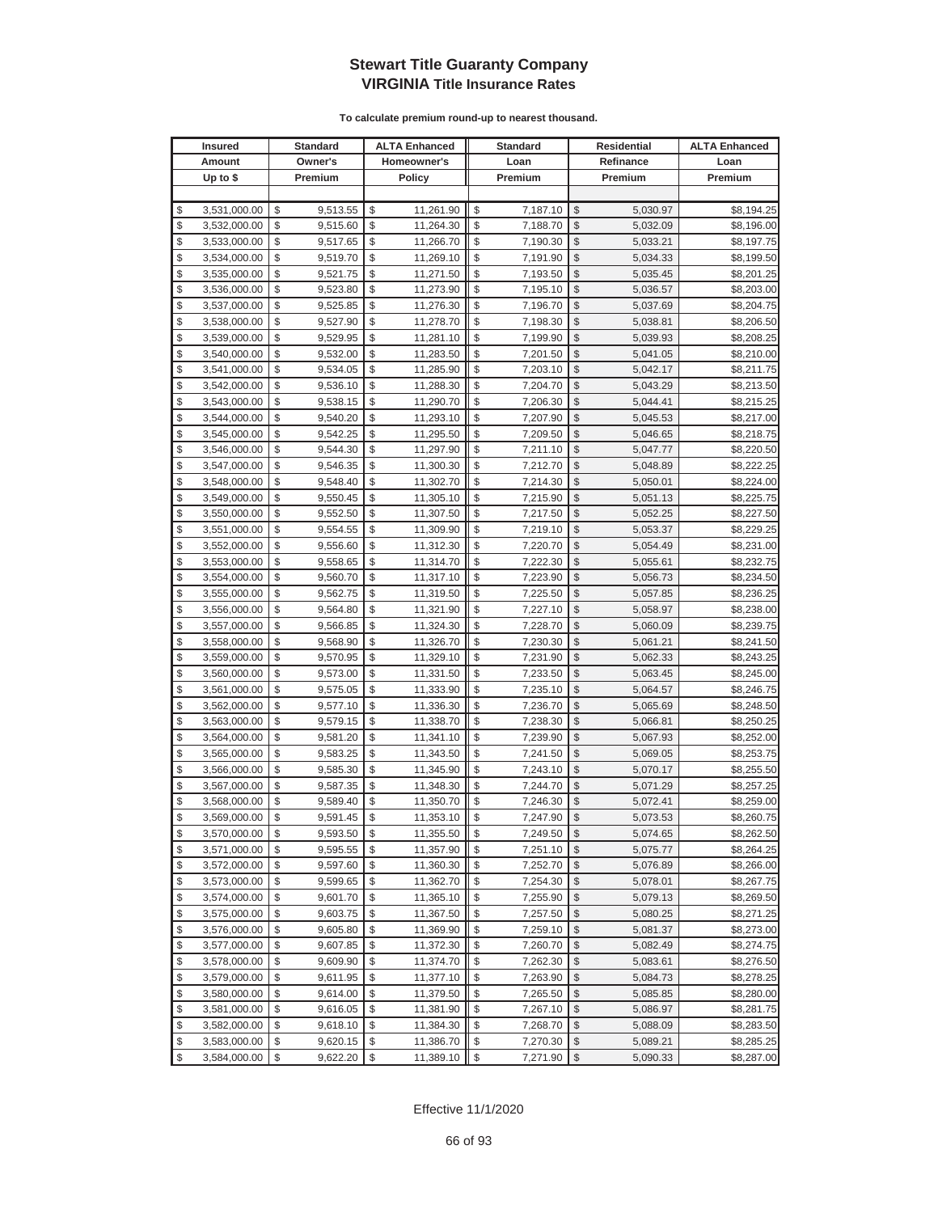| <b>Insured</b>     | Standard       | <b>ALTA Enhanced</b> | <b>Standard</b> |                         | <b>Residential</b> | <b>ALTA Enhanced</b> |
|--------------------|----------------|----------------------|-----------------|-------------------------|--------------------|----------------------|
| Amount             | Owner's        | Homeowner's          | Loan            |                         | Refinance          | Loan                 |
| Up to $$$          | Premium        | <b>Policy</b>        | Premium         |                         | Premium            | Premium              |
|                    |                |                      |                 |                         |                    |                      |
| \$<br>3,531,000.00 | \$<br>9,513.55 | \$<br>11,261.90      | \$<br>7,187.10  | \$                      | 5,030.97           | \$8,194.25           |
| \$<br>3,532,000.00 | \$<br>9,515.60 | \$<br>11,264.30      | \$<br>7,188.70  | \$                      | 5,032.09           | \$8,196.00           |
| \$<br>3,533,000.00 | \$<br>9,517.65 | \$<br>11,266.70      | \$<br>7,190.30  | \$                      | 5,033.21           | \$8,197.75           |
| \$<br>3,534,000.00 | \$<br>9,519.70 | \$<br>11,269.10      | \$<br>7,191.90  | \$                      | 5,034.33           | \$8,199.50           |
| \$<br>3,535,000.00 | \$<br>9,521.75 | \$<br>11,271.50      | \$<br>7,193.50  | \$                      | 5,035.45           | \$8,201.25           |
| \$<br>3,536,000.00 | \$<br>9,523.80 | \$<br>11,273.90      | \$<br>7,195.10  | \$                      | 5,036.57           | \$8,203.00           |
| \$<br>3,537,000.00 | \$<br>9,525.85 | \$<br>11,276.30      | \$<br>7,196.70  | \$                      | 5,037.69           | \$8,204.75           |
| \$<br>3,538,000.00 | \$<br>9,527.90 | \$<br>11,278.70      | \$<br>7,198.30  | \$                      | 5,038.81           | \$8,206.50           |
| \$<br>3,539,000.00 | \$<br>9,529.95 | \$<br>11,281.10      | \$<br>7,199.90  | \$                      | 5,039.93           | \$8,208.25           |
| \$<br>3,540,000.00 | \$<br>9,532.00 | \$<br>11,283.50      | \$<br>7,201.50  | \$                      | 5,041.05           | \$8,210.00           |
| \$<br>3,541,000.00 | \$<br>9,534.05 | \$<br>11,285.90      | \$<br>7,203.10  | \$                      | 5,042.17           | \$8,211.75           |
| \$<br>3,542,000.00 | \$<br>9,536.10 | \$<br>11,288.30      | \$<br>7,204.70  | \$                      | 5,043.29           | \$8,213.50           |
| \$<br>3,543,000.00 | \$<br>9,538.15 | \$<br>11,290.70      | \$<br>7,206.30  | \$                      | 5,044.41           | \$8,215.25           |
| \$<br>3,544,000.00 | \$<br>9,540.20 | \$<br>11,293.10      | \$<br>7,207.90  | \$                      | 5,045.53           | \$8,217.00           |
| \$<br>3,545,000.00 | \$<br>9,542.25 | \$<br>11,295.50      | \$<br>7,209.50  | \$                      | 5,046.65           | \$8,218.75           |
| \$<br>3,546,000.00 | \$<br>9,544.30 | \$<br>11,297.90      | \$<br>7,211.10  | \$                      | 5,047.77           | \$8,220.50           |
| \$<br>3,547,000.00 | \$<br>9,546.35 | \$<br>11,300.30      | \$<br>7,212.70  | \$                      | 5,048.89           | \$8,222.25           |
| \$<br>3,548,000.00 | \$<br>9,548.40 | \$<br>11,302.70      | \$<br>7,214.30  | \$                      | 5,050.01           | \$8,224.00           |
| \$<br>3,549,000.00 | \$<br>9,550.45 | \$<br>11,305.10      | \$<br>7,215.90  | \$                      | 5,051.13           | \$8,225.75           |
| \$<br>3,550,000.00 | \$<br>9,552.50 | \$<br>11,307.50      | \$<br>7,217.50  | \$                      | 5,052.25           | \$8,227.50           |
| \$<br>3,551,000.00 | \$<br>9,554.55 | \$<br>11,309.90      | \$<br>7,219.10  | \$                      | 5,053.37           | \$8,229.25           |
| \$<br>3,552,000.00 | \$<br>9,556.60 | \$<br>11,312.30      | \$<br>7,220.70  | \$                      | 5,054.49           | \$8,231.00           |
| \$<br>3,553,000.00 | \$<br>9,558.65 | \$<br>11,314.70      | \$<br>7,222.30  | \$                      | 5,055.61           | \$8,232.75           |
| \$<br>3,554,000.00 | \$<br>9,560.70 | \$<br>11,317.10      | \$<br>7,223.90  | \$                      | 5,056.73           | \$8,234.50           |
| \$<br>3,555,000.00 | \$<br>9,562.75 | \$<br>11,319.50      | \$<br>7,225.50  | \$                      | 5,057.85           | \$8,236.25           |
| \$<br>3,556,000.00 | \$<br>9,564.80 | \$<br>11,321.90      | \$<br>7,227.10  | \$                      | 5,058.97           | \$8,238.00           |
| \$<br>3,557,000.00 | \$<br>9,566.85 | \$<br>11,324.30      | \$<br>7,228.70  | \$                      | 5,060.09           | \$8,239.75           |
| \$<br>3,558,000.00 | \$<br>9,568.90 | \$<br>11,326.70      | \$<br>7,230.30  | \$                      | 5,061.21           | \$8,241.50           |
| \$<br>3,559,000.00 | \$<br>9,570.95 | \$<br>11,329.10      | \$<br>7,231.90  | \$                      | 5,062.33           | \$8,243.25           |
| \$<br>3,560,000.00 | \$<br>9,573.00 | \$<br>11,331.50      | \$<br>7,233.50  | \$                      | 5,063.45           | \$8,245.00           |
| \$<br>3,561,000.00 | \$<br>9,575.05 | \$<br>11,333.90      | \$<br>7,235.10  | \$                      | 5,064.57           | \$8,246.75           |
| \$<br>3,562,000.00 | \$<br>9,577.10 | \$<br>11,336.30      | \$<br>7,236.70  | \$                      | 5,065.69           | \$8,248.50           |
| \$<br>3,563,000.00 | \$<br>9,579.15 | \$<br>11,338.70      | \$<br>7,238.30  | \$                      | 5,066.81           | \$8,250.25           |
| \$<br>3,564,000.00 | \$<br>9,581.20 | \$<br>11,341.10      | \$<br>7,239.90  | \$                      | 5,067.93           | \$8,252.00           |
| \$<br>3,565,000.00 | \$<br>9,583.25 | \$<br>11,343.50      | \$<br>7,241.50  | \$                      | 5,069.05           | \$8,253.75           |
| \$<br>3,566,000.00 | \$<br>9,585.30 | \$<br>11,345.90      | \$<br>7,243.10  | \$                      | 5,070.17           | \$8,255.50           |
| \$<br>3,567,000.00 | \$<br>9,587.35 | \$<br>11,348.30      | \$<br>7,244.70  | \$                      | 5,071.29           | \$8,257.25           |
| \$<br>3,568,000.00 | \$<br>9,589.40 | \$<br>11,350.70      | \$<br>7,246.30  | \$                      | 5,072.41           | \$8,259.00           |
| \$<br>3,569,000.00 | \$<br>9,591.45 | \$<br>11,353.10      | \$<br>7,247.90  | \$                      | 5,073.53           | \$8,260.75           |
| \$<br>3,570,000.00 | \$<br>9,593.50 | \$<br>11,355.50      | \$<br>7,249.50  | $\sqrt[6]{3}$           | 5,074.65           | \$8,262.50           |
| \$<br>3,571,000.00 | \$<br>9,595.55 | \$<br>11,357.90      | \$<br>7,251.10  | \$                      | 5,075.77           | \$8,264.25           |
| \$<br>3,572,000.00 | \$<br>9,597.60 | \$<br>11,360.30      | \$<br>7,252.70  | $\frac{1}{2}$           | 5,076.89           | \$8,266.00           |
| \$<br>3,573,000.00 | \$<br>9,599.65 | \$<br>11,362.70      | \$<br>7,254.30  | $\frac{1}{2}$           | 5,078.01           | \$8,267.75           |
| \$<br>3,574,000.00 | \$<br>9,601.70 | \$<br>11,365.10      | \$<br>7,255.90  | \$                      | 5,079.13           | \$8,269.50           |
| \$<br>3,575,000.00 | \$<br>9,603.75 | \$<br>11,367.50      | \$<br>7,257.50  | \$                      | 5,080.25           | \$8,271.25           |
| \$<br>3,576,000.00 | \$<br>9,605.80 | \$<br>11,369.90      | \$<br>7,259.10  | \$                      | 5,081.37           | \$8,273.00           |
| \$<br>3,577,000.00 | \$<br>9,607.85 | \$<br>11,372.30      | \$<br>7,260.70  | \$                      | 5,082.49           | \$8,274.75           |
| \$<br>3,578,000.00 | \$<br>9,609.90 | \$<br>11,374.70      | \$<br>7,262.30  | \$                      | 5,083.61           | \$8,276.50           |
| \$<br>3,579,000.00 | \$<br>9,611.95 | \$<br>11,377.10      | \$<br>7,263.90  | \$                      | 5,084.73           | \$8,278.25           |
| \$<br>3,580,000.00 | \$<br>9,614.00 | \$<br>11,379.50      | \$<br>7,265.50  | \$                      | 5,085.85           | \$8,280.00           |
| \$<br>3,581,000.00 | \$<br>9,616.05 | \$<br>11,381.90      | \$<br>7,267.10  | \$                      | 5,086.97           | \$8,281.75           |
| \$<br>3,582,000.00 | \$<br>9,618.10 | \$<br>11,384.30      | \$<br>7,268.70  | \$                      | 5,088.09           | \$8,283.50           |
| \$<br>3,583,000.00 | \$<br>9,620.15 | \$<br>11,386.70      | \$<br>7,270.30  | \$                      | 5,089.21           | \$8,285.25           |
| \$<br>3,584,000.00 | \$<br>9,622.20 | \$<br>11,389.10      | \$<br>7,271.90  | $\sqrt[6]{\frac{1}{2}}$ | 5,090.33           | \$8,287.00           |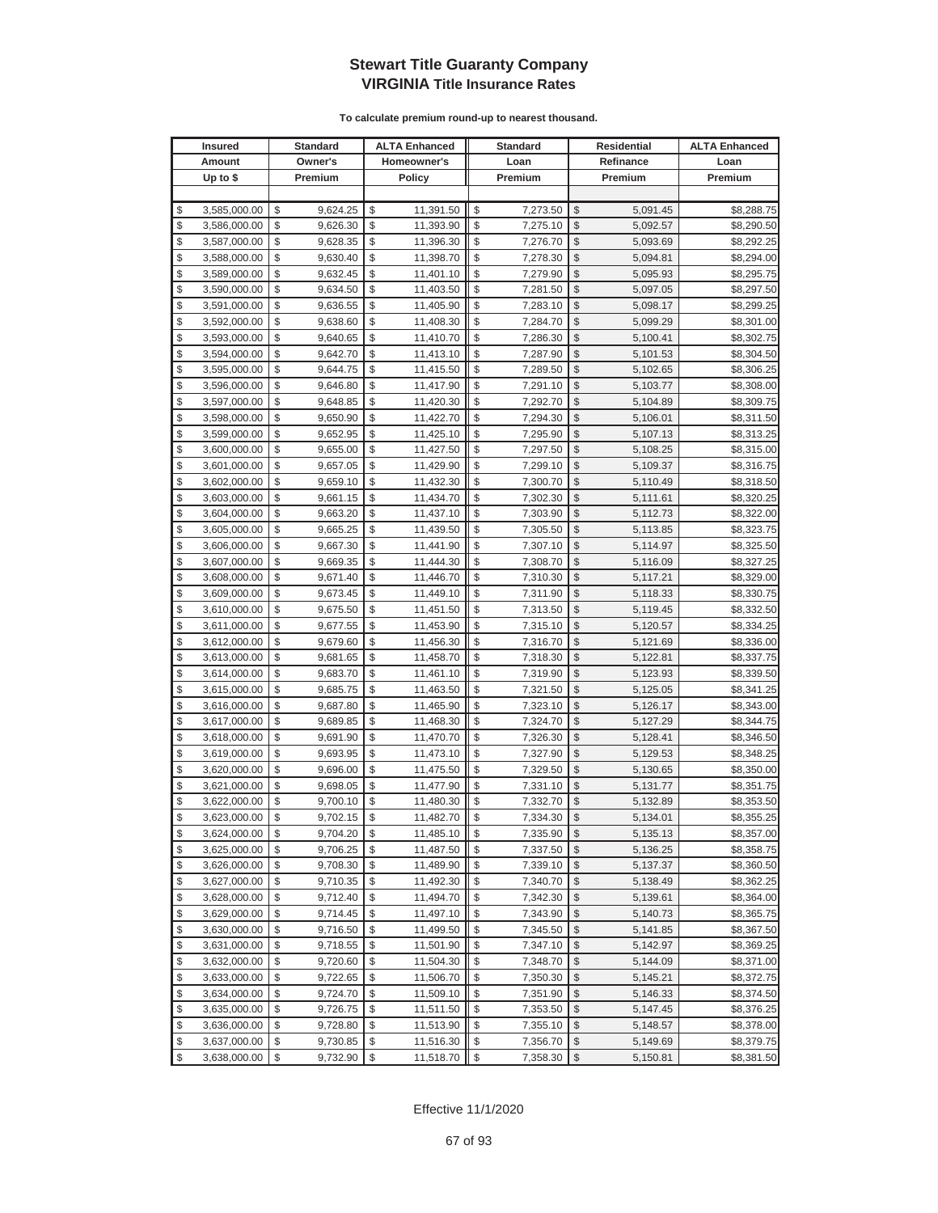|          | <b>Insured</b>               |          | Standard             |          | <b>ALTA Enhanced</b>   |          | <b>Standard</b>      |               | Residential          | <b>ALTA Enhanced</b>     |
|----------|------------------------------|----------|----------------------|----------|------------------------|----------|----------------------|---------------|----------------------|--------------------------|
|          | Amount                       |          | Owner's              |          | Homeowner's            |          | Loan                 |               | Refinance            | Loan                     |
|          | Up to $$$                    |          | Premium              |          | <b>Policy</b>          |          | Premium              |               | Premium              | Premium                  |
|          |                              |          |                      |          |                        |          |                      |               |                      |                          |
| \$       | 3,585,000.00                 | \$       | 9,624.25             | \$       | 11,391.50              | \$       | 7,273.50             | \$            | 5,091.45             | \$8,288.75               |
| \$       | 3,586,000.00                 | \$       | 9,626.30             | \$       | 11,393.90              | \$       | 7,275.10             | $\mathcal{S}$ | 5,092.57             | \$8,290.50               |
| \$       | 3,587,000.00                 | \$       | 9,628.35             | \$       | 11,396.30              | \$       | 7,276.70             | \$            | 5,093.69             | \$8,292.25               |
| \$       | 3,588,000.00                 | \$       | 9,630.40             | \$       | 11,398.70              | \$       | 7,278.30             | \$            | 5,094.81             | \$8,294.00               |
| \$       | 3,589,000.00                 | \$       | 9,632.45             | \$       | 11,401.10              | \$       | 7,279.90             | \$            | 5,095.93             | \$8,295.75               |
| \$       | 3,590,000.00                 | \$       | 9,634.50             | \$       | 11,403.50              | \$       | 7,281.50             | \$            | 5,097.05             | \$8,297.50               |
| \$       | 3,591,000.00                 | \$       | 9,636.55             | \$       | 11,405.90              | \$       | 7,283.10             | \$            | 5,098.17             | \$8,299.25               |
| \$       | 3,592,000.00                 | \$       | 9,638.60             | \$       | 11,408.30              | \$       | 7,284.70             | \$            | 5,099.29             | \$8,301.00               |
| \$       | 3,593,000.00                 | \$       | 9,640.65             | \$       | 11,410.70              | \$       | 7,286.30             | \$            | 5,100.41             | \$8,302.75               |
| \$       | 3,594,000.00                 | \$       | 9,642.70             | \$       | 11,413.10              | \$       | 7,287.90             | \$            | 5,101.53             | \$8,304.50               |
| \$       | 3,595,000.00                 | \$       | 9,644.75             | \$       | 11,415.50              | \$       | 7,289.50             | \$            | 5,102.65             | \$8,306.25               |
| \$       | 3,596,000.00                 | \$       | 9,646.80             | \$       | 11,417.90              | \$       | 7,291.10             | \$            | 5,103.77             | \$8,308.00               |
| \$       | 3,597,000.00                 | \$       | 9,648.85             | \$       | 11,420.30              | \$       | 7,292.70             | \$            | 5,104.89             | \$8,309.75               |
| \$       | 3,598,000.00                 | \$       | 9,650.90             | \$       | 11,422.70              | \$       | 7,294.30             | \$            | 5,106.01             | \$8,311.50               |
| \$       | 3,599,000.00                 | \$       | 9,652.95             | \$       | 11,425.10              | \$       | 7,295.90             | \$            | 5,107.13             | \$8,313.25               |
| \$       | 3,600,000.00                 | \$       | 9,655.00             | \$       | 11,427.50              | \$       | 7,297.50             | \$            | 5,108.25             | \$8,315.00               |
| \$       | 3,601,000.00                 | \$       | 9,657.05             | \$       | 11,429.90              | \$       | 7,299.10             | \$            | 5,109.37             | \$8,316.75               |
| \$       | 3,602,000.00                 | \$       | 9,659.10             | \$       | 11,432.30              | \$       | 7,300.70             | \$            | 5,110.49             | \$8,318.50               |
| \$       | 3,603,000.00                 | \$       | 9,661.15             | \$       | 11,434.70              | \$       | 7,302.30             | \$            | 5,111.61             | \$8,320.25               |
| \$       | 3,604,000.00                 | \$       | 9,663.20             | \$       | 11,437.10              | \$       | 7,303.90             | \$            | 5,112.73             | \$8,322.00               |
| \$       | 3,605,000.00                 | \$       | 9,665.25             | \$       | 11,439.50              | \$       | 7,305.50             | \$            | 5,113.85             | \$8,323.75               |
| \$       | 3,606,000.00                 | \$       | 9,667.30             | \$       | 11,441.90              | \$       | 7,307.10             | \$            | 5,114.97             | \$8,325.50               |
| \$       | 3,607,000.00                 | \$       | 9,669.35             | \$       | 11,444.30              | \$       | 7,308.70             | \$            | 5,116.09             | \$8,327.25               |
| \$       | 3,608,000.00                 | \$       | 9,671.40             | \$       | 11,446.70              | \$       | 7,310.30             | \$            | 5,117.21             | \$8,329.00               |
| \$       | 3,609,000.00                 | \$       | 9,673.45             | \$       | 11,449.10              | \$       | 7,311.90             | \$            | 5,118.33             | \$8,330.75               |
| \$       | 3,610,000.00                 | \$       | 9,675.50             | \$       | 11,451.50              | \$       | 7,313.50             | \$            | 5,119.45             | \$8,332.50               |
| \$       | 3,611,000.00                 | \$       | 9,677.55             | \$       | 11,453.90              | \$       | 7,315.10             | $\mathcal{S}$ | 5,120.57             | \$8,334.25               |
| \$       | 3,612,000.00                 | \$       | 9,679.60             | \$       | 11,456.30              | \$       | 7,316.70             | \$            | 5,121.69             | \$8,336.00               |
| \$       | 3,613,000.00                 | \$       | 9,681.65             | \$       | 11,458.70              | \$       | 7,318.30             | $\mathcal{S}$ | 5,122.81             | \$8,337.75               |
| \$       | 3,614,000.00                 | \$       | 9,683.70             | \$       | 11,461.10              | \$       | 7,319.90             | \$            | 5,123.93             | \$8,339.50               |
| \$       | 3,615,000.00                 | \$       | 9,685.75             | \$       | 11,463.50              | \$       | 7,321.50             | \$            | 5,125.05             | \$8,341.25               |
| \$       | 3,616,000.00                 | \$       | 9,687.80             | \$       | 11,465.90              | \$       | 7,323.10             | \$            | 5,126.17             | \$8,343.00               |
| \$       | 3,617,000.00                 | \$       | 9,689.85             | \$       | 11,468.30              | \$       | 7,324.70             | \$            | 5,127.29             | \$8,344.75               |
| \$       | 3,618,000.00                 | \$       | 9,691.90             | \$       | 11,470.70              | \$       | 7,326.30             | \$            | 5,128.41             | \$8,346.50               |
| \$       | 3,619,000.00                 | \$       | 9,693.95             | \$       | 11,473.10              | \$       | 7,327.90             | \$            | 5,129.53             | \$8,348.25               |
| \$       | 3,620,000.00                 | \$       | 9,696.00             | \$       | 11,475.50              | \$       | 7,329.50             | \$            | 5,130.65             | \$8,350.00               |
| \$<br>\$ | 3,621,000.00                 | \$<br>\$ | 9,698.05             | \$<br>\$ | 11,477.90              | \$<br>\$ | 7,331.10             | \$<br>\$      | 5,131.77             | \$8,351.75               |
| \$       | 3,622,000.00<br>3,623,000.00 | \$       | 9,700.10<br>9,702.15 | \$       | 11,480.30<br>11,482.70 | \$       | 7,332.70<br>7,334.30 | $\sqrt{2}$    | 5,132.89             | \$8,353.50<br>\$8,355.25 |
| \$       | 3,624,000.00                 | \$       |                      | \$       |                        | \$       | 7,335.90             | $\sqrt[6]{2}$ | 5,134.01             |                          |
| \$       | 3,625,000.00                 | \$       | 9,704.20<br>9,706.25 | \$       | 11,485.10<br>11,487.50 | \$       | 7,337.50             | $\mathcal{S}$ | 5,135.13<br>5,136.25 | \$8,357.00<br>\$8,358.75 |
| \$       | 3,626,000.00                 | \$       | 9,708.30             | \$       | 11,489.90              | \$       | 7,339.10             | $\frac{1}{2}$ | 5,137.37             | \$8,360.50               |
| \$       | 3,627,000.00                 | \$       | 9,710.35             | \$       | 11,492.30              | \$       | 7,340.70             | \$            | 5,138.49             | \$8,362.25               |
| \$       | 3,628,000.00                 | \$       | 9,712.40             | \$       | 11,494.70              | \$       | 7,342.30             | \$            | 5,139.61             | \$8,364.00               |
| \$       | 3,629,000.00                 | \$       | 9,714.45             | \$       | 11,497.10              | \$       | 7,343.90             | \$            | 5,140.73             | \$8,365.75               |
| \$       | 3,630,000.00                 | \$       | 9,716.50             | \$       | 11,499.50              | \$       | 7,345.50             | \$            | 5,141.85             | \$8,367.50               |
| \$       | 3,631,000.00                 | \$       | 9,718.55             | \$       | 11,501.90              | \$       | 7,347.10             | \$            | 5,142.97             | \$8,369.25               |
| \$       | 3,632,000.00                 | \$       | 9,720.60             | \$       | 11,504.30              | \$       | 7,348.70             | \$            | 5,144.09             | \$8,371.00               |
| \$       | 3,633,000.00                 | \$       | 9,722.65             | \$       | 11,506.70              | \$       | 7,350.30             | \$            | 5,145.21             | \$8,372.75               |
| \$       | 3,634,000.00                 | \$       | 9,724.70             | \$       | 11,509.10              | \$       | 7,351.90             | \$            | 5,146.33             | \$8,374.50               |
| \$       | 3,635,000.00                 | \$       | 9,726.75             | \$       | 11,511.50              | \$       | 7,353.50             | \$            | 5,147.45             | \$8,376.25               |
| \$       | 3,636,000.00                 | \$       | 9,728.80             | \$       | 11,513.90              | \$       | 7,355.10             | \$            | 5,148.57             | \$8,378.00               |
| \$       | 3,637,000.00                 | \$       | 9,730.85             | \$       | 11,516.30              | \$       | 7,356.70             | \$            | 5,149.69             | \$8,379.75               |
| \$       | 3,638,000.00                 | \$       | 9,732.90             | \$       | 11,518.70              | \$       | 7,358.30             | $\frac{1}{2}$ | 5,150.81             | \$8,381.50               |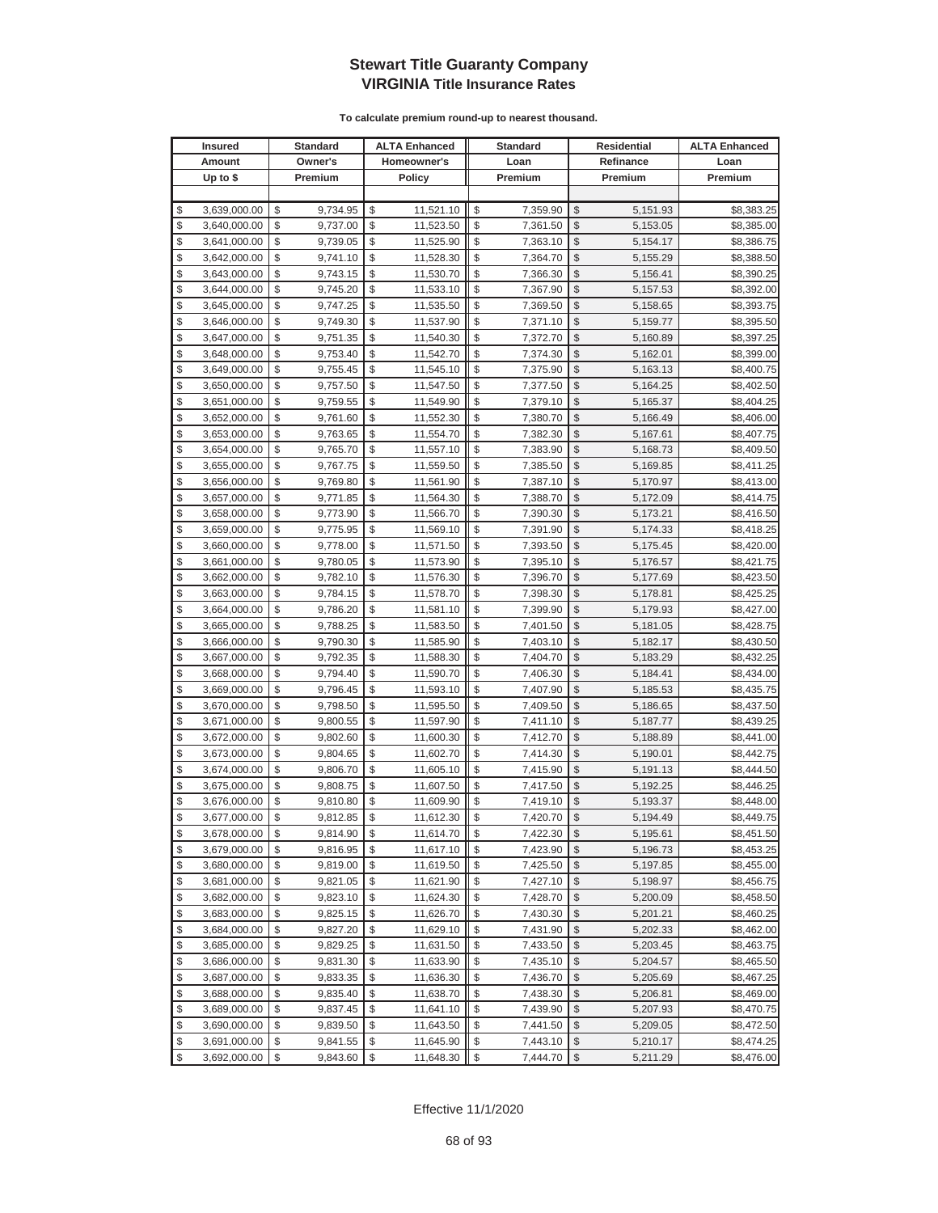|          | <b>Insured</b>               |          | <b>Standard</b>      |          | <b>ALTA Enhanced</b>   |          | <b>Standard</b>      | <b>Residential</b> |                      | <b>ALTA Enhanced</b>     |
|----------|------------------------------|----------|----------------------|----------|------------------------|----------|----------------------|--------------------|----------------------|--------------------------|
|          | Amount                       |          | Owner's              |          | Homeowner's            |          | Loan                 |                    | Refinance            | Loan                     |
|          | Up to $$$                    |          | Premium              |          | <b>Policy</b>          |          | Premium              |                    | Premium              | Premium                  |
|          |                              |          |                      |          |                        |          |                      |                    |                      |                          |
| \$       | 3,639,000.00                 | \$       | 9,734.95             | \$       | 11,521.10              | \$       | 7,359.90             | \$                 | 5,151.93             | \$8,383.25               |
| \$       | 3,640,000.00                 | \$       | 9,737.00             | \$       | 11,523.50              | \$       | 7,361.50             | \$                 | 5,153.05             | \$8,385.00               |
| \$       | 3,641,000.00                 | \$       | 9,739.05             | \$       | 11,525.90              | \$       | 7,363.10             | \$                 | 5,154.17             | \$8,386.75               |
| \$       | 3,642,000.00                 | \$       | 9,741.10             | \$       | 11,528.30              | \$       | 7,364.70             | \$                 | 5,155.29             | \$8,388.50               |
| \$       | 3,643,000.00                 | \$       | 9,743.15             | \$       | 11,530.70              | \$       | 7,366.30             | \$                 | 5,156.41             | \$8,390.25               |
| \$       | 3,644,000.00                 | \$       | 9,745.20             | \$       | 11,533.10              | \$       | 7,367.90             | \$                 | 5,157.53             | \$8,392.00               |
| \$       | 3,645,000.00                 | \$       | 9,747.25             | \$       | 11,535.50              | \$       | 7,369.50             | \$                 | 5,158.65             | \$8,393.75               |
| \$       | 3,646,000.00                 | \$       | 9,749.30             | \$       | 11,537.90              | \$       | 7,371.10             | \$                 | 5,159.77             | \$8,395.50               |
| \$       | 3,647,000.00                 | \$       | 9,751.35             | \$       | 11,540.30              | \$       | 7,372.70             | \$                 | 5,160.89             | \$8,397.25               |
| \$       | 3,648,000.00                 | \$       | 9,753.40             | \$       | 11,542.70              | \$       | 7,374.30             | \$                 | 5,162.01             | \$8,399.00               |
| \$       | 3,649,000.00                 | \$       | 9,755.45             | \$       | 11,545.10              | \$       | 7,375.90             | \$                 | 5,163.13             | \$8,400.75               |
| \$       | 3,650,000.00                 | \$       | 9,757.50             | \$       | 11,547.50              | \$       | 7,377.50             | \$                 | 5,164.25             | \$8,402.50               |
| \$       | 3,651,000.00                 | \$       | 9,759.55             | \$       | 11,549.90              | \$       | 7,379.10             | \$                 | 5,165.37             | \$8,404.25               |
| \$       | 3,652,000.00                 | \$       | 9,761.60             | \$       | 11,552.30              | \$       | 7,380.70             | \$                 | 5,166.49             | \$8,406.00               |
| \$       | 3,653,000.00                 | \$       | 9,763.65             | \$       | 11,554.70              | \$       | 7,382.30             | \$                 | 5,167.61             | \$8,407.75               |
| \$       | 3,654,000.00                 | \$       | 9,765.70             | \$       | 11,557.10              | \$       | 7,383.90             | \$                 | 5,168.73             | \$8,409.50               |
| \$       | 3,655,000.00                 | \$       | 9,767.75             | \$       | 11,559.50              | \$       | 7,385.50             | \$                 | 5,169.85             | \$8,411.25               |
| \$       | 3,656,000.00                 | \$       | 9,769.80             | \$       | 11,561.90              | \$       | 7,387.10             | \$                 | 5,170.97             | \$8,413.00               |
| \$       | 3,657,000.00                 | \$       | 9,771.85             | \$       | 11,564.30              | \$       | 7,388.70             | $\mathcal{S}$      | 5,172.09             | \$8,414.75               |
| \$       | 3,658,000.00                 | \$       | 9,773.90             | \$       | 11,566.70              | \$       | 7,390.30             | \$                 | 5,173.21             | \$8,416.50               |
| \$       | 3,659,000.00                 | \$       | 9,775.95             | \$       | 11,569.10              | \$       | 7,391.90             | $\mathcal{S}$      | 5,174.33             | \$8,418.25               |
| \$       | 3,660,000.00                 | \$       | 9,778.00             | \$       | 11,571.50              | \$       | 7,393.50             | $\mathcal{S}$      | 5,175.45             | \$8,420.00               |
| \$       | 3,661,000.00                 | \$       | 9,780.05             | \$       | 11,573.90              | \$       | 7,395.10             | \$                 | 5,176.57             | \$8,421.75               |
| \$       | 3,662,000.00                 | \$       | 9,782.10             | \$       | 11,576.30              | \$       | 7,396.70             | \$                 | 5,177.69             | \$8,423.50               |
| \$       | 3,663,000.00                 | \$       | 9,784.15             | \$       | 11,578.70              | \$       | 7,398.30             | \$                 | 5,178.81             | \$8,425.25               |
| \$       | 3,664,000.00                 | \$       | 9,786.20             | \$       | 11,581.10              | \$       | 7,399.90             | \$                 | 5,179.93             | \$8,427.00               |
| \$       | 3,665,000.00                 | \$       | 9,788.25             | \$       | 11,583.50              | \$       | 7,401.50             | \$                 | 5,181.05             | \$8,428.75               |
| \$       | 3,666,000.00                 | \$       | 9,790.30             | \$       | 11,585.90              | \$       | 7,403.10             | \$                 | 5,182.17             | \$8,430.50               |
| \$       | 3,667,000.00                 | \$       | 9,792.35             | \$       | 11,588.30              | \$       | 7,404.70             | \$                 | 5,183.29             | \$8,432.25               |
| \$       | 3,668,000.00                 | \$       | 9,794.40             | \$       | 11,590.70              | \$       | 7,406.30             | \$                 | 5,184.41             | \$8,434.00               |
| \$       | 3,669,000.00                 | \$       | 9,796.45             | \$       | 11,593.10              | \$       | 7,407.90             | \$                 | 5,185.53             | \$8,435.75               |
| \$       | 3,670,000.00                 | \$       | 9,798.50             | \$       | 11,595.50              | \$       | 7,409.50             | \$                 | 5,186.65             | \$8,437.50               |
| \$       | 3,671,000.00                 | \$       | 9,800.55             | \$       | 11,597.90              | \$       | 7,411.10             | \$                 | 5,187.77             | \$8,439.25               |
| \$       | 3,672,000.00                 | \$       | 9,802.60             | \$       | 11,600.30              | \$       | 7,412.70             | \$                 | 5,188.89             | \$8,441.00               |
| \$       | 3,673,000.00                 | \$       | 9,804.65             | \$       | 11,602.70              | \$       | 7,414.30             | \$                 | 5,190.01             | \$8,442.75               |
| \$       | 3,674,000.00                 | \$       | 9,806.70             | \$       | 11,605.10              | \$       | 7,415.90             | \$                 | 5,191.13             | \$8,444.50               |
| \$       | 3,675,000.00                 | \$       | 9,808.75             | \$       | 11,607.50              | \$       | 7,417.50             | \$                 | 5,192.25             | \$8,446.25               |
| \$       | 3,676,000.00                 | \$       | 9,810.80             | \$       | 11,609.90              | \$       | 7,419.10             | \$                 | 5,193.37             | \$8,448.00               |
| \$       | 3,677,000.00                 | \$       | 9,812.85             | \$       | 11,612.30              | \$       | 7,420.70             | $\mathbb{S}$       | 5,194.49             | \$8,449.75               |
| \$       | 3,678,000.00                 | \$       | 9,814.90             | \$       | 11,614.70              | \$       | 7,422.30             | $\sqrt[6]{2}$      | 5,195.61             | \$8,451.50               |
| \$       | 3,679,000.00                 | \$       | 9,816.95             | \$       | 11,617.10              | \$       | 7,423.90             | \$                 | 5,196.73             | \$8,453.25               |
| \$       | 3,680,000.00                 | \$       | 9,819.00             | \$       | 11,619.50              | \$       | 7,425.50             | \$                 | 5,197.85             | \$8,455.00               |
| \$       | 3,681,000.00                 | \$       | 9,821.05             | \$       | 11,621.90              | \$       | 7,427.10             | \$                 | 5,198.97             | \$8,456.75               |
| \$       | 3,682,000.00                 | \$       | 9,823.10             | \$       | 11,624.30              | \$       | 7,428.70             | \$                 | 5,200.09             | \$8,458.50               |
| \$       | 3,683,000.00                 | \$       | 9,825.15             | \$       | 11,626.70              | \$       | 7,430.30             | \$                 | 5,201.21             | \$8,460.25               |
| \$       | 3,684,000.00                 | \$       | 9,827.20             | \$       | 11,629.10              | \$       | 7,431.90             | \$                 | 5,202.33             | \$8,462.00               |
| \$       | 3,685,000.00                 | \$       | 9,829.25             | \$       | 11,631.50              | \$       | 7,433.50             | \$                 | 5,203.45             | \$8,463.75               |
| \$<br>\$ | 3,686,000.00                 | \$<br>\$ | 9,831.30             | \$<br>\$ | 11,633.90              | \$<br>\$ | 7,435.10             | \$<br>\$           | 5,204.57             | \$8,465.50<br>\$8,467.25 |
| \$       | 3,687,000.00<br>3,688,000.00 | \$       | 9,833.35<br>9,835.40 | \$       | 11,636.30<br>11,638.70 | \$       | 7,436.70             | \$                 | 5,205.69             | \$8,469.00               |
| \$       |                              | \$       | 9,837.45             | \$       |                        | \$       | 7,438.30<br>7,439.90 | \$                 | 5,206.81             |                          |
| \$       | 3,689,000.00                 | \$       |                      | \$       | 11,641.10              | \$       |                      | \$                 | 5,207.93             | \$8,470.75               |
| \$       | 3,690,000.00<br>3,691,000.00 | \$       | 9,839.50<br>9,841.55 | \$       | 11,643.50<br>11,645.90 | \$       | 7,441.50<br>7,443.10 | \$                 | 5,209.05<br>5,210.17 | \$8,472.50<br>\$8,474.25 |
| \$       | 3,692,000.00                 | \$       | 9,843.60             | \$       | 11,648.30              | \$       | 7,444.70             | $\sqrt{2}$         | 5,211.29             | \$8,476.00               |
|          |                              |          |                      |          |                        |          |                      |                    |                      |                          |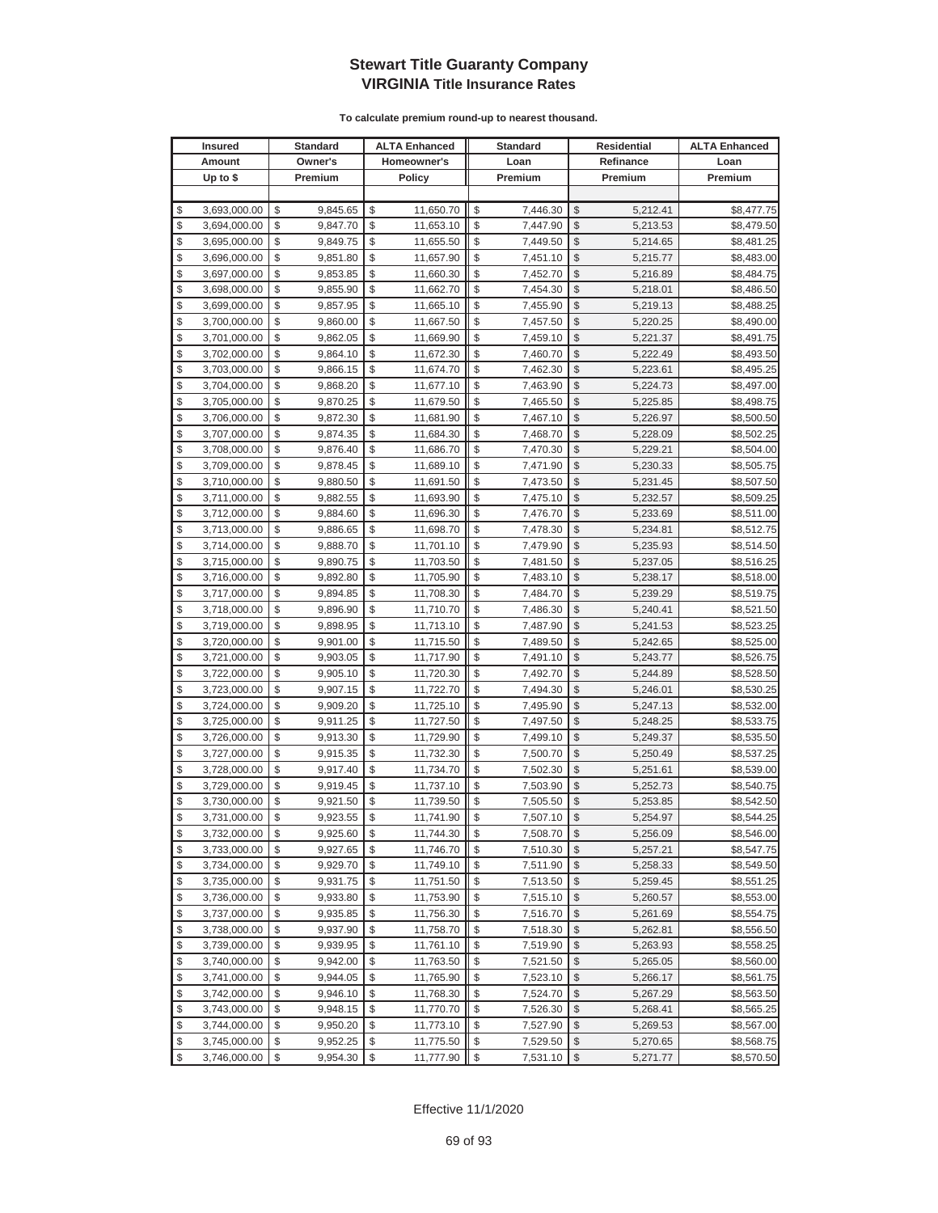|          | <b>Insured</b> | Standard       |          | <b>ALTA Enhanced</b> | <b>Standard</b> |                     | Residential | <b>ALTA Enhanced</b> |
|----------|----------------|----------------|----------|----------------------|-----------------|---------------------|-------------|----------------------|
|          | Amount         | Owner's        |          | Homeowner's          | Loan            |                     | Refinance   | Loan                 |
|          | Up to $$$      | Premium        |          | <b>Policy</b>        | Premium         |                     | Premium     | Premium              |
|          |                |                |          |                      |                 |                     |             |                      |
| \$       | 3,693,000.00   | \$<br>9,845.65 | \$       | 11,650.70            | \$<br>7,446.30  | \$                  | 5,212.41    | \$8,477.75           |
| \$       | 3,694,000.00   | \$<br>9,847.70 | \$       | 11,653.10            | \$<br>7,447.90  | $\mathcal{S}$       | 5,213.53    | \$8,479.50           |
| \$       | 3,695,000.00   | \$<br>9,849.75 | \$       | 11,655.50            | \$<br>7,449.50  | $\mathcal{S}$       | 5,214.65    | \$8,481.25           |
| \$       | 3,696,000.00   | \$<br>9,851.80 | \$       | 11,657.90            | \$<br>7,451.10  | \$                  | 5,215.77    | \$8,483.00           |
| \$       | 3,697,000.00   | \$<br>9,853.85 | \$       | 11,660.30            | \$<br>7,452.70  | \$                  | 5,216.89    | \$8,484.75           |
| \$       | 3,698,000.00   | \$<br>9,855.90 | \$       | 11,662.70            | \$<br>7,454.30  | \$                  | 5,218.01    | \$8,486.50           |
| \$       | 3,699,000.00   | \$<br>9,857.95 | \$       | 11,665.10            | \$<br>7,455.90  | \$                  | 5,219.13    | \$8,488.25           |
| \$       | 3,700,000.00   | \$<br>9,860.00 | \$       | 11,667.50            | \$<br>7,457.50  | \$                  | 5,220.25    | \$8,490.00           |
| \$       | 3,701,000.00   | \$<br>9,862.05 | \$       | 11,669.90            | \$<br>7,459.10  | \$                  | 5,221.37    | \$8,491.75           |
| \$       | 3,702,000.00   | \$<br>9,864.10 | \$       | 11,672.30            | \$<br>7,460.70  | \$                  | 5,222.49    | \$8,493.50           |
| \$       | 3,703,000.00   | \$<br>9,866.15 | \$       | 11,674.70            | \$<br>7,462.30  | \$                  | 5,223.61    | \$8,495.25           |
| \$       | 3,704,000.00   | \$<br>9,868.20 | \$       | 11,677.10            | \$<br>7,463.90  | \$                  | 5,224.73    | \$8,497.00           |
| \$       | 3,705,000.00   | \$<br>9,870.25 | \$       | 11,679.50            | \$<br>7,465.50  | \$                  | 5,225.85    | \$8,498.75           |
| \$       | 3,706,000.00   | \$<br>9,872.30 | \$       | 11,681.90            | \$<br>7,467.10  | \$                  | 5,226.97    | \$8,500.50           |
| \$       | 3,707,000.00   | \$<br>9,874.35 | \$       | 11,684.30            | \$<br>7,468.70  | \$                  | 5,228.09    | \$8,502.25           |
| \$       | 3,708,000.00   | \$<br>9,876.40 | \$       | 11,686.70            | \$<br>7,470.30  | \$                  | 5,229.21    | \$8,504.00           |
| \$       | 3,709,000.00   | \$<br>9,878.45 | \$       | 11,689.10            | \$<br>7,471.90  | \$                  | 5,230.33    | \$8,505.75           |
| \$       | 3,710,000.00   | \$<br>9,880.50 | \$       | 11,691.50            | \$<br>7,473.50  | \$                  | 5,231.45    | \$8,507.50           |
| \$       | 3,711,000.00   | \$<br>9,882.55 | \$       | 11,693.90            | \$<br>7,475.10  | \$                  | 5,232.57    | \$8,509.25           |
| \$       | 3,712,000.00   | \$<br>9,884.60 | \$       | 11,696.30            | \$<br>7,476.70  | \$                  | 5,233.69    | \$8,511.00           |
| \$       | 3,713,000.00   | \$<br>9,886.65 | \$       | 11,698.70            | \$<br>7,478.30  | \$                  | 5,234.81    | \$8,512.75           |
| \$       | 3,714,000.00   | \$<br>9,888.70 | \$       | 11,701.10            | \$<br>7,479.90  | \$                  | 5,235.93    | \$8,514.50           |
| \$       | 3,715,000.00   | \$<br>9,890.75 | \$       | 11,703.50            | \$<br>7,481.50  | \$                  | 5,237.05    | \$8,516.25           |
| \$       | 3,716,000.00   | \$<br>9,892.80 | \$       | 11,705.90            | \$<br>7,483.10  | \$                  | 5,238.17    | \$8,518.00           |
| \$       | 3,717,000.00   | \$<br>9,894.85 | \$       | 11,708.30            | \$<br>7,484.70  | \$                  | 5,239.29    | \$8,519.75           |
| \$       | 3,718,000.00   | \$<br>9,896.90 | \$       | 11,710.70            | \$<br>7,486.30  | \$                  | 5,240.41    | \$8,521.50           |
| \$       | 3,719,000.00   | \$<br>9,898.95 | \$       | 11,713.10            | \$<br>7,487.90  | $\mathcal{S}$       | 5,241.53    | \$8,523.25           |
| \$       | 3,720,000.00   | \$<br>9,901.00 | \$       | 11,715.50            | \$<br>7,489.50  | \$                  | 5,242.65    | \$8,525.00           |
| \$       | 3,721,000.00   | \$<br>9,903.05 | \$       | 11,717.90            | \$<br>7,491.10  | $\mathcal{S}$       | 5,243.77    | \$8,526.75           |
| \$       | 3,722,000.00   | \$<br>9,905.10 | \$       | 11,720.30            | \$<br>7,492.70  | \$                  | 5,244.89    | \$8,528.50           |
| \$       | 3,723,000.00   | \$<br>9,907.15 | \$       | 11,722.70            | \$<br>7,494.30  | \$                  | 5,246.01    | \$8,530.25           |
| \$       | 3,724,000.00   | \$<br>9,909.20 | \$       | 11,725.10            | \$<br>7,495.90  | \$                  | 5,247.13    | \$8,532.00           |
| \$       | 3,725,000.00   | \$<br>9,911.25 | \$       | 11,727.50            | \$<br>7,497.50  | \$                  | 5,248.25    | \$8,533.75           |
| \$       | 3,726,000.00   | \$<br>9,913.30 | \$       | 11,729.90            | \$<br>7,499.10  | \$                  | 5,249.37    | \$8,535.50           |
| \$       | 3,727,000.00   | \$<br>9,915.35 | \$       | 11,732.30            | \$<br>7,500.70  | \$                  | 5,250.49    | \$8,537.25           |
| \$       | 3,728,000.00   | \$<br>9,917.40 | \$       | 11,734.70            | \$<br>7,502.30  | \$                  | 5,251.61    | \$8,539.00           |
| \$       | 3,729,000.00   | \$<br>9,919.45 | \$       | 11,737.10            | \$<br>7,503.90  | \$                  | 5,252.73    | \$8,540.75           |
| \$       | 3,730,000.00   | \$<br>9,921.50 | \$       | 11,739.50            | \$<br>7,505.50  | \$                  | 5,253.85    | \$8,542.50           |
| \$       | 3,731,000.00   | \$<br>9,923.55 | \$       | 11,741.90            | \$<br>7,507.10  | $\mathcal{S}$       | 5,254.97    | \$8,544.25           |
| \$       | 3,732,000.00   | \$<br>9,925.60 | \$       | 11,744.30            | \$<br>7,508.70  | $\sqrt[6]{2}$       | 5,256.09    | \$8,546.00           |
| \$       | 3,733,000.00   | \$<br>9,927.65 | \$       | 11,746.70            | \$<br>7,510.30  | $\mathcal{S}$       | 5,257.21    | \$8,547.75           |
| \$       | 3,734,000.00   | \$<br>9,929.70 | \$       | 11,749.10            | \$<br>7,511.90  | $\mathbb{S}$        | 5,258.33    | \$8,549.50           |
| \$       | 3,735,000.00   | \$<br>9,931.75 | \$       | 11,751.50            | \$<br>7,513.50  | \$                  | 5,259.45    | \$8,551.25           |
| \$       | 3,736,000.00   | \$<br>9,933.80 | \$       | 11,753.90            | \$<br>7,515.10  | \$                  | 5,260.57    | \$8,553.00           |
| \$       | 3,737,000.00   | \$<br>9,935.85 | \$       | 11,756.30            | \$<br>7,516.70  | \$                  | 5,261.69    | \$8,554.75           |
| \$       | 3,738,000.00   | \$<br>9,937.90 | \$       | 11,758.70            | \$<br>7,518.30  | \$                  | 5,262.81    | \$8,556.50           |
| \$       | 3,739,000.00   | \$<br>9,939.95 | \$       | 11,761.10            | \$<br>7,519.90  | \$                  | 5,263.93    | \$8,558.25           |
| \$       | 3,740,000.00   | \$<br>9,942.00 | \$       | 11,763.50            | \$<br>7,521.50  | \$                  | 5,265.05    | \$8,560.00           |
| \$<br>\$ | 3,741,000.00   | \$<br>9,944.05 | \$       | 11,765.90            | \$<br>7,523.10  | \$<br>\$            | 5,266.17    | \$8,561.75           |
| \$       | 3,742,000.00   | \$<br>9,946.10 | \$       | 11,768.30            | \$<br>7,524.70  |                     | 5,267.29    | \$8,563.50           |
|          | 3,743,000.00   | \$<br>9,948.15 | \$<br>\$ | 11,770.70            | \$<br>7,526.30  | \$<br>\$            | 5,268.41    | \$8,565.25           |
| \$       | 3,744,000.00   | \$<br>9,950.20 |          | 11,773.10            | \$<br>7,527.90  |                     | 5,269.53    | \$8,567.00           |
| \$       | 3,745,000.00   | \$<br>9,952.25 | \$<br>\$ | 11,775.50            | \$<br>7,529.50  | \$<br>$\frac{1}{2}$ | 5,270.65    | \$8,568.75           |
| \$       | 3,746,000.00   | \$<br>9,954.30 |          | 11,777.90            | \$<br>7,531.10  |                     | 5,271.77    | \$8,570.50           |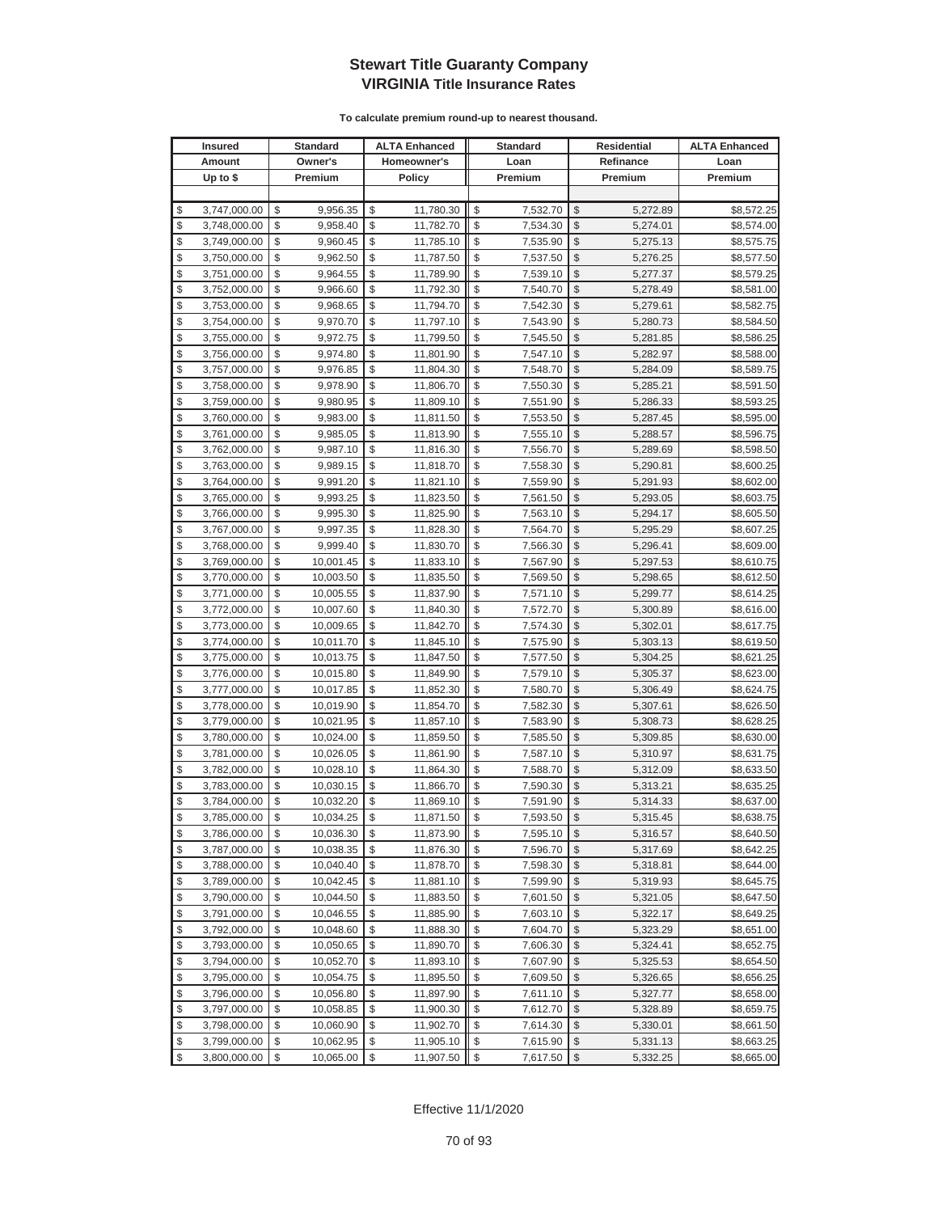|               | <b>Insured</b> | <b>Standard</b> |              | <b>ALTA Enhanced</b> | <b>Standard</b> | <b>Residential</b> |           | <b>ALTA Enhanced</b> |
|---------------|----------------|-----------------|--------------|----------------------|-----------------|--------------------|-----------|----------------------|
|               | Amount         | Owner's         |              | Homeowner's          | Loan            |                    | Refinance | Loan                 |
|               | Up to $$$      | Premium         |              | Policy               | Premium         |                    | Premium   | Premium              |
|               |                |                 |              |                      |                 |                    |           |                      |
| \$            | 3,747,000.00   | \$<br>9,956.35  | \$           | 11,780.30            | \$<br>7,532.70  | \$                 | 5,272.89  | \$8,572.25           |
| \$            | 3,748,000.00   | \$<br>9,958.40  | \$           | 11,782.70            | \$<br>7,534.30  | $\mathcal{S}$      | 5,274.01  | \$8,574.00           |
| \$            | 3,749,000.00   | \$<br>9,960.45  | \$           | 11,785.10            | \$<br>7,535.90  | \$                 | 5,275.13  | \$8,575.75           |
| \$            | 3,750,000.00   | \$<br>9,962.50  | \$           | 11,787.50            | \$<br>7,537.50  | $\mathcal{S}$      | 5,276.25  | \$8,577.50           |
| \$            | 3,751,000.00   | \$<br>9,964.55  | \$           | 11,789.90            | \$<br>7,539.10  | \$                 | 5,277.37  | \$8,579.25           |
| \$            | 3,752,000.00   | \$<br>9,966.60  | \$           | 11,792.30            | \$<br>7,540.70  | \$                 | 5,278.49  | \$8,581.00           |
| \$            | 3,753,000.00   | \$<br>9,968.65  | \$           | 11,794.70            | \$<br>7,542.30  | \$                 | 5,279.61  | \$8,582.75           |
| \$            | 3,754,000.00   | \$<br>9,970.70  | \$           | 11,797.10            | \$<br>7,543.90  | \$                 | 5,280.73  | \$8,584.50           |
| \$            | 3,755,000.00   | \$<br>9,972.75  | \$           | 11,799.50            | \$<br>7,545.50  | \$                 | 5,281.85  | \$8,586.25           |
| \$            | 3,756,000.00   | \$<br>9,974.80  | \$           | 11,801.90            | \$<br>7,547.10  | \$                 | 5,282.97  | \$8,588.00           |
| \$            | 3,757,000.00   | \$<br>9,976.85  | \$           | 11,804.30            | \$<br>7,548.70  | \$                 | 5,284.09  | \$8,589.75           |
| \$            | 3,758,000.00   | \$<br>9,978.90  | \$           | 11,806.70            | \$<br>7,550.30  | \$                 | 5,285.21  | \$8,591.50           |
| \$            | 3,759,000.00   | \$<br>9,980.95  | \$           | 11,809.10            | \$<br>7,551.90  | \$                 | 5,286.33  | \$8,593.25           |
| \$            | 3,760,000.00   | \$<br>9,983.00  | \$           | 11,811.50            | \$<br>7,553.50  | \$                 | 5,287.45  | \$8,595.00           |
| \$            | 3,761,000.00   | \$<br>9,985.05  | \$           | 11,813.90            | \$<br>7,555.10  | \$                 | 5,288.57  | \$8,596.75           |
| \$            | 3,762,000.00   | \$<br>9,987.10  | \$           | 11,816.30            | \$<br>7,556.70  | \$                 | 5,289.69  | \$8,598.50           |
| \$            | 3,763,000.00   | \$<br>9,989.15  | \$           | 11,818.70            | \$<br>7,558.30  | \$                 | 5,290.81  | \$8,600.25           |
| \$            | 3,764,000.00   | \$<br>9,991.20  | \$           | 11,821.10            | \$<br>7,559.90  | \$                 | 5,291.93  | \$8,602.00           |
| \$            | 3,765,000.00   | \$<br>9,993.25  | \$           | 11,823.50            | \$<br>7,561.50  | \$                 | 5,293.05  | \$8,603.75           |
| \$            | 3,766,000.00   | \$<br>9,995.30  | \$           | 11,825.90            | \$<br>7,563.10  | \$                 | 5,294.17  | \$8,605.50           |
| \$            | 3,767,000.00   | \$<br>9,997.35  | \$           | 11,828.30            | \$<br>7,564.70  | \$                 | 5,295.29  | \$8,607.25           |
| \$            | 3,768,000.00   | \$<br>9,999.40  | \$           | 11,830.70            | \$<br>7,566.30  | \$                 | 5,296.41  | \$8,609.00           |
| \$            | 3,769,000.00   | \$<br>10,001.45 | \$           | 11,833.10            | \$<br>7,567.90  | \$                 | 5,297.53  | \$8,610.75           |
| \$            | 3,770,000.00   | \$<br>10,003.50 | \$           | 11,835.50            | \$<br>7,569.50  | \$                 | 5,298.65  | \$8,612.50           |
| \$            | 3,771,000.00   | \$<br>10,005.55 | \$           | 11,837.90            | \$<br>7,571.10  | \$                 | 5,299.77  | \$8,614.25           |
| \$            | 3,772,000.00   | \$<br>10,007.60 | \$           | 11,840.30            | \$<br>7,572.70  | \$                 | 5,300.89  | \$8,616.00           |
| \$            | 3,773,000.00   | \$<br>10,009.65 | \$           | 11,842.70            | \$<br>7,574.30  | \$                 | 5,302.01  | \$8,617.75           |
| \$            | 3,774,000.00   | \$<br>10,011.70 | \$           | 11,845.10            | \$<br>7,575.90  | \$                 | 5,303.13  | \$8,619.50           |
| \$            | 3,775,000.00   | \$<br>10,013.75 | \$           | 11,847.50            | \$<br>7,577.50  | \$                 | 5,304.25  | \$8,621.25           |
| \$            | 3,776,000.00   | \$<br>10,015.80 | \$           | 11,849.90            | \$<br>7,579.10  | \$                 | 5,305.37  | \$8,623.00           |
| \$            | 3,777,000.00   | \$<br>10,017.85 | \$           | 11,852.30            | \$<br>7,580.70  | $\mathcal{S}$      | 5,306.49  | \$8,624.75           |
| \$            | 3,778,000.00   | \$<br>10,019.90 | \$           | 11,854.70            | \$<br>7,582.30  | \$                 | 5,307.61  | \$8,626.50           |
| \$            | 3,779,000.00   | \$<br>10,021.95 | \$           | 11,857.10            | \$<br>7,583.90  | \$                 | 5,308.73  | \$8,628.25           |
| \$            | 3,780,000.00   | \$<br>10,024.00 | \$           | 11,859.50            | \$<br>7,585.50  | \$                 | 5,309.85  | \$8,630.00           |
| \$            | 3,781,000.00   | \$<br>10,026.05 | \$           | 11,861.90            | \$<br>7,587.10  | \$                 | 5,310.97  | \$8,631.75           |
| \$            | 3,782,000.00   | \$<br>10,028.10 | \$           | 11,864.30            | \$<br>7,588.70  | \$                 | 5,312.09  | \$8,633.50           |
| \$            | 3,783,000.00   | \$<br>10,030.15 | \$           | 11,866.70            | \$<br>7,590.30  | \$                 | 5,313.21  | \$8,635.25           |
| \$            | 3,784,000.00   | \$<br>10,032.20 | \$           | 11,869.10            | \$<br>7,591.90  | \$                 | 5,314.33  | \$8,637.00           |
| $\mathcal{S}$ | 3,785,000.00   | \$<br>10,034.25 | $\mathbb{S}$ | 11,871.50            | \$<br>7,593.50  | $\mathcal{S}$      | 5,315.45  | \$8.638.75           |
| \$            | 3,786,000.00   | \$<br>10,036.30 | \$           | 11,873.90            | \$<br>7,595.10  | \$                 | 5,316.57  | \$8,640.50           |
| \$            | 3,787,000.00   | \$<br>10,038.35 | \$           | 11,876.30            | \$<br>7,596.70  | \$                 | 5,317.69  | \$8,642.25           |
| \$            | 3,788,000.00   | \$<br>10,040.40 | \$           | 11,878.70            | \$<br>7,598.30  | \$                 | 5,318.81  | \$8,644.00           |
| \$            | 3,789,000.00   | \$<br>10,042.45 | \$           | 11,881.10            | \$<br>7,599.90  | \$                 | 5,319.93  | \$8,645.75           |
| \$            | 3,790,000.00   | \$<br>10,044.50 | \$           | 11,883.50            | \$<br>7,601.50  | \$                 | 5,321.05  | \$8,647.50           |
| \$            | 3,791,000.00   | \$<br>10,046.55 | \$           | 11,885.90            | \$<br>7,603.10  | \$                 | 5,322.17  | \$8,649.25           |
| \$            | 3,792,000.00   | \$<br>10,048.60 | \$           | 11,888.30            | \$<br>7,604.70  | \$                 | 5,323.29  | \$8,651.00           |
| \$            | 3,793,000.00   | \$<br>10,050.65 | \$           | 11,890.70            | \$<br>7,606.30  | \$                 | 5,324.41  | \$8,652.75           |
| \$            | 3,794,000.00   | \$<br>10,052.70 | \$           | 11,893.10            | \$<br>7,607.90  | \$                 | 5,325.53  | \$8,654.50           |
| \$            | 3,795,000.00   | \$<br>10,054.75 | \$           | 11,895.50            | \$<br>7,609.50  | \$                 | 5,326.65  | \$8,656.25           |
| \$            | 3,796,000.00   | \$<br>10,056.80 | \$           | 11,897.90            | \$<br>7,611.10  | \$                 | 5,327.77  | \$8,658.00           |
| \$            | 3,797,000.00   | \$<br>10,058.85 | \$           | 11,900.30            | \$<br>7,612.70  | \$                 | 5,328.89  | \$8,659.75           |
| \$            | 3,798,000.00   | \$<br>10,060.90 | \$           | 11,902.70            | \$<br>7,614.30  | \$                 | 5,330.01  | \$8,661.50           |
| \$            | 3,799,000.00   | \$<br>10,062.95 | \$           | 11,905.10            | \$<br>7,615.90  | \$                 | 5,331.13  | \$8,663.25           |
| \$            | 3,800,000.00   | \$<br>10,065.00 | \$           | 11,907.50            | \$<br>7,617.50  | \$                 | 5,332.25  | \$8,665.00           |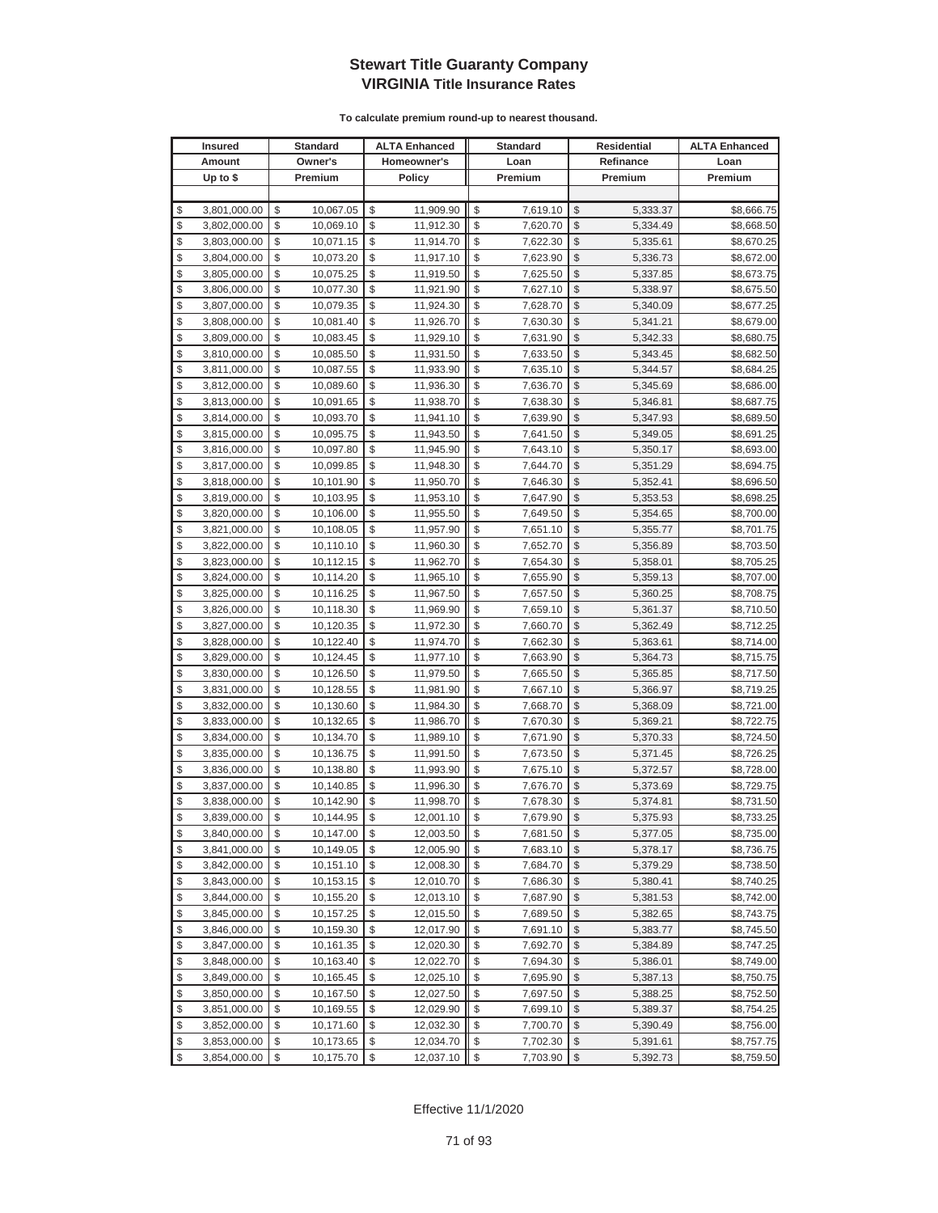|          | <b>Insured</b>               |          | <b>Standard</b>        |          | <b>ALTA Enhanced</b>   |          | <b>Standard</b>      |                         | Residential          | <b>ALTA Enhanced</b>     |
|----------|------------------------------|----------|------------------------|----------|------------------------|----------|----------------------|-------------------------|----------------------|--------------------------|
|          | Amount                       |          | Owner's                |          | Homeowner's            |          | Loan                 |                         | Refinance            | Loan                     |
|          | Up to $$$                    |          | Premium                |          | <b>Policy</b>          |          | Premium              |                         | Premium              | Premium                  |
|          |                              |          |                        |          |                        |          |                      |                         |                      |                          |
| \$       | 3,801,000.00                 | \$       | 10,067.05              | \$       | 11,909.90              | \$       | 7,619.10             | \$                      | 5,333.37             | \$8,666.75               |
| \$       | 3,802,000.00                 | \$       | 10,069.10              | \$       | 11,912.30              | \$       | 7,620.70             | \$                      | 5,334.49             | \$8,668.50               |
| \$       | 3,803,000.00                 | \$       | 10,071.15              | \$       | 11,914.70              | \$       | 7,622.30             | \$                      | 5,335.61             | \$8,670.25               |
| \$       | 3,804,000.00                 | \$       | 10,073.20              | \$       | 11,917.10              | \$       | 7,623.90             | \$                      | 5,336.73             | \$8,672.00               |
| \$       | 3,805,000.00                 | \$       | 10,075.25              | \$       | 11,919.50              | \$       | 7,625.50             | \$                      | 5,337.85             | \$8,673.75               |
| \$       | 3,806,000.00                 | \$       | 10,077.30              | \$       | 11,921.90              | \$       | 7,627.10             | \$                      | 5,338.97             | \$8,675.50               |
| \$       | 3,807,000.00                 | \$       | 10,079.35              | \$       | 11,924.30              | \$       | 7,628.70             | \$                      | 5,340.09             | \$8,677.25               |
| \$       | 3,808,000.00                 | \$       | 10,081.40              | \$       | 11,926.70              | \$       | 7,630.30             | \$                      | 5,341.21             | \$8,679.00               |
| \$       | 3,809,000.00                 | \$       | 10,083.45              | \$       | 11,929.10              | \$       | 7,631.90             | \$                      | 5,342.33             | \$8,680.75               |
| \$       | 3,810,000.00                 | \$       | 10,085.50              | \$       | 11,931.50              | \$       | 7,633.50             | \$                      | 5,343.45             | \$8,682.50               |
| \$       | 3,811,000.00                 | \$       | 10,087.55              | \$       | 11,933.90              | \$       | 7,635.10             | \$                      | 5,344.57             | \$8,684.25               |
| \$       | 3,812,000.00                 | \$       | 10,089.60              | \$       | 11,936.30              | \$       | 7,636.70             | \$                      | 5,345.69             | \$8,686.00               |
| \$       | 3,813,000.00                 | \$       | 10,091.65              | \$       | 11,938.70              | \$       | 7,638.30             | \$                      | 5,346.81             | \$8,687.75               |
| \$       | 3,814,000.00                 | \$       | 10,093.70              | \$       | 11,941.10              | \$       | 7,639.90             | \$                      | 5,347.93             | \$8,689.50               |
| \$       | 3,815,000.00                 | \$       | 10,095.75              | \$       | 11,943.50              | \$       | 7,641.50             | \$                      | 5,349.05             | \$8,691.25               |
| \$       | 3,816,000.00                 | \$       | 10,097.80              | \$       | 11,945.90              | \$       | 7,643.10             | \$                      | 5,350.17             | \$8,693.00               |
| \$       | 3,817,000.00                 | \$       | 10,099.85              | \$       | 11,948.30              | \$       | 7,644.70             | \$                      | 5,351.29             | \$8,694.75               |
| \$       | 3,818,000.00                 | \$       | 10,101.90              | \$       | 11,950.70              | \$       | 7,646.30             | \$                      | 5,352.41             | \$8,696.50               |
| \$       | 3,819,000.00                 | \$       | 10,103.95              | \$       | 11,953.10              | \$       | 7,647.90             | \$                      | 5,353.53             | \$8,698.25               |
| \$       | 3,820,000.00                 | \$       | 10,106.00              | \$       | 11,955.50              | \$       | 7,649.50             | \$                      | 5,354.65             | \$8,700.00               |
| \$       | 3,821,000.00                 | \$       | 10,108.05              | \$       | 11,957.90              | \$       | 7,651.10             | \$                      | 5,355.77             | \$8,701.75               |
| \$       | 3,822,000.00                 | \$       | 10,110.10              | \$       | 11,960.30              | \$       | 7,652.70             | \$                      | 5,356.89             | \$8,703.50               |
| \$       | 3,823,000.00                 | \$       | 10,112.15              | \$       | 11,962.70              | \$       | 7,654.30             | \$                      | 5,358.01             | \$8,705.25               |
| \$       | 3,824,000.00                 | \$       | 10,114.20              | \$       | 11,965.10              | \$       | 7,655.90             | \$                      | 5,359.13             | \$8,707.00               |
| \$       | 3,825,000.00                 | \$       | 10,116.25              | \$       | 11,967.50              | \$       | 7,657.50             | \$                      | 5,360.25             | \$8,708.75               |
| \$       | 3,826,000.00                 | \$       | 10,118.30              | \$       | 11,969.90              | \$       | 7,659.10             | \$                      | 5,361.37             | \$8,710.50               |
| \$       | 3,827,000.00                 | \$       | 10,120.35              | \$       | 11,972.30              | \$       | 7,660.70             | \$                      | 5,362.49             | \$8,712.25               |
| \$       | 3,828,000.00                 | \$       | 10,122.40              | \$       | 11,974.70              | \$       | 7,662.30             | \$                      | 5,363.61             | \$8,714.00               |
| \$       | 3,829,000.00                 | \$       | 10,124.45              | \$       | 11,977.10              | \$       | 7,663.90             | \$                      | 5,364.73             | \$8,715.75               |
| \$       | 3,830,000.00                 | \$       | 10,126.50              | \$       | 11,979.50              | \$       | 7,665.50             | \$                      | 5,365.85             | \$8,717.50               |
| \$       | 3,831,000.00                 | \$       | 10,128.55              | \$       | 11,981.90              | \$       | 7,667.10             | \$                      | 5,366.97             | \$8,719.25               |
| \$       | 3,832,000.00                 | \$       | 10,130.60              | \$       | 11,984.30              | \$       | 7,668.70             | \$                      | 5,368.09             | \$8,721.00               |
| \$       | 3,833,000.00                 | \$       | 10,132.65              | \$       | 11,986.70              | \$       | 7,670.30             | \$                      | 5,369.21             | \$8,722.75               |
| \$       | 3,834,000.00                 | \$       | 10,134.70              | \$       | 11,989.10              | \$       | 7,671.90             | \$                      | 5,370.33             | \$8,724.50               |
| \$       | 3,835,000.00                 | \$       | 10,136.75              | \$       | 11,991.50              | \$       | 7,673.50             | \$                      | 5,371.45             | \$8,726.25               |
| \$<br>\$ | 3,836,000.00                 | \$<br>\$ | 10,138.80              | \$<br>\$ | 11,993.90<br>11,996.30 | \$<br>\$ | 7,675.10             | \$<br>\$                | 5,372.57             | \$8,728.00               |
| \$       | 3,837,000.00<br>3,838,000.00 | \$       | 10,140.85              | \$       |                        | \$       | 7,676.70             | \$                      | 5,373.69             | \$8,729.75<br>\$8,731.50 |
| \$       | 3,839,000.00                 | \$       | 10,142.90<br>10,144.95 | \$       | 11,998.70<br>12,001.10 | \$       | 7,678.30<br>7,679.90 | \$                      | 5,374.81<br>5,375.93 | \$8,733.25               |
| \$       | 3,840,000.00                 | \$       | 10,147.00              | \$       | 12,003.50              | \$       | 7,681.50             | \$                      | 5,377.05             | \$8,735.00               |
| \$       | 3,841,000.00                 | \$       | 10,149.05              | \$       | 12,005.90              |          | 7,683.10             | \$                      | 5,378.17             | \$8,736.75               |
| \$       | 3,842,000.00                 | \$       | 10,151.10              | \$       | 12,008.30              | \$       | 7,684.70             | \$                      | 5,379.29             | \$8,738.50               |
| \$       | 3,843,000.00                 | \$       | 10,153.15              | \$       | 12,010.70              | \$       | 7,686.30             | \$                      | 5,380.41             | \$8,740.25               |
| \$       | 3,844,000.00                 | \$       | 10,155.20              | \$       | 12,013.10              | \$       | 7,687.90             | \$                      | 5,381.53             | \$8,742.00               |
| \$       | 3,845,000.00                 | \$       | 10,157.25              | \$       | 12,015.50              | \$       | 7,689.50             | \$                      | 5,382.65             | \$8,743.75               |
| \$       | 3,846,000.00                 | \$       | 10,159.30              | \$       | 12,017.90              | \$       | 7,691.10             | \$                      | 5,383.77             | \$8,745.50               |
| \$       | 3,847,000.00                 | \$       | 10,161.35              | \$       | 12,020.30              | \$       | 7,692.70             | \$                      | 5,384.89             | \$8,747.25               |
| \$       | 3,848,000.00                 | \$       | 10,163.40              | \$       | 12,022.70              | \$       | 7,694.30             | \$                      | 5,386.01             | \$8,749.00               |
| \$       | 3,849,000.00                 | \$       | 10,165.45              | \$       | 12,025.10              | \$       | 7,695.90             | \$                      | 5,387.13             | \$8,750.75               |
| \$       | 3,850,000.00                 | \$       | 10,167.50              | \$       | 12,027.50              | \$       | 7,697.50             | \$                      | 5,388.25             | \$8,752.50               |
| \$       | 3,851,000.00                 | \$       | 10,169.55              | \$       | 12,029.90              | \$       | 7,699.10             | \$                      | 5,389.37             | \$8,754.25               |
| \$       | 3,852,000.00                 | \$       | 10,171.60              | \$       | 12,032.30              | \$       | 7,700.70             | \$                      | 5,390.49             | \$8,756.00               |
| \$       | 3,853,000.00                 | \$       | 10,173.65              | \$       | 12,034.70              | \$       | 7,702.30             | \$                      | 5,391.61             | \$8,757.75               |
| \$       | 3,854,000.00                 | \$       | 10,175.70              | \$       | 12,037.10              | \$       | 7,703.90             | $\sqrt[6]{\frac{1}{2}}$ | 5,392.73             | \$8,759.50               |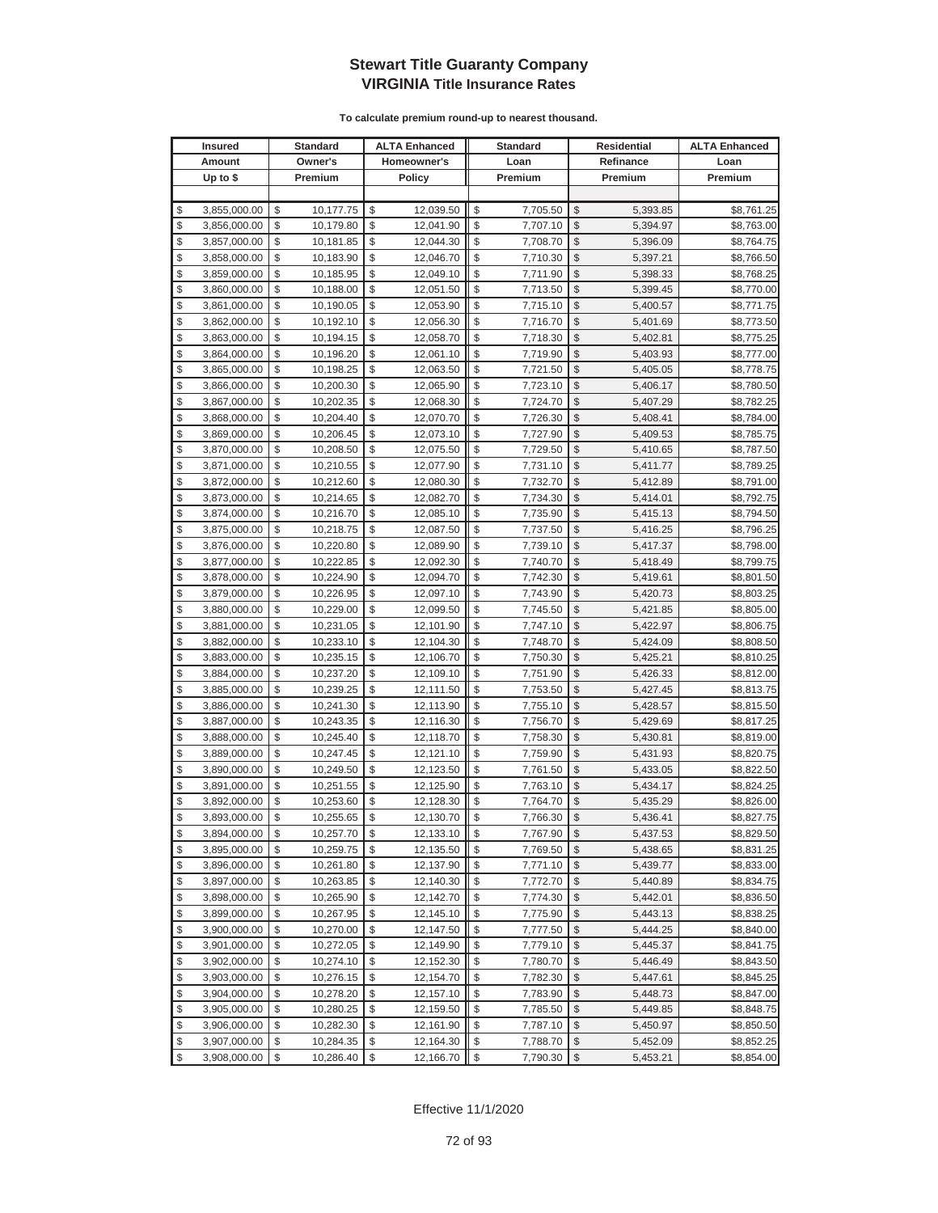|          | <b>Insured</b>               |          | <b>Standard</b>        |          | <b>ALTA Enhanced</b>   |          | <b>Standard</b>      |                         | Residential          | <b>ALTA Enhanced</b>     |
|----------|------------------------------|----------|------------------------|----------|------------------------|----------|----------------------|-------------------------|----------------------|--------------------------|
|          | Amount                       |          | Owner's                |          | Homeowner's            |          | Loan                 |                         | Refinance            | Loan                     |
|          | Up to \$                     |          | Premium                |          | <b>Policy</b>          |          | Premium              |                         | Premium              | Premium                  |
|          |                              |          |                        |          |                        |          |                      |                         |                      |                          |
| \$       | 3,855,000.00                 | \$       | 10,177.75              | \$       | 12,039.50              | \$       | 7,705.50             | \$                      | 5,393.85             | \$8,761.25               |
| \$       | 3,856,000.00                 | \$       | 10,179.80              | \$       | 12,041.90              | \$       | 7,707.10             | \$                      | 5,394.97             | \$8,763.00               |
| \$       | 3,857,000.00                 | \$       | 10,181.85              | \$       | 12,044.30              | \$       | 7,708.70             | \$                      | 5,396.09             | \$8,764.75               |
| \$       | 3,858,000.00                 | \$       | 10,183.90              | \$       | 12,046.70              | \$       | 7,710.30             | \$                      | 5,397.21             | \$8,766.50               |
| \$       | 3,859,000.00                 | \$       | 10,185.95              | \$       | 12,049.10              | \$       | 7,711.90             | \$                      | 5,398.33             | \$8,768.25               |
| \$       | 3,860,000.00                 | \$       | 10,188.00              | \$       | 12,051.50              | \$       | 7,713.50             | \$                      | 5,399.45             | \$8,770.00               |
| \$       | 3,861,000.00                 | \$       | 10,190.05              | \$       | 12,053.90              | \$       | 7,715.10             | \$                      | 5,400.57             | \$8,771.75               |
| \$       | 3,862,000.00                 | \$       | 10,192.10              | \$       | 12,056.30              | \$       | 7,716.70             | \$                      | 5,401.69             | \$8,773.50               |
| \$       | 3,863,000.00                 | \$       | 10,194.15              | \$       | 12,058.70              | \$       | 7,718.30             | \$                      | 5,402.81             | \$8,775.25               |
| \$       | 3,864,000.00                 | \$       | 10,196.20              | \$       | 12,061.10              | \$       | 7,719.90             | \$                      | 5,403.93             | \$8,777.00               |
| \$       | 3,865,000.00                 | \$       | 10,198.25              | \$       | 12,063.50              | \$       | 7,721.50             | \$                      | 5,405.05             | \$8,778.75               |
| \$       | 3,866,000.00                 | \$       | 10,200.30              | \$       | 12,065.90              | \$       | 7,723.10             | \$                      | 5,406.17             | \$8,780.50               |
| \$       | 3,867,000.00                 | \$       | 10,202.35              | \$       | 12,068.30              | \$       | 7,724.70             | \$                      | 5,407.29             | \$8,782.25               |
| \$       | 3,868,000.00                 | \$       | 10,204.40              | \$       | 12,070.70              | \$       | 7,726.30             | \$                      | 5,408.41             | \$8,784.00               |
| \$       | 3,869,000.00                 | \$       | 10,206.45              | \$       | 12,073.10              | \$       | 7,727.90             | \$                      | 5,409.53             | \$8,785.75               |
| \$       | 3,870,000.00                 | \$       | 10,208.50              | \$       | 12,075.50              | \$       | 7,729.50             | \$                      | 5,410.65             | \$8,787.50               |
| \$       | 3,871,000.00                 | \$       | 10,210.55              | \$       | 12,077.90              | \$       | 7,731.10             | \$                      | 5,411.77             | \$8,789.25               |
| \$       | 3,872,000.00                 | \$       | 10,212.60              | \$       | 12,080.30              | \$       | 7,732.70             | \$                      | 5,412.89             | \$8,791.00               |
| \$       | 3,873,000.00                 | \$       | 10,214.65              | \$       | 12,082.70              | \$       | 7,734.30             | \$                      | 5,414.01             | \$8,792.75               |
| \$       | 3,874,000.00                 | \$       | 10,216.70              | \$       | 12,085.10              | \$       | 7,735.90             | \$                      | 5,415.13             | \$8,794.50               |
| \$       | 3,875,000.00                 | \$       | 10,218.75              | \$       | 12,087.50              | \$       | 7,737.50             | \$                      | 5,416.25             | \$8,796.25               |
| \$       | 3,876,000.00                 | \$       | 10,220.80              | \$       | 12,089.90              | \$       | 7,739.10             | \$                      | 5,417.37             | \$8,798.00               |
| \$       | 3,877,000.00                 | \$       | 10,222.85              | \$       | 12,092.30              | \$       | 7,740.70             | \$                      | 5,418.49             | \$8,799.75               |
| \$       | 3,878,000.00                 | \$       | 10,224.90              | \$       | 12,094.70              | \$       | 7,742.30             | \$                      | 5,419.61             | \$8,801.50               |
| \$       | 3,879,000.00                 | \$       | 10,226.95              | \$       | 12,097.10              | \$       | 7,743.90             | \$                      | 5,420.73             | \$8,803.25               |
| \$       | 3,880,000.00                 | \$       | 10,229.00              | \$       | 12,099.50              | \$       | 7,745.50             | \$                      | 5,421.85             | \$8,805.00               |
| \$       | 3,881,000.00                 | \$       | 10,231.05              | \$       | 12,101.90              | \$       | 7,747.10             | \$                      | 5,422.97             | \$8,806.75               |
| \$       | 3,882,000.00                 | \$       | 10,233.10              | \$       | 12,104.30              | \$       | 7,748.70             | \$                      | 5,424.09             | \$8,808.50               |
| \$       | 3,883,000.00                 | \$       | 10,235.15              | \$       | 12,106.70              | \$       | 7,750.30             | \$                      | 5,425.21             | \$8,810.25               |
| \$       | 3,884,000.00                 | \$       | 10,237.20              | \$       | 12,109.10              | \$       | 7,751.90             | \$                      | 5,426.33             | \$8,812.00               |
| \$       | 3,885,000.00                 | \$       | 10,239.25              | \$       | 12,111.50              | \$       | 7,753.50             | \$                      | 5,427.45             | \$8,813.75               |
| \$       | 3,886,000.00                 | \$       | 10,241.30              | \$       | 12,113.90              | \$       | 7,755.10             | \$                      | 5,428.57             | \$8,815.50               |
| \$       | 3,887,000.00                 | \$       | 10,243.35              | \$       | 12,116.30              | \$       | 7,756.70             | \$                      | 5,429.69             | \$8,817.25               |
| \$       | 3,888,000.00                 | \$       | 10,245.40              | \$       | 12,118.70              | \$       | 7,758.30             | \$                      | 5,430.81             | \$8,819.00               |
| \$       | 3,889,000.00                 | \$       | 10,247.45              | \$       | 12,121.10              | \$       | 7,759.90             | \$                      | 5,431.93             | \$8,820.75               |
| \$<br>\$ | 3,890,000.00                 | \$<br>\$ | 10,249.50              | \$<br>\$ | 12,123.50              | \$<br>\$ | 7,761.50             | \$<br>\$                | 5,433.05             | \$8,822.50               |
| \$       | 3,891,000.00                 | \$       | 10,251.55              | \$       | 12,125.90              | \$       | 7,763.10             | \$                      | 5,434.17             | \$8,824.25               |
| \$       | 3,892,000.00<br>3,893,000.00 | \$       | 10,253.60<br>10,255.65 | \$       | 12,128.30<br>12,130.70 | \$       | 7,764.70<br>7,766.30 | $\mathbb{S}$            | 5,435.29<br>5,436.41 | \$8,826.00<br>\$8,827.75 |
| \$       | 3,894,000.00                 | \$       | 10,257.70              | \$       | 12,133.10              | \$       | 7,767.90             | \$                      | 5,437.53             | \$8,829.50               |
| \$       | 3,895,000.00                 | \$       | 10,259.75              | \$       | 12,135.50              |          | 7,769.50             | \$                      | 5,438.65             | \$8,831.25               |
| \$       | 3,896,000.00                 | \$       | 10,261.80              | \$       | 12,137.90              | \$       | 7,771.10             | \$                      | 5,439.77             | \$8,833.00               |
| \$       | 3,897,000.00                 | \$       | 10,263.85              | \$       | 12,140.30              | \$       | 7,772.70             | \$                      | 5,440.89             | \$8,834.75               |
| \$       | 3,898,000.00                 | \$       | 10,265.90              | \$       | 12,142.70              | \$       | 7,774.30             | \$                      | 5,442.01             | \$8,836.50               |
| \$       | 3,899,000.00                 | \$       | 10,267.95              | \$       | 12,145.10              | \$       | 7,775.90             | \$                      | 5,443.13             | \$8,838.25               |
| \$       | 3,900,000.00                 | \$       | 10,270.00              | \$       | 12,147.50              | \$       | 7,777.50             | \$                      | 5,444.25             | \$8,840.00               |
| \$       | 3,901,000.00                 | \$       | 10,272.05              | \$       | 12,149.90              | \$       | 7,779.10             | \$                      | 5,445.37             | \$8,841.75               |
| \$       | 3,902,000.00                 | \$       | 10,274.10              | \$       | 12,152.30              | \$       | 7,780.70             | \$                      | 5,446.49             | \$8,843.50               |
| \$       | 3,903,000.00                 | \$       | 10,276.15              | \$       | 12,154.70              | \$       | 7,782.30             | \$                      | 5,447.61             | \$8,845.25               |
| \$       | 3,904,000.00                 | \$       | 10,278.20              | \$       | 12,157.10              | \$       | 7,783.90             | \$                      | 5,448.73             | \$8,847.00               |
| \$       | 3,905,000.00                 | \$       | 10,280.25              | \$       | 12,159.50              | \$       | 7,785.50             | \$                      | 5,449.85             | \$8,848.75               |
| \$       | 3,906,000.00                 | \$       | 10,282.30              | \$       | 12,161.90              | \$       | 7,787.10             | \$                      | 5,450.97             | \$8,850.50               |
| \$       | 3,907,000.00                 | \$       | 10,284.35              | \$       | 12,164.30              | \$       | 7,788.70             | \$                      | 5,452.09             | \$8,852.25               |
| \$       | 3,908,000.00                 | \$       | 10,286.40              | \$       | 12,166.70              | \$       | 7,790.30             | $\sqrt[6]{\frac{1}{2}}$ | 5,453.21             | \$8,854.00               |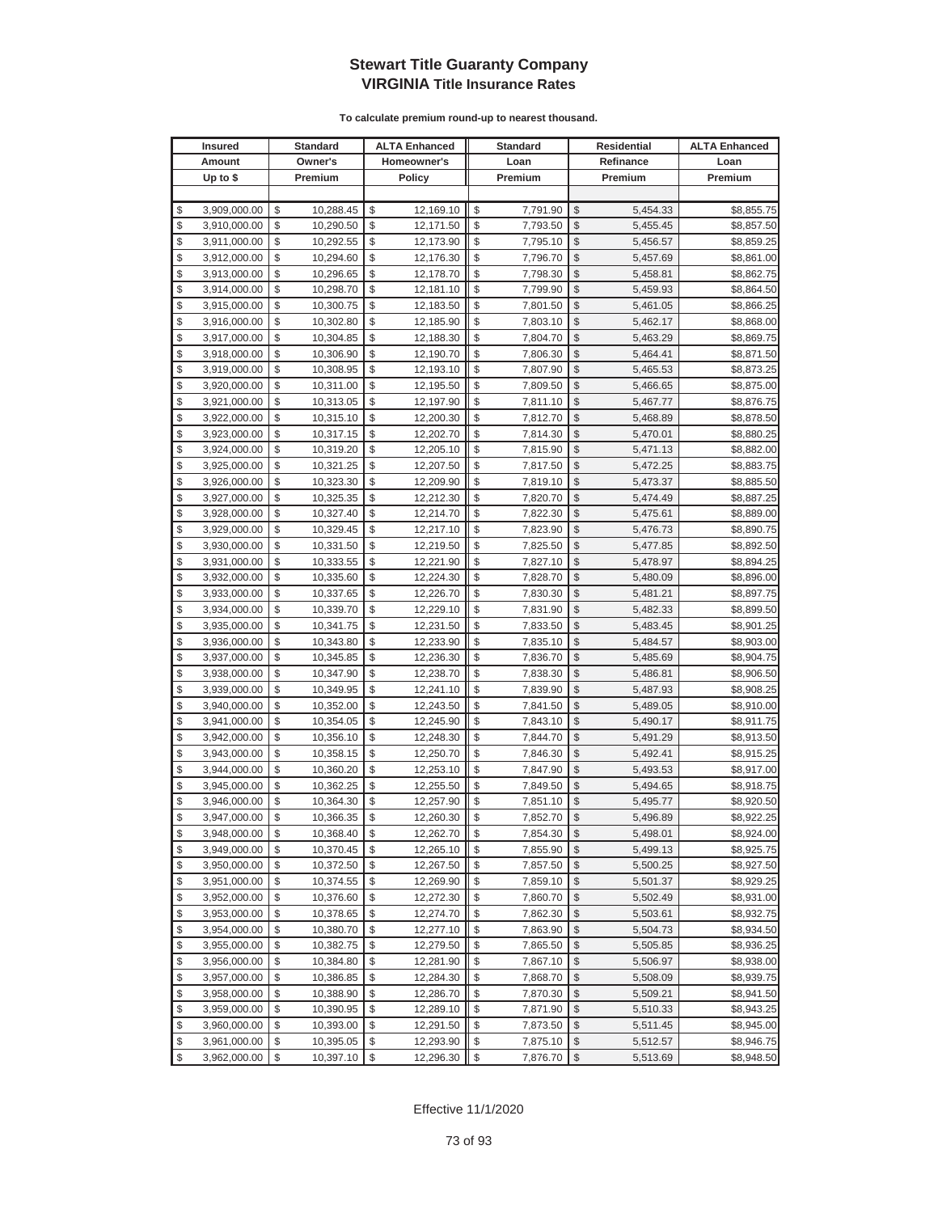| <b>Insured</b>     | Standard        | <b>ALTA Enhanced</b> | <b>Standard</b> |                         | Residential | <b>ALTA Enhanced</b> |
|--------------------|-----------------|----------------------|-----------------|-------------------------|-------------|----------------------|
| Amount             | Owner's         | Homeowner's          | Loan            |                         | Refinance   | Loan                 |
| Up to $$$          | Premium         | <b>Policy</b>        | Premium         |                         | Premium     | Premium              |
|                    |                 |                      |                 |                         |             |                      |
| \$<br>3,909,000.00 | \$<br>10,288.45 | \$<br>12,169.10      | \$<br>7,791.90  | \$                      | 5,454.33    | \$8,855.75           |
| \$<br>3,910,000.00 | \$<br>10,290.50 | \$<br>12,171.50      | \$<br>7,793.50  | \$                      | 5,455.45    | \$8,857.50           |
| \$<br>3,911,000.00 | \$<br>10,292.55 | \$<br>12,173.90      | \$<br>7,795.10  | \$                      | 5,456.57    | \$8,859.25           |
| \$<br>3,912,000.00 | \$<br>10,294.60 | \$<br>12,176.30      | \$<br>7,796.70  | \$                      | 5,457.69    | \$8,861.00           |
| \$<br>3,913,000.00 | \$<br>10,296.65 | \$<br>12,178.70      | \$<br>7,798.30  | \$                      | 5,458.81    | \$8,862.75           |
| \$<br>3,914,000.00 | \$<br>10,298.70 | \$<br>12,181.10      | \$<br>7,799.90  | \$                      | 5,459.93    | \$8,864.50           |
| \$<br>3,915,000.00 | \$<br>10,300.75 | \$<br>12,183.50      | \$<br>7,801.50  | \$                      | 5,461.05    | \$8,866.25           |
| \$<br>3,916,000.00 | \$<br>10,302.80 | \$<br>12,185.90      | \$<br>7,803.10  | \$                      | 5,462.17    | \$8,868.00           |
| \$<br>3,917,000.00 | \$<br>10,304.85 | \$<br>12,188.30      | \$<br>7,804.70  | \$                      | 5,463.29    | \$8,869.75           |
| \$<br>3,918,000.00 | \$<br>10,306.90 | \$<br>12,190.70      | \$<br>7,806.30  | \$                      | 5,464.41    | \$8,871.50           |
| \$<br>3,919,000.00 | \$<br>10,308.95 | \$<br>12,193.10      | \$<br>7,807.90  | \$                      | 5,465.53    | \$8,873.25           |
| \$<br>3,920,000.00 | \$<br>10,311.00 | \$<br>12,195.50      | \$<br>7,809.50  | \$                      | 5,466.65    | \$8,875.00           |
| \$<br>3,921,000.00 | \$<br>10,313.05 | \$<br>12,197.90      | \$<br>7,811.10  | \$                      | 5,467.77    | \$8,876.75           |
| \$<br>3,922,000.00 | \$<br>10,315.10 | \$<br>12,200.30      | \$<br>7,812.70  | \$                      | 5,468.89    | \$8,878.50           |
| \$<br>3,923,000.00 | \$<br>10,317.15 | \$<br>12,202.70      | \$<br>7,814.30  | \$                      | 5,470.01    | \$8,880.25           |
| \$<br>3,924,000.00 | \$<br>10,319.20 | \$<br>12,205.10      | \$<br>7,815.90  | \$                      | 5,471.13    | \$8,882.00           |
| \$<br>3,925,000.00 | \$<br>10,321.25 | \$<br>12,207.50      | \$<br>7,817.50  | \$                      | 5,472.25    | \$8,883.75           |
| \$<br>3,926,000.00 | \$<br>10,323.30 | \$<br>12,209.90      | \$<br>7,819.10  | \$                      | 5,473.37    | \$8,885.50           |
| \$<br>3,927,000.00 | \$<br>10,325.35 | \$<br>12,212.30      | \$<br>7,820.70  | \$                      | 5,474.49    | \$8,887.25           |
| \$<br>3,928,000.00 | \$<br>10,327.40 | \$<br>12,214.70      | \$<br>7,822.30  | \$                      | 5,475.61    | \$8,889.00           |
| \$<br>3,929,000.00 | \$<br>10,329.45 | \$<br>12,217.10      | \$<br>7,823.90  | \$                      | 5,476.73    | \$8,890.75           |
| \$<br>3,930,000.00 | \$<br>10,331.50 | \$<br>12,219.50      | \$<br>7,825.50  | \$                      | 5,477.85    | \$8,892.50           |
| \$<br>3,931,000.00 | \$<br>10,333.55 | \$<br>12,221.90      | \$<br>7,827.10  | \$                      | 5,478.97    | \$8,894.25           |
| \$<br>3,932,000.00 | \$<br>10,335.60 | \$<br>12,224.30      | \$<br>7,828.70  | \$                      | 5,480.09    | \$8,896.00           |
| \$<br>3,933,000.00 | \$<br>10,337.65 | \$<br>12,226.70      | \$<br>7,830.30  | \$                      | 5,481.21    | \$8,897.75           |
| \$<br>3,934,000.00 | \$<br>10,339.70 | \$<br>12,229.10      | \$<br>7,831.90  | \$                      | 5,482.33    | \$8,899.50           |
| \$<br>3,935,000.00 | \$<br>10,341.75 | \$<br>12,231.50      | \$<br>7,833.50  | \$                      | 5,483.45    | \$8,901.25           |
| \$<br>3,936,000.00 | \$<br>10,343.80 | \$<br>12,233.90      | \$<br>7,835.10  | \$                      | 5,484.57    | \$8,903.00           |
| \$<br>3,937,000.00 | \$<br>10,345.85 | \$<br>12,236.30      | \$<br>7,836.70  | \$                      | 5,485.69    | \$8,904.75           |
| \$<br>3,938,000.00 | \$<br>10,347.90 | \$<br>12,238.70      | \$<br>7,838.30  | \$                      | 5,486.81    | \$8,906.50           |
| \$<br>3,939,000.00 | \$<br>10,349.95 | \$<br>12,241.10      | \$<br>7,839.90  | \$                      | 5,487.93    | \$8,908.25           |
| \$<br>3,940,000.00 | \$<br>10,352.00 | \$<br>12,243.50      | \$<br>7,841.50  | \$                      | 5,489.05    | \$8,910.00           |
| \$<br>3,941,000.00 | \$<br>10,354.05 | \$<br>12,245.90      | \$<br>7,843.10  | \$                      | 5,490.17    | \$8,911.75           |
| \$<br>3,942,000.00 | \$<br>10,356.10 | \$<br>12,248.30      | \$<br>7,844.70  | \$                      | 5,491.29    | \$8,913.50           |
| \$<br>3,943,000.00 | \$<br>10,358.15 | \$<br>12,250.70      | \$<br>7,846.30  | \$                      | 5,492.41    | \$8,915.25           |
| \$<br>3,944,000.00 | \$<br>10,360.20 | \$<br>12,253.10      | \$<br>7,847.90  | \$                      | 5,493.53    | \$8,917.00           |
| \$<br>3,945,000.00 | \$<br>10,362.25 | \$<br>12,255.50      | \$<br>7,849.50  | \$                      | 5,494.65    | \$8,918.75           |
| \$<br>3,946,000.00 | \$<br>10,364.30 | \$<br>12,257.90      | \$<br>7,851.10  | \$                      | 5,495.77    | \$8,920.50           |
| \$<br>3,947,000.00 | \$<br>10,366.35 | \$<br>12,260.30      | \$<br>7,852.70  | \$                      | 5,496.89    | \$8,922.25           |
| \$<br>3,948,000.00 | \$<br>10,368.40 | \$<br>12,262.70      | \$<br>7,854.30  | $\sqrt[6]{3}$           | 5,498.01    | \$8,924.00           |
| \$<br>3,949,000.00 | \$<br>10,370.45 | \$<br>12,265.10      | \$<br>7,855.90  | \$                      | 5,499.13    | \$8,925.75           |
| \$<br>3,950,000.00 | \$<br>10,372.50 | \$<br>12,267.50      | \$<br>7,857.50  | $\frac{1}{2}$           | 5,500.25    | \$8,927.50           |
| \$<br>3,951,000.00 | \$<br>10,374.55 | \$<br>12,269.90      | \$<br>7,859.10  | \$                      | 5,501.37    | \$8,929.25           |
| \$<br>3,952,000.00 | \$<br>10,376.60 | \$<br>12,272.30      | \$<br>7,860.70  | \$                      | 5,502.49    | \$8,931.00           |
| \$<br>3,953,000.00 | \$<br>10,378.65 | \$<br>12,274.70      | \$<br>7,862.30  | \$                      | 5,503.61    | \$8,932.75           |
| \$<br>3,954,000.00 | \$<br>10,380.70 | \$<br>12,277.10      | \$<br>7,863.90  | \$                      | 5,504.73    | \$8,934.50           |
| \$<br>3,955,000.00 | \$<br>10,382.75 | \$<br>12,279.50      | \$<br>7,865.50  | \$                      | 5,505.85    | \$8,936.25           |
| \$<br>3,956,000.00 | \$<br>10,384.80 | \$<br>12,281.90      | \$<br>7,867.10  | \$                      | 5,506.97    | \$8,938.00           |
| \$<br>3,957,000.00 | \$<br>10,386.85 | \$<br>12,284.30      | \$<br>7,868.70  | \$                      | 5,508.09    | \$8,939.75           |
| \$<br>3,958,000.00 | \$<br>10,388.90 | \$<br>12,286.70      | \$<br>7,870.30  | \$                      | 5,509.21    | \$8,941.50           |
| \$<br>3,959,000.00 | \$<br>10,390.95 | \$<br>12,289.10      | \$<br>7,871.90  | \$                      | 5,510.33    | \$8,943.25           |
| \$<br>3,960,000.00 | \$<br>10,393.00 | \$<br>12,291.50      | \$<br>7,873.50  | \$                      | 5,511.45    | \$8,945.00           |
| \$<br>3,961,000.00 | \$<br>10,395.05 | \$<br>12,293.90      | \$<br>7,875.10  | \$                      | 5,512.57    | \$8,946.75           |
| \$<br>3,962,000.00 | \$<br>10,397.10 | \$<br>12,296.30      | \$<br>7,876.70  | $\sqrt[6]{\frac{1}{2}}$ | 5,513.69    | \$8,948.50           |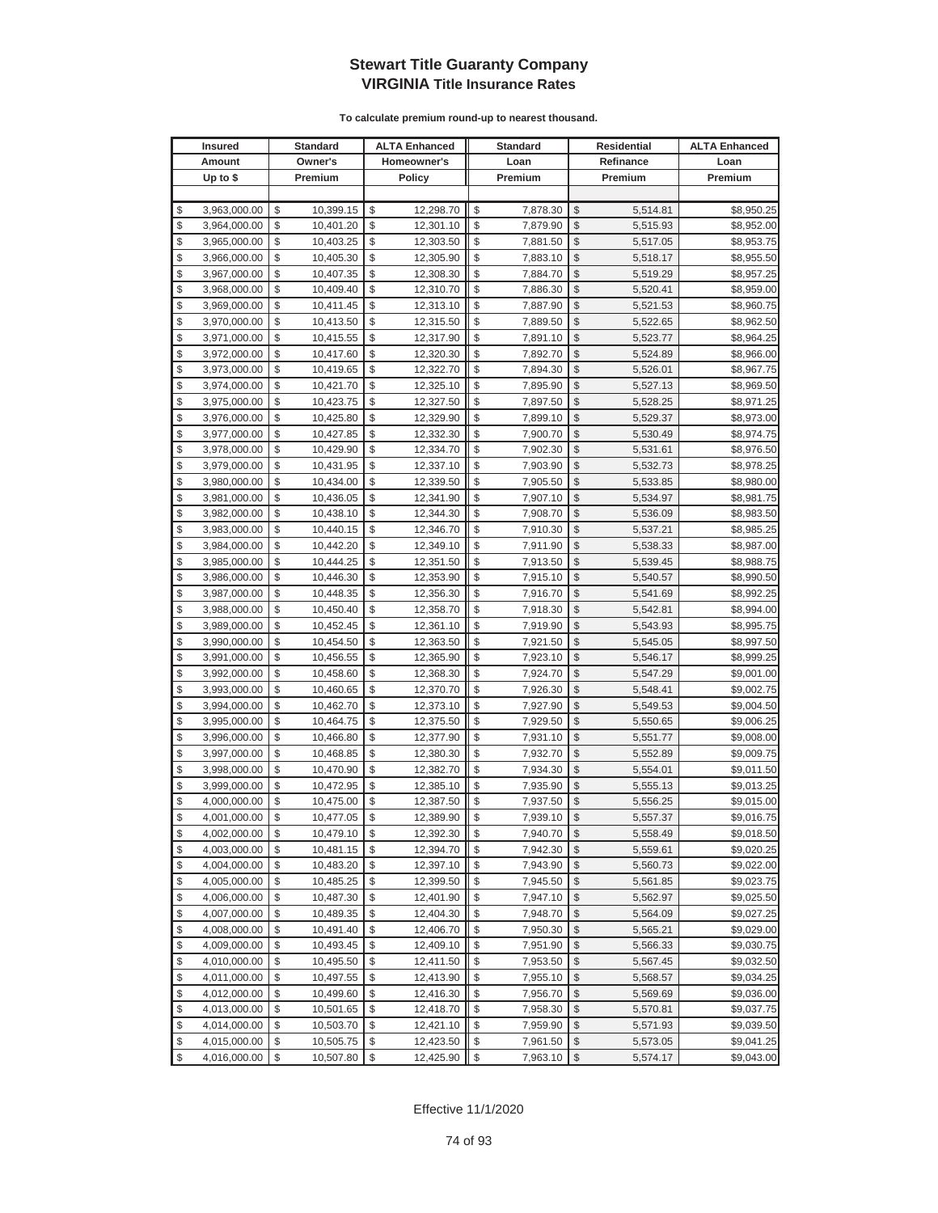| <b>Insured</b>     | Standard        |          | <b>ALTA Enhanced</b> | <b>Standard</b> |                         | Residential | <b>ALTA Enhanced</b> |
|--------------------|-----------------|----------|----------------------|-----------------|-------------------------|-------------|----------------------|
| Amount             | Owner's         |          | Homeowner's          | Loan            |                         | Refinance   | Loan                 |
| Up to $$$          | Premium         |          | <b>Policy</b>        | Premium         |                         | Premium     | Premium              |
|                    |                 |          |                      |                 |                         |             |                      |
| \$<br>3,963,000.00 | \$<br>10,399.15 | \$       | 12,298.70            | \$<br>7,878.30  | \$                      | 5,514.81    | \$8,950.25           |
| \$<br>3,964,000.00 | \$<br>10,401.20 | \$       | 12,301.10            | \$<br>7,879.90  | \$                      | 5,515.93    | \$8,952.00           |
| \$<br>3,965,000.00 | \$<br>10,403.25 | \$       | 12,303.50            | \$<br>7,881.50  | \$                      | 5,517.05    | \$8,953.75           |
| \$<br>3,966,000.00 | \$<br>10,405.30 | \$       | 12,305.90            | \$<br>7,883.10  | \$                      | 5,518.17    | \$8,955.50           |
| \$<br>3,967,000.00 | \$<br>10,407.35 | \$       | 12,308.30            | \$<br>7,884.70  | \$                      | 5,519.29    | \$8,957.25           |
| \$<br>3,968,000.00 | \$<br>10,409.40 | \$       | 12,310.70            | \$<br>7,886.30  | \$                      | 5,520.41    | \$8,959.00           |
| \$<br>3,969,000.00 | \$<br>10,411.45 | \$       | 12,313.10            | \$<br>7,887.90  | \$                      | 5,521.53    | \$8,960.75           |
| \$<br>3,970,000.00 | \$<br>10,413.50 | \$       | 12,315.50            | \$<br>7,889.50  | \$                      | 5,522.65    | \$8,962.50           |
| \$<br>3,971,000.00 | \$<br>10,415.55 | \$       | 12,317.90            | \$<br>7,891.10  | \$                      | 5,523.77    | \$8,964.25           |
| \$<br>3,972,000.00 | \$<br>10,417.60 | \$       | 12,320.30            | \$<br>7,892.70  | \$                      | 5,524.89    | \$8,966.00           |
| \$<br>3,973,000.00 | \$<br>10,419.65 | \$       | 12,322.70            | \$<br>7,894.30  | \$                      | 5,526.01    | \$8,967.75           |
| \$<br>3,974,000.00 | \$<br>10,421.70 | \$       | 12,325.10            | \$<br>7,895.90  | \$                      | 5,527.13    | \$8,969.50           |
| \$<br>3,975,000.00 | \$<br>10,423.75 | \$       | 12,327.50            | \$<br>7,897.50  | \$                      | 5,528.25    | \$8,971.25           |
| \$<br>3,976,000.00 | \$<br>10,425.80 | \$       | 12,329.90            | \$<br>7,899.10  | \$                      | 5,529.37    | \$8,973.00           |
| \$<br>3,977,000.00 | \$<br>10,427.85 | \$       | 12,332.30            | \$<br>7,900.70  | \$                      | 5,530.49    | \$8,974.75           |
| \$<br>3,978,000.00 | \$<br>10,429.90 | \$       | 12,334.70            | \$<br>7,902.30  | \$                      | 5,531.61    | \$8,976.50           |
| \$<br>3,979,000.00 | \$<br>10,431.95 | \$       | 12,337.10            | \$<br>7,903.90  | \$                      | 5,532.73    | \$8,978.25           |
| \$<br>3,980,000.00 | \$<br>10,434.00 | \$       | 12,339.50            | \$<br>7,905.50  | \$                      | 5,533.85    | \$8,980.00           |
| \$<br>3,981,000.00 | \$<br>10,436.05 | \$       | 12,341.90            | \$<br>7,907.10  | \$                      | 5,534.97    | \$8,981.75           |
| \$<br>3,982,000.00 | \$<br>10,438.10 | \$       | 12,344.30            | \$<br>7,908.70  | \$                      | 5,536.09    | \$8,983.50           |
| \$<br>3,983,000.00 | \$<br>10,440.15 | \$       | 12,346.70            | \$<br>7,910.30  | \$                      | 5,537.21    | \$8,985.25           |
| \$<br>3,984,000.00 | \$<br>10,442.20 | \$       | 12,349.10            | \$<br>7,911.90  | \$                      | 5,538.33    | \$8,987.00           |
| \$<br>3,985,000.00 | \$<br>10,444.25 | \$       | 12,351.50            | \$<br>7,913.50  | \$                      | 5,539.45    | \$8,988.75           |
| \$<br>3,986,000.00 | \$<br>10,446.30 | \$       | 12,353.90            | \$<br>7,915.10  | \$                      | 5,540.57    | \$8,990.50           |
| \$<br>3,987,000.00 | \$<br>10,448.35 | \$       | 12,356.30            | \$<br>7,916.70  | \$                      | 5,541.69    | \$8,992.25           |
| \$<br>3,988,000.00 | \$<br>10,450.40 | \$       | 12,358.70            | \$<br>7,918.30  | \$                      | 5,542.81    | \$8,994.00           |
| \$<br>3,989,000.00 | \$<br>10,452.45 | \$       | 12,361.10            | \$<br>7,919.90  | \$                      | 5,543.93    | \$8,995.75           |
| \$<br>3,990,000.00 | \$<br>10,454.50 | \$       | 12,363.50            | \$<br>7,921.50  | \$                      | 5,545.05    | \$8,997.50           |
| \$<br>3,991,000.00 | \$<br>10,456.55 | \$       | 12,365.90            | \$<br>7,923.10  | \$                      | 5,546.17    | \$8,999.25           |
| \$<br>3,992,000.00 | \$<br>10,458.60 | \$       | 12,368.30            | \$<br>7,924.70  | \$                      | 5,547.29    | \$9,001.00           |
| \$<br>3,993,000.00 | \$<br>10,460.65 | \$       | 12,370.70            | \$<br>7,926.30  | \$                      | 5,548.41    | \$9,002.75           |
| \$<br>3,994,000.00 | \$<br>10,462.70 | \$       | 12,373.10            | \$<br>7,927.90  | \$                      | 5,549.53    | \$9,004.50           |
| \$<br>3,995,000.00 | \$<br>10,464.75 | \$       | 12,375.50            | \$<br>7,929.50  | \$                      | 5,550.65    | \$9,006.25           |
| \$<br>3,996,000.00 | \$<br>10,466.80 | \$       | 12,377.90            | \$<br>7,931.10  | \$                      | 5,551.77    | \$9,008.00           |
| \$<br>3,997,000.00 | \$<br>10,468.85 | \$       | 12,380.30            | \$<br>7,932.70  | \$                      | 5,552.89    | \$9,009.75           |
| \$<br>3,998,000.00 | \$<br>10,470.90 | \$       | 12,382.70            | \$<br>7,934.30  | \$                      | 5,554.01    | \$9,011.50           |
| \$<br>3,999,000.00 | \$<br>10,472.95 | \$       | 12,385.10            | \$<br>7,935.90  | \$                      | 5,555.13    | \$9,013.25           |
| \$<br>4,000,000.00 | \$<br>10,475.00 | \$       | 12,387.50            | \$<br>7,937.50  | \$                      | 5,556.25    | \$9,015.00           |
| \$<br>4,001,000.00 | \$<br>10,477.05 | \$       | 12,389.90            | \$<br>7,939.10  | \$                      | 5,557.37    | \$9,016.75           |
| \$<br>4,002,000.00 | \$<br>10,479.10 | \$       | 12,392.30            | \$<br>7,940.70  | $\sqrt[6]{3}$           | 5,558.49    | \$9,018.50           |
| \$<br>4,003,000.00 | \$<br>10,481.15 | \$       | 12,394.70            | \$<br>7,942.30  | \$                      | 5,559.61    | \$9,020.25           |
| \$<br>4,004,000.00 | \$<br>10,483.20 | \$       | 12,397.10            | \$<br>7,943.90  | $\frac{1}{2}$           | 5,560.73    | \$9,022.00           |
| \$<br>4,005,000.00 | \$<br>10,485.25 | \$       | 12,399.50            | \$<br>7,945.50  | \$                      | 5,561.85    | \$9,023.75           |
| \$<br>4,006,000.00 | \$<br>10,487.30 | \$       | 12,401.90            | \$<br>7,947.10  | \$                      | 5,562.97    | \$9,025.50           |
| \$<br>4,007,000.00 | \$<br>10,489.35 | \$       | 12,404.30            | \$<br>7,948.70  | \$                      | 5,564.09    | \$9,027.25           |
| \$<br>4,008,000.00 | \$<br>10,491.40 | \$       | 12,406.70            | \$<br>7,950.30  | \$                      | 5,565.21    | \$9,029.00           |
| \$<br>4,009,000.00 | \$<br>10,493.45 | \$       | 12,409.10            | \$<br>7,951.90  | \$                      | 5,566.33    | \$9,030.75           |
| \$<br>4,010,000.00 | \$<br>10,495.50 | \$       | 12,411.50            | \$<br>7,953.50  | \$                      | 5,567.45    | \$9,032.50           |
| \$<br>4,011,000.00 | \$<br>10,497.55 | \$       | 12,413.90            | \$<br>7,955.10  | \$                      | 5,568.57    | \$9,034.25           |
| \$<br>4,012,000.00 | \$<br>10,499.60 | \$       | 12,416.30            | \$<br>7,956.70  | \$                      | 5,569.69    | \$9,036.00           |
| \$<br>4,013,000.00 | \$<br>10,501.65 | \$<br>\$ | 12,418.70            | \$<br>7,958.30  | \$                      | 5,570.81    | \$9,037.75           |
| \$<br>4,014,000.00 | \$<br>10,503.70 |          | 12,421.10            | \$<br>7,959.90  | \$                      | 5,571.93    | \$9,039.50           |
| \$<br>4,015,000.00 | \$<br>10,505.75 | \$       | 12,423.50            | \$<br>7,961.50  | \$                      | 5,573.05    | \$9,041.25           |
| \$<br>4,016,000.00 | \$<br>10,507.80 | \$       | 12,425.90            | \$<br>7,963.10  | $\sqrt[6]{\frac{1}{2}}$ | 5,574.17    | \$9,043.00           |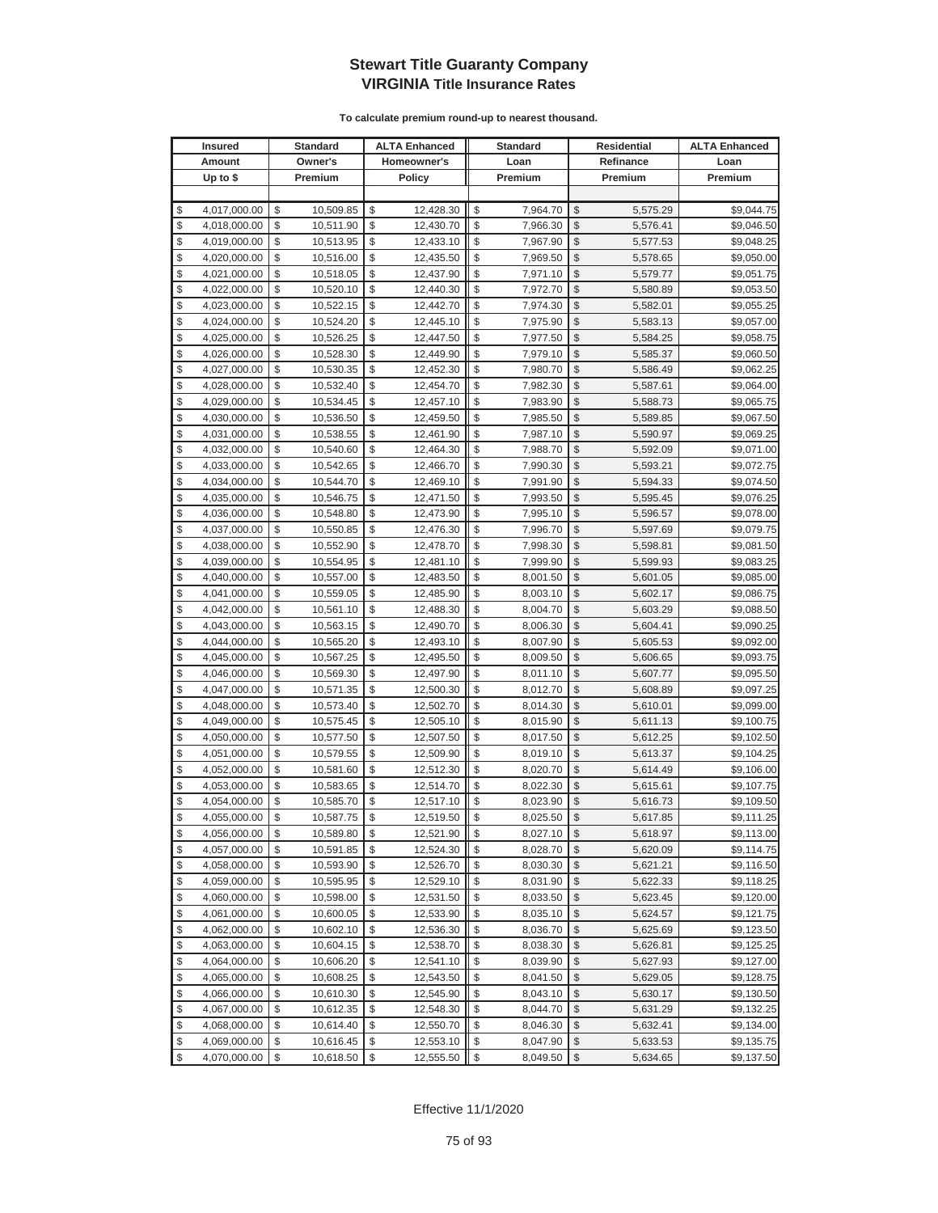|          | <b>Insured</b>               |          | <b>Standard</b>        |          | <b>ALTA Enhanced</b>   |          | <b>Standard</b>      |                         | Residential          | <b>ALTA Enhanced</b>     |
|----------|------------------------------|----------|------------------------|----------|------------------------|----------|----------------------|-------------------------|----------------------|--------------------------|
|          | Amount                       |          | Owner's                |          | Homeowner's            |          | Loan                 |                         | Refinance            | Loan                     |
|          | Up to \$                     |          | Premium                |          | Policy                 |          | Premium              |                         | Premium              | Premium                  |
|          |                              |          |                        |          |                        |          |                      |                         |                      |                          |
| \$       | 4,017,000.00                 | \$       | 10,509.85              | \$       | 12,428.30              | \$       | 7,964.70             | \$                      | 5,575.29             | \$9,044.75               |
| \$       | 4,018,000.00                 | \$       | 10,511.90              | \$       | 12,430.70              | \$       | 7,966.30             | \$                      | 5,576.41             | \$9,046.50               |
| \$       | 4,019,000.00                 | \$       | 10,513.95              | \$       | 12,433.10              | \$       | 7,967.90             | \$                      | 5,577.53             | \$9,048.25               |
| \$       | 4,020,000.00                 | \$       | 10,516.00              | \$       | 12,435.50              | \$       | 7,969.50             | \$                      | 5,578.65             | \$9,050.00               |
| \$       | 4,021,000.00                 | \$       | 10,518.05              | \$       | 12,437.90              | \$       | 7,971.10             | \$                      | 5,579.77             | \$9,051.75               |
| \$       | 4,022,000.00                 | \$       | 10,520.10              | \$       | 12,440.30              | \$       | 7,972.70             | \$                      | 5,580.89             | \$9,053.50               |
| \$       | 4,023,000.00                 | \$       | 10,522.15              | \$       | 12,442.70              | \$       | 7,974.30             | \$                      | 5,582.01             | \$9,055.25               |
| \$       | 4,024,000.00                 | \$       | 10,524.20              | \$       | 12,445.10              | \$       | 7,975.90             | \$                      | 5,583.13             | \$9,057.00               |
| \$       | 4,025,000.00                 | \$       | 10,526.25              | \$       | 12,447.50              | \$       | 7,977.50             | \$                      | 5,584.25             | \$9,058.75               |
| \$       | 4,026,000.00                 | \$       | 10,528.30              | \$       | 12,449.90              | \$       | 7,979.10             | \$                      | 5,585.37             | \$9,060.50               |
| \$       | 4,027,000.00                 | \$       | 10,530.35              | \$       | 12,452.30              | \$       | 7,980.70             | \$                      | 5,586.49             | \$9,062.25               |
| \$       | 4,028,000.00                 | \$       | 10,532.40              | \$       | 12,454.70              | \$       | 7,982.30             | \$                      | 5,587.61             | \$9,064.00               |
| \$       | 4,029,000.00                 | \$       | 10,534.45              | \$       | 12,457.10              | \$       | 7,983.90             | \$                      | 5,588.73             | \$9,065.75               |
| \$       | 4,030,000.00                 | \$       | 10,536.50              | \$       | 12,459.50              | \$       | 7,985.50             | \$                      | 5,589.85             | \$9,067.50               |
| \$       | 4,031,000.00                 | \$       | 10,538.55              | \$       | 12,461.90              | \$       | 7,987.10             | \$                      | 5,590.97             | \$9,069.25               |
| \$       | 4,032,000.00                 | \$       | 10,540.60              | \$       | 12,464.30              | \$       | 7,988.70             | \$                      | 5,592.09             | \$9,071.00               |
| \$       | 4,033,000.00                 | \$       | 10,542.65              | \$       | 12,466.70              | \$       | 7,990.30             | \$                      | 5,593.21             | \$9,072.75               |
| \$       | 4,034,000.00                 | \$       | 10,544.70              | \$       | 12,469.10              | \$       | 7,991.90             | \$                      | 5,594.33             | \$9,074.50               |
| \$       | 4,035,000.00                 | \$       | 10,546.75              | \$       | 12,471.50              | \$       | 7,993.50             | \$                      | 5,595.45             | \$9,076.25               |
| \$       | 4,036,000.00                 | \$       | 10,548.80              | \$       | 12,473.90              | \$       | 7,995.10             | \$                      | 5,596.57             | \$9,078.00               |
| \$       | 4,037,000.00                 | \$       | 10,550.85              | \$       | 12,476.30              | \$       | 7,996.70             | \$                      | 5,597.69             | \$9,079.75               |
| \$       | 4,038,000.00                 | \$       | 10,552.90              | \$       | 12,478.70              | \$       | 7,998.30             | \$                      | 5,598.81             | \$9,081.50               |
| \$       | 4,039,000.00                 | \$       | 10,554.95              | \$       | 12,481.10              | \$       | 7,999.90             | \$                      | 5,599.93             | \$9,083.25               |
| \$       | 4,040,000.00                 | \$       | 10,557.00              | \$       | 12,483.50              | \$       | 8,001.50             | \$                      | 5,601.05             | \$9,085.00               |
| \$       | 4,041,000.00                 | \$       | 10,559.05              | \$       | 12,485.90              | \$       | 8,003.10             | \$                      | 5,602.17             | \$9,086.75               |
| \$       | 4,042,000.00                 | \$       | 10,561.10              | \$       | 12,488.30              | \$       | 8,004.70             | \$                      | 5,603.29             | \$9,088.50               |
| \$       | 4,043,000.00                 | \$       | 10,563.15              | \$       | 12,490.70              | \$       | 8,006.30             | \$                      | 5,604.41             | \$9,090.25               |
| \$       | 4,044,000.00                 | \$       | 10,565.20              | \$       | 12,493.10              | \$       | 8,007.90             | \$                      | 5,605.53             | \$9,092.00               |
| \$       | 4,045,000.00                 | \$       | 10,567.25              | \$       | 12,495.50              | \$       | 8,009.50             | \$                      | 5,606.65             | \$9,093.75               |
| \$       | 4,046,000.00                 | \$       | 10,569.30              | \$       | 12,497.90              | \$       | 8,011.10             | \$                      | 5,607.77             | \$9,095.50               |
| \$       | 4,047,000.00                 | \$       | 10,571.35              | \$       | 12,500.30              | \$       | 8,012.70             | \$                      | 5,608.89             | \$9,097.25               |
| \$       | 4,048,000.00                 | \$       | 10,573.40              | \$       | 12,502.70              | \$       | 8,014.30             | \$                      | 5,610.01             | \$9,099.00               |
| \$       | 4,049,000.00                 | \$       | 10,575.45              | \$       | 12,505.10              | \$       | 8,015.90             | \$                      | 5,611.13             | \$9,100.75               |
| \$       | 4,050,000.00                 | \$       | 10,577.50              | \$       | 12,507.50              | \$       | 8,017.50             | \$                      | 5,612.25             | \$9,102.50               |
| \$       | 4,051,000.00                 | \$       | 10,579.55              | \$       | 12,509.90              | \$       | 8,019.10             | \$                      | 5,613.37             | \$9,104.25               |
| \$<br>\$ | 4,052,000.00                 | \$<br>\$ | 10,581.60              | \$<br>\$ | 12,512.30              | \$<br>\$ | 8,020.70             | \$<br>\$                | 5,614.49             | \$9,106.00               |
| \$       | 4,053,000.00                 | \$       | 10,583.65              | \$       | 12,514.70              | \$       | 8,022.30             | \$                      | 5,615.61             | \$9,107.75<br>\$9,109.50 |
| \$       | 4,054,000.00<br>4,055,000.00 | \$       | 10,585.70<br>10,587.75 | \$       | 12,517.10<br>12,519.50 | \$       | 8,023.90<br>8,025.50 | \$                      | 5,616.73<br>5,617.85 | \$9,111.25               |
| \$       | 4,056,000.00                 | \$       | 10,589.80              | \$       | 12,521.90              | \$       | 8,027.10             | \$                      | 5,618.97             | \$9,113.00               |
| \$       | 4,057,000.00                 | \$       | 10,591.85              | \$       | 12,524.30              | \$       | 8,028.70             | \$                      | 5,620.09             | \$9,114.75               |
| \$       | 4,058,000.00                 | \$       | 10,593.90              | \$       | 12,526.70              | \$       | 8,030.30             | \$                      | 5,621.21             | \$9,116.50               |
| \$       | 4,059,000.00                 | \$       | 10,595.95              | \$       | 12,529.10              | \$       | 8,031.90             | \$                      | 5,622.33             | \$9,118.25               |
| \$       | 4,060,000.00                 | \$       | 10,598.00              | \$       | 12,531.50              | \$       | 8,033.50             | \$                      | 5,623.45             | \$9,120.00               |
| \$       | 4,061,000.00                 | \$       | 10,600.05              | \$       | 12,533.90              | \$       | 8,035.10             | \$                      | 5,624.57             | \$9,121.75               |
| \$       | 4,062,000.00                 | \$       | 10,602.10              | \$       | 12,536.30              | \$       | 8,036.70             | \$                      | 5,625.69             | \$9,123.50               |
| \$       | 4,063,000.00                 | \$       | 10,604.15              | \$       | 12,538.70              | \$       | 8,038.30             | \$                      | 5,626.81             | \$9,125.25               |
| \$       | 4,064,000.00                 | \$       | 10,606.20              | \$       | 12,541.10              | \$       | 8,039.90             | \$                      | 5,627.93             | \$9,127.00               |
| \$       | 4,065,000.00                 | \$       | 10,608.25              | \$       | 12,543.50              | \$       | 8,041.50             | \$                      | 5,629.05             | \$9,128.75               |
| \$       | 4,066,000.00                 | \$       | 10,610.30              | \$       | 12,545.90              | \$       | 8,043.10             | \$                      | 5,630.17             | \$9,130.50               |
| \$       | 4,067,000.00                 | \$       | 10,612.35              | \$       | 12,548.30              | \$       | 8,044.70             | \$                      | 5,631.29             | \$9,132.25               |
| \$       | 4,068,000.00                 | \$       | 10,614.40              | \$       | 12,550.70              | \$       | 8,046.30             | \$                      | 5,632.41             | \$9,134.00               |
| \$       | 4,069,000.00                 | \$       | 10,616.45              | \$       | 12,553.10              | \$       | 8,047.90             | \$                      | 5,633.53             | \$9,135.75               |
| \$       | 4,070,000.00                 | \$       | 10,618.50              | \$       | 12,555.50              | \$       | 8,049.50             | $\sqrt[6]{\frac{1}{2}}$ | 5,634.65             | \$9,137.50               |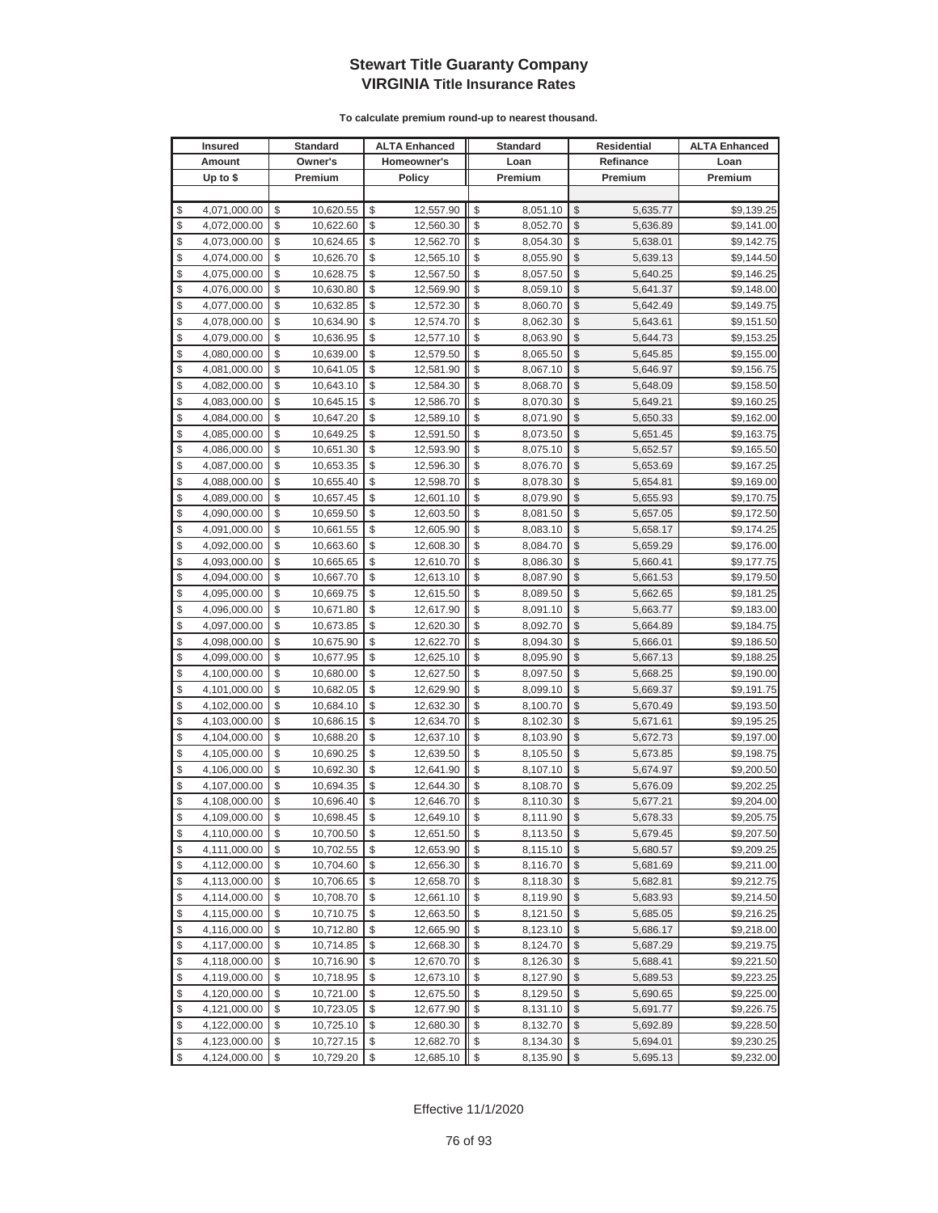|          | <b>Insured</b>               |          | <b>Standard</b>        |          | <b>ALTA Enhanced</b>   |          | <b>Standard</b>      |               | Residential          | <b>ALTA Enhanced</b>     |
|----------|------------------------------|----------|------------------------|----------|------------------------|----------|----------------------|---------------|----------------------|--------------------------|
|          | Amount                       |          | Owner's                |          | Homeowner's            |          | Loan                 |               | Refinance            | Loan                     |
|          | Up to $$$                    |          | Premium                |          | <b>Policy</b>          |          | Premium              |               | Premium              | Premium                  |
|          |                              |          |                        |          |                        |          |                      |               |                      |                          |
| \$       | 4,071,000.00                 | \$       | 10,620.55              | \$       | 12,557.90              | \$       | 8,051.10             | \$            | 5,635.77             | \$9,139.25               |
| \$       | 4,072,000.00                 | \$       | 10,622.60              | \$       | 12,560.30              | \$       | 8,052.70             | \$            | 5,636.89             | \$9,141.00               |
| \$       | 4,073,000.00                 | \$       | 10,624.65              | \$       | 12,562.70              | \$       | 8,054.30             | \$            | 5,638.01             | \$9,142.75               |
| \$       | 4,074,000.00                 | \$       | 10,626.70              | \$       | 12,565.10              | \$       | 8,055.90             | \$            | 5,639.13             | \$9,144.50               |
| \$       | 4,075,000.00                 | \$       | 10,628.75              | \$       | 12,567.50              | \$       | 8,057.50             | \$            | 5,640.25             | \$9,146.25               |
| \$       | 4,076,000.00                 | \$       | 10,630.80              | \$       | 12,569.90              | \$       | 8,059.10             | \$            | 5,641.37             | \$9,148.00               |
| \$       | 4,077,000.00                 | \$       | 10,632.85              | \$       | 12,572.30              | \$       | 8,060.70             | \$            | 5,642.49             | \$9,149.75               |
| \$       | 4,078,000.00                 | \$       | 10,634.90              | \$       | 12,574.70              | \$       | 8,062.30             | \$            | 5,643.61             | \$9,151.50               |
| \$       | 4,079,000.00                 | \$       | 10,636.95              | \$       | 12,577.10              | \$       | 8,063.90             | \$            | 5,644.73             | \$9,153.25               |
| \$       | 4,080,000.00                 | \$       | 10,639.00              | \$       | 12,579.50              | \$       | 8,065.50             | \$            | 5,645.85             | \$9,155.00               |
| \$       | 4,081,000.00                 | \$       | 10,641.05              | \$       | 12,581.90              | \$       | 8,067.10             | \$            | 5,646.97             | \$9,156.75               |
| \$       | 4,082,000.00                 | \$       | 10,643.10              | \$       | 12,584.30              | \$       | 8,068.70             | \$            | 5,648.09             | \$9,158.50               |
| \$       | 4,083,000.00                 | \$       | 10,645.15              | \$       | 12,586.70              | \$       | 8,070.30             | \$            | 5,649.21             | \$9,160.25               |
| \$       | 4,084,000.00                 | \$       | 10,647.20              | \$       | 12,589.10              | \$       | 8,071.90             | \$            | 5,650.33             | \$9,162.00               |
| \$       | 4,085,000.00                 | \$       | 10,649.25              | \$       | 12,591.50              | \$       | 8,073.50             | \$            | 5,651.45             | \$9,163.75               |
| \$       | 4,086,000.00                 | \$       | 10,651.30              | \$       | 12,593.90              | \$       | 8,075.10             | \$            | 5,652.57             | \$9,165.50               |
| \$       | 4,087,000.00                 | \$       | 10,653.35              | \$       | 12,596.30              | \$       | 8,076.70             | \$            | 5,653.69             | \$9,167.25               |
| \$       | 4,088,000.00                 | \$       | 10,655.40              | \$       | 12,598.70              | \$       | 8,078.30             | \$            | 5,654.81             | \$9,169.00               |
| \$       | 4,089,000.00                 | \$       | 10,657.45              | \$       | 12,601.10              | \$       | 8,079.90             | \$            | 5,655.93             | \$9,170.75               |
| \$       | 4,090,000.00                 | \$       | 10,659.50              | \$       | 12,603.50              | \$       | 8,081.50             | \$            | 5,657.05             | \$9,172.50               |
| \$       | 4,091,000.00                 | \$       | 10,661.55              | \$       | 12,605.90              | \$       | 8,083.10             | \$            | 5,658.17             | \$9,174.25               |
| \$       | 4,092,000.00                 | \$       | 10,663.60              | \$       | 12,608.30              | \$       | 8,084.70             | \$            | 5,659.29             | \$9,176.00               |
| \$       | 4,093,000.00                 | \$       | 10,665.65              | \$       | 12,610.70              | \$       | 8,086.30             | \$            | 5,660.41             | \$9,177.75               |
| \$       | 4,094,000.00                 | \$       | 10,667.70              | \$       | 12,613.10              | \$       | 8,087.90             | \$            | 5,661.53             | \$9,179.50               |
| \$       | 4,095,000.00                 | \$       | 10,669.75              | \$       | 12,615.50              | \$       | 8,089.50             | \$            | 5,662.65             | \$9,181.25               |
| \$       | 4,096,000.00                 | \$       | 10,671.80              | \$       | 12,617.90              | \$       | 8,091.10             | \$            | 5,663.77             | \$9,183.00               |
| \$       | 4,097,000.00                 | \$       | 10,673.85              | \$       | 12,620.30              | \$       | 8,092.70             | \$            | 5,664.89             | \$9,184.75               |
| \$       | 4,098,000.00                 | \$       | 10,675.90              | \$       | 12,622.70              | \$       | 8,094.30             | \$            | 5,666.01             | \$9,186.50               |
| \$       | 4,099,000.00                 | \$       | 10,677.95              | \$       | 12,625.10              | \$       | 8,095.90             | \$            | 5,667.13             | \$9,188.25               |
| \$       | 4,100,000.00                 | \$       | 10,680.00              | \$       | 12,627.50              | \$       | 8,097.50             | \$            | 5,668.25             | \$9,190.00               |
| \$       | 4,101,000.00                 | \$       | 10,682.05              | \$       | 12,629.90              | \$       | 8,099.10             | \$            | 5,669.37             | \$9,191.75               |
| \$       | 4,102,000.00                 | \$       | 10,684.10              | \$       | 12,632.30              | \$       | 8,100.70             | \$            | 5,670.49             | \$9,193.50               |
| \$       | 4,103,000.00                 | \$       | 10,686.15              | \$       | 12,634.70              | \$       | 8,102.30             | \$            | 5,671.61             | \$9,195.25               |
| \$       | 4,104,000.00                 | \$       | 10,688.20              | \$       | 12,637.10              | \$       | 8,103.90             | \$            | 5,672.73             | \$9,197.00               |
| \$       | 4,105,000.00                 | \$       | 10,690.25              | \$       | 12,639.50              | \$       | 8,105.50             | \$            | 5,673.85             | \$9,198.75               |
| \$<br>\$ | 4,106,000.00                 | \$<br>\$ | 10,692.30<br>10,694.35 | \$<br>\$ | 12,641.90<br>12,644.30 | \$<br>\$ | 8,107.10<br>8,108.70 | \$<br>\$      | 5,674.97             | \$9,200.50               |
| \$       | 4,107,000.00                 | \$       |                        | \$       |                        | \$       |                      | \$            | 5,676.09             | \$9,202.25               |
| \$       | 4,108,000.00<br>4,109,000.00 | \$       | 10,696.40<br>10,698.45 | \$       | 12,646.70<br>12,649.10 | \$       | 8,110.30<br>8,111.90 | $\mathbb{S}$  | 5,677.21<br>5,678.33 | \$9,204.00<br>\$9,205.75 |
| \$       | 4,110,000.00                 | \$       | 10,700.50              | \$       | 12,651.50              | \$       | 8,113.50             | \$            | 5,679.45             | \$9,207.50               |
| \$       | 4,111,000.00                 | \$       | 10,702.55              | \$       | 12,653.90              |          | 8,115.10             | \$            | 5,680.57             | \$9,209.25               |
| \$       | 4,112,000.00                 | \$       | 10,704.60              | \$       | 12,656.30              | \$       | 8,116.70             | \$            | 5,681.69             | \$9,211.00               |
| \$       | 4,113,000.00                 | \$       | 10,706.65              | \$       | 12,658.70              | \$       | 8,118.30             | \$            | 5,682.81             | \$9,212.75               |
| \$       | 4,114,000.00                 | \$       | 10,708.70              | \$       | 12,661.10              | \$       | 8,119.90             | \$            | 5,683.93             | \$9,214.50               |
| \$       | 4,115,000.00                 | \$       | 10,710.75              | \$       | 12,663.50              | \$       | 8,121.50             | \$            | 5,685.05             | \$9,216.25               |
| \$       | 4,116,000.00                 | \$       | 10,712.80              | \$       | 12,665.90              | \$       | 8,123.10             | \$            | 5,686.17             | \$9,218.00               |
| \$       | 4,117,000.00                 | \$       | 10,714.85              | \$       | 12,668.30              | \$       | 8,124.70             | \$            | 5,687.29             | \$9,219.75               |
| \$       | 4,118,000.00                 | \$       | 10,716.90              | \$       | 12,670.70              | \$       | 8,126.30             | \$            | 5,688.41             | \$9,221.50               |
| \$       | 4,119,000.00                 | \$       | 10,718.95              | \$       | 12,673.10              | \$       | 8,127.90             | \$            | 5,689.53             | \$9,223.25               |
| \$       | 4,120,000.00                 | \$       | 10,721.00              | \$       | 12,675.50              | \$       | 8,129.50             | \$            | 5,690.65             | \$9,225.00               |
| \$       | 4,121,000.00                 | \$       | 10,723.05              | \$       | 12,677.90              | \$       | 8,131.10             | \$            | 5,691.77             | \$9,226.75               |
| \$       | 4,122,000.00                 | \$       | 10,725.10              | \$       | 12,680.30              | \$       | 8,132.70             | \$            | 5,692.89             | \$9,228.50               |
| \$       | 4,123,000.00                 | \$       | 10,727.15              | \$       | 12,682.70              | \$       | 8,134.30             | \$            | 5,694.01             | \$9,230.25               |
| \$       | 4,124,000.00                 | \$       | 10,729.20              | \$       | 12,685.10              | \$       | 8,135.90             | $\frac{1}{2}$ | 5,695.13             | \$9,232.00               |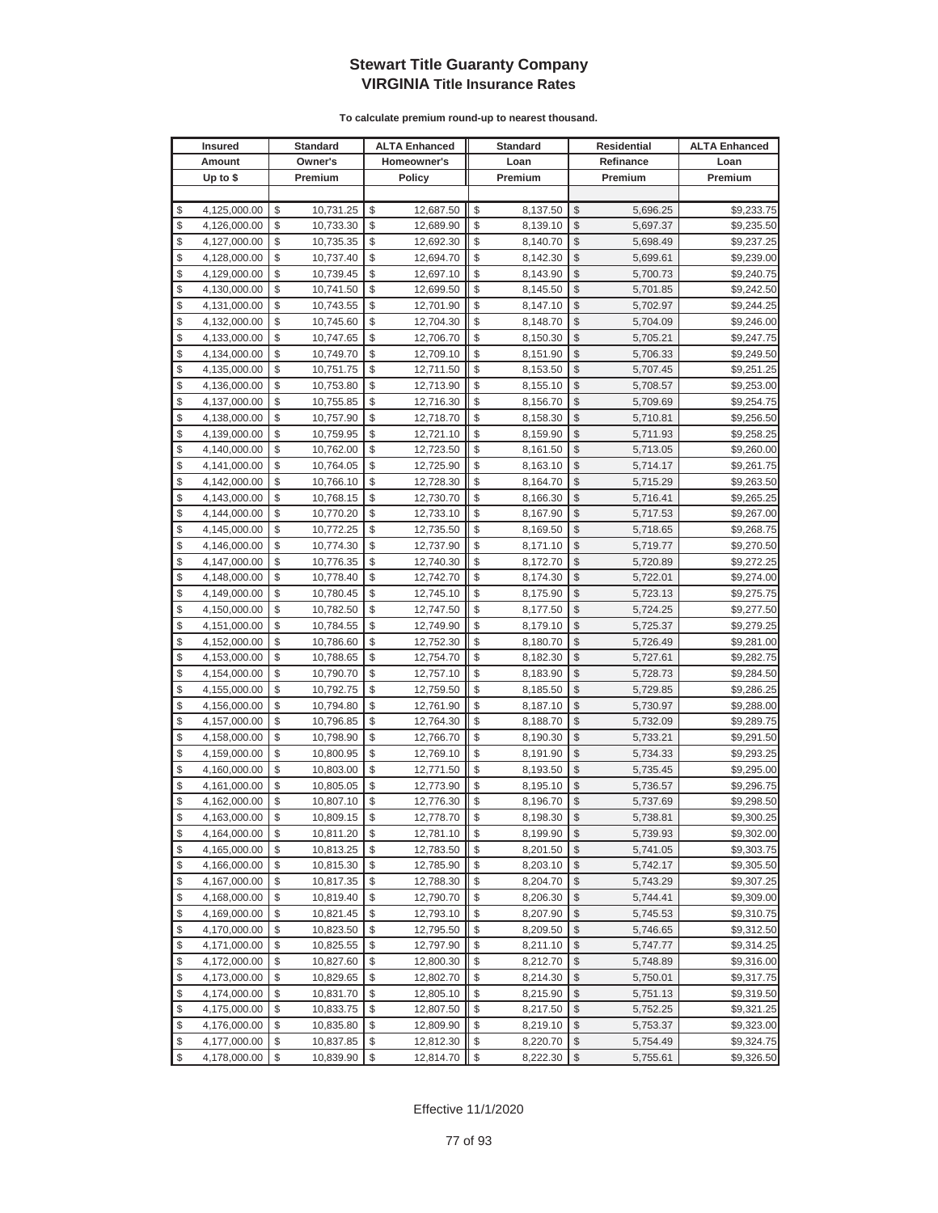| <b>Insured</b>     | Standard        | <b>ALTA Enhanced</b> | <b>Standard</b> |                         | Residential | <b>ALTA Enhanced</b> |
|--------------------|-----------------|----------------------|-----------------|-------------------------|-------------|----------------------|
| Amount             | Owner's         | Homeowner's          | Loan            |                         | Refinance   | Loan                 |
| Up to $$$          | Premium         | <b>Policy</b>        | Premium         |                         | Premium     | Premium              |
|                    |                 |                      |                 |                         |             |                      |
| \$<br>4,125,000.00 | \$<br>10,731.25 | \$<br>12,687.50      | \$<br>8,137.50  | \$                      | 5,696.25    | \$9,233.75           |
| \$<br>4,126,000.00 | \$<br>10,733.30 | \$<br>12,689.90      | \$<br>8,139.10  | \$                      | 5,697.37    | \$9,235.50           |
| \$<br>4,127,000.00 | \$<br>10,735.35 | \$<br>12,692.30      | \$<br>8,140.70  | \$                      | 5,698.49    | \$9,237.25           |
| \$<br>4,128,000.00 | \$<br>10,737.40 | \$<br>12,694.70      | \$<br>8,142.30  | \$                      | 5,699.61    | \$9,239.00           |
| \$<br>4,129,000.00 | \$<br>10,739.45 | \$<br>12,697.10      | \$<br>8,143.90  | \$                      | 5,700.73    | \$9,240.75           |
| \$<br>4,130,000.00 | \$<br>10,741.50 | \$<br>12,699.50      | \$<br>8,145.50  | \$                      | 5,701.85    | \$9,242.50           |
| \$<br>4,131,000.00 | \$<br>10,743.55 | \$<br>12,701.90      | \$<br>8,147.10  | \$                      | 5,702.97    | \$9,244.25           |
| \$<br>4,132,000.00 | \$<br>10,745.60 | \$<br>12,704.30      | \$<br>8,148.70  | \$                      | 5,704.09    | \$9,246.00           |
| \$<br>4,133,000.00 | \$<br>10,747.65 | \$<br>12,706.70      | \$<br>8,150.30  | \$                      | 5,705.21    | \$9,247.75           |
| \$<br>4,134,000.00 | \$<br>10,749.70 | \$<br>12,709.10      | \$<br>8,151.90  | \$                      | 5,706.33    | \$9,249.50           |
| \$<br>4,135,000.00 | \$<br>10,751.75 | \$<br>12,711.50      | \$<br>8,153.50  | \$                      | 5,707.45    | \$9,251.25           |
| \$<br>4,136,000.00 | \$<br>10,753.80 | \$<br>12,713.90      | \$<br>8,155.10  | \$                      | 5,708.57    | \$9,253.00           |
| \$<br>4,137,000.00 | \$<br>10,755.85 | \$<br>12,716.30      | \$<br>8,156.70  | \$                      | 5,709.69    | \$9,254.75           |
| \$<br>4,138,000.00 | \$<br>10,757.90 | \$<br>12,718.70      | \$<br>8,158.30  | \$                      | 5,710.81    | \$9,256.50           |
| \$<br>4,139,000.00 | \$<br>10,759.95 | \$<br>12,721.10      | \$<br>8,159.90  | \$                      | 5,711.93    | \$9,258.25           |
| \$<br>4,140,000.00 | \$<br>10,762.00 | \$<br>12,723.50      | \$<br>8,161.50  | \$                      | 5,713.05    | \$9,260.00           |
| \$<br>4,141,000.00 | \$<br>10,764.05 | \$<br>12,725.90      | \$<br>8,163.10  | \$                      | 5,714.17    | \$9,261.75           |
| \$<br>4,142,000.00 | \$<br>10,766.10 | \$<br>12,728.30      | \$<br>8,164.70  | \$                      | 5,715.29    | \$9,263.50           |
| \$<br>4,143,000.00 | \$<br>10,768.15 | \$<br>12,730.70      | \$<br>8,166.30  | \$                      | 5,716.41    | \$9,265.25           |
| \$<br>4,144,000.00 | \$<br>10,770.20 | \$<br>12,733.10      | \$<br>8,167.90  | \$                      | 5,717.53    | \$9,267.00           |
| \$<br>4,145,000.00 | \$<br>10,772.25 | \$<br>12,735.50      | \$<br>8,169.50  | \$                      | 5,718.65    | \$9,268.75           |
| \$<br>4,146,000.00 | \$<br>10,774.30 | \$<br>12,737.90      | \$<br>8,171.10  | \$                      | 5,719.77    | \$9,270.50           |
| \$<br>4,147,000.00 | \$<br>10,776.35 | \$<br>12,740.30      | \$<br>8,172.70  | \$                      | 5,720.89    | \$9,272.25           |
| \$<br>4,148,000.00 | \$<br>10,778.40 | \$<br>12,742.70      | \$<br>8,174.30  | \$                      | 5,722.01    | \$9,274.00           |
| \$<br>4,149,000.00 | \$<br>10,780.45 | \$<br>12,745.10      | \$<br>8,175.90  | \$                      | 5,723.13    | \$9,275.75           |
| \$<br>4,150,000.00 | \$<br>10,782.50 | \$<br>12,747.50      | \$<br>8,177.50  | \$                      | 5,724.25    | \$9,277.50           |
| \$<br>4,151,000.00 | \$<br>10,784.55 | \$<br>12,749.90      | \$<br>8,179.10  | \$                      | 5,725.37    | \$9,279.25           |
| \$<br>4,152,000.00 | \$<br>10,786.60 | \$<br>12,752.30      | \$<br>8,180.70  | \$                      | 5,726.49    | \$9,281.00           |
| \$<br>4,153,000.00 | \$<br>10,788.65 | \$<br>12,754.70      | \$<br>8,182.30  | \$                      | 5,727.61    | \$9,282.75           |
| \$<br>4,154,000.00 | \$<br>10,790.70 | \$<br>12,757.10      | \$<br>8,183.90  | \$                      | 5,728.73    | \$9,284.50           |
| \$<br>4,155,000.00 | \$<br>10,792.75 | \$<br>12,759.50      | \$<br>8,185.50  | \$                      | 5,729.85    | \$9,286.25           |
| \$<br>4,156,000.00 | \$<br>10,794.80 | \$<br>12,761.90      | \$<br>8,187.10  | \$                      | 5,730.97    | \$9,288.00           |
| \$<br>4,157,000.00 | \$<br>10,796.85 | \$<br>12,764.30      | \$<br>8,188.70  | \$                      | 5,732.09    | \$9,289.75           |
| \$<br>4,158,000.00 | \$<br>10,798.90 | \$<br>12,766.70      | \$<br>8,190.30  | \$                      | 5,733.21    | \$9,291.50           |
| \$<br>4,159,000.00 | \$<br>10,800.95 | \$<br>12,769.10      | \$<br>8,191.90  | \$                      | 5,734.33    | \$9,293.25           |
| \$<br>4,160,000.00 | \$<br>10,803.00 | \$<br>12,771.50      | \$<br>8,193.50  | \$                      | 5,735.45    | \$9,295.00           |
| \$<br>4,161,000.00 | \$<br>10,805.05 | \$<br>12,773.90      | \$<br>8,195.10  | \$                      | 5,736.57    | \$9,296.75           |
| \$<br>4,162,000.00 | \$<br>10,807.10 | \$<br>12,776.30      | \$<br>8,196.70  | \$                      | 5,737.69    | \$9,298.50           |
| \$<br>4,163,000.00 | \$<br>10,809.15 | \$<br>12,778.70      | \$<br>8,198.30  | \$                      | 5,738.81    | \$9,300.25           |
| \$<br>4,164,000.00 | \$<br>10,811.20 | \$<br>12,781.10      | \$<br>8,199.90  | $\sqrt[6]{3}$           | 5,739.93    | \$9,302.00           |
| \$<br>4,165,000.00 | \$<br>10,813.25 | \$<br>12,783.50      | \$<br>8,201.50  | $\mathcal{S}$           | 5,741.05    | \$9,303.75           |
| \$<br>4,166,000.00 | \$<br>10,815.30 | \$<br>12,785.90      | \$<br>8,203.10  | $\frac{1}{2}$           | 5,742.17    | \$9,305.50           |
| \$<br>4,167,000.00 | \$<br>10,817.35 | \$<br>12,788.30      | \$<br>8,204.70  | \$                      | 5,743.29    | \$9,307.25           |
| \$<br>4,168,000.00 | \$<br>10,819.40 | \$<br>12,790.70      | \$<br>8,206.30  | \$                      | 5,744.41    | \$9,309.00           |
| \$<br>4,169,000.00 | \$<br>10,821.45 | \$<br>12,793.10      | \$<br>8,207.90  | \$                      | 5,745.53    | \$9,310.75           |
| \$<br>4,170,000.00 | \$<br>10,823.50 | \$<br>12,795.50      | \$<br>8,209.50  | \$                      | 5,746.65    | \$9,312.50           |
| \$<br>4,171,000.00 | \$<br>10,825.55 | \$<br>12,797.90      | \$<br>8,211.10  | \$                      | 5,747.77    | \$9,314.25           |
| \$<br>4,172,000.00 | \$<br>10,827.60 | \$<br>12,800.30      | \$<br>8,212.70  | \$                      | 5,748.89    | \$9,316.00           |
| \$<br>4,173,000.00 | \$<br>10,829.65 | \$<br>12,802.70      | \$<br>8,214.30  | \$                      | 5,750.01    | \$9,317.75           |
| \$<br>4,174,000.00 | \$<br>10,831.70 | \$<br>12,805.10      | \$<br>8,215.90  | \$                      | 5,751.13    | \$9,319.50           |
| \$<br>4,175,000.00 | \$<br>10,833.75 | \$<br>12,807.50      | \$<br>8,217.50  | \$                      | 5,752.25    | \$9,321.25           |
| \$<br>4,176,000.00 | \$<br>10,835.80 | \$<br>12,809.90      | \$<br>8,219.10  | \$                      | 5,753.37    | \$9,323.00           |
| \$<br>4,177,000.00 | \$<br>10,837.85 | \$<br>12,812.30      | \$<br>8,220.70  | \$                      | 5,754.49    | \$9,324.75           |
| \$<br>4,178,000.00 | \$<br>10,839.90 | \$<br>12,814.70      | \$<br>8,222.30  | $\sqrt[6]{\frac{1}{2}}$ | 5,755.61    | \$9,326.50           |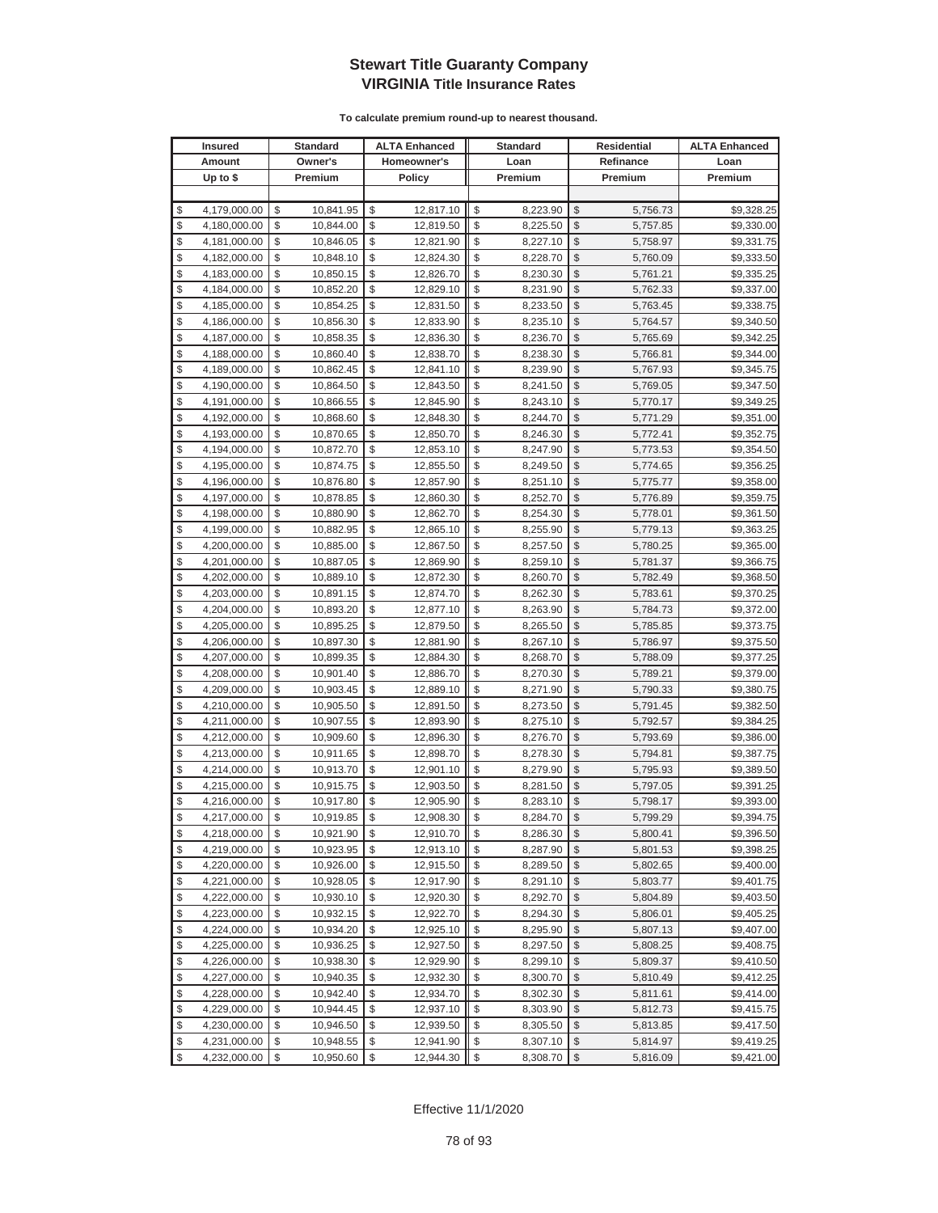|          | <b>Insured</b>               |          | <b>Standard</b>        |          | <b>ALTA Enhanced</b>   |          | <b>Standard</b>      |                         | Residential          | <b>ALTA Enhanced</b>     |
|----------|------------------------------|----------|------------------------|----------|------------------------|----------|----------------------|-------------------------|----------------------|--------------------------|
|          | Amount                       |          | Owner's                |          | Homeowner's            |          | Loan                 |                         | Refinance            | Loan                     |
|          | Up to $$$                    |          | Premium                |          | <b>Policy</b>          |          | Premium              |                         | Premium              | Premium                  |
|          |                              |          |                        |          |                        |          |                      |                         |                      |                          |
| \$       | 4,179,000.00                 | \$       | 10,841.95              | \$       | 12,817.10              | \$       | 8,223.90             | \$                      | 5,756.73             | \$9,328.25               |
| \$       | 4,180,000.00                 | \$       | 10,844.00              | \$       | 12,819.50              | \$       | 8,225.50             | \$                      | 5,757.85             | \$9,330.00               |
| \$       | 4,181,000.00                 | \$       | 10,846.05              | \$       | 12,821.90              | \$       | 8,227.10             | \$                      | 5,758.97             | \$9,331.75               |
| \$       | 4,182,000.00                 | \$       | 10,848.10              | \$       | 12,824.30              | \$       | 8,228.70             | \$                      | 5,760.09             | \$9,333.50               |
| \$       | 4,183,000.00                 | \$       | 10,850.15              | \$       | 12,826.70              | \$       | 8,230.30             | \$                      | 5,761.21             | \$9,335.25               |
| \$       | 4,184,000.00                 | \$       | 10,852.20              | \$       | 12,829.10              | \$       | 8,231.90             | \$                      | 5,762.33             | \$9,337.00               |
| \$       | 4,185,000.00                 | \$       | 10,854.25              | \$       | 12,831.50              | \$       | 8,233.50             | \$                      | 5,763.45             | \$9,338.75               |
| \$       | 4,186,000.00                 | \$       | 10,856.30              | \$       | 12,833.90              | \$       | 8,235.10             | \$                      | 5,764.57             | \$9,340.50               |
| \$       | 4,187,000.00                 | \$       | 10,858.35              | \$       | 12,836.30              | \$       | 8,236.70             | \$                      | 5,765.69             | \$9,342.25               |
| \$       | 4,188,000.00                 | \$       | 10,860.40              | \$       | 12,838.70              | \$       | 8,238.30             | \$                      | 5,766.81             | \$9,344.00               |
| \$       | 4,189,000.00                 | \$       | 10,862.45              | \$       | 12,841.10              | \$       | 8,239.90             | \$                      | 5,767.93             | \$9,345.75               |
| \$       | 4,190,000.00                 | \$       | 10,864.50              | \$       | 12,843.50              | \$       | 8,241.50             | \$                      | 5,769.05             | \$9,347.50               |
| \$       | 4,191,000.00                 | \$       | 10,866.55              | \$       | 12,845.90              | \$       | 8,243.10             | \$                      | 5,770.17             | \$9,349.25               |
| \$       | 4,192,000.00                 | \$       | 10,868.60              | \$       | 12,848.30              | \$       | 8,244.70             | \$                      | 5,771.29             | \$9,351.00               |
| \$       | 4,193,000.00                 | \$       | 10,870.65              | \$       | 12,850.70              | \$       | 8,246.30             | \$                      | 5,772.41             | \$9,352.75               |
| \$       | 4,194,000.00                 | \$       | 10,872.70              | \$       | 12,853.10              | \$       | 8,247.90             | \$                      | 5,773.53             | \$9,354.50               |
| \$       | 4,195,000.00                 | \$       | 10,874.75              | \$       | 12,855.50              | \$       | 8,249.50             | \$                      | 5,774.65             | \$9,356.25               |
| \$       | 4,196,000.00                 | \$       | 10,876.80              | \$       | 12,857.90              | \$       | 8,251.10             | \$                      | 5,775.77             | \$9,358.00               |
| \$       | 4,197,000.00                 | \$       | 10,878.85              | \$       | 12,860.30              | \$       | 8,252.70             | \$                      | 5,776.89             | \$9,359.75               |
| \$       | 4,198,000.00                 | \$       | 10,880.90              | \$       | 12,862.70              | \$       | 8,254.30             | \$                      | 5,778.01             | \$9,361.50               |
| \$       | 4,199,000.00                 | \$       | 10,882.95              | \$       | 12,865.10              | \$       | 8,255.90             | \$                      | 5,779.13             | \$9,363.25               |
| \$       | 4,200,000.00                 | \$       | 10,885.00              | \$       | 12,867.50              | \$       | 8,257.50             | \$                      | 5,780.25             | \$9,365.00               |
| \$       | 4,201,000.00                 | \$       | 10,887.05              | \$       | 12,869.90              | \$       | 8,259.10             | \$                      | 5,781.37             | \$9,366.75               |
| \$       | 4,202,000.00                 | \$       | 10,889.10              | \$       | 12,872.30              | \$       | 8,260.70             | \$                      | 5,782.49             | \$9,368.50               |
| \$       | 4,203,000.00                 | \$       | 10,891.15              | \$       | 12,874.70              | \$       | 8,262.30             | \$                      | 5,783.61             | \$9,370.25               |
| \$       | 4,204,000.00                 | \$       | 10,893.20              | \$       | 12,877.10              | \$       | 8,263.90             | \$                      | 5,784.73             | \$9,372.00               |
| \$       | 4,205,000.00                 | \$       | 10,895.25              | \$       | 12,879.50              | \$       | 8,265.50             | \$                      | 5,785.85             | \$9,373.75               |
| \$       | 4,206,000.00                 | \$       | 10,897.30              | \$       | 12,881.90              | \$       | 8,267.10             | \$                      | 5,786.97             | \$9,375.50               |
| \$       | 4,207,000.00                 | \$       | 10,899.35              | \$       | 12,884.30              | \$       | 8,268.70             | \$                      | 5,788.09             | \$9,377.25               |
| \$       | 4,208,000.00                 | \$       | 10,901.40              | \$       | 12,886.70              | \$       | 8,270.30             | \$                      | 5,789.21             | \$9,379.00               |
| \$       | 4,209,000.00                 | \$       | 10,903.45              | \$       | 12,889.10              | \$       | 8,271.90             | \$                      | 5,790.33             | \$9,380.75               |
| \$       | 4,210,000.00                 | \$       | 10,905.50              | \$       | 12,891.50              | \$       | 8,273.50             | \$                      | 5,791.45             | \$9,382.50               |
| \$       | 4,211,000.00                 | \$       | 10,907.55              | \$       | 12,893.90              | \$       | 8,275.10             | \$                      | 5,792.57             | \$9,384.25               |
| \$       | 4,212,000.00                 | \$       | 10,909.60              | \$       | 12,896.30              | \$       | 8,276.70             | \$                      | 5,793.69             | \$9,386.00               |
| \$       | 4,213,000.00                 | \$       | 10,911.65              | \$       | 12,898.70              | \$       | 8,278.30             | \$                      | 5,794.81             | \$9,387.75               |
| \$<br>\$ | 4,214,000.00                 | \$<br>\$ | 10,913.70<br>10,915.75 | \$<br>\$ | 12,901.10<br>12,903.50 | \$<br>\$ | 8,279.90             | \$<br>\$                | 5,795.93             | \$9,389.50               |
| \$       | 4,215,000.00                 | \$       |                        | \$       |                        | \$       | 8,281.50             | \$                      | 5,797.05             | \$9,391.25<br>\$9,393.00 |
| \$       | 4,216,000.00<br>4,217,000.00 | \$       | 10,917.80<br>10,919.85 | \$       | 12,905.90<br>12,908.30 | \$       | 8,283.10<br>8,284.70 | $\mathbb{S}$            | 5,798.17<br>5,799.29 | \$9,394.75               |
| \$       | 4,218,000.00                 | \$       | 10,921.90              | \$       | 12,910.70              | \$       | 8,286.30             | \$                      | 5,800.41             | \$9,396.50               |
| \$       | 4,219,000.00                 | \$       | 10,923.95              | \$       | 12,913.10              |          | 8,287.90             | \$                      | 5,801.53             | \$9,398.25               |
| \$       | 4,220,000.00                 | \$       | 10,926.00              | \$       | 12,915.50              | \$       | 8,289.50             | \$                      | 5,802.65             | \$9,400.00               |
| \$       | 4,221,000.00                 | \$       | 10,928.05              | \$       | 12,917.90              | \$       | 8,291.10             | \$                      | 5,803.77             | \$9,401.75               |
| \$       | 4,222,000.00                 | \$       | 10,930.10              | \$       | 12,920.30              | \$       | 8,292.70             | \$                      | 5,804.89             | \$9,403.50               |
| \$       | 4,223,000.00                 | \$       | 10,932.15              | \$       | 12,922.70              | \$       | 8,294.30             | \$                      | 5,806.01             | \$9,405.25               |
| \$       | 4,224,000.00                 | \$       | 10,934.20              | \$       | 12,925.10              | \$       | 8,295.90             | \$                      | 5,807.13             | \$9,407.00               |
| \$       | 4,225,000.00                 | \$       | 10,936.25              | \$       | 12,927.50              | \$       | 8,297.50             | \$                      | 5,808.25             | \$9,408.75               |
| \$       | 4,226,000.00                 | \$       | 10,938.30              | \$       | 12,929.90              | \$       | 8,299.10             | \$                      | 5,809.37             | \$9,410.50               |
| \$       | 4,227,000.00                 | \$       | 10,940.35              | \$       | 12,932.30              | \$       | 8,300.70             | \$                      | 5,810.49             | \$9,412.25               |
| \$       | 4,228,000.00                 | \$       | 10,942.40              | \$       | 12,934.70              | \$       | 8,302.30             | \$                      | 5,811.61             | \$9,414.00               |
| \$       | 4,229,000.00                 | \$       | 10,944.45              | \$       | 12,937.10              | \$       | 8,303.90             | \$                      | 5,812.73             | \$9,415.75               |
| \$       | 4,230,000.00                 | \$       | 10,946.50              | \$       | 12,939.50              | \$       | 8,305.50             | \$                      | 5,813.85             | \$9,417.50               |
| \$       | 4,231,000.00                 | \$       | 10,948.55              | \$       | 12,941.90              | \$       | 8,307.10             | \$                      | 5,814.97             | \$9,419.25               |
| \$       | 4,232,000.00                 | \$       | 10,950.60              | \$       | 12,944.30              | \$       | 8,308.70             | $\sqrt[6]{\frac{1}{2}}$ | 5,816.09             | \$9,421.00               |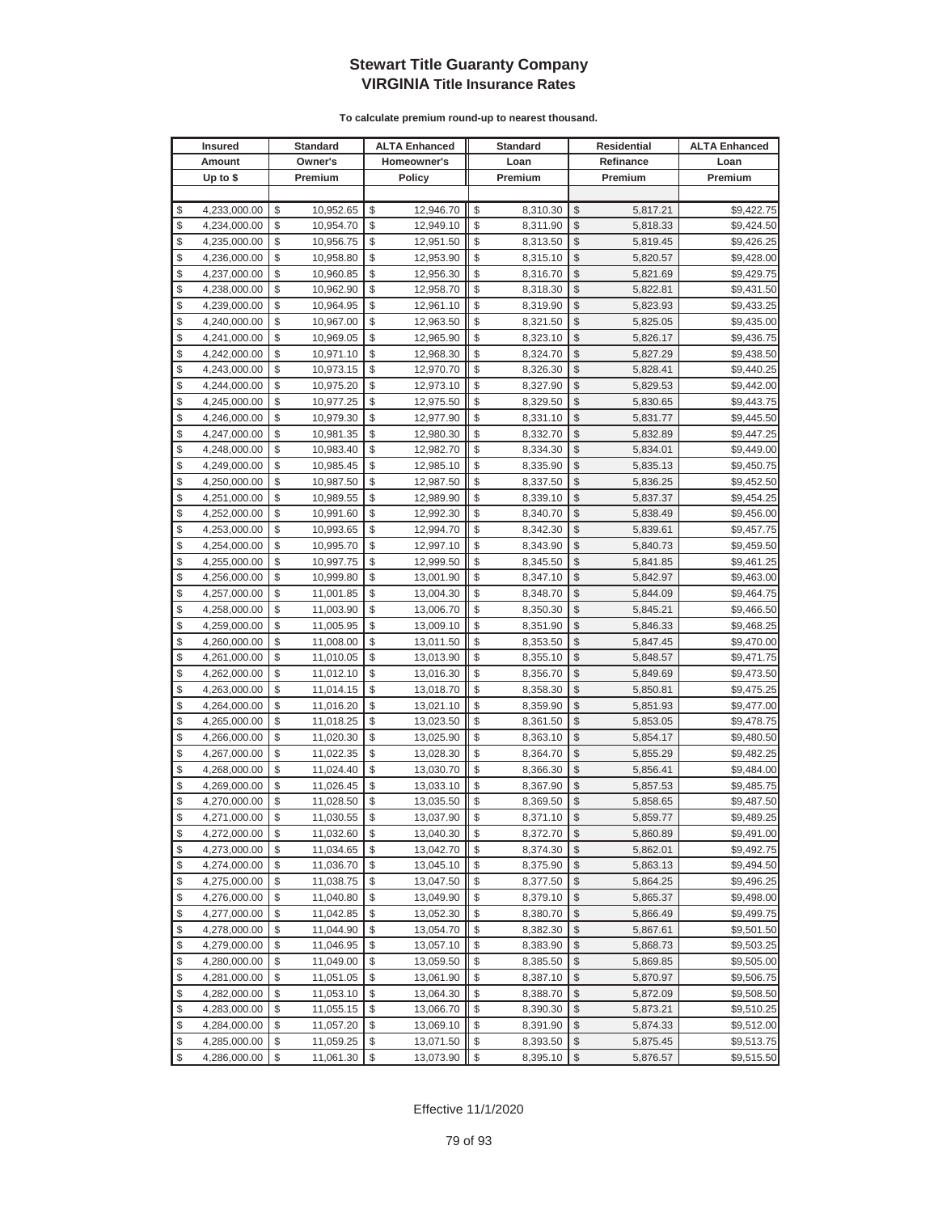|          | <b>Insured</b>               |          | Standard               |          | <b>ALTA Enhanced</b>   |          | <b>Standard</b>      |                         | Residential          | <b>ALTA Enhanced</b>     |
|----------|------------------------------|----------|------------------------|----------|------------------------|----------|----------------------|-------------------------|----------------------|--------------------------|
|          | Amount                       |          | Owner's                |          | Homeowner's            |          | Loan                 |                         | Refinance            | Loan                     |
|          | Up to $$$                    |          | Premium                |          | <b>Policy</b>          |          | Premium              |                         | Premium              | Premium                  |
|          |                              |          |                        |          |                        |          |                      |                         |                      |                          |
| \$       | 4,233,000.00                 | \$       | 10,952.65              | \$       | 12,946.70              | \$       | 8,310.30             | \$                      | 5,817.21             | \$9,422.75               |
| \$       | 4,234,000.00                 | \$       | 10,954.70              | \$       | 12,949.10              | \$       | 8,311.90             | \$                      | 5,818.33             | \$9,424.50               |
| \$       | 4,235,000.00                 | \$       | 10,956.75              | \$       | 12,951.50              | \$       | 8,313.50             | \$                      | 5,819.45             | \$9,426.25               |
| \$       | 4,236,000.00                 | \$       | 10,958.80              | \$       | 12,953.90              | \$       | 8,315.10             | \$                      | 5,820.57             | \$9,428.00               |
| \$       | 4,237,000.00                 | \$       | 10,960.85              | \$       | 12,956.30              | \$       | 8,316.70             | \$                      | 5,821.69             | \$9,429.75               |
| \$       | 4,238,000.00                 | \$       | 10,962.90              | \$       | 12,958.70              | \$       | 8,318.30             | \$                      | 5,822.81             | \$9,431.50               |
| \$       | 4,239,000.00                 | \$       | 10,964.95              | \$       | 12,961.10              | \$       | 8,319.90             | \$                      | 5,823.93             | \$9,433.25               |
| \$       | 4,240,000.00                 | \$       | 10,967.00              | \$       | 12,963.50              | \$       | 8,321.50             | \$                      | 5,825.05             | \$9,435.00               |
| \$       | 4,241,000.00                 | \$       | 10,969.05              | \$       | 12,965.90              | \$       | 8,323.10             | \$                      | 5,826.17             | \$9,436.75               |
| \$       | 4,242,000.00                 | \$       | 10,971.10              | \$       | 12,968.30              | \$       | 8,324.70             | \$                      | 5,827.29             | \$9,438.50               |
| \$       | 4,243,000.00                 | \$       | 10,973.15              | \$       | 12,970.70              | \$       | 8,326.30             | \$                      | 5,828.41             | \$9,440.25               |
| \$       | 4,244,000.00                 | \$       | 10,975.20              | \$       | 12,973.10              | \$       | 8,327.90             | \$                      | 5,829.53             | \$9,442.00               |
| \$       | 4,245,000.00                 | \$       | 10,977.25              | \$       | 12,975.50              | \$       | 8,329.50             | \$                      | 5,830.65             | \$9,443.75               |
| \$       | 4,246,000.00                 | \$       | 10,979.30              | \$       | 12,977.90              | \$       | 8,331.10             | \$                      | 5,831.77             | \$9,445.50               |
| \$       | 4,247,000.00                 | \$       | 10,981.35              | \$       | 12,980.30              | \$       | 8,332.70             | \$                      | 5,832.89             | \$9,447.25               |
| \$       | 4,248,000.00                 | \$       | 10,983.40              | \$       | 12,982.70              | \$       | 8,334.30             | \$                      | 5,834.01             | \$9,449.00               |
| \$       | 4,249,000.00                 | \$       | 10,985.45              | \$       | 12,985.10              | \$       | 8,335.90             | \$                      | 5,835.13             | \$9,450.75               |
| \$       | 4,250,000.00                 | \$       | 10,987.50              | \$       | 12,987.50              | \$       | 8,337.50             | \$                      | 5,836.25             | \$9,452.50               |
| \$       | 4,251,000.00                 | \$       | 10,989.55              | \$       | 12,989.90              | \$       | 8,339.10             | \$                      | 5,837.37             | \$9,454.25               |
| \$       | 4,252,000.00                 | \$       | 10,991.60              | \$       | 12,992.30              | \$       | 8,340.70             | \$                      | 5,838.49             | \$9,456.00               |
| \$       | 4,253,000.00                 | \$       | 10,993.65              | \$       | 12,994.70              | \$       | 8,342.30             | \$                      | 5,839.61             | \$9,457.75               |
| \$       | 4,254,000.00                 | \$       | 10,995.70              | \$       | 12,997.10              | \$       | 8,343.90             | \$                      | 5,840.73             | \$9,459.50               |
| \$       | 4,255,000.00                 | \$       | 10,997.75              | \$       | 12,999.50              | \$       | 8,345.50             | \$                      | 5,841.85             | \$9,461.25               |
| \$       | 4,256,000.00                 | \$       | 10,999.80              | \$       | 13,001.90              | \$       | 8,347.10             | \$                      | 5,842.97             | \$9,463.00               |
| \$       | 4,257,000.00                 | \$       | 11,001.85              | \$       | 13,004.30              | \$       | 8,348.70             | \$                      | 5,844.09             | \$9,464.75               |
| \$       | 4,258,000.00                 | \$       | 11,003.90              | \$       | 13,006.70              | \$       | 8,350.30             | \$                      | 5,845.21             | \$9,466.50               |
| \$       | 4,259,000.00                 | \$       | 11,005.95              | \$       | 13,009.10              | \$       | 8,351.90             | \$                      | 5,846.33             | \$9,468.25               |
| \$       | 4,260,000.00                 | \$       | 11,008.00              | \$       | 13,011.50              | \$       | 8,353.50             | \$                      | 5,847.45             | \$9,470.00               |
| \$       | 4,261,000.00                 | \$       | 11,010.05              | \$       | 13,013.90              | \$       | 8,355.10             | \$                      | 5,848.57             | \$9,471.75               |
| \$       | 4,262,000.00                 | \$       | 11,012.10              | \$       | 13,016.30              | \$       | 8,356.70             | \$                      | 5,849.69             | \$9,473.50               |
| \$       | 4,263,000.00                 | \$       | 11,014.15              | \$       | 13,018.70              | \$       | 8,358.30             | \$                      | 5,850.81             | \$9,475.25               |
| \$       | 4,264,000.00                 | \$       | 11,016.20              | \$       | 13,021.10              | \$       | 8,359.90             | \$                      | 5,851.93             | \$9,477.00               |
| \$       | 4,265,000.00                 | \$       | 11,018.25              | \$       | 13,023.50              | \$       | 8,361.50             | \$                      | 5,853.05             | \$9,478.75               |
| \$       | 4,266,000.00                 | \$       | 11,020.30              | \$<br>\$ | 13,025.90              | \$<br>\$ | 8,363.10             | \$                      | 5,854.17             | \$9,480.50               |
| \$<br>\$ | 4,267,000.00<br>4,268,000.00 | \$<br>\$ | 11,022.35<br>11,024.40 | \$       | 13,028.30<br>13,030.70 | \$       | 8,364.70<br>8,366.30 | \$<br>\$                | 5,855.29             | \$9,482.25<br>\$9,484.00 |
| \$       | 4,269,000.00                 | \$       | 11,026.45              | \$       | 13,033.10              | \$       | 8,367.90             | \$                      | 5,856.41<br>5,857.53 | \$9,485.75               |
| \$       | 4,270,000.00                 | \$       | 11,028.50              | \$       | 13,035.50              | \$       | 8,369.50             | \$                      | 5,858.65             | \$9,487.50               |
| \$       | 4,271,000.00                 | \$       | 11,030.55              | \$       | 13,037.90              | \$       | 8,371.10             | \$                      | 5,859.77             | \$9,489.25               |
| \$       | 4,272,000.00                 | \$       | 11,032.60              | \$       | 13,040.30              | \$       | 8,372.70             | $\sqrt[6]{3}$           | 5,860.89             | \$9,491.00               |
| \$       | 4,273,000.00                 | \$       | 11,034.65              | \$       | 13,042.70              | \$       | 8,374.30             | \$                      | 5,862.01             | \$9,492.75               |
| \$       | 4,274,000.00                 | \$       | 11,036.70              | \$       | 13,045.10              | \$       | 8,375.90             | $\frac{1}{2}$           | 5,863.13             | \$9,494.50               |
| \$       | 4,275,000.00                 | \$       | 11,038.75              | \$       | 13,047.50              | \$       | 8,377.50             | \$                      | 5,864.25             | \$9,496.25               |
| \$       | 4,276,000.00                 | \$       | 11,040.80              | \$       | 13,049.90              | \$       | 8,379.10             | \$                      | 5,865.37             | \$9,498.00               |
| \$       | 4,277,000.00                 | \$       | 11,042.85              | \$       | 13,052.30              | \$       | 8,380.70             | \$                      | 5,866.49             | \$9,499.75               |
| \$       | 4,278,000.00                 | \$       | 11,044.90              | \$       | 13,054.70              | \$       | 8,382.30             | \$                      | 5,867.61             | \$9,501.50               |
| \$       | 4,279,000.00                 | \$       | 11,046.95              | \$       | 13,057.10              | \$       | 8,383.90             | \$                      | 5,868.73             | \$9,503.25               |
| \$       | 4,280,000.00                 | \$       | 11,049.00              | \$       | 13,059.50              | \$       | 8,385.50             | \$                      | 5,869.85             | \$9,505.00               |
| \$       | 4,281,000.00                 | \$       | 11,051.05              | \$       | 13,061.90              | \$       | 8,387.10             | \$                      | 5,870.97             | \$9,506.75               |
| \$       | 4,282,000.00                 | \$       | 11,053.10              | \$       | 13,064.30              | \$       | 8,388.70             | \$                      | 5,872.09             | \$9,508.50               |
| \$       | 4,283,000.00                 | \$       | 11,055.15              | \$       | 13,066.70              | \$       | 8,390.30             | \$                      | 5,873.21             | \$9,510.25               |
| \$       | 4,284,000.00                 | \$       | 11,057.20              | \$       | 13,069.10              | \$       | 8,391.90             | \$                      | 5,874.33             | \$9,512.00               |
| \$       | 4,285,000.00                 | \$       | 11,059.25              | \$       | 13,071.50              | \$       | 8,393.50             | \$                      | 5,875.45             | \$9,513.75               |
| \$       | 4,286,000.00                 | \$       | 11,061.30              | \$       | 13,073.90              | \$       | 8,395.10             | $\sqrt[6]{\frac{1}{2}}$ | 5,876.57             | \$9,515.50               |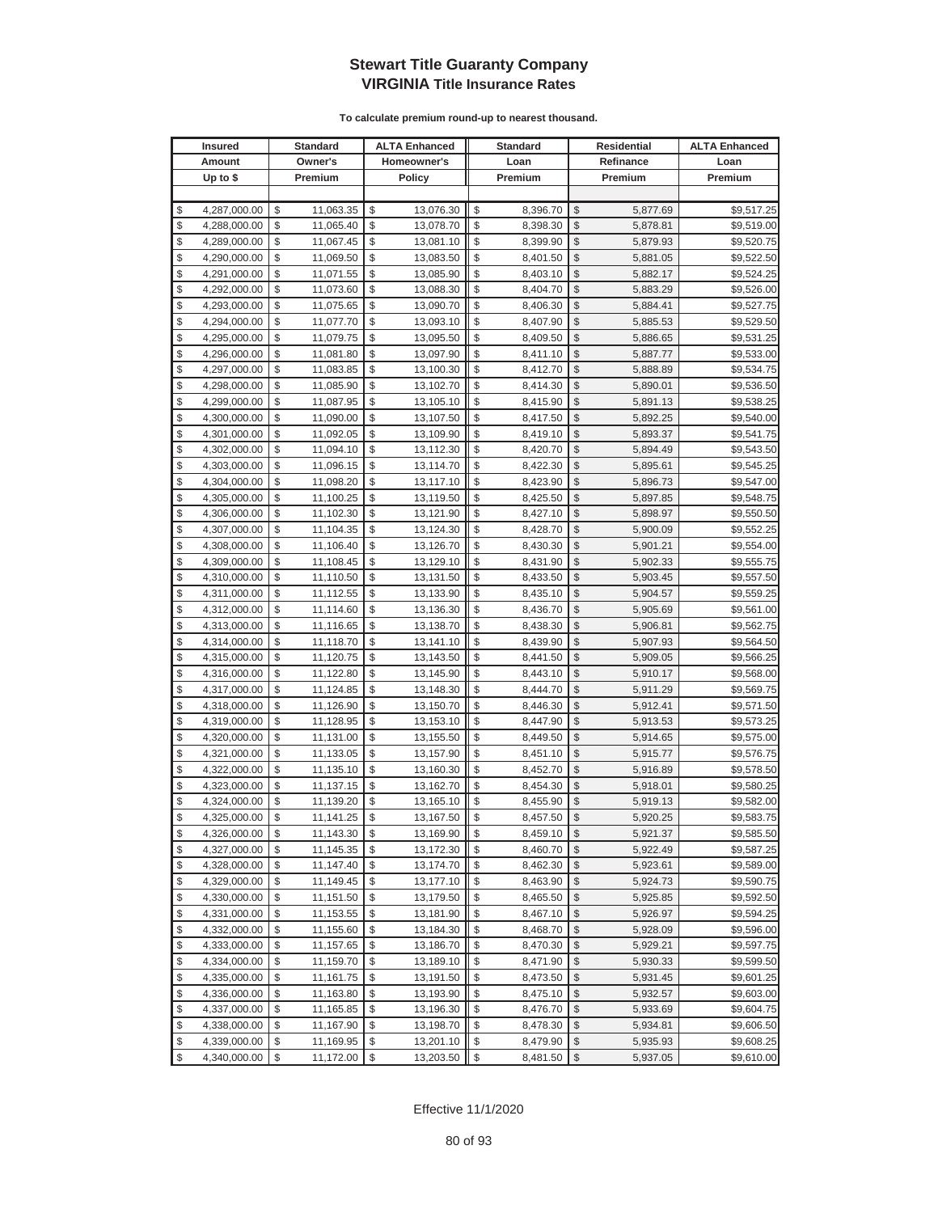|               | <b>Insured</b> | <b>Standard</b> | <b>ALTA Enhanced</b> | <b>Standard</b> | <b>Residential</b> | <b>ALTA Enhanced</b> |
|---------------|----------------|-----------------|----------------------|-----------------|--------------------|----------------------|
|               | Amount         | Owner's         | Homeowner's          | Loan            | Refinance          | Loan                 |
|               | Up to $$$      | Premium         | <b>Policy</b>        | Premium         | Premium            | Premium              |
|               |                |                 |                      |                 |                    |                      |
| \$            | 4,287,000.00   | \$<br>11,063.35 | \$<br>13,076.30      | \$<br>8,396.70  | \$<br>5,877.69     | \$9,517.25           |
| \$            | 4,288,000.00   | \$<br>11,065.40 | \$<br>13,078.70      | \$<br>8,398.30  | \$<br>5,878.81     | \$9,519.00           |
| \$            | 4,289,000.00   | \$<br>11,067.45 | \$<br>13,081.10      | \$<br>8,399.90  | \$<br>5,879.93     | \$9,520.75           |
| \$            | 4,290,000.00   | \$<br>11,069.50 | \$<br>13,083.50      | \$<br>8,401.50  | \$<br>5,881.05     | \$9,522.50           |
| \$            | 4,291,000.00   | \$<br>11,071.55 | \$<br>13,085.90      | \$<br>8,403.10  | \$<br>5,882.17     | \$9,524.25           |
| \$            | 4,292,000.00   | \$<br>11,073.60 | \$<br>13,088.30      | \$<br>8,404.70  | \$<br>5,883.29     | \$9,526.00           |
| \$            | 4,293,000.00   | \$<br>11,075.65 | \$<br>13,090.70      | \$<br>8,406.30  | \$<br>5,884.41     | \$9,527.75           |
| \$            | 4,294,000.00   | \$<br>11,077.70 | \$<br>13,093.10      | \$<br>8,407.90  | \$<br>5,885.53     | \$9,529.50           |
| \$            | 4,295,000.00   | \$<br>11,079.75 | \$<br>13,095.50      | \$<br>8,409.50  | \$<br>5,886.65     | \$9,531.25           |
| \$            | 4,296,000.00   | \$<br>11,081.80 | \$<br>13,097.90      | \$<br>8,411.10  | \$<br>5,887.77     | \$9,533.00           |
| \$            | 4,297,000.00   | \$<br>11,083.85 | \$<br>13,100.30      | \$<br>8,412.70  | \$<br>5,888.89     | \$9,534.75           |
| \$            | 4,298,000.00   | \$<br>11,085.90 | \$<br>13,102.70      | \$<br>8,414.30  | \$<br>5,890.01     | \$9,536.50           |
| \$            | 4,299,000.00   | \$<br>11,087.95 | \$<br>13,105.10      | \$<br>8,415.90  | \$<br>5,891.13     | \$9,538.25           |
| \$            | 4,300,000.00   | \$<br>11,090.00 | \$<br>13,107.50      | \$<br>8,417.50  | \$<br>5,892.25     | \$9,540.00           |
| \$            | 4,301,000.00   | \$<br>11,092.05 | \$<br>13,109.90      | \$<br>8,419.10  | \$<br>5,893.37     | \$9,541.75           |
| \$            | 4,302,000.00   | \$<br>11,094.10 | \$<br>13,112.30      | \$<br>8,420.70  | \$<br>5,894.49     | \$9,543.50           |
| \$            | 4,303,000.00   | \$<br>11,096.15 | \$<br>13,114.70      | \$<br>8,422.30  | \$<br>5,895.61     | \$9,545.25           |
| \$            | 4,304,000.00   | \$<br>11,098.20 | \$<br>13,117.10      | \$<br>8,423.90  | \$<br>5,896.73     | \$9,547.00           |
| \$            | 4,305,000.00   | \$<br>11,100.25 | \$<br>13,119.50      | \$<br>8,425.50  | \$<br>5,897.85     | \$9,548.75           |
| \$            | 4,306,000.00   | \$<br>11,102.30 | \$<br>13,121.90      | \$<br>8,427.10  | \$<br>5,898.97     | \$9,550.50           |
| \$            | 4,307,000.00   | \$<br>11,104.35 | \$<br>13,124.30      | \$<br>8,428.70  | \$<br>5,900.09     | \$9,552.25           |
| \$            | 4,308,000.00   | \$<br>11,106.40 | \$<br>13,126.70      | \$<br>8,430.30  | \$<br>5,901.21     | \$9,554.00           |
| \$            | 4,309,000.00   | \$<br>11,108.45 | \$<br>13,129.10      | \$<br>8,431.90  | \$<br>5,902.33     | \$9,555.75           |
| \$            | 4,310,000.00   | \$<br>11,110.50 | \$<br>13,131.50      | \$<br>8,433.50  | \$<br>5,903.45     | \$9,557.50           |
| \$            | 4,311,000.00   | \$<br>11,112.55 | \$<br>13,133.90      | \$<br>8,435.10  | \$<br>5,904.57     | \$9,559.25           |
| \$            | 4,312,000.00   | \$<br>11,114.60 | \$<br>13,136.30      | \$<br>8,436.70  | \$<br>5,905.69     | \$9,561.00           |
| \$            | 4,313,000.00   | \$<br>11,116.65 | \$<br>13,138.70      | \$<br>8,438.30  | \$<br>5,906.81     | \$9,562.75           |
| \$            | 4,314,000.00   | \$<br>11,118.70 | \$<br>13,141.10      | \$<br>8,439.90  | \$<br>5,907.93     | \$9,564.50           |
| \$            | 4,315,000.00   | \$<br>11,120.75 | \$<br>13,143.50      | \$<br>8,441.50  | \$<br>5,909.05     | \$9,566.25           |
| \$            | 4,316,000.00   | \$<br>11,122.80 | \$<br>13,145.90      | \$<br>8,443.10  | \$<br>5,910.17     | \$9,568.00           |
| \$            | 4,317,000.00   | \$<br>11,124.85 | \$<br>13,148.30      | \$<br>8,444.70  | \$<br>5,911.29     | \$9,569.75           |
| \$            | 4,318,000.00   | \$<br>11,126.90 | \$<br>13,150.70      | \$<br>8,446.30  | \$<br>5,912.41     | \$9,571.50           |
| \$            | 4,319,000.00   | \$<br>11,128.95 | \$<br>13,153.10      | \$<br>8,447.90  | \$<br>5,913.53     | \$9,573.25           |
| \$            | 4,320,000.00   | \$<br>11,131.00 | \$<br>13,155.50      | \$<br>8,449.50  | \$<br>5,914.65     | \$9,575.00           |
| \$            | 4,321,000.00   | \$<br>11,133.05 | \$<br>13,157.90      | \$<br>8,451.10  | \$<br>5,915.77     | \$9,576.75           |
| \$            | 4,322,000.00   | \$<br>11,135.10 | \$<br>13,160.30      | \$<br>8,452.70  | \$<br>5,916.89     | \$9,578.50           |
| \$            | 4,323,000.00   | \$<br>11,137.15 | \$<br>13,162.70      | \$<br>8,454.30  | \$<br>5,918.01     | \$9,580.25           |
| \$            | 4,324,000.00   | \$<br>11,139.20 | \$<br>13,165.10      | \$<br>8,455.90  | \$<br>5,919.13     | \$9,582.00           |
| $\mathcal{S}$ | 4.325.000.00   | \$<br>11,141.25 | \$<br>13,167.50      | \$<br>8,457.50  | \$<br>5,920.25     | \$9,583.75           |
| \$            | 4,326,000.00   | \$<br>11,143.30 | \$<br>13,169.90      | \$<br>8,459.10  | \$<br>5,921.37     | \$9,585.50           |
| \$            | 4,327,000.00   | \$<br>11,145.35 | \$<br>13,172.30      | \$<br>8,460.70  | \$<br>5,922.49     | \$9,587.25           |
| \$            | 4,328,000.00   | \$<br>11,147.40 | \$<br>13,174.70      | \$<br>8,462.30  | \$<br>5,923.61     | \$9,589.00           |
| \$            | 4,329,000.00   | \$<br>11,149.45 | \$<br>13,177.10      | \$<br>8,463.90  | \$<br>5,924.73     | \$9,590.75           |
| \$            | 4,330,000.00   | \$<br>11,151.50 | \$<br>13,179.50      | \$<br>8,465.50  | \$<br>5,925.85     | \$9,592.50           |
| \$            | 4,331,000.00   | \$<br>11,153.55 | \$<br>13,181.90      | \$<br>8,467.10  | \$<br>5,926.97     | \$9,594.25           |
| \$            | 4,332,000.00   | \$<br>11,155.60 | \$<br>13,184.30      | \$<br>8,468.70  | \$<br>5,928.09     | \$9,596.00           |
| \$            | 4,333,000.00   | \$<br>11,157.65 | \$<br>13,186.70      | \$<br>8,470.30  | \$<br>5,929.21     | \$9,597.75           |
| \$            | 4,334,000.00   | \$<br>11,159.70 | \$<br>13,189.10      | \$<br>8,471.90  | \$<br>5,930.33     | \$9,599.50           |
| \$            | 4,335,000.00   | \$<br>11,161.75 | \$<br>13,191.50      | \$<br>8,473.50  | \$<br>5,931.45     | \$9,601.25           |
| \$            | 4,336,000.00   | \$<br>11,163.80 | \$<br>13,193.90      | \$<br>8,475.10  | \$<br>5,932.57     | \$9,603.00           |
| \$            | 4,337,000.00   | \$<br>11,165.85 | \$<br>13,196.30      | \$<br>8,476.70  | \$<br>5,933.69     | \$9,604.75           |
| \$            | 4,338,000.00   | \$<br>11,167.90 | \$<br>13,198.70      | \$<br>8,478.30  | \$<br>5,934.81     | \$9,606.50           |
| \$            | 4,339,000.00   | \$<br>11,169.95 | \$<br>13,201.10      | \$<br>8,479.90  | \$<br>5,935.93     | \$9,608.25           |
| \$            | 4,340,000.00   | \$<br>11,172.00 | \$<br>13,203.50      | \$<br>8,481.50  | \$<br>5,937.05     | \$9,610.00           |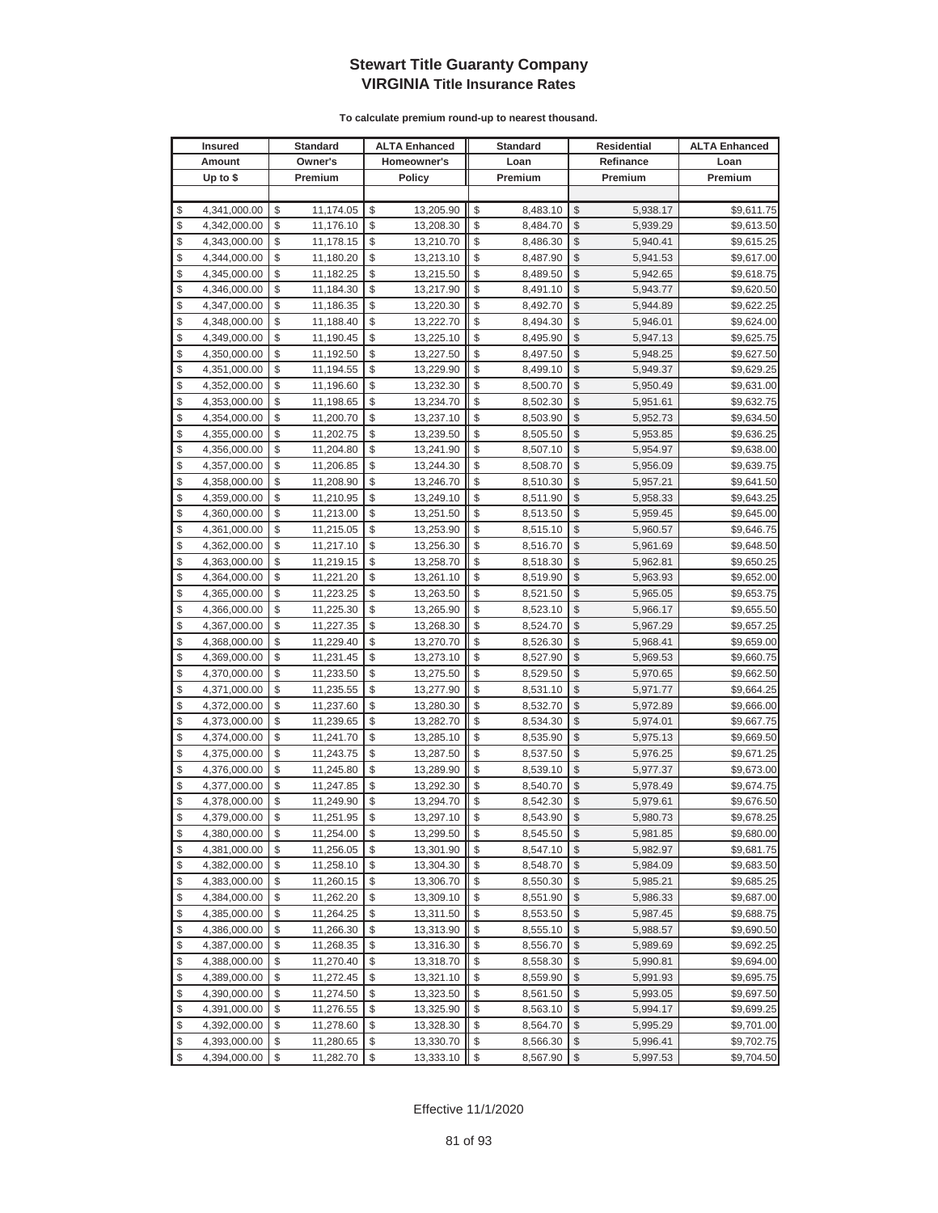| <b>Insured</b>     | Standard        | <b>ALTA Enhanced</b> | <b>Standard</b> |                         | Residential | <b>ALTA Enhanced</b> |
|--------------------|-----------------|----------------------|-----------------|-------------------------|-------------|----------------------|
| Amount             | Owner's         | Homeowner's          | Loan            |                         | Refinance   | Loan                 |
| Up to $$$          | Premium         | <b>Policy</b>        | Premium         |                         | Premium     | Premium              |
|                    |                 |                      |                 |                         |             |                      |
| \$<br>4,341,000.00 | \$<br>11,174.05 | \$<br>13,205.90      | \$<br>8,483.10  | \$                      | 5,938.17    | \$9,611.75           |
| \$<br>4,342,000.00 | \$<br>11,176.10 | \$<br>13,208.30      | \$<br>8,484.70  | \$                      | 5,939.29    | \$9,613.50           |
| \$<br>4,343,000.00 | \$<br>11,178.15 | \$<br>13,210.70      | \$<br>8,486.30  | \$                      | 5,940.41    | \$9,615.25           |
| \$<br>4,344,000.00 | \$<br>11,180.20 | \$<br>13,213.10      | \$<br>8,487.90  | \$                      | 5,941.53    | \$9,617.00           |
| \$<br>4,345,000.00 | \$<br>11,182.25 | \$<br>13,215.50      | \$<br>8,489.50  | \$                      | 5,942.65    | \$9,618.75           |
| \$<br>4,346,000.00 | \$<br>11,184.30 | \$<br>13,217.90      | \$<br>8,491.10  | \$                      | 5,943.77    | \$9,620.50           |
| \$<br>4,347,000.00 | \$<br>11,186.35 | \$<br>13,220.30      | \$<br>8,492.70  | \$                      | 5,944.89    | \$9,622.25           |
| \$<br>4,348,000.00 | \$<br>11,188.40 | \$<br>13,222.70      | \$<br>8,494.30  | \$                      | 5,946.01    | \$9,624.00           |
| \$<br>4,349,000.00 | \$<br>11,190.45 | \$<br>13,225.10      | \$<br>8,495.90  | \$                      | 5,947.13    | \$9,625.75           |
| \$<br>4,350,000.00 | \$<br>11,192.50 | \$<br>13,227.50      | \$<br>8,497.50  | \$                      | 5,948.25    | \$9,627.50           |
| \$<br>4,351,000.00 | \$<br>11,194.55 | \$<br>13,229.90      | \$<br>8,499.10  | \$                      | 5,949.37    | \$9,629.25           |
| \$<br>4,352,000.00 | \$<br>11,196.60 | \$<br>13,232.30      | \$<br>8,500.70  | \$                      | 5,950.49    | \$9,631.00           |
| \$<br>4,353,000.00 | \$<br>11,198.65 | \$<br>13,234.70      | \$<br>8,502.30  | \$                      | 5,951.61    | \$9,632.75           |
| \$<br>4,354,000.00 | \$<br>11,200.70 | \$<br>13,237.10      | \$<br>8,503.90  | \$                      | 5,952.73    | \$9,634.50           |
| \$<br>4,355,000.00 | \$<br>11,202.75 | \$<br>13,239.50      | \$<br>8,505.50  | \$                      | 5,953.85    | \$9,636.25           |
| \$<br>4,356,000.00 | \$<br>11,204.80 | \$<br>13,241.90      | \$<br>8,507.10  | \$                      | 5,954.97    | \$9,638.00           |
| \$<br>4,357,000.00 | \$<br>11,206.85 | \$<br>13,244.30      | \$<br>8,508.70  | \$                      | 5,956.09    | \$9,639.75           |
| \$<br>4,358,000.00 | \$<br>11,208.90 | \$<br>13,246.70      | \$<br>8,510.30  | \$                      | 5,957.21    | \$9,641.50           |
| \$<br>4,359,000.00 | \$<br>11,210.95 | \$<br>13,249.10      | \$<br>8,511.90  | \$                      | 5,958.33    | \$9,643.25           |
| \$<br>4,360,000.00 | \$<br>11,213.00 | \$<br>13,251.50      | \$<br>8,513.50  | \$                      | 5,959.45    | \$9,645.00           |
| \$<br>4,361,000.00 | \$<br>11,215.05 | \$<br>13,253.90      | \$<br>8,515.10  | \$                      | 5,960.57    | \$9,646.75           |
| \$<br>4,362,000.00 | \$<br>11,217.10 | \$<br>13,256.30      | \$<br>8,516.70  | \$                      | 5,961.69    | \$9,648.50           |
| \$<br>4,363,000.00 | \$<br>11,219.15 | \$<br>13,258.70      | \$<br>8,518.30  | \$                      | 5,962.81    | \$9,650.25           |
| \$<br>4,364,000.00 | \$<br>11,221.20 | \$<br>13,261.10      | \$<br>8,519.90  | \$                      | 5,963.93    | \$9,652.00           |
| \$<br>4,365,000.00 | \$<br>11,223.25 | \$<br>13,263.50      | \$<br>8,521.50  | \$                      | 5,965.05    | \$9,653.75           |
| \$<br>4,366,000.00 | \$<br>11,225.30 | \$<br>13,265.90      | \$<br>8,523.10  | \$                      | 5,966.17    | \$9,655.50           |
| \$<br>4,367,000.00 | \$<br>11,227.35 | \$<br>13,268.30      | \$<br>8,524.70  | \$                      | 5,967.29    | \$9,657.25           |
| \$<br>4,368,000.00 | \$<br>11,229.40 | \$<br>13,270.70      | \$<br>8,526.30  | \$                      | 5,968.41    | \$9,659.00           |
| \$<br>4,369,000.00 | \$<br>11,231.45 | \$<br>13,273.10      | \$<br>8,527.90  | \$                      | 5,969.53    | \$9,660.75           |
| \$<br>4,370,000.00 | \$<br>11,233.50 | \$<br>13,275.50      | \$<br>8,529.50  | \$                      | 5,970.65    | \$9,662.50           |
| \$<br>4,371,000.00 | \$<br>11,235.55 | \$<br>13,277.90      | \$<br>8,531.10  | \$                      | 5,971.77    | \$9,664.25           |
| \$<br>4,372,000.00 | \$<br>11,237.60 | \$<br>13,280.30      | \$<br>8,532.70  | \$                      | 5,972.89    | \$9,666.00           |
| \$<br>4,373,000.00 | \$<br>11,239.65 | \$<br>13,282.70      | \$<br>8,534.30  | \$                      | 5,974.01    | \$9,667.75           |
| \$<br>4,374,000.00 | \$<br>11,241.70 | \$<br>13,285.10      | \$<br>8,535.90  | \$                      | 5,975.13    | \$9,669.50           |
| \$<br>4,375,000.00 | \$<br>11,243.75 | \$<br>13,287.50      | \$<br>8,537.50  | \$                      | 5,976.25    | \$9,671.25           |
| \$<br>4,376,000.00 | \$<br>11,245.80 | \$<br>13,289.90      | \$<br>8,539.10  | \$                      | 5,977.37    | \$9,673.00           |
| \$<br>4,377,000.00 | \$<br>11,247.85 | \$<br>13,292.30      | \$<br>8,540.70  | \$                      | 5,978.49    | \$9,674.75           |
| \$<br>4,378,000.00 | \$<br>11,249.90 | \$<br>13,294.70      | \$<br>8,542.30  | \$                      | 5,979.61    | \$9,676.50           |
| \$<br>4,379,000.00 | \$<br>11,251.95 | \$<br>13,297.10      | \$<br>8,543.90  | \$                      | 5,980.73    | \$9,678.25           |
| \$<br>4,380,000.00 | \$<br>11,254.00 | \$<br>13,299.50      | \$<br>8,545.50  | $\sqrt[6]{3}$           | 5,981.85    | \$9,680.00           |
| \$<br>4,381,000.00 | \$<br>11,256.05 | \$<br>13,301.90      | \$<br>8,547.10  | $\mathcal{S}$           | 5,982.97    | \$9,681.75           |
| \$<br>4,382,000.00 | \$<br>11,258.10 | \$<br>13,304.30      | \$<br>8,548.70  | $\frac{1}{2}$           | 5,984.09    | \$9,683.50           |
| \$<br>4,383,000.00 | \$<br>11,260.15 | \$<br>13,306.70      | \$<br>8,550.30  | \$                      | 5,985.21    | \$9,685.25           |
| \$<br>4,384,000.00 | \$<br>11,262.20 | \$<br>13,309.10      | \$<br>8,551.90  | \$                      | 5,986.33    | \$9,687.00           |
| \$<br>4,385,000.00 | \$<br>11,264.25 | \$<br>13,311.50      | \$<br>8,553.50  | \$                      | 5,987.45    | \$9,688.75           |
| \$<br>4,386,000.00 | \$<br>11,266.30 | \$<br>13,313.90      | \$<br>8,555.10  | \$                      | 5,988.57    | \$9,690.50           |
| \$<br>4,387,000.00 | \$<br>11,268.35 | \$<br>13,316.30      | \$<br>8,556.70  | \$                      | 5,989.69    | \$9,692.25           |
| \$<br>4,388,000.00 | \$<br>11,270.40 | \$<br>13,318.70      | \$<br>8,558.30  | \$                      | 5,990.81    | \$9,694.00           |
| \$<br>4,389,000.00 | \$<br>11,272.45 | \$<br>13,321.10      | \$<br>8,559.90  | \$                      | 5,991.93    | \$9,695.75           |
| \$<br>4,390,000.00 | \$<br>11,274.50 | \$<br>13,323.50      | \$<br>8,561.50  | \$                      | 5,993.05    | \$9,697.50           |
| \$<br>4,391,000.00 | \$<br>11,276.55 | \$<br>13,325.90      | \$<br>8,563.10  | \$                      | 5,994.17    | \$9,699.25           |
| \$<br>4,392,000.00 | \$<br>11,278.60 | \$<br>13,328.30      | \$<br>8,564.70  | \$                      | 5,995.29    | \$9,701.00           |
| \$<br>4,393,000.00 | \$<br>11,280.65 | \$<br>13,330.70      | \$<br>8,566.30  | \$                      | 5,996.41    | \$9,702.75           |
| \$<br>4,394,000.00 | \$<br>11,282.70 | \$<br>13,333.10      | \$<br>8,567.90  | $\sqrt[6]{\frac{1}{2}}$ | 5,997.53    | \$9,704.50           |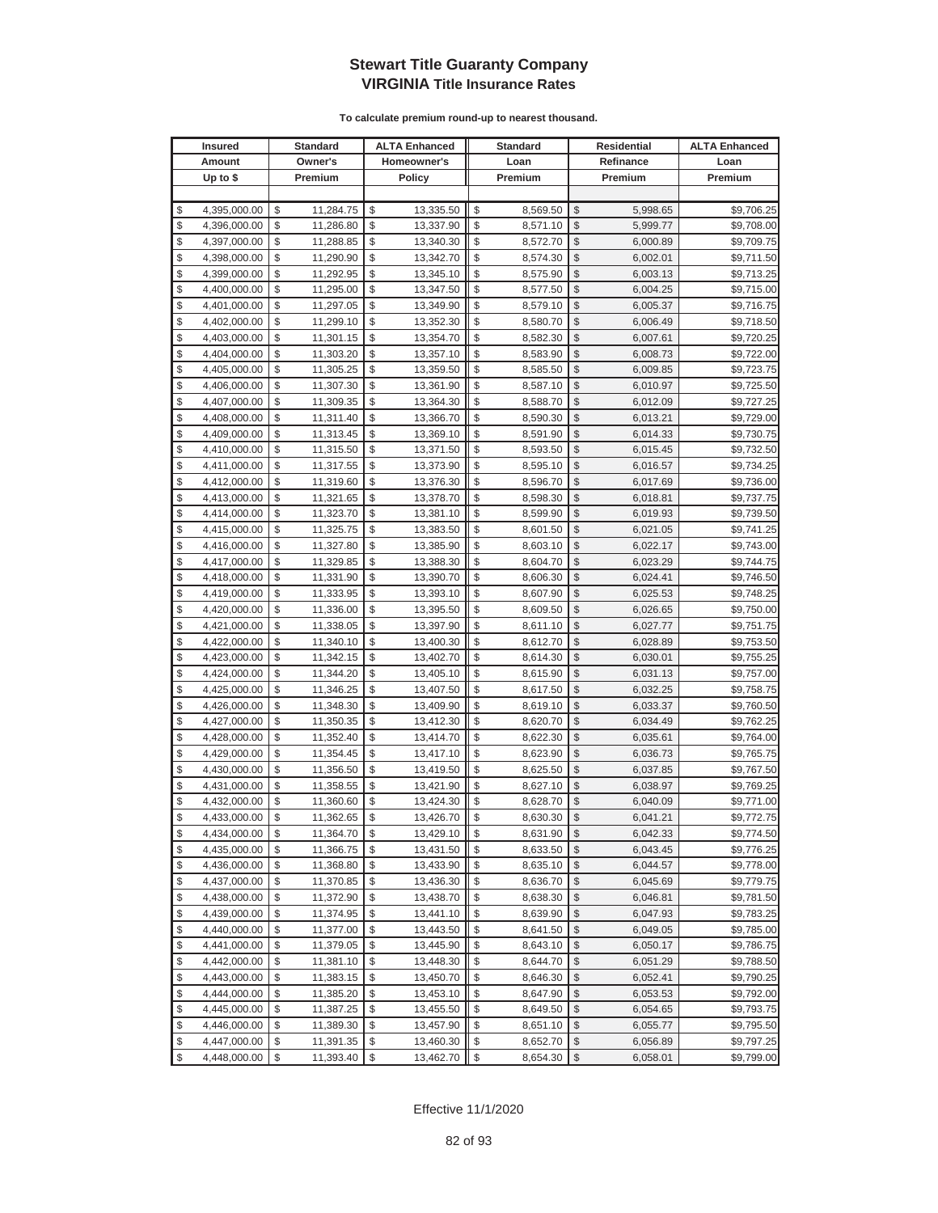|               | <b>Insured</b> | <b>Standard</b> | <b>ALTA Enhanced</b> | <b>Standard</b> | <b>Residential</b> | <b>ALTA Enhanced</b> |
|---------------|----------------|-----------------|----------------------|-----------------|--------------------|----------------------|
|               | Amount         | Owner's         | Homeowner's          | Loan            | Refinance          | Loan                 |
|               | Up to $$$      | Premium         | <b>Policy</b>        | Premium         | Premium            | Premium              |
|               |                |                 |                      |                 |                    |                      |
| \$            | 4,395,000.00   | \$<br>11,284.75 | \$<br>13,335.50      | \$<br>8,569.50  | \$<br>5,998.65     | \$9,706.25           |
| \$            | 4,396,000.00   | \$<br>11,286.80 | \$<br>13,337.90      | \$<br>8,571.10  | \$<br>5,999.77     | \$9,708.00           |
| \$            | 4,397,000.00   | \$<br>11,288.85 | \$<br>13,340.30      | \$<br>8,572.70  | \$<br>6,000.89     | \$9,709.75           |
| \$            | 4,398,000.00   | \$<br>11,290.90 | \$<br>13,342.70      | \$<br>8,574.30  | \$<br>6,002.01     | \$9,711.50           |
| \$            | 4,399,000.00   | \$<br>11,292.95 | \$<br>13,345.10      | \$<br>8,575.90  | \$<br>6,003.13     | \$9,713.25           |
| \$            | 4,400,000.00   | \$<br>11,295.00 | \$<br>13,347.50      | \$<br>8,577.50  | \$<br>6,004.25     | \$9,715.00           |
| \$            | 4,401,000.00   | \$<br>11,297.05 | \$<br>13,349.90      | \$<br>8,579.10  | \$<br>6,005.37     | \$9,716.75           |
| \$            | 4,402,000.00   | \$<br>11,299.10 | \$<br>13,352.30      | \$<br>8,580.70  | \$<br>6,006.49     | \$9,718.50           |
| \$            | 4,403,000.00   | \$<br>11,301.15 | \$<br>13,354.70      | \$<br>8,582.30  | \$<br>6,007.61     | \$9,720.25           |
| \$            | 4,404,000.00   | \$<br>11,303.20 | \$<br>13,357.10      | \$<br>8,583.90  | \$<br>6,008.73     | \$9,722.00           |
| \$            | 4,405,000.00   | \$<br>11,305.25 | \$<br>13,359.50      | \$<br>8,585.50  | \$<br>6,009.85     | \$9,723.75           |
| \$            | 4,406,000.00   | \$<br>11,307.30 | \$<br>13,361.90      | \$<br>8,587.10  | \$<br>6,010.97     | \$9,725.50           |
| \$            | 4,407,000.00   | \$<br>11,309.35 | \$<br>13,364.30      | \$<br>8,588.70  | \$<br>6,012.09     | \$9,727.25           |
| \$            | 4,408,000.00   | \$<br>11,311.40 | \$<br>13,366.70      | \$<br>8,590.30  | \$<br>6,013.21     | \$9,729.00           |
| \$            | 4,409,000.00   | \$<br>11,313.45 | \$<br>13,369.10      | \$<br>8,591.90  | \$<br>6,014.33     | \$9,730.75           |
| \$            | 4,410,000.00   | \$<br>11,315.50 | \$<br>13,371.50      | \$<br>8,593.50  | \$<br>6,015.45     | \$9,732.50           |
| \$            | 4,411,000.00   | \$<br>11,317.55 | \$<br>13,373.90      | \$<br>8,595.10  | \$<br>6,016.57     | \$9,734.25           |
| \$            | 4,412,000.00   | \$<br>11,319.60 | \$<br>13,376.30      | \$<br>8,596.70  | \$<br>6,017.69     | \$9,736.00           |
| \$            | 4,413,000.00   | \$<br>11,321.65 | \$<br>13,378.70      | \$<br>8,598.30  | \$<br>6,018.81     | \$9,737.75           |
| \$            | 4,414,000.00   | \$<br>11,323.70 | \$<br>13,381.10      | \$<br>8,599.90  | \$<br>6,019.93     | \$9,739.50           |
| \$            | 4,415,000.00   | \$<br>11,325.75 | \$<br>13,383.50      | \$<br>8,601.50  | \$<br>6,021.05     | \$9,741.25           |
| \$            | 4,416,000.00   | \$<br>11,327.80 | \$<br>13,385.90      | \$<br>8,603.10  | \$<br>6,022.17     | \$9,743.00           |
| \$            | 4,417,000.00   | \$<br>11,329.85 | \$<br>13,388.30      | \$<br>8,604.70  | \$<br>6,023.29     | \$9,744.75           |
| \$            | 4,418,000.00   | \$<br>11,331.90 | \$<br>13,390.70      | \$<br>8,606.30  | \$<br>6,024.41     | \$9,746.50           |
| \$            | 4,419,000.00   | \$<br>11,333.95 | \$<br>13,393.10      | \$<br>8,607.90  | \$<br>6,025.53     | \$9,748.25           |
| \$            | 4,420,000.00   | \$<br>11,336.00 | \$<br>13,395.50      | \$<br>8,609.50  | \$<br>6,026.65     | \$9,750.00           |
| \$            | 4,421,000.00   | \$<br>11,338.05 | \$<br>13,397.90      | \$<br>8,611.10  | \$<br>6,027.77     | \$9,751.75           |
| \$            | 4,422,000.00   | \$<br>11,340.10 | \$<br>13,400.30      | \$<br>8,612.70  | \$<br>6,028.89     | \$9,753.50           |
| \$            | 4,423,000.00   | \$<br>11,342.15 | \$<br>13,402.70      | \$<br>8,614.30  | \$<br>6,030.01     | \$9,755.25           |
| \$            | 4,424,000.00   | \$<br>11,344.20 | \$<br>13,405.10      | \$<br>8,615.90  | \$<br>6,031.13     | \$9,757.00           |
| \$            | 4,425,000.00   | \$<br>11,346.25 | \$<br>13,407.50      | \$<br>8,617.50  | \$<br>6,032.25     | \$9,758.75           |
| \$            | 4,426,000.00   | \$<br>11,348.30 | \$<br>13,409.90      | \$<br>8,619.10  | \$<br>6,033.37     | \$9,760.50           |
| \$            | 4,427,000.00   | \$<br>11,350.35 | \$<br>13,412.30      | \$<br>8,620.70  | \$<br>6,034.49     | \$9,762.25           |
| \$            | 4,428,000.00   | \$<br>11,352.40 | \$<br>13,414.70      | \$<br>8,622.30  | \$<br>6,035.61     | \$9,764.00           |
| \$            | 4,429,000.00   | \$<br>11,354.45 | \$<br>13,417.10      | \$<br>8,623.90  | \$<br>6,036.73     | \$9,765.75           |
| \$            | 4,430,000.00   | \$<br>11,356.50 | \$<br>13,419.50      | \$<br>8,625.50  | \$<br>6,037.85     | \$9,767.50           |
| \$            | 4,431,000.00   | \$<br>11,358.55 | \$<br>13,421.90      | \$<br>8,627.10  | \$<br>6,038.97     | \$9,769.25           |
| \$            | 4,432,000.00   | \$<br>11,360.60 | \$<br>13,424.30      | \$<br>8,628.70  | \$<br>6,040.09     | \$9,771.00           |
| $\mathcal{S}$ | 4.433.000.00   | \$<br>11,362.65 | \$<br>13,426.70      | \$<br>8,630.30  | \$<br>6,041.21     | \$9,772.75           |
| \$            | 4,434,000.00   | \$<br>11,364.70 | \$<br>13,429.10      | \$<br>8,631.90  | \$<br>6,042.33     | \$9,774.50           |
| \$            | 4,435,000.00   | \$<br>11,366.75 | \$<br>13,431.50      | \$<br>8,633.50  | \$<br>6,043.45     | \$9,776.25           |
| \$            | 4,436,000.00   | \$<br>11,368.80 | \$<br>13,433.90      | \$<br>8,635.10  | \$<br>6,044.57     | \$9,778.00           |
| \$            | 4,437,000.00   | \$<br>11,370.85 | \$<br>13,436.30      | \$<br>8,636.70  | \$<br>6,045.69     | \$9,779.75           |
| \$            | 4,438,000.00   | \$<br>11,372.90 | \$<br>13,438.70      | \$<br>8,638.30  | \$<br>6,046.81     | \$9,781.50           |
| \$            | 4,439,000.00   | \$<br>11,374.95 | \$<br>13,441.10      | \$<br>8,639.90  | \$<br>6,047.93     | \$9,783.25           |
| \$            | 4,440,000.00   | \$<br>11,377.00 | \$<br>13,443.50      | \$<br>8,641.50  | \$<br>6,049.05     | \$9,785.00           |
| \$            | 4,441,000.00   | \$<br>11,379.05 | \$<br>13,445.90      | \$<br>8,643.10  | \$<br>6,050.17     | \$9,786.75           |
| \$            | 4,442,000.00   | \$<br>11,381.10 | \$<br>13,448.30      | \$<br>8,644.70  | \$<br>6,051.29     | \$9,788.50           |
| \$            | 4,443,000.00   | \$<br>11,383.15 | \$<br>13,450.70      | \$<br>8,646.30  | \$<br>6,052.41     | \$9,790.25           |
| \$            | 4,444,000.00   | \$<br>11,385.20 | \$<br>13,453.10      | \$<br>8,647.90  | \$<br>6,053.53     | \$9,792.00           |
| \$            | 4,445,000.00   | \$<br>11,387.25 | \$<br>13,455.50      | \$<br>8,649.50  | \$<br>6,054.65     | \$9,793.75           |
| \$            | 4,446,000.00   | \$<br>11,389.30 | \$<br>13,457.90      | \$<br>8,651.10  | \$<br>6,055.77     | \$9,795.50           |
| \$            | 4,447,000.00   | \$<br>11,391.35 | \$<br>13,460.30      | \$<br>8,652.70  | \$<br>6,056.89     | \$9,797.25           |
| \$            | 4,448,000.00   | \$<br>11,393.40 | \$<br>13,462.70      | \$<br>8,654.30  | \$<br>6,058.01     | \$9,799.00           |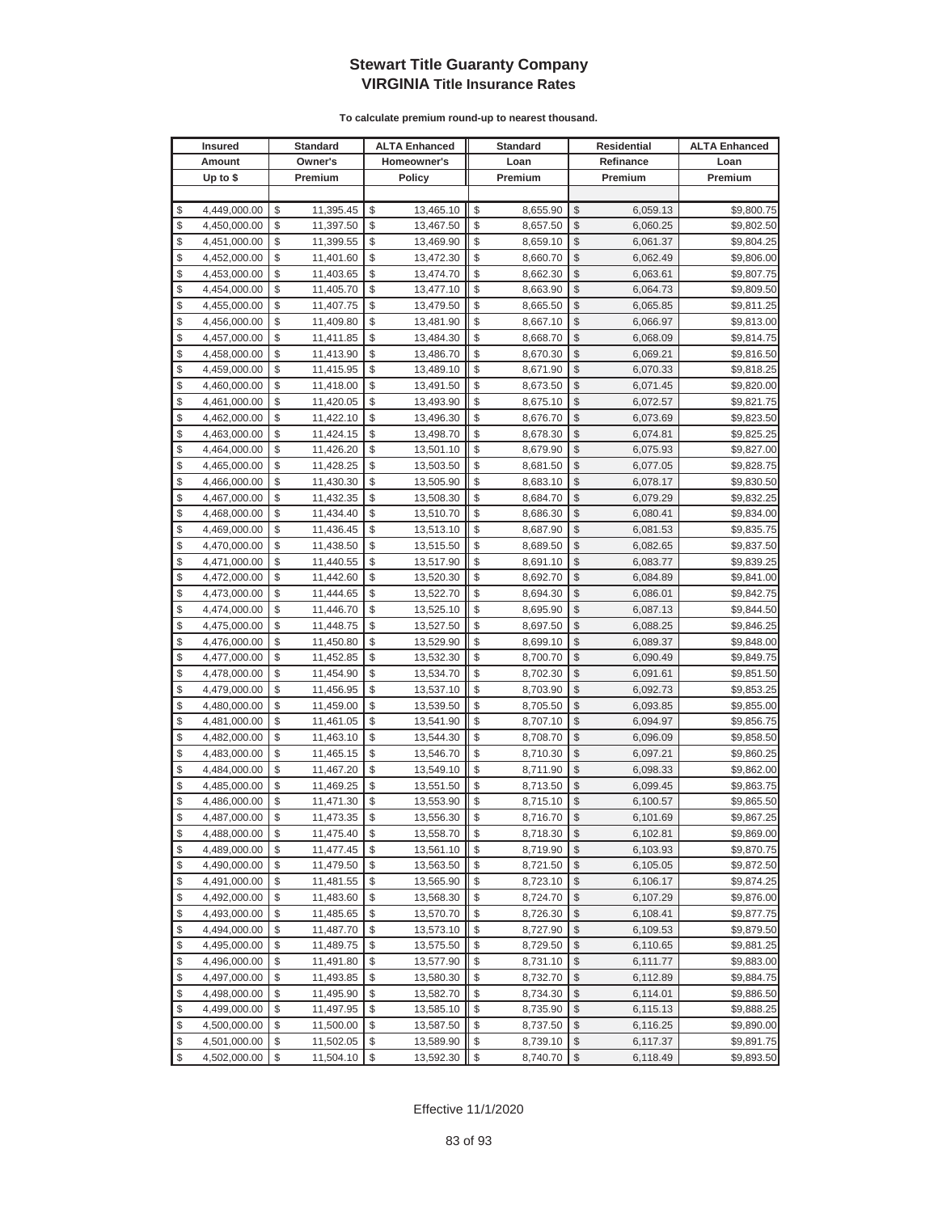| <b>Insured</b>     | Standard        | <b>ALTA Enhanced</b> | <b>Standard</b> |                         | <b>Residential</b> | <b>ALTA Enhanced</b> |
|--------------------|-----------------|----------------------|-----------------|-------------------------|--------------------|----------------------|
| Amount             | Owner's         | Homeowner's          | Loan            |                         | Refinance          | Loan                 |
| Up to $$$          | Premium         | <b>Policy</b>        | Premium         |                         | Premium            | Premium              |
|                    |                 |                      |                 |                         |                    |                      |
| \$<br>4,449,000.00 | \$<br>11,395.45 | \$<br>13,465.10      | \$<br>8,655.90  | \$                      | 6,059.13           | \$9,800.75           |
| \$<br>4,450,000.00 | \$<br>11,397.50 | \$<br>13,467.50      | \$<br>8,657.50  | \$                      | 6,060.25           | \$9,802.50           |
| \$<br>4,451,000.00 | \$<br>11,399.55 | \$<br>13,469.90      | \$<br>8,659.10  | \$                      | 6,061.37           | \$9,804.25           |
| \$<br>4,452,000.00 | \$<br>11,401.60 | \$<br>13,472.30      | \$<br>8,660.70  | \$                      | 6,062.49           | \$9,806.00           |
| \$<br>4,453,000.00 | \$<br>11,403.65 | \$<br>13,474.70      | \$<br>8,662.30  | \$                      | 6,063.61           | \$9,807.75           |
| \$<br>4,454,000.00 | \$<br>11,405.70 | \$<br>13,477.10      | \$<br>8,663.90  | \$                      | 6,064.73           | \$9,809.50           |
| \$<br>4,455,000.00 | \$<br>11,407.75 | \$<br>13,479.50      | \$<br>8,665.50  | \$                      | 6,065.85           | \$9,811.25           |
| \$<br>4,456,000.00 | \$<br>11,409.80 | \$<br>13,481.90      | \$<br>8,667.10  | \$                      | 6,066.97           | \$9,813.00           |
| \$<br>4,457,000.00 | \$<br>11,411.85 | \$<br>13,484.30      | \$<br>8,668.70  | \$                      | 6,068.09           | \$9,814.75           |
| \$<br>4,458,000.00 | \$<br>11,413.90 | \$<br>13,486.70      | \$<br>8,670.30  | \$                      | 6,069.21           | \$9,816.50           |
| \$<br>4,459,000.00 | \$<br>11,415.95 | \$<br>13,489.10      | \$<br>8,671.90  | \$                      | 6,070.33           | \$9,818.25           |
| \$<br>4,460,000.00 | \$<br>11,418.00 | \$<br>13,491.50      | \$<br>8,673.50  | \$                      | 6,071.45           | \$9,820.00           |
| \$<br>4,461,000.00 | \$<br>11,420.05 | \$<br>13,493.90      | \$<br>8,675.10  | \$                      | 6,072.57           | \$9,821.75           |
| \$<br>4,462,000.00 | \$<br>11,422.10 | \$<br>13,496.30      | \$<br>8,676.70  | \$                      | 6,073.69           | \$9,823.50           |
| \$<br>4,463,000.00 | \$<br>11,424.15 | \$<br>13,498.70      | \$<br>8,678.30  | \$                      | 6,074.81           | \$9,825.25           |
| \$<br>4,464,000.00 | \$<br>11,426.20 | \$<br>13,501.10      | \$<br>8,679.90  | \$                      | 6,075.93           | \$9,827.00           |
| \$<br>4,465,000.00 | \$<br>11,428.25 | \$<br>13,503.50      | \$<br>8,681.50  | \$                      | 6,077.05           | \$9,828.75           |
| \$<br>4,466,000.00 | \$<br>11,430.30 | \$<br>13,505.90      | \$<br>8,683.10  | \$                      | 6,078.17           | \$9,830.50           |
| \$<br>4,467,000.00 | \$<br>11,432.35 | \$<br>13,508.30      | \$<br>8,684.70  | \$                      | 6,079.29           | \$9,832.25           |
| \$<br>4,468,000.00 | \$<br>11,434.40 | \$<br>13,510.70      | \$<br>8,686.30  | \$                      | 6,080.41           | \$9,834.00           |
| \$<br>4,469,000.00 | \$<br>11,436.45 | \$<br>13,513.10      | \$<br>8,687.90  | \$                      | 6,081.53           | \$9,835.75           |
| \$<br>4,470,000.00 | \$<br>11,438.50 | \$<br>13,515.50      | \$<br>8,689.50  | \$                      | 6,082.65           | \$9,837.50           |
| \$<br>4,471,000.00 | \$<br>11,440.55 | \$<br>13,517.90      | \$<br>8,691.10  | \$                      | 6,083.77           | \$9,839.25           |
| \$<br>4,472,000.00 | \$<br>11,442.60 | \$<br>13,520.30      | \$<br>8,692.70  | \$                      | 6,084.89           | \$9,841.00           |
| \$<br>4,473,000.00 | \$<br>11,444.65 | \$<br>13,522.70      | \$<br>8,694.30  | \$                      | 6,086.01           | \$9,842.75           |
| \$<br>4,474,000.00 | \$<br>11,446.70 | \$<br>13,525.10      | \$<br>8,695.90  | \$                      | 6,087.13           | \$9,844.50           |
| \$<br>4,475,000.00 | \$<br>11,448.75 | \$<br>13,527.50      | \$<br>8,697.50  | \$                      | 6,088.25           | \$9,846.25           |
| \$<br>4,476,000.00 | \$<br>11,450.80 | \$<br>13,529.90      | \$<br>8,699.10  | \$                      | 6,089.37           | \$9,848.00           |
| \$<br>4,477,000.00 | \$<br>11,452.85 | \$<br>13,532.30      | \$<br>8,700.70  | \$                      | 6,090.49           | \$9,849.75           |
| \$<br>4,478,000.00 | \$<br>11,454.90 | \$<br>13,534.70      | \$<br>8,702.30  | \$                      | 6,091.61           | \$9,851.50           |
| \$<br>4,479,000.00 | \$<br>11,456.95 | \$<br>13,537.10      | \$<br>8,703.90  | \$                      | 6,092.73           | \$9,853.25           |
| \$<br>4,480,000.00 | \$<br>11,459.00 | \$<br>13,539.50      | \$<br>8,705.50  | \$                      | 6,093.85           | \$9,855.00           |
| \$<br>4,481,000.00 | \$<br>11,461.05 | \$<br>13,541.90      | \$<br>8,707.10  | \$                      | 6,094.97           | \$9,856.75           |
| \$<br>4,482,000.00 | \$<br>11,463.10 | \$<br>13,544.30      | \$<br>8,708.70  | \$                      | 6,096.09           | \$9,858.50           |
| \$<br>4,483,000.00 | \$<br>11,465.15 | \$<br>13,546.70      | \$<br>8,710.30  | \$                      | 6,097.21           | \$9,860.25           |
| \$<br>4,484,000.00 | \$<br>11,467.20 | \$<br>13,549.10      | \$<br>8,711.90  | \$                      | 6,098.33           | \$9,862.00           |
| \$<br>4,485,000.00 | \$<br>11,469.25 | \$<br>13,551.50      | \$<br>8,713.50  | \$                      | 6,099.45           | \$9,863.75           |
| \$<br>4,486,000.00 | \$<br>11,471.30 | \$<br>13,553.90      | \$<br>8,715.10  | \$                      | 6,100.57           | \$9,865.50           |
| \$<br>4,487,000.00 | \$<br>11,473.35 | \$<br>13,556.30      | \$<br>8,716.70  | \$                      | 6,101.69           | \$9,867.25           |
| \$<br>4,488,000.00 | \$<br>11,475.40 | \$<br>13,558.70      | \$<br>8,718.30  | $\sqrt[6]{3}$           | 6,102.81           | \$9,869.00           |
| \$<br>4,489,000.00 | \$<br>11,477.45 | \$<br>13,561.10      | \$<br>8,719.90  | \$                      | 6,103.93           | \$9,870.75           |
| \$<br>4,490,000.00 | \$<br>11,479.50 | \$<br>13,563.50      | \$<br>8,721.50  | $\frac{1}{2}$           | 6,105.05           | \$9,872.50           |
| \$<br>4,491,000.00 | \$<br>11,481.55 | \$<br>13,565.90      | \$<br>8,723.10  | \$                      | 6,106.17           | \$9,874.25           |
| \$<br>4,492,000.00 | \$<br>11,483.60 | \$<br>13,568.30      | \$<br>8,724.70  | \$                      | 6,107.29           | \$9,876.00           |
| \$<br>4,493,000.00 | \$<br>11,485.65 | \$<br>13,570.70      | \$<br>8,726.30  | \$                      | 6,108.41           | \$9,877.75           |
| \$<br>4,494,000.00 | \$<br>11,487.70 | \$<br>13,573.10      | \$<br>8,727.90  | \$                      | 6,109.53           | \$9,879.50           |
| \$<br>4,495,000.00 | \$<br>11,489.75 | \$<br>13,575.50      | \$<br>8,729.50  | \$                      | 6,110.65           | \$9,881.25           |
| \$<br>4,496,000.00 | \$<br>11,491.80 | \$<br>13,577.90      | \$<br>8,731.10  | \$                      | 6,111.77           | \$9,883.00           |
| \$<br>4,497,000.00 | \$<br>11,493.85 | \$<br>13,580.30      | \$<br>8,732.70  | \$                      | 6,112.89           | \$9,884.75           |
| \$<br>4,498,000.00 | \$<br>11,495.90 | \$<br>13,582.70      | \$<br>8,734.30  | \$                      | 6,114.01           | \$9,886.50           |
| \$<br>4,499,000.00 | \$<br>11,497.95 | \$<br>13,585.10      | \$<br>8,735.90  | \$                      | 6,115.13           | \$9,888.25           |
| \$<br>4,500,000.00 | \$<br>11,500.00 | \$<br>13,587.50      | \$<br>8,737.50  | \$                      | 6,116.25           | \$9,890.00           |
| \$<br>4,501,000.00 | \$<br>11,502.05 | \$<br>13,589.90      | \$<br>8,739.10  | \$                      | 6,117.37           | \$9,891.75           |
| \$<br>4,502,000.00 | \$<br>11,504.10 | \$<br>13,592.30      | \$<br>8,740.70  | $\sqrt[6]{\frac{1}{2}}$ | 6,118.49           | \$9,893.50           |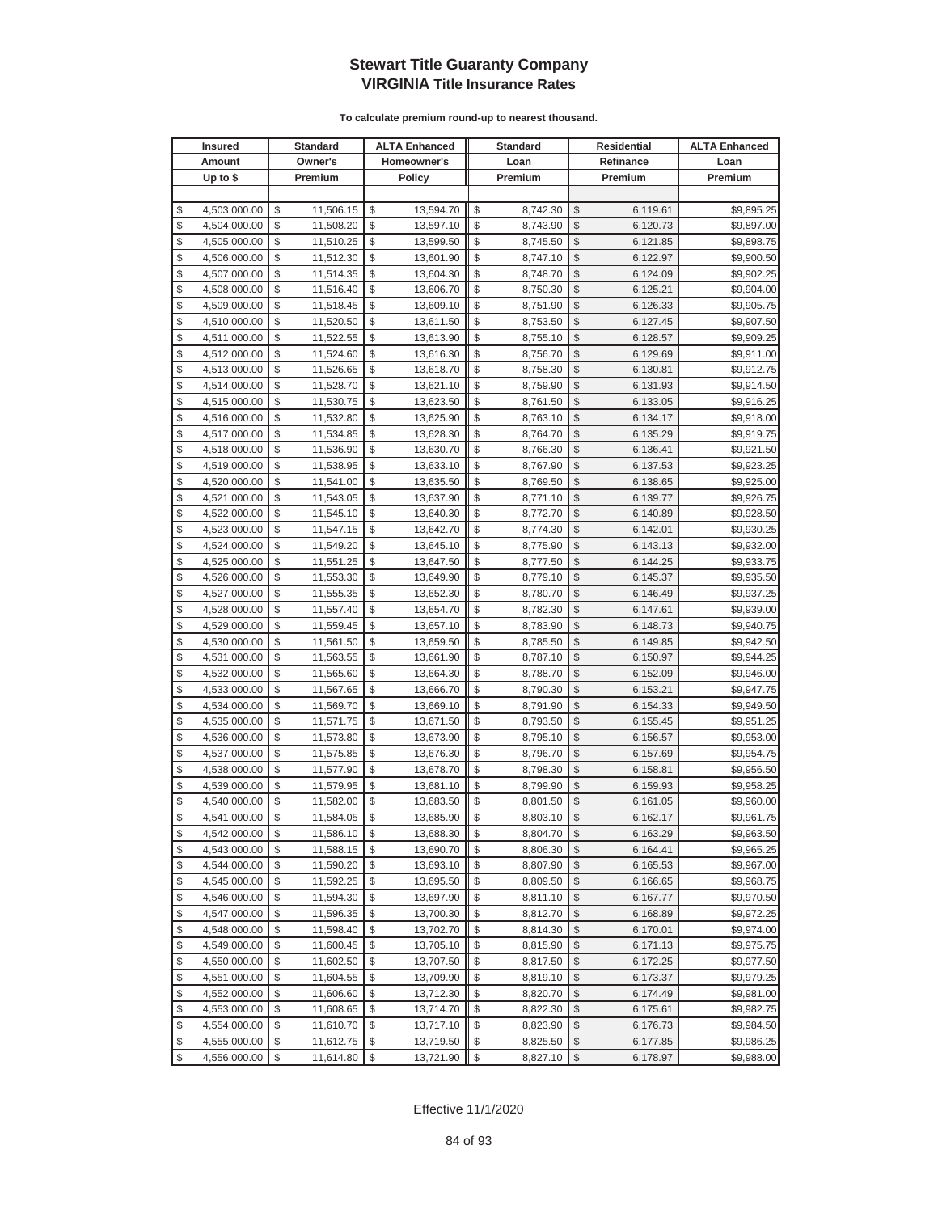| <b>Insured</b>     | Standard        | <b>ALTA Enhanced</b> | <b>Standard</b> |                         | Residential | <b>ALTA Enhanced</b> |
|--------------------|-----------------|----------------------|-----------------|-------------------------|-------------|----------------------|
| Amount             | Owner's         | Homeowner's          | Loan            |                         | Refinance   | Loan                 |
| Up to $$$          | Premium         | <b>Policy</b>        | Premium         |                         | Premium     | Premium              |
|                    |                 |                      |                 |                         |             |                      |
| \$<br>4,503,000.00 | \$<br>11,506.15 | \$<br>13,594.70      | \$<br>8,742.30  | \$                      | 6,119.61    | \$9,895.25           |
| \$<br>4,504,000.00 | \$<br>11,508.20 | \$<br>13,597.10      | \$<br>8,743.90  | \$                      | 6,120.73    | \$9,897.00           |
| \$<br>4,505,000.00 | \$<br>11,510.25 | \$<br>13,599.50      | \$<br>8,745.50  | \$                      | 6,121.85    | \$9,898.75           |
| \$<br>4,506,000.00 | \$<br>11,512.30 | \$<br>13,601.90      | \$<br>8,747.10  | \$                      | 6,122.97    | \$9,900.50           |
| \$<br>4,507,000.00 | \$<br>11,514.35 | \$<br>13,604.30      | \$<br>8,748.70  | \$                      | 6,124.09    | \$9,902.25           |
| \$<br>4,508,000.00 | \$<br>11,516.40 | \$<br>13,606.70      | \$<br>8,750.30  | \$                      | 6,125.21    | \$9,904.00           |
| \$<br>4,509,000.00 | \$<br>11,518.45 | \$<br>13,609.10      | \$<br>8,751.90  | \$                      | 6,126.33    | \$9,905.75           |
| \$<br>4,510,000.00 | \$<br>11,520.50 | \$<br>13,611.50      | \$<br>8,753.50  | \$                      | 6,127.45    | \$9,907.50           |
| \$<br>4,511,000.00 | \$<br>11,522.55 | \$<br>13,613.90      | \$<br>8,755.10  | \$                      | 6,128.57    | \$9,909.25           |
| \$<br>4,512,000.00 | \$<br>11,524.60 | \$<br>13,616.30      | \$<br>8,756.70  | \$                      | 6,129.69    | \$9,911.00           |
| \$<br>4,513,000.00 | \$<br>11,526.65 | \$<br>13,618.70      | \$<br>8,758.30  | \$                      | 6,130.81    | \$9,912.75           |
| \$<br>4,514,000.00 | \$<br>11,528.70 | \$<br>13,621.10      | \$<br>8,759.90  | \$                      | 6,131.93    | \$9,914.50           |
| \$<br>4,515,000.00 | \$<br>11,530.75 | \$<br>13,623.50      | \$<br>8,761.50  | \$                      | 6,133.05    | \$9,916.25           |
| \$<br>4,516,000.00 | \$<br>11,532.80 | \$<br>13,625.90      | \$<br>8,763.10  | \$                      | 6,134.17    | \$9,918.00           |
| \$<br>4,517,000.00 | \$<br>11,534.85 | \$<br>13,628.30      | \$<br>8,764.70  | \$                      | 6,135.29    | \$9,919.75           |
| \$<br>4,518,000.00 | \$<br>11,536.90 | \$<br>13,630.70      | \$<br>8,766.30  | \$                      | 6,136.41    | \$9,921.50           |
| \$<br>4,519,000.00 | \$<br>11,538.95 | \$<br>13,633.10      | \$<br>8,767.90  | \$                      | 6,137.53    | \$9,923.25           |
| \$<br>4,520,000.00 | \$<br>11,541.00 | \$<br>13,635.50      | \$<br>8,769.50  | \$                      | 6,138.65    | \$9,925.00           |
| \$<br>4,521,000.00 | \$<br>11,543.05 | \$<br>13,637.90      | \$<br>8,771.10  | \$                      | 6,139.77    | \$9,926.75           |
| \$<br>4,522,000.00 | \$<br>11,545.10 | \$<br>13,640.30      | \$<br>8,772.70  | \$                      | 6,140.89    | \$9,928.50           |
| \$<br>4,523,000.00 | \$<br>11,547.15 | \$<br>13,642.70      | \$<br>8,774.30  | \$                      | 6,142.01    | \$9,930.25           |
| \$<br>4,524,000.00 | \$<br>11,549.20 | \$<br>13,645.10      | \$<br>8,775.90  | \$                      | 6,143.13    | \$9,932.00           |
| \$<br>4,525,000.00 | \$<br>11,551.25 | \$<br>13,647.50      | \$<br>8,777.50  | \$                      | 6,144.25    | \$9,933.75           |
| \$<br>4,526,000.00 | \$<br>11,553.30 | \$<br>13,649.90      | \$<br>8,779.10  | \$                      | 6,145.37    | \$9,935.50           |
| \$<br>4,527,000.00 | \$<br>11,555.35 | \$<br>13,652.30      | \$<br>8,780.70  | \$                      | 6,146.49    | \$9,937.25           |
| \$<br>4,528,000.00 | \$<br>11,557.40 | \$<br>13,654.70      | \$<br>8,782.30  | \$                      | 6,147.61    | \$9,939.00           |
| \$<br>4,529,000.00 | \$<br>11,559.45 | \$<br>13,657.10      | \$<br>8,783.90  | \$                      | 6,148.73    | \$9,940.75           |
| \$<br>4,530,000.00 | \$<br>11,561.50 | \$<br>13,659.50      | \$<br>8,785.50  | \$                      | 6,149.85    | \$9,942.50           |
| \$<br>4,531,000.00 | \$<br>11,563.55 | \$<br>13,661.90      | \$<br>8,787.10  | \$                      | 6,150.97    | \$9,944.25           |
| \$<br>4,532,000.00 | \$<br>11,565.60 | \$<br>13,664.30      | \$<br>8,788.70  | \$                      | 6,152.09    | \$9,946.00           |
| \$<br>4,533,000.00 | \$<br>11,567.65 | \$<br>13,666.70      | \$<br>8,790.30  | \$                      | 6,153.21    | \$9,947.75           |
| \$<br>4,534,000.00 | \$<br>11,569.70 | \$<br>13,669.10      | \$<br>8,791.90  | \$                      | 6,154.33    | \$9,949.50           |
| \$<br>4,535,000.00 | \$<br>11,571.75 | \$<br>13,671.50      | \$<br>8,793.50  | \$                      | 6,155.45    | \$9,951.25           |
| \$<br>4,536,000.00 | \$<br>11,573.80 | \$<br>13,673.90      | \$<br>8,795.10  | \$                      | 6,156.57    | \$9,953.00           |
| \$<br>4,537,000.00 | \$<br>11,575.85 | \$<br>13,676.30      | \$<br>8,796.70  | \$                      | 6,157.69    | \$9,954.75           |
| \$<br>4,538,000.00 | \$<br>11,577.90 | \$<br>13,678.70      | \$<br>8,798.30  | \$                      | 6,158.81    | \$9,956.50           |
| \$<br>4,539,000.00 | \$<br>11,579.95 | \$<br>13,681.10      | \$<br>8,799.90  | \$                      | 6,159.93    | \$9,958.25           |
| \$<br>4,540,000.00 | \$<br>11,582.00 | \$<br>13,683.50      | \$<br>8,801.50  | \$                      | 6,161.05    | \$9,960.00           |
| \$<br>4,541,000.00 | \$<br>11,584.05 | \$<br>13,685.90      | \$<br>8,803.10  | \$                      | 6,162.17    | \$9,961.75           |
| \$<br>4,542,000.00 | \$<br>11,586.10 | \$<br>13,688.30      | \$<br>8,804.70  | $\sqrt[6]{3}$           | 6,163.29    | \$9,963.50           |
| \$<br>4,543,000.00 | \$<br>11,588.15 | \$<br>13,690.70      | \$<br>8,806.30  | \$                      | 6,164.41    | \$9,965.25           |
| \$<br>4,544,000.00 | \$<br>11,590.20 | \$<br>13,693.10      | \$<br>8,807.90  | $\frac{1}{2}$           | 6,165.53    | \$9,967.00           |
| \$<br>4,545,000.00 | \$<br>11,592.25 | \$<br>13,695.50      | \$<br>8,809.50  | \$                      | 6,166.65    | \$9,968.75           |
| \$<br>4,546,000.00 | \$<br>11,594.30 | \$<br>13,697.90      | \$<br>8,811.10  | \$                      | 6,167.77    | \$9,970.50           |
| \$<br>4,547,000.00 | \$<br>11,596.35 | \$<br>13,700.30      | \$<br>8,812.70  | \$                      | 6,168.89    | \$9,972.25           |
| \$<br>4,548,000.00 | \$<br>11,598.40 | \$<br>13,702.70      | \$<br>8,814.30  | \$                      | 6,170.01    | \$9,974.00           |
| \$<br>4,549,000.00 | \$<br>11,600.45 | \$<br>13,705.10      | \$<br>8,815.90  | \$                      | 6,171.13    | \$9,975.75           |
| \$<br>4,550,000.00 | \$<br>11,602.50 | \$<br>13,707.50      | \$<br>8,817.50  | \$                      | 6,172.25    | \$9,977.50           |
| \$<br>4,551,000.00 | \$<br>11,604.55 | \$<br>13,709.90      | \$<br>8,819.10  | \$                      | 6,173.37    | \$9,979.25           |
| \$<br>4,552,000.00 | \$<br>11,606.60 | \$<br>13,712.30      | \$<br>8,820.70  | \$                      | 6,174.49    | \$9,981.00           |
| \$<br>4,553,000.00 | \$<br>11,608.65 | \$<br>13,714.70      | \$<br>8,822.30  | \$                      | 6,175.61    | \$9,982.75           |
| \$<br>4,554,000.00 | \$<br>11,610.70 | \$<br>13,717.10      | \$<br>8,823.90  | \$                      | 6,176.73    | \$9,984.50           |
| \$<br>4,555,000.00 | \$<br>11,612.75 | \$<br>13,719.50      | \$<br>8,825.50  | \$                      | 6,177.85    | \$9,986.25           |
| \$<br>4,556,000.00 | \$<br>11,614.80 | \$<br>13,721.90      | \$<br>8,827.10  | $\sqrt[6]{\frac{1}{2}}$ | 6,178.97    | \$9,988.00           |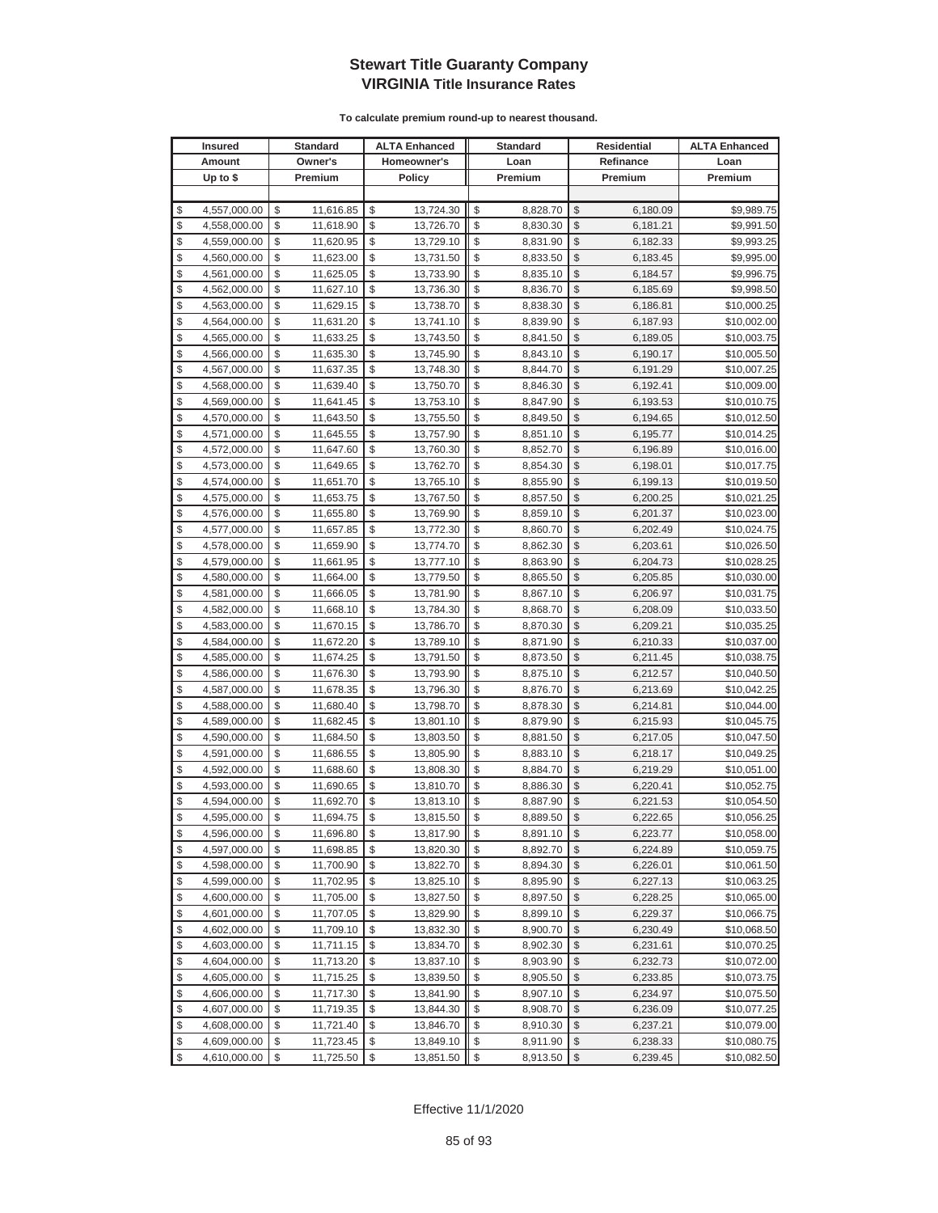| <b>Insured</b> |              | <b>Standard</b> |               | <b>ALTA Enhanced</b> | <b>Standard</b> |               | <b>Residential</b> | <b>ALTA Enhanced</b> |
|----------------|--------------|-----------------|---------------|----------------------|-----------------|---------------|--------------------|----------------------|
|                | Amount       | Owner's         |               | Homeowner's          | Loan            |               | Refinance          | Loan                 |
|                | Up to $$$    | Premium         | <b>Policy</b> |                      | Premium         |               | Premium            | Premium              |
|                |              |                 |               |                      |                 |               |                    |                      |
| \$             | 4,557,000.00 | \$<br>11,616.85 | \$            | 13,724.30            | \$<br>8,828.70  | \$            | 6,180.09           | \$9,989.75           |
| \$             | 4,558,000.00 | \$<br>11,618.90 | \$            | 13,726.70            | \$<br>8,830.30  | \$            | 6,181.21           | \$9,991.50           |
| \$             | 4,559,000.00 | \$<br>11,620.95 | \$            | 13,729.10            | \$<br>8,831.90  | \$            | 6,182.33           | \$9,993.25           |
| \$             | 4,560,000.00 | \$<br>11,623.00 | \$            | 13,731.50            | \$<br>8,833.50  | \$            | 6,183.45           | \$9,995.00           |
| \$             | 4,561,000.00 | \$<br>11,625.05 | \$            | 13,733.90            | \$<br>8,835.10  | \$            | 6,184.57           | \$9,996.75           |
| \$             | 4,562,000.00 | \$<br>11,627.10 | \$            | 13,736.30            | \$<br>8,836.70  | \$            | 6,185.69           | \$9,998.50           |
| \$             | 4,563,000.00 | \$<br>11,629.15 | \$            | 13,738.70            | \$<br>8,838.30  | \$            | 6,186.81           | \$10,000.25          |
| \$             | 4,564,000.00 | \$<br>11,631.20 | \$            | 13,741.10            | \$<br>8,839.90  | \$            | 6,187.93           | \$10,002.00          |
| \$             | 4,565,000.00 | \$<br>11,633.25 | \$            | 13,743.50            | \$<br>8,841.50  | \$            | 6,189.05           | \$10,003.75          |
| \$             | 4,566,000.00 | \$<br>11,635.30 | \$            | 13,745.90            | \$<br>8,843.10  | \$            | 6,190.17           | \$10,005.50          |
| \$             | 4,567,000.00 | \$<br>11,637.35 | \$            | 13,748.30            | \$<br>8,844.70  | \$            | 6,191.29           | \$10,007.25          |
| \$             | 4,568,000.00 | \$<br>11,639.40 | \$            | 13,750.70            | \$<br>8,846.30  | \$            | 6,192.41           | \$10,009.00          |
| \$             | 4,569,000.00 | \$<br>11,641.45 | \$            | 13,753.10            | \$<br>8,847.90  | \$            | 6,193.53           | \$10,010.75          |
| \$             | 4,570,000.00 | \$<br>11,643.50 | \$            | 13,755.50            | \$<br>8,849.50  | \$            | 6,194.65           | \$10,012.50          |
| \$             | 4,571,000.00 | \$<br>11,645.55 | \$            | 13,757.90            | \$<br>8,851.10  | \$            | 6,195.77           | \$10,014.25          |
| \$             | 4,572,000.00 | \$<br>11,647.60 | \$            | 13,760.30            | \$<br>8,852.70  | \$            | 6,196.89           | \$10,016.00          |
| \$             | 4,573,000.00 | \$<br>11,649.65 | \$            | 13,762.70            | \$<br>8,854.30  | \$            | 6,198.01           | \$10,017.75          |
| \$             | 4,574,000.00 | \$<br>11,651.70 | \$            | 13,765.10            | \$<br>8,855.90  | \$            | 6,199.13           | \$10,019.50          |
| \$             | 4,575,000.00 | \$<br>11,653.75 | \$            | 13,767.50            | \$<br>8,857.50  | \$            | 6,200.25           | \$10,021.25          |
| \$             | 4,576,000.00 | \$<br>11,655.80 | \$            | 13,769.90            | \$<br>8,859.10  | \$            | 6,201.37           | \$10,023.00          |
| \$             | 4,577,000.00 | \$<br>11,657.85 | \$            | 13,772.30            | \$<br>8,860.70  | \$            | 6,202.49           | \$10,024.75          |
| \$             | 4,578,000.00 | \$<br>11,659.90 | \$            | 13,774.70            | \$<br>8,862.30  | \$            | 6,203.61           | \$10,026.50          |
| \$             | 4,579,000.00 | \$<br>11,661.95 | \$            | 13,777.10            | \$<br>8,863.90  | \$            | 6,204.73           | \$10,028.25          |
| \$             | 4,580,000.00 | \$<br>11,664.00 | \$            | 13,779.50            | \$<br>8,865.50  | \$            | 6,205.85           | \$10,030.00          |
| \$             | 4,581,000.00 | \$<br>11,666.05 | \$            | 13,781.90            | \$<br>8,867.10  | \$            | 6,206.97           | \$10,031.75          |
| \$             | 4,582,000.00 | \$<br>11,668.10 | \$            | 13,784.30            | \$<br>8,868.70  | \$            | 6,208.09           | \$10,033.50          |
| \$             | 4,583,000.00 | \$<br>11,670.15 | \$            | 13,786.70            | \$<br>8,870.30  | \$            | 6,209.21           | \$10,035.25          |
| \$             | 4,584,000.00 | \$<br>11,672.20 | \$            | 13,789.10            | \$<br>8,871.90  | \$            | 6,210.33           | \$10,037.00          |
| \$             | 4,585,000.00 | \$<br>11,674.25 | \$            | 13,791.50            | \$<br>8,873.50  | \$            | 6,211.45           | \$10,038.75          |
| \$             | 4,586,000.00 | \$<br>11,676.30 | \$            | 13,793.90            | \$<br>8,875.10  | \$            | 6,212.57           | \$10,040.50          |
| \$             | 4,587,000.00 | \$<br>11,678.35 | \$            | 13,796.30            | \$<br>8,876.70  | \$            | 6,213.69           | \$10,042.25          |
| \$             | 4,588,000.00 | \$<br>11,680.40 | \$            | 13,798.70            | \$<br>8,878.30  | \$            | 6,214.81           | \$10,044.00          |
| \$             | 4,589,000.00 | \$<br>11,682.45 | \$            | 13,801.10            | \$<br>8,879.90  | \$            | 6,215.93           | \$10,045.75          |
| \$             | 4,590,000.00 | \$<br>11,684.50 | \$            | 13,803.50            | \$<br>8,881.50  | \$            | 6,217.05           | \$10,047.50          |
| \$             | 4,591,000.00 | \$<br>11,686.55 | \$            | 13,805.90            | \$<br>8,883.10  | \$            | 6,218.17           | \$10,049.25          |
| \$             | 4,592,000.00 | \$<br>11,688.60 | \$            | 13,808.30            | \$<br>8,884.70  | \$            | 6,219.29           | \$10,051.00          |
| \$             | 4,593,000.00 | \$<br>11,690.65 | \$            | 13,810.70            | \$<br>8,886.30  | \$            | 6,220.41           | \$10,052.75          |
| \$             | 4,594,000.00 | \$<br>11,692.70 | \$            | 13,813.10            | \$<br>8,887.90  | \$            | 6,221.53           | \$10,054.50          |
| $\mathcal{S}$  | 4.595.000.00 | \$<br>11,694.75 | \$            | 13,815.50            | \$<br>8,889.50  | \$            | 6.222.65           | \$10,056.25          |
| \$             | 4,596,000.00 | \$<br>11,696.80 | \$            | 13,817.90            | \$<br>8,891.10  | \$            | 6,223.77           | \$10,058.00          |
| \$             | 4,597,000.00 | \$<br>11,698.85 | \$            | 13,820.30            | \$<br>8,892.70  | \$            | 6,224.89           | \$10,059.75          |
| \$             | 4,598,000.00 | \$<br>11,700.90 | \$            | 13,822.70            | \$<br>8,894.30  | \$            | 6,226.01           | \$10,061.50          |
| \$             | 4,599,000.00 | \$<br>11,702.95 | \$            | 13,825.10            | \$<br>8,895.90  | \$            | 6,227.13           | \$10,063.25          |
| \$             | 4,600,000.00 | \$<br>11,705.00 | \$            | 13,827.50            | \$<br>8,897.50  | \$            | 6,228.25           | \$10,065.00          |
| \$             | 4,601,000.00 | \$<br>11,707.05 | \$            | 13,829.90            | \$<br>8,899.10  | \$            | 6,229.37           | \$10,066.75          |
| \$             | 4,602,000.00 | \$<br>11,709.10 | \$            | 13,832.30            | \$<br>8,900.70  | \$            | 6,230.49           | \$10,068.50          |
| \$             | 4,603,000.00 | \$<br>11,711.15 | \$            | 13,834.70            | \$<br>8,902.30  | \$            | 6,231.61           | \$10,070.25          |
| \$             | 4,604,000.00 | \$<br>11,713.20 | \$            | 13,837.10            | \$<br>8,903.90  | \$            | 6,232.73           | \$10,072.00          |
| \$             | 4,605,000.00 | \$<br>11,715.25 | \$            | 13,839.50            | \$<br>8,905.50  | \$            | 6,233.85           | \$10,073.75          |
| \$             | 4,606,000.00 | \$<br>11,717.30 | \$            | 13,841.90            | \$<br>8,907.10  | \$            | 6,234.97           | \$10,075.50          |
| \$             | 4,607,000.00 | \$<br>11,719.35 | \$            | 13,844.30            | \$<br>8,908.70  | \$            | 6,236.09           | \$10,077.25          |
| \$             | 4,608,000.00 | \$<br>11,721.40 | \$            | 13,846.70            | \$<br>8,910.30  | \$            | 6,237.21           | \$10,079.00          |
| \$             | 4,609,000.00 | \$<br>11,723.45 | \$            | 13,849.10            | \$<br>8,911.90  | \$            | 6,238.33           | \$10,080.75          |
| \$             | 4,610,000.00 | \$<br>11,725.50 | \$            | 13,851.50            | \$<br>8,913.50  | $\frac{1}{2}$ | 6,239.45           | \$10,082.50          |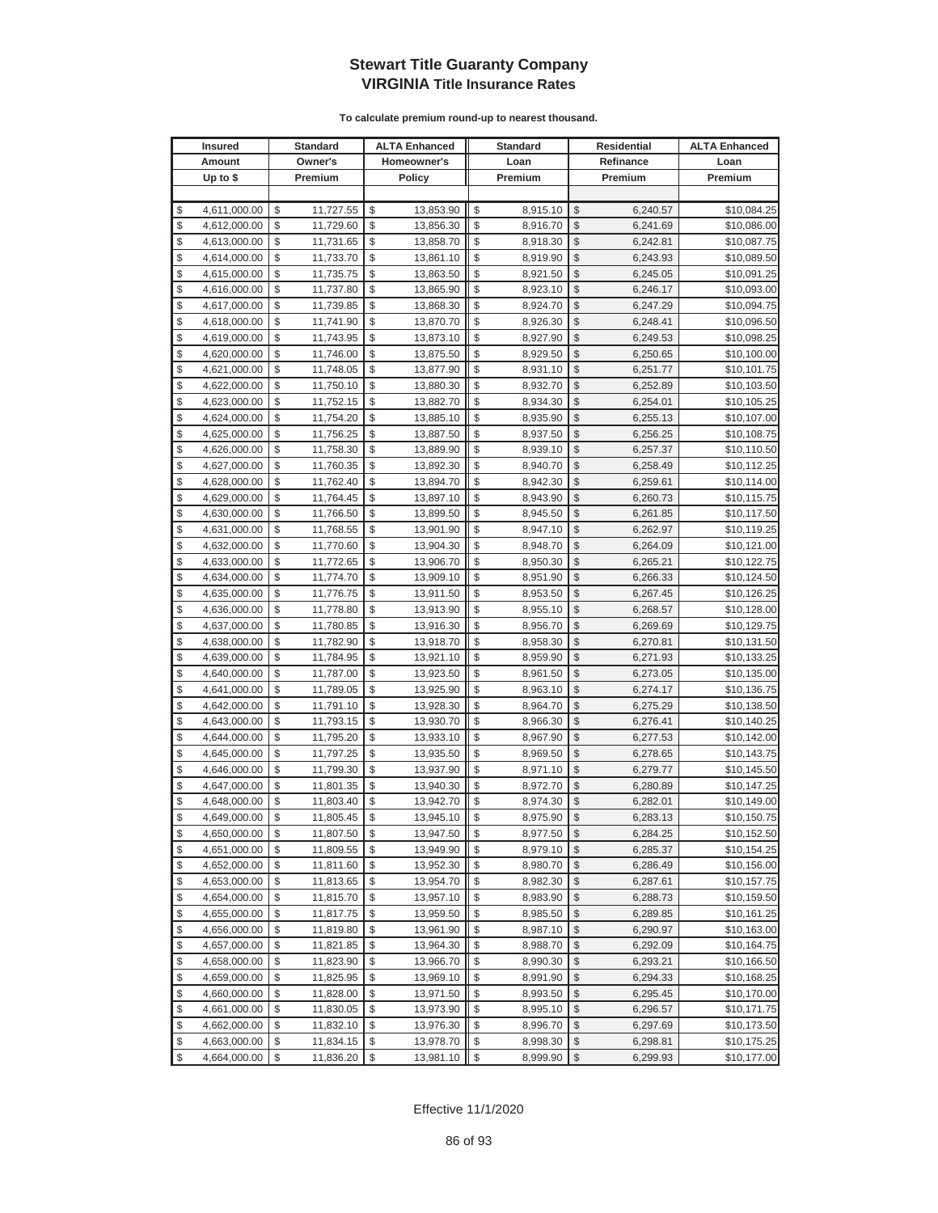| <b>Insured</b> |              | Standard        |    | <b>ALTA Enhanced</b> |       | <b>Standard</b> | Residential             |           | <b>ALTA Enhanced</b> |
|----------------|--------------|-----------------|----|----------------------|-------|-----------------|-------------------------|-----------|----------------------|
|                | Amount       | Owner's         |    | Homeowner's          |       | Loan            |                         | Refinance | Loan                 |
|                | Up to $$$    | Premium         |    | <b>Policy</b>        |       | Premium         |                         | Premium   | Premium              |
|                |              |                 |    |                      |       |                 |                         |           |                      |
| \$             | 4,611,000.00 | \$<br>11,727.55 | \$ | 13,853.90            | \$    | 8,915.10        | \$                      | 6,240.57  | \$10,084.25          |
| \$             | 4,612,000.00 | \$<br>11,729.60 | \$ | 13,856.30            | \$    | 8,916.70        | \$                      | 6,241.69  | \$10,086.00          |
| \$             | 4,613,000.00 | \$<br>11,731.65 | \$ | 13,858.70            | \$    | 8,918.30        | \$                      | 6,242.81  | \$10,087.75          |
| \$             | 4,614,000.00 | \$<br>11,733.70 | \$ | 13,861.10            | \$    | 8,919.90        | \$                      | 6,243.93  | \$10,089.50          |
| \$             | 4,615,000.00 | \$<br>11,735.75 | \$ | 13,863.50            | \$    | 8,921.50        | \$                      | 6,245.05  | \$10,091.25          |
| \$             | 4,616,000.00 | \$<br>11,737.80 | \$ | 13,865.90            | \$    | 8,923.10        | \$                      | 6,246.17  | \$10,093.00          |
| \$             | 4,617,000.00 | \$<br>11,739.85 | \$ | 13,868.30            | \$    | 8,924.70        | \$                      | 6,247.29  | \$10,094.75          |
| \$             | 4,618,000.00 | \$<br>11,741.90 | \$ | 13,870.70            | \$    | 8,926.30        | \$                      | 6,248.41  | \$10,096.50          |
| \$             | 4,619,000.00 | \$<br>11,743.95 | \$ | 13,873.10            | \$    | 8,927.90        | \$                      | 6,249.53  | \$10,098.25          |
| \$             | 4,620,000.00 | \$<br>11,746.00 | \$ | 13,875.50            | \$    | 8,929.50        | \$                      | 6,250.65  | \$10,100.00          |
| \$             | 4,621,000.00 | \$<br>11,748.05 | \$ | 13,877.90            | \$    | 8,931.10        | \$                      | 6,251.77  | \$10,101.75          |
| \$             | 4,622,000.00 | \$<br>11,750.10 | \$ | 13,880.30            | \$    | 8,932.70        | \$                      | 6,252.89  | \$10,103.50          |
| \$             | 4,623,000.00 | \$<br>11,752.15 | \$ | 13,882.70            | \$    | 8,934.30        | \$                      | 6,254.01  | \$10,105.25          |
| \$             | 4,624,000.00 | \$<br>11,754.20 | \$ | 13,885.10            | \$    | 8,935.90        | \$                      | 6,255.13  | \$10,107.00          |
| \$             | 4,625,000.00 | \$<br>11,756.25 | \$ | 13,887.50            | \$    | 8,937.50        | \$                      | 6,256.25  | \$10,108.75          |
| \$             | 4,626,000.00 | \$<br>11,758.30 | \$ | 13,889.90            | \$    | 8,939.10        | \$                      | 6,257.37  | \$10,110.50          |
| \$             | 4,627,000.00 | \$<br>11,760.35 | \$ | 13,892.30            | \$    | 8,940.70        | \$                      | 6,258.49  | \$10,112.25          |
| \$             | 4,628,000.00 | \$<br>11,762.40 | \$ | 13,894.70            | \$    | 8,942.30        | \$                      | 6,259.61  | \$10,114.00          |
| \$             | 4,629,000.00 | \$<br>11,764.45 | \$ | 13,897.10            | \$    | 8,943.90        | \$                      | 6,260.73  | \$10,115.75          |
| \$             | 4,630,000.00 | \$<br>11,766.50 | \$ | 13,899.50            | \$    | 8,945.50        | \$                      | 6,261.85  | \$10,117.50          |
| \$             | 4,631,000.00 | \$<br>11,768.55 | \$ | 13,901.90            | \$    | 8,947.10        | \$                      | 6,262.97  | \$10,119.25          |
| \$             | 4,632,000.00 | \$<br>11,770.60 | \$ | 13,904.30            | \$    | 8,948.70        | \$                      | 6,264.09  | \$10,121.00          |
| \$             | 4,633,000.00 | \$<br>11,772.65 | \$ | 13,906.70            | \$    | 8,950.30        | \$                      | 6,265.21  | \$10,122.75          |
| \$             | 4,634,000.00 | \$<br>11,774.70 | \$ | 13,909.10            | \$    | 8,951.90        | \$                      | 6,266.33  | \$10,124.50          |
| \$             | 4,635,000.00 | \$<br>11,776.75 | \$ | 13,911.50            | \$    | 8,953.50        | \$                      | 6,267.45  | \$10,126.25          |
| \$             | 4,636,000.00 | \$<br>11,778.80 | \$ | 13,913.90            | \$    | 8,955.10        | \$                      | 6,268.57  | \$10,128.00          |
| \$             | 4,637,000.00 | \$<br>11,780.85 | \$ | 13,916.30            | \$    | 8,956.70        | \$                      | 6,269.69  | \$10,129.75          |
| \$             | 4,638,000.00 | \$<br>11,782.90 | \$ | 13,918.70            | \$    | 8,958.30        | \$                      | 6,270.81  | \$10,131.50          |
| \$             | 4,639,000.00 | \$<br>11,784.95 | \$ | 13,921.10            | \$    | 8,959.90        | \$                      | 6,271.93  | \$10,133.25          |
| \$             | 4,640,000.00 | \$<br>11,787.00 | \$ | 13,923.50            | \$    | 8,961.50        | \$                      | 6,273.05  | \$10,135.00          |
| \$             | 4,641,000.00 | \$<br>11,789.05 | \$ | 13,925.90            | \$    | 8,963.10        | \$                      | 6,274.17  | \$10,136.75          |
| \$             | 4,642,000.00 | \$<br>11,791.10 | \$ | 13,928.30            | \$    | 8,964.70        | \$                      | 6,275.29  | \$10,138.50          |
| \$             | 4,643,000.00 | \$<br>11,793.15 | \$ | 13,930.70            | \$    | 8,966.30        | \$                      | 6,276.41  | \$10,140.25          |
| \$             | 4,644,000.00 | \$<br>11,795.20 | \$ | 13,933.10            | \$    | 8,967.90        | \$                      | 6,277.53  | \$10,142.00          |
| \$             | 4,645,000.00 | \$<br>11,797.25 | \$ | 13,935.50            | \$    | 8,969.50        | \$                      | 6,278.65  | \$10,143.75          |
| \$             | 4,646,000.00 | \$<br>11,799.30 | \$ | 13,937.90            | \$    | 8,971.10        | \$                      | 6,279.77  | \$10,145.50          |
| \$             | 4,647,000.00 | \$<br>11,801.35 | \$ | 13,940.30            | \$    | 8,972.70        | \$                      | 6,280.89  | \$10,147.25          |
| \$             | 4,648,000.00 | \$<br>11,803.40 | \$ | 13,942.70            | \$    | 8,974.30        | \$                      | 6,282.01  | \$10,149.00          |
| \$             | 4,649,000.00 | \$<br>11,805.45 | \$ | 13,945.10            | \$    | 8,975.90        | \$                      | 6,283.13  | \$10,150.75          |
| \$             | 4,650,000.00 | \$<br>11,807.50 | \$ | 13,947.50            | \$    | 8,977.50        | $\sqrt[6]{3}$           | 6,284.25  | \$10,152.50          |
| \$             | 4,651,000.00 | \$<br>11,809.55 | \$ | 13,949.90            | \$    | 8,979.10        | $\mathcal{S}$           | 6,285.37  | \$10,154.25          |
| \$             | 4,652,000.00 | \$<br>11,811.60 | \$ | 13,952.30            | \$    | 8,980.70        | $\frac{1}{2}$           | 6,286.49  | \$10,156.00          |
| \$             | 4,653,000.00 | \$<br>11,813.65 | \$ | 13,954.70            | \$    | 8,982.30        | \$                      | 6,287.61  | \$10,157.75          |
| \$             | 4,654,000.00 | \$<br>11,815.70 | \$ | 13,957.10            | \$    | 8,983.90        | \$                      | 6,288.73  | \$10,159.50          |
| \$             | 4,655,000.00 | \$<br>11,817.75 | \$ | 13,959.50            | \$    | 8,985.50        | \$                      | 6,289.85  | \$10,161.25          |
| \$             | 4,656,000.00 | \$<br>11,819.80 | \$ | 13,961.90            | \$    | 8,987.10        | \$                      | 6,290.97  | \$10,163.00          |
| \$             | 4,657,000.00 | \$<br>11,821.85 | \$ | 13,964.30            | \$    | 8,988.70        | \$                      | 6,292.09  | \$10,164.75          |
| \$             | 4,658,000.00 | \$<br>11,823.90 | \$ | 13,966.70            | \$    | 8,990.30        | \$                      | 6,293.21  | \$10,166.50          |
| \$             | 4,659,000.00 | \$<br>11,825.95 | \$ | 13,969.10            | \$    | 8,991.90        | \$                      | 6,294.33  | \$10,168.25          |
| \$             | 4,660,000.00 | \$<br>11,828.00 | \$ | 13,971.50            | \$    | 8,993.50        | \$                      | 6,295.45  | \$10,170.00          |
| \$             | 4,661,000.00 | \$<br>11,830.05 | \$ | 13,973.90            | \$    | 8,995.10        | \$                      | 6,296.57  | \$10,171.75          |
| \$             | 4,662,000.00 | \$<br>11,832.10 | \$ | 13,976.30            | \$    | 8,996.70        | \$                      | 6,297.69  | \$10,173.50          |
| \$             | 4,663,000.00 | \$<br>11,834.15 | \$ | 13,978.70            | \$    | 8,998.30        | \$                      | 6,298.81  | \$10,175.25          |
| \$             | 4,664,000.00 | \$<br>11,836.20 | \$ | 13,981.10            | $\$\$ | 8,999.90        | $\sqrt[6]{\frac{1}{2}}$ | 6,299.93  | \$10,177.00          |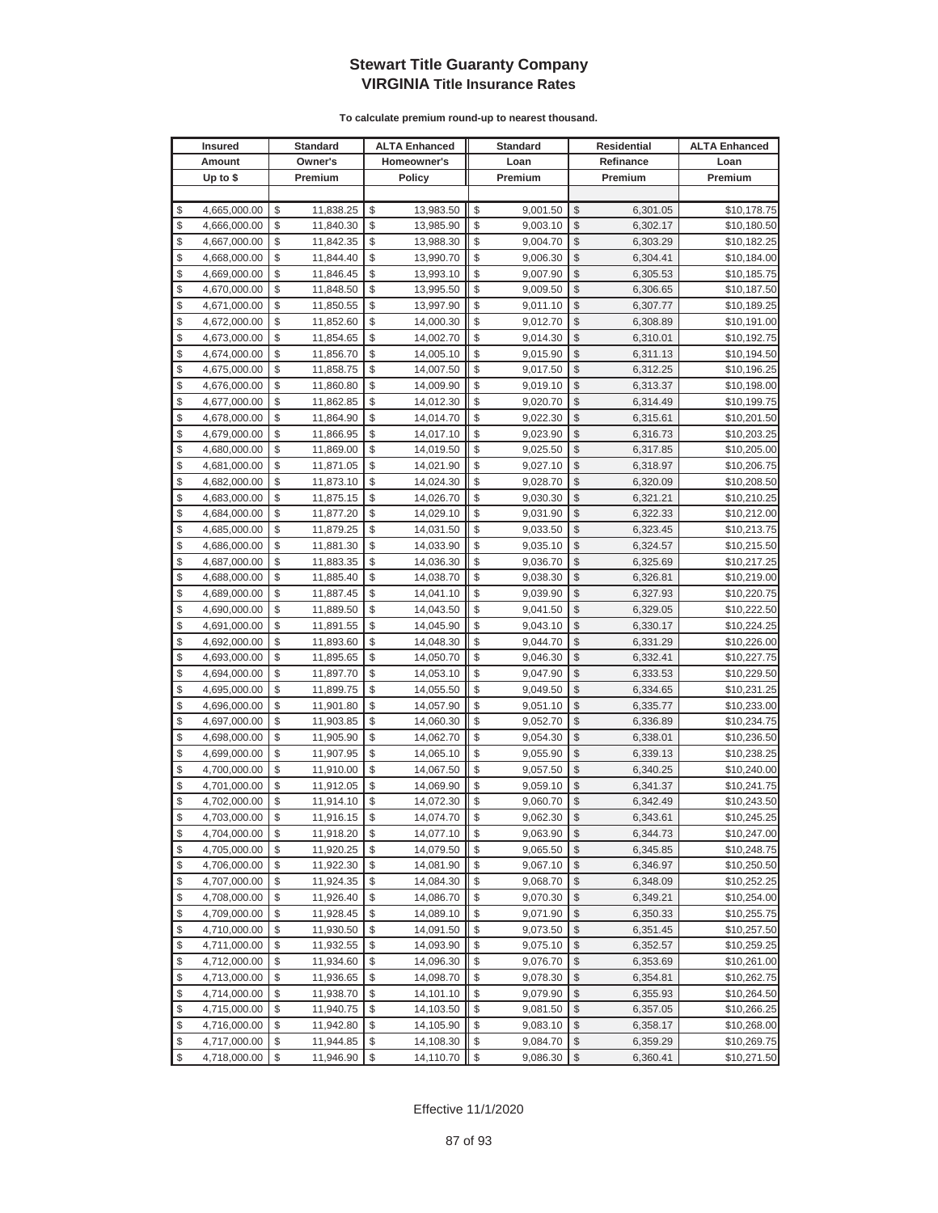| <b>Insured</b> |                              |          | <b>Standard</b>        | <b>ALTA Enhanced</b> |                        | <b>Standard</b> |                      | Residential             |                      | <b>ALTA Enhanced</b>       |
|----------------|------------------------------|----------|------------------------|----------------------|------------------------|-----------------|----------------------|-------------------------|----------------------|----------------------------|
|                | Amount                       |          | Owner's                | Homeowner's          |                        |                 | Loan                 |                         | Refinance            | Loan                       |
|                | Up to $$$                    |          | Premium                | <b>Policy</b>        |                        |                 | Premium              |                         | Premium              | Premium                    |
|                |                              |          |                        |                      |                        |                 |                      |                         |                      |                            |
| \$             | 4,665,000.00                 | \$       | 11,838.25              | \$                   | 13,983.50              | \$              | 9,001.50             | \$                      | 6,301.05             | \$10,178.75                |
| \$             | 4,666,000.00                 | \$       | 11,840.30              | \$                   | 13,985.90              | \$              | 9,003.10             | \$                      | 6,302.17             | \$10,180.50                |
| \$             | 4,667,000.00                 | \$       | 11,842.35              | \$                   | 13,988.30              | \$              | 9,004.70             | \$                      | 6,303.29             | \$10,182.25                |
| \$             | 4,668,000.00                 | \$       | 11,844.40              | \$                   | 13,990.70              | \$              | 9,006.30             | \$                      | 6,304.41             | \$10,184.00                |
| \$             | 4,669,000.00                 | \$       | 11,846.45              | \$                   | 13,993.10              | \$              | 9,007.90             | \$                      | 6,305.53             | \$10,185.75                |
| \$             | 4,670,000.00                 | \$       | 11,848.50              | \$                   | 13,995.50              | \$              | 9,009.50             | \$                      | 6,306.65             | \$10,187.50                |
| \$             | 4,671,000.00                 | \$       | 11,850.55              | \$                   | 13,997.90              | \$              | 9,011.10             | \$                      | 6,307.77             | \$10,189.25                |
| \$             | 4,672,000.00                 | \$       | 11,852.60              | \$                   | 14,000.30              | \$              | 9,012.70             | \$                      | 6,308.89             | \$10,191.00                |
| \$             | 4,673,000.00                 | \$       | 11,854.65              | \$                   | 14,002.70              | \$              | 9,014.30             | \$                      | 6,310.01             | \$10,192.75                |
| \$             | 4,674,000.00                 | \$       | 11,856.70              | \$                   | 14,005.10              | \$              | 9,015.90             | \$                      | 6,311.13             | \$10,194.50                |
| \$             | 4,675,000.00                 | \$       | 11,858.75              | \$                   | 14,007.50              | \$              | 9,017.50             | \$                      | 6,312.25             | \$10,196.25                |
| \$             | 4,676,000.00                 | \$       | 11,860.80              | \$                   | 14,009.90              | \$              | 9,019.10             | \$                      | 6,313.37             | \$10,198.00                |
| \$             | 4,677,000.00                 | \$       | 11,862.85              | \$                   | 14,012.30              | \$              | 9,020.70             | \$                      | 6,314.49             | \$10,199.75                |
| \$             | 4,678,000.00                 | \$       | 11,864.90              | \$                   | 14,014.70              | \$              | 9,022.30             | \$                      | 6,315.61             | \$10,201.50                |
| \$             | 4,679,000.00                 | \$       | 11,866.95              | \$                   | 14,017.10              | \$              | 9,023.90             | \$                      | 6,316.73             | \$10,203.25                |
| \$             | 4,680,000.00                 | \$       | 11,869.00              | \$                   | 14,019.50              | \$              | 9,025.50             | \$                      | 6,317.85             | \$10,205.00                |
| \$             | 4,681,000.00                 | \$       | 11,871.05              | \$                   | 14,021.90              | \$              | 9,027.10             | \$                      | 6,318.97             | \$10,206.75                |
| \$             | 4,682,000.00                 | \$       | 11,873.10              | \$                   | 14,024.30              | \$              | 9,028.70             | \$                      | 6,320.09             | \$10,208.50                |
| \$             | 4,683,000.00                 | \$       | 11,875.15              | \$                   | 14,026.70              | \$              | 9,030.30             | \$                      | 6,321.21             | \$10,210.25                |
| \$             | 4,684,000.00                 | \$       | 11,877.20              | \$                   | 14,029.10              | \$              | 9,031.90             | \$                      | 6,322.33             | \$10,212.00                |
| \$             | 4,685,000.00                 | \$       | 11,879.25              | \$                   | 14,031.50              | \$              | 9,033.50             | \$                      | 6,323.45             | \$10,213.75                |
| \$             | 4,686,000.00                 | \$       | 11,881.30              | \$                   | 14,033.90              | \$              | 9,035.10             | \$                      | 6,324.57             | \$10,215.50                |
| \$             | 4,687,000.00                 | \$       | 11,883.35              | \$                   | 14,036.30              | \$              | 9,036.70             | \$                      | 6,325.69             | \$10,217.25                |
| \$             | 4,688,000.00                 | \$       | 11,885.40              | \$                   | 14,038.70              | \$              | 9,038.30             | \$                      | 6,326.81             | \$10,219.00                |
| \$             | 4,689,000.00                 | \$       | 11,887.45              | \$                   | 14,041.10              | \$              | 9,039.90             | \$                      | 6,327.93             | \$10,220.75                |
| \$             | 4,690,000.00                 | \$       | 11,889.50              | \$                   | 14,043.50              | \$              | 9,041.50             | \$                      | 6,329.05             | \$10,222.50                |
| \$             | 4,691,000.00                 | \$       | 11,891.55              | \$                   | 14,045.90              | \$              | 9,043.10             | \$                      | 6,330.17             | \$10,224.25                |
| \$             | 4,692,000.00                 | \$       | 11,893.60              | \$                   | 14,048.30              | \$              | 9,044.70             | \$                      | 6,331.29             | \$10,226.00                |
| \$             | 4,693,000.00                 | \$       | 11,895.65              | \$                   | 14,050.70              | \$              | 9,046.30             | \$                      | 6,332.41             | \$10,227.75                |
| \$             | 4,694,000.00                 | \$       | 11,897.70              | \$                   | 14,053.10              | \$              | 9,047.90             | \$                      | 6,333.53             | \$10,229.50                |
| \$             | 4,695,000.00                 | \$       | 11,899.75              | \$                   | 14,055.50              | \$              | 9,049.50             | \$                      | 6,334.65             | \$10,231.25                |
| \$             | 4,696,000.00                 | \$       | 11,901.80              | \$                   | 14,057.90              | \$              | 9,051.10             | \$                      | 6,335.77             | \$10,233.00                |
| \$             | 4,697,000.00                 | \$       | 11,903.85              | \$                   | 14,060.30              | \$              | 9,052.70             | \$                      | 6,336.89             | \$10,234.75                |
| \$             | 4,698,000.00                 | \$       | 11,905.90              | \$                   | 14,062.70              | \$              | 9,054.30             | \$                      | 6,338.01             | \$10,236.50                |
| \$             | 4,699,000.00                 | \$       | 11,907.95              | \$                   | 14,065.10              | \$              | 9,055.90             | \$                      | 6,339.13             | \$10,238.25                |
| \$<br>\$       | 4,700,000.00<br>4,701,000.00 | \$<br>\$ | 11,910.00              | \$<br>\$             | 14,067.50<br>14,069.90 | \$<br>\$        | 9,057.50             | \$<br>\$                | 6,340.25             | \$10,240.00                |
| \$             |                              | \$       | 11,912.05              | \$                   |                        | \$              | 9,059.10<br>9,060.70 | \$                      | 6,341.37             | \$10,241.75                |
| \$             | 4,702,000.00<br>4,703,000.00 | \$       | 11,914.10<br>11,916.15 | \$                   | 14,072.30<br>14,074.70 | \$              | 9,062.30             | $\mathbb{S}$            | 6,342.49<br>6,343.61 | \$10,243.50<br>\$10,245.25 |
| \$             | 4,704,000.00                 | \$       | 11,918.20              | \$                   | 14,077.10              | \$              | 9,063.90             | \$                      | 6,344.73             | \$10,247.00                |
| \$             | 4,705,000.00                 | \$       | 11,920.25              | \$                   | 14,079.50              |                 | 9,065.50             | \$                      | 6,345.85             | \$10,248.75                |
| \$             | 4,706,000.00                 | \$       | 11,922.30              | \$                   | 14,081.90              | \$              | 9,067.10             | \$                      | 6,346.97             | \$10,250.50                |
| \$             | 4,707,000.00                 | \$       | 11,924.35              | \$                   | 14,084.30              | \$              | 9,068.70             | \$                      | 6,348.09             | \$10,252.25                |
| \$             | 4,708,000.00                 | \$       | 11,926.40              | \$                   | 14,086.70              | \$              | 9,070.30             | \$                      | 6,349.21             | \$10,254.00                |
| \$             | 4,709,000.00                 | \$       | 11,928.45              | \$                   | 14,089.10              | \$              | 9,071.90             | \$                      | 6,350.33             | \$10,255.75                |
| \$             | 4,710,000.00                 | \$       | 11,930.50              | \$                   | 14,091.50              | \$              | 9,073.50             | \$                      | 6,351.45             | \$10,257.50                |
| \$             | 4,711,000.00                 | \$       | 11,932.55              | \$                   | 14,093.90              | \$              | 9,075.10             | \$                      | 6,352.57             | \$10,259.25                |
| \$             | 4,712,000.00                 | \$       | 11,934.60              | \$                   | 14,096.30              | \$              | 9,076.70             | \$                      | 6,353.69             | \$10,261.00                |
| \$             | 4,713,000.00                 | \$       | 11,936.65              | \$                   | 14,098.70              | \$              | 9,078.30             | \$                      | 6,354.81             | \$10,262.75                |
| \$             | 4,714,000.00                 | \$       | 11,938.70              | \$                   | 14,101.10              | \$              | 9,079.90             | \$                      | 6,355.93             | \$10,264.50                |
| \$             | 4,715,000.00                 | \$       | 11,940.75              | \$                   | 14,103.50              | \$              | 9,081.50             | \$                      | 6,357.05             | \$10,266.25                |
| \$             | 4,716,000.00                 | \$       | 11,942.80              | \$                   | 14,105.90              | \$              | 9,083.10             | \$                      | 6,358.17             | \$10,268.00                |
| \$             | 4,717,000.00                 | \$       | 11,944.85              | \$                   | 14,108.30              | \$              | 9,084.70             | \$                      | 6,359.29             | \$10,269.75                |
| \$             | 4,718,000.00                 | \$       | 11,946.90              | \$                   | 14,110.70              | \$              | 9,086.30             | $\sqrt[6]{\frac{1}{2}}$ | 6,360.41             | \$10,271.50                |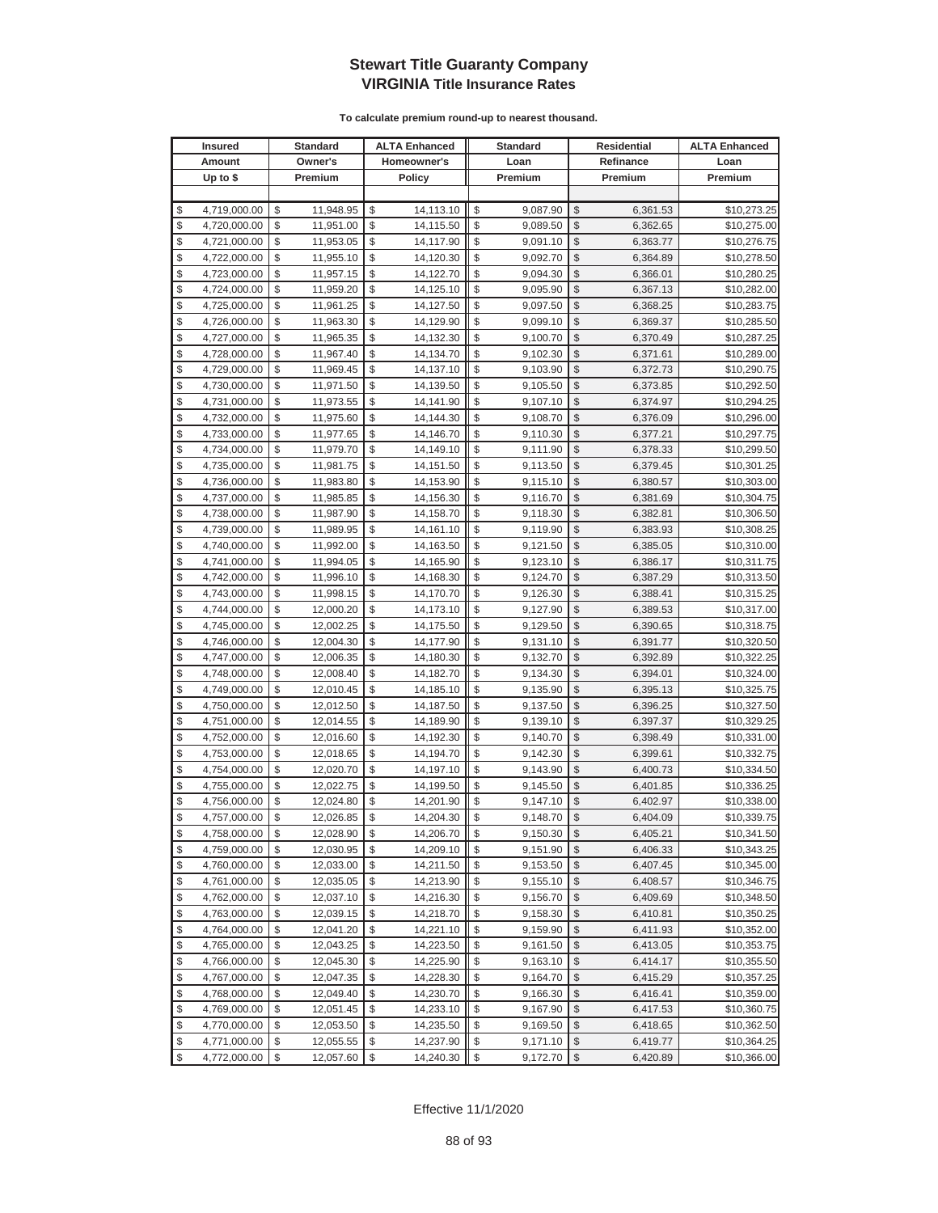| <b>Insured</b> |              | <b>Standard</b> |    | <b>ALTA Enhanced</b> | <b>Standard</b> |          | Residential             |           | <b>ALTA Enhanced</b> |
|----------------|--------------|-----------------|----|----------------------|-----------------|----------|-------------------------|-----------|----------------------|
|                | Amount       | Owner's         |    | Homeowner's          |                 | Loan     |                         | Refinance | Loan                 |
|                | Up to $$$    | Premium         |    | <b>Policy</b>        |                 | Premium  |                         | Premium   | Premium              |
|                |              |                 |    |                      |                 |          |                         |           |                      |
| \$             | 4,719,000.00 | \$<br>11,948.95 | \$ | 14,113.10            | \$              | 9,087.90 | \$                      | 6,361.53  | \$10,273.25          |
| \$             | 4,720,000.00 | \$<br>11,951.00 | \$ | 14,115.50            | \$              | 9,089.50 | \$                      | 6,362.65  | \$10,275.00          |
| \$             | 4,721,000.00 | \$<br>11,953.05 | \$ | 14,117.90            | \$              | 9,091.10 | \$                      | 6,363.77  | \$10,276.75          |
| \$             | 4,722,000.00 | \$<br>11,955.10 | \$ | 14,120.30            | \$              | 9,092.70 | \$                      | 6,364.89  | \$10,278.50          |
| \$             | 4,723,000.00 | \$<br>11,957.15 | \$ | 14,122.70            | \$              | 9,094.30 | \$                      | 6,366.01  | \$10,280.25          |
| \$             | 4,724,000.00 | \$<br>11,959.20 | \$ | 14,125.10            | \$              | 9,095.90 | \$                      | 6,367.13  | \$10,282.00          |
| \$             | 4,725,000.00 | \$<br>11,961.25 | \$ | 14,127.50            | \$              | 9,097.50 | \$                      | 6,368.25  | \$10,283.75          |
| \$             | 4,726,000.00 | \$<br>11,963.30 | \$ | 14,129.90            | \$              | 9,099.10 | \$                      | 6,369.37  | \$10,285.50          |
| \$             | 4,727,000.00 | \$<br>11,965.35 | \$ | 14,132.30            | \$              | 9,100.70 | \$                      | 6,370.49  | \$10,287.25          |
| \$             | 4,728,000.00 | \$<br>11,967.40 | \$ | 14,134.70            | \$              | 9,102.30 | \$                      | 6,371.61  | \$10,289.00          |
| \$             | 4,729,000.00 | \$<br>11,969.45 | \$ | 14,137.10            | \$              | 9,103.90 | \$                      | 6,372.73  | \$10,290.75          |
| \$             | 4,730,000.00 | \$<br>11,971.50 | \$ | 14,139.50            | \$              | 9,105.50 | \$                      | 6,373.85  | \$10,292.50          |
| \$             | 4,731,000.00 | \$<br>11,973.55 | \$ | 14,141.90            | \$              | 9,107.10 | \$                      | 6,374.97  | \$10,294.25          |
| \$             | 4,732,000.00 | \$<br>11,975.60 | \$ | 14,144.30            | \$              | 9,108.70 | \$                      | 6,376.09  | \$10,296.00          |
| \$             | 4,733,000.00 | \$<br>11,977.65 | \$ | 14,146.70            | \$              | 9,110.30 | \$                      | 6,377.21  | \$10,297.75          |
| \$             | 4,734,000.00 | \$<br>11,979.70 | \$ | 14,149.10            | \$              | 9,111.90 | \$                      | 6,378.33  | \$10,299.50          |
| \$             | 4,735,000.00 | \$<br>11,981.75 | \$ | 14,151.50            | \$              | 9,113.50 | \$                      | 6,379.45  | \$10,301.25          |
| \$             | 4,736,000.00 | \$<br>11,983.80 | \$ | 14,153.90            | \$              | 9,115.10 | \$                      | 6,380.57  | \$10,303.00          |
| \$             | 4,737,000.00 | \$<br>11,985.85 | \$ | 14,156.30            | \$              | 9,116.70 | \$                      | 6,381.69  | \$10,304.75          |
| \$             | 4,738,000.00 | \$<br>11,987.90 | \$ | 14,158.70            | \$              | 9,118.30 | \$                      | 6,382.81  | \$10,306.50          |
| \$             | 4,739,000.00 | \$<br>11,989.95 | \$ | 14,161.10            | \$              | 9,119.90 | \$                      | 6,383.93  | \$10,308.25          |
| \$             | 4,740,000.00 | \$<br>11,992.00 | \$ | 14,163.50            | \$              | 9,121.50 | \$                      | 6,385.05  | \$10,310.00          |
| \$             | 4,741,000.00 | \$<br>11,994.05 | \$ | 14,165.90            | \$              | 9,123.10 | \$                      | 6,386.17  | \$10,311.75          |
| \$             | 4,742,000.00 | \$<br>11,996.10 | \$ | 14,168.30            | \$              | 9,124.70 | \$                      | 6,387.29  | \$10,313.50          |
| \$             | 4,743,000.00 | \$<br>11,998.15 | \$ | 14,170.70            | \$              | 9,126.30 | \$                      | 6,388.41  | \$10,315.25          |
| \$             | 4,744,000.00 | \$<br>12,000.20 | \$ | 14,173.10            | \$              | 9,127.90 | \$                      | 6,389.53  | \$10,317.00          |
| \$             | 4,745,000.00 | \$<br>12,002.25 | \$ | 14,175.50            | \$              | 9,129.50 | \$                      | 6,390.65  | \$10,318.75          |
| \$             | 4,746,000.00 | \$<br>12,004.30 | \$ | 14,177.90            | \$              | 9,131.10 | \$                      | 6,391.77  | \$10,320.50          |
| \$             | 4,747,000.00 | \$<br>12,006.35 | \$ | 14,180.30            | \$              | 9,132.70 | \$                      | 6,392.89  | \$10,322.25          |
| \$             | 4,748,000.00 | \$<br>12,008.40 | \$ | 14,182.70            | \$              | 9,134.30 | \$                      | 6,394.01  | \$10,324.00          |
| \$             | 4,749,000.00 | \$<br>12,010.45 | \$ | 14,185.10            | \$              | 9,135.90 | \$                      | 6,395.13  | \$10,325.75          |
| \$             | 4,750,000.00 | \$<br>12,012.50 | \$ | 14,187.50            | \$              | 9,137.50 | \$                      | 6,396.25  | \$10,327.50          |
| \$             | 4,751,000.00 | \$<br>12,014.55 | \$ | 14,189.90            | \$              | 9,139.10 | \$                      | 6,397.37  | \$10,329.25          |
| \$             | 4,752,000.00 | \$<br>12,016.60 | \$ | 14,192.30            | \$              | 9,140.70 | \$                      | 6,398.49  | \$10,331.00          |
| \$             | 4,753,000.00 | \$<br>12,018.65 | \$ | 14,194.70            | \$              | 9,142.30 | \$                      | 6,399.61  | \$10,332.75          |
| \$             | 4,754,000.00 | \$<br>12,020.70 | \$ | 14,197.10            | \$              | 9,143.90 | \$                      | 6,400.73  | \$10,334.50          |
| \$             | 4,755,000.00 | \$<br>12,022.75 | \$ | 14,199.50            | \$              | 9,145.50 | \$                      | 6,401.85  | \$10,336.25          |
| \$             | 4,756,000.00 | \$<br>12,024.80 | \$ | 14,201.90            | \$              | 9,147.10 | \$                      | 6,402.97  | \$10,338.00          |
| \$             | 4,757,000.00 | \$<br>12,026.85 | \$ | 14,204.30            | \$              | 9,148.70 | $\mathbb{S}$            | 6,404.09  | \$10,339.75          |
| \$             | 4,758,000.00 | \$<br>12,028.90 | \$ | 14,206.70            | \$              | 9,150.30 | \$                      | 6,405.21  | \$10,341.50          |
| \$             | 4,759,000.00 | \$<br>12,030.95 | \$ | 14,209.10            |                 | 9,151.90 | \$                      | 6,406.33  | \$10,343.25          |
| \$             | 4,760,000.00 | \$<br>12,033.00 | \$ | 14,211.50            | \$              | 9,153.50 | \$                      | 6,407.45  | \$10,345.00          |
| \$             | 4,761,000.00 | \$<br>12,035.05 | \$ | 14,213.90            | \$              | 9,155.10 | \$                      | 6,408.57  | \$10,346.75          |
| \$             | 4,762,000.00 | \$<br>12,037.10 | \$ | 14,216.30            | \$              | 9,156.70 | \$                      | 6,409.69  | \$10,348.50          |
| \$             | 4,763,000.00 | \$<br>12,039.15 | \$ | 14,218.70            | \$              | 9,158.30 | \$                      | 6,410.81  | \$10,350.25          |
| \$             | 4,764,000.00 | \$<br>12,041.20 | \$ | 14,221.10            | \$              | 9,159.90 | \$                      | 6,411.93  | \$10,352.00          |
| \$             | 4,765,000.00 | \$<br>12,043.25 | \$ | 14,223.50            | \$              | 9,161.50 | \$                      | 6,413.05  | \$10,353.75          |
| \$             | 4,766,000.00 | \$<br>12,045.30 | \$ | 14,225.90            | \$              | 9,163.10 | \$                      | 6,414.17  | \$10,355.50          |
| \$             | 4,767,000.00 | \$<br>12,047.35 | \$ | 14,228.30            | \$              | 9,164.70 | \$                      | 6,415.29  | \$10,357.25          |
| \$             | 4,768,000.00 | \$<br>12,049.40 | \$ | 14,230.70            | \$              | 9,166.30 | \$                      | 6,416.41  | \$10,359.00          |
| \$             | 4,769,000.00 | \$<br>12,051.45 | \$ | 14,233.10            | \$              | 9,167.90 | \$                      | 6,417.53  | \$10,360.75          |
| \$             | 4,770,000.00 | \$<br>12,053.50 | \$ | 14,235.50            | \$              | 9,169.50 | \$                      | 6,418.65  | \$10,362.50          |
| \$             | 4,771,000.00 | \$<br>12,055.55 | \$ | 14,237.90            | \$              | 9,171.10 | \$                      | 6,419.77  | \$10,364.25          |
| \$             | 4,772,000.00 | \$<br>12,057.60 | \$ | 14,240.30            | \$              | 9,172.70 | $\sqrt[6]{\frac{1}{2}}$ | 6,420.89  | \$10,366.00          |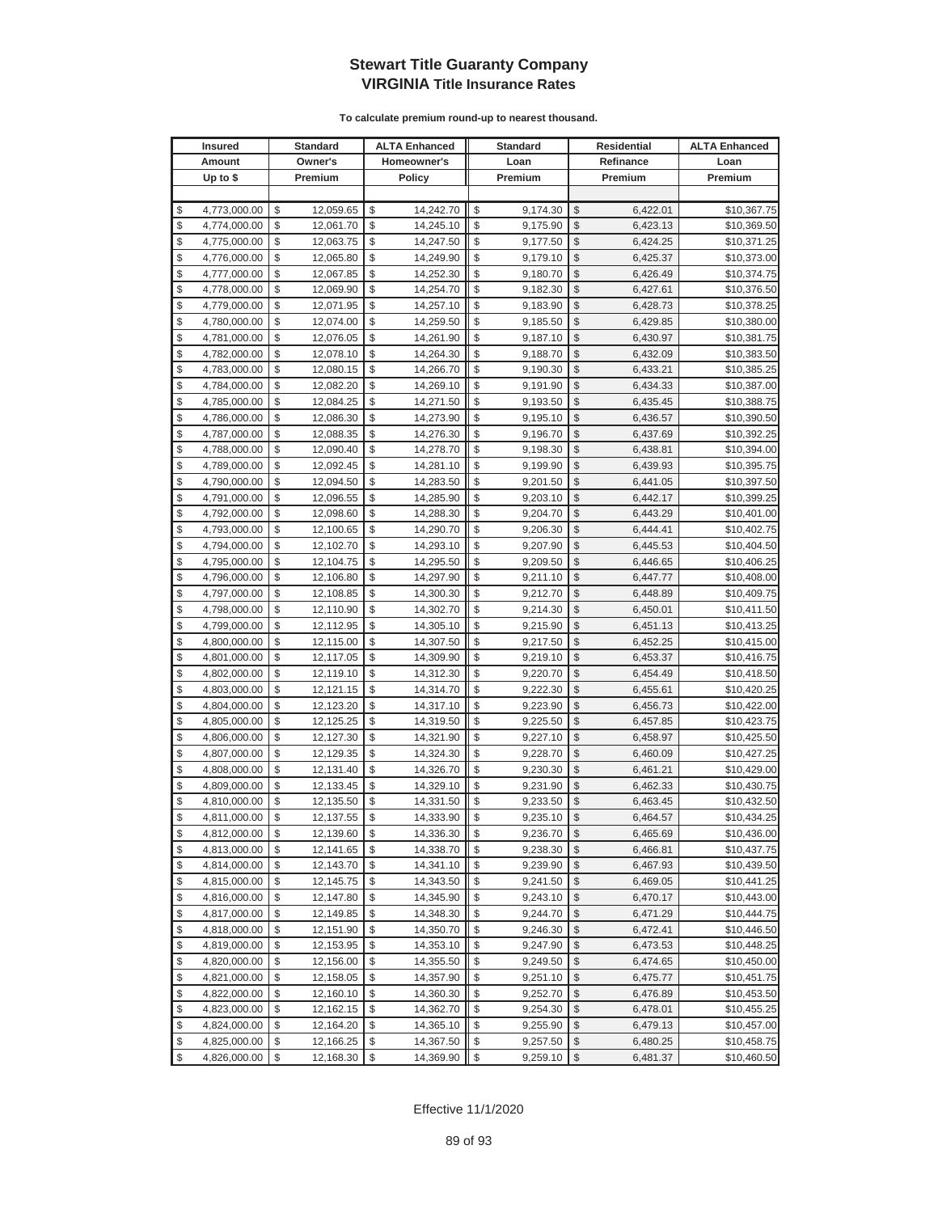| <b>Insured</b> |                              | <b>Standard</b> |                        |          | <b>ALTA Enhanced</b>   |          | <b>Standard</b>      | Residential             |                      | <b>ALTA Enhanced</b>       |
|----------------|------------------------------|-----------------|------------------------|----------|------------------------|----------|----------------------|-------------------------|----------------------|----------------------------|
|                | Amount                       |                 | Owner's                |          | Homeowner's            |          | Loan                 |                         | Refinance            | Loan                       |
|                | Up to $$$                    |                 | Premium                |          | <b>Policy</b>          |          | Premium              |                         | Premium              | Premium                    |
|                |                              |                 |                        |          |                        |          |                      |                         |                      |                            |
| \$             | 4,773,000.00                 | \$              | 12,059.65              | \$       | 14,242.70              | \$       | 9,174.30             | \$                      | 6,422.01             | \$10,367.75                |
| \$             | 4,774,000.00                 | \$              | 12,061.70              | \$       | 14,245.10              | \$       | 9,175.90             | \$                      | 6,423.13             | \$10,369.50                |
| \$             | 4,775,000.00                 | \$              | 12,063.75              | \$       | 14,247.50              | \$       | 9,177.50             | \$                      | 6,424.25             | \$10,371.25                |
| \$             | 4,776,000.00                 | \$              | 12,065.80              | \$       | 14,249.90              | \$       | 9,179.10             | \$                      | 6,425.37             | \$10,373.00                |
| \$             | 4,777,000.00                 | \$              | 12,067.85              | \$       | 14,252.30              | \$       | 9,180.70             | \$                      | 6,426.49             | \$10,374.75                |
| \$             | 4,778,000.00                 | \$              | 12,069.90              | \$       | 14,254.70              | \$       | 9,182.30             | \$                      | 6,427.61             | \$10,376.50                |
| \$             | 4,779,000.00                 | \$              | 12,071.95              | \$       | 14,257.10              | \$       | 9,183.90             | \$                      | 6,428.73             | \$10,378.25                |
| \$             | 4,780,000.00                 | \$              | 12,074.00              | \$       | 14,259.50              | \$       | 9,185.50             | \$                      | 6,429.85             | \$10,380.00                |
| \$             | 4,781,000.00                 | \$              | 12,076.05              | \$       | 14,261.90              | \$       | 9,187.10             | \$                      | 6,430.97             | \$10,381.75                |
| \$             | 4,782,000.00                 | \$              | 12,078.10              | \$       | 14,264.30              | \$       | 9,188.70             | \$                      | 6,432.09             | \$10,383.50                |
| \$             | 4,783,000.00                 | \$              | 12,080.15              | \$       | 14,266.70              | \$       | 9,190.30             | \$                      | 6,433.21             | \$10,385.25                |
| \$             | 4,784,000.00                 | \$              | 12,082.20              | \$       | 14,269.10              | \$       | 9,191.90             | \$                      | 6,434.33             | \$10,387.00                |
| \$             | 4,785,000.00                 | \$              | 12,084.25              | \$       | 14,271.50              | \$       | 9,193.50             | \$                      | 6,435.45             | \$10,388.75                |
| \$             | 4,786,000.00                 | \$              | 12,086.30              | \$       | 14,273.90              | \$       | 9,195.10             | \$                      | 6,436.57             | \$10,390.50                |
| \$             | 4,787,000.00                 | \$              | 12,088.35              | \$       | 14,276.30              | \$       | 9,196.70             | \$                      | 6,437.69             | \$10,392.25                |
| \$             | 4,788,000.00                 | \$              | 12,090.40              | \$       | 14,278.70              | \$       | 9,198.30             | \$                      | 6,438.81             | \$10,394.00                |
| \$             | 4,789,000.00                 | \$              | 12,092.45              | \$       | 14,281.10              | \$       | 9,199.90             | \$                      | 6,439.93             | \$10,395.75                |
| \$             | 4,790,000.00                 | \$              | 12,094.50              | \$       | 14,283.50              | \$       | 9,201.50             | \$                      | 6,441.05             | \$10,397.50                |
| \$             | 4,791,000.00                 | \$              | 12,096.55              | \$       | 14,285.90              | \$       | 9,203.10             | \$                      | 6,442.17             | \$10,399.25                |
| \$             | 4,792,000.00                 | \$              | 12,098.60              | \$       | 14,288.30              | \$       | 9,204.70             | \$                      | 6,443.29             | \$10,401.00                |
| \$             | 4,793,000.00                 | \$              | 12,100.65              | \$       | 14,290.70              | \$       | 9,206.30             | \$                      | 6,444.41             | \$10,402.75                |
| \$             | 4,794,000.00                 | \$              | 12,102.70              | \$       | 14,293.10              | \$       | 9,207.90             | \$                      | 6,445.53             | \$10,404.50                |
| \$             | 4,795,000.00                 | \$              | 12,104.75              | \$       | 14,295.50              | \$       | 9,209.50             | \$                      | 6,446.65             | \$10,406.25                |
| \$             | 4,796,000.00                 | \$              | 12,106.80              | \$       | 14,297.90              | \$       | 9,211.10             | \$                      | 6,447.77             | \$10,408.00                |
| \$             | 4,797,000.00                 | \$              | 12,108.85              | \$       | 14,300.30              | \$       | 9,212.70             | \$                      | 6,448.89             | \$10,409.75                |
| \$             | 4,798,000.00                 | \$              | 12,110.90              | \$       | 14,302.70              | \$       | 9,214.30             | \$                      | 6,450.01             | \$10,411.50                |
| \$             | 4,799,000.00                 | \$              | 12,112.95              | \$       | 14,305.10              | \$       | 9,215.90             | \$                      | 6,451.13             | \$10,413.25                |
| \$             | 4,800,000.00                 | \$              | 12,115.00              | \$       | 14,307.50              | \$       | 9,217.50             | \$                      | 6,452.25             | \$10,415.00                |
| \$             | 4,801,000.00                 | \$              | 12,117.05              | \$       | 14,309.90              | \$       | 9,219.10             | \$                      | 6,453.37             | \$10,416.75                |
| \$             | 4,802,000.00                 | \$              | 12,119.10              | \$       | 14,312.30              | \$       | 9,220.70             | \$                      | 6,454.49             | \$10,418.50                |
| \$             | 4,803,000.00                 | \$              | 12,121.15              | \$       | 14,314.70              | \$       | 9,222.30             | \$                      | 6,455.61             | \$10,420.25                |
| \$             | 4,804,000.00                 | \$              | 12,123.20              | \$       | 14,317.10              | \$       | 9,223.90             | \$                      | 6,456.73             | \$10,422.00                |
| \$             | 4,805,000.00                 | \$              | 12,125.25              | \$       | 14,319.50              | \$       | 9,225.50             | \$                      | 6,457.85             | \$10,423.75                |
| \$             | 4,806,000.00                 | \$              | 12,127.30              | \$       | 14,321.90              | \$       | 9,227.10             | \$                      | 6,458.97             | \$10,425.50                |
| \$             | 4,807,000.00                 | \$              | 12,129.35              | \$       | 14,324.30              | \$       | 9,228.70             | \$                      | 6,460.09             | \$10,427.25                |
| \$<br>\$       | 4,808,000.00                 | \$<br>\$        | 12,131.40              | \$<br>\$ | 14,326.70<br>14,329.10 | \$<br>\$ | 9,230.30<br>9,231.90 | \$<br>\$                | 6,461.21             | \$10,429.00                |
| \$             | 4,809,000.00                 | \$              | 12,133.45<br>12,135.50 | \$       |                        | \$       |                      | \$                      | 6,462.33             | \$10,430.75                |
| \$             | 4,810,000.00<br>4,811,000.00 | \$              | 12,137.55              | \$       | 14,331.50<br>14,333.90 | \$       | 9,233.50<br>9,235.10 | \$                      | 6,463.45<br>6,464.57 | \$10,432.50<br>\$10,434.25 |
| \$             | 4,812,000.00                 | \$              | 12,139.60              | \$       | 14,336.30              | \$       | 9,236.70             | \$                      | 6,465.69             | \$10,436.00                |
| \$             | 4,813,000.00                 | \$              | 12,141.65              | \$       | 14,338.70              |          | 9,238.30             | \$                      | 6,466.81             | \$10,437.75                |
| \$             | 4,814,000.00                 | \$              | 12,143.70              | \$       | 14,341.10              | \$       | 9,239.90             | \$                      | 6,467.93             | \$10,439.50                |
| \$             | 4,815,000.00                 | \$              | 12,145.75              | \$       | 14,343.50              | \$       | 9,241.50             | \$                      | 6,469.05             | \$10,441.25                |
| \$             | 4,816,000.00                 | \$              | 12,147.80              | \$       | 14,345.90              | \$       | 9,243.10             | \$                      | 6,470.17             | \$10,443.00                |
| \$             | 4,817,000.00                 | \$              | 12,149.85              | \$       | 14,348.30              | \$       | 9,244.70             | \$                      | 6,471.29             | \$10,444.75                |
| \$             | 4,818,000.00                 | \$              | 12,151.90              | \$       | 14,350.70              | \$       | 9,246.30             | \$                      | 6,472.41             | \$10,446.50                |
| \$             | 4,819,000.00                 | \$              | 12,153.95              | \$       | 14,353.10              | \$       | 9,247.90             | \$                      | 6,473.53             | \$10,448.25                |
| \$             | 4,820,000.00                 | \$              | 12,156.00              | \$       | 14,355.50              | \$       | 9,249.50             | \$                      | 6,474.65             | \$10,450.00                |
| \$             | 4,821,000.00                 | \$              | 12,158.05              | \$       | 14,357.90              | \$       | 9,251.10             | \$                      | 6,475.77             | \$10,451.75                |
| \$             | 4,822,000.00                 | \$              | 12,160.10              | \$       | 14,360.30              | \$       | 9,252.70             | \$                      | 6,476.89             | \$10,453.50                |
| \$             | 4,823,000.00                 | \$              | 12,162.15              | \$       | 14,362.70              | \$       | 9,254.30             | \$                      | 6,478.01             | \$10,455.25                |
| \$             | 4,824,000.00                 | \$              | 12,164.20              | \$       | 14,365.10              | \$       | 9,255.90             | \$                      | 6,479.13             | \$10,457.00                |
| \$             | 4,825,000.00                 | \$              | 12,166.25              | \$       | 14,367.50              | \$       | 9,257.50             | \$                      | 6,480.25             | \$10,458.75                |
| \$             | 4,826,000.00                 | \$              | 12,168.30              | \$       | 14,369.90              | \$       | 9,259.10             | $\sqrt[6]{\frac{1}{2}}$ | 6,481.37             | \$10,460.50                |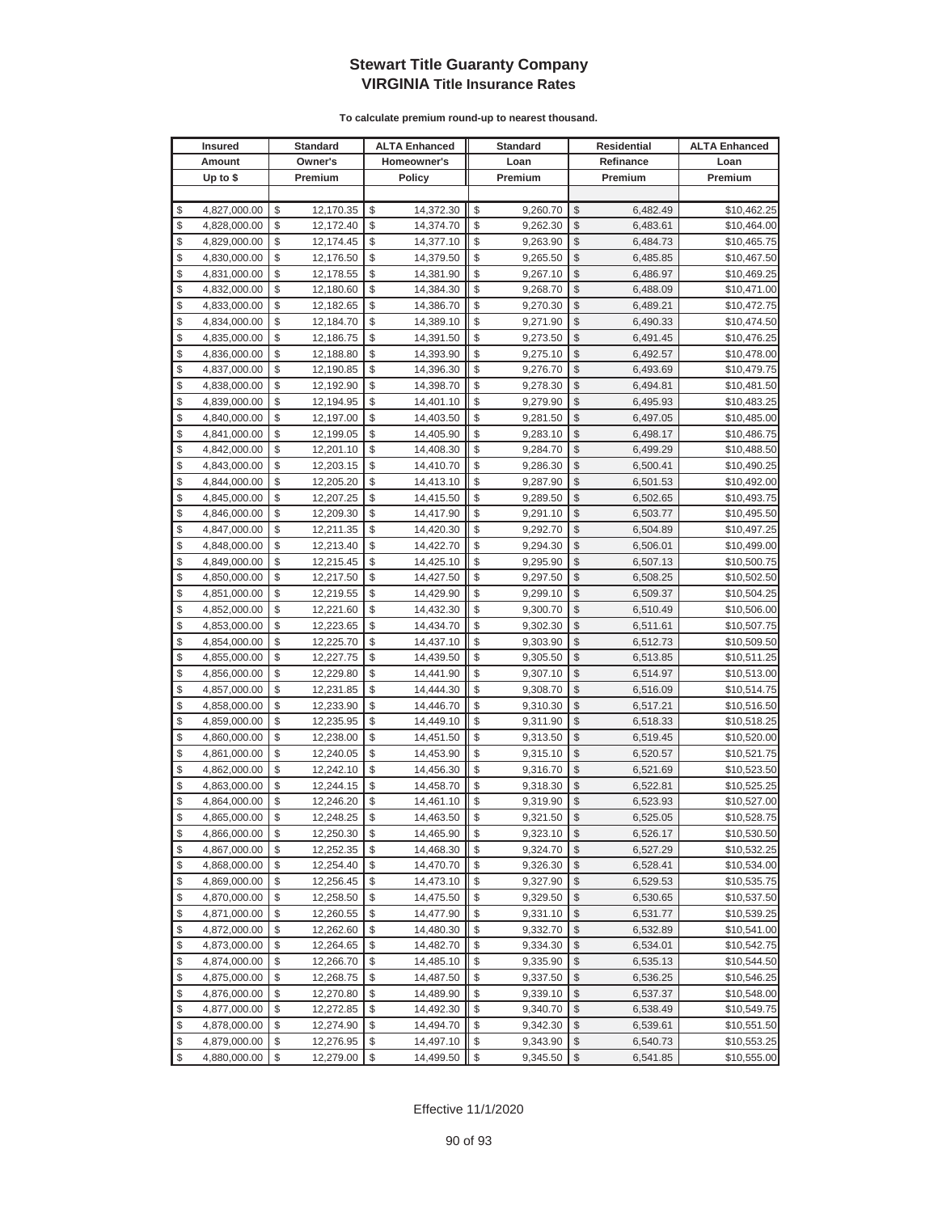| <b>Insured</b> |              | <b>Standard</b> |    | <b>ALTA Enhanced</b> | <b>Standard</b> |          | Residential             |           | <b>ALTA Enhanced</b> |
|----------------|--------------|-----------------|----|----------------------|-----------------|----------|-------------------------|-----------|----------------------|
|                | Amount       | Owner's         |    | Homeowner's          |                 | Loan     |                         | Refinance | Loan                 |
|                | Up to $$$    | Premium         |    | <b>Policy</b>        |                 | Premium  |                         | Premium   | Premium              |
|                |              |                 |    |                      |                 |          |                         |           |                      |
| \$             | 4,827,000.00 | \$<br>12,170.35 | \$ | 14,372.30            | \$              | 9,260.70 | \$                      | 6,482.49  | \$10,462.25          |
| \$             | 4,828,000.00 | \$<br>12,172.40 | \$ | 14,374.70            | \$              | 9,262.30 | \$                      | 6,483.61  | \$10,464.00          |
| \$             | 4,829,000.00 | \$<br>12,174.45 | \$ | 14,377.10            | \$              | 9,263.90 | \$                      | 6,484.73  | \$10,465.75          |
| \$             | 4,830,000.00 | \$<br>12,176.50 | \$ | 14,379.50            | \$              | 9,265.50 | \$                      | 6,485.85  | \$10,467.50          |
| \$             | 4,831,000.00 | \$<br>12,178.55 | \$ | 14,381.90            | \$              | 9,267.10 | \$                      | 6,486.97  | \$10,469.25          |
| \$             | 4,832,000.00 | \$<br>12,180.60 | \$ | 14,384.30            | \$              | 9,268.70 | \$                      | 6,488.09  | \$10,471.00          |
| \$             | 4,833,000.00 | \$<br>12,182.65 | \$ | 14,386.70            | \$              | 9,270.30 | \$                      | 6,489.21  | \$10,472.75          |
| \$             | 4,834,000.00 | \$<br>12,184.70 | \$ | 14,389.10            | \$              | 9,271.90 | \$                      | 6,490.33  | \$10,474.50          |
| \$             | 4,835,000.00 | \$<br>12,186.75 | \$ | 14,391.50            | \$              | 9,273.50 | \$                      | 6,491.45  | \$10,476.25          |
| \$             | 4,836,000.00 | \$<br>12,188.80 | \$ | 14,393.90            | \$              | 9,275.10 | \$                      | 6,492.57  | \$10,478.00          |
| \$             | 4,837,000.00 | \$<br>12,190.85 | \$ | 14,396.30            | \$              | 9,276.70 | \$                      | 6,493.69  | \$10,479.75          |
| \$             | 4,838,000.00 | \$<br>12,192.90 | \$ | 14,398.70            | \$              | 9,278.30 | \$                      | 6,494.81  | \$10,481.50          |
| \$             | 4,839,000.00 | \$<br>12,194.95 | \$ | 14,401.10            | \$              | 9,279.90 | \$                      | 6,495.93  | \$10,483.25          |
| \$             | 4,840,000.00 | \$<br>12,197.00 | \$ | 14,403.50            | \$              | 9,281.50 | \$                      | 6,497.05  | \$10,485.00          |
| \$             | 4,841,000.00 | \$<br>12,199.05 | \$ | 14,405.90            | \$              | 9,283.10 | \$                      | 6,498.17  | \$10,486.75          |
| \$             | 4,842,000.00 | \$<br>12,201.10 | \$ | 14,408.30            | \$              | 9,284.70 | \$                      | 6,499.29  | \$10,488.50          |
| \$             | 4,843,000.00 | \$<br>12,203.15 | \$ | 14,410.70            | \$              | 9,286.30 | \$                      | 6,500.41  | \$10,490.25          |
| \$             | 4,844,000.00 | \$<br>12,205.20 | \$ | 14,413.10            | \$              | 9,287.90 | \$                      | 6,501.53  | \$10,492.00          |
| \$             | 4,845,000.00 | \$<br>12,207.25 | \$ | 14,415.50            | \$              | 9,289.50 | \$                      | 6,502.65  | \$10,493.75          |
| \$             | 4,846,000.00 | \$<br>12,209.30 | \$ | 14,417.90            | \$              | 9,291.10 | \$                      | 6,503.77  | \$10,495.50          |
| \$             | 4,847,000.00 | \$<br>12,211.35 | \$ | 14,420.30            | \$              | 9,292.70 | \$                      | 6,504.89  | \$10,497.25          |
| \$             | 4,848,000.00 | \$<br>12,213.40 | \$ | 14,422.70            | \$              | 9,294.30 | \$                      | 6,506.01  | \$10,499.00          |
| \$             | 4,849,000.00 | \$<br>12,215.45 | \$ | 14,425.10            | \$              | 9,295.90 | \$                      | 6,507.13  | \$10,500.75          |
| \$             | 4,850,000.00 | \$<br>12,217.50 | \$ | 14,427.50            | \$              | 9,297.50 | \$                      | 6,508.25  | \$10,502.50          |
| \$             | 4,851,000.00 | \$<br>12,219.55 | \$ | 14,429.90            | \$              | 9,299.10 | \$                      | 6,509.37  | \$10,504.25          |
| \$             | 4,852,000.00 | \$<br>12,221.60 | \$ | 14,432.30            | \$              | 9,300.70 | \$                      | 6,510.49  | \$10,506.00          |
| \$             | 4,853,000.00 | \$<br>12,223.65 | \$ | 14,434.70            | \$              | 9,302.30 | \$                      | 6,511.61  | \$10,507.75          |
| \$             | 4,854,000.00 | \$<br>12,225.70 | \$ | 14,437.10            | \$              | 9,303.90 | \$                      | 6,512.73  | \$10,509.50          |
| \$             | 4,855,000.00 | \$<br>12,227.75 | \$ | 14,439.50            | \$              | 9,305.50 | \$                      | 6,513.85  | \$10,511.25          |
| \$             | 4,856,000.00 | \$<br>12,229.80 | \$ | 14,441.90            | \$              | 9,307.10 | \$                      | 6,514.97  | \$10,513.00          |
| \$             | 4,857,000.00 | \$<br>12,231.85 | \$ | 14,444.30            | \$              | 9,308.70 | \$                      | 6,516.09  | \$10,514.75          |
| \$             | 4,858,000.00 | \$<br>12,233.90 | \$ | 14,446.70            | \$              | 9,310.30 | \$                      | 6,517.21  | \$10,516.50          |
| \$             | 4,859,000.00 | \$<br>12,235.95 | \$ | 14,449.10            | \$              | 9,311.90 | \$                      | 6,518.33  | \$10,518.25          |
| \$             | 4,860,000.00 | \$<br>12,238.00 | \$ | 14,451.50            | \$              | 9,313.50 | \$                      | 6,519.45  | \$10,520.00          |
| \$             | 4,861,000.00 | \$<br>12,240.05 | \$ | 14,453.90            | \$              | 9,315.10 | \$                      | 6,520.57  | \$10,521.75          |
| \$             | 4,862,000.00 | \$<br>12,242.10 | \$ | 14,456.30            | \$              | 9,316.70 | \$                      | 6,521.69  | \$10,523.50          |
| \$             | 4,863,000.00 | \$<br>12,244.15 | \$ | 14,458.70            | \$              | 9,318.30 | \$                      | 6,522.81  | \$10,525.25          |
| \$             | 4,864,000.00 | \$<br>12,246.20 | \$ | 14,461.10            | \$              | 9,319.90 | \$                      | 6,523.93  | \$10,527.00          |
| \$             | 4,865,000.00 | \$<br>12,248.25 | \$ | 14,463.50            | \$              | 9,321.50 | \$                      | 6,525.05  | \$10,528.75          |
| \$             | 4,866,000.00 | \$<br>12,250.30 | \$ | 14,465.90            | \$              | 9,323.10 | \$                      | 6,526.17  | \$10,530.50          |
| \$             | 4,867,000.00 | \$<br>12,252.35 | \$ | 14,468.30            |                 | 9,324.70 | \$                      | 6,527.29  | \$10,532.25          |
| \$             | 4,868,000.00 | \$<br>12,254.40 | \$ | 14,470.70            | \$              | 9,326.30 | \$                      | 6,528.41  | \$10,534.00          |
| \$             | 4,869,000.00 | \$<br>12,256.45 | \$ | 14,473.10            | \$              | 9,327.90 | \$                      | 6,529.53  | \$10,535.75          |
| \$             | 4,870,000.00 | \$<br>12,258.50 | \$ | 14,475.50            | \$              | 9,329.50 | \$                      | 6,530.65  | \$10,537.50          |
| \$             | 4,871,000.00 | \$<br>12,260.55 | \$ | 14,477.90            | \$              | 9,331.10 | \$                      | 6,531.77  | \$10,539.25          |
| \$             | 4,872,000.00 | \$<br>12,262.60 | \$ | 14,480.30            | \$              | 9,332.70 | \$                      | 6,532.89  | \$10,541.00          |
| \$             | 4,873,000.00 | \$<br>12,264.65 | \$ | 14,482.70            | \$              | 9,334.30 | \$                      | 6,534.01  | \$10,542.75          |
| \$             | 4,874,000.00 | \$<br>12,266.70 | \$ | 14,485.10            | \$              | 9,335.90 | \$                      | 6,535.13  | \$10,544.50          |
| \$             | 4,875,000.00 | \$<br>12,268.75 | \$ | 14,487.50            | \$              | 9,337.50 | \$                      | 6,536.25  | \$10,546.25          |
| \$             | 4,876,000.00 | \$<br>12,270.80 | \$ | 14,489.90            | \$              | 9,339.10 | \$                      | 6,537.37  | \$10,548.00          |
| \$             | 4,877,000.00 | \$<br>12,272.85 | \$ | 14,492.30            | \$              | 9,340.70 | \$                      | 6,538.49  | \$10,549.75          |
| \$             | 4,878,000.00 | \$<br>12,274.90 | \$ | 14,494.70            | \$              | 9,342.30 | \$                      | 6,539.61  | \$10,551.50          |
| \$             | 4,879,000.00 | \$<br>12,276.95 | \$ | 14,497.10            | \$              | 9,343.90 | \$                      | 6,540.73  | \$10,553.25          |
| \$             | 4,880,000.00 | \$<br>12,279.00 | \$ | 14,499.50            | \$              | 9,345.50 | $\sqrt[6]{\frac{1}{2}}$ | 6,541.85  | \$10,555.00          |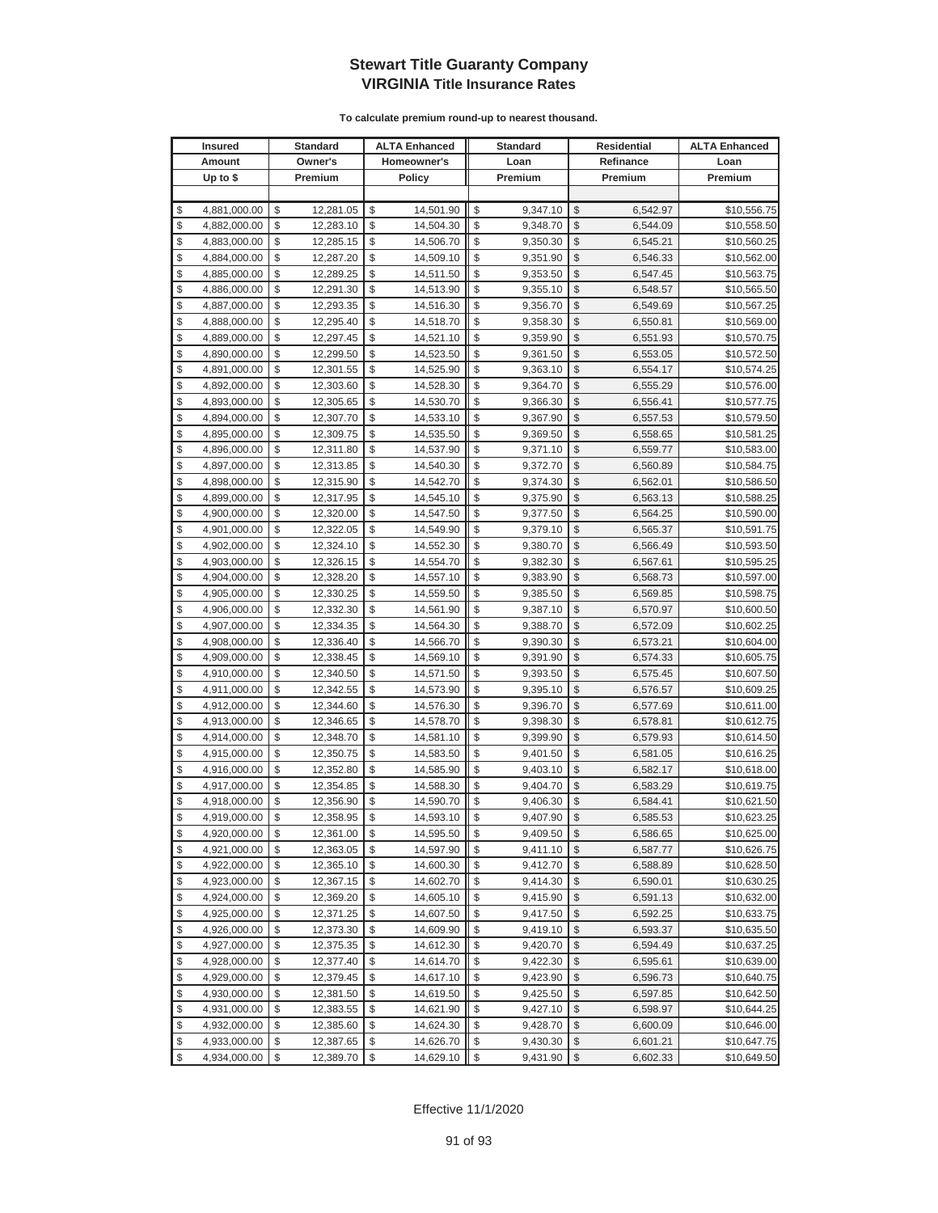| <b>Insured</b> |              | <b>Standard</b> |    | <b>ALTA Enhanced</b> |    | <b>Standard</b> |                         | Residential | <b>ALTA Enhanced</b> |
|----------------|--------------|-----------------|----|----------------------|----|-----------------|-------------------------|-------------|----------------------|
|                | Amount       | Owner's         |    | Homeowner's          |    | Loan            |                         | Refinance   | Loan                 |
|                | Up to $$$    | Premium         |    | <b>Policy</b>        |    | Premium         |                         | Premium     | Premium              |
|                |              |                 |    |                      |    |                 |                         |             |                      |
| \$             | 4,881,000.00 | \$<br>12,281.05 | \$ | 14,501.90            | \$ | 9,347.10        | \$                      | 6,542.97    | \$10,556.75          |
| \$             | 4,882,000.00 | \$<br>12,283.10 | \$ | 14,504.30            | \$ | 9,348.70        | \$                      | 6,544.09    | \$10,558.50          |
| \$             | 4,883,000.00 | \$<br>12,285.15 | \$ | 14,506.70            | \$ | 9,350.30        | \$                      | 6,545.21    | \$10,560.25          |
| \$             | 4,884,000.00 | \$<br>12,287.20 | \$ | 14,509.10            | \$ | 9,351.90        | \$                      | 6,546.33    | \$10,562.00          |
| \$             | 4,885,000.00 | \$<br>12,289.25 | \$ | 14,511.50            | \$ | 9,353.50        | \$                      | 6,547.45    | \$10,563.75          |
| \$             | 4,886,000.00 | \$<br>12,291.30 | \$ | 14,513.90            | \$ | 9,355.10        | \$                      | 6,548.57    | \$10,565.50          |
| \$             | 4,887,000.00 | \$<br>12,293.35 | \$ | 14,516.30            | \$ | 9,356.70        | \$                      | 6,549.69    | \$10,567.25          |
| \$             | 4,888,000.00 | \$<br>12,295.40 | \$ | 14,518.70            | \$ | 9,358.30        | \$                      | 6,550.81    | \$10,569.00          |
| \$             | 4,889,000.00 | \$<br>12,297.45 | \$ | 14,521.10            | \$ | 9,359.90        | \$                      | 6,551.93    | \$10,570.75          |
| \$             | 4,890,000.00 | \$<br>12,299.50 | \$ | 14,523.50            | \$ | 9,361.50        | \$                      | 6,553.05    | \$10,572.50          |
| \$             | 4,891,000.00 | \$<br>12,301.55 | \$ | 14,525.90            | \$ | 9,363.10        | \$                      | 6,554.17    | \$10,574.25          |
| \$             | 4,892,000.00 | \$<br>12,303.60 | \$ | 14,528.30            | \$ | 9,364.70        | \$                      | 6,555.29    | \$10,576.00          |
| \$             | 4,893,000.00 | \$<br>12,305.65 | \$ | 14,530.70            | \$ | 9,366.30        | \$                      | 6,556.41    | \$10,577.75          |
| \$             | 4,894,000.00 | \$<br>12,307.70 | \$ | 14,533.10            | \$ | 9,367.90        | \$                      | 6,557.53    | \$10,579.50          |
| \$             | 4,895,000.00 | \$<br>12,309.75 | \$ | 14,535.50            | \$ | 9,369.50        | \$                      | 6,558.65    | \$10,581.25          |
| \$             | 4,896,000.00 | \$<br>12,311.80 | \$ | 14,537.90            | \$ | 9,371.10        | \$                      | 6,559.77    | \$10,583.00          |
| \$             | 4,897,000.00 | \$<br>12,313.85 | \$ | 14,540.30            | \$ | 9,372.70        | \$                      | 6,560.89    | \$10,584.75          |
| \$             | 4,898,000.00 | \$<br>12,315.90 | \$ | 14,542.70            | \$ | 9,374.30        | \$                      | 6,562.01    | \$10,586.50          |
| \$             | 4,899,000.00 | \$<br>12,317.95 | \$ | 14,545.10            | \$ | 9,375.90        | \$                      | 6,563.13    | \$10,588.25          |
| \$             | 4,900,000.00 | \$<br>12,320.00 | \$ | 14,547.50            | \$ | 9,377.50        | \$                      | 6,564.25    | \$10,590.00          |
| \$             | 4,901,000.00 | \$<br>12,322.05 | \$ | 14,549.90            | \$ | 9,379.10        | \$                      | 6,565.37    | \$10,591.75          |
| \$             | 4,902,000.00 | \$<br>12,324.10 | \$ | 14,552.30            | \$ | 9,380.70        | \$                      | 6,566.49    | \$10,593.50          |
| \$             | 4,903,000.00 | \$<br>12,326.15 | \$ | 14,554.70            | \$ | 9,382.30        | \$                      | 6,567.61    | \$10,595.25          |
| \$             | 4,904,000.00 | \$<br>12,328.20 | \$ | 14,557.10            | \$ | 9,383.90        | \$                      | 6,568.73    | \$10,597.00          |
| \$             | 4,905,000.00 | \$<br>12,330.25 | \$ | 14,559.50            | \$ | 9,385.50        | \$                      | 6,569.85    | \$10,598.75          |
| \$             | 4,906,000.00 | \$<br>12,332.30 | \$ | 14,561.90            | \$ | 9,387.10        | \$                      | 6,570.97    | \$10,600.50          |
| \$             | 4,907,000.00 | \$<br>12,334.35 | \$ | 14,564.30            | \$ | 9,388.70        | \$                      | 6,572.09    | \$10,602.25          |
| \$             | 4,908,000.00 | \$<br>12,336.40 | \$ | 14,566.70            | \$ | 9,390.30        | \$                      | 6,573.21    | \$10,604.00          |
| \$             | 4,909,000.00 | \$<br>12,338.45 | \$ | 14,569.10            | \$ | 9,391.90        | \$                      | 6,574.33    | \$10,605.75          |
| \$             | 4,910,000.00 | \$<br>12,340.50 | \$ | 14,571.50            | \$ | 9,393.50        | \$                      | 6,575.45    | \$10,607.50          |
| \$             | 4,911,000.00 | \$<br>12,342.55 | \$ | 14,573.90            | \$ | 9,395.10        | \$                      | 6,576.57    | \$10,609.25          |
| \$             | 4,912,000.00 | \$<br>12,344.60 | \$ | 14,576.30            | \$ | 9,396.70        | \$                      | 6,577.69    | \$10,611.00          |
| \$             | 4,913,000.00 | \$<br>12,346.65 | \$ | 14,578.70            | \$ | 9,398.30        | \$                      | 6,578.81    | \$10,612.75          |
| \$             | 4,914,000.00 | \$<br>12,348.70 | \$ | 14,581.10            | \$ | 9,399.90        | \$                      | 6,579.93    | \$10,614.50          |
| \$             | 4,915,000.00 | \$<br>12,350.75 | \$ | 14,583.50            | \$ | 9,401.50        | \$                      | 6,581.05    | \$10,616.25          |
| \$             | 4,916,000.00 | \$<br>12,352.80 | \$ | 14,585.90            | \$ | 9,403.10        | \$                      | 6,582.17    | \$10,618.00          |
| \$             | 4,917,000.00 | \$<br>12,354.85 | \$ | 14,588.30            | \$ | 9,404.70        | \$                      | 6,583.29    | \$10,619.75          |
| \$             | 4,918,000.00 | \$<br>12,356.90 | \$ | 14,590.70            | \$ | 9,406.30        | \$                      | 6,584.41    | \$10,621.50          |
| \$             | 4,919,000.00 | \$<br>12,358.95 | \$ | 14,593.10            | \$ | 9,407.90        | \$                      | 6,585.53    | \$10,623.25          |
| \$             | 4,920,000.00 | \$<br>12,361.00 | \$ | 14,595.50            | \$ | 9,409.50        | $\sqrt[6]{3}$           | 6,586.65    | \$10,625.00          |
| \$             | 4,921,000.00 | \$<br>12,363.05 | \$ | 14,597.90            | \$ | 9,411.10        | $\mathcal{S}$           | 6,587.77    | \$10,626.75          |
| \$             | 4,922,000.00 | \$<br>12,365.10 | \$ | 14,600.30            | \$ | 9,412.70        | $\frac{1}{2}$           | 6,588.89    | \$10,628.50          |
| \$             | 4,923,000.00 | \$<br>12,367.15 | \$ | 14,602.70            | \$ | 9,414.30        | \$                      | 6,590.01    | \$10,630.25          |
| \$             | 4,924,000.00 | \$<br>12,369.20 | \$ | 14,605.10            | \$ | 9,415.90        | \$                      | 6,591.13    | \$10,632.00          |
| \$             | 4,925,000.00 | \$<br>12,371.25 | \$ | 14,607.50            | \$ | 9,417.50        | \$                      | 6,592.25    | \$10,633.75          |
| \$             | 4,926,000.00 | \$<br>12,373.30 | \$ | 14,609.90            | \$ | 9,419.10        | \$                      | 6,593.37    | \$10,635.50          |
| \$             | 4,927,000.00 | \$<br>12,375.35 | \$ | 14,612.30            | \$ | 9,420.70        | \$                      | 6,594.49    | \$10,637.25          |
| \$             | 4,928,000.00 | \$<br>12,377.40 | \$ | 14,614.70            | \$ | 9,422.30        | \$                      | 6,595.61    | \$10,639.00          |
| \$             | 4,929,000.00 | \$<br>12,379.45 | \$ | 14,617.10            | \$ | 9,423.90        | \$                      | 6,596.73    | \$10,640.75          |
| \$             | 4,930,000.00 | \$<br>12,381.50 | \$ | 14,619.50            | \$ | 9,425.50        | \$                      | 6,597.85    | \$10,642.50          |
| \$             | 4,931,000.00 | \$<br>12,383.55 | \$ | 14,621.90            | \$ | 9,427.10        | \$                      | 6,598.97    | \$10,644.25          |
| \$             | 4,932,000.00 | \$<br>12,385.60 | \$ | 14,624.30            | \$ | 9,428.70        | \$                      | 6,600.09    | \$10,646.00          |
| \$             | 4,933,000.00 | \$<br>12,387.65 | \$ | 14,626.70            | \$ | 9,430.30        | \$                      | 6,601.21    | \$10,647.75          |
| \$             | 4,934,000.00 | \$<br>12,389.70 | \$ | 14,629.10            | \$ | 9,431.90        | $\sqrt[6]{\frac{1}{2}}$ | 6,602.33    | \$10,649.50          |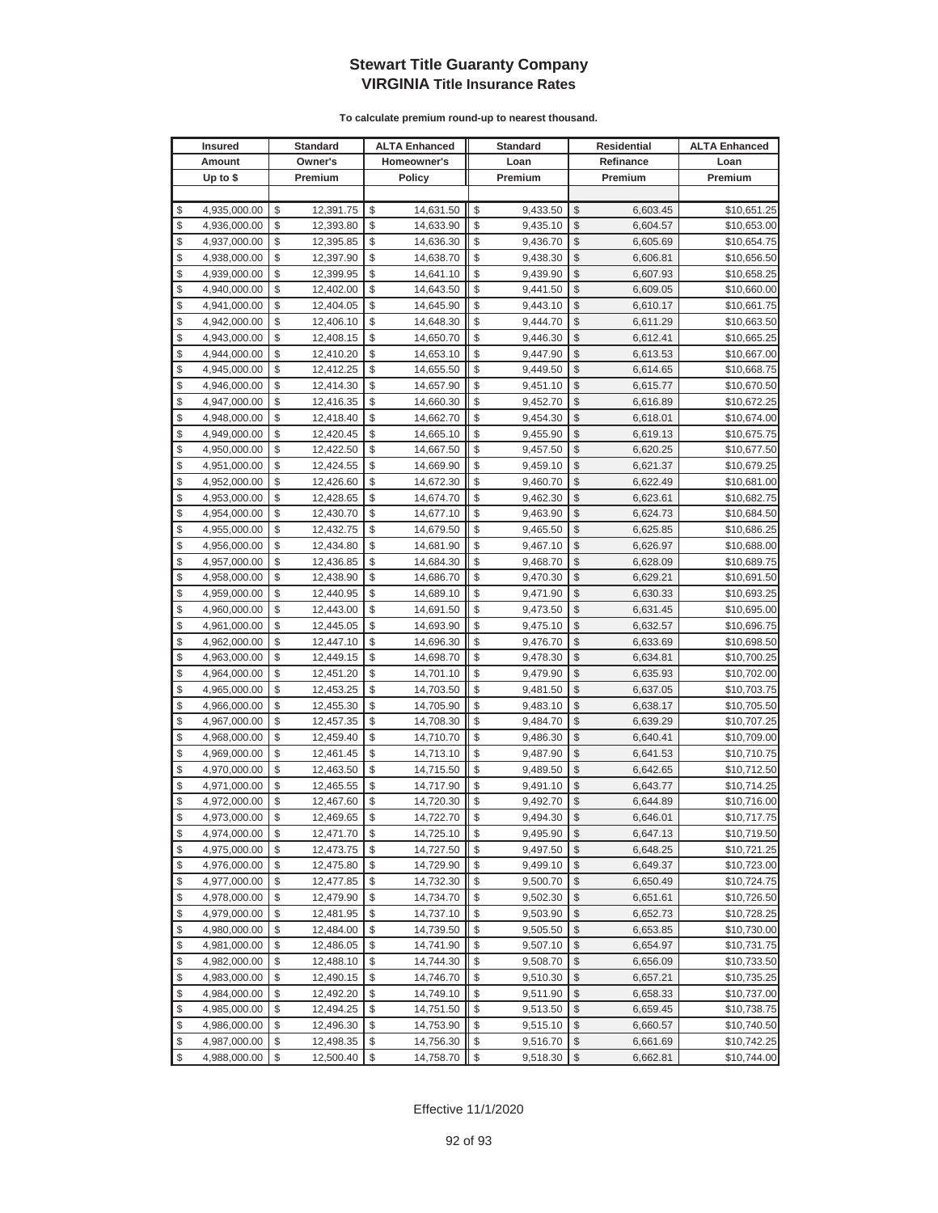| <b>Insured</b> |              | <b>Standard</b> | <b>ALTA Enhanced</b>                 |            | <b>Standard</b> |                         | <b>Residential</b> | <b>ALTA Enhanced</b> |
|----------------|--------------|-----------------|--------------------------------------|------------|-----------------|-------------------------|--------------------|----------------------|
|                | Amount       | Owner's         | Homeowner's                          |            | Loan            |                         | Refinance          | Loan                 |
|                | Up to $$$    | Premium         | <b>Policy</b>                        |            | Premium         |                         | Premium            | Premium              |
|                |              |                 |                                      |            |                 |                         |                    |                      |
| \$             | 4,935,000.00 | \$<br>12,391.75 | \$<br>14,631.50                      | \$         | 9,433.50        | \$                      | 6,603.45           | \$10,651.25          |
| \$             | 4,936,000.00 | \$<br>12,393.80 | \$<br>14,633.90                      | \$         | 9,435.10        | \$                      | 6,604.57           | \$10,653.00          |
| \$             | 4,937,000.00 | \$<br>12,395.85 | \$<br>14,636.30                      | \$         | 9,436.70        | \$                      | 6,605.69           | \$10,654.75          |
| \$             | 4,938,000.00 | \$<br>12,397.90 | \$<br>14,638.70                      | \$         | 9,438.30        | \$                      | 6,606.81           | \$10,656.50          |
| \$             | 4,939,000.00 | \$<br>12,399.95 | \$<br>14,641.10                      | \$         | 9,439.90        | \$                      | 6,607.93           | \$10,658.25          |
| \$             | 4,940,000.00 | \$<br>12,402.00 | \$<br>14,643.50                      | \$         | 9,441.50        | \$                      | 6,609.05           | \$10,660.00          |
| \$             | 4,941,000.00 | \$<br>12,404.05 | \$<br>14,645.90                      | \$         | 9,443.10        | \$                      | 6,610.17           | \$10,661.75          |
| \$             | 4,942,000.00 | \$<br>12,406.10 | \$<br>14,648.30                      | \$         | 9,444.70        | \$                      | 6,611.29           | \$10,663.50          |
| \$             | 4,943,000.00 | \$<br>12,408.15 | \$<br>14,650.70                      | \$         | 9,446.30        | \$                      | 6,612.41           | \$10,665.25          |
| \$             | 4,944,000.00 | \$<br>12,410.20 | \$<br>14,653.10                      | \$         | 9,447.90        | \$                      | 6,613.53           | \$10,667.00          |
| \$             | 4,945,000.00 | \$<br>12,412.25 | \$<br>14,655.50                      | \$         | 9,449.50        | \$                      | 6,614.65           | \$10,668.75          |
| \$             | 4,946,000.00 | \$<br>12,414.30 | \$<br>14,657.90                      | \$         | 9,451.10        | \$                      | 6,615.77           | \$10,670.50          |
| \$             | 4,947,000.00 | \$<br>12,416.35 | \$<br>14,660.30                      | \$         | 9,452.70        | \$                      | 6,616.89           | \$10,672.25          |
| \$             | 4,948,000.00 | \$<br>12,418.40 | \$<br>14,662.70                      | \$         | 9,454.30        | \$                      | 6,618.01           | \$10,674.00          |
| \$             | 4,949,000.00 | \$<br>12,420.45 | \$<br>14,665.10                      | \$         | 9,455.90        | \$                      | 6,619.13           | \$10,675.75          |
| \$             | 4,950,000.00 | \$<br>12,422.50 | \$<br>14,667.50                      | \$         | 9,457.50        | \$                      | 6,620.25           | \$10,677.50          |
| \$             | 4,951,000.00 | \$<br>12,424.55 | \$<br>14,669.90                      | \$         | 9,459.10        | \$                      | 6,621.37           | \$10,679.25          |
| \$             | 4,952,000.00 | \$<br>12,426.60 | \$<br>14,672.30                      | \$         | 9,460.70        | \$                      | 6,622.49           | \$10,681.00          |
| \$             | 4,953,000.00 | \$<br>12,428.65 | \$<br>14,674.70                      | \$         | 9,462.30        | \$                      | 6,623.61           | \$10,682.75          |
| \$             | 4,954,000.00 | \$<br>12,430.70 | \$<br>14,677.10                      | \$         | 9,463.90        | \$                      | 6,624.73           | \$10,684.50          |
| \$             | 4,955,000.00 | \$<br>12,432.75 | \$<br>14,679.50                      | \$         | 9,465.50        | \$                      | 6,625.85           | \$10,686.25          |
| \$             | 4,956,000.00 | \$<br>12,434.80 | \$<br>14,681.90                      | \$         | 9,467.10        | \$                      | 6,626.97           | \$10,688.00          |
| \$             | 4,957,000.00 | \$<br>12,436.85 | \$<br>14,684.30                      | \$         | 9,468.70        | \$                      | 6,628.09           | \$10,689.75          |
| \$             | 4,958,000.00 | \$<br>12,438.90 | \$<br>14,686.70                      | \$         | 9,470.30        | \$                      | 6,629.21           | \$10,691.50          |
| \$             | 4,959,000.00 | \$<br>12,440.95 | \$<br>14,689.10                      | \$         | 9,471.90        | \$                      | 6,630.33           | \$10,693.25          |
| \$             | 4,960,000.00 | \$<br>12,443.00 | \$<br>14,691.50                      | \$         | 9,473.50        | \$                      | 6,631.45           | \$10,695.00          |
| \$             | 4,961,000.00 | \$<br>12,445.05 | \$<br>14,693.90                      | \$         | 9,475.10        | \$                      | 6,632.57           | \$10,696.75          |
| \$             | 4,962,000.00 | \$<br>12,447.10 | \$<br>14,696.30                      | \$         | 9,476.70        | \$                      | 6,633.69           | \$10,698.50          |
| \$             | 4,963,000.00 | \$<br>12,449.15 | \$<br>14,698.70                      | \$         | 9,478.30        | \$                      | 6,634.81           | \$10,700.25          |
| \$             | 4,964,000.00 | \$<br>12,451.20 | \$<br>14,701.10                      | \$         | 9,479.90        | \$                      | 6,635.93           | \$10,702.00          |
| \$             | 4,965,000.00 | \$<br>12,453.25 | \$<br>14,703.50                      | \$         | 9,481.50        | \$                      | 6,637.05           | \$10,703.75          |
| \$             | 4,966,000.00 | \$<br>12,455.30 | \$<br>14,705.90                      | \$         | 9,483.10        | \$                      | 6,638.17           | \$10,705.50          |
| \$             | 4,967,000.00 | \$<br>12,457.35 | \$<br>14,708.30                      | \$         | 9,484.70        | \$                      | 6,639.29           | \$10,707.25          |
| \$             | 4,968,000.00 | \$<br>12,459.40 | \$<br>14,710.70                      | \$         | 9,486.30        | \$                      | 6,640.41           | \$10,709.00          |
| \$             | 4,969,000.00 | \$<br>12,461.45 | \$<br>14,713.10                      | \$         | 9,487.90        | \$                      | 6,641.53           | \$10,710.75          |
| \$             | 4,970,000.00 | \$<br>12,463.50 | \$<br>14,715.50                      | \$         | 9,489.50        | \$                      | 6,642.65           | \$10,712.50          |
| \$             | 4,971,000.00 | \$<br>12,465.55 | \$<br>14,717.90                      | \$         | 9,491.10        | \$                      | 6,643.77           | \$10,714.25          |
| \$             | 4,972,000.00 | \$<br>12,467.60 | \$<br>14,720.30                      | \$         | 9,492.70        | \$                      | 6,644.89           | \$10,716.00          |
| \$             | 4,973,000.00 | \$<br>12,469.65 | \$<br>14,722.70                      | \$         | 9,494.30        | $\mathbb{S}$            | 6,646.01           | \$10,717.75          |
| \$             | 4,974,000.00 | \$<br>12,471.70 | \$<br>14,725.10                      | \$         | 9,495.90        | \$                      | 6,647.13           | \$10,719.50          |
| \$             | 4,975,000.00 | \$<br>12,473.75 | \$<br>14,727.50                      | \$         | 9,497.50        | $\mathcal{S}$           | 6,648.25           | \$10,721.25          |
| \$             | 4,976,000.00 | \$<br>12,475.80 | \$<br>14,729.90                      | \$         | 9,499.10        | \$                      | 6,649.37           | \$10,723.00          |
| \$             | 4,977,000.00 | \$<br>12,477.85 | \$<br>14,732.30                      | \$         | 9,500.70        | \$                      | 6,650.49           | \$10,724.75          |
| \$             | 4,978,000.00 | \$<br>12,479.90 | \$<br>14,734.70                      | \$         | 9,502.30        | \$                      | 6,651.61           | \$10,726.50          |
| \$             | 4,979,000.00 | \$<br>12,481.95 | \$<br>14,737.10                      | \$         | 9,503.90        | \$                      | 6,652.73           | \$10,728.25          |
| \$             | 4,980,000.00 | \$<br>12,484.00 | \$<br>14,739.50                      | \$         | 9,505.50        | \$                      | 6,653.85           | \$10,730.00          |
| \$             | 4,981,000.00 | \$<br>12,486.05 | \$<br>14,741.90                      | \$         | 9,507.10        | \$                      | 6,654.97           | \$10,731.75          |
| \$             | 4,982,000.00 | \$<br>12,488.10 | \$<br>14,744.30                      | \$         | 9,508.70        | \$                      | 6,656.09           | \$10,733.50          |
| \$             | 4,983,000.00 | \$<br>12,490.15 | \$<br>14,746.70                      | \$         | 9,510.30        | $\frac{1}{2}$           | 6,657.21           | \$10,735.25          |
| \$             | 4,984,000.00 | \$<br>12,492.20 | \$<br>14,749.10                      | \$         | 9,511.90        | \$                      | 6,658.33           | \$10,737.00          |
| \$             | 4,985,000.00 | \$<br>12,494.25 | \$<br>14,751.50                      | \$         | 9,513.50        | \$                      | 6,659.45           | \$10,738.75          |
| \$             | 4,986,000.00 | \$<br>12,496.30 | \$<br>14,753.90                      | \$         | 9,515.10        | \$                      | 6,660.57           | \$10,740.50          |
| \$             | 4,987,000.00 | \$<br>12,498.35 | \$<br>14,756.30                      | \$         | 9,516.70        | \$                      | 6,661.69           | \$10,742.25          |
| \$             | 4,988,000.00 | \$<br>12,500.40 | $\sqrt[6]{\frac{1}{2}}$<br>14,758.70 | $\sqrt{2}$ | 9,518.30        | $\sqrt[6]{\frac{1}{2}}$ | 6,662.81           | \$10,744.00          |